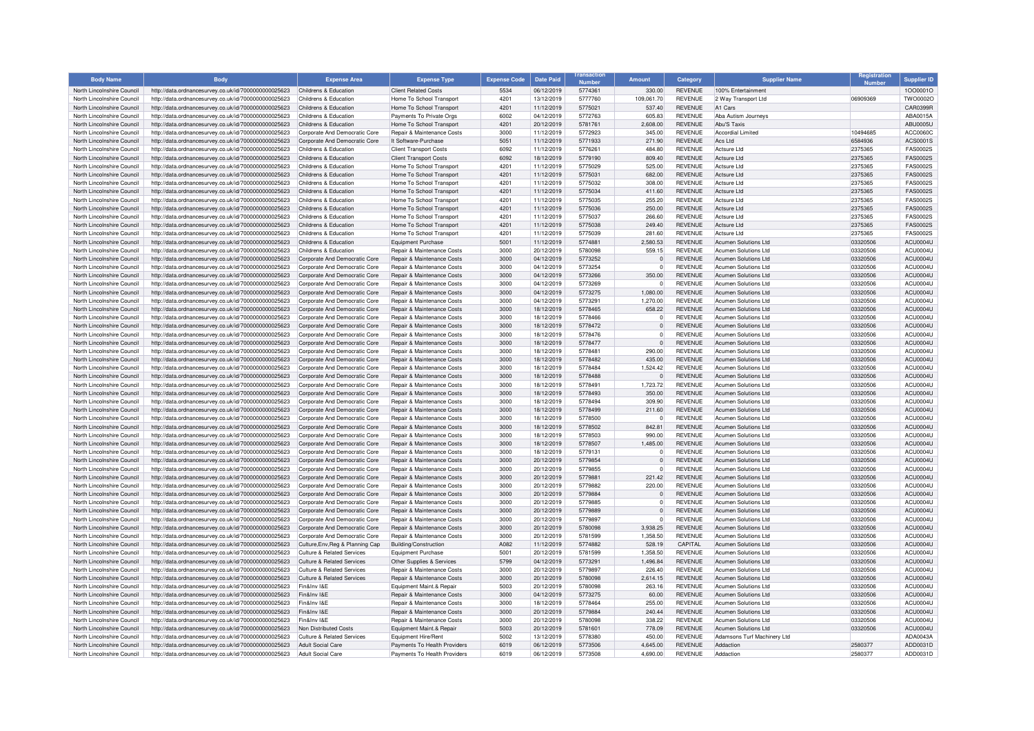| <b>Body Name</b>                                         | <b>Body</b>                                                                                                  | <b>Expense Area</b>                                            | <b>Expense Type</b>                                      | <b>Expense Code</b> | <b>Date Paid</b>         | <b>Numbor</b>      | <b>Amount</b>      | Category                         | <b>Supplier Name</b>                          | Registration         | <b>Supplier ID</b>          |
|----------------------------------------------------------|--------------------------------------------------------------------------------------------------------------|----------------------------------------------------------------|----------------------------------------------------------|---------------------|--------------------------|--------------------|--------------------|----------------------------------|-----------------------------------------------|----------------------|-----------------------------|
| North Lincolnshire Council                               | http://data.ordnancesurvey.co.uk/id/7000000000025623                                                         | Childrens & Education                                          | <b>Client Related Costs</b>                              | 5534                | 06/12/2019               | 5774361            | 330.00             | <b>REVENUE</b>                   | 100% Entertainment                            |                      | 10000010                    |
| North Lincolnshire Council                               | http://data.ordnancesurvey.co.uk/id/7000000000025623                                                         | Childrens & Education                                          | Home To School Transport                                 | 4201                | 13/12/2019               | 5777760            | 109.061.70         | <b>REVENUE</b>                   | 2 Way Transport Ltd                           | 06909369             | TWO0002O                    |
| North Lincolnshire Council                               | http://data.ordnancesurvey.co.uk/id/7000000000025623                                                         | Childrens & Education                                          | Home To School Transport                                 | 4201                | 11/12/2019               | 5775021            | 537.40             | <b>REVENUE</b>                   | A1 Cars                                       |                      | CAR0399R                    |
| North Lincolnshire Council                               | http://data.ordnancesurvey.co.uk/id/7000000000025623                                                         | Childrens & Education                                          | Payments To Private Orgs                                 | 6002                | 04/12/2019               | 5772763            | 605.83             | <b>REVENUE</b>                   | Aba Autism Journeys                           |                      | ABA0015A                    |
| North Lincolnshire Council                               | http://data.ordnancesurvey.co.uk/id/7000000000025623                                                         | Childrens & Education                                          | Home To School Transport                                 | 4201                | 20/12/2019               | 5781761            | 2,608.00           | <b>REVENUE</b>                   | Abu'S Taxis                                   |                      | ABU0005U                    |
| North Lincolnshire Council                               | http://data.ordnancesurvey.co.uk/id/7000000000025623                                                         | Corporate And Democratic Core                                  | <b>Benair &amp; Maintenance Costs</b>                    | 3000                | 11/12/2019               | 5772923            | 345.00             | <b>REVENUE</b>                   | Accordial Limited                             | 10494685             | ACC0060C                    |
| North Lincolnshire Council                               | http://data.ordnancesurvey.co.uk/id/7000000000025623                                                         | Corporate And Democratic Core                                  | It Software-Purchase                                     | 5051                | 11/12/2019               | 5771933            | 271.90             | <b>REVENUE</b>                   | Acs Ltd                                       | 6584936              | ACS0001S                    |
| North Lincolnshire Council                               | http://data.ordnancesurvey.co.uk/id/7000000000025623                                                         | Childrens & Education                                          | <b>Client Transport Costs</b>                            | 6092                | 11/12/2019               | 5776261            | 484.80             | <b>REVENUE</b>                   | Actsure Ltd                                   | 2375365              | <b>FAS0002S</b>             |
| North Lincolnshire Council                               | http://data.ordnancesurvey.co.uk/id/7000000000025623                                                         | Childrens & Education                                          | <b>Client Transport Costs</b>                            | 6092                | 18/12/2019               | 5779190            | 809.40             | <b>REVENUE</b>                   | Actsure Ltd                                   | 2375365              | <b>FAS0002S</b>             |
| North Lincolnshire Council                               | http://data.ordnancesurvey.co.uk/id/7000000000025623                                                         | Childrens & Education                                          | Home To School Transport                                 | 4201                | 11/12/2019               | 5775029            | 525.00             | <b>REVENUE</b>                   | Actsure I td                                  | 2375365              | <b>FAS0002S</b>             |
| North Lincolnshire Council                               | http://data.ordnancesurvey.co.uk/id/7000000000025623                                                         | Childrens & Education                                          | Home To School Transport                                 | 4201                | 11/12/2019               | 5775031            | 682.00             | <b>REVENUE</b>                   | Actsure I td                                  | 2375365              | <b>FAS0002S</b>             |
| North Lincolnshire Council                               | http://data.ordnancesurvey.co.uk/id/7000000000025623                                                         | Childrens & Education                                          | Home To School Transport                                 | 420                 | 11/12/2019               | 5775032            | 308.00             | <b>REVENUE</b>                   | Actsure I td                                  | 2375365              | <b>FAS0002S</b>             |
| North Lincolnshire Council                               | http://data.ordnancesurvey.co.uk/id/7000000000025623                                                         | Childrens & Education                                          | Home To School Transport                                 | 4201                | 11/12/2019               | 5775034            | 411.60             | <b>REVENUE</b>                   | Actsure Ltd                                   | 2375365              | <b>FAS0002S</b>             |
| North Lincolnshire Council                               | http://data.ordnancesurvey.co.uk/id/7000000000025623                                                         | Childrens & Education                                          | Home To School Transport                                 | 4201                | 11/12/2019               | 5775035            | 255.20             | <b>REVENUE</b>                   | Actsure I td                                  | 2375365              | <b>FAS0002S</b>             |
| North Lincolnshire Council                               | http://data.ordnancesurvey.co.uk/id/7000000000025623                                                         | Childrens & Education                                          | Home To School Transport                                 | 4201                | 11/12/2019               | 5775036            | 250.00             | <b>REVENUE</b>                   | Actsure I td                                  | 2375365              | <b>FAS0002S</b>             |
| North Lincolnshire Council                               | http://data.ordnancesurvey.co.uk/id/7000000000025623                                                         | Childrens & Education                                          | Home To School Transport                                 | 4201                | 11/12/2019               | 5775037            | 266.60             | <b>REVENUE</b>                   | Actsure Ltd                                   | 2375365              | <b>FAS0002S</b>             |
| North Lincolnshire Council                               | http://data.ordnancesurvey.co.uk/id/7000000000025623                                                         | Childrens & Education                                          | Home To School Transport                                 | 4201                | 11/12/2019               | 5775038            | 249.40             | <b>REVENUE</b>                   | Actsure Ltd                                   | 2375365              | <b>FAS0002S</b>             |
| North Lincolnshire Council<br>North Lincolnshire Council | http://data.ordnancesurvey.co.uk/id/7000000000025623<br>http://data.ordnancesurvey.co.uk/id/7000000000025623 | Childrens & Education<br>Childrens & Education                 | Home To School Transport<br><b>Equipment Purchase</b>    | 420<br>5001         | 11/12/2019<br>11/12/2019 | 5775039<br>5774881 | 281.60<br>2,580.53 | <b>REVENUE</b><br><b>REVENUE</b> | Actsure Ltd<br><b>Acumen Solutions Ltd</b>    | 2375365<br>03320506  | <b>FAS0002S</b><br>ACU0004U |
| North Lincolnshire Council                               | http://data.ordnancesurvey.co.uk/id/7000000000025623                                                         | Childrens & Education                                          | <b>Benair &amp; Maintenance Costs</b>                    | 3000                | 20/12/2019               | 5780098            | 559.15             | <b>REVENUE</b>                   | Acumen Solutions Ltd                          | 03320506             | ACU0004U                    |
| North Lincolnshire Council                               | http://data.ordnancesurvey.co.uk/id/7000000000025623                                                         | Corporate And Democratic Core                                  | Repair & Maintenance Costs                               | 3000                | 04/12/2019               | 5773252            | $\Omega$           | <b>REVENUE</b>                   | <b>Acumen Solutions Ltd</b>                   | 03320506             | ACU0004U                    |
| North Lincolnshire Council                               | http://data.ordnancesurvey.co.uk/id/7000000000025623                                                         | Corporate And Democratic Core                                  | <b>Benair &amp; Maintenance Costs</b>                    | 3000                | 04/12/2019               | 5773254            | $\Omega$           | <b>REVENUE</b>                   | Acumen Solutions Ltd                          | 03320506             | ACU0004U                    |
| North Lincolnshire Council                               | http://data.ordnancesurvey.co.uk/id/7000000000025623                                                         | Corporate And Democratic Core                                  | Repair & Maintenance Costs                               | 3000                | 04/12/2019               | 5773266            | 350.00             | <b>REVENUE</b>                   | <b>Acumen Solutions Ltd</b>                   | 03320506             | ACU0004U                    |
| North Lincolnshire Council                               | http://data.ordnancesurvey.co.uk/id/7000000000025623                                                         | Corporate And Democratic Core                                  | Repair & Maintenance Costs                               | 3000                | 04/12/2019               | 5773269            | $\Omega$           | <b>REVENUE</b>                   | Acumen Solutions Ltd                          | 03320506             | ACU0004U                    |
| North Lincolnshire Council                               | http://data.ordnancesurvey.co.uk/id/7000000000025623                                                         | Corporate And Democratic Core                                  | Repair & Maintenance Costs                               | 3000                | 04/12/2019               | 5773275            | 1,080.00           | <b>REVENUE</b>                   | Acumen Solutions Ltd                          | 03320506             | ACU0004U                    |
| North Lincolnshire Council                               | http://data.ordnancesurvey.co.uk/id/7000000000025623                                                         | Corporate And Democratic Core                                  | Repair & Maintenance Costs                               | 3000                | 04/12/2019               | 5773291            | 1,270.00           | <b>REVENUE</b>                   | <b>Acumen Solutions Ltd</b>                   | 03320506             | ACU0004U                    |
| North Lincolnshire Council                               | http://data.ordnancesurvey.co.uk/id/7000000000025623                                                         | Corporate And Democratic Core                                  | Repair & Maintenance Costs                               | 3000                | 18/12/2019               | 5778465            | 658.22             | <b>REVENUE</b>                   | Acumen Solutions Ltd                          | 03320506             | <b>ACU0004U</b>             |
| North Lincolnshire Council                               | http://data.ordnancesurvey.co.uk/id/7000000000025623                                                         | Corporate And Democratic Core                                  | Repair & Maintenance Costs                               | 3000                | 18/12/2019               | 5778466            | $\overline{0}$     | <b>REVENUE</b>                   | Acumen Solutions Ltd                          | 03320506             | <b>ACU0004U</b>             |
| North Lincolnshire Council                               | http://data.ordnancesurvey.co.uk/id/7000000000025623                                                         | Corporate And Democratic Core                                  | Repair & Maintenance Costs                               | 3000                | 18/12/2019               | 5778472            | $\overline{0}$     | <b>REVENUE</b>                   | <b>Acumen Solutions Ltd</b>                   | 03320506             | <b>ACU0004U</b>             |
| North Lincolnshire Council                               | http://data.ordnancesurvey.co.uk/id/7000000000025623                                                         | Corporate And Democratic Core                                  | <b>Benair &amp; Maintenance Costs</b>                    | 3000                | 18/12/2019               | 5778476            | $\Omega$           | <b>REVENUE</b>                   | <b>Acumen Solutions Ltd</b>                   | 03320506             | ACU0004U                    |
| North Lincolnshire Council                               | http://data.ordnancesurvey.co.uk/id/7000000000025623                                                         | Corporate And Democratic Core                                  | Repair & Maintenance Costs                               | 3000                | 18/12/2019               | 5778477            | $\overline{0}$     | <b>REVENUE</b>                   | Acumen Solutions Ltd                          | 03320506             | <b>ACU0004U</b>             |
| North Lincolnshire Council                               | http://data.ordnancesurvey.co.uk/id/7000000000025623                                                         | Corporate And Democratic Core                                  | Repair & Maintenance Costs                               | 3000                | 18/12/2019               | 5778481            | 290.00             | <b>REVENUE</b>                   | <b>Acumen Solutions Ltd</b>                   | 03320506             | <b>ACU0004U</b>             |
| North Lincolnshire Council                               | http://data.ordnancesurvey.co.uk/id/7000000000025623                                                         | Corporate And Democratic Core                                  | Repair & Maintenance Costs                               | 3000                | 18/12/2019               | 5778482            | 435.00             | <b>REVENUE</b>                   | <b>Acumen Solutions Ltd</b>                   | 03320506             | <b>ACU0004U</b>             |
| North Lincolnshire Council                               | http://data.ordnancesurvey.co.uk/id/7000000000025623                                                         | Corporate And Democratic Core                                  | Repair & Maintenance Costs                               | 3000                | 18/12/2019               | 5778484            | 1,524.42           | <b>REVENUE</b>                   | Acumen Solutions Ltd                          | 03320506             | ACU0004U                    |
| North Lincolnshire Council                               | http://data.ordnancesurvey.co.uk/id/7000000000025623                                                         | Corporate And Democratic Core                                  | Repair & Maintenance Costs                               | 3000                | 18/12/2019               | 5778488            | $\Omega$           | <b>REVENUE</b>                   | Acumen Solutions Ltd                          | 03320506             | <b>ACU0004U</b>             |
| North Lincolnshire Council                               | http://data.ordnancesurvey.co.uk/id/7000000000025623                                                         | Corporate And Democratic Core                                  | <b>Benair &amp; Maintenance Costs</b>                    | 3000                | 18/12/2019               | 5778491            | 1,723.72           | <b>REVENUE</b>                   | Acumen Solutions Ltd                          | 03320506             | ACU0004U                    |
| North Lincolnshire Council                               | http://data.ordnancesurvey.co.uk/id/7000000000025623                                                         | Corporate And Democratic Core                                  | Repair & Maintenance Costs                               | 3000                | 18/12/2019               | 5778493            | 350.00             | <b>REVENUE</b>                   | <b>Acumen Solutions Ltd</b>                   | 03320506             | ACU0004U                    |
| North Lincolnshire Council                               | http://data.ordnancesurvey.co.uk/id/7000000000025623                                                         | Corporate And Democratic Core                                  | Repair & Maintenance Costs                               | 3000                | 18/12/2019               | 5778494            | 309.90             | <b>REVENUE</b>                   | <b>Acumen Solutions Ltd</b>                   | 03320506             | <b>ACU0004U</b>             |
| North Lincolnshire Council                               | http://data.ordnancesurvey.co.uk/id/7000000000025623                                                         | Corporate And Democratic Core                                  | Repair & Maintenance Costs                               | 3000                | 18/12/2019               | 5778499            | 211.60             | <b>REVENUE</b>                   | Acumen Solutions Ltd                          | 03320506             | ACU0004U                    |
| North Lincolnshire Council                               | http://data.ordnancesurvey.co.uk/id/7000000000025623                                                         | Corporate And Democratic Core                                  | Repair & Maintenance Costs                               | 3000                | 18/12/2019               | 5778500            | $\circ$            | <b>REVENUE</b>                   | <b>Acumen Solutions Ltd</b>                   | 03320506             | ACU0004U                    |
| North Lincolnshire Council                               | http://data.ordnancesurvey.co.uk/id/7000000000025623                                                         | Corporate And Democratic Core                                  | Repair & Maintenance Costs                               | 3000                | 18/12/2019               | 5778502            | 842.81             | <b>REVENUE</b>                   | Acumen Solutions Ltd                          | 03320506             | <b>ACU0004U</b>             |
| North Lincolnshire Council                               | http://data.ordnancesurvey.co.uk/id/7000000000025623                                                         | Corporate And Democratic Core                                  | Repair & Maintenance Costs                               | 3000                | 18/12/2019               | 5778503            | 990.00             | <b>REVENUE</b>                   | <b>Acumen Solutions Ltd</b>                   | 03320506             | ACU0004U                    |
| North Lincolnshire Council                               | http://data.ordnancesurvey.co.uk/id/7000000000025623                                                         | Corporate And Democratic Core                                  | Repair & Maintenance Costs                               | 3000                | 18/12/2019               | 5778507            | 1,485.00           | <b>REVENUE</b>                   | <b>Acumen Solutions Ltd</b>                   | 03320506             | <b>ACU0004U</b>             |
| North Lincolnshire Council                               | http://data.ordnancesurvey.co.uk/id/7000000000025623                                                         | Corporate And Democratic Core                                  | Repair & Maintenance Costs                               | 3000                | 18/12/2019               | 5779131            | $\Omega$           | <b>REVENUE</b>                   | <b>Acumen Solutions Ltd</b>                   | 03320506             | ACU0004U                    |
| North Lincolnshire Council                               | http://data.ordnancesurvey.co.uk/id/7000000000025623                                                         | Corporate And Democratic Core                                  | <b>Benair &amp; Maintenance Costs</b>                    | 3000                | 20/12/2019               | 5779854            | $\Omega$           | <b>REVENUE</b>                   | Acumen Solutions Ltd                          | 03320506             | <b>ACU0004U</b>             |
| North Lincolnshire Council                               | http://data.ordnancesurvey.co.uk/id/7000000000025623                                                         | Corporate And Democratic Core                                  | <b>Benair &amp; Maintenance Costs</b>                    | 3000                | 20/12/2019               | 5779855            | $\Omega$           | <b>REVENUE</b>                   | Acumen Solutions Ltd                          | 03320506             | ACU0004U                    |
| North Lincolnshire Council                               | http://data.ordnancesurvey.co.uk/id/7000000000025623                                                         | Corporate And Democratic Core                                  | Repair & Maintenance Costs                               | 3000                | 20/12/2019               | 5779881            | 221.42             | <b>REVENUE</b>                   | <b>Acumen Solutions Ltd</b>                   | 03320506             | ACU0004U                    |
| North Lincolnshire Council                               | http://data.ordnancesurvey.co.uk/id/7000000000025623                                                         | Corporate And Democratic Core                                  | <b>Benair &amp; Maintenance Costs</b>                    | 3000<br>3000        | 20/12/2019               | 5779882<br>5779884 | 220.00<br>$\Omega$ | <b>REVENUE</b><br><b>REVENUE</b> | Acumen Solutions Ltd<br>Acumen Solutions I td | 03320506             | ACU0004U<br>ACU0004U        |
| North Lincolnshire Council<br>North Lincolnshire Council | http://data.ordnancesurvey.co.uk/id/7000000000025623<br>http://data.ordnancesurvey.co.uk/id/7000000000025623 | Corporate And Democratic Core<br>Corporate And Democratic Core | Repair & Maintenance Costs<br>Repair & Maintenance Costs | 3000                | 20/12/2019<br>20/12/2019 | 5779885            | $\circ$            | <b>REVENUE</b>                   | <b>Acumen Solutions Ltd</b>                   | 03320506<br>03320506 | ACU0004U                    |
| North Lincolnshire Council                               | http://data.ordnancesurvey.co.uk/id/7000000000025623                                                         | Corporate And Democratic Core                                  | Repair & Maintenance Costs                               | 3000                | 20/12/2019               | 5779889            | $\Omega$           | <b>REVENUE</b>                   | Acumen Solutions Ltd                          | 03320506             | <b>ACU0004U</b>             |
| North Lincolnshire Council                               | http://data.ordnancesurvey.co.uk/id/7000000000025623                                                         | Corporate And Democratic Core                                  | Repair & Maintenance Costs                               | 3000                | 20/12/2019               | 5779897            | $\overline{0}$     | REVENUE                          | <b>Acumen Solutions Ltd</b>                   | 03320506             | <b>ACU0004U</b>             |
| North Lincolnshire Council                               | http://data.ordnancesurvey.co.uk/id/7000000000025623                                                         | Corporate And Democratic Core                                  | Repair & Maintenance Costs                               | 3000                | 20/12/2019               | 5780098            | 3,938.25           | <b>REVENUE</b>                   | <b>Acumen Solutions Ltd</b>                   | 03320506             | ACU0004U                    |
| North Lincolnshire Council                               | http://data.ordnancesurvey.co.uk/id/7000000000025623                                                         | Corporate And Democratic Core                                  | Repair & Maintenance Costs                               | 3000                | 20/12/2019               | 5781599            | 1,358.50           | <b>REVENUE</b>                   | Acumen Solutions Ltd                          | 03320506             | ACU0004U                    |
| North Lincolnshire Council                               | http://data.ordnancesurvey.co.uk/id/7000000000025623                                                         | Culture, Env, Reg & Planning Cap                               | Building/Construction                                    | A082                | 11/12/2019               | 5774882            | 528.19             | CAPITAL                          | Acumen Solutions Ltd                          | 03320506             | <b>ACU0004U</b>             |
| North Lincolnshire Council                               | http://data.ordnancesurvey.co.uk/id/7000000000025623                                                         | <b>Culture &amp; Related Services</b>                          | <b>Equipment Purchase</b>                                | 5001                | 20/12/2019               | 5781599            | 1,358.50           | <b>REVENUE</b>                   | Acumen Solutions Ltd                          | 03320506             | <b>ACU0004U</b>             |
| North Lincolnshire Council                               | http://data.ordnancesurvey.co.uk/id/7000000000025623                                                         | <b>Culture &amp; Related Services</b>                          | Other Supplies & Services                                | 5799                | 04/12/2019               | 5773291            | 1,496.84           | <b>REVENUE</b>                   | Acumen Solutions Ltd                          | 03320506             | <b>ACU0004U</b>             |
| North Lincolnshire Council                               | http://data.ordnancesurvey.co.uk/id/7000000000025623                                                         | Culture & Related Services                                     | Repair & Maintenance Costs                               | 3000                | 20/12/2019               | 5779897            | 226.40             | <b>REVENUE</b>                   | <b>Acumen Solutions Ltd</b>                   | 03320506             | ACU0004U                    |
| North Lincolnshire Council                               | http://data.ordnancesurvey.co.uk/id/7000000000025623                                                         | <b>Culture &amp; Related Services</b>                          | Repair & Maintenance Costs                               | 3000                | 20/12/2019               | 5780098            | 2,614.15           | <b>REVENUE</b>                   | Acumen Solutions Ltd                          | 03320506             | ACU0004U                    |
| North Lincolnshire Council                               | http://data.ordnancesurvey.co.uk/id/7000000000025623                                                         | Fin&Inv I&F                                                    | Equipment Maint.& Repair                                 | 5003                | 20/12/2019               | 5780098            | 263.16             | <b>REVENUE</b>                   | Acumen Solutions Ltd                          | 03320506             | ACU0004U                    |
| North Lincolnshire Council                               | http://data.ordnancesurvey.co.uk/id/7000000000025623                                                         | Fin&Inv I&E                                                    | Repair & Maintenance Costs                               | 3000                | 04/12/2019               | 5773275            | 60.00              | <b>REVENUE</b>                   | <b>Acumen Solutions Ltd</b>                   | 03320506             | <b>ACU0004U</b>             |
| North Lincolnshire Council                               | http://data.ordnancesurvey.co.uk/id/7000000000025623                                                         | Fin&Inv I&E                                                    | Repair & Maintenance Costs                               | 3000                | 18/12/2019               | 5778464            | 255.00             | <b>REVENUE</b>                   | <b>Acumen Solutions Ltd</b>                   | 03320506             | ACU0004U                    |
| North Lincolnshire Council                               | http://data.ordnancesurvey.co.uk/id/7000000000025623                                                         | Fin&Inv I&E                                                    | Repair & Maintenance Costs                               | 3000                | 20/12/2019               | 5779884            | 240.44             | <b>REVENUE</b>                   | <b>Acumen Solutions Ltd</b>                   | 03320506             | <b>ACU0004U</b>             |
| North Lincolnshire Council                               | http://data.ordnancesurvey.co.uk/id/7000000000025623                                                         | Fin&Inv I&F                                                    | Repair & Maintenance Costs                               | 3000                | 20/12/2019               | 5780098            | 338.22             | <b>REVENUE</b>                   | <b>Acumen Solutions Ltd</b>                   | 03320506             | ACU0004U                    |
| North Lincolnshire Council                               | http://data.ordnancesurvey.co.uk/id/7000000000025623                                                         | Non Distributed Costs                                          | Equipment Maint.& Repair                                 | 5003                | 20/12/2019               | 5781601            | 778.09             | <b>REVENUE</b>                   | Acumen Solutions Ltd                          | 03320506             | <b>ACU0004U</b>             |
| North Lincolnshire Council                               | http://data.ordnancesurvey.co.uk/id/7000000000025623                                                         | Culture & Related Services                                     | Equipment Hire/Rent                                      | 5002                | 13/12/2019               | 5778380            | 450.00             | <b>REVENUE</b>                   | Adamsons Turf Machinery Ltd                   |                      | ADA0043A                    |
| North Lincolnshire Council                               | http://data.ordnancesurvey.co.uk/id/7000000000025623                                                         | Adult Social Care                                              | Payments To Health Providers                             | 6019                | 06/12/2019               | 5773506            | 4.645.00           | <b>REVENUE</b>                   | Addaction                                     | 2580377              | ADD0031D                    |
| North Lincolnshire Council                               | http://data.ordnancesurvey.co.uk/id/7000000000025623                                                         | Adult Social Care                                              | Payments To Health Providers                             | 6019                | 06/12/2019               | 5773508            | 4.690.00           | <b>REVENUE</b>                   | Addaction                                     | 2580377              | ADD0031D                    |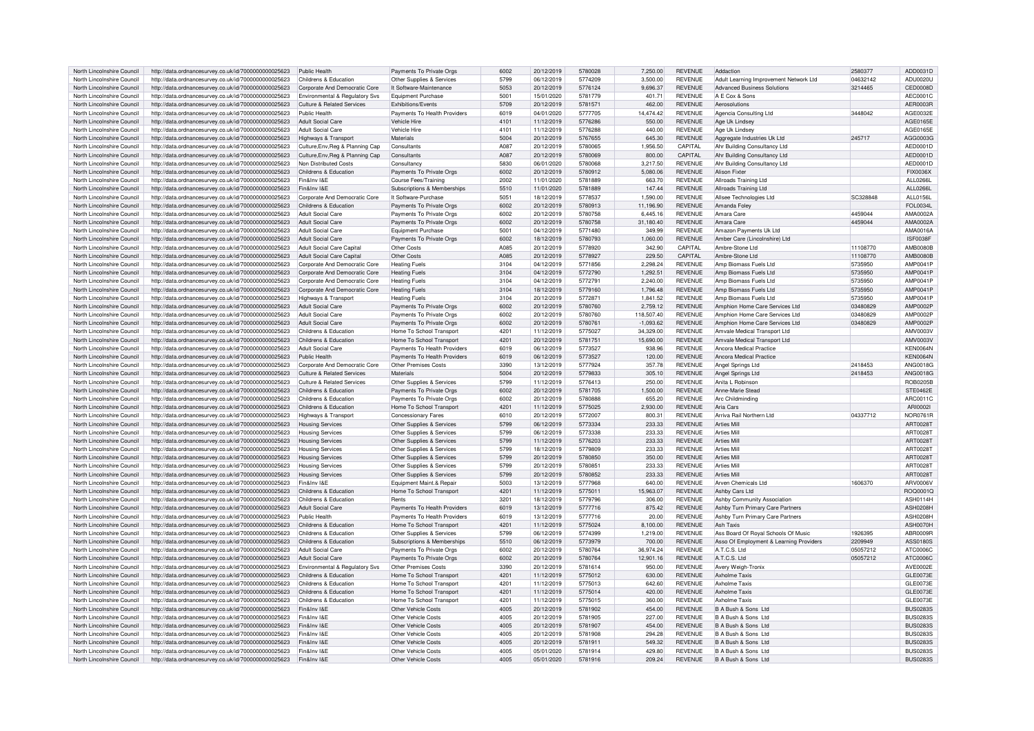| North Lincolnshire Council | http://data.ordnancesurvey.co.uk/id/7000000000025623 | Public Health                         | Payments To Private Orgs     | 6002 | 20/12/2019 | 5780028 | 7,250.00    | <b>REVENUE</b> | Addaction                               | 2580377  | ADD0031D        |
|----------------------------|------------------------------------------------------|---------------------------------------|------------------------------|------|------------|---------|-------------|----------------|-----------------------------------------|----------|-----------------|
| North Lincolnshire Council | http://data.ordnancesurvey.co.uk/id/7000000000025623 | Childrens & Education                 | Other Supplies & Services    | 5799 | 06/12/2019 | 5774209 | 3.500.00    | <b>REVENUE</b> | Adult Learning Improvement Network Ltd  | 04632142 | ADU0020U        |
|                            |                                                      |                                       |                              |      |            |         |             |                |                                         |          |                 |
| North Lincolnshire Council | http://data.ordnancesurvey.co.uk/id/7000000000025623 | Corporate And Democratic Core         | It Software-Maintenance      | 5053 | 20/12/2019 | 5776124 | 9,696.37    | <b>REVENUE</b> | <b>Advanced Business Solutions</b>      | 3214465  | <b>CED0008D</b> |
| North Lincolnshire Council | http://data.ordnancesurvey.co.uk/id/7000000000025623 | Environmental & Regulatory Svs        | Equipment Purchase           | 5001 | 15/01/2020 | 5781779 | 401.71      | <b>REVENUE</b> | A E Cox & Sons                          |          | AEC0001C        |
| North Lincolnshire Council | http://data.ordnancesurvey.co.uk/id/7000000000025623 | <b>Culture &amp; Related Services</b> | Exhibitions/Events           | 5709 | 20/12/2019 | 5781571 | 462.00      | <b>REVENUE</b> | Aerosolutions                           |          | AER0003R        |
| North Lincolnshire Council | http://data.ordnancesurvey.co.uk/id/7000000000025623 | Public Health                         | Payments To Health Providers | 6019 | 04/01/2020 | 5777705 | 14.474.42   | <b>REVENUE</b> | Agencia Consulting Ltd                  | 3448042  | AGF0032E        |
| North Lincolnshire Council | http://data.ordnancesurvey.co.uk/id/7000000000025623 | <b>Adult Social Care</b>              | Vehicle Hire                 | 4101 | 11/12/2019 | 5776286 | 550.00      | <b>REVENUE</b> | Age Uk Lindsey                          |          | AGF0165F        |
|                            |                                                      |                                       |                              |      |            |         |             |                |                                         |          |                 |
| North Lincolnshire Council | http://data.ordnancesurvey.co.uk/id/7000000000025623 | Adult Social Care                     | Vehicle Hire                 | 4101 | 11/12/2019 | 5776288 | 440.00      | <b>REVENUE</b> | Age Uk Lindsey                          |          | AGE0165E        |
| North Lincolnshire Council | http://data.ordnancesurvey.co.uk/id/7000000000025623 | Highways & Transport                  | Materials                    | 5004 | 20/12/2019 | 5767655 | 645.30      | <b>REVENUE</b> | Aggregate Industries Uk Ltd             | 245717   | AGG0003G        |
| North Lincolnshire Council | http://data.ordnancesurvey.co.uk/id/7000000000025623 | Culture, Env, Reg & Planning Cap      | Consultants                  | A087 | 20/12/2019 | 5780065 | 1,956.50    | CAPITAI        | Ahr Building Consultancy Ltd            |          | AED0001D        |
| North Lincolnshire Council | http://data.ordnancesurvey.co.uk/id/7000000000025623 | Culture Env. Reg & Planning Cap       | Consultants                  | A087 | 20/12/2019 | 5780069 | 800.00      | CAPITAL        | Ahr Building Consultancy Ltd            |          | AED0001D        |
|                            |                                                      |                                       |                              |      |            |         |             |                |                                         |          |                 |
| North Lincolnshire Council | http://data.ordnancesurvey.co.uk/id/7000000000025623 | Non Distributed Costs                 | Consultancy                  | 5830 | 06/01/2020 | 5780068 | 3.217.50    | <b>REVENUE</b> | Ahr Building Consultancy Ltd            |          | AED0001D        |
| North Lincolnshire Council | http://data.ordnancesurvey.co.uk/id/7000000000025623 | Childrens & Education                 | Payments To Private Orgs     | 6002 | 20/12/2019 | 5780912 | 5.080.06    | <b>REVENUE</b> | Alison Fixter                           |          | FIX0036X        |
| North Lincolnshire Council | http://data.ordnancesurvey.co.uk/id/7000000000025623 | Fin&Inv I&F                           | Course Fees/Training         | 2002 | 11/01/2020 | 5781889 | 663.70      | <b>REVENUE</b> | Allroads Training Ltd                   |          | <b>ALL0266L</b> |
| North Lincolnshire Council | http://data.ordnancesurvey.co.uk/id/7000000000025623 | Fin&Inv I&F                           | Subscriptions & Memberships  | 5510 | 11/01/2020 | 5781889 | 147.44      | <b>REVENUE</b> | Allroads Training Ltd                   |          | <b>ALL0266L</b> |
|                            |                                                      |                                       |                              | 5051 |            | 5778537 |             |                |                                         | SC328848 |                 |
| North Lincolnshire Council | http://data.ordnancesurvey.co.uk/id/7000000000025623 | Corporate And Democratic Core         | It Software-Purchase         |      | 18/12/2019 |         | 1,590.00    | <b>REVENUE</b> | Allsee Technologies Ltd                 |          | ALL0156L        |
| North Lincolnshire Council | http://data.ordnancesurvey.co.uk/id/7000000000025623 | Childrens & Education                 | Payments To Private Orgs     | 6002 | 20/12/2019 | 5780913 | 11.196.90   | <b>REVENUE</b> | Amanda Foley                            |          | <b>FOL0034L</b> |
| North Lincolnshire Council | http://data.ordnancesurvey.co.uk/id/7000000000025623 | Adult Social Care                     | Payments To Private Orgs     | 6002 | 20/12/2019 | 5780758 | 644516      | <b>REVENUE</b> | Amara Care                              | 4459044  | AMA0002A        |
| North Lincolnshire Council | http://data.ordnancesurvey.co.uk/id/7000000000025623 | Adult Social Care                     | Payments To Private Orgs     | 6002 | 20/12/2019 | 5780758 | 31,180.40   | <b>REVENUE</b> | Amara Care                              | 4459044  | AMA0002A        |
| North Lincolnshire Council | http://data.ordnancesurvey.co.uk/id/7000000000025623 | Adult Social Care                     | Equipment Purchase           | 5001 | 04/12/2019 | 5771480 | 349.99      | <b>REVENUE</b> | Amazon Payments Uk I td                 |          | AMA0016A        |
|                            |                                                      |                                       |                              |      |            |         |             |                |                                         |          |                 |
| North Lincolnshire Council | http://data.ordnancesurvey.co.uk/id/7000000000025623 | Adult Social Care                     | Payments To Private Orgs     | 6002 | 18/12/2019 | 5780793 | 1,060.00    | <b>REVENUE</b> | Amber Care (Lincolnshire) Ltd           |          | <b>ISF0038F</b> |
| North Lincolnshire Council | http://data.ordnancesurvey.co.uk/id/7000000000025623 | Adult Social Care Capital             | Other Costs                  | A085 | 20/12/2019 | 5778920 | 342.90      | CAPITAL        | Ambre-Stone Ltd                         | 11108770 | <b>AMB0080B</b> |
| North Lincolnshire Council | http://data.ordnancesurvey.co.uk/id/7000000000025623 | Adult Social Care Capital             | Other Costs                  | A085 | 20/12/2019 | 5778927 | 229.50      | CAPITAL        | Ambre-Stone Ltd                         | 11108770 | <b>AMB0080B</b> |
| North Lincolnshire Council | http://data.ordnancesurvey.co.uk/id/7000000000025623 | Corporate And Democratic Core         | <b>Heating Fuels</b>         | 3104 | 04/12/2019 | 5771856 | 2,298.24    | <b>REVENUE</b> | Amp Biomass Fuels Ltd                   | 5735950  | AMP0041P        |
|                            |                                                      |                                       |                              |      |            |         |             |                |                                         |          |                 |
| North Lincolnshire Council | http://data.ordnancesurvey.co.uk/id/7000000000025623 | Corporate And Democratic Core         | <b>Heating Fuels</b>         | 3104 | 04/12/2019 | 5772790 | 1,292.51    | <b>REVENUE</b> | Amp Biomass Fuels Ltd                   | 5735950  | AMP0041P        |
| North Lincolnshire Council | http://data.ordnancesurvey.co.uk/id/7000000000025623 | Corporate And Democratic Core         | <b>Heating Fuels</b>         | 3104 | 04/12/2019 | 577279  | 2.240.00    | <b>REVENUE</b> | Amn Biomass Fuels Ltd                   | 5735950  | AMP0041F        |
| North Lincolnshire Council | http://data.ordnancesurvey.co.uk/id/7000000000025623 | Corporate And Democratic Core         | <b>Heating Fuels</b>         | 3104 | 18/12/2019 | 5779160 | 1.796.48    | <b>REVENUE</b> | Amp Biomass Fuels Ltd                   | 5735950  | AMP0041F        |
| North Lincolnshire Council | http://data.ordnancesurvey.co.uk/id/7000000000025623 | Highways & Transport                  | <b>Heating Fuels</b>         | 3104 | 20/12/2019 | 5772871 | 1.841.52    | <b>REVENUE</b> | Amp Biomass Fuels I td                  | 5735950  | AMP0041P        |
|                            |                                                      | Adult Social Care                     |                              | 6002 | 20/12/2019 | 5780760 | 2.759.12    | <b>REVENUE</b> |                                         |          | AMP0002P        |
| North Lincolnshire Council | http://data.ordnancesurvey.co.uk/id/7000000000025623 |                                       | Payments To Private Orgs     |      |            |         |             |                | Amphion Home Care Services Ltd          | 03480829 |                 |
| North Lincolnshire Council | http://data.ordnancesurvey.co.uk/id/7000000000025623 | Adult Social Care                     | Payments To Private Orgs     | 6002 | 20/12/2019 | 5780760 | 118,507.40  | <b>REVENUE</b> | Amphion Home Care Services Ltd          | 03480829 | AMP0002P        |
| North Lincolnshire Council | http://data.ordnancesurvey.co.uk/id/7000000000025623 | Adult Social Care                     | Payments To Private Orgs     | 6002 | 20/12/2019 | 5780761 | $-1.093.62$ | <b>REVENUE</b> | Amphion Home Care Services Ltd          | 03480829 | AMP0002P        |
| North Lincolnshire Council | http://data.ordnancesurvey.co.uk/id/7000000000025623 | Childrens & Education                 | Home To School Transport     | 4201 | 11/12/2019 | 5775027 | 34.329.00   | <b>REVENUE</b> | Amvale Medical Transport I to           |          | AMV0003V        |
| North Lincolnshire Council | http://data.ordnancesurvey.co.uk/id/7000000000025623 | Childrens & Education                 | Home To School Transport     | 4201 | 20/12/2019 | 5781751 | 15,690.00   | <b>REVENUE</b> | Amvale Medical Transport Ltd            |          | AMV0003V        |
|                            |                                                      |                                       |                              |      |            |         |             |                |                                         |          |                 |
| North Lincolnshire Council | http://data.ordnancesurvey.co.uk/id/7000000000025623 | <b>Adult Social Care</b>              | Payments To Health Providers | 6019 | 06/12/2019 | 5773527 | 938.96      | <b>REVENUE</b> | <b>Ancora Medical Practice</b>          |          | KEN0064N        |
| North Lincolnshire Council | http://data.ordnancesurvey.co.uk/id/7000000000025623 | Public Health                         | Payments To Health Providers | 6019 | 06/12/2019 | 5773527 | 120.00      | <b>REVENUE</b> | <b>Ancora Medical Practice</b>          |          | <b>KEN0064N</b> |
| North Lincolnshire Council | http://data.ordnancesurvey.co.uk/id/7000000000025623 | Corporate And Democratic Core         | Other Premises Costs         | 3390 | 13/12/2019 | 5777924 | 357 78      | <b>REVENUE</b> | Angel Springs Ltd                       | 2418453  | ANG0018G        |
| North Lincolnshire Council | http://data.ordnancesurvey.co.uk/id/7000000000025623 | <b>Culture &amp; Related Services</b> | Materials                    | 5004 | 20/12/2019 | 5779833 | 305.10      | <b>REVENUE</b> | Angel Springs Ltd                       | 2418453  | ANG0018G        |
|                            |                                                      | Culture & Related Services            |                              | 5799 |            | 5776413 | 250.00      | <b>REVENUE</b> | Anita   Robinson                        |          |                 |
| North Lincolnshire Council | http://data.ordnancesurvey.co.uk/id/7000000000025623 |                                       | Other Supplies & Services    |      | 11/12/2019 |         |             |                |                                         |          | <b>ROB0205B</b> |
| North Lincolnshire Council | http://data.ordnancesurvey.co.uk/id/7000000000025623 | Childrens & Education                 | Payments To Private Orgs     | 6002 | 20/12/2019 | 5781705 | 1,500.00    | <b>REVENUE</b> | Anne-Marie Stead                        |          | STE0462E        |
| North Lincolnshire Council | http://data.ordnancesurvey.co.uk/id/7000000000025623 | Childrens & Education                 | Payments To Private Orgs     | 6002 | 20/12/2019 | 5780888 | 655.20      | <b>REVENUE</b> | Arc Childminding                        |          | ARC0011C        |
| North Lincolnshire Council | http://data.ordnancesurvey.co.uk/id/7000000000025623 | Childrens & Education                 | Home To School Transport     | 4201 | 11/12/2019 | 5775025 | 2,930.00    | <b>REVENUE</b> | Aria Cars                               |          | ARI0002         |
| North Lincolnshire Council | http://data.ordnancesurvey.co.uk/id/7000000000025623 | <b>Highways &amp; Transport</b>       | Concessionary Fares          | 6010 | 20/12/2019 | 5772007 | 800.31      | <b>REVENUE</b> | Arriva Rail Northern I td               | 04337712 | <b>NOR0761F</b> |
|                            |                                                      |                                       |                              |      |            |         |             |                |                                         |          |                 |
| North Lincolnshire Council | http://data.ordnancesurvey.co.uk/id/7000000000025623 | <b>Housing Services</b>               | Other Supplies & Services    | 5799 | 06/12/2019 | 5773334 | 233.33      | <b>REVENUE</b> | <b>Arties Mill</b>                      |          | ART0028T        |
| North Lincolnshire Council | http://data.ordnancesurvey.co.uk/id/7000000000025623 | <b>Housing Services</b>               | Other Supplies & Services    | 5799 | 06/12/2019 | 5773338 | 233.33      | <b>REVENUE</b> | <b>Arties Mill</b>                      |          | ART00281        |
| North Lincolnshire Council | http://data.ordnancesurvey.co.uk/id/7000000000025623 | <b>Housing Services</b>               | Other Supplies & Services    | 5799 | 11/12/2019 | 5776203 | 233.33      | <b>REVENUE</b> | <b>Arties Mill</b>                      |          | ART00287        |
| North Lincolnshire Council | http://data.ordnancesurvey.co.uk/id/7000000000025623 | <b>Housing Services</b>               | Other Supplies & Services    | 5799 | 18/12/2019 | 5779809 | 233.33      | <b>REVENUE</b> | <b>Arties Mill</b>                      |          | ART00281        |
|                            |                                                      |                                       |                              |      |            |         |             |                |                                         |          |                 |
| North Lincolnshire Council | http://data.ordnancesurvey.co.uk/id/7000000000025623 | <b>Housing Services</b>               | Other Supplies & Services    | 5799 | 20/12/2019 | 5780850 | 350.00      | <b>REVENUE</b> | <b>Arties Mill</b>                      |          | ART00281        |
| North Lincolnshire Council | http://data.ordnancesurvey.co.uk/id/7000000000025623 | <b>Housing Services</b>               | Other Supplies & Services    | 5799 | 20/12/2019 | 5780851 | 233.33      | <b>REVENUE</b> | <b>Arties Mill</b>                      |          | ART00281        |
| North Lincolnshire Council | http://data.ordnancesurvey.co.uk/id/7000000000025623 | <b>Housing Services</b>               | Other Supplies & Services    | 5799 | 20/12/2019 | 5780852 | 233.33      | <b>REVENUE</b> | <b>Arties Mill</b>                      |          | ART00287        |
| North Lincolnshire Council | http://data.ordnancesurvey.co.uk/id/7000000000025623 | Fin&Inv I&E                           | Equipment Maint.& Repair     | 5003 | 13/12/2019 | 5777968 | 640.00      | <b>REVENUE</b> | Arven Chemicals Ltd                     | 1606370  | ARV0006V        |
|                            |                                                      | Childrens & Education                 |                              | 4201 |            | 5775011 |             | <b>REVENUE</b> |                                         |          |                 |
| North Lincolnshire Council | http://data.ordnancesurvey.co.uk/id/7000000000025623 |                                       | Home To School Transport     |      | 11/12/2019 |         | 15,963.07   |                | Ashby Cars Ltd                          |          | ROQ0001C        |
| North Lincolnshire Council | http://data.ordnancesurvey.co.uk/id/7000000000025623 | Childrens & Education                 | Rents                        | 3201 | 18/12/2019 | 5779796 | 306.00      | <b>REVENUE</b> | Ashby Community Association             |          | ASH0114H        |
| North Lincolnshire Council | http://data.ordnancesurvey.co.uk/id/7000000000025623 | Adult Social Care                     | Payments To Health Providers | 6019 | 13/12/2019 | 5777716 | 875.42      | <b>REVENUE</b> | Ashby Turn Primary Care Partners        |          | ASH0208H        |
| North Lincolnshire Council | http://data.ordnancesurvey.co.uk/id/7000000000025623 | Public Health                         | Payments To Health Providers | 6019 | 13/12/2019 | 5777716 | 20.00       | <b>REVENUE</b> | Ashby Turn Primary Care Partners        |          | ASH0208H        |
| North Lincolnshire Council | http://data.ordnancesurvey.co.uk/id/7000000000025623 | Childrens & Education                 | Home To School Transport     | 4201 | 11/12/2019 | 5775024 | 8,100.00    | <b>REVENUE</b> | <b>Ash Taxis</b>                        |          | ASH0070H        |
|                            |                                                      |                                       |                              |      |            |         |             |                |                                         |          |                 |
| North Lincolnshire Council | http://data.ordnancesurvey.co.uk/id/7000000000025623 | Childrens & Education                 | Other Supplies & Services    | 5799 | 06/12/2019 | 5774399 | 1.219.00    | <b>REVENUE</b> | Ass Board Of Royal Schools Of Music     | 1926395  | ABR0009R        |
| North Lincolnshire Council | http://data.ordnancesurvey.co.uk/id/7000000000025623 | Childrens & Education                 | Subscriptions & Memberships  | 5510 | 06/12/2019 | 5773979 | 700.00      | <b>REVENUE</b> | Asso Of Employment & Learning Providers | 2209949  | ASS0180S        |
| North Lincolnshire Council | http://data.ordnancesurvey.co.uk/id/7000000000025623 | Adult Social Care                     | Payments To Private Orgs     | 6002 | 20/12/2019 | 5780764 | 36 974 24   | <b>REVENUE</b> | A.T.C.S. Ltd                            | 05057212 | ATC0006C        |
| North Lincolnshire Council | http://data.ordnancesurvey.co.uk/id/7000000000025623 | <b>Adult Social Care</b>              | Payments To Private Orgs     | 6002 | 20/12/2019 | 5780764 | 12,901.16   | <b>REVENUE</b> | A.T.C.S. Ltd                            | 05057212 | ATC0006C        |
| North Lincolnshire Council | http://data.ordnancesurvey.co.uk/id/7000000000025623 | Environmental & Regulatory Svs        | Other Premises Costs         | 3390 | 20/12/2019 | 5781614 | 950.00      | <b>REVENUE</b> | Avery Weigh-Tronix                      |          | AVE0002E        |
|                            |                                                      |                                       |                              |      |            |         |             |                |                                         |          |                 |
| North Lincolnshire Council | http://data.ordnancesurvey.co.uk/id/7000000000025623 | Childrens & Education                 | Home To School Transport     | 4201 | 11/12/2019 | 5775012 | 630.00      | <b>REVENUE</b> | Ayholme Tayis                           |          | GLE0073E        |
| North Lincolnshire Council | http://data.ordnancesurvey.co.uk/id/7000000000025623 | Childrens & Education                 | Home To School Transport     | 4201 | 11/12/2019 | 5775013 | 642.60      | <b>REVENUE</b> | <b>Axholme Taxis</b>                    |          | GLE0073E        |
| North Lincolnshire Council | http://data.ordnancesurvey.co.uk/id/7000000000025623 | Childrens & Education                 | Home To School Transport     | 4201 | 11/12/2019 | 5775014 | 420.00      | <b>REVENUE</b> | Ayholme Tayis                           |          | GLE0073E        |
| North Lincolnshire Council | http://data.ordnancesurvey.co.uk/id/7000000000025623 | Childrens & Education                 | Home To School Transport     | 4201 | 11/12/2019 | 5775015 | 360.00      | <b>REVENUE</b> | <b>Axholme Taxis</b>                    |          | GLE0073E        |
| North Lincolnshire Council | http://data.ordnancesurvey.co.uk/id/7000000000025623 | Fin&Inv I&F                           | Other Vehicle Costs          | 4005 | 20/12/2019 | 5781902 | 454.00      | <b>REVENUE</b> | B A Bush & Sons Ltd                     |          | BUS02835        |
|                            |                                                      |                                       |                              |      |            |         |             |                |                                         |          |                 |
| North Lincolnshire Council | http://data.ordnancesurvey.co.uk/id/7000000000025623 | Fin&Inv I&F                           | Other Vehicle Costs          | 4005 | 20/12/2019 | 5781905 | 227.00      | <b>REVENUE</b> | B A Bush & Sons Ltd                     |          | <b>BUS0283S</b> |
| North Lincolnshire Council | http://data.ordnancesurvey.co.uk/id/7000000000025623 | Fin&Inv I&E                           | Other Vehicle Costs          | 4005 | 20/12/2019 | 5781907 | 454.00      | <b>REVENUE</b> | B A Bush & Sons Ltd                     |          | <b>BUS0283S</b> |
| North Lincolnshire Council | http://data.ordnancesurvey.co.uk/id/7000000000025623 | Fin&Inv I&F                           | Other Vehicle Costs          | 4005 | 20/12/2019 | 5781908 | 294.28      | <b>REVENUE</b> | <b>B.A. Rush &amp; Sons Ltd</b>         |          | <b>BUS0283S</b> |
| North Lincolnshire Council | http://data.ordnancesurvey.co.uk/id/7000000000025623 | Fin&Inv I&F                           | Other Vehicle Costs          | 4005 | 20/12/2019 | 5781911 | 549.32      | <b>REVENUE</b> | B A Bush & Sons Ltd                     |          | <b>BUS0283S</b> |
|                            |                                                      |                                       |                              |      |            |         |             |                |                                         |          |                 |
| North Lincolnshire Council | http://data.ordnancesurvey.co.uk/id/7000000000025623 | Fin&Inv I&F                           | Other Vehicle Costs          | 4005 | 05/01/2020 | 5781914 | 429.80      | <b>REVENUE</b> | B A Bush & Sons Ltd                     |          | <b>BUS0283S</b> |
| North Lincolnshire Council | http://data.ordnancesurvey.co.uk/id/7000000000025623 | Fin&Inv I&F                           | Other Vehicle Costs          | 4005 | 05/01/2020 | 5781916 | 209.24      | <b>REVENUE</b> | B A Bush & Sons Ltd                     |          | BUS0283S        |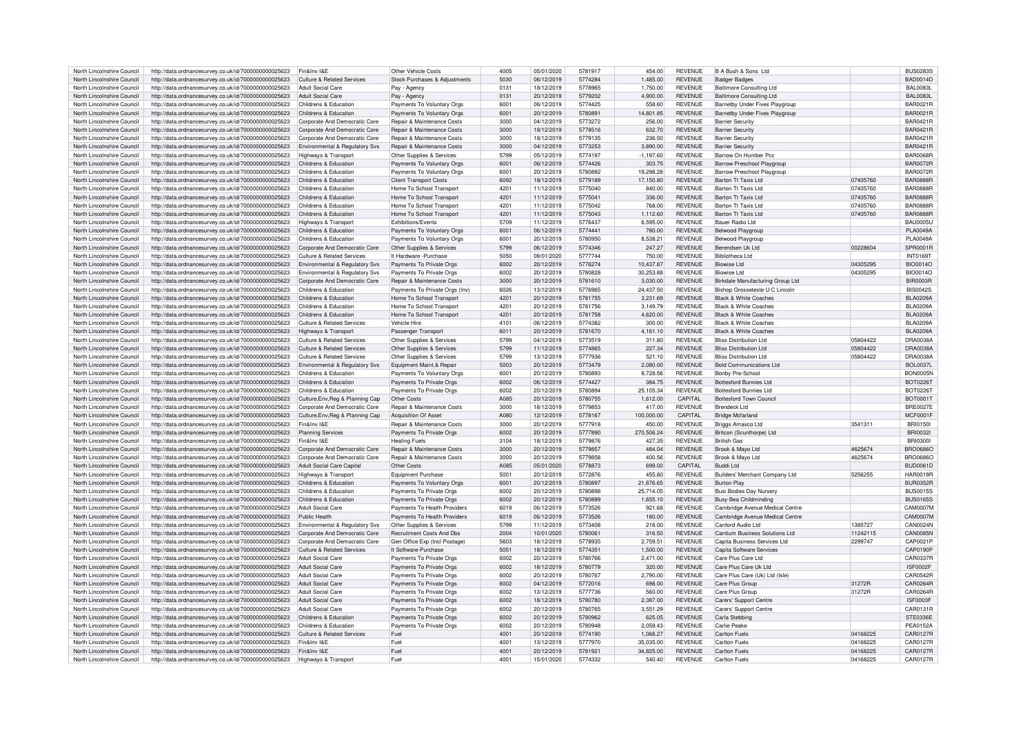| North Lincolnshire Council | http://data.ordnancesurvey.co.uk/id/7000000000025623                                                         | Fin&Inv I&F                           | Other Vehicle Costs                   | 4005 | 05/01/2020 | 5781917 | 454.00      | <b>REVENUE</b> | B A Bush & Sons Ltd                   |          | <b>BUS02835</b> |
|----------------------------|--------------------------------------------------------------------------------------------------------------|---------------------------------------|---------------------------------------|------|------------|---------|-------------|----------------|---------------------------------------|----------|-----------------|
|                            |                                                                                                              |                                       |                                       |      |            |         |             |                |                                       |          |                 |
| North Lincolnshire Council | http://data.ordnancesurvey.co.uk/id/7000000000025623                                                         | Culture & Related Services            | Stock Purchases & Adiustments         | 5030 | 06/12/2019 | 5774284 | 1,485.00    | <b>REVENUE</b> | <b>Badger Badges</b>                  |          | <b>BAD0014D</b> |
| North Lincolnshire Council | http://data.ordnancesurvey.co.uk/id/7000000000025623                                                         | <b>Adult Social Care</b>              | Pay - Agency                          | 0131 | 18/12/2019 | 5778965 | 1.750.00    | <b>REVENUE</b> | <b>Baltimore Consulting Ltd</b>       |          | BAI 0083        |
| North Lincolnshire Council | http://data.ordnancesurvey.co.uk/id/7000000000025623                                                         | <b>Adult Social Care</b>              | Pay - Agency                          | 0131 | 20/12/2019 | 5779202 | 4,900.00    | <b>REVENUE</b> | <b>Baltimore Consulting Ltd</b>       |          | BAI 0083L       |
| North Lincolnshire Council | http://data.ordnancesurvey.co.uk/id/7000000000025623                                                         | Childrens & Education                 | Payments To Voluntary Orgs            | 6001 | 06/12/2019 | 5774425 | 558.60      | <b>REVENUE</b> | Barnetby Under Fives Playgroup        |          | <b>BAR0021F</b> |
| North Lincolnshire Council | http://data.ordnancesurvey.co.uk/id/7000000000025623                                                         | Childrens & Education                 | Payments To Voluntary Orgs            | 6001 | 20/12/2019 | 5780891 | 14,801.85   | <b>REVENUE</b> | <b>Barnetby Under Fives Playgroup</b> |          | <b>BAR0021F</b> |
|                            |                                                                                                              |                                       |                                       |      |            |         |             |                |                                       |          |                 |
| North Lincolnshire Council | http://data.ordnancesurvey.co.uk/id/7000000000025623                                                         | Corporate And Democratic Core         | Repair & Maintenance Costs            | 3000 | 04/12/2019 | 5773272 | 256.00      | <b>REVENUE</b> | <b>Barrier Security</b>               |          | <b>BAR0421R</b> |
| North Lincolnshire Council | http://data.ordnancesurvey.co.uk/id/7000000000025623                                                         | Corporate And Democratic Core         | Repair & Maintenance Costs            | 3000 | 18/12/2019 | 5778516 | 632.70      | <b>REVENUE</b> | <b>Barrier Security</b>               |          | <b>BAR0421R</b> |
| North Lincolnshire Council | http://data.ordnancesurvey.co.uk/id/7000000000025623                                                         | Corporate And Democratic Core         | <b>Benair &amp; Maintenance Costs</b> | 3000 | 18/12/2019 | 5779135 | 236.50      | <b>REVENUE</b> | <b>Barrier Security</b>               |          | <b>BAR0421R</b> |
| North Lincolnshire Council | http://data.ordnancesurvey.co.uk/id/7000000000025623                                                         | Environmental & Regulatory Svs        | Repair & Maintenance Costs            | 3000 | 04/12/2019 | 5773253 | 3,890.00    | <b>REVENUE</b> | <b>Barrier Security</b>               |          | <b>BAR0421R</b> |
|                            |                                                                                                              |                                       |                                       | 5799 | 05/12/2019 | 5774197 |             | <b>REVENUE</b> | Barrow On Humber Por                  |          | <b>BAR0068R</b> |
| North Lincolnshire Council | http://data.ordnancesurvey.co.uk/id/7000000000025623                                                         | Highways & Transport                  | Other Supplies & Services             |      |            |         | $-1,197.60$ |                |                                       |          |                 |
| North Lincolnshire Council | http://data.ordnancesurvey.co.uk/id/7000000000025623                                                         | Childrens & Education                 | Payments To Voluntary Orgs            | 6001 | 06/12/2019 | 5774426 | 303.75      | <b>REVENUE</b> | Barrow Preschool Playgroup            |          | <b>BAR0072R</b> |
| North Lincolnshire Council | http://data.ordnancesurvey.co.uk/id/7000000000025623                                                         | Childrens & Education                 | Payments To Voluntary Orgs            | 6001 | 20/12/2019 | 5780892 | 19,298.28   | <b>REVENUE</b> | <b>Barrow Preschool Playgroup</b>     |          | <b>BAR0072F</b> |
| North Lincolnshire Council | http://data.ordnancesurvey.co.uk/id/7000000000025623                                                         | Childrens & Education                 | <b>Client Transport Costs</b>         | 6092 | 18/12/2019 | 5779189 | 17.150.80   | <b>REVENUE</b> | Barton Tt Taxis Ltd                   | 07405760 | <b>BAR0888F</b> |
| North Lincolnshire Council | http://data.ordnancesurvey.co.uk/id/7000000000025623                                                         | Childrens & Education                 | Home To School Transport              | 4201 | 11/12/2019 | 5775040 | 840.00      | <b>REVENUE</b> | <b>Barton Tt Taxis Ltd</b>            | 07405760 | <b>BAR0888F</b> |
|                            |                                                                                                              |                                       |                                       |      |            |         |             |                |                                       |          |                 |
| North Lincolnshire Council | http://data.ordnancesurvey.co.uk/id/7000000000025623                                                         | Childrens & Education                 | Home To School Transport              | 4201 | 11/12/2019 | 5775041 | 336.00      | <b>REVENUE</b> | <b>Barton Tt Tavis Ltd</b>            | 07405760 | BAR0888F        |
| North Lincolnshire Council | http://data.ordnancesurvey.co.uk/id/7000000000025623                                                         | Childrens & Education                 | Home To School Transport              | 4201 | 11/12/2019 | 5775042 | 768.00      | <b>REVENUE</b> | <b>Barton Tt Taxis Ltd</b>            | 07405760 | <b>BAR0888F</b> |
| North Lincolnshire Council | http://data.ordnancesurvey.co.uk/id/7000000000025623                                                         | Childrens & Education                 | Home To School Transport              | 4201 | 11/12/2019 | 5775043 | 1,112.60    | <b>REVENUE</b> | Barton Tt Taxis Ltd                   | 07405760 | <b>BAR0888F</b> |
| North Lincolnshire Council | http://data.ordnancesurvey.co.uk/id/7000000000025623                                                         | Highways & Transport                  | Exhibitions/Events                    | 5709 | 11/12/2019 | 5776437 | 6,595.00    | <b>REVENUE</b> | Bauer Radio Ltd                       |          | <b>BAU0005U</b> |
|                            |                                                                                                              |                                       |                                       |      |            |         |             |                |                                       |          |                 |
| North Lincolnshire Council | http://data.ordnancesurvey.co.uk/id/7000000000025623                                                         | Childrens & Education                 | Payments To Voluntary Orgs            | 6001 | 06/12/2019 | 5774441 | 780.00      | <b>REVENUE</b> | Belwood Playgroup                     |          | <b>PLA0049A</b> |
| North Lincolnshire Council | http://data.ordnancesurvey.co.uk/id/7000000000025623                                                         | Childrens & Education                 | Payments To Voluntary Orgs            | 6001 | 20/12/2019 | 5780950 | 8,538.21    | <b>REVENUE</b> | <b>Belwood Plavgroup</b>              |          | <b>PLA0049A</b> |
| North Lincolnshire Council | http://data.ordnancesurvey.co.uk/id/7000000000025623                                                         | Corporate And Democratic Core         | Other Supplies & Services             | 5799 | 06/12/2019 | 5774346 | 247.27      | <b>REVENUE</b> | Berendsen Uk I td                     | 00228604 | SPR0001R        |
| North Lincolnshire Council | http://data.ordnancesurvey.co.uk/id/7000000000025623                                                         | <b>Culture &amp; Related Services</b> | It Hardware - Purchase                | 5050 | 09/01/2020 | 5777744 | 750.00      | <b>REVENUE</b> | Bibliotheca I to                      |          | <b>INT01697</b> |
|                            |                                                                                                              |                                       |                                       |      |            |         |             |                |                                       |          |                 |
| North Lincolnshire Council | http://data.ordnancesurvey.co.uk/id/7000000000025623                                                         | Environmental & Regulatory Svs        | Payments To Private Orgs              | 6002 | 20/12/2019 | 5776274 | 10.437.87   | <b>REVENUE</b> | Biowise I td                          | 04305295 | <b>BIO0014C</b> |
| North Lincolnshire Council | http://data.ordnancesurvey.co.uk/id/7000000000025623                                                         | Environmental & Regulatory Svs        | Payments To Private Orgs              | 6002 | 20/12/2019 | 5780828 | 30,253.88   | <b>REVENUE</b> | Biowise I td                          | 04305295 | <b>BIO0014C</b> |
| North Lincolnshire Council | http://data.ordnancesurvey.co.uk/id/7000000000025623                                                         | Corporate And Democratic Core         | Repair & Maintenance Costs            | 3000 | 20/12/2019 | 5781610 | 3.030.00    | <b>REVENUE</b> | Birkdale Manufacturing Group Ltd      |          | <b>BIR0003R</b> |
| North Lincolnshire Council | http://data.ordnancesurvey.co.uk/id/7000000000025623                                                         | Childrens & Education                 | Payments To Private Orgs (Inv)        | 6026 | 13/12/2019 | 5776965 | 24,437.50   | <b>REVENUE</b> | Bishop Grosseteste U C Lincoln        |          | <b>BIS0042S</b> |
|                            |                                                                                                              |                                       |                                       |      |            |         |             |                |                                       |          |                 |
| North Lincolnshire Council | http://data.ordnancesurvey.co.uk/id/7000000000025623                                                         | Childrens & Education                 | Home To School Transport              | 4201 | 20/12/2019 | 5781755 | 3,231.69    | <b>REVENUE</b> | <b>Black &amp; White Coaches</b>      |          | <b>BLA0209A</b> |
| North Lincolnshire Council | http://data.ordnancesurvey.co.uk/id/7000000000025623                                                         | Childrens & Education                 | Home To School Transport              | 4201 | 20/12/2019 | 5781756 | 3,149.79    | <b>REVENUE</b> | <b>Black &amp; White Coaches</b>      |          | <b>BLA0209A</b> |
| North Lincolnshire Council | http://data.ordnancesurvey.co.uk/id/7000000000025623                                                         | Childrens & Education                 | Home To School Transport              | 4201 | 20/12/2019 | 5781758 | 4,620.00    | <b>REVENUE</b> | <b>Black &amp; White Coaches</b>      |          | <b>BLA0209A</b> |
| North Lincolnshire Council | http://data.ordnancesurvey.co.uk/id/7000000000025623                                                         | Culture & Related Services            | Vehicle Hire                          | 4101 | 06/12/2019 | 5774382 | 300.00      | <b>REVENUE</b> | <b>Black &amp; White Coaches</b>      |          | <b>BLA0209A</b> |
|                            |                                                                                                              |                                       |                                       |      |            |         |             |                |                                       |          |                 |
| North Lincolnshire Council | http://data.ordnancesurvey.co.uk/id/7000000000025623                                                         | Highways & Transport                  | Passenger Transport                   | 6011 | 20/12/2019 | 5781670 | 4,161.10    | <b>REVENUE</b> | <b>Black &amp; White Coaches</b>      |          | <b>BLA0209A</b> |
| North Lincolnshire Council | http://data.ordnancesurvey.co.uk/id/7000000000025623                                                         | <b>Culture &amp; Related Services</b> | Other Supplies & Services             | 5799 | 04/12/2019 | 5773519 | 311.80      | <b>REVENUE</b> | <b>Rlies Distribution Ltd</b>         | 05804422 | DRA0038/        |
| North Lincolnshire Council | http://data.ordnancesurvey.co.uk/id/7000000000025623                                                         | <b>Culture &amp; Related Services</b> | Other Supplies & Services             | 5799 | 11/12/2019 | 5774865 | 227.34      | <b>REVENUE</b> | <b>Bliss Distribution Ltd</b>         | 05804422 | DRA0038/        |
| North Lincolnshire Council | http://data.ordnancesurvey.co.uk/id/7000000000025623                                                         | Culture & Related Services            | Other Supplies & Services             | 5799 | 13/12/2019 | 5777936 | 521.10      | <b>REVENUE</b> | <b>Bliss Distribution Ltd</b>         | 05804422 | DRA0038/        |
| North Lincolnshire Council | http://data.ordnancesurvey.co.uk/id/7000000000025623                                                         | Environmental & Regulatory Sys        | Equipment Maint.& Repair              | 5003 | 20/12/2019 | 5773479 | 2.080.00    | <b>REVENUE</b> | <b>Bold Communications Ltd</b>        |          | <b>BOL0037L</b> |
|                            |                                                                                                              |                                       |                                       |      |            |         |             |                |                                       |          |                 |
| North Lincolnshire Council | http://data.ordnancesurvey.co.uk/id/7000000000025623                                                         | Childrens & Education                 | Payments To Voluntary Orgs            | 6001 | 20/12/2019 | 5780893 | 8,728.56    | <b>REVENUE</b> | <b>Bonby Pre-School</b>               |          | <b>BON0005M</b> |
| North Lincolnshire Council | http://data.ordnancesurvey.co.uk/id/7000000000025623                                                         | Childrens & Education                 | Payments To Private Orgs              | 6002 | 06/12/2019 | 5774427 | 384.75      | <b>REVENUE</b> | <b>Bottesford Bunnies Ltd</b>         |          | BOT02261        |
| North Lincolnshire Council | http://data.ordnancesurvey.co.uk/id/7000000000025623                                                         | Childrens & Education                 | Payments To Private Orgs              | 6002 | 20/12/2019 | 5780894 | 25,105.34   | <b>REVENUE</b> | <b>Bottesford Bunnies Ltd</b>         |          | BOT0226         |
|                            |                                                                                                              |                                       | Other Costs                           | A085 |            | 5780755 |             | CAPITAL        | <b>Bottesford Town Council</b>        |          |                 |
| North Lincolnshire Council | http://data.ordnancesurvey.co.uk/id/7000000000025623                                                         | Culture, Env, Reg & Planning Cap      |                                       |      | 20/12/2019 |         | 1,612.00    |                |                                       |          | BOT00011        |
| North Lincolnshire Council | http://data.ordnancesurvev.co.uk/id/7000000000025623                                                         | Corporate And Democratic Core         | Repair & Maintenance Costs            | 3000 | 18/12/2019 | 5779853 | 417.00      | REVENUE        | <b>Brendeck Ltd</b>                   |          | <b>BRE0027E</b> |
| North Lincolnshire Council | http://data.ordnancesurvey.co.uk/id/7000000000025623                                                         | Culture, Env, Reg & Planning Cap      | Acquisition Of Asset                  | A080 | 12/12/2019 | 5778167 | 100,000.00  | CAPITAL        | <b>Bridge Mcfarland</b>               |          | MCF0001F        |
| North Lincolnshire Council | http://data.ordnancesurvey.co.uk/id/7000000000025623                                                         | Fin&Inv I&F                           | <b>Benair &amp; Maintenance Costs</b> | 3000 | 20/12/2019 | 5777918 | 450.00      | <b>REVENUE</b> | Briggs Amasco Ltd                     | 3541311  | <b>BRI01501</b> |
| North Lincolnshire Council | http://data.ordnancesurvey.co.uk/id/7000000000025623                                                         | <b>Planning Services</b>              | Payments To Private Orgs              | 6002 | 20/12/2019 | 5777890 | 270,506.24  | <b>REVENUE</b> | Britcon (Scunthorpe) Ltd              |          | <b>BRI0032I</b> |
|                            |                                                                                                              |                                       |                                       |      |            |         |             |                |                                       |          |                 |
| North Lincolnshire Council | http://data.ordnancesurvey.co.uk/id/7000000000025623                                                         | Fin&Inv I&F                           | <b>Heating Fuels</b>                  | 3104 | 18/12/2019 | 5779876 | 427.35      | REVENUE        | <b>British Gas</b>                    |          | <b>BRI0300</b>  |
| North Lincolnshire Council | http://data.ordnancesurvey.co.uk/id/7000000000025623                                                         | Corporate And Democratic Core         | Repair & Maintenance Costs            | 3000 | 20/12/2019 | 5779857 | 484.04      | <b>REVENUE</b> | Brook & Mayo Ltd                      | 4625674  | <b>BRO06860</b> |
| North Lincolnshire Council | http://data.ordnancesurvev.co.uk/id/7000000000025623                                                         | Corporate And Democratic Core         | Repair & Maintenance Costs            | 3000 | 20/12/2019 | 5779858 | 400.56      | <b>REVENUE</b> | Brook & Mavo Ltd                      | 4625674  | <b>BRO0686C</b> |
| North Lincolnshire Council | http://data.ordnancesurvey.co.uk/id/7000000000025623                                                         | <b>Adult Social Care Capital</b>      | Other Costs                           | A085 | 05/01/2020 | 5778873 | 699.00      | CAPITAL        | <b>Buddi Ltd</b>                      |          | <b>BUD0061D</b> |
|                            |                                                                                                              |                                       |                                       |      |            |         |             |                |                                       |          |                 |
| North Lincolnshire Council | http://data.ordnancesurvey.co.uk/id/7000000000025623                                                         | Highways & Transport                  | Equipment Purchase                    | 5001 | 20/12/2019 | 5772876 | 455.80      | <b>REVENUE</b> | Builders' Merchant Company Ltd        | 5256255  | <b>HAR0019F</b> |
| North Lincolnshire Council | http://data.ordnancesurvey.co.uk/id/7000000000025623                                                         | Childrens & Education                 | Payments To Voluntary Orgs            | 6001 | 20/12/2019 | 5780897 | 21,876.65   | <b>REVENUE</b> | <b>Burton Play</b>                    |          | <b>BUR0352R</b> |
| North Lincolnshire Council | http://data.ordnancesurvey.co.uk/id/7000000000025623                                                         | Childrens & Education                 | Payments To Private Orgs              | 6002 | 20/12/2019 | 5780898 | 25,714.05   | REVENUE        | <b>Busi Bodies Day Nursery</b>        |          | <b>BUS0015S</b> |
| North Lincolnshire Council | http://data.ordnancesurvey.co.uk/id/7000000000025623                                                         | Childrens & Education                 | Payments To Private Orgs              | 6002 | 20/12/2019 | 5780899 | 1,655.10    | <b>REVENUE</b> | <b>Busy Bea Childminding</b>          |          | <b>BUS0165S</b> |
| North Lincolnshire Council | http://data.ordnancesurvey.co.uk/id/7000000000025623                                                         | <b>Adult Social Care</b>              | Payments To Health Providers          | 6019 | 06/12/2019 | 5773526 | 921.68      | <b>REVENUE</b> | Cambridge Avenue Medical Centre       |          | <b>CAM0007M</b> |
|                            |                                                                                                              |                                       |                                       |      |            |         |             |                |                                       |          |                 |
| North Lincolnshire Council | http://data.ordnancesurvey.co.uk/id/7000000000025623                                                         | Public Health                         | Payments To Health Providers          | 6019 | 06/12/2019 | 5773526 | 180.00      | <b>REVENUE</b> | Cambridge Avenue Medical Centre       |          | CAM0007M        |
| North Lincolnshire Council | http://data.ordnancesurvey.co.uk/id/7000000000025623                                                         | Environmental & Regulatory Svs        | Other Supplies & Services             | 5799 | 11/12/2019 | 5773408 | 218.00      | <b>REVENUE</b> | Canford Audio I td                    | 1385727  | CAN0024M        |
| North Lincolnshire Council | http://data.ordnancesurvey.co.uk/id/7000000000025623                                                         | Corporate And Democratic Core         | <b>Recruitment Costs And Dbs</b>      | 2004 | 10/01/2020 | 5780061 | 316.50      | <b>REVENUE</b> | Cantium Business Solutions Ltd        | 11242115 | CAN0085M        |
| North Lincolnshire Council | http://data.ordnancesurvev.co.uk/id/7000000000025623                                                         | Corporate And Democratic Core         | Gen Office Exp (Incl Postage)         | 5603 | 18/12/2019 | 5778935 | 2.759.51    | <b>REVENUE</b> | Capita Business Services Ltd          | 2299747  | CAP0021F        |
| North Lincolnshire Council | http://data.ordnancesurvey.co.uk/id/7000000000025623                                                         | Culture & Related Services            | It Software-Purchase                  | 5051 | 18/12/2019 | 5774351 | 1,500.00    | <b>REVENUE</b> | Canita Software Services              |          | CAP0190F        |
|                            |                                                                                                              |                                       |                                       |      |            |         |             |                |                                       |          |                 |
| North Lincolnshire Council | http://data.ordnancesurvey.co.uk/id/7000000000025623                                                         | Adult Social Care                     | Payments To Private Orgs              | 6002 | 20/12/2019 | 5780766 | 2.471.00    | <b>REVENUE</b> | Care Plus Care Ltd                    |          | CAR0337F        |
| North Lincolnshire Council | http://data.ordnancesurvey.co.uk/id/7000000000025623                                                         | <b>Adult Social Care</b>              | Payments To Private Orgs              | 6002 | 18/12/2019 | 5780779 | 320.00      | <b>REVENUE</b> | Care Plus Care Uk I td                |          | <b>ISF0002F</b> |
| North Lincolnshire Council | http://data.ordnancesurvey.co.uk/id/7000000000025623                                                         | Adult Social Care                     | Payments To Private Orgs              | 6002 | 20/12/2019 | 5780767 | 2,790.00    | <b>REVENUE</b> | Care Plus Care (Uk) Ltd (Isle)        |          | CAR0542F        |
| North Lincolnshire Council | http://data.ordnancesurvey.co.uk/id/7000000000025623                                                         | <b>Adult Social Care</b>              | Payments To Private Orgs              | 6002 | 04/12/2019 | 5772016 | 698.00      | <b>REVENUE</b> | Care Plus Group                       | 31272R   | CAR0264F        |
|                            |                                                                                                              |                                       |                                       |      |            |         |             |                |                                       |          |                 |
| North Lincolnshire Council | http://data.ordnancesurvey.co.uk/id/7000000000025623                                                         | <b>Adult Social Care</b>              | Payments To Private Orgs              | 6002 | 13/12/2019 | 5777736 | 560.00      | <b>REVENUE</b> | Care Plus Group                       | 31272R   | CAR0264R        |
| North Lincolnshire Council | http://data.ordnancesurvey.co.uk/id/7000000000025623                                                         | <b>Adult Social Care</b>              | Payments To Private Orgs              | 6002 | 18/12/2019 | 5780780 | 2.387.00    | <b>REVENUE</b> | Carers' Support Centre                |          | ISE0003E        |
| North Lincolnshire Council | http://data.ordnancesurvey.co.uk/id/7000000000025623                                                         | <b>Adult Social Care</b>              | Payments To Private Orgs              | 6002 | 20/12/2019 | 5780765 | 3,551.29    | <b>REVENUE</b> | Carers' Support Centre                |          | CAR0131F        |
| North Lincolnshire Council | http://data.ordnancesurvey.co.uk/id/7000000000025623                                                         | Childrens & Education                 | Payments To Private Orgs              | 6002 | 20/12/2019 | 5780962 | 625.05      | <b>REVENUE</b> | Carla Stebbing                        |          | <b>STE0336E</b> |
|                            |                                                                                                              | Childrens & Education                 |                                       | 6002 | 20/12/2019 | 5780948 | 2.059.43    | <b>REVENUE</b> | Carlie Peake                          |          | PFA0152A        |
| North Lincolnshire Council | http://data.ordnancesurvey.co.uk/id/7000000000025623                                                         |                                       | Payments To Private Orgs              |      |            |         |             |                |                                       |          |                 |
| North Lincolnshire Council | http://data.ordnancesurvey.co.uk/id/7000000000025623                                                         | Culture & Related Services            | Fuel                                  | 4001 | 20/12/2019 | 5774190 | 1.068.27    | <b>REVENUE</b> | Carlton Fuels                         | 04168225 | <b>CAR0127R</b> |
| North Lincolnshire Council |                                                                                                              | Fin&Inv I&F                           | Fuel                                  | 4001 | 13/12/2019 | 5777970 | 35,035.00   | <b>REVENUE</b> | Carlton Fuels                         | 04168225 | <b>CAR0127R</b> |
|                            | http://data.ordnancesurvey.co.uk/id/7000000000025623                                                         |                                       |                                       |      |            |         |             |                |                                       |          |                 |
| North Lincolnshire Council |                                                                                                              | Fin&Inv I&F                           | Fue                                   | 4001 | 20/12/2019 | 5781921 | 34.825.00   | <b>REVENUE</b> | Carlton Fuels                         | 04168225 | CAR0127R        |
| North Lincolnshire Council | http://data.ordnancesurvey.co.uk/id/7000000000025623<br>http://data.ordnancesurvey.co.uk/id/7000000000025623 | Highways & Transport                  | Fuel                                  | 4001 | 15/01/2020 | 5774332 | 540.40      | REVENUE        | <b>Carlton Fuels</b>                  | 04168225 | CAR0127R        |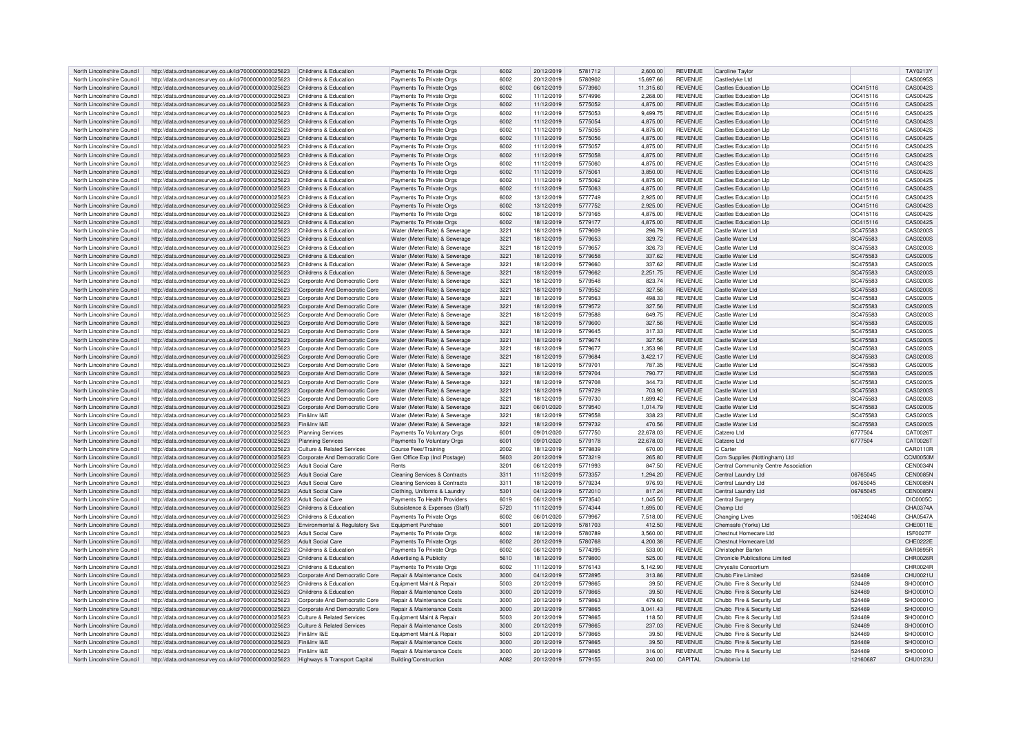| North Lincolnshire Council | http://data.ordnancesurvey.co.uk/id/7000000000025623 | Childrens & Education                 | Payments To Private Orgs                 | 6002 | 20/12/2019 | 5781712 | 2,600.00  | <b>REVENUE</b> | Caroline Taylo                        |          | TAY0213Y        |
|----------------------------|------------------------------------------------------|---------------------------------------|------------------------------------------|------|------------|---------|-----------|----------------|---------------------------------------|----------|-----------------|
| North Lincolnshire Council | http://data.ordnancesurvey.co.uk/id/7000000000025623 | Childrens & Education                 | Payments To Private Orgs                 | 6002 | 20/12/2019 | 5780902 | 15.697.66 | <b>REVENUE</b> | Castledyke Ltd                        |          | CAS0095S        |
| North Lincolnshire Council | http://data.ordnancesurvey.co.uk/id/7000000000025623 | Childrens & Education                 | Payments To Private Orgs                 | 6002 | 06/12/2019 | 5773960 | 11,315.60 | <b>REVENUE</b> | Castles Education LIn                 | OC415116 | CAS0042S        |
| North Lincolnshire Council | http://data.ordnancesurvey.co.uk/id/7000000000025623 | Childrens & Education                 | Payments To Private Orgs                 | 6002 | 11/12/2019 | 5774996 | 2,268.00  | <b>REVENUE</b> | <b>Castles Education Lip</b>          | OC415116 | CAS0042S        |
| North Lincolnshire Council | http://data.ordnancesurvey.co.uk/id/7000000000025623 | Childrens & Education                 | Payments To Private Orgs                 | 6002 | 11/12/2019 | 5775052 | 4,875.00  | <b>REVENUE</b> | <b>Castles Education LIp</b>          | OC415116 | CAS0042S        |
| North Lincolnshire Council | http://data.ordnancesurvey.co.uk/id/7000000000025623 | Childrens & Education                 | Payments To Private Orgs                 | 6002 | 11/12/2019 | 5775053 | 9,499.75  | <b>REVENUE</b> | <b>Castles Education Llp</b>          | OC415116 | CAS0042S        |
|                            |                                                      |                                       |                                          |      |            |         |           |                |                                       |          |                 |
| North Lincolnshire Council | http://data.ordnancesurvey.co.uk/id/7000000000025623 | Childrens & Education                 | Payments To Private Orgs                 | 6002 | 11/12/2019 | 5775054 | 4,875.00  | <b>REVENUE</b> | <b>Castles Education Llp</b>          | OC415116 | CAS0042S        |
| North Lincolnshire Council | http://data.ordnancesurvey.co.uk/id/7000000000025623 | Childrens & Education                 | Payments To Private Orgs                 | 6002 | 11/12/2019 | 5775055 | 4.875.00  | <b>REVENUE</b> | <b>Castles Education Llp</b>          | OC415116 | CAS0042S        |
| North Lincolnshire Council | http://data.ordnancesurvey.co.uk/id/7000000000025623 | Childrens & Education                 | Payments To Private Orgs                 | 6002 | 11/12/2019 | 5775056 | 4.875.00  | <b>REVENUE</b> | <b>Castles Education Llp</b>          | OC415116 | CAS0042S        |
| North Lincolnshire Council | http://data.ordnancesurvey.co.uk/id/7000000000025623 | Childrens & Education                 | Payments To Private Orgs                 | 6002 | 11/12/2019 | 5775057 | 4.875.00  | <b>REVENUE</b> | <b>Castles Education LIp</b>          | OC415116 | CAS0042S        |
| North Lincolnshire Council | http://data.ordnancesurvey.co.uk/id/7000000000025623 | Childrens & Education                 | Payments To Private Orgs                 | 6002 | 11/12/2019 | 5775058 | 4,875.00  | <b>REVENUE</b> | <b>Castles Education Llp</b>          | OC415116 | CAS0042S        |
| North Lincolnshire Council | http://data.ordnancesurvey.co.uk/id/7000000000025623 | Childrens & Education                 | Payments To Private Orgs                 | 6002 | 11/12/2019 | 5775060 | 4,875.00  | <b>REVENUE</b> | <b>Castles Education Llp</b>          | OC415116 | CAS0042S        |
| North Lincolnshire Council | http://data.ordnancesurvey.co.uk/id/7000000000025623 | Childrens & Education                 | Payments To Private Orgs                 | 6002 | 11/12/2019 | 5775061 | 3.850.00  | <b>REVENUE</b> | <b>Castles Education Lip</b>          | OC415116 | CAS0042S        |
| North Lincolnshire Council | http://data.ordnancesurvey.co.uk/id/7000000000025623 | Childrens & Education                 | Payments To Private Orgs                 | 6002 | 11/12/2019 | 5775062 | 4,875.00  | <b>REVENUE</b> | <b>Castles Education Llp</b>          | OC415116 | CAS0042S        |
| North Lincolnshire Council | http://data.ordnancesurvey.co.uk/id/7000000000025623 | Childrens & Education                 | Payments To Private Orgs                 | 6002 | 11/12/2019 | 5775063 | 4,875.00  | <b>REVENUE</b> | <b>Castles Education Llp</b>          | OC415116 | CAS0042S        |
| North Lincolnshire Council | http://data.ordnancesurvey.co.uk/id/7000000000025623 | Childrens & Education                 | Payments To Private Orgs                 | 6002 | 13/12/2019 | 5777749 | 2.925.00  | <b>REVENUE</b> | <b>Castles Education Llp</b>          | OC415116 | CAS0042S        |
| North Lincolnshire Council | http://data.ordnancesurvey.co.uk/id/7000000000025623 | Childrens & Education                 | Payments To Private Orgs                 | 6002 | 13/12/2019 | 5777752 | 2,925.00  | <b>REVENUE</b> | <b>Castles Education Llp</b>          | OC415116 | CAS0042S        |
| North Lincolnshire Council | http://data.ordnancesurvey.co.uk/id/7000000000025623 | Childrens & Education                 | Payments To Private Orgs                 | 6002 | 18/12/2019 | 5779165 | 4.875.00  | <b>REVENUE</b> | <b>Castles Education Llp</b>          | OC415116 | CAS0042S        |
| North Lincolnshire Council | http://data.ordnancesurvey.co.uk/id/7000000000025623 | Childrens & Education                 | Payments To Private Orgs                 | 6002 | 18/12/2019 | 5779177 | 4,875.00  | <b>REVENUE</b> | <b>Castles Education Llp</b>          | OC415116 | CAS0042S        |
|                            |                                                      |                                       |                                          |      |            |         |           | <b>REVENUE</b> |                                       |          |                 |
| North Lincolnshire Council | http://data.ordnancesurvey.co.uk/id/7000000000025623 | Childrens & Education                 | Water (Meter/Rate) & Sewerage            | 3221 | 18/12/2019 | 5779609 | 296.79    |                | Castle Water Ltd                      | SC475583 | CAS0200S        |
| North Lincolnshire Council | http://data.ordnancesurvey.co.uk/id/7000000000025623 | Childrens & Education                 | Water (Meter/Rate) & Sewerage            | 3221 | 18/12/2019 | 5779653 | 329.72    | <b>REVENUE</b> | Castle Water Ltd                      | SC475583 | CAS0200S        |
| North Lincolnshire Council | http://data.ordnancesurvey.co.uk/id/7000000000025623 | Childrens & Education                 | Water (Meter/Rate) & Sewerage            | 3221 | 18/12/2019 | 5779657 | 326.73    | <b>REVENUE</b> | Castle Water I td                     | SC475583 | CAS0200S        |
| North Lincolnshire Council | http://data.ordnancesurvey.co.uk/id/7000000000025623 | Childrens & Education                 | Water (Meter/Rate) & Sewerage            | 3221 | 18/12/2019 | 5779658 | 337.62    | <b>REVENUE</b> | Castle Water Ltd                      | SC475583 | CAS0200S        |
| North Lincolnshire Council | http://data.ordnancesurvey.co.uk/id/7000000000025623 | Childrens & Education                 | Water (Meter/Rate) & Sewerage            | 3221 | 18/12/2019 | 5779660 | 337.62    | <b>REVENUE</b> | Castle Water Ltd                      | SC475583 | CAS0200S        |
| North Lincolnshire Council | http://data.ordnancesurvey.co.uk/id/7000000000025623 | Childrens & Education                 | Water (Meter/Rate) & Sewerage            | 3221 | 18/12/2019 | 5779662 | 2,251.75  | <b>REVENUE</b> | Castle Water I td                     | SC475583 | CAS0200S        |
| North Lincolnshire Council | http://data.ordnancesurvey.co.uk/id/7000000000025623 | Corporate And Democratic Core         | Water (Meter/Rate) & Sewerage            | 3221 | 18/12/2019 | 5779548 | 823.74    | <b>REVENUE</b> | Castle Water Ltd                      | SC475583 | CAS0200S        |
| North Lincolnshire Council | http://data.ordnancesurvey.co.uk/id/7000000000025623 | Corporate And Democratic Core         | Water (Meter/Rate) & Sewerage            | 3221 | 18/12/2019 | 5779552 | 327.56    | <b>REVENUE</b> | Castle Water I td                     | SC475583 | CAS0200S        |
| North Lincolnshire Council | http://data.ordnancesurvey.co.uk/id/7000000000025623 | Corporate And Democratic Core         | Water (Meter/Rate) & Sewerage            | 3221 | 18/12/2019 | 5779563 | 498.33    | <b>REVENUE</b> | Castle Water Ltd                      | SC475583 | CAS0200S        |
| North Lincolnshire Council | http://data.ordnancesurvey.co.uk/id/7000000000025623 | Corporate And Democratic Core         | Water (Meter/Rate) & Sewerage            | 3221 | 18/12/2019 | 5779572 | 327.56    | <b>REVENUE</b> | Castle Water I td                     | SC475583 | CAS0200S        |
| North Lincolnshire Council | http://data.ordnancesurvey.co.uk/id/7000000000025623 | Corporate And Democratic Core         | Water (Meter/Rate) & Sewerage            | 3221 | 18/12/2019 | 5779588 | 649.75    | <b>REVENUE</b> | Castle Water I td                     | SC475583 | CAS0200S        |
| North Lincolnshire Council | http://data.ordnancesurvey.co.uk/id/7000000000025623 | Corporate And Democratic Core         | Water (Meter/Rate) & Sewerage            | 3221 | 18/12/2019 | 5779600 | 327.56    | <b>REVENUE</b> | Castle Water Ltd                      | SC475583 | CAS0200S        |
| North Lincolnshire Council | http://data.ordnancesurvey.co.uk/id/7000000000025623 | Corporate And Democratic Core         | Water (Meter/Rate) & Sewerage            | 3221 | 18/12/2019 | 5779645 | 317.33    | <b>REVENUE</b> | Castle Water Ltd                      | SC475583 | CAS0200S        |
|                            |                                                      |                                       |                                          |      |            |         |           |                |                                       |          |                 |
| North Lincolnshire Council | http://data.ordnancesurvey.co.uk/id/7000000000025623 | Corporate And Democratic Core         | Water (Meter/Rate) & Sewerage            | 3221 | 18/12/2019 | 5779674 | 327.56    | <b>REVENUE</b> | Castle Water I td                     | SC475583 | CAS0200S        |
| North Lincolnshire Council | http://data.ordnancesurvey.co.uk/id/7000000000025623 | Corporate And Democratic Core         | Water (Meter/Rate) & Sewerage            | 3221 | 18/12/2019 | 5779677 | 1,353.98  | <b>REVENUE</b> | Castle Water I td                     | SC475583 | CAS0200S        |
| North Lincolnshire Council | http://data.ordnancesurvey.co.uk/id/7000000000025623 | Corporate And Democratic Core         | Water (Meter/Rate) & Sewerage            | 3221 | 18/12/2019 | 5779684 | 3,422.17  | <b>REVENUE</b> | Castle Water I td                     | SC475583 | CAS0200S        |
| North Lincolnshire Council | http://data.ordnancesurvey.co.uk/id/7000000000025623 | Corporate And Democratic Core         | Water (Meter/Rate) & Sewerage            | 3221 | 18/12/2019 | 5779701 | 787.35    | <b>REVENUE</b> | Castle Water I td                     | SC475583 | CAS0200S        |
| North Lincolnshire Council | http://data.ordnancesurvey.co.uk/id/7000000000025623 | Corporate And Democratic Core         | Water (Meter/Rate) & Sewerage            | 3221 | 18/12/2019 | 5779704 | 790.77    | <b>REVENUE</b> | Castle Water Ltd                      | SC475583 | CAS0200S        |
| North Lincolnshire Council | http://data.ordnancesurvey.co.uk/id/7000000000025623 | Corporate And Democratic Core         | Water (Meter/Rate) & Sewerage            | 3221 | 18/12/2019 | 5779708 | 344.73    | <b>REVENUE</b> | Castle Water I td                     | SC475583 | CAS0200S        |
| North Lincolnshire Council | http://data.ordnancesurvey.co.uk/id/7000000000025623 | Corporate And Democratic Core         | Water (Meter/Rate) & Sewerage            | 3221 | 18/12/2019 | 5779729 | 703.90    | <b>REVENUE</b> | Castle Water Ltd                      | SC475583 | CAS0200S        |
| North Lincolnshire Council | http://data.ordnancesurvey.co.uk/id/7000000000025623 | Corporate And Democratic Core         | Water (Meter/Rate) & Sewerage            | 3221 | 18/12/2019 | 5779730 | 1,699.42  | <b>REVENUE</b> | Castle Water Ltd                      | SC475583 | CAS0200S        |
| North Lincolnshire Council | http://data.ordnancesurvey.co.uk/id/7000000000025623 | Corporate And Democratic Core         | Water (Meter/Rate) & Sewerage            | 3221 | 06/01/2020 | 5779540 | 1,014.79  | <b>REVENUE</b> | Castle Water I td                     | SC475583 | CAS0200S        |
| North Lincolnshire Council | http://data.ordnancesurvey.co.uk/id/7000000000025623 | Fin&Inv I&F                           | Water (Meter/Rate) & Sewerage            | 3221 | 18/12/2019 | 5779558 | 338.23    | <b>REVENUE</b> | Castle Water Ltd                      | SC475583 | CAS0200S        |
| North Lincolnshire Council | http://data.ordnancesurvey.co.uk/id/7000000000025623 | Fin&Inv I&F                           | Water (Meter/Rate) & Sewerage            | 3221 | 18/12/2019 | 5779732 | 470.56    | <b>REVENUE</b> | Castle Water I td                     | SC475583 | CAS0200S        |
|                            |                                                      |                                       |                                          | 6001 |            | 5777750 |           | <b>REVENUE</b> | Catzero I to                          |          | CAT0026T        |
| North Lincolnshire Council | http://data.ordnancesurvey.co.uk/id/7000000000025623 | <b>Planning Services</b>              | Payments To Voluntary Orgs               |      | 09/01/2020 |         | 22,678.03 |                |                                       | 6777504  |                 |
| North Lincolnshire Council | http://data.ordnancesurvey.co.uk/id/7000000000025623 | <b>Planning Services</b>              | Payments To Voluntary Orgs               | 6001 | 09/01/2020 | 5779178 | 22,678.03 | <b>REVENUE</b> | Catzero Ltd                           | 6777504  | CAT0026T        |
| North Lincolnshire Council | http://data.ordnancesurvey.co.uk/id/7000000000025623 | Culture & Related Services            | Course Fees/Training                     | 2002 | 18/12/2019 | 5779839 | 670.00    | <b>REVENUE</b> | C Carte                               |          | CAR0110R        |
| North Lincolnshire Council | http://data.ordnancesurvey.co.uk/id/7000000000025623 | Corporate And Democratic Core         | Gen Office Exp (Incl Postage)            | 5603 | 20/12/2019 | 5773219 | 265.80    | <b>REVENUE</b> | Ccm Supplies (Nottingham) Ltd         |          | CCM0050M        |
| North Lincolnshire Council | http://data.ordnancesurvey.co.uk/id/7000000000025623 | Adult Social Care                     | Rents                                    | 3201 | 06/12/2019 | 5771993 | 847.50    | <b>REVENUE</b> | Central Community Centre Association  |          | CEN0034N        |
| North Lincolnshire Council | http://data.ordnancesurvey.co.uk/id/7000000000025623 | Adult Social Care                     | <b>Cleaning Services &amp; Contracts</b> | 3311 | 11/12/2019 | 5773357 | 1,294.20  | <b>REVENUE</b> | Central Laundry Ltd                   | 06765045 | <b>CEN0085N</b> |
| North Lincolnshire Council | http://data.ordnancesurvey.co.uk/id/7000000000025623 | Adult Social Care                     | <b>Cleaning Services &amp; Contracts</b> | 3311 | 18/12/2019 | 5779234 | 976.93    | <b>REVENUE</b> | Central Laundry Ltd                   | 06765045 | <b>CEN0085N</b> |
| North Lincolnshire Council | http://data.ordnancesurvey.co.uk/id/7000000000025623 | Adult Social Care                     | Clothing, Uniforms & Laundry             | 5301 | 04/12/2019 | 5772010 | 817.24    | <b>REVENUE</b> | Central Laundry Ltd                   | 06765045 | <b>CEN0085N</b> |
| North Lincolnshire Council | http://data.ordnancesurvey.co.uk/id/7000000000025623 | Adult Social Care                     | Payments To Health Providers             | 6019 | 06/12/2019 | 5773540 | 1,045.50  | <b>REVENUE</b> | Central Surgery                       |          | <b>DIC0005C</b> |
| North Lincolnshire Council | http://data.ordnancesurvey.co.uk/id/7000000000025623 | Childrens & Education                 | Subsistence & Expenses (Staff)           | 5720 | 11/12/2019 | 5774344 | 1,695.00  | <b>REVENUE</b> | Champ Ltd                             |          | CHA0374A        |
| North Lincolnshire Council | http://data.ordnancesurvey.co.uk/id/7000000000025623 | Childrens & Education                 | Payments To Private Orgs                 | 6002 | 06/01/2020 | 5779967 | 7,518.00  | <b>REVENUE</b> | <b>Changing Lives</b>                 | 10624046 | <b>CHA0547A</b> |
| North Lincolnshire Council | http://data.ordnancesurvey.co.uk/id/7000000000025623 | Environmental & Regulatory Svs        | <b>Equipment Purchase</b>                | 5001 | 20/12/2019 | 5781703 | 412.50    | <b>REVENUE</b> | Chemsafe (Yorks) Ltd                  |          | CHE0011E        |
| North Lincolnshire Council | http://data.ordnancesurvey.co.uk/id/7000000000025623 | Adult Social Care                     | Payments To Private Orgs                 | 6002 | 18/12/2019 | 5780789 | 3.560.00  | <b>REVENUE</b> | Chestnut Homecare I td                |          | <b>ISF0027F</b> |
| North Lincolnshire Council | http://data.ordnancesurvey.co.uk/id/7000000000025623 | Adult Social Care                     | Payments To Private Orgs                 | 6002 | 20/12/2019 | 5780768 | 4.200.38  | <b>REVENUE</b> | Chestnut Homecare Ltd                 |          | CHE0222E        |
| North Lincolnshire Council |                                                      | Childrens & Education                 | Payments To Private Orgs                 | 6002 | 06/12/2019 | 5774395 | 533.00    | <b>REVENUE</b> | Christopher Barton                    |          | <b>BAR0895F</b> |
|                            | http://data.ordnancesurvey.co.uk/id/7000000000025623 |                                       |                                          |      |            |         |           |                |                                       |          |                 |
| North Lincolnshire Council | http://data.ordnancesurvey.co.uk/id/7000000000025623 | Childrens & Education                 | Advertising & Publicity                  | 5610 | 18/12/2019 | 5779800 | 525.00    | <b>REVENUE</b> | <b>Chronicle Publications Limited</b> |          | CHR0026F        |
| North Lincolnshire Council | http://data.ordnancesurvey.co.uk/id/7000000000025623 | Childrens & Education                 | Payments To Private Orgs                 | 6002 | 11/12/2019 | 5776143 | 5,142.90  | <b>REVENUE</b> | Chrysalis Consortium                  |          | CHR0024F        |
| North Lincolnshire Council | http://data.ordnancesurvey.co.uk/id/7000000000025623 | Corporate And Democratic Core         | Repair & Maintenance Costs               | 3000 | 04/12/2019 | 5772895 | 313.86    | <b>REVENUE</b> | Chubb Fire Limited                    | 524469   | CHU0021U        |
| North Lincolnshire Council | http://data.ordnancesurvey.co.uk/id/7000000000025623 | Childrens & Education                 | Foujnment Maint & Renair                 | 5003 | 20/12/2019 | 5779865 | 39.50     | <b>REVENUE</b> | Chubb Fire & Security Ltd             | 524469   | SHO0001C        |
| North Lincolnshire Council | http://data.ordnancesurvey.co.uk/id/7000000000025623 | Childrens & Education                 | Repair & Maintenance Costs               | 3000 | 20/12/2019 | 5779865 | 39.50     | <b>REVENUE</b> | Chubb Fire & Security Ltd             | 524469   | SHOMO1C         |
| North Lincolnshire Council | http://data.ordnancesurvey.co.uk/id/7000000000025623 | Corporate And Democratic Core         | Repair & Maintenance Costs               | 3000 | 20/12/2019 | 5779863 | 479.60    | <b>REVENUE</b> | Chubb Fire & Security Ltd             | 524469   | SHO0001C        |
| North Lincolnshire Council | http://data.ordnancesurvey.co.uk/id/7000000000025623 | Cornorate And Democratic Core         | <b>Repair &amp; Maintenance Costs</b>    | 3000 | 20/12/2019 | 5779865 | 3.041.43  | <b>REVENUE</b> | Chubb Fire & Security Ltd             | 524469   | SHO0001C        |
| North Lincolnshire Council | http://data.ordnancesurvey.co.uk/id/7000000000025623 | <b>Culture &amp; Related Services</b> | Equipment Maint.& Repair                 | 5003 | 20/12/2019 | 5779865 | 118.50    | <b>REVENUE</b> | Chubb Fire & Security Ltd             | 524469   | SHO0001C        |
| North Lincolnshire Council | http://data.ordnancesurvey.co.uk/id/7000000000025623 | Culture & Related Services            | Repair & Maintenance Costs               | 3000 | 20/12/2019 | 5779865 | 237.03    | <b>REVENUE</b> | Chubb Fire & Security Ltd             | 524469   | SHO0001C        |
| North Lincolnshire Council | http://data.ordnancesurvey.co.uk/id/7000000000025623 | Fin&Inv I&F                           | Equipment Maint.& Repair                 | 5003 | 20/12/2019 | 5779865 | 39.50     | <b>REVENUE</b> | Chubb Fire & Security Ltd             | 524469   | SHOMO1C         |
| North Lincolnshire Council | http://data.ordnancesurvey.co.uk/id/7000000000025623 | Fin&Inv I&E                           | Repair & Maintenance Costs               | 3000 | 20/12/2019 | 5779865 | 39.50     | <b>REVENUE</b> | Chubb Fire & Security Ltd             | 524469   | SHO0001C        |
| North Lincolnshire Council | http://data.ordnancesurvey.co.uk/id/7000000000025623 | Fin&Inv I&F                           | Repair & Maintenance Costs               | 3000 | 20/12/2019 | 5779865 | 316.00    | <b>REVENUE</b> | Chubb Fire & Security Ltd             | 524469   | SHO0001O        |
|                            |                                                      |                                       |                                          | A082 |            | 5779155 |           | CAPITAL        | Chubbmix I td                         |          |                 |
| North Lincolnshire Council | http://data.ordnancesurvey.co.uk/id/7000000000025623 | Highways & Transport Capital          | Building/Construction                    |      | 20/12/2019 |         | 240.00    |                |                                       | 12160687 | CHU0123U        |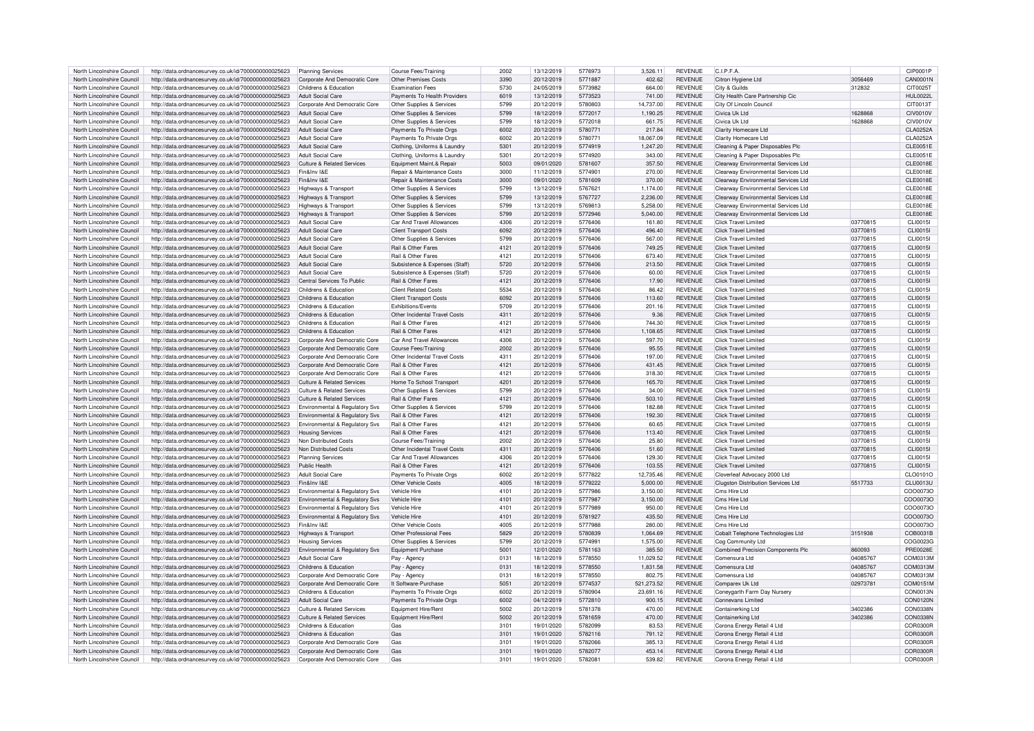| North Lincolnshire Council | http://data.ordnancesurvey.co.uk/id/7000000000025623 | <b>Planning Services</b>                  | <b>Course Fees/Training</b>    | 2002 | 13/12/2019 | 5776973 | 3,526.11   | <b>REVENUE</b> | C.I.P.F.A.                                |          | CIP0001P        |
|----------------------------|------------------------------------------------------|-------------------------------------------|--------------------------------|------|------------|---------|------------|----------------|-------------------------------------------|----------|-----------------|
| North Lincolnshire Council | http://data.ordnancesurvey.co.uk/id/7000000000025623 | Corporate And Democratic Core             | Other Premises Costs           | 3390 | 20/12/2019 | 5771887 | 402.62     | <b>REVENUE</b> | Citron Hygiene I td                       | 3056469  | <b>CAN0001N</b> |
|                            |                                                      |                                           |                                |      |            |         |            |                |                                           |          |                 |
| North Lincolnshire Council | http://data.ordnancesurvey.co.uk/id/7000000000025623 | Childrens & Education                     | <b>Examination Fees</b>        | 5730 | 24/05/2019 | 5773982 | 664.00     | REVENUE        | City & Guilds                             | 312832   | CIT00251        |
| North Lincolnshire Council | http://data.ordnancesurvey.co.uk/id/7000000000025623 | <b>Adult Social Care</b>                  | Payments To Health Providers   | 6019 | 13/12/2019 | 5773523 | 741.00     | <b>REVENUE</b> | City Health Care Partnership Cic          |          | HUI 0022L       |
| North Lincolnshire Council | http://data.ordnancesurvey.co.uk/id/7000000000025623 | Corporate And Democratic Core             | Other Supplies & Services      | 5799 | 20/12/2019 | 5780803 | 14,737.00  | <b>REVENUE</b> | City Of Lincoln Council                   |          | CIT0013T        |
| North Lincolnshire Council | http://data.ordnancesurvey.co.uk/id/7000000000025623 | <b>Adult Social Care</b>                  | Other Supplies & Services      | 5799 | 18/12/2019 | 5772017 | 1,190.25   | <b>REVENUE</b> | Civica Uk Ltd                             | 1628868  | CIV0010V        |
| North Lincolnshire Council | http://data.ordnancesurvey.co.uk/id/7000000000025623 | <b>Adult Social Care</b>                  | Other Supplies & Services      | 5799 | 18/12/2019 | 5772018 | 661.75     | <b>REVENUE</b> | Civica Uk I to                            | 1628868  | <b>CIV0010V</b> |
|                            |                                                      |                                           |                                |      |            |         |            |                |                                           |          |                 |
| North Lincolnshire Council | http://data.ordnancesurvey.co.uk/id/7000000000025623 | Adult Social Care                         | Payments To Private Orgs       | 6002 | 20/12/2019 | 578077  | 217.84     | <b>REVENUE</b> | Clarity Homecare Ltd                      |          | CLA0252A        |
| North Lincolnshire Council | http://data.ordnancesurvey.co.uk/id/7000000000025623 | Adult Social Care                         | Payments To Private Orgs       | 5002 | 20/12/2019 | 578077  | 18,067.09  | REVENUE        | Clarity Homecare I td                     |          | CLA0252A        |
| North Lincolnshire Council | http://data.ordnancesurvey.co.uk/id/7000000000025623 | Adult Social Care                         | Clothing, Uniforms & Laundry   | 5301 | 20/12/2019 | 5774919 | 1,247.20   | REVENUE        | Cleaning & Paper Disposables Plc          |          | CLE0051E        |
| North Lincolnshire Council | http://data.ordnancesurvey.co.uk/id/7000000000025623 | Adult Social Care                         | Clothing, Uniforms & Laundry   | 5301 | 20/12/2019 | 5774920 | 343.00     | <b>REVENUE</b> | Cleaning & Paper Disposables Plc          |          | <b>CLE0051E</b> |
| North Lincolnshire Council | http://data.ordnancesurvey.co.uk/id/7000000000025623 | Culture & Related Services                | Equipment Maint.& Repair       | 5003 | 09/01/2020 | 5781607 | 357.50     | <b>REVENUE</b> | Clearway Environmental Services Ltd       |          | CLE0018E        |
|                            |                                                      | Fin&Inv I&F                               |                                | 3000 |            | 5774901 |            |                |                                           |          |                 |
| North Lincolnshire Council | http://data.ordnancesurvey.co.uk/id/7000000000025623 |                                           | Repair & Maintenance Costs     |      | 11/12/2019 |         | 270.00     | <b>REVENUE</b> | Clearway Environmental Services Ltd       |          | <b>CLE0018E</b> |
| North Lincolnshire Council | http://data.ordnancesurvey.co.uk/id/7000000000025623 | Fin&Inv I&E                               | Repair & Maintenance Costs     | 3000 | 09/01/2020 | 5781609 | 370.00     | REVENUE        | Clearway Environmental Services Ltd       |          | <b>CLE0018E</b> |
| North Lincolnshire Council | http://data.ordnancesurvey.co.uk/id/7000000000025623 | Highways & Transport                      | Other Supplies & Services      | 5799 | 13/12/2019 | 5767621 | 1,174.00   | <b>REVENUE</b> | Clearway Environmental Services Ltd       |          | <b>CLE0018E</b> |
| North Lincolnshire Council | http://data.ordnancesurvey.co.uk/id/7000000000025623 | Highways & Transpor                       | Other Supplies & Services      | 5799 | 13/12/2019 | 5767727 | 2,236.00   | <b>REVENUE</b> | Clearway Environmental Services Ltd       |          | <b>CLE0018E</b> |
| North Lincolnshire Council | http://data.ordnancesurvey.co.uk/id/7000000000025623 | Highways & Transpor                       | Other Supplies & Services      | 5799 | 13/12/2019 | 5769813 | 5,258.00   | <b>REVENUE</b> | Clearway Environmental Services Ltd       |          | <b>CLE0018E</b> |
| North Lincolnshire Council |                                                      |                                           |                                | 5799 |            | 5772946 |            | <b>REVENUE</b> |                                           |          |                 |
|                            | http://data.ordnancesurvey.co.uk/id/7000000000025623 | Highways & Transpor                       | Other Supplies & Services      |      | 20/12/2019 |         | 5,040.00   |                | Clearway Environmental Services Ltd       |          | <b>CLE0018E</b> |
| North Lincolnshire Council | http://data.ordnancesurvey.co.uk/id/7000000000025623 | <b>Adult Social Care</b>                  | Car And Travel Allowances      | 4306 | 20/12/2019 | 5776406 | 161.80     | <b>REVENUE</b> | Click Travel Limited                      | 03770815 | CL100151        |
| North Lincolnshire Council | http://data.ordnancesurvey.co.uk/id/7000000000025623 | Adult Social Care                         | Client Transport Costs         | 6092 | 20/12/2019 | 5776406 | 496.40     | <b>REVENUE</b> | <b>Click Travel Limited</b>               | 03770815 | <b>CLI0015I</b> |
| North Lincolnshire Council | http://data.ordnancesurvey.co.uk/id/7000000000025623 | <b>Adult Social Care</b>                  | Other Supplies & Services      | 5799 | 20/12/2019 | 5776406 | 567.00     | <b>REVENUE</b> | Click Travel Limited                      | 03770815 | CL10015         |
| North Lincolnshire Council | http://data.ordnancesurvey.co.uk/id/7000000000025623 | <b>Adult Social Care</b>                  | Rail & Other Fares             | 4121 | 20/12/2019 | 5776406 | 749.25     | <b>REVENUE</b> | <b>Click Travel Limited</b>               | 03770815 | <b>CLI0015I</b> |
| North Lincolnshire Council | http://data.ordnancesurvey.co.uk/id/7000000000025623 | <b>Adult Social Care</b>                  | Rail & Other Fares             | 4121 | 20/12/2019 | 5776406 | 673.40     | <b>REVENUE</b> | Click Travel Limited                      | 03770815 | CL100151        |
|                            |                                                      |                                           |                                |      |            |         |            |                |                                           |          |                 |
| North Lincolnshire Council | http://data.ordnancesurvey.co.uk/id/7000000000025623 | <b>Adult Social Care</b>                  | Subsistence & Expenses (Staff) | 5720 | 20/12/2019 | 5776406 | 213.50     | <b>REVENUE</b> | Click Travel Limited                      | 03770815 | <b>CLI0015I</b> |
| North Lincolnshire Council | http://data.ordnancesurvey.co.uk/id/7000000000025623 | <b>Adult Social Care</b>                  | Subsistence & Expenses (Staff) | 5720 | 20/12/2019 | 5776406 | 60.00      | <b>REVENUE</b> | <b>Click Travel Limited</b>               | 03770815 | <b>CLI0015I</b> |
| North Lincolnshire Council | http://data.ordnancesurvey.co.uk/id/7000000000025623 | Central Services To Public                | <b>Bail &amp; Other Fares</b>  | 4121 | 20/12/2019 | 5776406 | 17.90      | <b>REVENUE</b> | Click Travel Limited                      | 03770815 | CL100151        |
| North Lincolnshire Council | http://data.ordnancesurvey.co.uk/id/7000000000025623 | Childrens & Education                     | <b>Client Related Costs</b>    | 5534 | 20/12/2019 | 5776406 | 86.42      | <b>REVENUE</b> | <b>Click Travel Limited</b>               | 03770815 | <b>CLI0015I</b> |
| North Lincolnshire Council | http://data.ordnancesurvey.co.uk/id/7000000000025623 | Childrens & Education                     | <b>Client Transport Costs</b>  | 6092 | 20/12/2019 | 5776406 | 113.60     | <b>REVENUE</b> | Click Travel Limited                      | 03770815 | <b>CLI0015I</b> |
|                            |                                                      |                                           |                                |      |            |         |            |                |                                           |          |                 |
| North Lincolnshire Council | http://data.ordnancesurvey.co.uk/id/7000000000025623 | Childrens & Education                     | <b>Exhibitions/Fvents</b>      | 5709 | 20/12/2019 | 5776406 | 201.16     | REVENUE        | Click Travel Limited                      | 03770815 | CI 100151       |
| North Lincolnshire Council | http://data.ordnancesurvey.co.uk/id/7000000000025623 | Childrens & Education                     | Other Incidental Travel Costs  | 4311 | 20/12/2019 | 5776406 | 9.36       | <b>REVENUE</b> | <b>Click Travel Limited</b>               | 03770815 | <b>CLI0015I</b> |
| North Lincolnshire Council | http://data.ordnancesurvey.co.uk/id/7000000000025623 | Childrens & Education                     | Rail & Other Fares             | 4121 | 20/12/2019 | 5776406 | 744.30     | <b>REVENUE</b> | Click Travel Limited                      | 03770815 | CL100151        |
| North Lincolnshire Council | http://data.ordnancesurvey.co.uk/id/7000000000025623 | Childrens & Education                     | Rail & Other Fares             | 4121 | 20/12/2019 | 5776406 | 1,108.65   | <b>REVENUE</b> | Click Travel Limited                      | 03770815 | CL100151        |
| North Lincolnshire Council | http://data.ordnancesurvey.co.uk/id/7000000000025623 | Corporate And Democratic Core             | Car And Travel Allowances      | 4306 | 20/12/2019 | 5776406 | 597.70     | <b>REVENUE</b> | Click Travel Limited                      | 03770815 | CL100151        |
|                            |                                                      |                                           |                                |      |            |         |            |                |                                           |          |                 |
| North Lincolnshire Council | http://data.ordnancesurvey.co.uk/id/7000000000025623 | Corporate And Democratic Core             | Course Fees/Training           | 2002 | 20/12/2019 | 5776406 | 95.55      | <b>REVENUE</b> | <b>Click Travel Limited</b>               | 03770815 | <b>CLI0015</b>  |
| North Lincolnshire Council | http://data.ordnancesurvey.co.uk/id/7000000000025623 | Corporate And Democratic Core             | Other Incidental Travel Costs  | 4311 | 20/12/2019 | 5776406 | 197.00     | REVENUE        | <b>Click Travel Limited</b>               | 03770815 | <b>CLI0015I</b> |
| North Lincolnshire Council | http://data.ordnancesurvey.co.uk/id/7000000000025623 | Corporate And Democratic Core             | Rail & Other Fares             | 4121 | 20/12/2019 | 5776406 | 431.45     | <b>REVENUE</b> | <b>Click Travel Limited</b>               | 03770815 | CLI0015I        |
| North Lincolnshire Council | http://data.ordnancesurvey.co.uk/id/7000000000025623 | Corporate And Democratic Core             | Rail & Other Fares             | 4121 | 20/12/2019 | 5776406 | 318.30     | <b>REVENUE</b> | Click Travel Limited                      | 03770815 | CLI0015I        |
| North Lincolnshire Council | http://data.ordnancesurvey.co.uk/id/7000000000025623 | Culture & Related Services                | Home To School Transport       | 4201 | 20/12/2019 | 5776406 | 165.70     | <b>REVENUE</b> | Click Travel Limited                      | 03770815 | <b>CLI0015I</b> |
|                            |                                                      |                                           |                                |      |            |         |            |                |                                           |          |                 |
| North Lincolnshire Council | http://data.ordnancesurvey.co.uk/id/7000000000025623 | <b>Culture &amp; Related Services</b>     | Other Supplies & Services      | 5799 | 20/12/2019 | 5776406 | 34.00      | <b>REVENUE</b> | <b>Click Travel Limited</b>               | 03770815 | CLI0015I        |
| North Lincolnshire Council | http://data.ordnancesurvey.co.uk/id/7000000000025623 | <b>Culture &amp; Related Services</b>     | Rail & Other Fares             | 4121 | 20/12/2019 | 5776406 | 503.10     | <b>REVENUE</b> | Click Travel Limited                      | 03770815 | <b>CLI0015I</b> |
| North Lincolnshire Council | http://data.ordnancesurvey.co.uk/id/7000000000025623 | Environmental & Regulatory Svs            | Other Supplies & Services      | 5799 | 20/12/2019 | 5776406 | 182.88     | <b>REVENUE</b> | Click Travel Limited                      | 03770815 | CLI0015I        |
| North Lincolnshire Council | http://data.ordnancesurvey.co.uk/id/7000000000025623 | <b>Environmental &amp; Regulatory Svs</b> | <b>Bail &amp; Other Fares</b>  | 4121 | 20/12/2019 | 5776406 | 192.30     | <b>REVENUE</b> | Click Travel Limited                      | 03770815 | <b>CLI0015I</b> |
| North Lincolnshire Council | http://data.ordnancesurvey.co.uk/id/7000000000025623 | Environmental & Regulatory Svs            | Rail & Other Fares             | 4121 | 20/12/2019 | 5776406 | 60.65      | <b>REVENUE</b> | Click Travel Limited                      | 03770815 | CLI0015I        |
|                            |                                                      |                                           |                                |      |            |         |            |                |                                           |          |                 |
| North Lincolnshire Council | http://data.ordnancesurvey.co.uk/id/7000000000025623 | <b>Housing Services</b>                   | Rail & Other Fares             | 4121 | 20/12/2019 | 5776406 | 113.40     | <b>REVENUE</b> | <b>Click Travel Limited</b>               | 03770815 | CLI0015I        |
| North Lincolnshire Council | http://data.ordnancesurvey.co.uk/id/7000000000025623 | Non Distributed Costs                     | Course Fees/Training           | 2002 | 20/12/2019 | 5776406 | 25.80      | <b>REVENUE</b> | Click Travel Limited                      | 03770815 | <b>CLI0015I</b> |
| North Lincolnshire Council | http://data.ordnancesurvey.co.uk/id/7000000000025623 | Non Distributed Costs                     | Other Incidental Travel Costs  | 4311 | 20/12/2019 | 5776406 | 51.60      | <b>REVENUE</b> | Click Travel Limited                      | 03770815 | CL100151        |
| North Lincolnshire Council | http://data.ordnancesurvey.co.uk/id/7000000000025623 | <b>Planning Services</b>                  | Car And Travel Allowances      | 4306 | 20/12/2019 | 5776406 | 129.30     | <b>REVENUE</b> | <b>Click Travel Limited</b>               | 03770815 | CLI0015I        |
| North Lincolnshire Council | http://data.ordnancesurvey.co.uk/id/7000000000025623 | <b>Public Health</b>                      | Rail & Other Fares             | 4121 | 20/12/2019 | 5776406 | 103.55     | <b>REVENUE</b> | <b>Click Travel Limited</b>               | 03770815 | CLI0015I        |
|                            |                                                      |                                           |                                | 6002 | 20/12/2019 | 5777822 |            | <b>REVENUE</b> |                                           |          |                 |
| North Lincolnshire Council | http://data.ordnancesurvey.co.uk/id/7000000000025623 | <b>Adult Social Care</b>                  | Payments To Private Orgs       |      |            |         | 12,735.46  |                | Cloverleaf Advocacy 2000 Ltd              |          | CLO0101C        |
| North Lincolnshire Council | http://data.ordnancesurvey.co.uk/id/7000000000025623 | Fin&Inv I&E                               | Other Vehicle Costs            | 4005 | 18/12/2019 | 5779222 | 5.000.00   | <b>REVENUE</b> | <b>Clugston Distribution Services Ltd</b> | 5517733  | <b>CLU0013L</b> |
| North Lincolnshire Council | http://data.ordnancesurvey.co.uk/id/7000000000025623 | Environmental & Regulatory Svs            | Vehicle Hire                   | 4101 | 20/12/2019 | 5777986 | 3,150.00   | <b>REVENUE</b> | Cms Hire I td                             |          | COO0073C        |
| North Lincolnshire Council | http://data.ordnancesurvey.co.uk/id/7000000000025623 | Environmental & Regulatory Sys            | Vehicle Hire                   | 4101 | 20/12/2019 | 5777987 | 3,150.00   | <b>REVENUE</b> | Cms Hire I td                             |          | COO0073C        |
| North Lincolnshire Council | http://data.ordnancesurvey.co.uk/id/7000000000025623 | Environmental & Regulatory Svs            | Vehicle Hire                   | 4101 | 20/12/2019 | 5777989 | 950.00     | <b>REVENUE</b> | Cms Hire I td                             |          | COO0073C        |
|                            |                                                      |                                           | Vehicle Hire                   | 4101 |            | 5781927 |            | REVENUE        | Cms Hire I td                             |          |                 |
| North Lincolnshire Council | http://data.ordnancesurvey.co.uk/id/7000000000025623 | Environmental & Regulatory Svs            |                                |      | 20/12/2019 |         | 435.50     |                |                                           |          | COO0073C        |
| North Lincolnshire Council | http://data.ordnancesurvey.co.uk/id/7000000000025623 | Fin&Inv I&E                               | Other Vehicle Costs            | 4005 | 20/12/2019 | 5777988 | 280.00     | <b>REVENUE</b> | Cms Hire Ltd                              |          | COO0073C        |
| North Lincolnshire Council | http://data.ordnancesurvey.co.uk/id/7000000000025623 | Highways & Transport                      | Other Professional Fees        | 5829 | 20/12/2019 | 5780839 | 1.064.69   | <b>REVENUE</b> | Cobalt Telephone Technologies Ltd         | 3151938  | COB0031E        |
| North Lincolnshire Council | http://data.ordnancesurvey.co.uk/id/7000000000025623 | <b>Housing Services</b>                   | Other Supplies & Services      | 5799 | 20/12/2019 | 5774991 | 1,575.00   | <b>REVENUE</b> | Cog Community Ltd                         |          | COG0023G        |
| North Lincolnshire Council | http://data.ordnancesurvey.co.uk/id/7000000000025623 | Environmental & Regulatory Sys            | Equipment Purchase             | 5001 | 12/01/2020 | 5781163 | 385.50     | <b>REVENUE</b> | <b>Combined Precision Components Plc</b>  | 860093   | <b>PRE0028E</b> |
| North Lincolnshire Council | http://data.ordnancesurvey.co.uk/id/7000000000025623 | <b>Adult Social Care</b>                  | Pay - Agency                   | 0131 | 18/12/2019 | 5778550 | 11,029.52  | <b>REVENUE</b> | Comensura Ltd                             | 04085767 | COM0313M        |
|                            |                                                      |                                           |                                |      |            |         |            |                |                                           |          |                 |
| North Lincolnshire Council | http://data.ordnancesurvey.co.uk/id/7000000000025623 | Childrens & Education                     | Pay - Agency                   | 0131 | 18/12/2019 | 5778550 | 1,831.58   | <b>REVENUE</b> | Comensura Ltd                             | 04085767 | COM0313M        |
| North Lincolnshire Council | http://data.ordnancesurvey.co.uk/id/7000000000025623 | Corporate And Democratic Core             | Pay - Agency                   | 0131 | 18/12/2019 | 5778550 | 802.75     | <b>REVENUE</b> | Comensura Ltd                             | 04085767 | COM0313M        |
| North Lincolnshire Council | http://data.ordnancesurvey.co.uk/id/7000000000025623 | Corporate And Democratic Core             | It Software-Purchase           | 5051 | 20/12/2019 | 5774537 | 521.273.52 | <b>REVENUE</b> | Comparex Uk Ltd                           | 02973781 | COM0151M        |
| North Lincolnshire Council | http://data.ordnancesurvey.co.uk/id/7000000000025623 | Childrens & Education                     | Payments To Private Orgs       | 6002 | 20/12/2019 | 5780904 | 23.691.16  | <b>REVENUE</b> | Coneygarth Farm Day Nursery               |          | CON0013N        |
| North Lincolnshire Council | http://data.ordnancesurvey.co.uk/id/7000000000025623 | <b>Adult Social Care</b>                  | Payments To Private Orgs       | 6002 | 04/12/2019 | 5772810 | 900.15     | REVENUE        | <b>Connevans Limited</b>                  |          | CON0120M        |
|                            |                                                      |                                           |                                |      |            |         |            |                |                                           |          |                 |
| North Lincolnshire Council | http://data.ordnancesurvey.co.uk/id/7000000000025623 | Culture & Related Services                | Faujoment Hire/Ren             | 5002 | 20/12/2019 | 5781378 | 470.00     | <b>REVENUE</b> | Containerking I td                        | 3402386  | CON0338         |
| North Lincolnshire Council | http://data.ordnancesurvey.co.uk/id/7000000000025623 | <b>Culture &amp; Related Services</b>     | Equipment Hire/Rent            | 5002 | 20/12/2019 | 5781659 | 470.00     | <b>REVENUE</b> | Containerking Ltd                         | 3402386  | CON0338N        |
| North Lincolnshire Council | http://data.ordnancesurvey.co.uk/id/7000000000025623 | Childrens & Education                     | Gas                            | 3101 | 19/01/2020 | 5782099 | 83.53      | <b>REVENUE</b> | Corona Energy Retail 4 Ltd                |          | COR0300F        |
| North Lincolnshire Council | http://data.ordnancesurvey.co.uk/id/7000000000025623 | Childrens & Education                     | Gas                            | 3101 | 19/01/2020 | 5782116 | 791.12     | <b>REVENUE</b> | Corona Energy Retail 4 Ltd                |          | COR0300E        |
| North Lincolnshire Council | http://data.ordnancesurvey.co.uk/id/7000000000025623 | Corporate And Democratic Core             | Gas                            | 3101 | 19/01/2020 | 5782066 | 385.13     | <b>REVENUE</b> | Corona Energy Retail 4 Ltd                |          | COR0300F        |
|                            |                                                      |                                           |                                |      |            |         |            |                |                                           |          |                 |
| North Lincolnshire Council | http://data.ordnancesurvey.co.uk/id/7000000000025623 | Corporate And Democratic Core             | Gas                            | 3101 | 19/01/2020 | 5782077 | 453.14     | <b>REVENUE</b> | Corona Energy Retail 4 Ltd                |          | <b>COR0300F</b> |
| North Lincolnshire Council | http://data.ordnancesurvey.co.uk/id/7000000000025623 | Corporate And Democratic Core             | Gas                            | 3101 | 19/01/2020 | 578208  | 539.82     | <b>REVENUE</b> | Corona Energy Retail 4 Ltd                |          | COR0300R        |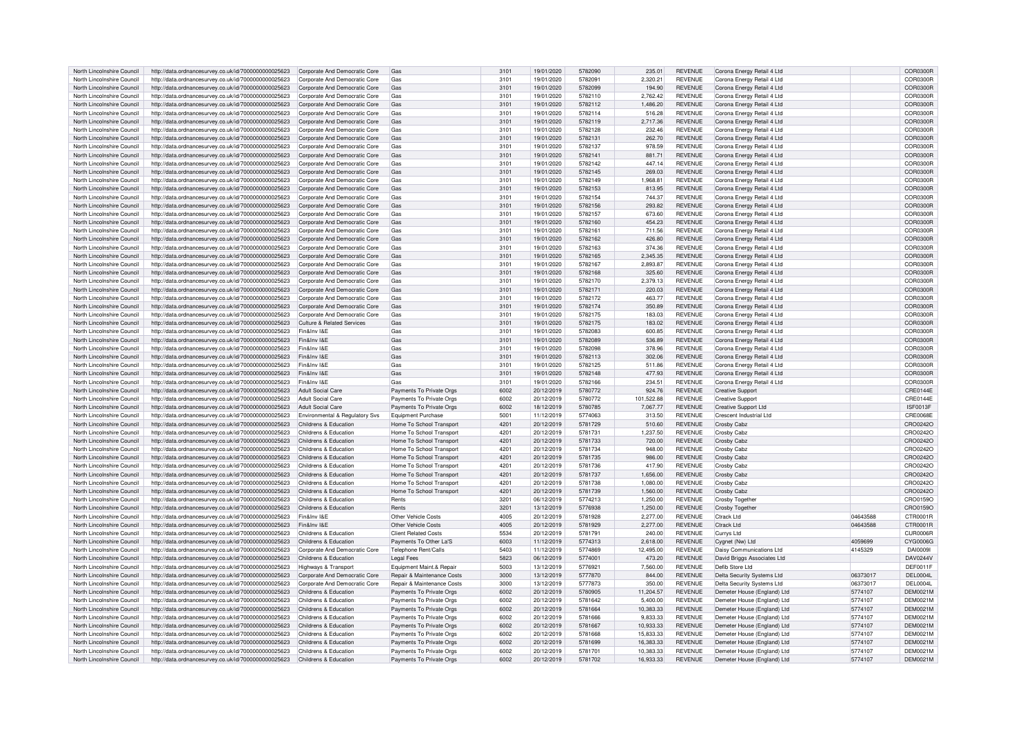| North Lincolnshire Council | http://data.ordnancesurvey.co.uk/id/7000000000025623 | Corporate And Democratic Core             | Gas                                   | 3101             | 19/01/2020 | 5782090 | 235.01     | <b>REVENUE</b> | Corona Energy Retail 4 Ltd      |          | COR0300F        |
|----------------------------|------------------------------------------------------|-------------------------------------------|---------------------------------------|------------------|------------|---------|------------|----------------|---------------------------------|----------|-----------------|
| North Lincolnshire Council | http://data.ordnancesurvey.co.uk/id/7000000000025623 | Corporate And Democratic Core             | Gas                                   | 3101             | 19/01/2020 | 5782091 | 2,320.21   | <b>REVENUE</b> | Corona Energy Retail 4 Ltd      |          | COR0300R        |
| North Lincolnshire Council | http://data.ordnancesurvey.co.uk/id/7000000000025623 | Corporate And Democratic Core             | Gas                                   | 3101             | 19/01/2020 | 5782099 | 194.90     | <b>REVENUE</b> | Corona Energy Retail 4 Ltd      |          | COR0300R        |
| North Lincolnshire Council |                                                      | Corporate And Democratic Core             | Gas                                   | 3101             | 19/01/2020 | 5782110 |            | <b>REVENUE</b> |                                 |          | COR0300R        |
|                            | http://data.ordnancesurvey.co.uk/id/7000000000025623 |                                           |                                       |                  |            |         | 2,762.42   |                | Corona Energy Retail 4 Ltd      |          |                 |
| North Lincolnshire Council | http://data.ordnancesurvey.co.uk/id/7000000000025623 | Corporate And Democratic Core             | Gas                                   | 3101             | 19/01/2020 | 5782112 | 1.486.20   | <b>REVENUE</b> | Corona Energy Retail 4 Ltd      |          | COR0300R        |
| North Lincolnshire Council | http://data.ordnancesurvey.co.uk/id/7000000000025623 | Corporate And Democratic Core             | Gas                                   | 310 <sup>°</sup> | 19/01/2020 | 5782114 | 516.28     | <b>REVENUE</b> | Corona Energy Retail 4 Ltd      |          | <b>COR0300F</b> |
| North Lincolnshire Council | http://data.ordnancesurvey.co.uk/id/7000000000025623 | Corporate And Democratic Core             | Gas                                   | 310 <sup>1</sup> | 19/01/2020 | 5782119 | 2,717.36   | REVENUE        | Corona Energy Retail 4 I to     |          | COR0300F        |
| North Lincolnshire Council | http://data.ordnancesurvey.co.uk/id/7000000000025623 | Corporate And Democratic Core             | Gas                                   | 310 <sup>1</sup> | 19/01/2020 | 5782128 | 232.46     | <b>REVENUE</b> | Corona Energy Retail 4 Ltd      |          | COR0300R        |
| North Lincolnshire Council | http://data.ordnancesurvey.co.uk/id/7000000000025623 | Corporate And Democratic Core             | Gas                                   | 3101             | 19/01/2020 | 5782131 | 262.70     | <b>REVENUE</b> | Corona Energy Retail 4 Ltd      |          | COR0300R        |
| North Lincolnshire Council | http://data.ordnancesurvey.co.uk/id/7000000000025623 | Corporate And Democratic Core             | Gas                                   | 310 <sup>1</sup> | 19/01/2020 | 5782137 | 978.59     | <b>REVENUE</b> | Corona Energy Retail 4 Ltd      |          | COR0300R        |
| North Lincolnshire Council | http://data.ordnancesurvey.co.uk/id/7000000000025623 | Corporate And Democratic Core             | Gas                                   | 310 <sup>°</sup> | 19/01/2020 | 5782141 | 881.71     | <b>REVENUE</b> | Corona Energy Retail 4 Ltd      |          | COR0300F        |
|                            |                                                      |                                           |                                       |                  |            |         |            |                |                                 |          |                 |
| North Lincolnshire Council | http://data.ordnancesurvey.co.uk/id/7000000000025623 | Corporate And Democratic Core             | Gas                                   | 3101             | 19/01/2020 | 5782142 | 447.14     | <b>REVENUE</b> | Corona Energy Retail 4 Ltd      |          | COR0300F        |
| North Lincolnshire Council | http://data.ordnancesurvey.co.uk/id/7000000000025623 | Corporate And Democratic Core             | Gas                                   | 3101             | 19/01/2020 | 5782145 | 269.03     | <b>REVENUE</b> | Corona Energy Retail 4 Ltd      |          | COR0300R        |
| North Lincolnshire Council | http://data.ordnancesurvey.co.uk/id/7000000000025623 | Corporate And Democratic Core             | Gas                                   | 3101             | 19/01/2020 | 5782149 | 1.968.81   | <b>REVENUE</b> | Corona Energy Retail 4 Ltd      |          | COR0300F        |
| North Lincolnshire Council | http://data.ordnancesurvey.co.uk/id/7000000000025623 | Corporate And Democratic Core             | Gas                                   | 3101             | 19/01/2020 | 5782153 | 813.95     | <b>REVENUE</b> | Corona Energy Retail 4 Ltd      |          | COR0300R        |
| North Lincolnshire Council | http://data.ordnancesurvey.co.uk/id/7000000000025623 | Corporate And Democratic Core             | Gas                                   | 3101             | 19/01/2020 | 5782154 | 744.37     | REVENUE        | Corona Energy Retail 4 Ltd      |          | COR0300R        |
| North Lincolnshire Council | http://data.ordnancesurvey.co.uk/id/7000000000025623 | Corporate And Democratic Core             | Gas                                   | 310 <sup>1</sup> | 19/01/2020 | 5782156 | 293.82     | REVENUE        | Corona Energy Retail 4 Ltd      |          | COR0300F        |
| North Lincolnshire Council | http://data.ordnancesurvey.co.uk/id/7000000000025623 | Corporate And Democratic Core             | Gas                                   | 3101             | 19/01/2020 | 5782157 | 673.60     | REVENUE        | Corona Energy Retail 4 Ltd      |          | COR0300R        |
| North Lincolnshire Council | http://data.ordnancesurvey.co.uk/id/7000000000025623 | Corporate And Democratic Core             | Gas                                   | 3101             | 19/01/2020 | 5782160 | 454.23     | <b>REVENUE</b> | Corona Energy Retail 4 Ltd      |          | COR0300R        |
|                            |                                                      |                                           |                                       | 310 <sup>1</sup> |            | 5782161 | 711.56     | <b>REVENUE</b> |                                 |          | COR0300R        |
| North Lincolnshire Council | http://data.ordnancesurvey.co.uk/id/7000000000025623 | Corporate And Democratic Core             | Gas                                   |                  | 19/01/2020 |         |            |                | Corona Energy Retail 4 Ltd      |          |                 |
| North Lincolnshire Council | http://data.ordnancesurvey.co.uk/id/7000000000025623 | Corporate And Democratic Core             | Gas                                   | 310 <sup>°</sup> | 19/01/2020 | 5782162 | 426.80     | REVENUE        | Corona Energy Retail 4 Ltd      |          | COR0300F        |
| North Lincolnshire Council | http://data.ordnancesurvey.co.uk/id/7000000000025623 | Corporate And Democratic Core             | Gas                                   | 310 <sup>1</sup> | 19/01/2020 | 5782163 | 374.36     | REVENUE        | Corona Energy Retail 4 Ltd      |          | COR0300F        |
| North Lincolnshire Council | http://data.ordnancesurvey.co.uk/id/7000000000025623 | Corporate And Democratic Core             | Gas                                   | 3101             | 19/01/2020 | 5782165 | 2,345.35   | <b>REVENUE</b> | Corona Energy Retail 4 Ltd      |          | COR0300F        |
| North Lincolnshire Council | http://data.ordnancesurvey.co.uk/id/7000000000025623 | Corporate And Democratic Core             | Gas                                   | 310 <sup>1</sup> | 19/01/2020 | 5782167 | 2,893.87   | <b>REVENUE</b> | Corona Energy Retail 4 Ltd      |          | COR0300F        |
| North Lincolnshire Council | http://data.ordnancesurvey.co.uk/id/7000000000025623 | Corporate And Democratic Core             | Gas                                   | 310 <sup>1</sup> | 19/01/2020 | 5782168 | 325.60     | <b>REVENUE</b> | Corona Energy Retail 4 Ltd      |          | COR0300F        |
| North Lincolnshire Council | http://data.ordnancesurvey.co.uk/id/7000000000025623 | Corporate And Democratic Core             | Gas                                   | 3101             | 19/01/2020 | 5782170 | 2,379.13   | <b>REVENUE</b> | Corona Energy Retail 4 Ltd      |          | COR0300F        |
| North Lincolnshire Council | http://data.ordnancesurvey.co.uk/id/7000000000025623 | Corporate And Democratic Core             | Gas                                   | 310 <sup>1</sup> | 19/01/2020 | 5782171 | 220.03     | REVENUE        | Corona Energy Retail 4 Ltd      |          | COR0300F        |
| North Lincolnshire Council | http://data.ordnancesurvey.co.uk/id/7000000000025623 | Corporate And Democratic Core             | Gas                                   | 310 <sup>1</sup> | 19/01/2020 | 5782172 | 463.77     | <b>REVENUE</b> | Corona Energy Retail 4 Ltd      |          | COR0300F        |
|                            |                                                      |                                           |                                       |                  |            |         |            |                |                                 |          |                 |
| North Lincolnshire Council | http://data.ordnancesurvey.co.uk/id/7000000000025623 | Corporate And Democratic Core             | Gas                                   | 310 <sup>1</sup> | 19/01/2020 | 5782174 | 350.89     | <b>REVENUE</b> | Corona Energy Retail 4 Ltd      |          | COR0300R        |
| North Lincolnshire Council | http://data.ordnancesurvey.co.uk/id/7000000000025623 | Corporate And Democratic Core             | Gas                                   | 3101             | 19/01/2020 | 5782175 | 183.03     | <b>REVENUE</b> | Corona Energy Retail 4 Ltd      |          | COR0300F        |
| North Lincolnshire Council | http://data.ordnancesurvey.co.uk/id/7000000000025623 | Culture & Related Services                | Gas                                   | 310 <sup>°</sup> | 19/01/2020 | 5782175 | 183.02     | <b>REVENUE</b> | Corona Energy Retail 4 Ltd      |          | COR0300R        |
| North Lincolnshire Council | http://data.ordnancesurvey.co.uk/id/7000000000025623 | Fin&Inv I&F                               | Gas                                   | 3101             | 19/01/2020 | 5782083 | 600.85     | <b>REVENUE</b> | Corona Energy Retail 4 Ltd      |          | COR0300R        |
| North Lincolnshire Council | http://data.ordnancesurvey.co.uk/id/7000000000025623 | Fin&Inv I&F                               | Gas                                   | 3101             | 19/01/2020 | 5782089 | 536.89     | <b>REVENUE</b> | Corona Energy Retail 4 Ltd      |          | COR0300R        |
| North Lincolnshire Council | http://data.ordnancesurvey.co.uk/id/7000000000025623 | Fin&Inv I&F                               | Gas                                   | 3101             | 19/01/2020 | 5782098 | 378.96     | REVENUE        | Corona Energy Retail 4 Ltd      |          | COR0300R        |
| North Lincolnshire Council | http://data.ordnancesurvey.co.uk/id/7000000000025623 | Fin&Inv I&F                               | Gas                                   | 310 <sup>1</sup> | 19/01/2020 | 5782113 | 302.06     | REVENUE        | Corona Energy Retail 4 Ltd      |          | <b>COR0300F</b> |
| North Lincolnshire Council | http://data.ordnancesurvey.co.uk/id/7000000000025623 | Fin&Inv I&F                               | Gas                                   | 310 <sup>1</sup> | 19/01/2020 | 5782125 | 511.86     | REVENUE        | Corona Energy Retail 4 Ltd      |          | COR0300R        |
| North Lincolnshire Council | http://data.ordnancesurvey.co.uk/id/7000000000025623 | Fin&Inv I&E                               | Gas                                   | 3101             | 19/01/2020 | 5782148 | 477.93     | <b>REVENUE</b> | Corona Energy Retail 4 I to     |          | COR0300R        |
|                            |                                                      |                                           |                                       |                  |            |         |            |                |                                 |          |                 |
| North Lincolnshire Council | http://data.ordnancesurvey.co.uk/id/7000000000025623 | Fin&Inv I&F                               | Gas                                   | 310 <sup>1</sup> | 19/01/2020 | 5782166 | 234.51     | <b>REVENUE</b> | Corona Energy Retail 4 Ltd      |          | COR0300R        |
| North Lincolnshire Council | http://data.ordnancesurvey.co.uk/id/7000000000025623 | <b>Adult Social Care</b>                  | Payments To Private Orgs              | 6002             | 20/12/2019 | 5780772 | 924.76     | <b>REVENUE</b> | <b>Creative Support</b>         |          | CRE0144E        |
| North Lincolnshire Council | http://data.ordnancesurvey.co.uk/id/7000000000025623 | <b>Adult Social Care</b>                  | Payments To Private Orgs              | 6002             | 20/12/2019 | 5780772 | 101,522.88 | REVENUE        | Creative Support                |          | CRE0144E        |
| North Lincolnshire Council | http://data.ordnancesurvey.co.uk/id/7000000000025623 | Adult Social Care                         | Payments To Private Orgs              | 6002             | 18/12/2019 | 5780785 | 7,067.77   | REVENUE        | <b>Creative Support Ltd</b>     |          | ISF0013F        |
| North Lincolnshire Council | http://data.ordnancesurvey.co.uk/id/7000000000025623 | <b>Environmental &amp; Regulatory Sys</b> | Foujoment Purchase                    | 5001             | 11/12/2019 | 5774063 | 313.50     | <b>REVENUE</b> | Crescent Industrial I to        |          | <b>CRE0068E</b> |
| North Lincolnshire Council | http://data.ordnancesurvey.co.uk/id/7000000000025623 | Childrens & Education                     | Home To School Transport              | 4201             | 20/12/2019 | 5781729 | 510.60     | <b>REVENUE</b> | <b>Crosby Cabz</b>              |          | CRO0242O        |
| North Lincolnshire Council | http://data.ordnancesurvey.co.uk/id/7000000000025623 | Childrens & Education                     | Home To School Transport              | $420^{\circ}$    | 20/12/2019 | 5781731 | 1,237.50   | <b>REVENUE</b> | Crosby Cabz                     |          | CRO0242C        |
| North Lincolnshire Council | http://data.ordnancesurvey.co.uk/id/7000000000025623 | Childrens & Education                     | Home To School Transpor               | 4201             | 20/12/2019 | 5781733 | 720.00     | <b>REVENUE</b> | Crosby Cabz                     |          | CRO0242C        |
| North Lincolnshire Council | http://data.ordnancesurvey.co.uk/id/7000000000025623 | Childrens & Education                     | Home To School Transport              | $420^{\circ}$    | 20/12/2019 | 5781734 | 948.00     | <b>REVENUE</b> | Crosby Cabz                     |          | CRO0242O        |
|                            |                                                      |                                           |                                       |                  |            |         |            |                |                                 |          |                 |
| North Lincolnshire Council | http://data.ordnancesurvey.co.uk/id/7000000000025623 | Childrens & Education                     | Home To School Transport              | 4201             | 20/12/2019 | 5781735 | 986.00     | <b>REVENUE</b> | Crosby Cabz                     |          | CRO0242O        |
| North Lincolnshire Council | http://data.ordnancesurvey.co.uk/id/7000000000025623 | Childrens & Education                     | Home To School Transpor               | $420^{\circ}$    | 20/12/2019 | 5781736 | 417.90     | <b>REVENUE</b> | Crosby Cabz                     |          | CRO0242C        |
| North Lincolnshire Council | http://data.ordnancesurvey.co.uk/id/7000000000025623 | Childrens & Education                     | Home To School Transport              | 4201             | 20/12/2019 | 5781737 | 1,656.00   | <b>REVENUE</b> | Crosby Cabz                     |          | CRO0242O        |
| North Lincolnshire Council | http://data.ordnancesurvey.co.uk/id/7000000000025623 | Childrens & Education                     | Home To School Transport              | $420^{\circ}$    | 20/12/2019 | 5781738 | 1.080.00   | <b>REVENUE</b> | Crosby Cab:                     |          | CRO0242C        |
| North Lincolnshire Council | http://data.ordnancesurvey.co.uk/id/7000000000025623 | Childrens & Education                     | Home To School Transport              | $420^{\circ}$    | 20/12/2019 | 5781739 | 1,560.00   | <b>REVENUE</b> | Crosby Cabz                     |          | CRO0242O        |
| North Lincolnshire Council | http://data.ordnancesurvey.co.uk/id/7000000000025623 | Childrens & Education                     | Rents                                 | 3201             | 06/12/2019 | 5774213 | 1,250.00   | <b>REVENUE</b> | <b>Crosby Togethe</b>           |          | CRO0159O        |
| North Lincolnshire Council | http://data.ordnancesurvey.co.uk/id/7000000000025623 | Childrens & Education                     | Rents                                 | 320 <sup>°</sup> | 13/12/2019 | 5776938 | 1,250.00   | REVENUE        | Crosby Together                 |          | CRO0159C        |
| North Lincolnshire Council | http://data.ordnancesurvey.co.uk/id/7000000000025623 | Fin&Inv I&F                               | Other Vehicle Costs                   | 4005             | 20/12/2019 | 5781928 | 2,277.00   | REVENUE        | <b>Ctrack Ltd</b>               | 04643588 | CTR0001R        |
| North Lincolnshire Council | http://data.ordnancesurvey.co.uk/id/7000000000025623 | Fin&Inv I&F                               | Other Vehicle Costs                   | 4005             | 20/12/2019 | 5781929 | 2.277.00   | <b>REVENUE</b> | Ctrack I td                     | 04643588 | CTR0001R        |
| North Lincolnshire Council | http://data.ordnancesurvey.co.uk/id/7000000000025623 | Childrens & Education                     | <b>Client Related Costs</b>           | 5534             | 20/12/2019 | 5781791 | 240.00     | <b>REVENUE</b> | Currys Ltd                      |          | CUR0006R        |
|                            |                                                      |                                           |                                       |                  |            |         |            |                |                                 |          |                 |
| North Lincolnshire Council | http://data.ordnancesurvey.co.uk/id/7000000000025623 | Childrens & Education                     | Payments To Other La'S                | 6003             | 11/12/2019 | 5774313 | 2.618.00   | <b>REVENUE</b> | Cygnet (Nw) Ltd                 | 4059699  | CYG0006G        |
| North Lincolnshire Council | http://data.ordnancesurvey.co.uk/id/7000000000025623 | Corporate And Democratic Core             | Telephone Rent/Calls                  | 5403             | 11/12/2019 | 5774869 | 12,495.00  | <b>REVENUE</b> | <b>Daisy Communications Ltd</b> | 4145329  | DAI00091        |
| North Lincolnshire Council | http://data.ordnancesurvey.co.uk/id/7000000000025623 | Childrens & Education                     | Legal Fees                            | 5823             | 06/12/2019 | 5774001 | 473.20     | REVENUE        | David Briggs Associates Ltd     |          | DAV0244V        |
| North Lincolnshire Council | http://data.ordnancesurvey.co.uk/id/7000000000025623 | Highways & Transport                      | Equipment Maint, & Repair             | 5003             | 13/12/2019 | 5776921 | 7.560.00   | REVENUE        | Defib Store Ltd                 |          | DEF0011F        |
| North Lincolnshire Council | http://data.ordnancesurvey.co.uk/id/7000000000025623 | Corporate And Democratic Core             | <b>Benair &amp; Maintenance Costs</b> | 3000             | 13/12/2019 | 5777870 | 844.00     | <b>REVENUE</b> | Delta Security Systems Ltd      | 06373017 | <b>DEL0004L</b> |
| North Lincolnshire Council | http://data.ordnancesurvey.co.uk/id/7000000000025623 | Corporate And Democratic Core             | Repair & Maintenance Costs            | 3000             | 13/12/2019 | 5777873 | 350.00     | <b>REVENUE</b> | Delta Security Systems Ltd      | 06373017 | <b>DEL0004L</b> |
| North Lincolnshire Council | http://data.ordnancesurvey.co.uk/id/7000000000025623 | Childrens & Education                     | Payments To Private Orgs              | 6002             | 20/12/2019 | 5780905 | 11.204.57  | REVENUE        | Demeter House (England) Ltd     | 5774107  | DEM0021M        |
| North Lincolnshire Council | http://data.ordnancesurvey.co.uk/id/7000000000025623 | Childrens & Education                     | Payments To Private Orgs              | 6002             | 20/12/2019 | 5781642 | 5,400.00   | <b>REVENUE</b> | Demeter House (England) Ltd     | 5774107  | DEM0021M        |
|                            |                                                      |                                           |                                       | 6002             |            | 5781664 |            |                |                                 |          |                 |
| North Lincolnshire Council | http://data.ordnancesurvey.co.uk/id/7000000000025623 | Childrens & Education                     | Payments To Private Orgs              |                  | 20/12/2019 |         | 10,383.33  | <b>REVENUE</b> | Demeter House (England) Ltd     | 5774107  | <b>DEM0021M</b> |
| North Lincolnshire Council | http://data.ordnancesurvey.co.uk/id/7000000000025623 | Childrens & Education                     | Payments To Private Orgs              | 6002             | 20/12/2019 | 5781666 | 9.833.33   | <b>REVENUE</b> | Demeter House (England) Ltd     | 5774107  | <b>DEM0021M</b> |
| North Lincolnshire Council | http://data.ordnancesurvey.co.uk/id/7000000000025623 | Childrens & Education                     | Payments To Private Orgs              | 6002             | 20/12/2019 | 5781667 | 10.933.33  | <b>REVENUE</b> | Demeter House (England) Ltd     | 5774107  | DEM0021M        |
| North Lincolnshire Council | http://data.ordnancesurvey.co.uk/id/7000000000025623 | Childrens & Education                     | Payments To Private Orgs              | 6002             | 20/12/2019 | 5781668 | 15,833.33  | <b>REVENUE</b> | Demeter House (England) Ltd     | 5774107  | <b>DEM0021M</b> |
| North Lincolnshire Council | http://data.ordnancesurvey.co.uk/id/7000000000025623 | Childrens & Education                     | Payments To Private Orgs              | 6002             | 20/12/2019 | 5781699 | 16.383.33  | REVENUE        | Demeter House (England) Ltd     | 5774107  | <b>DEM0021M</b> |
| North Lincolnshire Council | http://data.ordnancesurvey.co.uk/id/7000000000025623 | Childrens & Education                     | Payments To Private Orgs              | 6002             | 20/12/2019 | 5781701 | 10,383.33  | <b>REVENUE</b> | Demeter House (England) Ltd     | 5774107  | <b>DEM0021M</b> |
| North Lincolnshire Council | http://data.ordnancesurvey.co.uk/id/7000000000025623 | Childrens & Education                     | Payments To Private Orgs              | 6002             | 20/12/2019 | 5781702 | 16.933.33  | <b>REVENUE</b> | Demeter House (England) Ltd     | 5774107  | <b>DEM0021M</b> |
|                            |                                                      |                                           |                                       |                  |            |         |            |                |                                 |          |                 |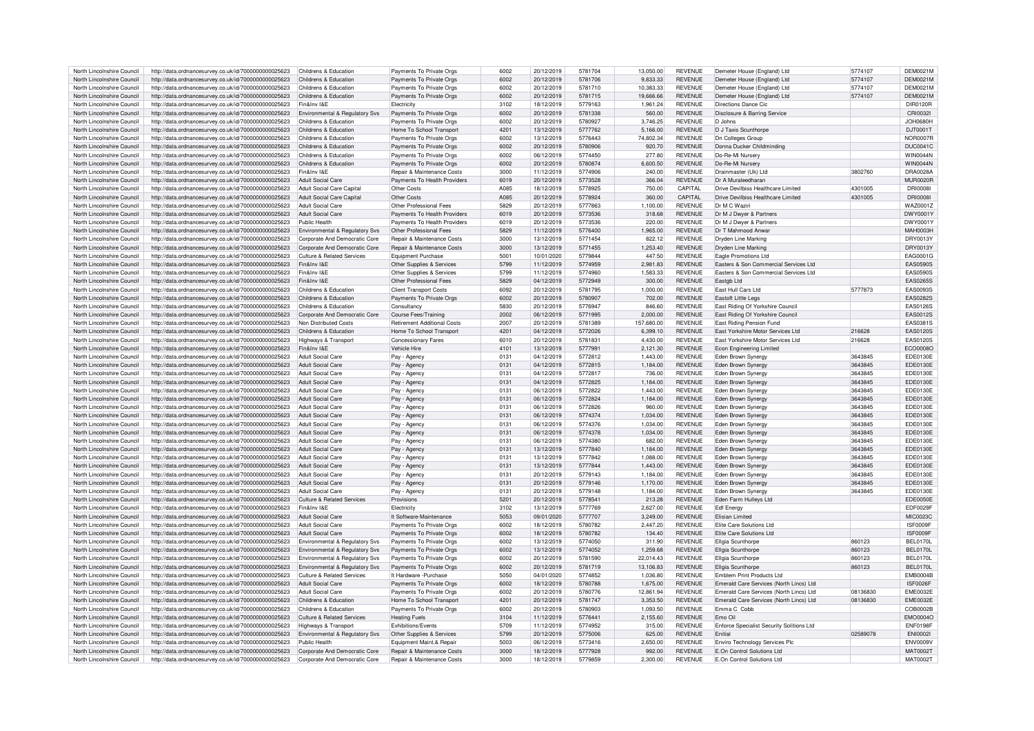| North Lincolnshire Council | http://data.ordnancesurvey.co.uk/id/7000000000025623 | Childrens & Education                      | Payments To Private Oras              | 6002 | 20/12/2019 | 5781704 | 13.050.00  | <b>REVENUE</b> | Demeter House (England) I to              | 5774107  | <b>DEM0021M</b> |
|----------------------------|------------------------------------------------------|--------------------------------------------|---------------------------------------|------|------------|---------|------------|----------------|-------------------------------------------|----------|-----------------|
| North Lincolnshire Council | http://data.ordnancesurvey.co.uk/id/7000000000025623 | Childrens & Education                      | Payments To Private Orgs              | 6002 | 20/12/2019 | 5781706 | 9,833.33   | <b>REVENUE</b> | Demeter House (England) I to              | 5774107  | DEM0021M        |
|                            |                                                      |                                            |                                       |      |            |         |            |                |                                           |          |                 |
| North Lincolnshire Council | http://data.ordnancesurvey.co.uk/id/7000000000025623 | Childrens & Education                      | Payments To Private Orgs              | 6002 | 20/12/2019 | 5781710 | 10,383.33  | <b>REVENUE</b> | Demeter House (England) Ltd               | 5774107  | DEM0021M        |
| North Lincolnshire Council | http://data.ordnancesurvey.co.uk/id/7000000000025623 | Childrens & Education                      | Payments To Private Orgs              | 6002 | 20/12/2019 | 5781715 | 19,666.66  | <b>REVENUE</b> | Demeter House (England) I to              | 5774107  | DEM0021M        |
| North Lincolnshire Council | http://data.ordnancesurvey.co.uk/id/7000000000025623 | Fin&Inv I&F                                | Flectricity                           | 3102 | 18/12/2019 | 5779163 | 1.961.24   | <b>REVENUE</b> | Directions Dance Cic                      |          | DIR0120B        |
| North Lincolnshire Council | http://data.ordnancesurvey.co.uk/id/7000000000025623 | Environmental & Regulatory Sys             | Payments To Private Orgs              | 6002 | 20/12/2019 | 5781338 | 560.00     | <b>REVENUE</b> | Disclosure & Barring Service              |          | CRI0032I        |
| North Lincolnshire Council | http://data.ordnancesurvey.co.uk/id/7000000000025623 | Childrens & Education                      | Payments To Private Orgs              | 6002 | 20/12/2019 | 5780927 | 3.746.25   | <b>REVENUE</b> | D.Johns                                   |          | <b>JOH0680H</b> |
|                            |                                                      | Childrens & Education                      |                                       | 4201 |            | 5777762 |            | <b>REVENUE</b> |                                           |          | DJT0001T        |
| North Lincolnshire Council | http://data.ordnancesurvey.co.uk/id/7000000000025623 |                                            | Home To School Transport              |      | 13/12/2019 |         | 5,166.00   |                | D J Taxis Scunthorpe                      |          |                 |
| North Lincolnshire Council | http://data.ordnancesurvey.co.uk/id/7000000000025623 | Childrens & Education                      | Payments To Private Orgs              | 6002 | 13/12/2019 | 5776443 | 74,802.34  | <b>REVENUE</b> | <b>Dn Colleges Group</b>                  |          | <b>NOR0007R</b> |
| North Lincolnshire Council | http://data.ordnancesurvey.co.uk/id/7000000000025623 | Childrens & Education                      | Payments To Private Orgs              | 6002 | 20/12/2019 | 5780906 | 920.70     | <b>REVENUE</b> | Donna Ducker Childminding                 |          | <b>DUC0041C</b> |
| North Lincolnshire Council | http://data.ordnancesurvey.co.uk/id/7000000000025623 | Childrens & Education                      | Payments To Private Orgs              | 6002 | 06/12/2019 | 5774450 | 277.80     | <b>REVENUE</b> | Do-Re-Mi Nursen                           |          | WIN0044N        |
| North Lincolnshire Council | http://data.ordnancesurvey.co.uk/id/7000000000025623 | Childrens & Education                      | Payments To Private Orgs              | 6002 | 20/12/2019 | 5780874 | 6.600.50   | <b>REVENUE</b> | Do-Re-Mi Nursery                          |          | <b>WIN0044N</b> |
| North Lincolnshire Council |                                                      | Fin&Inv I&F                                | Repair & Maintenance Costs            | 3000 | 11/12/2019 | 5774906 | 240.00     | <b>REVENUE</b> | Drainmaster (Uk) I td                     | 3802760  | <b>DRA0028A</b> |
|                            | http://data.ordnancesurvey.co.uk/id/7000000000025623 |                                            |                                       |      |            |         |            |                |                                           |          |                 |
| North Lincolnshire Council | http://data.ordnancesurvey.co.uk/id/7000000000025623 | <b>Adult Social Care</b>                   | Payments To Health Providers          | 6019 | 20/12/2019 | 5773528 | 366.04     | <b>REVENUE</b> | Dr A Muraleedharar                        |          | <b>MUR0020R</b> |
| North Lincolnshire Council | http://data.ordnancesurvey.co.uk/id/7000000000025623 | Adult Social Care Capital                  | Other Costs                           | A085 | 18/12/2019 | 5778925 | 750.00     | CAPITAL        | Drive Devilbiss Healthcare Limited        | 4301005  | <b>DRI0008</b>  |
| North Lincolnshire Council | http://data.ordnancesurvey.co.uk/id/7000000000025623 | Adult Social Care Capital                  | Other Costs                           | A085 | 20/12/2019 | 5778924 | 360.00     | CAPITAL        | Drive Devilbiss Healthcare Limited        | 4301005  | <b>DRI0008I</b> |
| North Lincolnshire Council | http://data.ordnancesurvey.co.uk/id/7000000000025623 | Adult Social Care                          | Other Professional Fees               | 5829 | 20/12/2019 | 5777863 | 1.100.00   | <b>REVENUE</b> | Dr M C Waziri                             |          | WAZ0001Z        |
| North Lincolnshire Council | http://data.ordnancesurvey.co.uk/id/7000000000025623 | Adult Social Care                          | Payments To Health Providers          | 6019 | 20/12/2019 | 5773536 | 318.68     | <b>REVENUE</b> | Dr M J Dwyer & Partners                   |          | DWY0001\        |
|                            |                                                      | Public Health                              |                                       | 6019 |            |         | 220.00     | <b>REVENUE</b> |                                           |          |                 |
| North Lincolnshire Council | http://data.ordnancesurvey.co.uk/id/7000000000025623 |                                            | Payments To Health Providers          |      | 20/12/2019 | 5773536 |            |                | Dr M J Dwyer & Partners                   |          | DWY0001Y        |
| North Lincolnshire Council | http://data.ordnancesurvey.co.uk/id/7000000000025623 | Environmental & Regulatory Svs             | Other Professional Fees               | 5829 | 11/12/2019 | 5776400 | 1,965.00   | <b>REVENUE</b> | Dr T Mahmood Anwar                        |          | <b>MAH0003H</b> |
| North Lincolnshire Council | http://data.ordnancesurvey.co.uk/id/7000000000025623 | Corporate And Democratic Core              | Repair & Maintenance Costs            | 3000 | 13/12/2019 | 5771454 | 822.12     | <b>REVENUE</b> | Dryden Line Marking                       |          | DRY0013Y        |
| North Lincolnshire Council | http://data.ordnancesurvey.co.uk/id/7000000000025623 | Corporate And Democratic Core              | <b>Renair &amp; Maintenance Costs</b> | 3000 | 13/12/2019 | 5771455 | 1 253 40   | <b>REVENUE</b> | Dryden Line Marking                       |          | DRY0013Y        |
| North Lincolnshire Council | http://data.ordnancesurvey.co.uk/id/7000000000025623 | Culture & Related Services                 | Equipment Purchase                    | 5001 | 10/01/2020 | 5779844 | 447.50     | <b>REVENUE</b> | Eagle Promotions Ltd                      |          | EAG0001G        |
|                            |                                                      |                                            |                                       |      |            |         |            |                |                                           |          |                 |
| North Lincolnshire Council | http://data.ordnancesurvey.co.uk/id/7000000000025623 | Fin&Inv I&E                                | Other Supplies & Services             | 5799 | 11/12/2019 | 5774959 | 2,981.83   | <b>REVENUE</b> | Easters & Son Commercial Services Ltd     |          | <b>EAS0590S</b> |
| North Lincolnshire Council | http://data.ordnancesurvey.co.uk/id/7000000000025623 | Fin&Inv I&F                                | Other Supplies & Services             | 5799 | 11/12/2019 | 5774960 | 1.583.33   | <b>REVENUE</b> | Easters & Son Commercial Services Ltd     |          | <b>EAS0590S</b> |
| North Lincolnshire Council | http://data.ordnancesurvey.co.uk/id/7000000000025623 | Fin&Inv I&F                                | Other Professional Fees               | 5829 | 04/12/2019 | 5772949 | 300.00     | <b>REVENUE</b> | Eastgb Ltd                                |          | <b>EAS0265S</b> |
| North Lincolnshire Council | http://data.ordnancesurvey.co.uk/id/7000000000025623 | Childrens & Education                      | <b>Client Transport Costs</b>         | 6092 | 20/12/2019 | 5781795 | 1.000.00   | <b>REVENUE</b> | East Hull Cars Ltd                        | 5777873  | EAS0093S        |
| North Lincolnshire Council | http://data.ordnancesurvey.co.uk/id/7000000000025623 | Childrens & Education                      | Payments To Private Orgs              | 6002 | 20/12/2019 | 5780907 | 702.00     | <b>REVENUE</b> | Eastoft Little Legs                       |          | EAS0282S        |
|                            |                                                      |                                            |                                       |      |            |         |            |                |                                           |          |                 |
| North Lincolnshire Council | http://data.ordnancesurvey.co.uk/id/7000000000025623 | Childrens & Education                      | Consultancy                           | 5830 | 20/12/2019 | 5776947 | 846.60     | <b>REVENUE</b> | East Riding Of Yorkshire Council          |          | EAS0126S        |
| North Lincolnshire Council | http://data.ordnancesurvey.co.uk/id/7000000000025623 | Corporate And Democratic Core              | <b>Course Fees/Training</b>           | 2002 | 06/12/2019 | 5771995 | 2.000.00   | <b>REVENUE</b> | East Riding Of Yorkshire Council          |          | EAS0012S        |
| North Lincolnshire Council | http://data.ordnancesurvey.co.uk/id/7000000000025623 | Non Distributed Costs                      | <b>Retirement Additional Costs</b>    | 2007 | 20/12/2019 | 5781389 | 157,680.00 | <b>REVENUE</b> | East Riding Pension Fund                  |          | EAS0381S        |
| North Lincolnshire Council | http://data.ordnancesurvey.co.uk/id/7000000000025623 | Childrens & Education                      | Home To School Transport              | 4201 | 04/12/2019 | 5772026 | 6.399.10   | <b>REVENUE</b> | East Yorkshire Motor Services Ltd         | 216628   | EAS0120S        |
| North Lincolnshire Council | http://data.ordnancesurvey.co.uk/id/7000000000025623 | Highways & Transport                       | Concessionary Fares                   | 6010 | 20/12/2019 | 5781831 | 4,430.00   | <b>REVENUE</b> | <b>Fast Yorkshire Motor Services Ltd</b>  | 216628   | <b>EAS0120S</b> |
| North Lincolnshire Council | http://data.ordnancesurvey.co.uk/id/7000000000025623 | Fin&Inv I&F                                | Vehicle Hire                          | 4101 | 13/12/2019 | 5777991 | 2,121.30   | <b>REVENUE</b> | <b>Econ Engineering Limited</b>           |          | ECO0008O        |
|                            |                                                      |                                            |                                       |      |            |         |            |                |                                           |          |                 |
| North Lincolnshire Council | http://data.ordnancesurvey.co.uk/id/7000000000025623 | Adult Social Care                          | Pay - Agency                          | 0131 | 04/12/2019 | 5772812 | 1.443.00   | <b>REVENUE</b> | Eden Brown Synergy                        | 3643845  | EDE0130E        |
| North Lincolnshire Council | http://data.ordnancesurvey.co.uk/id/7000000000025623 | Adult Social Care                          | Pay - Agency                          | 0131 | 04/12/2019 | 5772815 | 1.184.00   | <b>REVENUE</b> | Eden Brown Synergy                        | 3643845  | <b>EDE0130E</b> |
| North Lincolnshire Council | http://data.ordnancesurvey.co.uk/id/7000000000025623 | Adult Social Care                          | Pay - Agency                          | 0131 | 04/12/2019 | 5772817 | 736.00     | <b>REVENUE</b> | Eden Brown Synergy                        | 3643845  | EDE0130E        |
| North Lincolnshire Council | http://data.ordnancesurvey.co.uk/id/7000000000025623 | <b>Adult Social Care</b>                   | Pay - Agency                          | 0131 | 04/12/2019 | 5772825 | 1,184.00   | <b>REVENUE</b> | Eden Brown Synergy                        | 3643845  | EDE0130E        |
| North Lincolnshire Council | http://data.ordnancesurvey.co.uk/id/7000000000025623 | Adult Social Care                          |                                       | 0131 | 06/12/2019 | 5772822 | 1.443.00   | <b>REVENUE</b> | Eden Brown Synergy                        | 3643845  | <b>EDE0130E</b> |
|                            |                                                      |                                            | Pay - Agency                          |      |            |         |            |                |                                           |          |                 |
| North Lincolnshire Council | http://data.ordnancesurvey.co.uk/id/7000000000025623 | <b>Adult Social Care</b>                   | Pay - Agency                          | 0131 | 06/12/2019 | 5772824 | 1,184.00   | <b>REVENUE</b> | Eden Brown Synergy                        | 3643845  | EDE0130E        |
| North Lincolnshire Council | http://data.ordnancesurvey.co.uk/id/7000000000025623 | Adult Social Care                          | Pay - Agency                          | 0131 | 06/12/2019 | 5772826 | 960.00     | <b>REVENUE</b> | <b>Eden Brown Syneray</b>                 | 3643845  | EDE0130E        |
| North Lincolnshire Council | http://data.ordnancesurvey.co.uk/id/7000000000025623 | <b>Adult Social Care</b>                   | Pay - Agency                          | 0131 | 06/12/2019 | 5774374 | 1,034.00   | <b>REVENUE</b> | Eden Brown Synergy                        | 3643845  | <b>EDE0130E</b> |
| North Lincolnshire Council | http://data.ordnancesurvey.co.uk/id/7000000000025623 | Adult Social Care                          | Pay - Agency                          | 0131 | 06/12/2019 | 5774376 | 1,034.00   | <b>REVENUE</b> | Eden Brown Synera                         | 3643845  | EDE0130E        |
| North Lincolnshire Council | http://data.ordnancesurvey.co.uk/id/7000000000025623 | <b>Adult Social Care</b>                   |                                       | 0131 | 06/12/2019 | 5774378 | 1,034.00   | <b>REVENUE</b> | Eden Brown Synera                         | 3643845  | EDE0130E        |
|                            |                                                      |                                            | Pay - Agency                          |      |            |         |            |                |                                           |          |                 |
| North Lincolnshire Council | http://data.ordnancesurvey.co.uk/id/7000000000025623 | <b>Adult Social Care</b>                   | Pay - Agency                          | 0131 | 06/12/2019 | 5774380 | 682.00     | <b>REVENUE</b> | Eden Brown Synergy                        | 3643845  | <b>EDE0130E</b> |
| North Lincolnshire Council | http://data.ordnancesurvey.co.uk/id/7000000000025623 | <b>Adult Social Care</b>                   | Pay - Agency                          | 0131 | 13/12/2019 | 5777840 | 1,184.00   | <b>REVENUE</b> | Fden Brown Synergy                        | 3643845  | EDE0130E        |
| North Lincolnshire Council | http://data.ordnancesurvey.co.uk/id/7000000000025623 | Adult Social Care                          | Pay - Agency                          | 0131 | 13/12/2019 | 5777842 | 1.088.00   | <b>REVENUE</b> | Eden Brown Synergy                        | 3643845  | EDE0130E        |
| North Lincolnshire Council | http://data.ordnancesurvey.co.uk/id/7000000000025623 | Adult Social Care                          | Pay - Agency                          | 0131 | 13/12/2019 | 5777844 | 1.443.00   | <b>REVENUE</b> | Eden Brown Synergy                        | 3643845  | EDE0130E        |
| North Lincolnshire Council | http://data.ordnancesurvey.co.uk/id/7000000000025623 | Adult Social Care                          |                                       | 0131 | 20/12/2019 | 5779143 | 1,184.00   | <b>REVENUE</b> | Eden Brown Synergy                        | 3643845  | EDE0130E        |
|                            |                                                      |                                            | Pay - Agency                          |      |            |         |            |                |                                           |          |                 |
| North Lincolnshire Council | http://data.ordnancesurvey.co.uk/id/7000000000025623 | Adult Social Care                          | Pay - Agency                          | 0131 | 20/12/2019 | 5779146 | 1,170.00   | <b>REVENUE</b> | <b>Eden Brown Synergy</b>                 | 3643845  | FDF0130F        |
| North Lincolnshire Council | http://data.ordnancesurvey.co.uk/id/7000000000025623 | Adult Social Care                          | Pay - Agency                          | 0131 | 20/12/2019 | 5779148 | 1,184.00   | <b>REVENUE</b> | Eden Brown Synergy                        | 3643845  | EDE0130E        |
| North Lincolnshire Council | http://data.ordnancesurvey.co.uk/id/7000000000025623 | Culture & Related Services                 | Provisions                            | 5201 | 20/12/2019 | 5778541 | 213.28     | <b>REVENUE</b> | <b>Eden Farm Hulleys Ltd</b>              |          | <b>EDE0050E</b> |
| North Lincolnshire Council | http://data.ordnancesurvey.co.uk/id/7000000000025623 | Fin&Inv I&F                                | Electricity                           | 3102 | 13/12/2019 | 5777769 | 2.627.00   | <b>REVENUE</b> | <b>Edf</b> Energy                         |          | EDF0029F        |
| North Lincolnshire Council | http://data.ordnancesurvey.co.uk/id/7000000000025623 | <b>Adult Social Care</b>                   | It Software-Maintenance               | 5053 | 09/01/2020 | 5777707 | 3,249.00   | <b>REVENUE</b> | Flisian I imited                          |          | <b>MIC0023C</b> |
| North Lincolnshire Council |                                                      | Adult Social Care                          | Payments To Private Orgs              | 6002 | 18/12/2019 | 5780782 | 2,447.20   | <b>REVENUE</b> | Elite Care Solutions Ltd                  |          | <b>ISF0009</b>  |
|                            | http://data.ordnancesurvey.co.uk/id/7000000000025623 |                                            |                                       |      |            |         |            |                |                                           |          |                 |
| North Lincolnshire Council | http://data.ordnancesurvey.co.uk/id/7000000000025623 | <b>Adult Social Care</b>                   | Payments To Private Orgs              | 6002 | 18/12/2019 | 5780782 | 134.40     | <b>REVENUE</b> | Elite Care Solutions Ltd                  |          | <b>ISF0009F</b> |
| North Lincolnshire Council | http://data.ordnancesurvey.co.uk/id/7000000000025623 | Environmental & Regulatory Sys             | Payments To Private Orgs              | 6002 | 13/12/2019 | 5774050 | 311.90     | <b>REVENUE</b> | Ellgia Scunthorne                         | 860123   | <b>BEL0170L</b> |
| North Lincolnshire Council | http://data.ordnancesurvey.co.uk/id/7000000000025623 | Environmental & Regulatory Svs             | Payments To Private Orgs              | 6002 | 13/12/2019 | 5774052 | 1.259.68   | <b>REVENUE</b> | Ellgia Scunthorpe                         | 860123   | <b>BEL0170L</b> |
| North Lincolnshire Council | http://data.ordnancesurvey.co.uk/id/7000000000025623 | Environmental & Regulatory Svs             | Payments To Private Orgs              | 6002 | 20/12/2019 | 5781590 | 22.014.43  | <b>REVENUE</b> | Ellgia Scunthorpe                         | 860123   | <b>BFI0170L</b> |
| North Lincolnshire Council | http://data.ordnancesurvey.co.uk/id/7000000000025623 | <b>Environmental &amp; Regulatory Svs</b>  | Payments To Private Orgs              | 6002 | 20/12/2019 | 5781719 | 13,106.83  | <b>REVENUE</b> | Ellgia Scunthorpe                         | 860123   | <b>BEL0170L</b> |
|                            |                                                      |                                            |                                       |      |            |         |            |                |                                           |          |                 |
| North Lincolnshire Council | http://data.ordnancesurvey.co.uk/id/7000000000025623 | Culture & Related Services                 | It Hardware - Purchase                | 5050 | 04/01/2020 | 5774852 | 1.036.80   | <b>REVENUE</b> | <b>Emblem Print Products Ltd</b>          |          | <b>EMB0004B</b> |
| North Lincolnshire Council | http://data.ordnancesurvey.co.uk/id/7000000000025623 | Adult Social Care                          | Payments To Private Orgs              | 6002 | 18/12/2019 | 5780788 | 1,675.00   | <b>REVENUE</b> | Emerald Care Services (North Lincs) Ltd   |          | ISF0026F        |
| North Lincolnshire Council | http://data.ordnancesurvey.co.uk/id/7000000000025623 | Adult Social Care                          | Payments To Private Orgs              | 6002 | 20/12/2019 | 5780776 | 12.861.94  | <b>REVENUE</b> | Emerald Care Services (North Lincs) Ltd   | 08136830 | EME0032E        |
| North Lincolnshire Council | http://data.ordnancesurvey.co.uk/id/7000000000025623 | Childrens & Education                      | Home To School Transport              | 4201 | 20/12/2019 | 5781747 | 3,353.50   | <b>REVENUE</b> | Emerald Care Services (North Lincs) Ltd   | 08136830 | <b>EME0032E</b> |
| North Lincolnshire Council | http://data.ordnancesurvey.co.uk/id/7000000000025623 | Childrens & Education                      | Payments To Private Orgs              | 6002 | 20/12/2019 | 5780903 | 1.093.50   | <b>REVENUE</b> | Emma C. Cobb                              |          | COB0002B        |
|                            |                                                      |                                            |                                       |      |            |         |            |                |                                           |          |                 |
| North Lincolnshire Council | http://data.ordnancesurvey.co.uk/id/7000000000025623 | <b>Culture &amp; Related Services</b>      | <b>Heating Fuels</b>                  | 3104 | 11/12/2019 | 5776441 | 2,155.60   | <b>REVENUE</b> | Fmo Oil                                   |          | <b>EMO0004C</b> |
| North Lincolnshire Council | http://data.ordnancesurvey.co.uk/id/7000000000025623 | Highways & Transport                       | Exhibitions/Events                    | 5709 | 11/12/2019 | 5774952 | 315.00     | <b>REVENUE</b> | Enforce Specialist Security Solitions Ltd |          | <b>ENF0198F</b> |
| North Lincolnshire Council | http://data.ordnancesurvey.co.uk/id/7000000000025623 | <b>Environmental &amp; Regulatory Sys.</b> | Other Supplies & Services             | 5799 | 20/12/2019 | 5775006 | 625.00     | <b>REVENUE</b> | Enitial                                   | 02589078 | <b>ENI0002L</b> |
| North Lincolnshire Council | http://data.ordnancesurvey.co.uk/id/7000000000025623 | Public Health                              | Equipment Maint.& Repair              | 5003 | 06/12/2019 | 5773416 | 2,650.00   | <b>REVENUE</b> | <b>Enviro Technology Services Plc</b>     |          | <b>FNV0009V</b> |
| North Lincolnshire Council | http://data.ordnancesurvey.co.uk/id/7000000000025623 | Corporate And Democratic Core              | Repair & Maintenance Costs            | 3000 | 18/12/2019 | 5777928 | 992.00     | <b>REVENUE</b> | E.On Control Solutions Ltd                |          | <b>MAT0002T</b> |
|                            |                                                      |                                            |                                       |      |            |         |            |                |                                           |          |                 |
| North Lincolnshire Council | http://data.ordnancesurvey.co.uk/id/7000000000025623 | Corporate And Democratic Core              | Repair & Maintenance Costs            | 3000 | 18/12/2019 | 5779859 | 2.300.00   | <b>REVENUE</b> | F.On Control Solutions Ltd                |          | <b>MAT0002T</b> |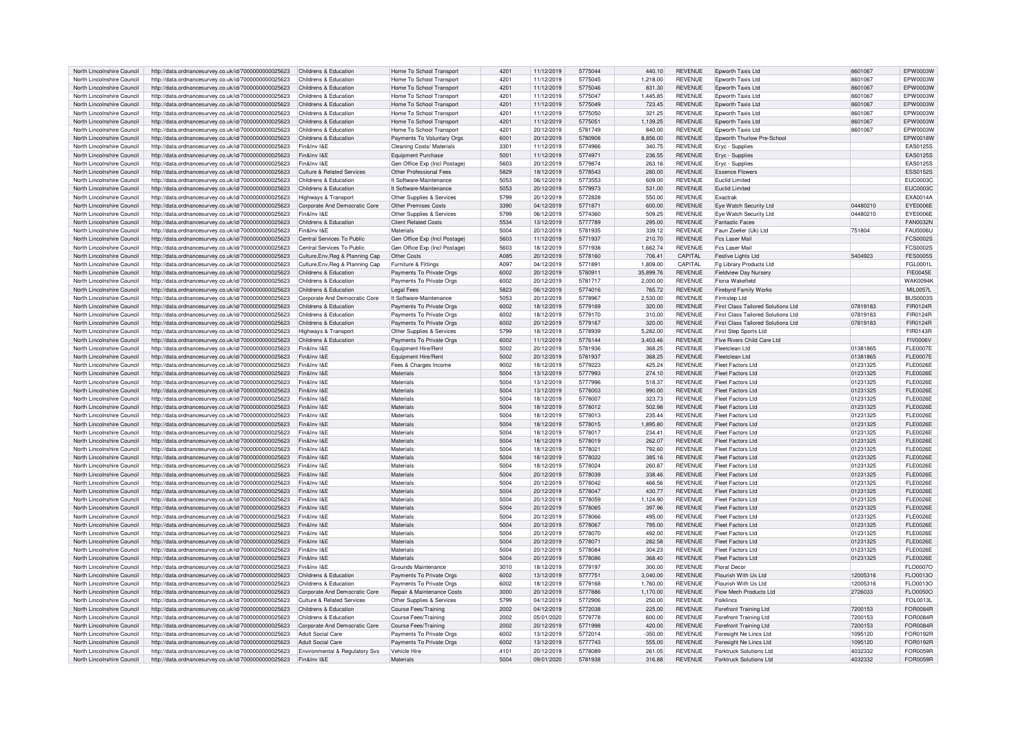| North Lincolnshire Council                               | http://data.ordnancesurvey.co.uk/id/7000000000025623                                                         | Childrens & Education                         | Home To School Transport      | $420^{\circ}$ | 11/12/2019               | 5775044            | 440.10           | <b>REVENUE</b>                   | Epworth Taxis Ltd                                         | 8601067            | EPW0003W             |
|----------------------------------------------------------|--------------------------------------------------------------------------------------------------------------|-----------------------------------------------|-------------------------------|---------------|--------------------------|--------------------|------------------|----------------------------------|-----------------------------------------------------------|--------------------|----------------------|
| North Lincolnshire Council                               | http://data.ordnancesurvey.co.uk/id/7000000000025623                                                         | Childrens & Education                         | Home To School Transport      | 4201          | 11/12/2019               | 5775045            | 1.218.00         | <b>REVENUE</b>                   | Epworth Taxis Ltd                                         | 8601067            | EPW0003W             |
|                                                          |                                                                                                              |                                               |                               |               |                          |                    |                  |                                  |                                                           |                    |                      |
| North Lincolnshire Council                               | http://data.ordnancesurvey.co.uk/id/7000000000025623                                                         | Childrens & Education                         | Home To School Transport      | 4201          | 11/12/2019               | 5775046            | 831.30           | <b>REVENUE</b>                   | Epworth Taxis Ltd                                         | 8601067            | EPW0003W             |
| North Lincolnshire Council                               | http://data.ordnancesurvey.co.uk/id/7000000000025623                                                         | Childrens & Education                         | Home To School Transport      | 4201          | 11/12/2019               | 5775047            | 1,445.85         | <b>REVENUE</b>                   | Foworth Taxis I td                                        | 8601067            | FPW0003W             |
| North Lincolnshire Council                               | http://data.ordnancesurvey.co.uk/id/7000000000025623                                                         | Childrens & Education                         | Home To School Transport      | 4201          | 11/12/2019               | 5775049            | 723.45           | <b>REVENUE</b>                   | Epworth Taxis Ltd                                         | 8601067            | EPW0003W             |
| North Lincolnshire Council                               | http://data.ordnancesurvey.co.uk/id/7000000000025623                                                         | Childrens & Education                         | Home To School Transport      | 4201          | 11/12/2019               | 5775050            | 321.25           | <b>REVENUE</b>                   | Foworth Taxis I td                                        | 8601067            | FPW0003W             |
| North Lincolnshire Council                               | http://data.ordnancesurvey.co.uk/id/7000000000025623                                                         | Childrens & Education                         | Home To School Transport      | 4201          | 11/12/2019               | 5775051            | 1.139.25         | <b>REVENUE</b>                   | Foworth Taxis I td                                        | 8601067            | EPW0003W             |
|                                                          |                                                                                                              |                                               |                               |               |                          |                    |                  |                                  |                                                           |                    |                      |
| North Lincolnshire Council                               | http://data.ordnancesurvey.co.uk/id/7000000000025623                                                         | Childrens & Education                         | Home To School Transport      | 4201          | 20/12/2019               | 5781749            | 840.00           | <b>REVENUE</b>                   | Epworth Taxis Ltd                                         | 8601067            | EPW0003W             |
| North Lincolnshire Council                               | http://data.ordnancesurvey.co.uk/id/7000000000025623                                                         | Childrens & Education                         | Payments To Voluntary Orgs    | 6001          | 20/12/2019               | 5780908            | 8,856.00         | <b>REVENUE</b>                   | Epworth Thurlow Pre-School                                |                    | EPW0018W             |
| North Lincolnshire Council                               | http://data.ordnancesurvey.co.uk/id/7000000000025623                                                         | Fin&Inv I&F                                   | Cleaning Costs/ Materials     | 3301          | 11/12/2019               | 5774966            | 340.75           | <b>REVENUE</b>                   | Eryc - Supplies                                           |                    | EAS0125S             |
| North Lincolnshire Council                               | http://data.ordnancesurvey.co.uk/id/7000000000025623                                                         | Fin&Inv I&F                                   | Equipment Purchase            | 5001          | 11/12/2019               | 5774971            | 236.55           | <b>REVENUE</b>                   | Eryc - Supplies                                           |                    | EAS0125S             |
|                                                          |                                                                                                              |                                               |                               |               |                          |                    |                  |                                  |                                                           |                    |                      |
| North Lincolnshire Council                               | http://data.ordnancesurvey.co.uk/id/7000000000025623                                                         | Fin&Inv I&F                                   | Gen Office Exp (Incl Postage) | 5603          | 20/12/2019               | 5779874            | 263.16           | <b>REVENUE</b>                   | Eryc - Supplies                                           |                    | EAS0125S             |
| North Lincolnshire Council                               | http://data.ordnancesurvey.co.uk/id/7000000000025623                                                         | Culture & Related Services                    | Other Professional Fees       | 5829          | 18/12/2019               | 5778543            | 280.00           | <b>REVENUE</b>                   | <b>Essence Elowers</b>                                    |                    | <b>ESS0152S</b>      |
| North Lincolnshire Council                               | http://data.ordnancesurvey.co.uk/id/7000000000025623                                                         | Childrens & Education                         | It Software-Maintenance       | 5053          | 06/12/2019               | 5773553            | 609.00           | <b>REVENUE</b>                   | Fuclid Limited                                            |                    | <b>EUC0003C</b>      |
| North Lincolnshire Council                               | http://data.ordnancesurvey.co.uk/id/7000000000025623                                                         | Childrens & Education                         | It Software-Maintenance       | 5053          | 20/12/2019               | 5779973            | 531.00           | <b>REVENUE</b>                   | <b>Fuclid Limited</b>                                     |                    | EUC0003C             |
|                                                          |                                                                                                              |                                               |                               |               |                          |                    |                  |                                  |                                                           |                    |                      |
| North Lincolnshire Council                               | http://data.ordnancesurvey.co.uk/id/7000000000025623                                                         | <b>Highways &amp; Transport</b>               | Other Supplies & Services     | 5799          | 20/12/2019               | 5772828            | 550.00           | <b>REVENUE</b>                   | Exactral                                                  |                    | <b>FXA0014A</b>      |
| North Lincolnshire Council                               | http://data.ordnancesurvey.co.uk/id/7000000000025623                                                         | Corporate And Democratic Core                 | Other Premises Costs          | 3390          | 04/12/2019               | 5771871            | 600.00           | <b>REVENUE</b>                   | Eye Watch Security Ltd                                    | 04480210           | EYE0006E             |
| North Lincolnshire Council                               | http://data.ordnancesurvey.co.uk/id/7000000000025623                                                         | Fin&Inv I&E                                   | Other Supplies & Services     | 5799          | 06/12/2019               | 5774360            | 509.25           | <b>REVENUE</b>                   | Eye Watch Security Ltd                                    | 04480210           | <b>EYE0006E</b>      |
| North Lincolnshire Council                               | http://data.ordnancesurvey.co.uk/id/7000000000025623                                                         | Childrens & Education                         | Client Related Costs          | 5534          | 13/12/2019               | 5777789            | 295.00           | <b>REVENUE</b>                   | <b>Fantastic Faces</b>                                    |                    | <b>FAN0032N</b>      |
|                                                          |                                                                                                              |                                               |                               |               |                          |                    |                  |                                  |                                                           |                    |                      |
| North Lincolnshire Council                               | http://data.ordnancesurvey.co.uk/id/7000000000025623                                                         | Fin&Inv I&F                                   | Materials                     | 5004          | 20/12/2019               | 5781935            | 339.12           | <b>REVENUE</b>                   | Faun Zoeller (Uk) Ltd                                     | 751804             | <b>FAU0006U</b>      |
| North Lincolnshire Council                               | http://data.ordnancesurvey.co.uk/id/7000000000025623                                                         | Central Services To Public                    | Gen Office Exp (Incl Postage) | 5603          | 11/12/2019               | 5771937            | 210.70           | <b>REVENUE</b>                   | Fcs Laser Mail                                            |                    | <b>FCS0002S</b>      |
| North Lincolnshire Council                               | http://data.ordnancesurvey.co.uk/id/7000000000025623                                                         | Central Services To Public                    | Gen Office Exp (Incl Postage) | 5603          | 18/12/2019               | 5771938            | 1,662.74         | <b>REVENUE</b>                   | Fes Laser Mail                                            |                    | <b>FCS0002S</b>      |
| North Lincolnshire Council                               | http://data.ordnancesurvey.co.uk/id/7000000000025623                                                         | Culture, Env, Reg & Planning Cap              | Other Costs                   | A085          | 20/12/2019               | 5778160            | 706.41           | CAPITAL                          | <b>Festive Lights Ltd</b>                                 | 5404923            | <b>FES0005S</b>      |
|                                                          |                                                                                                              |                                               |                               |               |                          |                    |                  |                                  |                                                           |                    |                      |
| North Lincolnshire Council                               | http://data.ordnancesurvey.co.uk/id/7000000000025623                                                         | Culture, Env, Reg & Planning Cap              | Furniture & Fittings          | A097          | 04/12/2019               | 5771891            | 1.809.00         | CAPITAL                          | Fg Library Products Ltd                                   |                    | FGL0001L             |
| North Lincolnshire Council                               | http://data.ordnancesurvey.co.uk/id/7000000000025623                                                         | Childrens & Education                         | Payments To Private Orgs      | 6002          | 20/12/2019               | 5780911            | 35,899.76        | <b>REVENUE</b>                   | <b>Fieldview Day Nurser</b>                               |                    | FIF0045F             |
| North Lincolnshire Council                               | http://data.ordnancesurvey.co.uk/id/7000000000025623                                                         | Childrens & Education                         | Payments To Private Orgs      | 6002          | 20/12/2019               | 5781717            | 2,000.00         | <b>REVENUE</b>                   | Fiona Wakefield                                           |                    | <b>WAK0094K</b>      |
| North Lincolnshire Council                               | http://data.ordnancesurvey.co.uk/id/7000000000025623                                                         | Childrens & Education                         | <b>Legal Fees</b>             | 5823          | 06/12/2019               | 5774016            | 765.72           | <b>REVENUE</b>                   | <b>Firebyrd Family Works</b>                              |                    | MII 0057             |
|                                                          |                                                                                                              |                                               |                               |               |                          |                    |                  |                                  |                                                           |                    |                      |
| North Lincolnshire Council                               | http://data.ordnancesurvey.co.uk/id/7000000000025623                                                         | Corporate And Democratic Core                 | It Software-Maintenance       | 5053          | 20/12/2019               | 5778967            | 2.530.00         | <b>REVENUE</b>                   | Firmsten I td                                             |                    | <b>BUS0003S</b>      |
| North Lincolnshire Council                               | http://data.ordnancesurvey.co.uk/id/7000000000025623                                                         | Childrens & Education                         | Payments To Private Orgs      | 6002          | 18/12/2019               | 5779169            | 320.00           | <b>REVENUE</b>                   | First Class Tailored Solutions Ltd                        | 07819183           | FIR0124R             |
| North Lincolnshire Council                               | http://data.ordnancesurvey.co.uk/id/7000000000025623                                                         | Childrens & Education                         | Payments To Private Orgs      | 6002          | 18/12/2019               | 5779170            | 310.00           | <b>REVENUE</b>                   | First Class Tailored Solutions Ltd                        | 07819183           | FIR0124R             |
| North Lincolnshire Council                               | http://data.ordnancesurvey.co.uk/id/7000000000025623                                                         | Childrens & Education                         | Payments To Private Orgs      | 6002          | 20/12/2019               | 5779167            | 320.00           | <b>REVENUE</b>                   | First Class Tailored Solutions Ltd                        | 07819183           | FIR0124R             |
|                                                          |                                                                                                              |                                               |                               |               |                          |                    |                  |                                  |                                                           |                    |                      |
| North Lincolnshire Council                               | http://data.ordnancesurvey.co.uk/id/7000000000025623                                                         | Highways & Transport                          | Other Supplies & Services     | 5799          | 18/12/2019               | 5778939            | 5,282.00         | <b>REVENUE</b>                   | First Step Sports Ltd                                     |                    | FIR0143R             |
| North Lincolnshire Council                               | http://data.ordnancesurvey.co.uk/id/7000000000025623                                                         | Childrens & Education                         | Payments To Private Orgs      | 6002          | 11/12/2019               | 5776144            | 3.403.46         | <b>REVENUE</b>                   | Five Rivers Child Care Ltd                                |                    | <b>FIV0006V</b>      |
| North Lincolnshire Council                               | http://data.ordnancesurvey.co.uk/id/7000000000025623                                                         | Fin&Inv I&F                                   | Equipment Hire/Rent           | 5002          | 20/12/2019               | 5781936            | 368.25           | <b>REVENUE</b>                   | Fleetclean I td                                           | 01381865           | <b>FLE0007E</b>      |
| North Lincolnshire Council                               | http://data.ordnancesurvey.co.uk/id/7000000000025623                                                         | Fin&Inv I&E                                   | Equipment Hire/Rent           | 5002          | 20/12/2019               | 5781937            | 368.25           | <b>REVENUE</b>                   | Fleetclean I td                                           | 01381865           | <b>FLE0007E</b>      |
|                                                          |                                                                                                              | Fin&Inv I&E                                   |                               | 9002          |                          |                    | 425.24           | <b>REVENUE</b>                   | <b>Fleet Factors Ltd</b>                                  |                    | <b>FLE0026E</b>      |
| North Lincolnshire Council                               | http://data.ordnancesurvey.co.uk/id/7000000000025623                                                         |                                               | Fees & Charges Income         |               | 18/12/2019               | 5779223            |                  |                                  |                                                           | 01231325           |                      |
| North Lincolnshire Council                               | http://data.ordnancesurvey.co.uk/id/7000000000025623                                                         | Fin&Inv I&F                                   | Materials                     | 5004          | 13/12/2019               | 5777993            | 274.10           | <b>REVENUE</b>                   | Fleet Factors Ltd                                         | 01231325           | <b>FLE0026E</b>      |
| North Lincolnshire Council                               | http://data.ordnancesurvey.co.uk/id/7000000000025623                                                         | Fin&Inv I&E                                   | Materials                     | 5004          | 13/12/2019               | 5777996            | 518.37           | <b>REVENUE</b>                   | <b>Fleet Factors Ltd</b>                                  | 01231325           | <b>FLE0026E</b>      |
| North Lincolnshire Council                               | http://data.ordnancesurvey.co.uk/id/7000000000025623                                                         | Fin&Inv I&F                                   | Materials                     | 5004          | 13/12/2019               | 5778003            | 990.00           | <b>REVENUE</b>                   | <b>Fleet Factors Ltd</b>                                  | 01231325           | <b>FLE0026E</b>      |
|                                                          |                                                                                                              | Fin&Inv I&F                                   | Materials                     | 5004          |                          | 5778007            |                  | <b>REVENUE</b>                   | Fleet Factors Ltd                                         |                    | <b>FLE0026E</b>      |
| North Lincolnshire Council                               | http://data.ordnancesurvey.co.uk/id/7000000000025623                                                         |                                               |                               |               | 18/12/2019               |                    | 323.73           |                                  |                                                           | 01231325           |                      |
| North Lincolnshire Council                               | http://data.ordnancesurvey.co.uk/id/7000000000025623                                                         | Fin&Inv I&E                                   | Materials                     | 5004          | 18/12/2019               | 5778012            | 502.98           | <b>REVENUE</b>                   | <b>Fleet Factors Ltd</b>                                  | 01231325           | <b>FLE0026E</b>      |
| North Lincolnshire Council                               | http://data.ordnancesurvey.co.uk/id/7000000000025623                                                         | Fin&Inv I&F                                   | Materials                     | 5004          | 18/12/2019               | 5778013            | 235.44           | <b>REVENUE</b>                   | Fleet Factors Ltd                                         | 01231325           | FI F0026F            |
| North Lincolnshire Council                               | http://data.ordnancesurvey.co.uk/id/7000000000025623                                                         | Fin&Inv I&F                                   | Materials                     | 5004          | 18/12/2019               | 5778015            | 1,895.80         | <b>REVENUE</b>                   | <b>Fleet Factors Ltd</b>                                  | 01231325           | <b>FLE0026E</b>      |
| North Lincolnshire Council                               |                                                                                                              | Fin&Inv I&F                                   | Materials                     | 5004          | 18/12/2019               | 5778017            | 234.41           | <b>REVENUE</b>                   | Fleet Factors Ltd                                         |                    | <b>FLE0026E</b>      |
|                                                          | http://data.ordnancesurvey.co.uk/id/7000000000025623                                                         |                                               |                               |               |                          |                    |                  |                                  |                                                           | 01231325           |                      |
| North Lincolnshire Council                               | http://data.ordnancesurvey.co.uk/id/7000000000025623                                                         | Fin&Inv I&E                                   | Materials                     | 5004          | 18/12/2019               | 5778019            | 262.07           | <b>REVENUE</b>                   | <b>Fleet Factors Ltd</b>                                  | 01231325           | <b>FLE0026E</b>      |
| North Lincolnshire Council                               | http://data.ordnancesurvey.co.uk/id/7000000000025623                                                         | Fin&Inv I&F                                   | Materials                     | 5004          | 18/12/2019               | 5778021            | 792.60           | <b>REVENUE</b>                   | <b>Fleet Factors Ltd</b>                                  | 01231325           | <b>FLE0026E</b>      |
| North Lincolnshire Council                               | http://data.ordnancesurvey.co.uk/id/7000000000025623                                                         | Fin&Inv I&F                                   | Materials                     | 5004          | 18/12/2019               | 5778022            | 385.16           | <b>REVENUE</b>                   | Fleet Factors I td                                        | 01231325           | <b>FLE0026E</b>      |
| North Lincolnshire Council                               | http://data.ordnancesurvey.co.uk/id/7000000000025623                                                         | Fin&Inv I&E                                   | Materials                     | 5004          | 18/12/2019               | 5778024            | 260.87           | <b>REVENUE</b>                   | <b>Fleet Factors Ltd</b>                                  | 01231325           | <b>FLE0026E</b>      |
|                                                          |                                                                                                              |                                               |                               |               |                          |                    |                  |                                  |                                                           |                    |                      |
| North Lincolnshire Council                               | http://data.ordnancesurvey.co.uk/id/7000000000025623                                                         | Fin&Inv I&F                                   | Materials                     |               |                          |                    |                  |                                  |                                                           |                    |                      |
| North Lincolnshire Council                               |                                                                                                              |                                               |                               | 5004          | 20/12/2019               | 5778039            | 338.46           | <b>REVENUE</b>                   | Fleet Factors Ltd                                         | 01231325           | FL F0026F            |
| North Lincolnshire Council                               | http://data.ordnancesurvey.co.uk/id/7000000000025623                                                         | Fin&Inv I&F                                   | Materials                     | 5004          | 20/12/2019               | 5778042            | 466.56           | <b>REVENUE</b>                   | Fleet Factors Ltd                                         | 01231325           | <b>FLE0026E</b>      |
|                                                          | http://data.ordnancesurvey.co.uk/id/7000000000025623                                                         | Fin&Inv I&F                                   | Materials                     | 5004          | 20/12/2019               | 5778047            | 430.77           | <b>REVENUE</b>                   | Fleet Factors I td                                        | 01231325           | <b>FLE0026E</b>      |
|                                                          |                                                                                                              |                                               |                               |               |                          |                    |                  |                                  |                                                           |                    |                      |
| North Lincolnshire Council                               | http://data.ordnancesurvey.co.uk/id/7000000000025623                                                         | Fin&Inv I&F                                   | Materials                     | 5004          | 20/12/2019               | 5778059            | 1,124.90         | <b>REVENUE</b>                   | Fleet Factors Ltd                                         | 01231325           | <b>FLE0026E</b>      |
| North Lincolnshire Council                               | http://data.ordnancesurvey.co.uk/id/7000000000025623                                                         | Fin&Inv I&F                                   | Materials                     | 5004          | 20/12/2019               | 5778065            | 397.96           | <b>REVENUE</b>                   | <b>Fleet Factors Ltd</b>                                  | 01231325           | <b>FLE0026E</b>      |
| North Lincolnshire Council                               | http://data.ordnancesurvey.co.uk/id/7000000000025623                                                         | Fin&Inv I&F                                   | Materials                     | 5004          | 20/12/2019               | 5778066            | 495.00           | <b>REVENUE</b>                   | Fleet Factors Ltd                                         | 01231325           | <b>FLE0026E</b>      |
| North Lincolnshire Council                               | http://data.ordnancesurvey.co.uk/id/7000000000025623                                                         | Fin&Inv I&F                                   | Materials                     | 5004          | 20/12/2019               | 5778067            | 795.00           | <b>REVENUE</b>                   | Fleet Factors Ltd                                         | 01231325           | <b>FLE0026E</b>      |
| North Lincolnshire Council                               |                                                                                                              | Fin&Inv I&E                                   | Materials                     |               |                          | 5778070            | 492.00           | <b>REVENUE</b>                   | <b>Fleet Factors Ltd</b>                                  | 01231325           |                      |
|                                                          | http://data.ordnancesurvey.co.uk/id/7000000000025623                                                         |                                               |                               | 5004          | 20/12/2019               |                    |                  |                                  |                                                           |                    | <b>FLE0026E</b>      |
| North Lincolnshire Council                               | http://data.ordnancesurvey.co.uk/id/7000000000025623                                                         | Fin&Inv I&F                                   | Materials                     | 5004          | 20/12/2019               | 5778071            | 282.58           | <b>REVENUE</b>                   | Fleet Factors Ltd                                         | 01231325           | <b>FLE0026E</b>      |
| North Lincolnshire Council                               | http://data.ordnancesurvey.co.uk/id/7000000000025623                                                         | Fin&Inv I&F                                   | Materials                     | 5004          | 20/12/2019               | 5778084            | 304.23           | <b>REVENUE</b>                   | Fleet Factors Ltd                                         | 01231325           | <b>FLE0026E</b>      |
| North Lincolnshire Council                               | http://data.ordnancesurvey.co.uk/id/7000000000025623                                                         | Fin&Inv I&E                                   | Materials                     | 5004          | 20/12/2019               | 5778086            | 368.40           | <b>REVENUE</b>                   | <b>Fleet Factors Ltd</b>                                  | 01231325           | <b>FLE0026E</b>      |
| North Lincolnshire Council                               |                                                                                                              | Fin&Inv I&F                                   | Grounds Maintenance           | 3010          |                          | 5779197            | 300.00           | <b>REVENUE</b>                   | <b>Floral Decor</b>                                       |                    | FLO0007O             |
|                                                          | http://data.ordnancesurvey.co.uk/id/7000000000025623                                                         |                                               |                               |               | 18/12/2019               |                    |                  |                                  |                                                           |                    |                      |
| North Lincolnshire Council                               | http://data.ordnancesurvey.co.uk/id/7000000000025623                                                         | Childrens & Education                         | Payments To Private Orgs      | 6002          | 13/12/2019               | 5777751            | 3,040.00         | <b>REVENUE</b>                   | Flourish With Us I to                                     | 12005316           | FLO0013O             |
| North Lincolnshire Council                               | http://data.ordnancesurvey.co.uk/id/7000000000025623                                                         | Childrens & Education                         | Payments To Private Orgs      | 6002          | 18/12/2019               | 5779168            | 1.760.00         | <b>REVENUE</b>                   | Flourish With Us Ltd                                      | 12005316           | FLO0013O             |
| North Lincolnshire Council                               | http://data.ordnancesurvey.co.uk/id/7000000000025623                                                         | Corporate And Democratic Core                 | Repair & Maintenance Costs    | 3000          | 20/12/2019               | 5777886            | 1,170.00         | <b>REVENUE</b>                   | Flow Mech Products Ltd                                    | 2726033            | FLO0050O             |
| North Lincolnshire Council                               | http://data.ordnancesurvey.co.uk/id/7000000000025623                                                         | Culture & Related Services                    | Other Supplies & Services     | 5799          | 04/12/2019               | 5772906            | 250.00           | <b>REVENUE</b>                   | Folklincs                                                 |                    | FOL0013L             |
|                                                          |                                                                                                              |                                               |                               |               |                          |                    |                  |                                  |                                                           |                    |                      |
| North Lincolnshire Council                               | http://data.ordnancesurvey.co.uk/id/7000000000025623                                                         | Childrens & Education                         | Course Fees/Training          | 2002          | 04/12/2019               | 5772038            | 225.00           | <b>REVENUE</b>                   | <b>Forefront Training Ltd</b>                             | 7200153            | <b>FOR0084R</b>      |
| North Lincolnshire Council                               | http://data.ordnancesurvey.co.uk/id/7000000000025623                                                         | Childrens & Education                         | Course Fees/Training          | 2002          | 05/01/2020               | 5779778            | 600.00           | <b>REVENUE</b>                   | <b>Forefront Training Ltd</b>                             | 7200153            | FOR0084R             |
| North Lincolnshire Council                               | http://data.ordnancesurvey.co.uk/id/7000000000025623                                                         | Corporate And Democratic Core                 | Course Fees/Training          | 2002          | 20/12/2019               | 5771998            | 420.00           | <b>REVENUE</b>                   | Forefront Training Ltd                                    | 7200153            | FOR0084R             |
| North Lincolnshire Council                               | http://data.ordnancesurvey.co.uk/id/7000000000025623                                                         | <b>Adult Social Care</b>                      | Payments To Private Orgs      | 6002          | 13/12/2019               | 5772014            | $-350.00$        | <b>REVENUE</b>                   | Foresight Ne Lincs Ltd                                    | 1095120            | FOR0192F             |
| North Lincolnshire Council                               |                                                                                                              | Adult Social Care                             |                               | 6002          | 13/12/2019               |                    | 555.00           |                                  |                                                           |                    |                      |
|                                                          | http://data.ordnancesurvey.co.uk/id/7000000000025623                                                         |                                               | Payments To Private Orgs      |               |                          | 5777743            |                  | <b>REVENUE</b>                   | Foresight Ne Lincs Ltd                                    | 1095120            | FOR0192R             |
| North Lincolnshire Council<br>North Lincolnshire Council | http://data.ordnancesurvey.co.uk/id/7000000000025623<br>http://data.ordnancesurvey.co.uk/id/7000000000025623 | Environmental & Regulatory Svs<br>Fin&Inv I&E | Vehicle Hire<br>Materials     | 4101<br>5004  | 20/12/2019<br>09/01/2020 | 5778089<br>5781938 | 261.05<br>316.88 | <b>REVENUE</b><br><b>REVENUE</b> | Forktruck Solutions Ltd<br><b>Forktruck Solutions Ltd</b> | 4032332<br>4032332 | FOR0059R<br>FOR0059R |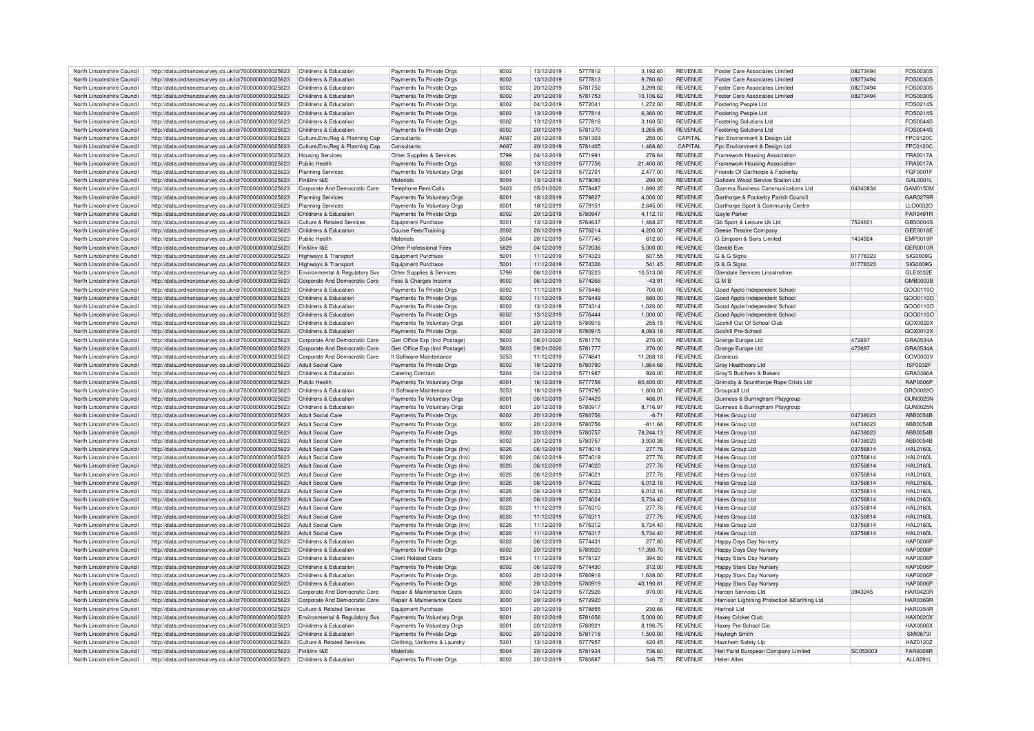| North Lincolnshire Council |                                                                            | Childrens & Education                      | Payments To Private Orgs              | 6002        | 13/12/2019 | 5777812 | 3.192.60  | <b>REVENUE</b> | Enster Care Associates Limited               | 08273494 | <b>EOS0030S</b> |
|----------------------------|----------------------------------------------------------------------------|--------------------------------------------|---------------------------------------|-------------|------------|---------|-----------|----------------|----------------------------------------------|----------|-----------------|
|                            | http://data.ordnancesurvey.co.uk/id/7000000000025623                       |                                            |                                       |             |            |         |           |                |                                              |          |                 |
| North Lincolnshire Council | http://data.ordnancesurvey.co.uk/id/7000000000025623                       | Childrens & Education                      | Payments To Private Orgs              | 6002        | 13/12/2019 | 5777813 | 9,780.60  | <b>REVENUE</b> | <b>Foster Care Associates Limited</b>        | 08273494 | <b>EOS0030S</b> |
| North Lincolnshire Council | http://data.ordnancesurvey.co.uk/id/7000000000025623                       | Childrens & Education                      | Payments To Private Orgs              | 6002        | 20/12/2019 | 5781752 | 3.299.02  | <b>REVENUE</b> | <b>Foster Care Associates Limited</b>        | 08273494 | FOS0030S        |
| North Lincolnshire Council | http://data.ordnancesurvey.co.uk/id/7000000000025623                       | Childrens & Education                      | Payments To Private Orgs              | 6002        | 20/12/2019 | 5781753 | 10,106.62 | <b>REVENUE</b> | Foster Care Associates Limited               | 08273494 | FOS0030S        |
| North Lincolnshire Council | http://data.ordnancesurvey.co.uk/id/7000000000025623                       | Childrens & Education                      | Payments To Private Orgs              | 6002        | 04/12/2019 | 5772041 | 1.272.00  | <b>REVENUE</b> | Fostering People Ltd                         |          | FOS0214S        |
| North Lincolnshire Council | http://data.ordnancesurvey.co.uk/id/7000000000025623                       | Childrens & Education                      | Payments To Private Orgs              | 6002        | 13/12/2019 | 5777814 | 6,360.00  | <b>REVENUE</b> | Fostering People Ltd                         |          | <b>EOS0214S</b> |
|                            |                                                                            |                                            |                                       |             |            |         |           |                |                                              |          |                 |
| North Lincolnshire Council | http://data.ordnancesurvey.co.uk/id/7000000000025623                       | Childrens & Education                      | Payments To Private Orgs              | 6002        | 13/12/2019 | 5777816 | 3,160.50  | <b>REVENUE</b> | <b>Fostering Solutions Ltd</b>               |          | <b>FOS0044S</b> |
| North Lincolnshire Council | http://data.ordnancesurvey.co.uk/id/7000000000025623                       | Childrens & Education                      | Payments To Private Orgs              | 6002        | 20/12/2019 | 5781370 | 3,265.85  | <b>REVENUE</b> | <b>Fostering Solutions Ltd</b>               |          | FOS0044S        |
| North Lincolnshire Council | http://data.ordnancesurvey.co.uk/id/7000000000025623                       | Culture, Env, Reg & Planning Cap           | Consultants                           | A087        | 20/12/2019 | 5781303 | 250.00    | CAPITAI        | Fpc Environment & Design Ltd                 |          | FPC0120C        |
| North Lincolnshire Council | http://data.ordnancesurvey.co.uk/id/7000000000025623                       | Culture, Env, Reg & Planning Cap           | Consultants                           | A087        | 20/12/2019 | 5781405 | 1,468.60  | CAPITAL        | Fpc Environment & Design Ltd                 |          | <b>FPC0120C</b> |
| North Lincolnshire Council | http://data.ordnancesurvey.co.uk/id/7000000000025623                       | <b>Housing Services</b>                    | Other Supplies & Services             | 5799        | 04/12/2019 | 5771991 | 276.64    | <b>REVENUE</b> | Framework Housing Association                |          | <b>FRA0017A</b> |
|                            |                                                                            |                                            |                                       |             |            |         |           |                |                                              |          |                 |
| North Lincolnshire Council | http://data.ordnancesurvey.co.uk/id/7000000000025623                       | Public Health                              | Payments To Private Orgs              | 6002        | 13/12/2019 | 5777756 | 21,400.00 | <b>REVENUE</b> | Framework Housing Association                |          | <b>FRA0017A</b> |
| North Lincolnshire Council | http://data.ordnancesurvey.co.uk/id/7000000000025623                       | <b>Planning Services</b>                   | Payments To Voluntary Orgs            | 6001        | 04/12/2019 | 5772701 | 2,477.00  | <b>REVENUE</b> | Friends Of Garthorpe & Fockerby              |          | FGF0001F        |
| North Lincolnshire Council | http://data.ordnancesurvey.co.uk/id/7000000000025623                       | Fin&Inv I&F                                | Materials                             | 5004        | 13/12/2019 | 5778093 | 290.00    | <b>REVENUE</b> | Gallows Wood Service Station Ltd             |          | GAI 0001L       |
| North Lincolnshire Council | http://data.ordnancesurvey.co.uk/id/7000000000025623                       | Corporate And Democratic Core              | Telephone Rent/Calls                  | 5403        | 05/01/2020 | 5778487 | 1,690.35  | <b>REVENUE</b> | Gamma Business Communications Ltd            | 04340834 | GAM0150M        |
| North Lincolnshire Council |                                                                            | <b>Planning Services</b>                   |                                       | 6001        | 18/12/2019 | 5779827 | 4.000.00  | <b>REVENUE</b> | Garthorne & Fockerby Parish Council          |          | GAR0279R        |
|                            | http://data.ordnancesurvey.co.uk/id/7000000000025623                       |                                            | Payments To Voluntary Orgs            |             |            |         |           |                |                                              |          |                 |
| North Lincolnshire Council | http://data.ordnancesurvey.co.uk/id/7000000000025623                       | <b>Planning Services</b>                   | Payments To Voluntary Orgs            | 6001        | 18/12/2019 | 5779151 | 2.645.00  | <b>REVENUE</b> | Garthorpe Sport & Community Centre           |          | LLO0032O        |
| North Lincolnshire Council | http://data.ordnancesurvey.co.uk/id/7000000000025623                       | Childrens & Education                      | Payments To Private Orgs              | 6002        | 20/12/2019 | 5780947 | 4,112.10  | <b>REVENUE</b> | Gayle Parker                                 |          | PAR0491R        |
| North Lincolnshire Council | http://data.ordnancesurvey.co.uk/id/7000000000025623                       | <b>Culture &amp; Related Services</b>      | Equipment Purchase                    | 5001        | 13/12/2019 | 5764637 | 1,468.27  | <b>REVENUE</b> | Gb Sport & Leisure Uk Ltd                    | 752460   | GBS0004S        |
| North Lincolnshire Council | http://data.ordnancesurvey.co.uk/id/7000000000025623                       | Childrens & Education                      | Course Fees/Training                  | 2002        | 20/12/2019 | 5776214 | 4.200.00  | <b>REVENUE</b> | Geese Theatre Company                        |          | GEE0018E        |
|                            |                                                                            |                                            |                                       |             |            |         |           |                |                                              |          |                 |
| North Lincolnshire Council | http://data.ordnancesurvey.co.uk/id/7000000000025623                       | Public Health                              | Materials                             | 5004        | 20/12/2019 | 5777745 | 612.60    | <b>REVENUE</b> | G Empson & Sons Limited                      | 1434924  | <b>EMP0019P</b> |
| North Lincolnshire Council | http://data.ordnancesurvey.co.uk/id/7000000000025623                       | Fin&Inv I&F                                | Other Professional Fees               | 5829        | 04/12/2019 | 5772036 | 5.000.00  | <b>REVENUE</b> | Gerald Eve                                   |          | GER0010R        |
| North Lincolnshire Council | http://data.ordnancesurvey.co.uk/id/7000000000025623                       | Highways & Transport                       | Equipment Purchase                    | 5001        | 11/12/2019 | 5774323 | 607.55    | <b>REVENUE</b> | G & G Signs                                  | 01778323 | SIG0009G        |
| North Lincolnshire Council | http://data.ordnancesurvey.co.uk/id/7000000000025623                       | <b>Highways &amp; Transport</b>            | <b>Foujoment Purchase</b>             | 5001        | 11/12/2019 | 5774326 | 541.45    | <b>REVENUE</b> | G & G Signs                                  | 01778323 | SIG0009G        |
| North Lincolnshire Council | http://data.ordnancesurvey.co.uk/id/7000000000025623                       | Environmental & Regulatory Svs             | Other Supplies & Services             | 5799        | 06/12/2019 | 5773223 | 10,513.08 | <b>REVENUE</b> | Glendale Services Lincolnshire               |          | GI F0032F       |
|                            |                                                                            |                                            |                                       |             |            |         |           |                |                                              |          |                 |
| North Lincolnshire Council | http://data.ordnancesurvey.co.uk/id/7000000000025623                       | Corporate And Democratic Core              | Fees & Charges Income                 | 9002        | 06/12/2019 | 5774266 | $-43.91$  | <b>REVENUE</b> | <b>GMB</b>                                   |          | GMB0003B        |
| North Lincolnshire Council | http://data.ordnancesurvey.co.uk/id/7000000000025623                       | Childrens & Education                      | Payments To Private Orgs              | 6002        | 11/12/2019 | 5776446 | 700.00    | <b>REVENUE</b> | Good Apple Independent School                |          | GOO0110C        |
| North Lincolnshire Council | http://data.ordnancesurvey.co.uk/id/7000000000025623                       | Childrens & Education                      | Payments To Private Orgs              | 6002        | 11/12/2019 | 5776449 | 680.00    | <b>REVENUE</b> | Good Apple Independent School                |          | GOO0110C        |
| North Lincolnshire Council | http://data.ordnancesurvey.co.uk/id/7000000000025623                       | Childrens & Education                      | Payments To Private Orgs              | 6002        | 13/12/2019 | 5774314 | 1,020.00  | <b>REVENUE</b> | Good Apple Independent School                |          | GOO0110C        |
| North Lincolnshire Council |                                                                            | Childrens & Education                      |                                       | 6002        |            | 5776444 |           | <b>REVENUE</b> |                                              |          |                 |
|                            | http://data.ordnancesurvey.co.uk/id/7000000000025623                       |                                            | Payments To Private Orgs              |             | 13/12/2019 |         | 1,000.00  |                | Good Apple Independent School                |          | GOO0110C        |
| North Lincolnshire Council | http://data.ordnancesurvey.co.uk/id/7000000000025623                       | Childrens & Education                      | Payments To Voluntary Orgs            | 6001        | 20/12/2019 | 5780916 | 255.15    | <b>REVENUE</b> | Goxhill Out Of School Club                   |          | GOX0020X        |
| North Lincolnshire Council | http://data.ordnancesurvey.co.uk/id/7000000000025623                       | Childrens & Education                      | Payments To Private Orgs              | 6002        | 20/12/2019 | 5780915 | 8,093.18  | <b>REVENUE</b> | Goxhill Pre-School                           |          | GOX0012X        |
| North Lincolnshire Council | http://data.ordnancesurvey.co.uk/id/7000000000025623                       | Corporate And Democratic Core              | Gen Office Exp (Incl Postage)         | 5603        | 08/01/2020 | 5781776 | 270.00    | <b>REVENUE</b> | Grange Europe Ltd                            | 472697   | GRA0534A        |
| North Lincolnshire Council | http://data.ordnancesurvey.co.uk/id/7000000000025623                       | Corporate And Democratic Core              | Gen Office Exp (Incl Postage)         | 5603        | 09/01/2020 | 5781777 | 270.00    | <b>REVENUE</b> | Grange Europe Ltd                            | 472697   | GRA0534A        |
|                            |                                                                            |                                            |                                       |             |            |         |           |                |                                              |          |                 |
| North Lincolnshire Council | http://data.ordnancesurvey.co.uk/id/7000000000025623                       | Corporate And Democratic Core              | It Software-Maintenance               | 5053        | 11/12/2019 | 577484  | 11,268.18 | <b>REVENUE</b> | Granicus                                     |          | GOV0003         |
| North Lincolnshire Council | http://data.ordnancesurvey.co.uk/id/7000000000025623                       | <b>Adult Social Care</b>                   | Payments To Private Orgs              | 6002        | 18/12/2019 | 5780790 | 1.864.68  | <b>REVENUE</b> | Grav Healthcare Ltd                          |          | ISF0032F        |
| North Lincolnshire Council | http://data.ordnancesurvey.co.uk/id/7000000000025623                       | Childrens & Education                      | Catering Contract                     | 5204        | 04/12/2019 | 5771987 | 920.00    | <b>REVENUE</b> | Gray'S Butchers & Bakers                     |          | GRA0366A        |
| North Lincolnshire Council | http://data.ordnancesurvey.co.uk/id/7000000000025623                       | Public Health                              | Payments To Voluntary Orgs            | 6001        | 16/12/2019 | 5777758 | 60,400.00 | <b>REVENUE</b> | Grimsby & Scunthorpe Rape Crisis Ltd         |          | <b>RAP0006P</b> |
| North Lincolnshire Council |                                                                            | Childrens & Education                      | It Software-Maintenance               | 5053        |            | 5779795 |           | <b>REVENUE</b> | Groupcall I to                               |          | GRO0022C        |
|                            | http://data.ordnancesurvey.co.uk/id/7000000000025623                       |                                            |                                       |             | 18/12/2019 |         | 1,600.00  |                |                                              |          |                 |
| North Lincolnshire Council | http://data.ordnancesurvey.co.uk/id/7000000000025623                       | Childrens & Education                      | Payments To Voluntary Orgs            | 6001        | 06/12/2019 | 5774429 | 486.01    | <b>REVENUE</b> | Gunness & Burringham Playgroup               |          | <b>GUN0025N</b> |
| North Lincolnshire Council | http://data.ordnancesurvey.co.uk/id/7000000000025623                       | Childrens & Education                      | Payments To Voluntary Oras            | 6001        | 20/12/2019 | 5780917 | 8.716.97  | <b>REVENUE</b> | Gunness & Burringham Playgroup               |          | <b>GUN0025N</b> |
| North Lincolnshire Council | http://data.ordnancesurvey.co.uk/id/7000000000025623                       | Adult Social Care                          | Payments To Private Orgs              | 6002        | 20/12/2019 | 5780756 | $-6.71$   | <b>REVENUE</b> | Hales Group I td                             | 04738023 | ABB0054B        |
| North Lincolnshire Council | http://data.ordnancesurvey.co.uk/id/7000000000025623                       | <b>Adult Social Care</b>                   | Payments To Private Orgs              | 5002        | 20/12/2019 | 5780756 | $-811.66$ | <b>REVENUE</b> | Hales Group Ltd                              | 04738023 | ARR0054R        |
|                            |                                                                            |                                            |                                       |             |            |         |           |                |                                              |          |                 |
| North Lincolnshire Council | http://data.ordnancesurvey.co.uk/id/7000000000025623                       | <b>Adult Social Care</b>                   | Payments To Private Orgs              | 6002        | 20/12/2019 | 5780757 | 78,244.13 | <b>REVENUE</b> | Hales Group Ltd                              | 04738023 | ABB0054B        |
| North Lincolnshire Council | http://data.ordnancesurvey.co.uk/id/7000000000025623                       | <b>Adult Social Care</b>                   | Payments To Private Orgs              | 6002        | 20/12/2019 | 5780757 | 3.930.38  | <b>REVENUE</b> | Hales Group Ltd                              | 04738023 | ABB0054B        |
| North Lincolnshire Council | http://data.ordnancesurvey.co.uk/id/7000000000025623                       | <b>Adult Social Care</b>                   | Payments To Private Orgs (Inv)        | 6026        | 06/12/2019 | 5774018 | 277.76    | <b>REVENUE</b> | Hales Group Ltd                              | 03756814 | <b>HAL0160L</b> |
| North Lincolnshire Council | http://data.ordnancesurvey.co.uk/id/7000000000025623                       | <b>Adult Social Care</b>                   | Payments To Private Orgs (Inv)        | 6026        | 06/12/2019 | 5774019 | 277.76    | <b>REVENUE</b> | Hales Group Ltd                              | 03756814 | <b>HAL0160L</b> |
| North Lincolnshire Council |                                                                            | <b>Adult Social Care</b>                   |                                       | 6026        | 06/12/2019 | 5774020 | 277.76    | <b>REVENUE</b> | Hales Group Ltd                              | 03756814 | <b>HAL0160L</b> |
|                            | http://data.ordnancesurvey.co.uk/id/7000000000025623                       |                                            | Payments To Private Orgs (Inv)        |             |            |         |           |                |                                              |          |                 |
| North Lincolnshire Council | http://data.ordnancesurvey.co.uk/id/7000000000025623                       | Adult Social Care                          | Payments To Private Orgs (Inv)        | 6026        | 06/12/2019 | 5774021 | 277.76    | <b>REVENUE</b> | Hales Group Ltd                              | 03756814 | HAI 0160L       |
| North Lincolnshire Council | http://data.ordnancesurvey.co.uk/id/7000000000025623                       | Adult Social Care                          | Payments To Private Orgs (Inv)        | 6026        | 06/12/2019 | 5774022 | 6,012.16  | <b>REVENUE</b> | Hales Group Ltd                              | 03756814 | <b>HAL0160L</b> |
| North Lincolnshire Council | http://data.ordnancesurvey.co.uk/id/7000000000025623                       | Adult Social Care                          | Payments To Private Orgs (Inv)        | 6026        | 06/12/2019 | 5774023 | 6.012.16  | <b>REVENUE</b> | Hales Group Ltd                              | 03756814 | HAI 0160L       |
| North Lincolnshire Council | http://data.ordnancesurvey.co.uk/id/7000000000025623                       | Adult Social Care                          | Payments To Private Orgs (Inv)        | 6026        | 06/12/2019 | 5774024 | 5.734.40  | <b>REVENUE</b> | Hales Group Ltd                              | 03756814 | <b>HAL0160L</b> |
| North Lincolnshire Council | http://data.ordnancesurvey.co.uk/id/7000000000025623                       | <b>Adult Social Care</b>                   | Payments To Private Orgs (Inv)        | 6026        | 11/12/2019 | 5776310 | 277.76    | <b>REVENUE</b> | Hales Group Ltd                              | 03756814 | <b>HAL0160L</b> |
|                            |                                                                            |                                            |                                       |             |            |         |           |                |                                              |          |                 |
| North Lincolnshire Council | http://data.ordnancesurvey.co.uk/id/7000000000025623                       | <b>Adult Social Care</b>                   | Payments To Private Orgs (Inv)        | 6026        | 11/12/2019 | 5776311 | 277.76    | <b>REVENUE</b> | Hales Group Ltd                              | 03756814 | <b>HAL0160L</b> |
| North Lincolnshire Council | http://data.ordnancesurvey.co.uk/id/7000000000025623                       | <b>Adult Social Care</b>                   | Payments To Private Orgs (Inv)        | 6026        | 11/12/2019 | 5776312 | 5,734.40  | <b>REVENUE</b> | Hales Group Ltd                              | 03756814 | <b>HAL0160L</b> |
| North Lincolnshire Council | http://data.ordnancesurvey.co.uk/id/7000000000025623                       | <b>Adult Social Care</b>                   | Payments To Private Orgs (Inv)        | 6026        | 11/12/2019 | 5776317 | 5,734.40  | <b>REVENUE</b> | Hales Group Ltd                              | 03756814 | <b>HAL0160</b>  |
| North Lincolnshire Council | http://data.ordnancesurvey.co.uk/id/7000000000025623                       | Childrens & Education                      | Payments To Private Orgs              | 6002        | 06/12/2019 | 5774431 | 277.80    | <b>REVENUE</b> | Happy Days Day Nursery                       |          | <b>HAP0008P</b> |
| North Lincolnshire Council |                                                                            | Childrens & Education                      | Payments To Private Orgs              | 6002        | 20/12/2019 | 5780920 | 17,390.70 | <b>REVENUE</b> |                                              |          | <b>HAP0008P</b> |
|                            | http://data.ordnancesurvey.co.uk/id/7000000000025623                       |                                            |                                       |             |            |         |           |                | Happy Days Day Nursery                       |          |                 |
| North Lincolnshire Council | http://data.ordnancesurvey.co.uk/id/7000000000025623                       | Childrens & Education                      | <b>Client Related Costs</b>           | 5534        | 11/12/2019 | 5776127 | 394.50    | <b>REVENUE</b> | Happy Stars Day Nursery                      |          | <b>HAP0006P</b> |
| North Lincolnshire Council | http://data.ordnancesurvey.co.uk/id/7000000000025623                       | Childrens & Education                      | Payments To Private Orgs              | 6002        | 06/12/2019 | 5774430 | 312.00    | <b>REVENUE</b> | Happy Stars Day Nurser                       |          | <b>HAP0006P</b> |
| North Lincolnshire Council | http://data.ordnancesurvey.co.uk/id/7000000000025623                       | Childrens & Education                      | Payments To Private Orgs              | 6002        | 20/12/2019 | 5780918 | 1,638.00  | <b>REVENUE</b> | Happy Stars Day Nursen                       |          | <b>HAP0006P</b> |
| North Lincolnshire Council | http://data.ordnancesurvey.co.uk/id/7000000000025623                       | Childrens & Education                      | Payments To Private Orgs              | 6002        | 20/12/2019 | 5780919 | 40,190.81 | <b>REVENUE</b> | Happy Stars Day Nursery                      |          | <b>HAP0006P</b> |
| North Lincolnshire Council |                                                                            | Corporate And Democratic Core              | <b>Benair &amp; Maintenance Costs</b> | 3000        | 04/12/2019 | 5772926 | 970.00    | <b>REVENUE</b> |                                              | 3943245  | <b>HAR0420R</b> |
|                            | http://data.ordnancesurvey.co.uk/id/7000000000025623                       |                                            |                                       |             |            |         |           |                | Harcon Services Ltd                          |          |                 |
| North Lincolnshire Council | http://data.ordnancesurvey.co.uk/id/7000000000025623                       | Corporate And Democratic Core              | <b>Repair &amp; Maintenance Costs</b> | 3000        | 20/12/2019 | 5772920 | $\Omega$  | <b>REVENUE</b> | Harrison Lightning Protection & Earthing Ltd |          | <b>HAR0369R</b> |
| North Lincolnshire Council | http://data.ordnancesurvey.co.uk/id/7000000000025623                       | <b>Culture &amp; Related Services</b>      | <b>Equipment Purchase</b>             | 5001        | 20/12/2019 | 5778855 | 230.66    | <b>REVENUE</b> | Hartnoll Ltd                                 |          | <b>HAR0354R</b> |
| North Lincolnshire Council | http://data.ordnancesurvey.co.uk/id/7000000000025623                       | <b>Environmental &amp; Regulatory Sys.</b> | Payments To Voluntary Orgs            | 6001        | 20/12/2019 | 5781656 | 5.000.00  | <b>REVENUE</b> | Haxey Cricket Club                           |          | <b>HAX0020X</b> |
| North Lincolnshire Council | http://data.ordnancesurvey.co.uk/id/7000000000025623                       | Childrens & Education                      | Payments To Voluntary Orgs            | 600         | 20/12/2019 | 578092  | 8.196.75  | <b>REVENUE</b> | Haxey Pre-School Cio                         |          | <b>HAX0008X</b> |
| North Lincolnshire Council | http://data.ordnancesurvey.co.uk/id/7000000000025623                       | Childrens & Education                      | Payments To Private Orgs              | <b>6002</b> | 20/12/2019 | 5781718 | 1.500.00  | <b>REVENUE</b> | <b>Hayleigh Smith</b>                        |          | SMI06731        |
|                            |                                                                            |                                            |                                       |             |            |         |           |                |                                              |          |                 |
| North Lincolnshire Council | http://data.ordnancesurvey.co.uk/id/7000000000025623                       | Culture & Related Services                 | Clothing, Uniforms & Laundry          | 5301        | 13/12/2019 | 577795  | 420.45    | <b>REVENUE</b> | Hazchem Safety Llp                           |          | HAZ0120Z        |
| North Lincolnshire Council | http://data.ordnancesurvey.co.uk/id/7000000000025623                       | Fin&Inv I&F                                | Materials                             | 5004        | 20/12/2019 | 5781934 | 736.60    | <b>REVENUE</b> | Heil Farid European Company Limited          | SC053003 | <b>FAR0008R</b> |
| North Lincolnshire Council | http://data.ordnancesurvey.co.uk/id/7000000000025623 Childrens & Education |                                            | Payments To Private Orgs              | 6002        | 20/12/2019 | 5780887 | 546.75    | REVENUE        | Helen Allen                                  |          | ALL0291L        |
|                            |                                                                            |                                            |                                       |             |            |         |           |                |                                              |          |                 |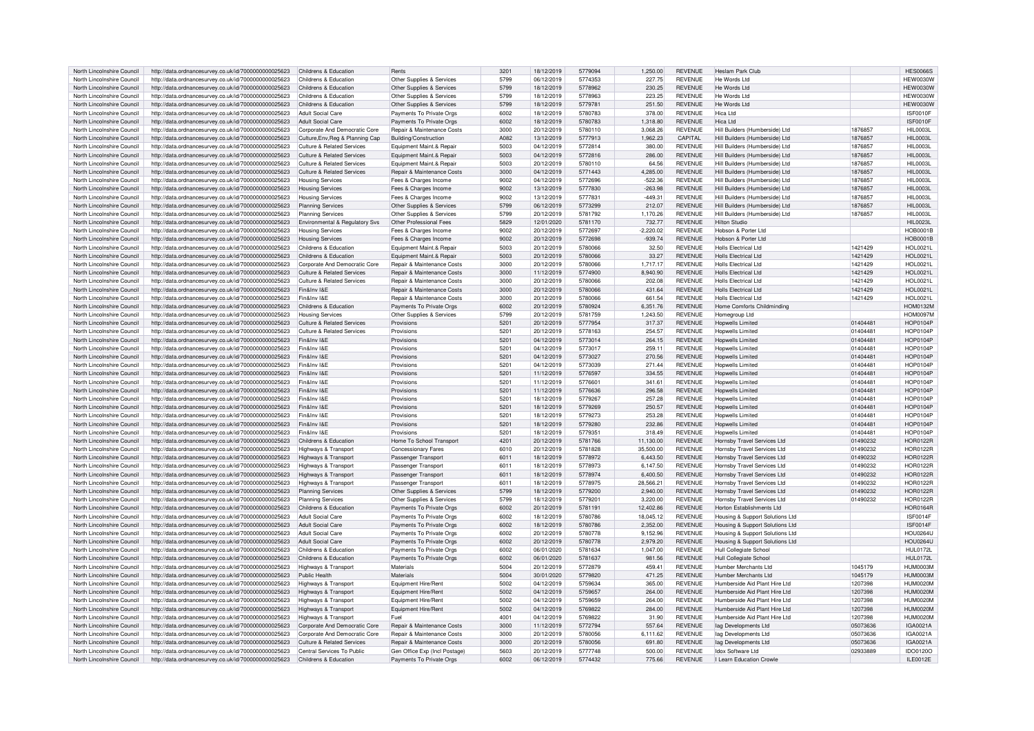| North Lincolnshire Council | http://data.ordnancesurvey.co.uk/id/7000000000025623 | Childrens & Education                 | Rents                         | 320 <sup>°</sup> | 18/12/2019 | 5779094 | 1.250.00    | <b>REVENUE</b> | Heslam Park Club                   |          | <b>HES0066S</b>  |
|----------------------------|------------------------------------------------------|---------------------------------------|-------------------------------|------------------|------------|---------|-------------|----------------|------------------------------------|----------|------------------|
| North Lincolnshire Council | http://data.ordnancesurvey.co.uk/id/7000000000025623 | Childrens & Education                 | Other Supplies & Services     | 5799             | 06/12/2019 | 5774353 | 227.75      | <b>REVENUE</b> | He Words Ltd                       |          | <b>HEW0030W</b>  |
| North Lincolnshire Council | http://data.ordnancesurvey.co.uk/id/7000000000025623 | Childrens & Education                 | Other Supplies & Services     | 5799             | 18/12/2019 | 5778962 | 230.25      | <b>REVENUE</b> | He Words Ltd                       |          | <b>HEW0030W</b>  |
| North Lincolnshire Council | http://data.ordnancesurvey.co.uk/id/7000000000025623 | Childrens & Education                 | Other Supplies & Services     | 5799             | 18/12/2019 | 5778963 | 223.25      | <b>REVENUE</b> | He Words Ltd                       |          | <b>HEW0030W</b>  |
| North Lincolnshire Council | http://data.ordnancesurvey.co.uk/id/7000000000025623 | Childrens & Education                 | Other Supplies & Services     | 5799             | 18/12/2019 | 5779781 | 251.50      | <b>REVENUE</b> | He Words Ltd                       |          | <b>HEW0030W</b>  |
| North Lincolnshire Council | http://data.ordnancesurvey.co.uk/id/7000000000025623 | <b>Adult Social Care</b>              | Payments To Private Orgs      | 6002             | 18/12/2019 | 5780783 | 378.00      | <b>REVENUE</b> | Hica Ltd                           |          | ISF0010F         |
| North Lincolnshire Council | http://data.ordnancesurvey.co.uk/id/7000000000025623 | <b>Adult Social Care</b>              | Payments To Private Orgs      | 6002             | 18/12/2019 | 5780783 | 1.318.80    | <b>REVENUE</b> | Hica I td                          |          | ISF0010F         |
|                            |                                                      |                                       |                               | 3000             | 20/12/2019 | 5780110 | 3.068.26    | <b>REVENUE</b> |                                    | 1876857  | <b>HII 0003I</b> |
| North Lincolnshire Council | http://data.ordnancesurvey.co.uk/id/7000000000025623 | Corporate And Democratic Core         | Repair & Maintenance Costs    |                  |            |         |             |                | Hill Builders (Humberside) Ltd     |          |                  |
| North Lincolnshire Council | http://data.ordnancesurvey.co.uk/id/7000000000025623 | Culture, Env. Reg & Planning Cap      | Building/Construction         | A082             | 13/12/2019 | 5777913 | 1.962.23    | CAPITAL        | Hill Builders (Humberside) Ltd     | 1876857  | <b>HIL0003L</b>  |
| North Lincolnshire Council | http://data.ordnancesurvey.co.uk/id/7000000000025623 | <b>Culture &amp; Related Services</b> | Equipment Maint.& Repair      | 5003             | 04/12/2019 | 5772814 | 380.00      | <b>REVENUE</b> | Hill Builders (Humberside) Ltd     | 1876857  | <b>HII 0003I</b> |
| North Lincolnshire Council | http://data.ordnancesurvey.co.uk/id/7000000000025623 | Culture & Related Services            | Equipment Maint.& Repair      | 5003             | 04/12/2019 | 5772816 | 286.00      | <b>REVENUE</b> | Hill Builders (Humberside) Ltd     | 1876857  | <b>HIL0003L</b>  |
| North Lincolnshire Council | http://data.ordnancesurvey.co.uk/id/7000000000025623 | Culture & Related Services            | Equipment Maint.& Repair      | 5003             | 20/12/2019 | 5780110 | 64.56       | <b>REVENUE</b> | Hill Builders (Humberside) Ltd     | 1876857  | <b>HIL0003L</b>  |
| North Lincolnshire Council | http://data.ordnancesurvey.co.uk/id/7000000000025623 | Culture & Related Services            | Repair & Maintenance Costs    | 3000             | 04/12/2019 | 5771443 | 4,285.00    | <b>REVENUE</b> | Hill Builders (Humberside) Ltd     | 1876857  | <b>HII 0003I</b> |
| North Lincolnshire Council | http://data.ordnancesurvey.co.uk/id/7000000000025623 | <b>Housing Services</b>               | Fees & Charges Income         | 9002             | 04/12/2019 | 5772696 | $-522.36$   | <b>REVENUE</b> | Hill Builders (Humberside) Ltd     | 1876857  | <b>HIL0003L</b>  |
| North Lincolnshire Council | http://data.ordnancesurvey.co.uk/id/7000000000025623 | <b>Housing Services</b>               | Fees & Charges Income         | 9002             | 13/12/2019 | 5777830 | $-263.98$   | <b>REVENUE</b> | Hill Builders (Humberside) Ltd     | 1876857  | <b>HIL0003L</b>  |
| North Lincolnshire Council | http://data.ordnancesurvey.co.uk/id/7000000000025623 | <b>Housing Services</b>               | Fees & Charges Income         | 9002             | 13/12/2019 | 5777831 | $-449.31$   | <b>REVENUE</b> | Hill Builders (Humberside) I td    | 1876857  | <b>HIL0003L</b>  |
| North Lincolnshire Council | http://data.ordnancesurvey.co.uk/id/7000000000025623 | <b>Planning Services</b>              | Other Supplies & Services     | 5799             | 06/12/2019 | 5773299 | 212.07      | <b>REVENUE</b> | Hill Builders (Humberside) Ltd     | 1876857  | <b>HIL0003L</b>  |
| North Lincolnshire Council | http://data.ordnancesurvey.co.uk/id/7000000000025623 | <b>Planning Services</b>              | Other Supplies & Services     | 5799             | 20/12/2019 | 5781792 | 1,170.26    | <b>REVENUE</b> | Hill Builders (Humberside) I td    | 1876857  | <b>HII 0003I</b> |
| North Lincolnshire Council | http://data.ordnancesurvey.co.uk/id/7000000000025623 | Environmental & Regulatory Svs        | Other Professional Fees       | 5829             | 12/01/2020 | 5781170 | 732.77      | <b>REVENUE</b> | <b>Hilton Studio</b>               |          | <b>HIL0023L</b>  |
| North Lincolnshire Council | http://data.ordnancesurvey.co.uk/id/7000000000025623 | <b>Housing Services</b>               | Fees & Charges Income         | 9002             | 20/12/2019 | 5772697 | $-2.220.02$ | <b>REVENUE</b> | Hobson & Porter Ltd                |          | <b>HOB0001B</b>  |
| North Lincolnshire Council |                                                      |                                       |                               | 9002             |            | 5772698 | $-939.74$   | <b>REVENUE</b> | Hobson & Porter Ltd                |          | <b>HOB0001B</b>  |
|                            | http://data.ordnancesurvey.co.uk/id/7000000000025623 | <b>Housing Services</b>               | Fees & Charges Income         |                  | 20/12/2019 |         |             |                |                                    |          |                  |
| North Lincolnshire Council | http://data.ordnancesurvey.co.uk/id/7000000000025623 | Childrens & Education                 | Equipment Maint.& Repair      | 5003             | 20/12/2019 | 5780066 | 32.50       | <b>REVENUE</b> | Holls Flectrical Ltd               | 1421429  | HOL0021L         |
| North Lincolnshire Council | http://data.ordnancesurvey.co.uk/id/7000000000025623 | Childrens & Education                 | Equipment Maint.& Repair      | 5003             | 20/12/2019 | 5780066 | 33.27       | <b>REVENUE</b> | Holls Flectrical Ltd               | 1421429  | HOL0021L         |
| North Lincolnshire Council | http://data.ordnancesurvey.co.uk/id/7000000000025623 | Corporate And Democratic Core         | Repair & Maintenance Costs    | 3000             | 20/12/2019 | 5780066 | 1.717.17    | <b>REVENUE</b> | <b>Holls Electrical Ltd</b>        | 1421429  | HOL0021L         |
| North Lincolnshire Council | http://data.ordnancesurvey.co.uk/id/7000000000025623 | Culture & Related Services            | Repair & Maintenance Costs    | 3000             | 11/12/2019 | 5774900 | 8.940.90    | <b>REVENUE</b> | Holls Electrical Ltd               | 1421429  | <b>HOL0021L</b>  |
| North Lincolnshire Council | http://data.ordnancesurvey.co.uk/id/7000000000025623 | <b>Culture &amp; Related Services</b> | Repair & Maintenance Costs    | 3000             | 20/12/2019 | 5780066 | 202.08      | <b>REVENUE</b> | Holls Flectrical Ltd               | 1421429  | HOL0021L         |
| North Lincolnshire Council | http://data.ordnancesurvey.co.uk/id/7000000000025623 | Fin&Inv I&F                           | Repair & Maintenance Costs    | 3000             | 20/12/2019 | 5780066 | 431.64      | <b>REVENUE</b> | Holls Flectrical Ltd               | 1421429  | <b>HOL0021L</b>  |
| North Lincolnshire Council | http://data.ordnancesurvey.co.uk/id/7000000000025623 | Fin&Inv I&F                           | Repair & Maintenance Costs    | 3000             | 20/12/2019 | 5780066 | 661.54      | <b>REVENUE</b> | Holls Flectrical Ltd               | 1421429  | <b>HOL0021L</b>  |
| North Lincolnshire Council | http://data.ordnancesurvey.co.uk/id/7000000000025623 | Childrens & Education                 | Payments To Private Orgs      | 6002             | 20/12/2019 | 5780924 | 6.351.76    | <b>REVENUE</b> | Home Comforts Childminding         |          | <b>HOM0132M</b>  |
| North Lincolnshire Council | http://data.ordnancesurvey.co.uk/id/7000000000025623 | <b>Housing Services</b>               | Other Supplies & Services     | 5799             | 20/12/2019 | 5781759 | 1.243.50    | <b>REVENUE</b> | Homegroup Ltd                      |          | <b>HOM0097M</b>  |
| North Lincolnshire Council | http://data.ordnancesurvey.co.uk/id/7000000000025623 | <b>Culture &amp; Related Services</b> | Provisions                    | 520              | 20/12/2019 | 5777954 | 317.37      | <b>REVENUE</b> | <b>Hopwells Limited</b>            | 01404481 | <b>HOP0104P</b>  |
| North Lincolnshire Council | http://data.ordnancesurvey.co.uk/id/7000000000025623 | Culture & Related Services            | Provisions                    | 5201             | 20/12/2019 | 5778163 | 254.57      | <b>REVENUE</b> | <b>Hopwells Limited</b>            | 01404481 | HOP0104P         |
| North Lincolnshire Council | http://data.ordnancesurvey.co.uk/id/7000000000025623 | Fin&Inv I&F                           | Provisions                    | 520 <sup>1</sup> | 04/12/2019 | 5773014 | 264.15      | <b>REVENUE</b> | <b>Hopwells Limited</b>            | 01404481 | HOP0104P         |
|                            |                                                      | Fin&Inv I&F                           |                               |                  |            |         |             |                |                                    |          |                  |
| North Lincolnshire Council | http://data.ordnancesurvey.co.uk/id/7000000000025623 |                                       | Provisions                    | 5201             | 04/12/2019 | 5773017 | 259.11      | <b>REVENUE</b> | Hopwells Limited                   | 01404481 | <b>HOP0104P</b>  |
| North Lincolnshire Council | http://data.ordnancesurvey.co.uk/id/7000000000025623 | Fin&Inv I&F                           | Provisions                    | 5201             | 04/12/2019 | 5773027 | 270.56      | <b>REVENUE</b> | <b>Hopwells Limited</b>            | 01404481 | <b>HOP0104P</b>  |
| North Lincolnshire Council | http://data.ordnancesurvey.co.uk/id/7000000000025623 | Fin&Inv I&F                           | Provisions                    | 5201             | 04/12/2019 | 5773039 | 271.44      | <b>REVENUE</b> | <b>Hopwells Limited</b>            | 01404481 | <b>HOP0104R</b>  |
| North Lincolnshire Council | http://data.ordnancesurvey.co.uk/id/7000000000025623 | Fin&Inv I&E                           | Provisions                    | 5201             | 11/12/2019 | 5776597 | 334.55      | <b>REVENUE</b> | <b>Hopwells Limited</b>            | 01404481 | <b>HOP0104P</b>  |
| North Lincolnshire Council | http://data.ordnancesurvey.co.uk/id/7000000000025623 | Fin&Inv I&F                           | Provisions                    | 5201             | 11/12/2019 | 5776601 | 341.61      | <b>REVENUE</b> | Honwells I imited                  | 01404481 | <b>HOP0104F</b>  |
| North Lincolnshire Council | http://data.ordnancesurvey.co.uk/id/7000000000025623 | Fin&Inv I&E                           | Provisions                    | 5201             | 11/12/2019 | 5776636 | 296.58      | <b>REVENUE</b> | <b>Hopwells Limited</b>            | 01404481 | <b>HOP0104P</b>  |
| North Lincolnshire Council | http://data.ordnancesurvey.co.uk/id/7000000000025623 | Fin&Inv I&F                           | Provisions                    | 5201             | 18/12/2019 | 5779267 | 257.28      | <b>REVENUE</b> | Honwells I imited                  | 01404481 | <b>HOP0104P</b>  |
| North Lincolnshire Council | http://data.ordnancesurvey.co.uk/id/7000000000025623 | Fin&Inv I&F                           | Provisions                    | 520              | 18/12/2019 | 5779269 | 250.57      | <b>REVENUE</b> | Honwells I imited                  | 01404481 | <b>HOP0104P</b>  |
| North Lincolnshire Council | http://data.ordnancesurvey.co.uk/id/7000000000025623 | Fin&Inv I&F                           | Provisions                    | 5201             | 18/12/2019 | 5779273 | 253.28      | <b>REVENUE</b> | <b>Hopwells Limited</b>            | 01404481 | HOP0104P         |
| North Lincolnshire Council | http://data.ordnancesurvey.co.uk/id/7000000000025623 | Fin&Inv I&F                           | Provisions                    | 520 <sup>1</sup> | 18/12/2019 | 5779280 | 232.86      | <b>REVENUE</b> | Honwells I imited                  | 01404481 | <b>HOP0104P</b>  |
| North Lincolnshire Council | http://data.ordnancesurvey.co.uk/id/7000000000025623 | Fin&Inv I&F                           | Provisions                    | 5201             | 18/12/2019 | 5779351 | 318.49      | <b>REVENUE</b> | Honwells I imited                  | 01404481 | <b>HOP0104P</b>  |
| North Lincolnshire Council | http://data.ordnancesurvey.co.uk/id/7000000000025623 | Childrens & Education                 | Home To School Transport      | 4201             | 20/12/2019 | 5781766 | 11,130.00   | <b>REVENUE</b> | Hornsby Travel Services Ltd        | 01490232 | <b>HOR0122R</b>  |
|                            |                                                      |                                       |                               |                  |            |         |             |                |                                    |          |                  |
| North Lincolnshire Council | http://data.ordnancesurvey.co.uk/id/7000000000025623 | Highways & Transport                  | Concessionary Fares           | 6010             | 20/12/2019 | 5781828 | 35,500.00   | <b>REVENUE</b> | Hornsby Travel Services Ltd        | 01490232 | <b>HOR0122R</b>  |
| North Lincolnshire Council | http://data.ordnancesurvey.co.uk/id/7000000000025623 | Highways & Transport                  | Passenger Transport           | 6011             | 18/12/2019 | 5778972 | 6,443.50    | <b>REVENUE</b> | Hornsby Travel Services Ltd        | 01490232 | <b>HOR0122R</b>  |
| North Lincolnshire Council | http://data.ordnancesurvey.co.uk/id/7000000000025623 | <b>Highways &amp; Transport</b>       | Passenger Transport           | 6011             | 18/12/2019 | 5778973 | 6,147.50    | <b>REVENUE</b> | Hornsby Travel Services Ltd        | 01490232 | <b>HOR0122R</b>  |
| North Lincolnshire Council | http://data.ordnancesurvey.co.uk/id/7000000000025623 | <b>Highways &amp; Transport</b>       | Passenger Transport           | 6011             | 18/12/2019 | 5778974 | 6.400.50    | <b>REVENUE</b> | Hornsby Travel Services Ltd        | 01490232 | <b>HOR0122R</b>  |
| North Lincolnshire Council | http://data.ordnancesurvey.co.uk/id/7000000000025623 | Highways & Transport                  | Passenger Transport           | 6011             | 18/12/2019 | 5778975 | 28.566.21   | <b>REVENUE</b> | Hornsby Travel Services Ltd        | 01490232 | <b>HOR0122R</b>  |
| North Lincolnshire Council | http://data.ordnancesurvey.co.uk/id/7000000000025623 | <b>Planning Services</b>              | Other Supplies & Services     | 5799             | 18/12/2019 | 5779200 | 2,940.00    | <b>REVENUE</b> | Hornsby Travel Services Ltd        | 01490232 | <b>HOR0122R</b>  |
| North Lincolnshire Council | http://data.ordnancesurvey.co.uk/id/7000000000025623 | <b>Planning Services</b>              | Other Supplies & Services     | 5799             | 18/12/2019 | 5779201 | 3.220.00    | <b>REVENUE</b> | <b>Hornsby Travel Services Ltd</b> | 01490232 | <b>HOR0122R</b>  |
| North Lincolnshire Council | http://data.ordnancesurvey.co.uk/id/7000000000025623 | Childrens & Education                 | Payments To Private Orgs      | 6002             | 20/12/2019 | 5781191 | 12,402.86   | <b>REVENUE</b> | Horton Establishments I td         |          | <b>HOR0164F</b>  |
| North Lincolnshire Council | http://data.ordnancesurvey.co.uk/id/7000000000025623 | Adult Social Care                     | Payments To Private Orgs      | 6002             | 18/12/2019 | 5780786 | 18.045.12   | <b>REVENUE</b> | Housing & Support Solutions Ltd    |          | ISF0014F         |
| North Lincolnshire Council | http://data.ordnancesurvey.co.uk/id/7000000000025623 | <b>Adult Social Care</b>              | Payments To Private Orgs      | 6002             | 18/12/2019 | 5780786 | 2,352.00    | <b>REVENUE</b> | Housing & Support Solutions Ltd    |          | ISF0014F         |
| North Lincolnshire Council | http://data.ordnancesurvey.co.uk/id/7000000000025623 | <b>Adult Social Care</b>              | Payments To Private Orgs      | 6002             | 20/12/2019 | 5780778 | 9,152.96    | <b>REVENUE</b> | Housing & Support Solutions Ltd    |          | <b>HOU0264L</b>  |
| North Lincolnshire Council | http://data.ordnancesurvey.co.uk/id/7000000000025623 | <b>Adult Social Care</b>              | Payments To Private Orgs      | 6002             | 20/12/2019 | 5780778 | 2,979.20    | <b>REVENUE</b> | Housing & Support Solutions Ltd    |          | <b>HOU0264L</b>  |
| North Lincolnshire Council | http://data.ordnancesurvey.co.uk/id/7000000000025623 | Childrens & Education                 | Payments To Private Orgs      | 6002             | 06/01/2020 | 5781634 | 1.047.00    | <b>REVENUE</b> | <b>Hull Collegiate School</b>      |          | HUL0172L         |
| North Lincolnshire Council |                                                      | Childrens & Education                 | Payments To Private Orgs      | 6002             | 06/01/2020 | 5781637 | 981.56      | <b>REVENUE</b> | Hull Collegiate School             |          | <b>HUL0172L</b>  |
|                            | http://data.ordnancesurvey.co.uk/id/7000000000025623 |                                       |                               |                  |            |         |             |                |                                    |          |                  |
| North Lincolnshire Council | http://data.ordnancesurvey.co.uk/id/7000000000025623 | Highways & Transpor                   | Materials                     | 5004             | 20/12/2019 | 5772879 | 459.41      | <b>REVENUE</b> | <b>Humber Merchants Ltd</b>        | 1045179  | <b>HUM0003M</b>  |
| North Lincolnshire Council | http://data.ordnancesurvey.co.uk/id/7000000000025623 | Public Health                         | Materials                     | 5004             | 30/01/2020 | 5779820 | 471.25      | <b>REVENUE</b> | Humber Merchants I td              | 1045179  | <b>HUM0003M</b>  |
| North Lincolnshire Council | http://data.ordnancesurvey.co.uk/id/7000000000025623 | Highways & Transport                  | Equipment Hire/Rent           | 5002             | 04/12/2019 | 5759634 | 365.00      | <b>REVENUE</b> | Humberside Aid Plant Hire Ltd      | 1207398  | <b>HUM0020M</b>  |
| North Lincolnshire Council | http://data.ordnancesurvey.co.uk/id/7000000000025623 | <b>Highways &amp; Transport</b>       | Equipment Hire/Rent           | 5002             | 04/12/2019 | 5759657 | 264.00      | <b>REVENUE</b> | Humberside Aid Plant Hire I to     | 1207398  | <b>HUM0020M</b>  |
| North Lincolnshire Council | http://data.ordnancesurvey.co.uk/id/7000000000025623 | <b>Highways &amp; Transport</b>       | Equipment Hire/Rent           | 5002             | 04/12/2019 | 5759659 | 264.00      | <b>REVENUE</b> | Humberside Aid Plant Hire Ltd      | 1207398  | <b>HUM0020M</b>  |
| North Lincolnshire Council | http://data.ordnancesurvey.co.uk/id/7000000000025623 | Highways & Transport                  | Equipment Hire/Rent           | 5002             | 04/12/2019 | 5769822 | 284.00      | <b>REVENUE</b> | Humberside Aid Plant Hire I td     | 1207398  | <b>HUM0020M</b>  |
| North Lincolnshire Council | http://data.ordnancesurvey.co.uk/id/7000000000025623 | Highways & Transport                  | Fuel                          | 400              | 04/12/2019 | 5769822 | 31.90       | <b>REVENUE</b> | Humberside Aid Plant Hire Ltd      | 1207398  | <b>HUM0020M</b>  |
| North Lincolnshire Council | http://data.ordnancesurvey.co.uk/id/7000000000025623 | Corporate And Democratic Core         | Repair & Maintenance Costs    | 3000             | 11/12/2019 | 5772794 | 557.64      | <b>REVENUE</b> | lag Developments Ltd               | 05073636 | IGA0021A         |
| North Lincolnshire Council | http://data.ordnancesurvey.co.uk/id/7000000000025623 | Corporate And Democratic Core         | Repair & Maintenance Costs    | 3000             | 20/12/2019 | 5780056 | 6.111.62    | <b>REVENUE</b> | <b>Jag Developments Ltd</b>        | 05073636 | IGA0021/         |
| North Lincolnshire Council | http://data.ordnancesurvey.co.uk/id/7000000000025623 | Culture & Related Services            | Repair & Maintenance Costs    | 3000             | 20/12/2019 | 5780056 | 691.80      | <b>REVENUE</b> | lag Developments Ltd               | 05073636 | <b>IGA0021A</b>  |
| North Lincolnshire Council | http://data.ordnancesurvey.co.uk/id/7000000000025623 | Central Services To Public            | Gen Office Exp (Incl Postage) | 5603             | 20/12/2019 | 5777748 | 500.00      | <b>REVENUE</b> | Idox Software Ltd                  | 02933889 | IDO0120O         |
| North Lincolnshire Council | http://data.ordnancesurvey.co.uk/id/7000000000025623 | Childrens & Education                 | Payments To Private Orgs      | 6002             | 06/12/2019 | 5774432 | 775.66      | <b>REVENUE</b> | I Learn Education Crowle           |          | ILE0012E         |
|                            |                                                      |                                       |                               |                  |            |         |             |                |                                    |          |                  |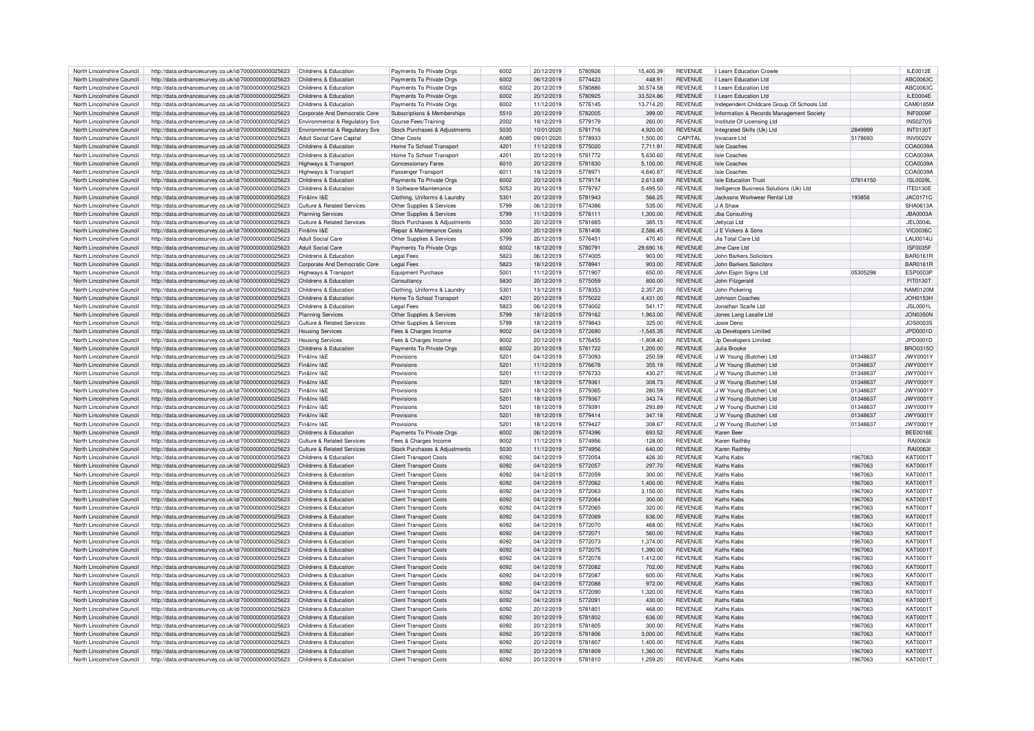| North Lincolnshire Council | http://data.ordnancesurvey.co.uk/id/7000000000025623                       | Childrens & Education                     | Payments To Private Orgs      | 6002 | 20/12/2019 | 5780926 | 15,400.39   | <b>REVENUE</b> | I Learn Education Crowle                   |          | <b>II F0012F</b> |
|----------------------------|----------------------------------------------------------------------------|-------------------------------------------|-------------------------------|------|------------|---------|-------------|----------------|--------------------------------------------|----------|------------------|
|                            |                                                                            |                                           |                               |      |            |         |             |                |                                            |          |                  |
| North Lincolnshire Council | http://data.ordnancesurvey.co.uk/id/7000000000025623                       | Childrens & Education                     | Payments To Private Orgs      | 6002 | 06/12/2019 | 5774423 | 448.91      | <b>REVENUE</b> | I Learn Education Ltd                      |          | ABC0063C         |
| North Lincolnshire Council | http://data.ordnancesurvey.co.uk/id/7000000000025623                       | Childrens & Education                     | Payments To Private Orgs      | 6002 | 20/12/2019 | 5780886 | 30,574.58   | <b>REVENUE</b> | I Learn Education Ltd                      |          | ABC0063C         |
| North Lincolnshire Council | http://data.ordnancesurvey.co.uk/id/7000000000025623                       | Childrens & Education                     | Payments To Private Orgs      | 6002 | 20/12/2019 | 5780925 | 33.524.86   | <b>REVENUE</b> | I Learn Education Ltd                      |          | <b>II F0004F</b> |
| North Lincolnshire Council | http://data.ordnancesurvey.co.uk/id/7000000000025623                       | Childrens & Education                     | Payments To Private Orgs      | 6002 | 11/12/2019 | 5776145 | 13,714.20   | <b>REVENUE</b> | Independent Childcare Group Of Schools Ltd |          | CAM0185M         |
|                            |                                                                            |                                           |                               |      |            |         |             |                |                                            |          |                  |
| North Lincolnshire Council | http://data.ordnancesurvey.co.uk/id/7000000000025623                       | Cornorate And Democratic Core             | Subscriptions & Memberships   | 5510 | 20/12/2019 | 5782005 | 399.00      | <b>REVENUE</b> | Information & Records Management Society   |          | INF0009F         |
| North Lincolnshire Council | http://data.ordnancesurvey.co.uk/id/7000000000025623                       | <b>Environmental &amp; Regulatory Sys</b> | Course Fees/Training          | 2002 | 18/12/2019 | 5779179 | 260.00      | <b>REVENUE</b> | Institute Of Licensing Ltd                 |          | <b>INS0270S</b>  |
| North Lincolnshire Council | http://data.ordnancesurvey.co.uk/id/7000000000025623                       | Environmental & Regulatory Svs            | Stock Purchases & Adiustments | 5030 | 10/01/2020 | 5781716 | 4.920.00    | <b>REVENUE</b> | Integrated Skills (Uk) Ltd                 | 2849999  | <b>INT0130T</b>  |
|                            |                                                                            |                                           |                               |      |            |         |             |                |                                            |          |                  |
| North Lincolnshire Council | http://data.ordnancesurvey.co.uk/id/7000000000025623                       | <b>Adult Social Care Capital</b>          | Other Costs                   | A085 | 09/01/2020 | 5778933 | 1.500.00    | CAPITAI        | Invacare Ltd                               | 5178693  | <b>INV0022V</b>  |
| North Lincolnshire Council | http://data.ordnancesurvey.co.uk/id/7000000000025623                       | Childrens & Education                     | Home To School Transport      | 4201 | 11/12/2019 | 5775020 | 7,711.91    | <b>REVENUE</b> | <b>Isle Coaches</b>                        |          | COA0039A         |
| North Lincolnshire Council | http://data.ordnancesurvey.co.uk/id/7000000000025623                       | Childrens & Education                     | Home To School Transport      | 4201 | 20/12/2019 | 5781772 | 5,630.60    | <b>REVENUE</b> | <b>Isle Coaches</b>                        |          | COA0039A         |
| North Lincolnshire Council | http://data.ordnancesurvey.co.uk/id/7000000000025623                       | Highways & Transport                      | <b>Concessionary Fares</b>    | 6010 | 20/12/2019 | 5781830 | 5.100.00    | <b>REVENUE</b> | <b>Isle Coaches</b>                        |          | COA0039A         |
|                            |                                                                            |                                           |                               |      |            |         |             |                |                                            |          |                  |
| North Lincolnshire Council | http://data.ordnancesurvey.co.uk/id/7000000000025623                       | Highways & Transport                      | Passenger Transport           | 6011 | 18/12/2019 | 5778971 | 4 640 87    | <b>REVENUE</b> | Isle Coaches                               |          | COA0039A         |
| North Lincolnshire Council | http://data.ordnancesurvey.co.uk/id/7000000000025623                       | Childrens & Education                     | Payments To Private Orgs      | 6002 | 20/12/2019 | 5779174 | 2.613.69    | <b>REVENUE</b> | <b>Isle Education Trust</b>                | 07814150 | <b>ISL0029I</b>  |
| North Lincolnshire Council | http://data.ordnancesurvey.co.uk/id/7000000000025623                       | Childrens & Education                     | It Software-Maintenance       | 5053 | 20/12/2019 | 5779797 | 5.495.50    | <b>REVENUE</b> | Itelligence Business Solutions (Uk) Ltd    |          | <b>ITE0130E</b>  |
|                            |                                                                            |                                           |                               |      |            |         |             |                |                                            |          |                  |
| North Lincolnshire Council | http://data.ordnancesurvey.co.uk/id/7000000000025623                       | Fin&Inv I&F                               | Clothing, Uniforms & Laundry  | 5301 | 20/12/2019 | 5781943 | 566.25      | <b>REVENUE</b> | Jacksons Workwear Rental Ltd               | 193856   | JAC0171C         |
| North Lincolnshire Council | http://data.ordnancesurvey.co.uk/id/7000000000025623                       | <b>Culture &amp; Related Services</b>     | Other Supplies & Services     | 5799 | 06/12/2019 | 5774386 | 535.00      | <b>REVENUE</b> | J A Shaw                                   |          | SHA0613A         |
| North Lincolnshire Council | http://data.ordnancesurvey.co.uk/id/7000000000025623                       | <b>Planning Services</b>                  | Other Supplies & Services     | 5799 | 11/12/2019 | 5776111 | 1.300.00    | <b>REVENUE</b> | Jba Consulting                             |          | <b>JBA0003A</b>  |
| North Lincolnshire Council |                                                                            | Culture & Related Services                |                               | 5030 | 20/12/2019 | 5781665 | 385.15      | <b>REVENUE</b> | Jellvcat Ltd                               |          | <b>JEL0004L</b>  |
|                            | http://data.ordnancesurvey.co.uk/id/7000000000025623                       |                                           | Stock Purchases & Adjustments |      |            |         |             |                |                                            |          |                  |
| North Lincolnshire Council | http://data.ordnancesurvey.co.uk/id/7000000000025623                       | Fin&Inv I&F                               | Repair & Maintenance Costs    | 3000 | 20/12/2019 | 5781406 | 2,586.45    | <b>REVENUE</b> | J E Vickers & Sons                         |          | <b>VIC0036C</b>  |
| North Lincolnshire Council | http://data.ordnancesurvey.co.uk/id/7000000000025623                       | <b>Adult Social Care</b>                  | Other Supplies & Services     | 5799 | 20/12/2019 | 577645  | 470.40      | <b>REVENUE</b> | Jla Total Care Ltd                         |          | AU0014L          |
| North Lincolnshire Council | http://data.ordnancesurvey.co.uk/id/7000000000025623                       | <b>Adult Social Care</b>                  | Payments To Private Orgs      | 6002 | 18/12/2019 | 5780791 | 29,690.16   | <b>REVENUE</b> | Jme Care Ltd                               |          | <b>ISF0035F</b>  |
|                            |                                                                            |                                           |                               |      |            |         |             |                |                                            |          |                  |
| North Lincolnshire Council | http://data.ordnancesurvey.co.uk/id/7000000000025623                       | Childrens & Education                     | <b>Legal Fees</b>             | 5823 | 06/12/2019 | 5774005 | 903.00      | <b>REVENUE</b> | John Barkers Solicitors                    |          | <b>BAR0161R</b>  |
| North Lincolnshire Council | http://data.ordnancesurvey.co.uk/id/7000000000025623                       | Corporate And Democratic Core             | <b>Legal Fees</b>             | 5823 | 18/12/2019 | 5778941 | 903.00      | <b>REVENUE</b> | John Barkers Solicitors                    |          | <b>BAR0161R</b>  |
| North Lincolnshire Council | http://data.ordnancesurvey.co.uk/id/7000000000025623                       | Highways & Transport                      | <b>Equipment Purchase</b>     | 5001 | 11/12/2019 | 5771907 | 650.00      | <b>REVENUE</b> | John Espin Signs Ltd                       | 05305298 | <b>ESP0003P</b>  |
|                            |                                                                            |                                           |                               |      |            |         |             |                |                                            |          |                  |
| North Lincolnshire Council | http://data.ordnancesurvey.co.uk/id/7000000000025623                       | Childrens & Education                     | Consultancy                   | 5830 | 20/12/2019 | 5775059 | 800.00      | <b>REVENUE</b> | John Fitzgerald                            |          | FIT0130T         |
| North Lincolnshire Council | http://data.ordnancesurvey.co.uk/id/7000000000025623                       | Childrens & Education                     | Clothing, Uniforms & Laundry  | 530  | 13/12/2019 | 5778353 | 2.357.20    | <b>REVENUE</b> | John Pickering                             |          | NAM0120M         |
| North Lincolnshire Council | http://data.ordnancesurvey.co.uk/id/7000000000025623                       | Childrens & Education                     | Home To School Transport      | 4201 | 20/12/2019 | 5775022 | 4.431.00    | <b>REVENUE</b> | Johnson Coaches                            |          | <b>JOH0153H</b>  |
|                            |                                                                            | Childrens & Education                     |                               | 5823 | 06/12/2019 | 5774002 | 541.17      | <b>REVENUE</b> | Jonathan Scaife Ltd                        |          | <b>JSL0001L</b>  |
| North Lincolnshire Council | http://data.ordnancesurvey.co.uk/id/7000000000025623                       |                                           | <b>Legal Fees</b>             |      |            |         |             |                |                                            |          |                  |
| North Lincolnshire Council | http://data.ordnancesurvey.co.uk/id/7000000000025623                       | <b>Planning Services</b>                  | Other Supplies & Services     | 5799 | 18/12/2019 | 5779162 | 1.963.00    | <b>REVENUE</b> | Jones Lang Lasalle Ltd                     |          | <b>JON0350N</b>  |
| North Lincolnshire Council | http://data.ordnancesurvey.co.uk/id/7000000000025623                       | <b>Culture &amp; Related Services</b>     | Other Supplies & Services     | 5799 | 18/12/2019 | 5779843 | 325.00      | <b>REVENUE</b> | Josie Deno                                 |          | <b>JOS0003S</b>  |
| North Lincolnshire Council | http://data.ordnancesurvey.co.uk/id/7000000000025623                       | <b>Housing Services</b>                   | Fees & Charges Income         | 9002 | 04/12/2019 | 5772690 | $-1,545.35$ | <b>REVENUE</b> | Jn Developers Limited                      |          | JPD0001D         |
|                            |                                                                            |                                           |                               |      |            |         |             |                |                                            |          |                  |
| North Lincolnshire Council | http://data.ordnancesurvey.co.uk/id/7000000000025623                       | <b>Housing Services</b>                   | Fees & Charges Income         | 9002 | 20/12/2019 | 5776455 | $-1.808.40$ | <b>REVENUE</b> | Jn Developers Limited                      |          | JPD0001D         |
| North Lincolnshire Council | http://data.ordnancesurvey.co.uk/id/7000000000025623                       | Childrens & Education                     | Payments To Private Orgs      | 6002 | 20/12/2019 | 5781722 | 1.200.00    | <b>REVENUE</b> | Julia Brooke                               |          | BRO0315C         |
| North Lincolnshire Council | http://data.ordnancesurvey.co.uk/id/7000000000025623                       | Fin&Inv I&F                               | Provisions                    | 5201 | 04/12/2019 | 5773093 | 250.59      | <b>REVENUE</b> | J W Young (Butcher) Ltd                    | 01348637 | JWY0001Y         |
|                            |                                                                            |                                           |                               |      |            |         |             |                |                                            |          |                  |
| North Lincolnshire Council | http://data.ordnancesurvey.co.uk/id/7000000000025623                       | Fin&Inv I&F                               | Provisions                    | 5201 | 11/12/2019 | 5776678 | 355.19      | <b>REVENUE</b> | J W Young (Butcher) I to                   | 01348637 | <b>JWY0001Y</b>  |
| North Lincolnshire Council | http://data.ordnancesurvey.co.uk/id/7000000000025623                       | Fin&Inv I&F                               | Provisions                    | 5201 | 11/12/2019 | 5776733 | 430.27      | <b>REVENUE</b> | J W Young (Butcher) Ltd                    | 01348637 | JWY0001Y         |
| North Lincolnshire Council | http://data.ordnancesurvey.co.uk/id/7000000000025623                       | Fin&Inv I&E                               | Provisions                    | 5201 | 18/12/2019 | 5779361 | 308.73      | <b>REVENUE</b> | J W Young (Butcher) Ltd                    | 01348637 | <b>JWY0001Y</b>  |
| North Lincolnshire Council |                                                                            | Fin&Inv I&F                               | Provisions                    | 5201 | 18/12/2019 | 5779365 | 280.59      | <b>REVENUE</b> | J W Young (Butcher) Ltd                    | 01348637 | JWY0001Y         |
|                            | http://data.ordnancesurvey.co.uk/id/7000000000025623                       |                                           |                               |      |            |         |             |                |                                            |          |                  |
| North Lincolnshire Council | http://data.ordnancesurvey.co.uk/id/7000000000025623                       | Fin&Inv I&F                               | Provisions                    | 5201 | 18/12/2019 | 5779367 | 343.74      | <b>REVENUE</b> | J W Young (Butcher) Ltd                    | 01348637 | <b>JWY0001Y</b>  |
| North Lincolnshire Council | http://data.ordnancesurvey.co.uk/id/7000000000025623                       | Fin&Inv I&E                               | Provisions                    | 5201 | 18/12/2019 | 577939  | 293.89      | <b>REVENUE</b> | J W Young (Butcher) Ltd                    | 01348637 | <b>JWY0001Y</b>  |
| North Lincolnshire Council | http://data.ordnancesurvey.co.uk/id/7000000000025623                       | Fin&Inv I&F                               | Provisions                    | 5201 | 18/12/2019 | 5779414 | 347.18      | <b>REVENUE</b> | J W Young (Butcher) Ltd                    | 01348637 | <b>JWY0001Y</b>  |
|                            |                                                                            |                                           |                               |      |            |         |             |                |                                            |          |                  |
| North Lincolnshire Council | http://data.ordnancesurvey.co.uk/id/7000000000025623                       | Fin&Inv I&F                               | Provisions                    | 5201 | 18/12/2019 | 5779427 | 308.67      | <b>REVENUE</b> | J W Young (Butcher) Ltd                    | 01348637 | <b>JWY0001Y</b>  |
| North Lincolnshire Council | http://data.ordnancesurvey.co.uk/id/7000000000025623                       | Childrens & Education                     | Payments To Private Orgs      | 6002 | 06/12/2019 | 5774396 | 693.52      | <b>REVENUE</b> | Karen Bee                                  |          | <b>BEE0016E</b>  |
| North Lincolnshire Council | http://data.ordnancesurvey.co.uk/id/7000000000025623                       | <b>Culture &amp; Related Services</b>     | Fees & Charges Income         | 9002 | 11/12/2019 | 5774956 | $-128.00$   | <b>REVENUE</b> | Karen Raithb                               |          | RAI0063          |
|                            |                                                                            |                                           |                               |      |            |         |             |                |                                            |          |                  |
| North Lincolnshire Council | http://data.ordnancesurvey.co.uk/id/7000000000025623                       | <b>Culture &amp; Related Services</b>     | Stock Purchases & Adjustments | 5030 | 11/12/2019 | 5774956 | 640.00      | <b>REVENUE</b> | Karen Raithb                               |          | <b>BAI0063</b>   |
| North Lincolnshire Council | http://data.ordnancesurvey.co.uk/id/7000000000025623                       | Childrens & Education                     | <b>Client Transport Costs</b> | 6092 | 04/12/2019 | 5772054 | 426.30      | <b>REVENUE</b> | Kaths Kab                                  | 1967063  | KAT0001T         |
| North Lincolnshire Council | http://data.ordnancesurvey.co.uk/id/7000000000025623                       | Childrens & Education                     | <b>Client Transport Costs</b> | 6092 | 04/12/2019 | 5772057 | 297.70      | <b>REVENUE</b> | Kaths Kabs                                 | 1967063  | <b>KAT0001T</b>  |
| North Lincolnshire Council |                                                                            |                                           |                               | 6092 | 04/12/2019 | 5772059 | 300.00      | <b>REVENUE</b> | Kaths Kahs                                 |          | KAT0001T         |
|                            | http://data.ordnancesurvey.co.uk/id/7000000000025623                       | Childrens & Education                     | <b>Client Transport Costs</b> |      |            |         |             |                |                                            | 1967063  |                  |
| North Lincolnshire Council | http://data.ordnancesurvey.co.uk/id/7000000000025623                       | Childrens & Education                     | <b>Client Transport Costs</b> | 6092 | 04/12/2019 | 5772062 | 1,400.00    | <b>REVENUE</b> | Kaths Kabs                                 | 1967063  | <b>KAT0001T</b>  |
| North Lincolnshire Council | http://data.ordnancesurvey.co.uk/id/7000000000025623                       | Childrens & Education                     | <b>Client Transport Costs</b> | 6092 | 04/12/2019 | 5772063 | 3,150.00    | <b>REVENUE</b> | Kaths Kabs                                 | 1967063  | KAT0001T         |
| North Lincolnshire Council | http://data.ordnancesurvey.co.uk/id/7000000000025623                       | Childrens & Education                     | <b>Client Transport Costs</b> | 6092 | 04/12/2019 | 5772064 | 300.00      | <b>REVENUE</b> | Kaths Kabs                                 | 1967063  | KAT0001T         |
|                            |                                                                            |                                           |                               |      |            |         |             |                |                                            |          |                  |
| North Lincolnshire Council | http://data.ordnancesurvey.co.uk/id/7000000000025623                       | Childrens & Education                     | <b>Client Transport Costs</b> | 6092 | 04/12/2019 | 5772065 | 320.00      | <b>REVENUE</b> | Kaths Kabs                                 | 1967063  | <b>KAT0001T</b>  |
| North Lincolnshire Council | http://data.ordnancesurvey.co.uk/id/7000000000025623                       | Childrens & Education                     | <b>Client Transport Costs</b> | 6092 | 04/12/2019 | 5772069 | 636.00      | <b>REVENUE</b> | Kaths Kabs                                 | 1967063  | <b>KAT0001T</b>  |
| North Lincolnshire Council | http://data.ordnancesurvey.co.uk/id/7000000000025623                       | Childrens & Education                     | <b>Client Transport Costs</b> | 6092 | 04/12/2019 | 5772070 | 468.00      | <b>REVENUE</b> | Kaths Kahs                                 | 1967063  | <b>KAT0001T</b>  |
| North Lincolnshire Council |                                                                            | Childrens & Education                     |                               | 6092 | 04/12/2019 | 5772071 | 560.00      | <b>REVENUE</b> | Kaths Kabs                                 | 1967063  | KAT0001T         |
|                            | http://data.ordnancesurvey.co.uk/id/7000000000025623                       |                                           | <b>Client Transport Costs</b> |      |            |         |             |                |                                            |          |                  |
| North Lincolnshire Council | http://data.ordnancesurvey.co.uk/id/7000000000025623                       | Childrens & Education                     | <b>Client Transport Costs</b> | 6092 | 04/12/2019 | 5772073 | 1.374.00    | <b>REVENUE</b> | Kaths Kabs                                 | 1967063  | <b>KAT0001T</b>  |
| North Lincolnshire Council | http://data.ordnancesurvey.co.uk/id/7000000000025623                       | Childrens & Education                     | <b>Client Transport Costs</b> | 6092 | 04/12/2019 | 5772075 | 1,390.00    | <b>REVENUE</b> | Kaths Kabs                                 | 1967063  | KAT0001T         |
| North Lincolnshire Council | http://data.ordnancesurvey.co.uk/id/7000000000025623                       | Childrens & Education                     | <b>Client Transport Costs</b> | 6092 | 04/12/2019 | 5772078 | 1.412.00    | <b>REVENUE</b> | Kaths Kabs                                 | 1967063  | KAT0001T         |
|                            |                                                                            |                                           |                               | 6092 |            | 5772082 |             | <b>REVENUE</b> | Kaths Kahs                                 |          |                  |
| North Lincolnshire Council | http://data.ordnancesurvey.co.uk/id/7000000000025623                       | Childrens & Education                     | <b>Client Transport Costs</b> |      | 04/12/2019 |         | 702.00      |                |                                            | 1967063  | KAT0001T         |
| North Lincolnshire Council | http://data.ordnancesurvey.co.uk/id/7000000000025623                       | Childrens & Education                     | <b>Client Transport Costs</b> | 6092 | 04/12/2019 | 5772087 | 600.00      | <b>REVENUE</b> | Kaths Kabs                                 | 1967063  | KAT0001T         |
| North Lincolnshire Council | http://data.ordnancesurvey.co.uk/id/7000000000025623                       | Childrens & Education                     | <b>Client Transport Costs</b> | 6092 | 04/12/2019 | 5772088 | 972.00      | <b>REVENUE</b> | Kaths Kabs                                 | 1967063  | KAT0001T         |
| North Lincolnshire Council |                                                                            | Childrens & Education                     |                               | 6092 |            | 5772090 |             | <b>REVENUE</b> | Kaths Kabs                                 |          | KAT00011         |
|                            | http://data.ordnancesurvey.co.uk/id/7000000000025623                       |                                           | <b>Client Transport Costs</b> |      | 04/12/2019 |         | 1,320.00    |                |                                            | 1967063  |                  |
| North Lincolnshire Council | http://data.ordnancesurvey.co.uk/id/7000000000025623                       | Childrens & Education                     | <b>Client Transport Costs</b> | 6092 | 04/12/2019 | 5772091 | 430.00      | <b>REVENUE</b> | Kaths Kabs                                 | 1967063  | <b>KAT0001T</b>  |
| North Lincolnshire Council | http://data.ordnancesurvey.co.uk/id/7000000000025623                       | Childrens & Education                     | <b>Client Transport Costs</b> | 6092 | 20/12/2019 | 5781801 | 468.00      | <b>REVENUE</b> | Kaths Kabs                                 | 1967063  | KAT0001T         |
| North Lincolnshire Council | http://data.ordnancesurvey.co.uk/id/7000000000025623                       | Childrens & Education                     | <b>Client Transport Costs</b> | 6092 | 20/12/2019 | 5781802 | 636.00      | <b>REVENUE</b> | Kaths Kabs                                 | 1967063  | KAT0001T         |
|                            |                                                                            |                                           |                               |      |            |         |             |                |                                            |          |                  |
| North Lincolnshire Council | http://data.ordnancesurvey.co.uk/id/7000000000025623                       | Childrens & Education                     | <b>Client Transport Costs</b> | 6092 | 20/12/2019 | 5781805 | 300.00      | <b>REVENUE</b> | Kaths Kabs                                 | 1967063  | KAT0001T         |
| North Lincolnshire Council | http://data.ordnancesurvey.co.uk/id/7000000000025623                       | Childrens & Education                     | <b>Client Transport Costs</b> | 6092 | 20/12/2019 | 5781806 | 3.000.00    | <b>REVENUE</b> | Kaths Kabs                                 | 1967063  | <b>KAT0001T</b>  |
| North Lincolnshire Council | http://data.ordnancesurvey.co.uk/id/7000000000025623                       | Childrens & Education                     | <b>Client Transport Costs</b> | 6092 | 20/12/2019 | 5781807 | 1.400.00    | <b>REVENUE</b> | Kaths Kabs                                 | 1967063  | KAT0001T         |
| North Lincolnshire Council |                                                                            | Childrens & Education                     |                               | 6092 | 20/12/2019 | 5781809 | 1.360.00    | <b>REVENUE</b> | Kaths Kahs                                 | 1967063  | KAT0001T         |
|                            | http://data.ordnancesurvey.co.uk/id/7000000000025623                       |                                           | <b>Client Transport Costs</b> |      |            |         |             |                |                                            |          |                  |
| North Lincolnshire Council | http://data.ordnancesurvey.co.uk/id/7000000000025623 Childrens & Education |                                           | <b>Client Transport Costs</b> | 6092 | 20/12/2019 | 5781810 | 1.259.20    | <b>REVENUE</b> | Kaths Kabs                                 | 1967063  | KAT0001T         |
|                            |                                                                            |                                           |                               |      |            |         |             |                |                                            |          |                  |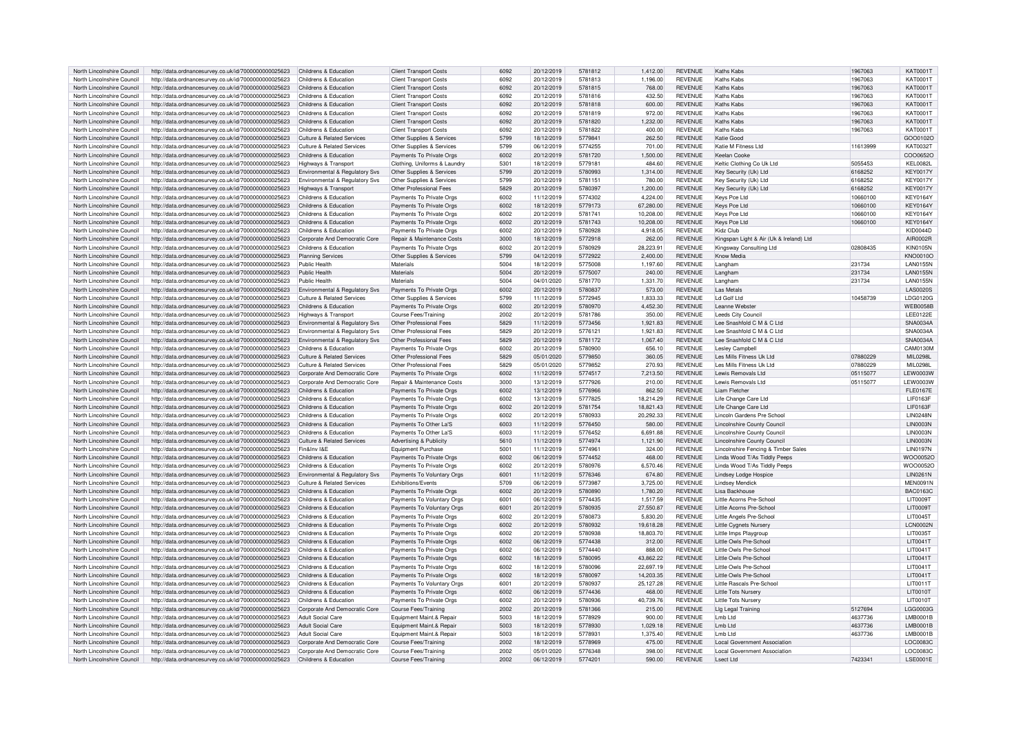| North Lincolnshire Council | http://data.ordnancesurvey.co.uk/id/7000000000025623 | Childrens & Education                 | <b>Client Transport Costs</b>      | 6092 | 20/12/2019 | 5781812 | 1.412.00  | <b>REVENUE</b> | Kaths Kabs                              | 1967063  | KAT00011        |
|----------------------------|------------------------------------------------------|---------------------------------------|------------------------------------|------|------------|---------|-----------|----------------|-----------------------------------------|----------|-----------------|
| North Lincolnshire Council | http://data.ordnancesurvey.co.uk/id/7000000000025623 | Childrens & Education                 | <b>Client Transport Costs</b>      | 6092 | 20/12/2019 | 5781813 | 1,196.00  | <b>REVENUE</b> | Kaths Kahs                              | 1967063  | KAT0001T        |
| North Lincolnshire Council | http://data.ordnancesurvey.co.uk/id/7000000000025623 | Childrens & Education                 | <b>Client Transport Costs</b>      | 6092 | 20/12/2019 | 5781815 | 768.00    | <b>REVENUE</b> | Kaths Kabs                              | 1967063  | <b>KAT0001T</b> |
| North Lincolnshire Council | http://data.ordnancesurvey.co.uk/id/7000000000025623 | Childrens & Education                 | <b>Client Transport Costs</b>      | 6092 | 20/12/2019 | 5781816 | 432.50    | <b>REVENUE</b> | Kaths Kabs                              | 1967063  | KAT0001T        |
|                            |                                                      | Childrens & Education                 |                                    | 6092 | 20/12/2019 | 5781818 |           | <b>REVENUE</b> | Kaths Kabs                              |          | KAT0001         |
| North Lincolnshire Council | http://data.ordnancesurvey.co.uk/id/7000000000025623 |                                       | <b>Client Transport Costs</b>      |      |            |         | 600.00    |                |                                         | 1967063  |                 |
| North Lincolnshire Council | http://data.ordnancesurvey.co.uk/id/7000000000025623 | Childrens & Education                 | <b>Client Transport Costs</b>      | 6092 | 20/12/2019 | 5781819 | 972.00    | <b>REVENUE</b> | Kaths Kabs                              | 1967063  | KAT00011        |
| North Lincolnshire Council | http://data.ordnancesurvey.co.uk/id/7000000000025623 | Childrens & Education                 | <b>Client Transport Costs</b>      | 6092 | 20/12/2019 | 5781820 | 1,232.00  | <b>REVENUE</b> | Kaths Kabs                              | 1967063  | KAT0001T        |
| North Lincolnshire Council | http://data.ordnancesurvey.co.uk/id/7000000000025623 | Childrens & Education                 | <b>Client Transport Costs</b>      | 6092 | 20/12/2019 | 5781822 | 400.00    | <b>REVENUE</b> | Kaths Kabs                              | 1967063  | KAT00011        |
| North Lincolnshire Council | http://data.ordnancesurvey.co.uk/id/7000000000025623 | <b>Culture &amp; Related Services</b> | Other Supplies & Services          | 5799 | 18/12/2019 | 5779841 | 262.50    | <b>REVENUE</b> | Katie Good                              |          | GOO0102O        |
|                            |                                                      |                                       |                                    |      |            |         |           |                |                                         |          |                 |
| North Lincolnshire Council | http://data.ordnancesurvey.co.uk/id/7000000000025623 | Culture & Related Services            | Other Supplies & Services          | 5799 | 06/12/2019 | 5774255 | 701.00    | <b>REVENUE</b> | Katie M Fitness I td                    | 11613999 | KAT00321        |
| North Lincolnshire Council | http://data.ordnancesurvey.co.uk/id/7000000000025623 | Childrens & Education                 | Payments To Private Orgs           | 6002 | 20/12/2019 | 5781720 | 1,500.00  | <b>REVENUE</b> | Keelan Cooke                            |          | COO0652O        |
| North Lincolnshire Council | http://data.ordnancesurvey.co.uk/id/7000000000025623 | Highways & Transport                  | Clothing, Uniforms & Laundry       | 5301 | 18/12/2019 | 577918  | 484.60    | <b>REVENUE</b> | Keltic Clothing Co Uk Ltd               | 5055453  | <b>KEL0082L</b> |
| North Lincolnshire Council | http://data.ordnancesurvey.co.uk/id/7000000000025623 | Environmental & Regulatory Svs        | Other Supplies & Services          | 5799 | 20/12/2019 | 5780993 | 1.314.00  | <b>REVENUE</b> | Key Security (Uk) Ltd                   | 6168252  | <b>KFY0017Y</b> |
| North Lincolnshire Council | http://data.ordnancesurvey.co.uk/id/7000000000025623 | Environmental & Regulatory Svs        | Other Supplies & Services          | 5799 | 20/12/2019 | 578115  | 780.00    | <b>REVENUE</b> | Key Security (Uk) Ltd                   | 6168252  | <b>KFY0017Y</b> |
|                            |                                                      |                                       |                                    |      |            |         |           |                |                                         |          |                 |
| North Lincolnshire Council | http://data.ordnancesurvey.co.uk/id/7000000000025623 | Highways & Transport                  | Other Professional Fees            | 5829 | 20/12/2019 | 5780397 | 1,200.00  | <b>REVENUE</b> | Kev Security (Uk) Ltd                   | 6168252  | <b>KEY0017Y</b> |
| North Lincolnshire Council | http://data.ordnancesurvey.co.uk/id/7000000000025623 | Childrens & Education                 | Payments To Private Oras           | 6002 | 11/12/2019 | 5774302 | 4.224.00  | <b>REVENUE</b> | Kevs Pce Ltd                            | 10660100 | <b>KEY0164Y</b> |
| North Lincolnshire Council | http://data.ordnancesurvey.co.uk/id/7000000000025623 | Childrens & Education                 | Payments To Private Orgs           | 6002 | 18/12/2019 | 5779173 | 67,280.00 | <b>REVENUE</b> | Keys Pce Ltd                            | 10660100 | <b>KEY0164Y</b> |
| North Lincolnshire Council | http://data.ordnancesurvey.co.uk/id/7000000000025623 | Childrens & Education                 | Payments To Private Orgs           | 6002 | 20/12/2019 | 578174  | 10,208.00 | <b>REVENUE</b> | Keys Pce Ltd                            | 10660100 | <b>KEY0164Y</b> |
|                            |                                                      |                                       |                                    |      |            |         |           |                |                                         |          |                 |
| North Lincolnshire Council | http://data.ordnancesurvey.co.uk/id/7000000000025623 | Childrens & Education                 | Payments To Private Orgs           | 6002 | 20/12/2019 | 5781743 | 10,208.00 | <b>REVENUE</b> | Keys Pce Ltd                            | 10660100 | KEY0164Y        |
| North Lincolnshire Council | http://data.ordnancesurvey.co.uk/id/7000000000025623 | Childrens & Education                 | Payments To Private Orgs           | 6002 | 20/12/2019 | 5780928 | 4,918.05  | REVENUE        | Kidz Club                               |          | <b>KID0044D</b> |
| North Lincolnshire Council | http://data.ordnancesurvey.co.uk/id/7000000000025623 | Corporate And Democratic Core         | Repair & Maintenance Costs         | 3000 | 18/12/2019 | 5772918 | 262.00    | <b>REVENUE</b> | Kingspan Light & Air (Uk & Ireland) Ltd |          | AIR0002F        |
| North Lincolnshire Council | http://data.ordnancesurvey.co.uk/id/7000000000025623 | Childrens & Education                 | Payments To Private Orgs           | 6002 | 20/12/2019 | 5780929 | 28.223.91 | <b>REVENUE</b> | Kingsway Consulting Ltd                 | 02808435 | <b>KIN0105N</b> |
| North Lincolnshire Council | http://data.ordnancesurvey.co.uk/id/7000000000025623 | <b>Planning Services</b>              | Other Supplies & Services          | 5799 | 04/12/2019 | 5772922 | 2,400.00  | <b>REVENUE</b> | Know Media                              |          | <b>KNO0010C</b> |
|                            |                                                      |                                       |                                    |      |            |         |           |                |                                         |          |                 |
| North Lincolnshire Council | http://data.ordnancesurvey.co.uk/id/7000000000025623 | Public Health                         | Materials                          | 5004 | 18/12/2019 | 5775008 | 1,197.60  | REVENUE        | Langham                                 | 231734   | <b>LAN0155M</b> |
| North Lincolnshire Council | http://data.ordnancesurvey.co.uk/id/7000000000025623 | <b>Public Health</b>                  | Materials                          | 5004 | 20/12/2019 | 5775007 | 240.00    | <b>REVENUE</b> | Langham                                 | 231734   | <b>LAN0155N</b> |
| North Lincolnshire Council | http://data.ordnancesurvey.co.uk/id/7000000000025623 | Public Health                         | Materials                          | 5004 | 04/01/2020 | 5781770 | 1,331.70  | <b>REVENUE</b> | Langham                                 | 231734   | <b>LAN0155M</b> |
| North Lincolnshire Council | http://data.ordnancesurvey.co.uk/id/7000000000025623 | Environmental & Regulatory Svs        | Payments To Private Orgs           | 6002 | 20/12/2019 | 5780837 | 573.00    | <b>REVENUE</b> | Las Metals                              |          | <b>LAS0020S</b> |
| North Lincolnshire Council |                                                      |                                       |                                    |      |            | 5772945 |           | <b>REVENUE</b> | I d Golf I to                           | 10458739 | LDG0120G        |
|                            | http://data.ordnancesurvey.co.uk/id/7000000000025623 | <b>Culture &amp; Related Services</b> | Other Supplies & Services          | 5799 | 11/12/2019 |         | 1,833.33  |                |                                         |          |                 |
| North Lincolnshire Council | http://data.ordnancesurvey.co.uk/id/7000000000025623 | Childrens & Education                 | Payments To Private Orgs           | 6002 | 20/12/2019 | 5780970 | 4,452.30  | <b>REVENUE</b> | Leanne Webster                          |          | <b>WEB0058E</b> |
| North Lincolnshire Council | http://data.ordnancesurvey.co.uk/id/7000000000025623 | Highways & Transport                  | <b>Course Fees/Training</b>        | 2002 | 20/12/2019 | 5781786 | 350.00    | <b>REVENUE</b> | Leeds City Council                      |          | LEE0122E        |
| North Lincolnshire Council | http://data.ordnancesurvey.co.uk/id/7000000000025623 | Environmental & Regulatory Svs        | Other Professional Fees            | 5829 | 11/12/2019 | 5773456 | 1,921.83  | <b>REVENUE</b> | Lee Snashfold C M & C Ltd               |          | SNA0034A        |
| North Lincolnshire Council | http://data.ordnancesurvev.co.uk/id/7000000000025623 | Environmental & Regulatory Svs        | Other Professional Fees            | 5829 | 20/12/2019 | 577612  | 1,921.83  | <b>REVENUE</b> | Lee Snashfold C M & C Ltd               |          | SNA0034A        |
|                            |                                                      |                                       |                                    |      |            |         |           |                |                                         |          |                 |
| North Lincolnshire Council | http://data.ordnancesurvey.co.uk/id/7000000000025623 | Environmental & Regulatory Svs        | Other Professional Fees            | 5829 | 20/12/2019 | 5781172 | 1,067.40  | <b>REVENUE</b> | Lee Snashfold C.M.& C.Ltd               |          | SNA0034/        |
| North Lincolnshire Council | http://data.ordnancesurvey.co.uk/id/7000000000025623 | Childrens & Education                 | Payments To Private Orgs           | 6002 | 20/12/2019 | 5780900 | 656.10    | <b>REVENUE</b> | Leslev Campbell                         |          | CAM0130M        |
| North Lincolnshire Council | http://data.ordnancesurvey.co.uk/id/7000000000025623 | Culture & Related Services            | Other Professional Fees            | 5829 | 05/01/2020 | 5779850 | 360.05    | <b>REVENUE</b> | Les Mills Fitness Uk Ltd                | 07880229 | MII 0298I       |
| North Lincolnshire Council | http://data.ordnancesurvey.co.uk/id/7000000000025623 | Culture & Related Services            | Other Professional Fees            | 5829 | 05/01/2020 | 5779852 | 270.93    | <b>REVENUE</b> | Les Mills Fitness Uk Ltd                | 07880229 | MII 0298I       |
| North Lincolnshire Council | http://data.ordnancesurvey.co.uk/id/7000000000025623 | Corporate And Democratic Core         | Payments To Private Orgs           | 6002 | 11/12/2019 | 5774517 | 7.213.50  | <b>REVENUE</b> | Lewis Removals Ltd                      | 05115077 | <b>LEW0003W</b> |
|                            |                                                      |                                       |                                    |      |            |         |           |                |                                         |          |                 |
| North Lincolnshire Council | http://data.ordnancesurvey.co.uk/id/7000000000025623 | Corporate And Democratic Core         | Repair & Maintenance Costs         | 3000 | 13/12/2019 | 5777926 | 210.00    | <b>REVENUE</b> | Lewis Removals Ltd                      | 05115077 | I EW0003V       |
| North Lincolnshire Council | http://data.ordnancesurvey.co.uk/id/7000000000025623 | Childrens & Education                 | Payments To Private Orgs           | 6002 | 13/12/2019 | 5776966 | 862.50    | <b>REVENUE</b> | Liam Fletcher                           |          | FL F0167F       |
| North Lincolnshire Council | http://data.ordnancesurvey.co.uk/id/7000000000025623 | Childrens & Education                 | Payments To Private Orgs           | 6002 | 13/12/2019 | 5777825 | 18,214.29 | REVENUE        | Life Change Care Ltd                    |          | LIF0163F        |
| North Lincolnshire Council | http://data.ordnancesurvey.co.uk/id/7000000000025623 | Childrens & Education                 | Payments To Private Orgs           | 6002 | 20/12/2019 | 5781754 | 18.821.43 | <b>REVENUE</b> | Life Change Care Ltd                    |          | <b>LIF0163F</b> |
|                            |                                                      |                                       |                                    |      |            |         |           |                |                                         |          |                 |
| North Lincolnshire Council | http://data.ordnancesurvey.co.uk/id/7000000000025623 | Childrens & Education                 | Payments To Private Orgs           | 6002 | 20/12/2019 | 5780933 | 20,292.33 | REVENUE        | Lincoln Gardens Pre School              |          | <b>LIN0248N</b> |
| North Lincolnshire Council | http://data.ordnancesurvey.co.uk/id/7000000000025623 | Childrens & Education                 | Payments To Other La'S             | 6003 | 11/12/2019 | 5776450 | 580.00    | <b>REVENUE</b> | Lincolnshire County Council             |          | LIN0003N        |
| North Lincolnshire Council | http://data.ordnancesurvey.co.uk/id/7000000000025623 | Childrens & Education                 | Payments To Other La'S             | 6003 | 11/12/2019 | 5776452 | 6,691.88  | <b>REVENUE</b> | Lincolnshire County Counci              |          | <b>LIN0003N</b> |
| North Lincolnshire Council | http://data.ordnancesurvey.co.uk/id/7000000000025623 | Culture & Related Services            | <b>Advertising &amp; Publicity</b> | 5610 | 11/12/2019 | 5774974 | 1,121.90  | <b>REVENUE</b> | <b>Lincolnshire County Council</b>      |          | <b>LIN0003N</b> |
| North Lincolnshire Council | http://data.ordnancesurvey.co.uk/id/7000000000025623 | Fin&Inv I&E                           | <b>Equipment Purchase</b>          | 5001 | 11/12/2019 | 5774961 | 324.00    | <b>REVENUE</b> | Lincolnshire Fencing & Timber Sales     |          | <b>LIN0197N</b> |
|                            |                                                      |                                       |                                    |      |            |         |           |                |                                         |          |                 |
| North Lincolnshire Council | http://data.ordnancesurvey.co.uk/id/7000000000025623 | Childrens & Education                 | Payments To Private Orgs           | 6002 | 06/12/2019 | 5774452 | 468.00    | <b>REVENUE</b> | Linda Wood T/As Tiddly Peeps            |          | WOO00520        |
| North Lincolnshire Council | http://data.ordnancesurvey.co.uk/id/7000000000025623 | Childrens & Education                 | Payments To Private Orgs           | 6002 | 20/12/2019 | 5780976 | 6.570.46  | <b>REVENUE</b> | Linda Wood T/As Tiddly Peeps            |          | WOO0052C        |
| North Lincolnshire Council | http://data.ordnancesurvey.co.uk/id/7000000000025623 | Environmental & Regulatory Svs        | Payments To Voluntary Orgs         | 6001 | 11/12/2019 | 5776346 | 674.80    | <b>REVENUE</b> | <b>Lindsey Lodge Hospice</b>            |          | <b>LIN0261N</b> |
| North Lincolnshire Council | http://data.ordnancesurvey.co.uk/id/7000000000025623 | <b>Culture &amp; Related Services</b> | Exhibitions/Events                 | 5709 | 06/12/2019 | 5773987 | 3,725.00  | <b>REVENUE</b> | <b>Lindsey Mendick</b>                  |          | MEN0091M        |
| North Lincolnshire Council | http://data.ordnancesurvey.co.uk/id/7000000000025623 | Childrens & Education                 | Payments To Private Orgs           | 6002 | 20/12/2019 | 5780890 | 1,780.20  | <b>REVENUE</b> | Lisa Backhouse                          |          | <b>BAC01630</b> |
|                            |                                                      |                                       |                                    |      |            |         |           |                |                                         |          |                 |
| North Lincolnshire Council | http://data.ordnancesurvey.co.uk/id/7000000000025623 | Childrens & Education                 | Payments To Voluntary Orgs         | 6001 | 06/12/2019 | 5774435 | 1,517.59  | REVENUE        | Little Acorns Pre-School                |          | <b>LIT0009T</b> |
| North Lincolnshire Council | http://data.ordnancesurvey.co.uk/id/7000000000025623 | Childrens & Education                 | Payments To Voluntary Orgs         | 6001 | 20/12/2019 | 5780935 | 27,550.87 | <b>REVENUE</b> | Little Acorns Pre-School                |          | <b>LIT0009T</b> |
| North Lincolnshire Council | http://data.ordnancesurvey.co.uk/id/7000000000025623 | Childrens & Education                 | Payments To Private Orgs           | 5002 | 20/12/2019 | 5780873 | 5,830.20  | <b>REVENUE</b> | Little Angels Pre-School                |          | LIT0045T        |
| North Lincolnshire Council | http://data.ordnancesurvey.co.uk/id/7000000000025623 | Childrens & Education                 | Payments To Private Orgs           | 6002 | 20/12/2019 | 5780932 | 19,618.28 | <b>REVENUE</b> | Little Cygnets Nursery                  |          | <b>LCN0002N</b> |
| North Lincolnshire Council | http://data.ordnancesurvey.co.uk/id/7000000000025623 | Childrens & Education                 | Payments To Private Orgs           | 6002 | 20/12/2019 | 5780938 | 18,803.70 | <b>REVENUE</b> | Little Imps Playgroup                   |          | LIT00351        |
|                            |                                                      |                                       |                                    |      |            |         |           |                |                                         |          |                 |
| North Lincolnshire Council | http://data.ordnancesurvey.co.uk/id/7000000000025623 | Childrens & Education                 | Payments To Private Orgs           | 6002 | 06/12/2019 | 5774438 | 312.00    | <b>REVENUE</b> | Little Owls Pre-School                  |          | LIT0041T        |
| North Lincolnshire Council | http://data.ordnancesurvey.co.uk/id/7000000000025623 | Childrens & Education                 | Payments To Private Orgs           | 5002 | 06/12/2019 | 5774440 | 888.00    | <b>REVENUE</b> | Little Owls Pre-School                  |          | LIT0041T        |
| North Lincolnshire Council | http://data.ordnancesurvey.co.uk/id/7000000000025623 | Childrens & Education                 | Payments To Private Orgs           | 6002 | 18/12/2019 | 5780095 | 43.862.22 | <b>REVENUE</b> | Little Owls Pre-School                  |          | LIT0041T        |
| North Lincolnshire Council | http://data.ordnancesurvey.co.uk/id/7000000000025623 | Childrens & Education                 | Payments To Private Orgs           | coos | 18/12/2019 | 5780096 | 22.697.19 | <b>REVENUE</b> | Little Owls Pre-School                  |          | LIT0041T        |
| North Lincolnshire Council | http://data.ordnancesurvey.co.uk/id/7000000000025623 | Childrens & Education                 | Payments To Private Orgs           | 6002 | 18/12/2019 | 5780097 | 14,203.35 | <b>REVENUE</b> | Little Owls Pre-School                  |          | LIT0041T        |
| North Lincolnshire Council |                                                      | Childrens & Education                 |                                    | 6001 | 20/12/2019 | 5780937 |           | <b>REVENUE</b> | Little Bascals Pre-Schoo                |          | LIT0011T        |
|                            | http://data.ordnancesurvey.co.uk/id/7000000000025623 |                                       | Payments To Voluntary Orgs         |      |            |         | 25,127.28 |                |                                         |          |                 |
| North Lincolnshire Council | http://data.ordnancesurvey.co.uk/id/7000000000025623 | Childrens & Education                 | Payments To Private Orgs           | 6002 | 06/12/2019 | 5774436 | 468.00    | <b>REVENUE</b> | Little Tots Nursery                     |          | LIT0010T        |
| North Lincolnshire Council | http://data.ordnancesurvey.co.uk/id/7000000000025623 | Childrens & Education                 | Payments To Private Oras           | 6002 | 20/12/2019 | 5780936 | 40.739.76 | <b>REVENUE</b> | Little Tots Nursen                      |          | LIT0010T        |
| North Lincolnshire Council | http://data.ordnancesurvey.co.uk/id/7000000000025623 | Corporate And Democratic Core         | Course Fees/Training               | 2002 | 20/12/2019 | 5781366 | 215.00    | <b>REVENUE</b> | Llg Legal Training                      | 5127694  | LGG00030        |
|                            |                                                      |                                       |                                    | 5003 | 18/12/2019 | 5778929 | 900.00    | <b>REVENUE</b> | Lmb Ltd                                 | 4637736  | <b>IMB0001E</b> |
|                            |                                                      | <b>Adult Social Care</b>              |                                    |      |            |         |           |                |                                         |          |                 |
| North Lincolnshire Council | http://data.ordnancesurvey.co.uk/id/7000000000025623 |                                       | Equipment Maint.& Repair           |      |            |         |           |                |                                         |          |                 |
| North Lincolnshire Council | http://data.ordnancesurvey.co.uk/id/7000000000025623 | <b>Adult Social Care</b>              | Equipment Maint.& Repair           | 5003 | 18/12/2019 | 5778930 | 1,029.18  | <b>REVENUE</b> | Lmb Ltd                                 | 4637736  | LMB0001E        |
| North Lincolnshire Council | http://data.ordnancesurvey.co.uk/id/7000000000025623 | <b>Adult Social Care</b>              | Equipment Maint.& Repair           | 5003 | 18/12/2019 | 577893  | 1.375.40  | <b>REVENUE</b> | I mb I td                               | 4637736  | <b>IMB0001E</b> |
| North Lincolnshire Council | http://data.ordnancesurvey.co.uk/id/7000000000025623 | Corporate And Democratic Core         | Course Fees/Training               | 2002 | 18/12/2019 | 5778969 | 475.00    | <b>REVENUE</b> | Local Government Association            |          | <b>LOC00830</b> |
| North Lincolnshire Council | http://data.ordnancesurvey.co.uk/id/7000000000025623 | Corporate And Democratic Core         | Course Fees/Training               | 2002 | 05/01/2020 | 5776348 | 398.00    | <b>REVENUE</b> | Local Government Association            |          | LOC00830        |
| North Lincolnshire Council | http://data.ordnancesurvey.co.uk/id/7000000000025623 | Childrens & Education                 | <b>Course Fees/Training</b>        | 2002 | 06/12/2019 | 5774201 | 590.00    | <b>REVENUE</b> | <b>Lsect Ltd</b>                        | 7423341  | <b>LSE0001E</b> |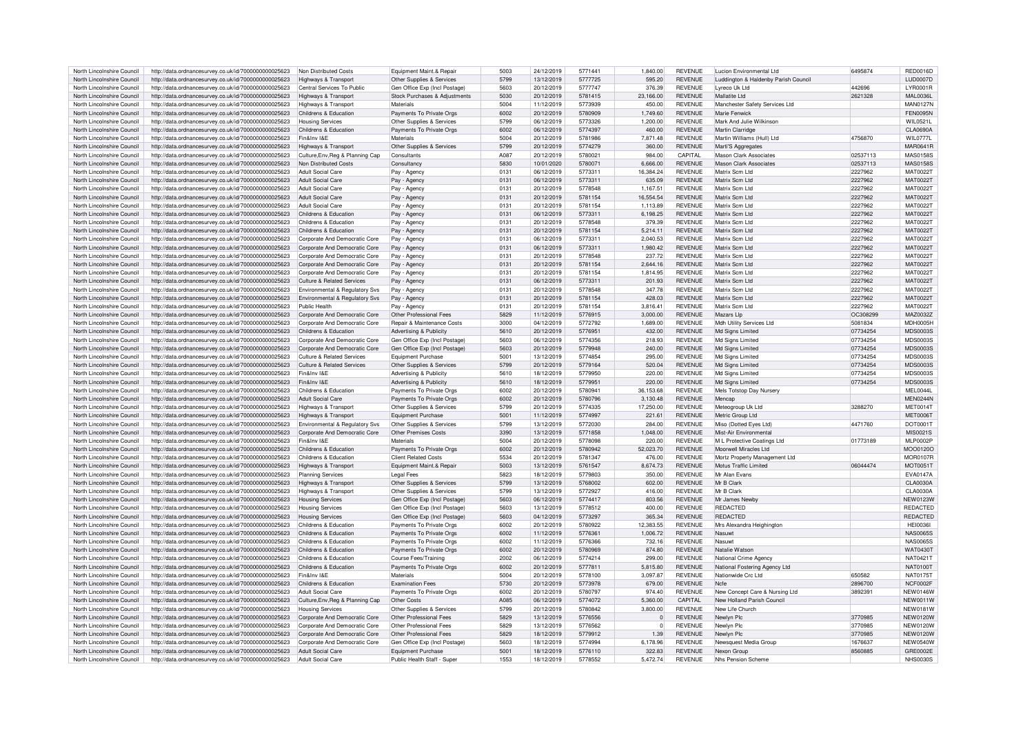| North Lincolnshire Council | http://data.ordnancesurvey.co.uk/id/7000000000025623 | Non Distributed Costs                 | Equipment Maint.& Repair              | 5003 | 24/12/2019 | 5771441 | 1,840.00       | <b>REVENUE</b> | Lucion Environmental Ltd             | 6495874  | RED0016D        |
|----------------------------|------------------------------------------------------|---------------------------------------|---------------------------------------|------|------------|---------|----------------|----------------|--------------------------------------|----------|-----------------|
| North Lincolnshire Council | http://data.ordnancesurvey.co.uk/id/7000000000025623 | Highways & Transport                  | Other Supplies & Services             | 5799 | 13/12/2019 | 5777725 | 595.20         | <b>REVENUE</b> | Luddington & Haldenby Parish Council |          | <b>LUD0007D</b> |
|                            |                                                      |                                       |                                       | 5603 | 20/12/2019 | 5777747 |                | <b>REVENUE</b> |                                      | 442696   | <b>LYR0001R</b> |
| North Lincolnshire Council | http://data.ordnancesurvey.co.uk/id/7000000000025623 | Central Services To Public            | Gen Office Exp (Incl Postage)         |      |            |         | 376.39         |                | Lyreco Uk Ltd                        |          |                 |
| North Lincolnshire Council | http://data.ordnancesurvey.co.uk/id/7000000000025623 | <b>Highways &amp; Transport</b>       | Stock Purchases & Adjustments         | 5030 | 20/12/2019 | 5781415 | 23,166.00      | <b>REVENUE</b> | Mallatite I td                       | 2621328  | <b>MAL0036L</b> |
| North Lincolnshire Council | http://data.ordnancesurvey.co.uk/id/7000000000025623 | Highways & Transpor                   | Materials                             | 5004 | 11/12/2019 | 5773939 | 450.00         | <b>REVENUE</b> | Manchester Safety Services Ltd       |          | <b>MAN0127N</b> |
| North Lincolnshire Council | http://data.ordnancesurvey.co.uk/id/7000000000025623 | Childrens & Education                 | Payments To Private Orgs              | 6002 | 20/12/2019 | 5780909 | 1.749.60       | <b>REVENUE</b> | Marie Fenwick                        |          | <b>FEN0095N</b> |
| North Lincolnshire Council | http://data.ordnancesurvey.co.uk/id/7000000000025623 | <b>Housing Services</b>               | Other Supplies & Services             | 5799 | 06/12/2019 | 5773326 | 1.200.00       | <b>REVENUE</b> | Mark And Julie Wilkinson             |          | <b>WIL0521L</b> |
| North Lincolnshire Council | http://data.ordnancesurvey.co.uk/id/7000000000025623 | Childrens & Education                 | Payments To Private Orgs              | 6002 | 06/12/2019 | 5774397 | 460.00         | <b>REVENUE</b> | Martin Clarridge                     |          | <b>CLA0690A</b> |
| North Lincolnshire Council | http://data.ordnancesurvey.co.uk/id/7000000000025623 | Fin&Inv I&F                           | Materials                             | 5004 | 20/12/2019 | 5781986 | 7.871.48       | <b>REVENUE</b> | Martin Williams (Hull) I to          | 4756870  | WIL0777L        |
| North Lincolnshire Council | http://data.ordnancesurvey.co.uk/id/7000000000025623 | Highways & Transport                  | Other Supplies & Services             | 5799 | 20/12/2019 | 5774279 | 360.00         | <b>REVENUE</b> | Marti'S Aggregates                   |          | <b>MAR0641R</b> |
| North Lincolnshire Council | http://data.ordnancesurvey.co.uk/id/7000000000025623 | Culture, Env. Reg & Planning Cap      | Consultants                           | A087 | 20/12/2019 | 5780021 | 984.00         | <b>CAPITAL</b> | <b>Mason Clark Associates</b>        | 02537113 | <b>MAS0158S</b> |
|                            |                                                      |                                       |                                       |      |            |         |                |                |                                      |          |                 |
| North Lincolnshire Council | http://data.ordnancesurvey.co.uk/id/7000000000025623 | Non Distributed Costs                 | Consultancy                           | 5830 | 10/01/2020 | 5780071 | 6,666.00       | <b>REVENUE</b> | <b>Mason Clark Associates</b>        | 02537113 | <b>MAS0158S</b> |
| North Lincolnshire Council | http://data.ordnancesurvey.co.uk/id/7000000000025623 | <b>Adult Social Care</b>              | Pay - Agency                          | 0131 | 06/12/2019 | 5773311 | 16.384.24      | <b>REVENUE</b> | Matrix Sem Ltd                       | 2227962  | <b>MAT0022T</b> |
| North Lincolnshire Council | http://data.ordnancesurvey.co.uk/id/7000000000025623 | Adult Social Care                     | Pay - Agency                          | 0131 | 06/12/2019 | 5773311 | 635.09         | <b>REVENUE</b> | Matrix Scm I td                      | 2227962  | <b>MAT0022T</b> |
| North Lincolnshire Council | http://data.ordnancesurvey.co.uk/id/7000000000025623 | Adult Social Care                     | Pay - Agenc                           | 0131 | 20/12/2019 | 5778548 | 1,167.51       | <b>REVENUE</b> | Matrix Scm I td                      | 2227962  | <b>MAT0022T</b> |
| North Lincolnshire Council | http://data.ordnancesurvey.co.uk/id/7000000000025623 | <b>Adult Social Care</b>              | Pay - Agency                          | 0131 | 20/12/2019 | 5781154 | 16,554.54      | <b>REVENUE</b> | Matrix Scm I to                      | 2227962  | <b>MAT0022T</b> |
| North Lincolnshire Council | http://data.ordnancesurvey.co.uk/id/7000000000025623 | Adult Social Care                     | Pay - Agency                          | 0131 | 20/12/2019 | 5781154 | 1.113.89       | <b>REVENUE</b> | Matrix Scm Ltd                       | 2227962  | <b>MAT0022T</b> |
| North Lincolnshire Council | http://data.ordnancesurvey.co.uk/id/7000000000025623 | Childrens & Education                 | Pay - Agency                          | 0131 | 06/12/2019 | 5773311 | 6,198.25       | <b>REVENUE</b> | Matrix Scm Ltr                       | 2227962  | MAT0022T        |
| North Lincolnshire Council | http://data.ordnancesurvey.co.uk/id/7000000000025623 | Childrens & Education                 | Pay - Agency                          | 0131 | 20/12/2019 | 5778548 | 379.39         | <b>REVENUE</b> | Matrix Scm I to                      | 2227962  | <b>MAT0022T</b> |
| North Lincolnshire Council | http://data.ordnancesurvey.co.uk/id/7000000000025623 | Childrens & Education                 | Pay - Agency                          | 0131 | 20/12/2019 | 5781154 | 5.214.11       | <b>REVENUE</b> | Matrix Scm I to                      | 2227962  | <b>MAT0022T</b> |
|                            |                                                      |                                       |                                       |      |            | 5773311 |                | <b>REVENUE</b> | Matrix Scm I to                      | 2227962  |                 |
| North Lincolnshire Council | http://data.ordnancesurvey.co.uk/id/7000000000025623 | Corporate And Democratic Core         | Pay - Agency                          | 0131 | 06/12/2019 |         | 2,040.53       |                |                                      |          | MAT00221        |
| North Lincolnshire Council | http://data.ordnancesurvey.co.uk/id/7000000000025623 | Corporate And Democratic Core         | Pay - Agency                          | 0131 | 06/12/2019 | 5773311 | 1.980.42       | <b>REVENUE</b> | Matrix Scm Ltd                       | 2227962  | <b>MAT0022T</b> |
| North Lincolnshire Council | http://data.ordnancesurvey.co.uk/id/7000000000025623 | Corporate And Democratic Core         | Pay - Agency                          | 0131 | 20/12/2019 | 5778548 | 237.72         | <b>REVENUE</b> | Matrix Scm I to                      | 2227962  | <b>MAT0022T</b> |
| North Lincolnshire Council | http://data.ordnancesurvey.co.uk/id/7000000000025623 | Corporate And Democratic Core         | Pav - Agency                          | 0131 | 20/12/2019 | 5781154 | 2,644.16       | <b>REVENUE</b> | Matrix Scm Ltd                       | 2227962  | <b>MAT0022T</b> |
| North Lincolnshire Council | http://data.ordnancesurvey.co.uk/id/7000000000025623 | Corporate And Democratic Core         | Pay - Agency                          | 0131 | 20/12/2019 | 5781154 | 1.814.95       | <b>REVENUE</b> | Matrix Scm Ltd                       | 2227962  | <b>MAT0022T</b> |
| North Lincolnshire Council | http://data.ordnancesurvey.co.uk/id/7000000000025623 | <b>Culture &amp; Related Services</b> | Pay - Agency                          | 0131 | 06/12/2019 | 5773311 | 201.93         | <b>REVENUE</b> | Matrix Scm I to                      | 2227962  | <b>MAT0022T</b> |
| North Lincolnshire Council | http://data.ordnancesurvey.co.uk/id/7000000000025623 | Environmental & Regulatory Sys        | Pay - Agency                          | 0131 | 20/12/2019 | 5778548 | 347.78         | <b>REVENUE</b> | Matrix Scm Ltd                       | 2227962  | <b>MAT0022T</b> |
| North Lincolnshire Council | http://data.ordnancesurvey.co.uk/id/7000000000025623 | Environmental & Regulatory Svs        | Pay - Agency                          | 0131 | 20/12/2019 | 5781154 | 428.03         | <b>REVENUE</b> | Matrix Scm I to                      | 2227962  | <b>MAT0022T</b> |
| North Lincolnshire Council | http://data.ordnancesurvey.co.uk/id/7000000000025623 | Public Health                         | Pay - Agency                          | 0131 | 20/12/2019 | 5781154 | 3,816.41       | <b>REVENUE</b> | Matrix Scm Ltd                       | 2227962  | MAT00221        |
| North Lincolnshire Council | http://data.ordnancesurvey.co.uk/id/7000000000025623 | Corporate And Democratic Core         | Other Professional Fees               | 5829 | 11/12/2019 | 5776915 | 3,000.00       | <b>REVENUE</b> | Mazars Llp                           | OC308299 | MAZ0032Z        |
| North Lincolnshire Council | http://data.ordnancesurvey.co.uk/id/7000000000025623 | Corporate And Democratic Core         | <b>Benair &amp; Maintenance Costs</b> | 3000 | 04/12/2019 | 5772792 | 1,689.00       | <b>REVENUE</b> | Mdh Utility Services Ltd             | 5081834  | <b>MDH0005H</b> |
| North Lincolnshire Council |                                                      | Childrens & Education                 | Advertising & Publicity               | 5610 |            | 5776951 | 432.00         | <b>REVENUE</b> |                                      |          | MDS0003S        |
|                            | http://data.ordnancesurvey.co.uk/id/7000000000025623 |                                       |                                       |      | 20/12/2019 | 5774356 |                |                | Md Signs Limited                     | 07734254 |                 |
| North Lincolnshire Council | http://data.ordnancesurvey.co.uk/id/7000000000025623 | Corporate And Democratic Core         | Gen Office Exp (Incl Postage)         | 5603 | 06/12/2019 |         | 218.93         | <b>REVENUE</b> | Md Signs Limited                     | 07734254 | MDS0003S        |
| North Lincolnshire Council | http://data.ordnancesurvey.co.uk/id/7000000000025623 | Corporate And Democratic Core         | Gen Office Exp (Incl Postage)         | 5603 | 20/12/2019 | 5779948 | 240.00         | <b>REVENUE</b> | <b>Md Signs Limited</b>              | 07734254 | <b>MDS0003S</b> |
| North Lincolnshire Council | http://data.ordnancesurvey.co.uk/id/7000000000025623 | <b>Culture &amp; Related Services</b> | Equipment Purchase                    | 5001 | 13/12/2019 | 5774854 | 295.00         | <b>REVENUE</b> | Md Signs Limited                     | 07734254 | <b>MDS0003S</b> |
| North Lincolnshire Council | http://data.ordnancesurvey.co.uk/id/7000000000025623 | <b>Culture &amp; Related Services</b> | Other Supplies & Services             | 5799 | 20/12/2019 | 5779164 | 520.04         | <b>REVENUE</b> | Md Signs Limited                     | 07734254 | <b>MDS0003S</b> |
| North Lincolnshire Council | http://data.ordnancesurvey.co.uk/id/7000000000025623 | Fin&Inv I&E                           | Advertising & Publicity               | 5610 | 18/12/2019 | 5779950 | 220.00         | <b>REVENUE</b> | Md Sians Limited                     | 07734254 | MDS0003S        |
| North Lincolnshire Council | http://data.ordnancesurvey.co.uk/id/7000000000025623 | Fin&Inv I&F                           | Advertising & Publicity               | 5610 | 18/12/2019 | 5779951 | 220.00         | <b>REVENUE</b> | Md Signs Limited                     | 07734254 | MDS0003S        |
| North Lincolnshire Council | http://data.ordnancesurvey.co.uk/id/7000000000025623 | Childrens & Education                 | Payments To Private Orgs              | 6002 | 20/12/2019 | 5780941 | 36,153.68      | <b>REVENUE</b> | Mels Totstop Day Nursery             |          | MFI 0044I       |
| North Lincolnshire Council | http://data.ordnancesurvey.co.uk/id/7000000000025623 | <b>Adult Social Care</b>              | Payments To Private Orgs              | 6002 | 20/12/2019 | 5780796 | 3,130.48       | <b>REVENUE</b> | Mencar                               |          | MEN0244N        |
| North Lincolnshire Council | http://data.ordnancesurvey.co.uk/id/7000000000025623 | Highways & Transport                  | Other Supplies & Services             | 5799 | 20/12/2019 | 5774335 | 17,250.00      | <b>REVENUE</b> | Meteogroup Uk Ltd                    | 3288270  | <b>MET0014T</b> |
| North Lincolnshire Council | http://data.ordnancesurvey.co.uk/id/7000000000025623 | Highways & Transport                  | <b>Foujoment Purchase</b>             | 5001 | 11/12/2019 | 5774997 | 221.61         | <b>REVENUE</b> | Metric Group Ltd                     |          | <b>MET0006T</b> |
| North Lincolnshire Council | http://data.ordnancesurvey.co.uk/id/7000000000025623 | Environmental & Regulatory Svs        | Other Supplies & Services             | 5799 | 13/12/2019 | 5772030 | 284.00         | <b>REVENUE</b> | Miso (Dotted Eyes Ltd)               | 4471760  | DOT0001T        |
| North Lincolnshire Council | http://data.ordnancesurvey.co.uk/id/7000000000025623 | Corporate And Democratic Core         | Other Premises Costs                  | 3390 | 13/12/2019 | 5771858 | 1,048.00       | <b>REVENUE</b> | Mist-Air Environment                 |          | MIS0021S        |
| North Lincolnshire Council |                                                      | Fin&Inv I&F                           | Materials                             | 5004 | 20/12/2019 | 5778098 | 220.00         | <b>REVENUE</b> | M.I. Protective Coatings Ltd         | 01773189 | <b>MLP0002P</b> |
|                            | http://data.ordnancesurvey.co.uk/id/7000000000025623 |                                       |                                       |      |            |         |                |                |                                      |          |                 |
| North Lincolnshire Council | http://data.ordnancesurvey.co.uk/id/7000000000025623 | Childrens & Education                 | Payments To Private Orgs              | 6002 | 20/12/2019 | 5780942 | 52.023.70      | <b>REVENUE</b> | Moorwell Miracles I td               |          | MOO0120C        |
| North Lincolnshire Council | http://data.ordnancesurvey.co.uk/id/7000000000025623 | Childrens & Education                 | <b>Client Related Costs</b>           | 5534 | 20/12/2019 | 5781347 | 476.00         | <b>REVENUE</b> | Mortz Property Management Ltd        |          | <b>MOR0107F</b> |
| North Lincolnshire Council | http://data.ordnancesurvey.co.uk/id/7000000000025623 | Highways & Transport                  | Equipment Maint.& Repair              | 5003 | 13/12/2019 | 5761547 | 8,674.73       | <b>REVENUE</b> | Motus Traffic Limited                | 06044474 | <b>MOT0051T</b> |
| North Lincolnshire Council | http://data.ordnancesurvey.co.uk/id/7000000000025623 | <b>Planning Services</b>              | <b>Legal Fees</b>                     | 5823 | 18/12/2019 | 5779803 | 350.00         | <b>REVENUE</b> | Mr Alan Fyans                        |          | <b>EVA0147A</b> |
| North Lincolnshire Council | http://data.ordnancesurvey.co.uk/id/7000000000025623 | Highways & Transport                  | Other Supplies & Services             | 5799 | 13/12/2019 | 5768002 | 602.00         | <b>REVENUE</b> | Mr B Clark                           |          | <b>CLA0030A</b> |
| North Lincolnshire Council | http://data.ordnancesurvey.co.uk/id/7000000000025623 | Highways & Transport                  | Other Supplies & Services             | 5799 | 13/12/2019 | 5772927 | 416.00         | <b>REVENUE</b> | Mr B Clark                           |          | <b>CLA0030A</b> |
| North Lincolnshire Council | http://data.ordnancesurvey.co.uk/id/7000000000025623 | <b>Housing Services</b>               | Gen Office Exp (Incl Postage)         | 5603 | 06/12/2019 | 5774417 | 803.56         | <b>REVENUE</b> | Mr. James Newhy                      |          | <b>NEW0123W</b> |
| North Lincolnshire Council | http://data.ordnancesurvey.co.uk/id/7000000000025623 | <b>Housing Services</b>               | Gen Office Exp (Incl Postage)         | 5603 | 13/12/2019 | 5778512 | 400.00         | <b>REVENUE</b> | <b>REDACTED</b>                      |          | REDACTED        |
| North Lincolnshire Council | http://data.ordnancesurvey.co.uk/id/7000000000025623 | <b>Housing Services</b>               | Gen Office Exp (Incl Postage)         | 5603 | 04/12/2019 | 5773297 | 365.34         | <b>REVENUE</b> | <b>REDACTED</b>                      |          | <b>REDACTED</b> |
| North Lincolnshire Council | http://data.ordnancesurvey.co.uk/id/7000000000025623 | Childrens & Education                 | Payments To Private Orgs              | 6002 | 20/12/2019 | 5780922 | 12,383.55      | <b>REVENUE</b> | Mrs Alexandra Heighington            |          | <b>HEI0036</b>  |
| North Lincolnshire Council | http://data.ordnancesurvey.co.uk/id/7000000000025623 | Childrens & Education                 | Payments To Private Orgs              | 6002 | 11/12/2019 | 5776361 | 1.006.72       | <b>REVENUE</b> | Nasuw                                |          | NAS0065S        |
| North Lincolnshire Council | http://data.ordnancesurvey.co.uk/id/7000000000025623 | Childrens & Education                 | Payments To Private Orgs              | 6002 | 11/12/2019 | 5776366 | 732.16         | <b>REVENUE</b> | Nasuwt                               |          | NAS0065S        |
|                            |                                                      |                                       |                                       |      |            | 5780969 | 874 80         | <b>REVENUE</b> | Natalie Watson                       |          |                 |
| North Lincolnshire Council | http://data.ordnancesurvey.co.uk/id/7000000000025623 | Childrens & Education                 | Payments To Private Orgs              | 6002 | 20/12/2019 |         |                |                |                                      |          | <b>WAT0430T</b> |
| North Lincolnshire Council | http://data.ordnancesurvey.co.uk/id/7000000000025623 | Childrens & Education                 | Course Fees/Training                  | 2002 | 06/12/2019 | 5774214 | 299.00         | <b>REVENUE</b> | National Crime Agency                |          | NAT0421T        |
| North Lincolnshire Council | http://data.ordnancesurvey.co.uk/id/7000000000025623 | Childrens & Education                 | Payments To Private Orgs              | 6002 | 20/12/2019 | 5777811 | 5,815.80       | <b>REVENUE</b> | National Fostering Agency Ltd        |          | NAT0100T        |
| North Lincolnshire Council | http://data.ordnancesurvey.co.uk/id/7000000000025623 | Fin&Inv I&F                           | Materials                             | 5004 | 20/12/2019 | 5778100 | 3,097.87       | <b>REVENUE</b> | Nationwide Crc Ltd                   | 650582   | NAT0175T        |
| North Lincolnshire Council | http://data.ordnancesurvey.co.uk/id/7000000000025623 | Childrens & Education                 | <b>Examination Fees</b>               | 5730 | 20/12/2019 | 5773978 | 679.00         | <b>REVENUE</b> | Ncfe                                 | 2896700  | <b>NCF0002F</b> |
| North Lincolnshire Council | http://data.ordnancesurvey.co.uk/id/7000000000025623 | <b>Adult Social Care</b>              | Payments To Private Orgs              | 6002 | 20/12/2019 | 5780797 | 974.40         | <b>REVENUE</b> | New Concept Care & Nursing Ltd       | 3892391  | <b>NEW0146W</b> |
| North Lincolnshire Council | http://data.ordnancesurvey.co.uk/id/7000000000025623 | Culture, Env, Reg & Planning Cap      | <b>Other Costs</b>                    | A085 | 06/12/2019 | 5774072 | 5,360.00       | CAPITAL        | New Holland Parish Counci            |          | <b>NEW0011W</b> |
| North Lincolnshire Council | http://data.ordnancesurvey.co.uk/id/7000000000025623 | <b>Housing Services</b>               | Other Supplies & Services             | 5799 | 20/12/2019 | 5780842 | 3.800.00       | <b>REVENUE</b> | New Life Church                      |          | <b>NEW0181W</b> |
| North Lincolnshire Council | http://data.ordnancesurvey.co.uk/id/7000000000025623 | Corporate And Democratic Core         | Other Professional Fees               | 5829 | 13/12/2019 | 5776556 | $\mathbf{0}$   | <b>REVENUE</b> | Newlyn Plc                           | 3770985  | <b>NEW0120W</b> |
| North Lincolnshire Council | http://data.ordnancesurvey.co.uk/id/7000000000025623 | Corporate And Democratic Core         | Other Professional Fees               | 5829 | 13/12/2019 | 5776562 | $\overline{0}$ | <b>REVENUE</b> | Newlyn Plc                           | 3770985  | <b>NEW0120W</b> |
| North Lincolnshire Council | http://data.ordnancesurvey.co.uk/id/7000000000025623 | Corporate And Democratic Core         | Other Professional Fees               | 5829 | 18/12/2019 | 5779912 | 1.39           | <b>REVENUE</b> | Newlyn Plc                           | 3770985  | <b>NEW0120W</b> |
| North Lincolnshire Council | http://data.ordnancesurvey.co.uk/id/7000000000025623 | Corporate And Democratic Core         | Gen Office Exp (Incl Postage)         | 5603 | 18/12/2019 | 5774994 | 6,178.96       | <b>REVENUE</b> | Newsquest Media Group                | 1676637  | <b>NEW0540W</b> |
| North Lincolnshire Council | http://data.ordnancesurvey.co.uk/id/7000000000025623 | Adult Social Care                     | <b>Equipment Purchase</b>             | 5001 | 18/12/2019 | 5776110 | 322.83         | <b>REVENUE</b> | Nexon Group                          | 8560885  | GRE0002E        |
| North Lincolnshire Council | http://data.ordnancesurvey.co.uk/id/7000000000025623 | Adult Social Care                     | Public Health Staff - Supe            | 1553 | 18/12/2019 | 5778552 | 5.472.74       | <b>REVENUE</b> | Nhs Pension Scheme                   |          | <b>NHS0030S</b> |
|                            |                                                      |                                       |                                       |      |            |         |                |                |                                      |          |                 |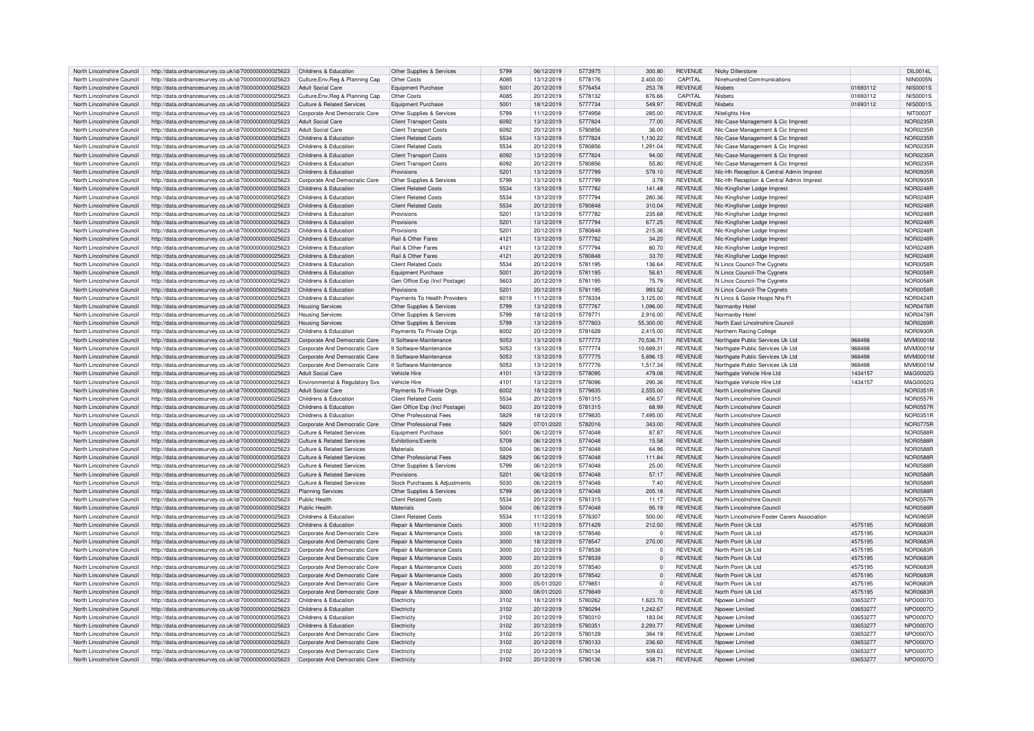| North Lincolnshire Council | http://data.ordnancesurvey.co.uk/id/7000000000025623                                                         | Childrens & Education                                          | Other Supplies & Services             | 5799         | 06/12/2019 | 5773975 | 300.80       | <b>REVENUE</b> | Nicky Dillerstone                            |                      | DIL0014L             |
|----------------------------|--------------------------------------------------------------------------------------------------------------|----------------------------------------------------------------|---------------------------------------|--------------|------------|---------|--------------|----------------|----------------------------------------------|----------------------|----------------------|
| North Lincolnshire Council | http://data.ordnancesurvey.co.uk/id/7000000000025623                                                         | Culture, Env, Reg & Planning Cap                               | Other Costs                           | A085         | 13/12/2019 | 5778176 | 2.400.00     | CAPITAL        | Ninehundred Communications                   |                      | <b>NIN0005N</b>      |
| North Lincolnshire Council | http://data.ordnancesurvey.co.uk/id/7000000000025623                                                         | <b>Adult Social Care</b>                                       | <b>Equipment Purchase</b>             | 5001         | 20/12/2019 | 5776454 | 253.78       | <b>REVENUE</b> | <b>Nishets</b>                               | 01693112             | <b>NIS0001S</b>      |
| North Lincolnshire Council | http://data.ordnancesurvey.co.uk/id/7000000000025623                                                         | Culture, Env. Reg & Planning Cap                               | Other Costs                           | A085         | 20/12/2019 | 5778132 | 676.66       | CAPITAL        | Nishets                                      | 01693112             | <b>NIS0001S</b>      |
| North Lincolnshire Council | http://data.ordnancesurvey.co.uk/id/7000000000025623                                                         | Culture & Related Services                                     | <b>Equipment Purchase</b>             | 5001         | 18/12/2019 | 5777734 | 549.97       | <b>REVENUE</b> | <b>Nishets</b>                               | 01693112             | <b>NIS0001S</b>      |
| North Lincolnshire Council | http://data.ordnancesurvey.co.uk/id/7000000000025623                                                         | Corporate And Democratic Core                                  | Other Supplies & Services             | 5799         | 11/12/2019 | 5774958 | 285.00       | <b>REVENUE</b> | Nitelights Hire                              |                      | <b>NIT0003T</b>      |
| North Lincolnshire Council | http://data.ordnancesurvey.co.uk/id/7000000000025623                                                         | <b>Adult Social Care</b>                                       | <b>Client Transport Costs</b>         | 6092         | 13/12/2019 | 5777824 | 77.00        | <b>REVENUE</b> | NIc-Case Management & Cic Imprest            |                      | <b>NOR0235F</b>      |
|                            |                                                                                                              |                                                                |                                       |              |            |         |              |                |                                              |                      |                      |
| North Lincolnshire Council | http://data.ordnancesurvey.co.uk/id/7000000000025623                                                         | <b>Adult Social Care</b>                                       | <b>Client Transport Costs</b>         | 6092         | 20/12/2019 | 5780856 | 36.00        | <b>REVENUE</b> | NIc-Case Management & Cic Imprest            |                      | <b>NOR0235R</b>      |
| North Lincolnshire Council | http://data.ordnancesurvey.co.uk/id/7000000000025623                                                         | Childrens & Education                                          | <b>Client Related Costs</b>           | 5534         | 13/12/2019 | 5777824 | 1,130.22     | <b>REVENUE</b> | NIc-Case Management & Cic Imprest            |                      | <b>NOR0235R</b>      |
| North Lincolnshire Council | http://data.ordnancesurvey.co.uk/id/7000000000025623                                                         | Childrens & Education                                          | <b>Client Related Costs</b>           | 5534         | 20/12/2019 | 5780856 | 1,291.04     | <b>REVENUE</b> | NIc-Case Management & Cic Imprest            |                      | <b>NOR0235F</b>      |
| North Lincolnshire Council | http://data.ordnancesurvey.co.uk/id/7000000000025623                                                         | Childrens & Education                                          | <b>Client Transport Costs</b>         | 6092         | 13/12/2019 | 5777824 | 94.00        | <b>REVENUE</b> | NIc-Case Management & Cic Imprest            |                      | NOR0235R             |
| North Lincolnshire Council | http://data.ordnancesurvey.co.uk/id/7000000000025623                                                         | Childrens & Education                                          | <b>Client Transport Costs</b>         | 6092         | 20/12/2019 | 5780856 | 55.80        | <b>REVENUE</b> | NIc-Case Management & Cic Imprest            |                      | NOR0235R             |
| North Lincolnshire Council | http://data.ordnancesurvey.co.uk/id/7000000000025623                                                         | Childrens & Education                                          | Provisions                            | 5201         | 13/12/2019 | 5777799 | 579.10       | <b>REVENUE</b> | NIc-Hh Reception & Central Admin Imprest     |                      | NOR0935F             |
| North Lincolnshire Council | http://data.ordnancesurvey.co.uk/id/7000000000025623                                                         | Corporate And Democratic Core                                  | Other Supplies & Services             | 5799         | 13/12/2019 | 5777799 | 3.79         | <b>REVENUE</b> | NIc-Hh Reception & Central Admin Imprest     |                      | NOR0935F             |
| North Lincolnshire Council | http://data.ordnancesurvey.co.uk/id/7000000000025623                                                         | Childrens & Education                                          | <b>Client Related Costs</b>           | 5534         | 13/12/2019 | 5777782 | 141.48       | <b>REVENUE</b> | Nic-Kingfisher Lodge Imprest                 |                      | <b>NOR0248F</b>      |
| North Lincolnshire Council | http://data.ordnancesurvey.co.uk/id/7000000000025623                                                         | Childrens & Education                                          | <b>Client Related Costs</b>           | 5534         | 13/12/2019 | 5777794 | 280.36       | <b>REVENUE</b> | Nic-Kingfisher Lodge Imprest                 |                      | <b>NOR0248F</b>      |
| North Lincolnshire Council | http://data.ordnancesurvey.co.uk/id/7000000000025623                                                         | Childrens & Education                                          | <b>Client Related Costs</b>           | 5534         | 20/12/2019 | 5780848 | 310.04       | <b>REVENUE</b> | NIc-Kingfisher Lodge Imprest                 |                      | <b>NOR0248R</b>      |
| North Lincolnshire Council | http://data.ordnancesurvey.co.uk/id/7000000000025623                                                         | Childrens & Education                                          | Provisions                            | 5201         | 13/12/2019 | 5777782 | 235.68       | <b>REVENUE</b> | NIc-Kingfisher Lodge Imprest                 |                      | <b>NOR0248R</b>      |
| North Lincolnshire Council | http://data.ordnancesurvey.co.uk/id/7000000000025623                                                         | Childrens & Education                                          | Provisions                            | 5201         | 13/12/2019 | 5777794 | 677.25       | <b>REVENUE</b> | Nlc-Kingfisher Lodge Imprest                 |                      | <b>NOR0248R</b>      |
|                            |                                                                                                              |                                                                |                                       |              |            |         |              |                |                                              |                      |                      |
| North Lincolnshire Council | http://data.ordnancesurvey.co.uk/id/7000000000025623                                                         | Childrens & Education                                          | Provisions                            | 5201         | 20/12/2019 | 5780848 | 215.36       | <b>REVENUE</b> | Nic-Kingfisher Lodge Imprest                 |                      | <b>NOR0248R</b>      |
| North Lincolnshire Council | http://data.ordnancesurvey.co.uk/id/7000000000025623                                                         | Childrens & Education                                          | Rail & Other Fares                    | 4121         | 13/12/2019 | 5777782 | 34.20        | <b>REVENUE</b> | NIc-Kingfisher Lodge Imprest                 |                      | <b>NOR0248F</b>      |
| North Lincolnshire Council | http://data.ordnancesurvey.co.uk/id/7000000000025623                                                         | Childrens & Education                                          | Rail & Other Fares                    | 4121         | 13/12/2019 | 5777794 | 80.70        | <b>REVENUE</b> | Nic-Kingfisher Lodge Imprest                 |                      | <b>NOR0248F</b>      |
| North Lincolnshire Council | http://data.ordnancesurvey.co.uk/id/7000000000025623                                                         | Childrens & Education                                          | Rail & Other Fares                    | 4121         | 20/12/2019 | 5780848 | 33.70        | <b>REVENUE</b> | NIc-Kingfisher Lodge Imprest                 |                      | <b>NOR0248R</b>      |
| North Lincolnshire Council | http://data.ordnancesurvey.co.uk/id/7000000000025623                                                         | Childrens & Education                                          | <b>Client Related Costs</b>           | 5534         | 20/12/2019 | 5781195 | 136.64       | <b>REVENUE</b> | N Lincs Council-The Cygnets                  |                      | NOR0058F             |
| North Lincolnshire Council | http://data.ordnancesurvey.co.uk/id/7000000000025623                                                         | Childrens & Education                                          | <b>Equipment Purchase</b>             | 5001         | 20/12/2019 | 5781195 | 56.61        | <b>REVENUE</b> | N Lincs Council-The Cygnets                  |                      | <b>NOR0058F</b>      |
| North Lincolnshire Council | http://data.ordnancesurvey.co.uk/id/7000000000025623                                                         | Childrens & Education                                          | Gen Office Exp (Incl Postage          | 5603         | 20/12/2019 | 5781195 | 75.79        | <b>REVENUE</b> | N Lincs Council-The Cygnets                  |                      | NOR0058F             |
| North Lincolnshire Council | http://data.ordnancesurvey.co.uk/id/7000000000025623                                                         | Childrens & Education                                          | Provisions                            | 5201         | 20/12/2019 | 5781195 | 993.52       | <b>REVENUE</b> | N Lincs Council-The Cygnets                  |                      | <b>NOR0058F</b>      |
| North Lincolnshire Council | http://data.ordnancesurvey.co.uk/id/7000000000025623                                                         | Childrens & Education                                          | Payments To Health Providers          | 6019         | 11/12/2019 | 5776334 | 3.125.00     | <b>REVENUE</b> | N Lincs & Goole Hosps Nhs Ft                 |                      | <b>NOR0424R</b>      |
| North Lincolnshire Council | http://data.ordnancesurvey.co.uk/id/7000000000025623                                                         | <b>Housing Services</b>                                        | Other Supplies & Services             | 5799         | 13/12/2019 | 5777767 | 1.096.00     | <b>REVENUE</b> | Normanby Hotel                               |                      | <b>NOR0478R</b>      |
| North Lincolnshire Council | http://data.ordnancesurvey.co.uk/id/7000000000025623                                                         | <b>Housing Services</b>                                        | Other Supplies & Services             | 5799         | 18/12/2019 | 5779771 | 2,916.00     | <b>REVENUE</b> | Normanby Hotel                               |                      | <b>NOR0478R</b>      |
|                            |                                                                                                              |                                                                |                                       | 5799         |            | 5777803 |              | <b>REVENUE</b> |                                              |                      | NOR0269F             |
| North Lincolnshire Council | http://data.ordnancesurvey.co.uk/id/7000000000025623                                                         | <b>Housing Services</b>                                        | Other Supplies & Services             |              | 13/12/2019 |         | 55,300.00    |                | North East Lincolnshire Council              |                      |                      |
| North Lincolnshire Council | http://data.ordnancesurvey.co.uk/id/7000000000025623                                                         | Childrens & Education                                          | Payments To Private Orgs              | 6002         | 20/12/2019 | 5781628 | 2,415.00     | <b>REVENUE</b> | Northern Racing College                      |                      | <b>NOR0930R</b>      |
| North Lincolnshire Council | http://data.ordnancesurvey.co.uk/id/7000000000025623                                                         | Corporate And Democratic Core                                  | It Software-Maintenance               | 5053         | 13/12/2019 | 5777773 | 70,536.71    | <b>REVENUE</b> | Northgate Public Services Uk Ltd             | 968498               | <b>MVM0001N</b>      |
| North Lincolnshire Council | http://data.ordnancesurvey.co.uk/id/7000000000025623                                                         | Corporate And Democratic Core                                  | It Software-Maintenance               | 5053         | 13/12/2019 | 5777774 | 10.689.31    | <b>REVENUE</b> | Northgate Public Services Uk Ltd             | 968498               | MVM0001N             |
| North Lincolnshire Council | http://data.ordnancesurvey.co.uk/id/7000000000025623                                                         | Corporate And Democratic Core                                  | It Software-Maintenance               | 5053         | 13/12/2019 | 5777775 | 5,896.15     | <b>REVENUE</b> | Northgate Public Services Uk Ltd             | 968498               | MVM0001N             |
| North Lincolnshire Council | http://data.ordnancesurvey.co.uk/id/7000000000025623                                                         | Corporate And Democratic Core                                  | It Software-Maintenance               | 5053         | 13/12/2019 | 5777776 | 1,517.34     | <b>REVENUE</b> | Northgate Public Services Uk Ltd             | 968498               | MVM0001N             |
| North Lincolnshire Council | http://data.ordnancesurvey.co.uk/id/7000000000025623                                                         | <b>Adult Social Care</b>                                       | Vehicle Hire                          | 4101         | 13/12/2019 | 5778095 | 479.08       | <b>REVENUE</b> | Northgate Vehicle Hire Ltd                   | 1434157              | M&G0002G             |
| North Lincolnshire Council | http://data.ordnancesurvey.co.uk/id/7000000000025623                                                         | Environmental & Regulatory Svs                                 | Vehicle Hire                          | 4101         | 13/12/2019 | 5778096 | 290.36       | <b>REVENUE</b> | Northgate Vehicle Hire Ltd                   | 1434157              | M&G0002G             |
| North Lincolnshire Council | http://data.ordnancesurvey.co.uk/id/7000000000025623                                                         | <b>Adult Social Care</b>                                       | Payments To Private Orgs              | 6002         | 18/12/2019 | 5779835 | 2,555.00     | <b>REVENUE</b> | North Lincolnshire Council                   |                      | <b>NOR0351F</b>      |
| North Lincolnshire Council | http://data.ordnancesurvey.co.uk/id/7000000000025623                                                         | Childrens & Education                                          | <b>Client Related Costs</b>           | 5534         | 20/12/2019 | 5781315 | 456.57       | <b>REVENUE</b> | North Lincolnshire Council                   |                      | <b>NOR0557F</b>      |
| North Lincolnshire Council | http://data.ordnancesurvey.co.uk/id/7000000000025623                                                         | Childrens & Education                                          | Gen Office Exp (Incl Postage)         | 5603         | 20/12/2019 | 5781315 | 68.99        | <b>REVENUE</b> | North Lincolnshire Council                   |                      | <b>NOR0557F</b>      |
| North Lincolnshire Council | http://data.ordnancesurvey.co.uk/id/7000000000025623                                                         | Childrens & Education                                          | Other Professional Fees               | 5829         | 18/12/2019 | 5779835 | 7.495.00     | <b>REVENUE</b> | North Lincolnshire Council                   |                      | <b>NOR0351R</b>      |
| North Lincolnshire Council |                                                                                                              |                                                                | Other Professional Fees               | 5829         |            | 5782016 | 343.00       | <b>REVENUE</b> | North Lincolnshire Council                   |                      | <b>NOR0775F</b>      |
|                            | http://data.ordnancesurvey.co.uk/id/7000000000025623                                                         | Corporate And Democratic Core                                  |                                       |              | 07/01/2020 |         |              |                |                                              |                      |                      |
| North Lincolnshire Council | http://data.ordnancesurvey.co.uk/id/7000000000025623                                                         | <b>Culture &amp; Related Services</b>                          | Equipment Purchase                    | 5001         | 06/12/2019 | 5774048 | 87.87        | <b>REVENUE</b> | North Lincolnshire Council                   |                      | <b>NOR0588F</b>      |
| North Lincolnshire Council | http://data.ordnancesurvey.co.uk/id/7000000000025623                                                         | Culture & Related Services                                     | <b>Exhibitions/Events</b>             | 5709         | 06/12/2019 | 5774048 | 15.58        | <b>REVENUE</b> | North Lincolnshire Council                   |                      | <b>NOR0588F</b>      |
| North Lincolnshire Council | http://data.ordnancesurvey.co.uk/id/7000000000025623                                                         | <b>Culture &amp; Related Services</b>                          | Materials                             | 5004         | 06/12/2019 | 5774048 | 64.96        | <b>REVENUE</b> | North Lincolnshire Council                   |                      | <b>NOR0588F</b>      |
| North Lincolnshire Council | http://data.ordnancesurvey.co.uk/id/7000000000025623                                                         | <b>Culture &amp; Related Services</b>                          | Other Professional Fees               | 5829         | 06/12/2019 | 5774048 | 111.84       | <b>REVENUE</b> | North Lincolnshire Council                   |                      | <b>NOR0588R</b>      |
| North Lincolnshire Council | http://data.ordnancesurvey.co.uk/id/7000000000025623                                                         | Culture & Related Services                                     | Other Supplies & Services             | 5799         | 06/12/2019 | 5774048 | 25.00        | <b>REVENUE</b> | North Lincolnshire Council                   |                      | <b>NOR0588R</b>      |
| North Lincolnshire Council | http://data.ordnancesurvey.co.uk/id/7000000000025623                                                         | <b>Culture &amp; Related Services</b>                          | Provisions                            | 5201         | 06/12/2019 | 5774048 | 57.17        | <b>REVENUE</b> | North Lincolnshire Council                   |                      | <b>NOR0588R</b>      |
| North Lincolnshire Council | http://data.ordnancesurvey.co.uk/id/7000000000025623                                                         | Culture & Related Services                                     | Stock Purchases & Adjustments         | 5030         | 06/12/2019 | 5774048 | 7.40         | <b>REVENUE</b> | North Lincolnshire Council                   |                      | <b>NOR0588F</b>      |
| North Lincolnshire Council | http://data.ordnancesurvey.co.uk/id/7000000000025623                                                         | <b>Planning Services</b>                                       | Other Supplies & Services             | 5799         | 06/12/2019 | 5774048 | 205.18       | <b>REVENUE</b> | North Lincolnshire Council                   |                      | <b>NOR0588R</b>      |
| North Lincolnshire Council | http://data.ordnancesurvey.co.uk/id/7000000000025623                                                         | Public Health                                                  | <b>Client Related Costs</b>           | 5534         | 20/12/2019 | 5781315 | 11.17        | <b>REVENUE</b> | North Lincolnshire Council                   |                      | <b>NOR0557R</b>      |
| North Lincolnshire Council | http://data.ordnancesurvey.co.uk/id/7000000000025623                                                         | Public Health                                                  | Materials                             | 5004         | 06/12/2019 | 5774048 | 95.19        | <b>REVENUE</b> | North Lincolnshire Council                   |                      | <b>NOR0588F</b>      |
| North Lincolnshire Council | http://data.ordnancesurvey.co.uk/id/7000000000025623                                                         | Childrens & Education                                          | <b>Client Related Costs</b>           | 5534         | 11/12/2019 | 5776307 | 500.00       | <b>REVENUE</b> | North Lincolnshire Foster Carers Association |                      | NOR0965R             |
| North Lincolnshire Council | http://data.ordnancesurvey.co.uk/id/7000000000025623                                                         | Childrens & Education                                          | <b>Repair &amp; Maintenance Costs</b> | 3000         | 11/12/2019 | 5771429 | 212.50       | <b>REVENUE</b> | North Point Uk I to                          | 4575195              | <b>NOR0683R</b>      |
| North Lincolnshire Council | http://data.ordnancesurvey.co.uk/id/7000000000025623                                                         | Corporate And Democratic Core                                  | Repair & Maintenance Costs            | 3000         | 18/12/2019 | 5778546 | $\mathbf 0$  | <b>REVENUE</b> | North Point Uk I to                          | 4575195              | <b>NOR0683R</b>      |
|                            |                                                                                                              |                                                                |                                       |              |            | 5778547 |              |                |                                              |                      |                      |
| North Lincolnshire Council | http://data.ordnancesurvey.co.uk/id/7000000000025623                                                         | Corporate And Democratic Core                                  | <b>Repair &amp; Maintenance Costs</b> | 3000         | 18/12/2019 |         | 270.00       | <b>REVENUE</b> | North Point Uk Ltd                           | 4575195              | <b>NOR0683R</b>      |
| North Lincolnshire Council | http://data.ordnancesurvey.co.uk/id/7000000000025623                                                         | Corporate And Democratic Core                                  | Repair & Maintenance Costs            | 3000         | 20/12/2019 | 5778538 | $^{\circ}$   | <b>REVENUE</b> | North Point Uk Ltd                           | 4575195              | <b>NOR0683R</b>      |
| North Lincolnshire Council | http://data.ordnancesurvey.co.uk/id/7000000000025623                                                         | Corporate And Democratic Core                                  | Repair & Maintenance Costs            | 3000         | 20/12/2019 | 5778539 | $\Omega$     | <b>REVENUE</b> | North Point Uk Ltd                           | 4575195              | <b>NOR0683R</b>      |
| North Lincolnshire Council | http://data.ordnancesurvey.co.uk/id/7000000000025623                                                         | Corporate And Democratic Core                                  | <b>Benair &amp; Maintenance Costs</b> | 3000         | 20/12/2019 | 5778540 | $\Omega$     | <b>REVENUE</b> | North Point Uk I to                          | 4575195              | NOR0683F             |
| North Lincolnshire Council | http://data.ordnancesurvey.co.uk/id/7000000000025623                                                         | Corporate And Democratic Core                                  | <b>Repair &amp; Maintenance Costs</b> | 3000         | 20/12/2019 | 5778542 | $\Omega$     | <b>REVENUE</b> | North Point Uk I to                          | 4575195              | <b>NOR0683R</b>      |
| North Lincolnshire Council | http://data.ordnancesurvey.co.uk/id/7000000000025623                                                         | Corporate And Democratic Core                                  | Repair & Maintenance Costs            | 3000         | 05/01/2020 | 5779851 | $\Omega$     | <b>REVENUE</b> | North Point Uk I to                          | 4575195              | <b>NOR0683R</b>      |
| North Lincolnshire Council | http://data.ordnancesurvey.co.uk/id/7000000000025623                                                         | Corporate And Democratic Core                                  | Repair & Maintenance Costs            | 3000         | 08/01/2020 | 5779849 | $\mathbf{0}$ | <b>REVENUE</b> | North Point Uk Ltd                           | 4575195              | <b>NOR0683R</b>      |
| North Lincolnshire Council | http://data.ordnancesurvey.co.uk/id/7000000000025623                                                         | Childrens & Education                                          | Electricity                           | 3102         | 18/12/2019 | 5780262 | 1,623.70     | <b>REVENUE</b> | Noower Limited                               | 03653277             | NPO0007C             |
| North Lincolnshire Council | http://data.ordnancesurvey.co.uk/id/7000000000025623                                                         | Childrens & Education                                          | Electricity                           | 3102         | 20/12/2019 | 5780294 | 1,242.67     | <b>REVENUE</b> | Npower Limited                               | 03653277             | NPO0007O             |
| North Lincolnshire Council | http://data.ordnancesurvey.co.uk/id/7000000000025623                                                         | Childrens & Education                                          | Flectricity                           | 3102         | 20/12/2019 | 5780310 | 183.04       | <b>REVENUE</b> | Noower Limited                               | 03653277             | NPO0007O             |
| North Lincolnshire Council | http://data.ordnancesurvey.co.uk/id/7000000000025623                                                         | Childrens & Education                                          | Flectricity                           | 3102         | 20/12/2019 | 5780351 | 2.293.77     | <b>REVENUE</b> | Nnower I imited                              | 03653277             | NPO0007O             |
| North Lincolnshire Council | http://data.ordnancesurvey.co.uk/id/7000000000025623                                                         | Corporate And Democratic Core                                  | Electricity                           | 3102         | 20/12/2019 | 5780129 | 384.19       | <b>REVENUE</b> | Noower Limited                               | 03653277             | NPO0007O             |
|                            |                                                                                                              |                                                                |                                       |              |            |         |              |                |                                              |                      |                      |
| North Lincolnshire Council | http://data.ordnancesurvey.co.uk/id/7000000000025623                                                         | Corporate And Democratic Core                                  | Flectricity                           | 3102         | 20/12/2019 | 5780133 | 236.60       | <b>REVENUE</b> | Nnower I imited                              | 03653277             | NPO0007O             |
| North Lincolnshire Council | http://data.ordnancesurvey.co.uk/id/7000000000025623<br>http://data.ordnancesurvey.co.uk/id/7000000000025623 | Corporate And Democratic Core<br>Corporate And Democratic Core | <b>Electricity</b><br>Flectricity     | 3102<br>3102 | 20/12/2019 | 5780134 | 509.63       | <b>REVENUE</b> | Npower Limited                               | 03653277<br>03653277 | NPO0007C<br>NPO0007O |
| North Lincolnshire Council |                                                                                                              |                                                                |                                       |              | 20/12/2019 | 5780136 | 438.71       | <b>REVENUE</b> | Nnower I imited                              |                      |                      |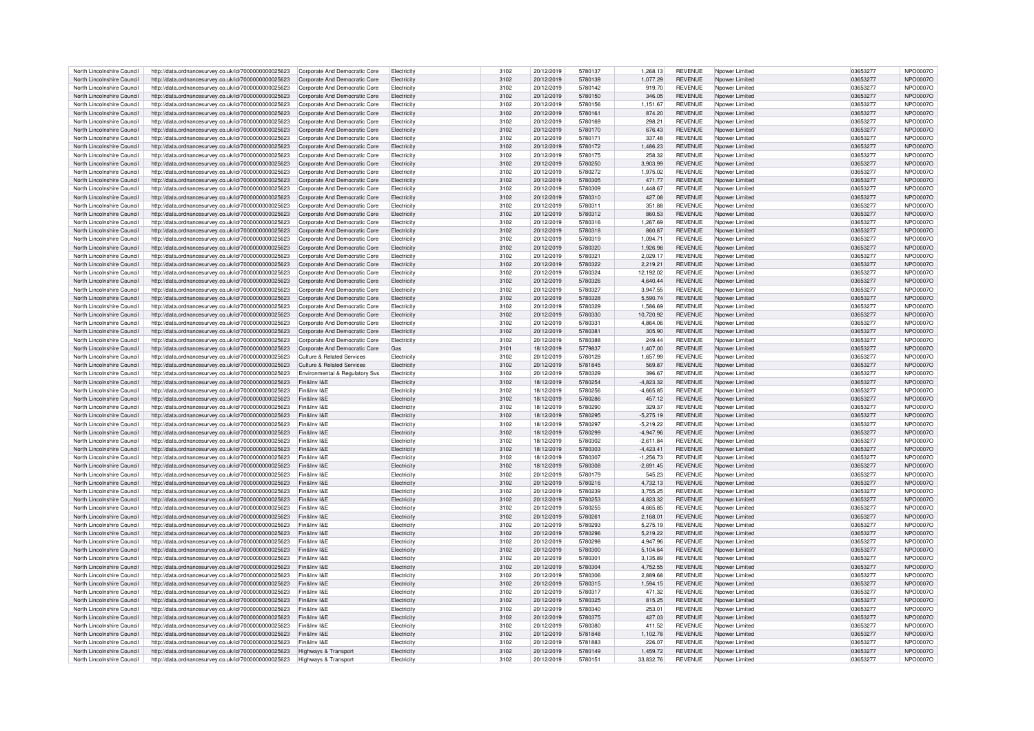| North Lincolnshire Council | http://data.ordnancesurvey.co.uk/id/7000000000025623 | Corporate And Democratic Core  | Electricity        | 3102 | 20/12/2019 | 5780137 | 1,268.13    | <b>REVENUE</b> | Npower Limited  | 03653277 | NPO0007C        |
|----------------------------|------------------------------------------------------|--------------------------------|--------------------|------|------------|---------|-------------|----------------|-----------------|----------|-----------------|
|                            |                                                      |                                |                    |      |            |         |             |                |                 |          |                 |
| North Lincolnshire Council | http://data.ordnancesurvey.co.uk/id/7000000000025623 | Corporate And Democratic Core  | Flectricity        | 3102 | 20/12/2019 | 5780139 | 1.077.29    | <b>REVENUE</b> | Nnower I imited | 03653277 | NPO0007O        |
| North Lincolnshire Council | http://data.ordnancesurvey.co.uk/id/7000000000025623 | Corporate And Democratic Core  | Electricity        | 3102 | 20/12/2019 | 5780142 | 919.70      | <b>REVENUE</b> | Npower Limited  | 03653277 | NPO0007C        |
|                            |                                                      |                                |                    |      |            |         |             |                |                 |          |                 |
| North Lincolnshire Council | http://data.ordnancesurvey.co.uk/id/7000000000025623 | Corporate And Democratic Core  | Electricit         | 3102 | 20/12/2019 | 5780150 | 346.05      | <b>REVENUE</b> | Npower Limited  | 03653277 | NPO0007O        |
| North Lincolnshire Council | http://data.ordnancesurvey.co.uk/id/7000000000025623 | Corporate And Democratic Core  | Electricity        | 3102 | 20/12/2019 | 5780156 | 1.151.67    | <b>REVENUE</b> | Noower Limited  | 0365327  | <b>NPO0007C</b> |
| North Lincolnshire Council | http://data.ordnancesurvey.co.uk/id/7000000000025623 | Corporate And Democratic Core  | Electricity        | 3102 | 20/12/2019 | 5780161 | 874.20      | <b>REVENUE</b> | Npower Limited  | 03653277 | NPO0007O        |
|                            |                                                      |                                |                    |      |            |         |             |                |                 |          |                 |
| North Lincolnshire Council | http://data.ordnancesurvey.co.uk/id/7000000000025623 | Corporate And Democratic Core  | Electricity        | 3102 | 20/12/2019 | 5780169 | 298.21      | <b>REVENUE</b> | Nnower Limited  | 03653277 | NPO0007C        |
| North Lincolnshire Council | http://data.ordnancesurvey.co.uk/id/7000000000025623 | Corporate And Democratic Core  | Electricity        | 3102 | 20/12/2019 | 5780170 | 676.43      | <b>REVENUE</b> | Noower Limited  | 03653277 | NPO0007O        |
|                            |                                                      |                                |                    |      |            |         |             |                |                 |          |                 |
| North Lincolnshire Council | http://data.ordnancesurvey.co.uk/id/7000000000025623 | Corporate And Democratic Core  | Electricity        | 3102 | 20/12/2019 | 5780171 | 337.48      | <b>REVENUE</b> | Npower Limitec  | 03653277 | NPO0007O        |
| North Lincolnshire Council | http://data.ordnancesurvey.co.uk/id/7000000000025623 | Corporate And Democratic Core  | Electricity        | 3102 | 20/12/2019 | 5780172 | 1.486.23    | <b>REVENUE</b> | Noower Limited  | 03653277 | NPO0007O        |
| North Lincolnshire Council | http://data.ordnancesurvey.co.uk/id/7000000000025623 | Corporate And Democratic Core  | Flectricity        | 3102 | 20/12/2019 | 5780175 | 258.32      | <b>REVENUE</b> | Nnower I imited | 03653277 | NPO0007O        |
|                            |                                                      |                                |                    |      |            |         |             |                |                 |          |                 |
| North Lincolnshire Council | http://data.ordnancesurvey.co.uk/id/7000000000025623 | Corporate And Democratic Core  | Electricity        | 3102 | 20/12/2019 | 5780250 | 3,903.99    | <b>REVENUE</b> | Npower Limited  | 03653277 | NPO0007O        |
| North Lincolnshire Council | http://data.ordnancesurvey.co.uk/id/7000000000025623 | Corporate And Democratic Core  | Electricity        | 3102 | 20/12/2019 | 5780272 | 1,975.02    | <b>REVENUE</b> | Noower Limited  | 03653277 | NPO0007C        |
|                            |                                                      |                                |                    | 3102 |            | 5780305 | 471.77      | <b>REVENUE</b> |                 | 03653277 |                 |
| North Lincolnshire Council | http://data.ordnancesurvey.co.uk/id/7000000000025623 | Corporate And Democratic Core  | Electricity        |      | 20/12/2019 |         |             |                | Npower Limited  |          | <b>NPO0007O</b> |
| North Lincolnshire Council | http://data.ordnancesurvey.co.uk/id/7000000000025623 | Corporate And Democratic Core  | Electricit         | 3102 | 20/12/2019 | 5780309 | 1,448.67    | <b>REVENUE</b> | Noower Limited  | 03653277 | NPO0007C        |
| North Lincolnshire Council | http://data.ordnancesurvey.co.uk/id/7000000000025623 | Corporate And Democratic Core  | Flectricity        | 3102 | 20/12/2019 | 5780310 | 427.08      | <b>REVENUE</b> | Nnower I imited | 03653277 | NPO0007O        |
|                            |                                                      |                                |                    | 3102 | 20/12/2019 | 5780311 | 351.88      | <b>REVENUE</b> |                 | 03653277 | NPO0007C        |
| North Lincolnshire Council | http://data.ordnancesurvey.co.uk/id/7000000000025623 | Corporate And Democratic Core  | Flectricity        |      |            |         |             |                | Nnower I imited |          |                 |
| North Lincolnshire Council | http://data.ordnancesurvey.co.uk/id/7000000000025623 | Corporate And Democratic Core  | Electricity        | 3102 | 20/12/2019 | 5780312 | 860.53      | <b>REVENUE</b> | Noower Limited  | 03653277 | NPO0007O        |
| North Lincolnshire Council | http://data.ordnancesurvey.co.uk/id/7000000000025623 | Corporate And Democratic Core  | Electricity        | 3102 | 20/12/2019 | 5780316 | 1,267.69    | <b>REVENUE</b> | Npower Limitec  | 03653277 | NPO0007O        |
|                            |                                                      |                                |                    |      |            |         |             |                |                 |          |                 |
| North Lincolnshire Council | http://data.ordnancesurvey.co.uk/id/7000000000025623 | Corporate And Democratic Core  | Electricity        | 3102 | 20/12/2019 | 5780318 | 860.87      | <b>REVENUE</b> | Npower Limited  | 03653277 | NPO0007O        |
| North Lincolnshire Council | http://data.ordnancesurvey.co.uk/id/7000000000025623 | Corporate And Democratic Core  | Electricity        | 3102 | 20/12/2019 | 5780319 | 1,094.71    | <b>REVENUE</b> | Noower Limited  | 03653277 | NPO0007C        |
| North Lincolnshire Council | http://data.ordnancesurvey.co.uk/id/7000000000025623 | Corporate And Democratic Core  | Flectricity        | 3102 | 20/12/2019 | 5780320 | 1.926.98    | <b>REVENUE</b> | Nnower Limited  | 03653277 | NPO0007O        |
|                            |                                                      |                                |                    |      |            |         |             |                |                 |          |                 |
| North Lincolnshire Council | http://data.ordnancesurvey.co.uk/id/7000000000025623 | Corporate And Democratic Core  | Flectricity        | 3102 | 20/12/2019 | 5780321 | 2.029.17    | <b>REVENUE</b> | Noower Limited  | 0365327  | NPO0007O        |
| North Lincolnshire Council | http://data.ordnancesurvey.co.uk/id/7000000000025623 | Corporate And Democratic Core  | Electricity        | 3102 | 20/12/2019 | 5780322 | 2.219.21    | <b>REVENUE</b> | Noower Limited  | 03653277 | NPO0007O        |
|                            |                                                      |                                |                    |      |            |         |             |                |                 |          |                 |
| North Lincolnshire Council | http://data.ordnancesurvey.co.uk/id/7000000000025623 | Corporate And Democratic Core  | Flectricity        | 3102 | 20/12/2019 | 5780324 | 12.192.02   | <b>REVENUE</b> | Nnower Limited  | 03653277 | NPO0007C        |
| North Lincolnshire Council | http://data.ordnancesurvey.co.uk/id/7000000000025623 | Corporate And Democratic Core  | Electricity        | 3102 | 20/12/2019 | 5780326 | 4,640.44    | <b>REVENUE</b> | Noower Limited  | 03653277 | NPO0007O        |
| North Lincolnshire Council | http://data.ordnancesurvey.co.uk/id/7000000000025623 | Corporate And Democratic Core  | Flectricity        | 3102 | 20/12/2019 | 5780327 | 3.947.55    | <b>REVENUE</b> | Nnower I imited | 03653277 | NPO0007O        |
|                            |                                                      |                                |                    |      |            |         |             |                |                 |          |                 |
| North Lincolnshire Council | http://data.ordnancesurvey.co.uk/id/7000000000025623 | Corporate And Democratic Core  | Electricity        | 3102 | 20/12/2019 | 5780328 | 5.590.74    | <b>REVENUE</b> | Npower Limited  | 03653277 | NPO0007O        |
| North Lincolnshire Council | http://data.ordnancesurvey.co.uk/id/7000000000025623 | Corporate And Democratic Core  | Electricity        | 3102 | 20/12/2019 | 5780329 | 1.586.69    | <b>REVENUE</b> | Noower Limited  | 03653277 | NPO0007C        |
| North Lincolnshire Council |                                                      |                                | Flectricity        | 3102 | 20/12/2019 | 5780330 |             | <b>REVENUE</b> |                 |          |                 |
|                            | http://data.ordnancesurvey.co.uk/id/7000000000025623 | Corporate And Democratic Core  |                    |      |            |         | 10,720.92   |                | Npower Limited  | 03653277 | NPO0007O        |
| North Lincolnshire Council | http://data.ordnancesurvey.co.uk/id/7000000000025623 | Corporate And Democratic Core  | Electricity        | 3102 | 20/12/2019 | 5780331 | 4,864.06    | <b>REVENUE</b> | Noower Limited  | 03653277 | NPO0007C        |
| North Lincolnshire Council | http://data.ordnancesurvey.co.uk/id/7000000000025623 | Corporate And Democratic Core  | Electricity        | 3102 | 20/12/2019 | 578038  | 305.90      | <b>REVENUE</b> | Noower Limited  | 03653277 | NPO0007O        |
|                            |                                                      |                                |                    |      |            |         |             |                |                 |          |                 |
| North Lincolnshire Council | http://data.ordnancesurvey.co.uk/id/7000000000025623 | Corporate And Democratic Core  | Electricity        | 3102 | 20/12/2019 | 5780388 | 249.44      | <b>REVENUE</b> | Npower Limited  | 03653277 | NPO0007O        |
| North Lincolnshire Council | http://data.ordnancesurvey.co.uk/id/7000000000025623 | Corporate And Democratic Core  | Gas                | 3101 | 18/12/2019 | 5779837 | 1,407.00    | <b>REVENUE</b> | Noower Limited  | 03653277 | NPO0007O        |
| North Lincolnshire Council | http://data.ordnancesurvey.co.uk/id/7000000000025623 | Culture & Related Services     | Flectricity        | 3102 | 20/12/2019 | 5780128 | 1.657.99    | <b>REVENUE</b> | Nnower I imited | 03653277 | NPO0007C        |
|                            |                                                      |                                |                    |      |            |         |             |                |                 |          |                 |
| North Lincolnshire Council | http://data.ordnancesurvey.co.uk/id/7000000000025623 | Culture & Related Services     | Flectricity        | 3102 | 20/12/2019 | 5781845 | 569.87      | <b>REVENUE</b> | Nnower I imited | 03653277 | NPO0007C        |
| North Lincolnshire Council | http://data.ordnancesurvey.co.uk/id/7000000000025623 | Environmental & Regulatory Sys | Electricity        | 3102 | 20/12/2019 | 5780329 | 396.67      | <b>REVENUE</b> | Nnower Limitec  | 03653277 | NPO0007O        |
|                            |                                                      |                                |                    |      |            |         |             |                |                 |          |                 |
| North Lincolnshire Council | http://data.ordnancesurvey.co.uk/id/7000000000025623 | Fin&Inv I&E                    | Electricity        | 3102 | 18/12/2019 | 5780254 | $-4,823.32$ | <b>REVENUE</b> | Noower Limited  | 0365327  | NPO0007O        |
| North Lincolnshire Council | http://data.ordnancesurvey.co.uk/id/7000000000025623 | Fin&Inv I&F                    | Electricity        | 3102 | 18/12/2019 | 5780256 | $-4,665.85$ | <b>REVENUE</b> | Noower Limited  | 0365327  | <b>NPO0007C</b> |
| North Lincolnshire Council | http://data.ordnancesurvey.co.uk/id/7000000000025623 | Fin&Inv I&E                    | Electricity        | 3102 | 18/12/2019 | 5780286 | 457.12      | <b>REVENUE</b> | Noower Limited  | 03653277 | NPO0007O        |
|                            |                                                      |                                |                    |      |            |         |             |                |                 |          |                 |
| North Lincolnshire Council | http://data.ordnancesurvey.co.uk/id/7000000000025623 | Fin&Inv I&F                    | Flectricity        | 3102 | 18/12/2019 | 5780290 | 329.37      | <b>REVENUE</b> | Nnower I imited | 03653277 | NPO0007O        |
| North Lincolnshire Council | http://data.ordnancesurvey.co.uk/id/7000000000025623 | Fin&Inv I&F                    | Electricity        | 3102 | 18/12/2019 | 5780295 | $-5,275.19$ | <b>REVENUE</b> | Noower Limited  | 03653277 | NPO0007O        |
| North Lincolnshire Council |                                                      | Fin&Inv I&E                    |                    | 3102 |            | 5780297 |             | <b>REVENUE</b> | Noower Limited  | 03653277 | <b>NPO0007C</b> |
|                            | http://data.ordnancesurvey.co.uk/id/7000000000025623 |                                | <b>Electricity</b> |      | 18/12/2019 |         | $-5,219.22$ |                |                 |          |                 |
| North Lincolnshire Council | http://data.ordnancesurvey.co.uk/id/7000000000025623 | Fin&Inv I&F                    | Electricity        | 3102 | 18/12/2019 | 5780299 | 4.947.96    | <b>REVENUE</b> | Nnower Limited  | 03653277 | NPO0007C        |
| North Lincolnshire Council | http://data.ordnancesurvey.co.uk/id/7000000000025623 | Fin&Inv I&F                    | Electricity        | 3102 | 18/12/2019 | 5780302 | $-2.611.84$ | <b>REVENUE</b> | Noower Limited  | 03653277 | NPO0007C        |
|                            |                                                      |                                |                    |      |            |         |             |                |                 |          |                 |
| North Lincolnshire Council | http://data.ordnancesurvey.co.uk/id/7000000000025623 | Fin&Inv I&E                    | Flectricity        | 3102 | 18/12/2019 | 5780303 | $-4.423.41$ | <b>REVENUE</b> | Nnower I imited | 03653277 | NPO0007O        |
| North Lincolnshire Council | http://data.ordnancesurvey.co.uk/id/7000000000025623 | Fin&Inv I&F                    | Electricity        | 3102 | 18/12/2019 | 5780307 | $-1,256.73$ | <b>REVENUE</b> | Noower Limited  | 03653277 | NPO0007O        |
| North Lincolnshire Council | http://data.ordnancesurvey.co.uk/id/7000000000025623 | Fin&Inv I&E                    | Electricity        | 3102 | 18/12/2019 | 5780308 | $-2,691.45$ | <b>REVENUE</b> | Noower Limited  | 03653277 | NPO0007O        |
|                            |                                                      |                                |                    |      |            |         |             |                |                 |          |                 |
| North Lincolnshire Council | http://data.ordnancesurvey.co.uk/id/7000000000025623 | Fin&Inv I&E                    | Electricity        | 3102 | 20/12/2019 | 5780179 | 545.23      | <b>REVENUE</b> | Noower Limited  | 03653277 | NPO0007C        |
| North Lincolnshire Council | http://data.ordnancesurvey.co.uk/id/7000000000025623 | Fin&Inv I&F                    | Electricity        | 3102 | 20/12/2019 | 5780216 | 4,732.13    | <b>REVENUE</b> | Npower Limited  | 03653277 | NPO0007O        |
| North Lincolnshire Council | http://data.ordnancesurvey.co.uk/id/7000000000025623 | Fin&Inv I&E                    | Flectricity        | 3102 | 20/12/2019 | 5780239 | 3.755.25    | <b>REVENUE</b> | Nnower Limited  | 03653277 | NPO0007O        |
|                            |                                                      |                                |                    |      |            |         |             |                |                 |          |                 |
| North Lincolnshire Council | http://data.ordnancesurvey.co.uk/id/7000000000025623 | Fin&Inv I&E                    | Electricity        | 3102 | 20/12/2019 | 5780253 | 4,823.32    | <b>REVENUE</b> | Npower Limited  | 03653277 | <b>NPO0007C</b> |
| North Lincolnshire Council | http://data.ordnancesurvey.co.uk/id/7000000000025623 | Fin&Inv I&E                    | Electricity        | 3102 | 20/12/2019 | 5780255 | 4,665.85    | <b>REVENUE</b> | Noower Limitec  | 03653277 | NPO0007C        |
|                            |                                                      |                                |                    |      |            |         |             |                |                 |          |                 |
| North Lincolnshire Council | http://data.ordnancesurvey.co.uk/id/7000000000025623 | Fin&Inv I&E                    | Electricity        | 3102 | 20/12/2019 | 5780261 | 2.168.01    | <b>REVENUE</b> | Npower Limited  | 03653277 | NPO0007O        |
| North Lincolnshire Council | http://data.ordnancesurvey.co.uk/id/7000000000025623 | Fin&Inv I&F                    | Electricity        | 3102 | 20/12/2019 | 5780293 | 5,275.19    | <b>REVENUE</b> | Npower Limited  | 03653277 | NPO0007C        |
| North Lincolnshire Council | http://data.ordnancesurvey.co.uk/id/7000000000025623 | Fin&Inv I&E                    | Flectricity        | 3102 | 20/12/2019 | 5780296 | 5,219.22    | <b>REVENUE</b> | Nnower I imited | 03653277 | NPO0007O        |
|                            |                                                      |                                |                    |      |            |         |             |                |                 |          |                 |
| North Lincolnshire Council | http://data.ordnancesurvey.co.uk/id/7000000000025623 | Fin&Inv I&F                    | Electricity        | 3102 | 20/12/2019 | 5780298 | 4,947.96    | <b>REVENUE</b> | Noower Limited  | 0365327  | NPO0007O        |
| North Lincolnshire Council | http://data.ordnancesurvey.co.uk/id/7000000000025623 | Fin&Inv I&F                    | Electricity        | 3102 | 20/12/2019 | 5780300 | 5,104.64    | <b>REVENUE</b> | Noower Limited  | 03653277 | NPO0007O        |
| North Lincolnshire Council | http://data.ordnancesurvey.co.uk/id/7000000000025623 | Fin&Inv I&E                    | Electricity        | 3102 | 20/12/2019 | 5780301 | 3.135.89    | <b>REVENUE</b> | Noower Limited  | 0365327  | <b>NPO0007C</b> |
|                            |                                                      |                                |                    |      |            |         |             |                |                 |          |                 |
| North Lincolnshire Council | http://data.ordnancesurvey.co.uk/id/7000000000025623 | Fin&Inv I&F                    | Electricity        | 3102 | 20/12/2019 | 5780304 | 4,752.55    | <b>REVENUE</b> | Npower Limited  | 03653277 | NPO0007O        |
| North Lincolnshire Council | http://data.ordnancesurvey.co.uk/id/7000000000025623 | Fin&Inv I&F                    | Electricity        | 3102 | 20/12/2019 | 5780306 | 2,889.68    | <b>REVENUE</b> | Noower Limited  | 03653277 | NPO0007C        |
|                            |                                                      |                                |                    |      |            |         |             |                |                 |          |                 |
| North Lincolnshire Council | http://data.ordnancesurvey.co.uk/id/7000000000025623 | Fin&Inv I&F                    | Electricity        | 3102 | 20/12/2019 | 5780315 | 1,594.15    | <b>REVENUE</b> | Noower Limited  | 03653277 | NPO0007C        |
| North Lincolnshire Council | http://data.ordnancesurvey.co.uk/id/7000000000025623 | Fin&Inv I&E                    | Electricity        | 3102 | 20/12/2019 | 5780317 | 471.32      | <b>REVENUE</b> | Npower Limitec  | 03653277 | NPO0007O        |
| North Lincolnshire Council | http://data.ordnancesurvey.co.uk/id/7000000000025623 | Fin&Inv I&E                    | Electricit         | 3102 | 20/12/2019 | 5780325 | 815.25      | <b>REVENUE</b> | Npower Limited  | 03653277 | NPO0007O        |
|                            |                                                      |                                |                    |      |            |         |             |                |                 |          |                 |
| North Lincolnshire Council | http://data.ordnancesurvey.co.uk/id/7000000000025623 | Fin&Inv I&E                    | Flectricity        | 3102 | 20/12/2019 | 5780340 | 253.01      | <b>REVENUE</b> | Nnower I imited | 03653277 | NPO0007O        |
| North Lincolnshire Council | http://data.ordnancesurvey.co.uk/id/7000000000025623 | Fin&Inv I&F                    | Electricity        | 3102 | 20/12/2019 | 5780375 | 427.03      | <b>REVENUE</b> | Nnower I imited | 03653277 | NPO0007O        |
|                            |                                                      | Fin&Inv I&F                    |                    | 3102 |            |         | 411.52      | <b>REVENUE</b> |                 |          | NPO0007C        |
| North Lincolnshire Council | http://data.ordnancesurvey.co.uk/id/7000000000025623 |                                | Electricity        |      | 20/12/2019 | 5780380 |             |                | Noower Limited  | 03653277 |                 |
| North Lincolnshire Council | http://data.ordnancesurvey.co.uk/id/7000000000025623 | Fin&Inv I&E                    | Electricity        | 3102 | 20/12/2019 | 5781848 | 1,102.78    | <b>REVENUE</b> | Npower Limited  | 03653277 | <b>NPO0007C</b> |
| North Lincolnshire Council | http://data.ordnancesurvey.co.uk/id/7000000000025623 | Fin&Inv I&F                    | Electricity        | 3102 | 20/12/2019 | 5781883 | 226.07      | <b>REVENUE</b> | Nnower Limited  | 03653277 | NPO0007C        |
|                            |                                                      |                                |                    |      |            |         |             |                |                 |          |                 |
|                            |                                                      |                                | Electricity        | 3102 | 20/12/2019 | 5780149 | 1,459.72    | <b>REVENUE</b> | Noower Limited  | 03653277 | NPO0007O        |
| North Lincolnshire Council | http://data.ordnancesurvey.co.uk/id/7000000000025623 | Highways & Transport           |                    |      |            |         |             |                |                 |          |                 |
| North Lincolnshire Council | http://data.ordnancesurvey.co.uk/id/7000000000025623 | Highways & Transport           | Electricity        | 3102 | 20/12/2019 | 5780151 | 33.832.76   | <b>REVENUE</b> | Nnower I imited | 03653277 | NPO0007O        |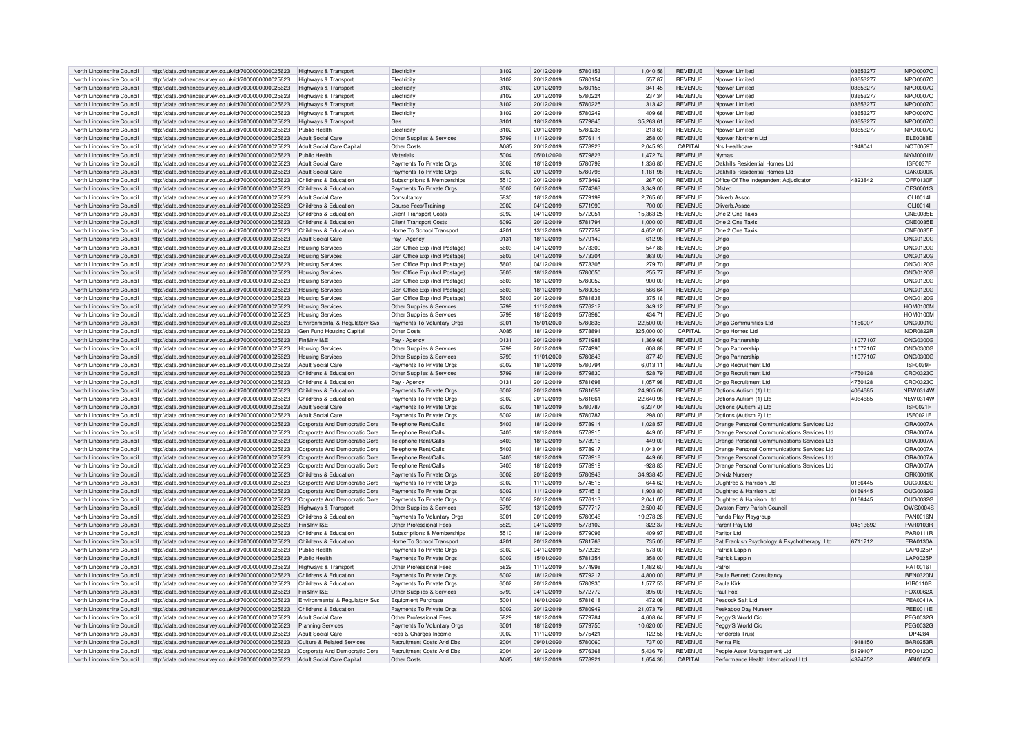| North Lincolnshire Council                               | http://data.ordnancesurvey.co.uk/id/7000000000025623                                                         | Highways & Transport                                       | Flectricity                              | 3102         | 20/12/2019               | 5780153            | 1,040.56             | <b>REVENUE</b>            | Npower Limited                                                      | 03653277           | NPO0007O             |
|----------------------------------------------------------|--------------------------------------------------------------------------------------------------------------|------------------------------------------------------------|------------------------------------------|--------------|--------------------------|--------------------|----------------------|---------------------------|---------------------------------------------------------------------|--------------------|----------------------|
| North Lincolnshire Council                               | http://data.ordnancesurvey.co.uk/id/7000000000025623                                                         | Highways & Transport                                       | Flectricity                              | 3102         | 20/12/2019               | 5780154            | 557.87               | <b>REVENUE</b>            | Nnower I imited                                                     | 03653277           | NPO0007C             |
|                                                          |                                                                                                              |                                                            |                                          |              |                          |                    |                      |                           |                                                                     |                    |                      |
| North Lincolnshire Council                               | http://data.ordnancesurvey.co.uk/id/7000000000025623                                                         | Highways & Transport                                       | Electricity                              | 3102         | 20/12/2019               | 5780155            | 341.45               | <b>REVENUE</b>            | Noower Limited                                                      | 03653277           | NPO0007O             |
| North Lincolnshire Council                               | http://data.ordnancesurvey.co.uk/id/7000000000025623                                                         | Highways & Transport                                       | Electricity                              | 3102         | 20/12/2019               | 5780224            | 237.34               | <b>REVENUE</b>            | Nnower I imited                                                     | 03653277           | NPO0007O             |
| North Lincolnshire Council                               | http://data.ordnancesurvey.co.uk/id/7000000000025623                                                         | <b>Highways &amp; Transport</b>                            | Electricity                              | 3102         | 20/12/2019               | 5780225            | 313.42               | <b>REVENUE</b>            | Noower Limited                                                      | 03653277           | NPO0007O             |
| North Lincolnshire Council                               | http://data.ordnancesurvey.co.uk/id/7000000000025623                                                         | Highways & Transport                                       | Flectricity                              | 3102         | 20/12/2019               | 5780249            | 409.68               | <b>REVENUE</b>            | Nnower I imited                                                     | 03653277           | <b>NPO0007C</b>      |
| North Lincolnshire Council                               | http://data.ordnancesurvey.co.uk/id/7000000000025623                                                         | Highways & Transport                                       | Gas                                      | 3101         | 18/12/2019               | 5779845            | 35,263,61            | <b>REVENUE</b>            | Nnower I imited                                                     | 03653277           | NPO0007O             |
|                                                          |                                                                                                              |                                                            |                                          |              |                          |                    |                      |                           |                                                                     |                    |                      |
| North Lincolnshire Council                               | http://data.ordnancesurvey.co.uk/id/7000000000025623                                                         | Public Health                                              | Electricity                              | 3102         | 20/12/2019               | 5780235            | 213.69               | <b>REVENUE</b>            | Nnower I imited                                                     | 03653277           | NPO0007C             |
| North Lincolnshire Council                               | http://data.ordnancesurvey.co.uk/id/7000000000025623                                                         | <b>Adult Social Care</b>                                   | Other Supplies & Services                | 5799         | 11/12/2019               | 5776114            | 258.00               | <b>REVENUE</b>            | Noower Northern Ltd                                                 |                    | <b>ELE0088E</b>      |
| North Lincolnshire Council                               | http://data.ordnancesurvey.co.uk/id/7000000000025623                                                         | Adult Social Care Capital                                  | Other Costs                              | A085         | 20/12/2019               | 5778923            | 2,045.93             | CAPITAL                   | Nrs Healthcare                                                      | 1948041            | <b>NOT0059T</b>      |
| North Lincolnshire Council                               | http://data.ordnancesurvey.co.uk/id/7000000000025623                                                         | Public Health                                              | Materials                                | 5004         | 05/01/2020               | 5779823            | 1,472.74             | <b>REVENUE</b>            | <b>Nymas</b>                                                        |                    | NYM0001M             |
|                                                          |                                                                                                              |                                                            |                                          |              |                          |                    |                      |                           |                                                                     |                    |                      |
| North Lincolnshire Council                               | http://data.ordnancesurvey.co.uk/id/7000000000025623                                                         | Adult Social Care                                          | Payments To Private Orgs                 | 6002         | 18/12/2019               | 5780792            | 1.336.80             | <b>REVENUE</b>            | Oakhills Residential Homes Ltd                                      |                    | <b>ISF0037F</b>      |
| North Lincolnshire Council                               | http://data.ordnancesurvey.co.uk/id/7000000000025623                                                         | Adult Social Care                                          | Payments To Private Orgs                 | 6002         | 20/12/2019               | 5780798            | 1,181.98             | <b>REVENUE</b>            | Oakhills Residential Homes Ltd                                      |                    | OAK0300k             |
| North Lincolnshire Council                               | http://data.ordnancesurvey.co.uk/id/7000000000025623                                                         | Childrens & Education                                      | Subscriptions & Memberships              | 5510         | 20/12/2019               | 5773462            | 267.00               | <b>REVENUE</b>            | Office Of The Independent Adjudicator                               | 4823842            | OFF0130F             |
| North Lincolnshire Council                               | http://data.ordnancesurvey.co.uk/id/7000000000025623                                                         | Childrens & Education                                      | Payments To Private Orgs                 | 6002         | 06/12/2019               | 5774363            | 3.349.00             | <b>REVENUE</b>            | Ofsted                                                              |                    | OES0001S             |
|                                                          |                                                                                                              |                                                            |                                          |              |                          |                    |                      |                           |                                                                     |                    |                      |
| North Lincolnshire Council                               | http://data.ordnancesurvey.co.uk/id/7000000000025623                                                         | <b>Adult Social Care</b>                                   | Consultancy                              | 5830         | 18/12/2019               | 5779199            | 2,765.60             | <b>REVENUE</b>            | Oliverb Assoc                                                       |                    | OL 100141            |
| North Lincolnshire Council                               | http://data.ordnancesurvey.co.uk/id/7000000000025623                                                         | Childrens & Education                                      | Course Fees/Training                     | 2002         | 04/12/2019               | 5771990            | 700.00               | <b>REVENUE</b>            | Oliverb.Assoc                                                       |                    | OLI0014I             |
| North Lincolnshire Council                               | http://data.ordnancesurvey.co.uk/id/7000000000025623                                                         | Childrens & Education                                      | Client Transport Costs                   | 6092         | 04/12/2019               | 5772051            | 15.363.25            | <b>REVENUE</b>            | One 2 One Taxis                                                     |                    | <b>ONE0035E</b>      |
| North Lincolnshire Council                               | http://data.ordnancesurvey.co.uk/id/7000000000025623                                                         | Childrens & Education                                      | <b>Client Transport Costs</b>            | 6092         | 20/12/2019               | 5781794            | 1,000.00             | <b>REVENUE</b>            | One 2 One Taxis                                                     |                    | <b>ONE0035E</b>      |
|                                                          |                                                                                                              |                                                            |                                          |              |                          |                    |                      |                           |                                                                     |                    |                      |
| North Lincolnshire Council                               | http://data.ordnancesurvey.co.uk/id/7000000000025623                                                         | Childrens & Education                                      | Home To School Transport                 | 4201         | 13/12/2019               | 5777759            | 4,652.00             | <b>REVENUE</b>            | One 2 One Taxis                                                     |                    | <b>ONE0035E</b>      |
| North Lincolnshire Council                               | http://data.ordnancesurvey.co.uk/id/7000000000025623                                                         | <b>Adult Social Care</b>                                   | Pay - Agency                             | 0131         | 18/12/2019               | 5779149            | 612.96               | <b>REVENUE</b>            | Ongo                                                                |                    | <b>ONG0120G</b>      |
| North Lincolnshire Council                               | http://data.ordnancesurvey.co.uk/id/7000000000025623                                                         | <b>Housing Services</b>                                    | Gen Office Exp (Incl Postage)            | 5603         | 04/12/2019               | 5773300            | 547.86               | <b>REVENUE</b>            | Ongo                                                                |                    | <b>ONG0120G</b>      |
| North Lincolnshire Council                               | http://data.ordnancesurvey.co.uk/id/7000000000025623                                                         | <b>Housing Services</b>                                    | Gen Office Exp (Incl Postage)            | 5603         | 04/12/2019               | 5773304            | 363.00               | <b>REVENUE</b>            | Ongo                                                                |                    | <b>ONG0120G</b>      |
|                                                          |                                                                                                              |                                                            |                                          |              |                          |                    |                      |                           |                                                                     |                    |                      |
| North Lincolnshire Council                               | http://data.ordnancesurvey.co.uk/id/7000000000025623                                                         | <b>Housing Services</b>                                    | Gen Office Exp (Incl Postage)            | 5603         | 04/12/2019               | 5773305            | 279.70               | <b>REVENUE</b>            | Ongo                                                                |                    | <b>ONG0120G</b>      |
| North Lincolnshire Council                               | http://data.ordnancesurvey.co.uk/id/7000000000025623                                                         | <b>Housing Services</b>                                    | Gen Office Exp (Incl Postage)            | 5603         | 18/12/2019               | 5780050            | 255.77               | <b>REVENUE</b>            | Onac                                                                |                    | <b>ONG0120G</b>      |
| North Lincolnshire Council                               | http://data.ordnancesurvey.co.uk/id/7000000000025623                                                         | <b>Housing Services</b>                                    | Gen Office Exp (Incl Postage             | 5603         | 18/12/2019               | 5780052            | 900.00               | <b>REVENUE</b>            | Ongo                                                                |                    | <b>ONG0120G</b>      |
| North Lincolnshire Council                               | http://data.ordnancesurvey.co.uk/id/7000000000025623                                                         | <b>Housing Services</b>                                    | Gen Office Exp (Incl Postage             | 5603         | 18/12/2019               | 5780055            | 566.64               | <b>REVENUE</b>            | Ongo                                                                |                    | <b>ONG0120G</b>      |
|                                                          |                                                                                                              |                                                            |                                          |              |                          |                    |                      |                           |                                                                     |                    |                      |
| North Lincolnshire Council                               | http://data.ordnancesurvey.co.uk/id/7000000000025623                                                         | <b>Housing Services</b>                                    | Gen Office Exp (Incl Postage)            | 5603         | 20/12/2019               | 5781838            | 375.16               | <b>REVENUE</b>            | Ongo                                                                |                    | ONG0120G             |
| North Lincolnshire Council                               | http://data.ordnancesurvey.co.uk/id/7000000000025623                                                         | <b>Housing Services</b>                                    | Other Supplies & Services                | 5799         | 11/12/2019               | 5776212            | 349.12               | <b>REVENUE</b>            | Ongo                                                                |                    | <b>HOM0100N</b>      |
| North Lincolnshire Council                               | http://data.ordnancesurvey.co.uk/id/7000000000025623                                                         | <b>Housing Services</b>                                    | Other Supplies & Services                | 5799         | 18/12/2019               | 5778960            | 434.71               | <b>REVENUE</b>            | Ongo                                                                |                    | <b>HOM0100M</b>      |
| North Lincolnshire Council                               | http://data.ordnancesurvey.co.uk/id/7000000000025623                                                         | Environmental & Regulatory Svs                             | Payments To Voluntary Orgs               | 6001         | 15/01/2020               | 5780835            | 22,500.00            | <b>REVENUE</b>            | Ongo Communities Ltd                                                | 1156007            | <b>ONG0001G</b>      |
|                                                          |                                                                                                              |                                                            |                                          |              |                          |                    |                      | <b>CAPITAL</b>            |                                                                     |                    |                      |
| North Lincolnshire Council                               | http://data.ordnancesurvey.co.uk/id/7000000000025623                                                         | Gen Fund Housing Capital                                   | Other Costs                              | A085         | 18/12/2019               | 5778891            | 325,000.00           |                           | Ongo Homes Ltd                                                      |                    | <b>NOR0822R</b>      |
| North Lincolnshire Council                               | http://data.ordnancesurvey.co.uk/id/7000000000025623                                                         | Fin&Inv I&F                                                | Pay - Agency                             | 0131         | 20/12/2019               | 5771988            | 1.369.66             | <b>REVENUE</b>            | Ongo Partnership                                                    | 11077107           | <b>ONG0300G</b>      |
| North Lincolnshire Council                               | http://data.ordnancesurvey.co.uk/id/7000000000025623                                                         | <b>Housing Services</b>                                    | Other Supplies & Services                | 5799         | 20/12/2019               | 5774990            | 608.88               | <b>REVENUE</b>            | Ongo Partnership                                                    | 11077107           | <b>ONG0300G</b>      |
| North Lincolnshire Council                               | http://data.ordnancesurvey.co.uk/id/7000000000025623                                                         | <b>Housing Services</b>                                    | Other Supplies & Services                | 5799         | 11/01/2020               | 5780843            | 877.49               | <b>REVENUE</b>            | Ongo Partnership                                                    | 11077107           | <b>ONG0300G</b>      |
|                                                          |                                                                                                              |                                                            |                                          | 6002         |                          |                    | 6.013.11             | <b>REVENUE</b>            |                                                                     |                    | ISF0039F             |
| North Lincolnshire Council                               | http://data.ordnancesurvey.co.uk/id/7000000000025623                                                         | <b>Adult Social Care</b>                                   | Payments To Private Orgs                 |              | 18/12/2019               | 5780794            |                      |                           | Ongo Recruitment Ltd                                                |                    |                      |
| North Lincolnshire Council                               | http://data.ordnancesurvey.co.uk/id/7000000000025623                                                         | Childrens & Education                                      | Other Supplies & Services                | 5799         | 18/12/2019               | 5779830            | 528.79               | <b>REVENUE</b>            | Ongo Recruitment Ltd                                                | 4750128            | CRO0323C             |
| North Lincolnshire Council                               | http://data.ordnancesurvey.co.uk/id/7000000000025623                                                         | Childrens & Education                                      | Pay - Agency                             | 0131         | 20/12/2019               | 5781698            | 1.057.98             | <b>REVENUE</b>            | Ongo Recruitment Ltd                                                | 4750128            | CRO0323C             |
| North Lincolnshire Council                               | http://data.ordnancesurvey.co.uk/id/7000000000025623                                                         | Childrens & Education                                      | Payments To Private Orgs                 | 6002         | 20/12/2019               | 5781658            | 24.905.08            | <b>REVENUE</b>            | Options Autism (1) Ltd                                              | 4064685            | <b>NEW0314W</b>      |
|                                                          |                                                                                                              | Childrens & Education                                      |                                          | 6002         |                          | 5781661            | 22.640.98            | <b>REVENUE</b>            |                                                                     | 4064685            | <b>NEW0314W</b>      |
| North Lincolnshire Council                               | http://data.ordnancesurvey.co.uk/id/7000000000025623                                                         |                                                            | Payments To Private Orgs                 |              | 20/12/2019               |                    |                      |                           | Options Autism (1) Ltd                                              |                    |                      |
| North Lincolnshire Council                               | http://data.ordnancesurvey.co.uk/id/7000000000025623                                                         | Adult Social Care                                          | Payments To Private Orgs                 | 6002         | 18/12/2019               | 5780787            | 6,237.04             | <b>REVENUE</b>            | Options (Autism 2) Ltd                                              |                    | <b>ISF0021F</b>      |
| North Lincolnshire Council                               | http://data.ordnancesurvey.co.uk/id/7000000000025623                                                         | <b>Adult Social Care</b>                                   | Payments To Private Orgs                 | 6002         | 18/12/2019               | 5780787            | 298.00               | <b>REVENUE</b>            | Ontions (Autism 2) I td                                             |                    | <b>ISF0021F</b>      |
| North Lincolnshire Council                               | http://data.ordnancesurvey.co.uk/id/7000000000025623                                                         | Corporate And Democratic Core                              | Telephone Rent/Calls                     | 5403         | 18/12/2019               | 5778914            | 1,028.57             | <b>REVENUE</b>            | Orange Personal Communications Services Ltd                         |                    | ORA0007A             |
| North Lincolnshire Council                               |                                                                                                              |                                                            | Telephone Rent/Calls                     | 5403         | 18/12/2019               | 5778915            | 449.00               | <b>REVENUE</b>            |                                                                     |                    | ORA0007A             |
|                                                          | http://data.ordnancesurvey.co.uk/id/7000000000025623                                                         | Corporate And Democratic Core                              |                                          |              |                          |                    |                      |                           | Orange Personal Communications Services Ltd                         |                    |                      |
| North Lincolnshire Council                               | http://data.ordnancesurvey.co.uk/id/7000000000025623                                                         |                                                            |                                          |              |                          |                    |                      |                           |                                                                     |                    |                      |
| North Lincolnshire Council                               |                                                                                                              | Corporate And Democratic Core                              | Telephone Rent/Calls                     | 5403         | 18/12/2019               | 5778916            | 449.00               | <b>REVENUE</b>            | Orange Personal Communications Services Ltd                         |                    | ORA0007A             |
| North Lincolnshire Council                               | http://data.ordnancesurvey.co.uk/id/7000000000025623                                                         | Corporate And Democratic Core                              | Telephone Rent/Calls                     | 5403         | 18/12/2019               | 5778917            | 1,043.04             | <b>REVENUE</b>            | Orange Personal Communications Services Ltd                         |                    | ORA0007A             |
|                                                          |                                                                                                              |                                                            |                                          |              | 18/12/2019               | 5778918            |                      | <b>REVENUE</b>            |                                                                     |                    |                      |
|                                                          | http://data.ordnancesurvey.co.uk/id/7000000000025623                                                         | Corporate And Democratic Core                              | <b>Telephone Rent/Calls</b>              | 5403         |                          |                    | 449.66               |                           | Orange Personal Communications Services Ltd                         |                    | ORA0007A             |
| North Lincolnshire Council                               | http://data.ordnancesurvey.co.uk/id/7000000000025623                                                         | Corporate And Democratic Core                              | Telephone Rent/Calls                     | 5403         | 18/12/2019               | 5778919            | $-928.83$            | <b>REVENUE</b>            | Orange Personal Communications Services Ltd                         |                    | <b>ORA0007A</b>      |
| North Lincolnshire Council                               | http://data.ordnancesurvey.co.uk/id/7000000000025623                                                         | Childrens & Education                                      | Payments To Private Orgs                 | 6002         | 20/12/2019               | 5780943            | 34.938.45            | <b>REVENUE</b>            | <b>Orkidz Nursery</b>                                               |                    | ORK0001K             |
| North Lincolnshire Council                               | http://data.ordnancesurvey.co.uk/id/7000000000025623                                                         | Corporate And Democratic Core                              | Payments To Private Orgs                 | 6002         | 11/12/2019               | 5774515            | 644.62               | <b>REVENUE</b>            | Oughtred & Harrison Ltd                                             | 0166445            | <b>OUG0032G</b>      |
| North Lincolnshire Council                               | http://data.ordnancesurvey.co.uk/id/7000000000025623                                                         | Corporate And Democratic Core                              | Payments To Private Orgs                 | 6002         | 11/12/2019               | 5774516            | 1,903.80             | <b>REVENUE</b>            | Oughtred & Harrison Ltd                                             | 0166445            | <b>OUG0032G</b>      |
|                                                          |                                                                                                              |                                                            |                                          |              |                          |                    |                      |                           |                                                                     |                    |                      |
| North Lincolnshire Council                               | http://data.ordnancesurvey.co.uk/id/7000000000025623                                                         | Corporate And Democratic Core                              | Payments To Private Orgs                 | 6002         | 20/12/2019               | 5776113            | 2.041.05             | <b>REVENUE</b>            | Oughtred & Harrison Ltd                                             | 0166445            | OUG0032G             |
| North Lincolnshire Council                               | http://data.ordnancesurvey.co.uk/id/7000000000025623                                                         | Highways & Transport                                       | Other Supplies & Services                | 5799         | 13/12/2019               | 5777717            | 2.500.40             | <b>REVENUE</b>            | Owston Ferry Parish Council                                         |                    | OWS0004S             |
| North Lincolnshire Council                               | http://data.ordnancesurvey.co.uk/id/7000000000025623                                                         | Childrens & Education                                      | Payments To Voluntary Orgs               | 6001         | 20/12/2019               | 5780946            | 19,278.26            | <b>REVENUE</b>            | Panda Play Playgroup                                                |                    | <b>PAN0016N</b>      |
| North Lincolnshire Council                               | http://data.ordnancesurvey.co.uk/id/7000000000025623                                                         | Fin&Inv I&F                                                | Other Professional Fees                  | 5829         | 04/12/2019               | 5773102            | 322.37               | <b>REVENUE</b>            | Parent Pay Ltd                                                      | 04513692           | PAR0103R             |
|                                                          |                                                                                                              |                                                            |                                          |              |                          |                    |                      |                           |                                                                     |                    |                      |
| North Lincolnshire Council                               | http://data.ordnancesurvey.co.uk/id/7000000000025623                                                         | Childrens & Education                                      | Subscriptions & Memberships              | 5510         | 18/12/2019               | 5779096            | 409.97               | <b>REVENUE</b>            | Paritor Ltd                                                         |                    | PAR0111R             |
| North Lincolnshire Council                               | http://data.ordnancesurvey.co.uk/id/7000000000025623                                                         | Childrens & Education                                      | Home To School Transport                 | 4201         | 20/12/2019               | 5781763            | 735.00               | <b>REVENUE</b>            | Pat Frankish Psychology & Psychotherapy Ltd                         | 6711712            | FRA0130A             |
| North Lincolnshire Council                               | http://data.ordnancesurvey.co.uk/id/7000000000025623                                                         | Public Health                                              | Payments To Private Orgs                 | 6002         | 04/12/2019               | 5772928            | 573.00               | <b>REVENUE</b>            | Patrick Lappin                                                      |                    | <b>LAP0025F</b>      |
| North Lincolnshire Council                               | http://data.ordnancesurvey.co.uk/id/7000000000025623                                                         | Public Health                                              | Payments To Private Orgs                 | 6002         | 15/01/2020               | 5781354            | 358.00               | <b>REVENUE</b>            | Patrick Lappin                                                      |                    | <b>LAP0025P</b>      |
| North Lincolnshire Council                               |                                                                                                              |                                                            | Other Professional Fees                  | 5829         | 11/12/2019               | 5774998            | 1,482.60             | <b>REVENUE</b>            | Patro                                                               |                    | PAT0016T             |
|                                                          | http://data.ordnancesurvey.co.uk/id/7000000000025623                                                         | Highways & Transport                                       |                                          |              |                          |                    |                      |                           |                                                                     |                    |                      |
| North Lincolnshire Council                               | http://data.ordnancesurvey.co.uk/id/7000000000025623                                                         | Childrens & Education                                      | Payments To Private Orgs                 | 6002         | 18/12/2019               | 5779217            | 4,800.00             | <b>REVENUE</b>            | Paula Bennett Consultancy                                           |                    | <b>BEN0320N</b>      |
| North Lincolnshire Council                               | http://data.ordnancesurvey.co.uk/id/7000000000025623                                                         | Childrens & Education                                      | Payments To Private Orgs                 | 6002         | 20/12/2019               | 5780930            | 1,577.53             | <b>REVENUE</b>            | Paula Kirk                                                          |                    | <b>KIR0110R</b>      |
| North Lincolnshire Council                               | http://data.ordnancesurvey.co.uk/id/7000000000025623                                                         | Fin&Inv I&F                                                | Other Supplies & Services                | 5799         | 04/12/2019               | 5772772            | 395.00               | <b>REVENUE</b>            | Paul Fox                                                            |                    | FOX0062X             |
| North Lincolnshire Council                               | http://data.ordnancesurvey.co.uk/id/7000000000025623                                                         | Environmental & Regulatory Sys                             | Equipment Purchase                       | 5001         | 16/01/2020               | 5781618            | 472.08               | <b>REVENUE</b>            | Peacock Salt Ltd                                                    |                    | <b>PEA0041A</b>      |
|                                                          |                                                                                                              |                                                            |                                          |              |                          |                    |                      |                           |                                                                     |                    |                      |
| North Lincolnshire Council                               | http://data.ordnancesurvey.co.uk/id/7000000000025623                                                         | Childrens & Education                                      | Payments To Private Orgs                 | 6002         | 20/12/2019               | 5780949            | 21,073.79            | <b>REVENUE</b>            | Peekaboo Day Nursery                                                |                    | <b>PEE0011E</b>      |
| North Lincolnshire Council                               | http://data.ordnancesurvey.co.uk/id/7000000000025623                                                         | <b>Adult Social Care</b>                                   | Other Professional Fees                  | 5829         | 18/12/2019               | 5779784            | 4.608.64             | <b>REVENUE</b>            | Peggy'S World Cic                                                   |                    | PEG0032G             |
| North Lincolnshire Council                               | http://data.ordnancesurvey.co.uk/id/7000000000025623                                                         | <b>Planning Services</b>                                   | Payments To Voluntary Orgs               | 6001         | 18/12/2019               | 5779755            | 10,620.00            | <b>REVENUE</b>            | Peggy'S World Cic                                                   |                    | PEG0032G             |
| North Lincolnshire Council                               | http://data.ordnancesurvey.co.uk/id/7000000000025623                                                         | <b>Adult Social Care</b>                                   | Fees & Charges Income                    | 9002         | 11/12/2019               | 5775421            | $-122.56$            | <b>REVENUE</b>            | Penderels Trust                                                     |                    | DP4284               |
| North Lincolnshire Council                               |                                                                                                              | Culture & Related Services                                 | <b>Recruitment Costs And Dbs</b>         | 2004         | 09/01/2020               | 5780060            | 737.00               | <b>REVENUE</b>            | Penna Plo                                                           | 1918150            | <b>BAR0253R</b>      |
|                                                          | http://data.ordnancesurvey.co.uk/id/7000000000025623                                                         |                                                            |                                          |              |                          |                    |                      |                           |                                                                     |                    |                      |
| North Lincolnshire Council<br>North Lincolnshire Council | http://data.ordnancesurvey.co.uk/id/7000000000025623<br>http://data.ordnancesurvey.co.uk/id/7000000000025623 | Corporate And Democratic Core<br>Adult Social Care Capital | Recruitment Costs And Dbs<br>Other Costs | 2004<br>A085 | 20/12/2019<br>18/12/2019 | 5776368<br>5778921 | 5.436.79<br>1,654.36 | <b>REVENUE</b><br>CAPITAL | People Asset Management Ltd<br>Performance Health International Ltd | 5199107<br>4374752 | PEO0120O<br>ABI00051 |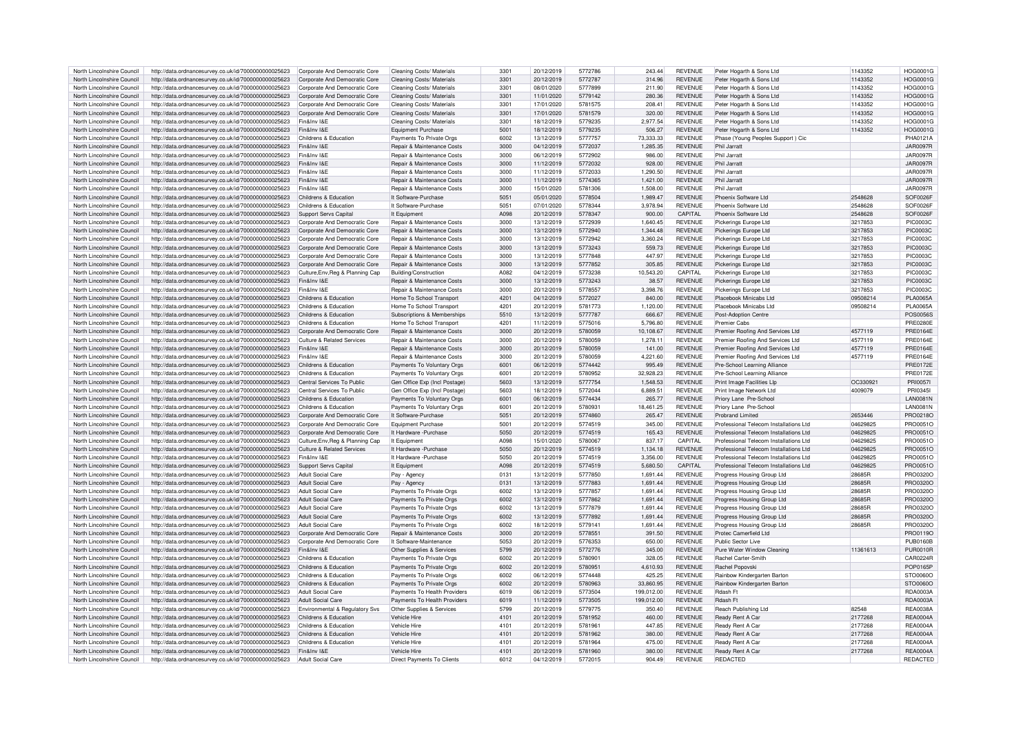| North Lincolnshire Council | http://data.ordnancesurvey.co.uk/id/7000000000025623                   | Corporate And Democratic Core         | Cleaning Costs/ Materials             | 3301 | 20/12/2019 | 5772786 | 243.44     | REVENUE        | Peter Hogarth & Sons Ltd                | 1143352  | <b>HOG0001G</b> |
|----------------------------|------------------------------------------------------------------------|---------------------------------------|---------------------------------------|------|------------|---------|------------|----------------|-----------------------------------------|----------|-----------------|
| North Lincolnshire Council |                                                                        | Corporate And Democratic Core         | Cleaning Costs/ Materials             | 3301 | 20/12/2019 | 5772787 | 314.96     | <b>REVENUE</b> |                                         | 1143352  | HOG0001G        |
|                            | http://data.ordnancesurvey.co.uk/id/7000000000025623                   |                                       |                                       |      |            |         |            |                | Peter Hogarth & Sons Ltd                |          |                 |
| North Lincolnshire Council | http://data.ordnancesurvey.co.uk/id/7000000000025623                   | Corporate And Democratic Core         | Cleaning Costs/ Materials             | 3301 | 08/01/2020 | 5777899 | 211.90     | <b>REVENUE</b> | Peter Hogarth & Sons Ltd                | 1143352  | <b>HOG0001G</b> |
| North Lincolnshire Council | http://data.ordnancesurvey.co.uk/id/7000000000025623                   | Corporate And Democratic Core         | Cleaning Costs/ Materials             | 3301 | 11/01/2020 | 5779142 | 280.36     | <b>REVENUE</b> | Peter Hogarth & Sons Ltd                | 1143352  | HOG0001G        |
| North Lincolnshire Council | http://data.ordnancesurvey.co.uk/id/7000000000025623                   | Corporate And Democratic Core         | Cleaning Costs/ Materials             | 3301 | 17/01/2020 | 5781575 | 208.41     | <b>REVENUE</b> | Peter Hogarth & Sons Ltd                | 1143352  | <b>HOG0001G</b> |
| North Lincolnshire Council | http://data.ordnancesurvey.co.uk/id/7000000000025623                   | Corporate And Democratic Core         | Cleaning Costs/ Materials             | 3301 | 17/01/2020 | 5781579 | 320.00     | <b>REVENUE</b> | Peter Hogarth & Sons Ltd                | 1143352  | <b>HOG0001G</b> |
| North Lincolnshire Council | http://data.ordnancesurvey.co.uk/id/7000000000025623                   | Fin&Inv I&F                           | Cleaning Costs/ Materials             | 3301 | 18/12/2019 | 5779235 | 2.977.54   | <b>REVENUE</b> | Peter Hogarth & Sons Ltd                | 1143352  | <b>HOG0001G</b> |
| North Lincolnshire Council | http://data.ordnancesurvey.co.uk/id/7000000000025623                   | Fin&Inv I&E                           | Equipment Purchase                    | 5001 | 18/12/2019 | 5779235 | 506.27     | <b>REVENUE</b> | Peter Hogarth & Sons Ltd                | 1143352  | <b>HOG0001G</b> |
| North Lincolnshire Council | http://data.ordnancesurvey.co.uk/id/7000000000025623                   | Childrens & Education                 | Payments To Private Orgs              | 6002 | 13/12/2019 | 5777757 | 73,333.33  | <b>REVENUE</b> | Phase (Young Peoples Support) Cic       |          | PHA0121A        |
|                            |                                                                        | Fin&Inv I&F                           |                                       | 3000 |            |         |            |                | Phil .larratt                           |          |                 |
| North Lincolnshire Council | http://data.ordnancesurvey.co.uk/id/7000000000025623                   |                                       | Repair & Maintenance Costs            |      | 04/12/2019 | 5772037 | 1,285.35   | <b>REVENUE</b> |                                         |          | <b>JAR0097R</b> |
| North Lincolnshire Council | http://data.ordnancesurvey.co.uk/id/7000000000025623                   | Fin&Inv I&F                           | Repair & Maintenance Costs            | 3000 | 06/12/2019 | 5772902 | 986.00     | <b>REVENUE</b> | Phil Jarratt                            |          | <b>JAR0097R</b> |
| North Lincolnshire Council | http://data.ordnancesurvey.co.uk/id/7000000000025623                   | Fin&Inv I&F                           | Repair & Maintenance Costs            | 3000 | 11/12/2019 | 5772032 | 928.00     | <b>REVENUE</b> | Phil .larratt                           |          | <b>JAR0097F</b> |
| North Lincolnshire Council | http://data.ordnancesurvey.co.uk/id/7000000000025623                   | Fin&Inv I&F                           | Repair & Maintenance Costs            | 3000 | 11/12/2019 | 5772033 | 1,290.50   | <b>REVENUE</b> | Phil Jarratt                            |          | <b>JAR0097R</b> |
| North Lincolnshire Council | http://data.ordnancesurvey.co.uk/id/7000000000025623                   | Fin&Inv I&F                           | <b>Benair &amp; Maintenance Costs</b> | 3000 | 11/12/2019 | 5774365 | 1.421.00   | <b>REVENUE</b> | Phil Jarratt                            |          | <b>JAR0097R</b> |
| North Lincolnshire Council | http://data.ordnancesurvey.co.uk/id/7000000000025623                   | Fin&Inv I&F                           | Repair & Maintenance Costs            | 3000 | 15/01/2020 | 5781306 | 1,508.00   | <b>REVENUE</b> | Phil Jarrat                             |          | <b>JAR0097R</b> |
| North Lincolnshire Council | http://data.ordnancesurvey.co.uk/id/7000000000025623                   | Childrens & Education                 | It Software-Purchase                  | 5051 | 05/01/2020 | 5778504 | 1989 47    | <b>REVENUE</b> | Phoenix Software Ltd                    | 2548628  | SOE0026E        |
| North Lincolnshire Council |                                                                        | Childrens & Education                 | It Software-Purchase                  | 5051 | 07/01/2020 | 5778344 | 3.978.94   | <b>REVENUE</b> | Phoenix Software I td                   | 2548628  | SOF0026F        |
|                            | http://data.ordnancesurvey.co.uk/id/7000000000025623                   |                                       |                                       |      |            |         |            |                |                                         |          |                 |
| North Lincolnshire Council | http://data.ordnancesurvey.co.uk/id/7000000000025623                   | Support Servs Capital                 | It Equipment                          | A098 | 20/12/2019 | 5778347 | 900.00     | CAPITAL        | Phoenix Software I td                   | 2548628  | SOF0026F        |
| North Lincolnshire Council | http://data.ordnancesurvey.co.uk/id/7000000000025623                   | Corporate And Democratic Core         | Repair & Maintenance Costs            | 3000 | 13/12/2019 | 5772939 | 1,640.45   | <b>REVENUE</b> | Pickerings Europe Ltd                   | 3217853  | <b>PIC0003C</b> |
| North Lincolnshire Council | http://data.ordnancesurvey.co.uk/id/7000000000025623                   | Corporate And Democratic Core         | Repair & Maintenance Costs            | 3000 | 13/12/2019 | 5772940 | 1.344.48   | <b>REVENUE</b> | Pickerings Europe Ltd                   | 3217853  | <b>PIC0003C</b> |
| North Lincolnshire Council | http://data.ordnancesurvey.co.uk/id/7000000000025623                   | Corporate And Democratic Core         | <b>Benair &amp; Maintenance Costs</b> | 3000 | 13/12/2019 | 5772942 | 3,360.24   | <b>REVENUE</b> | Pickerings Europe Ltd                   | 3217853  | <b>PIC0003C</b> |
| North Lincolnshire Council | http://data.ordnancesurvey.co.uk/id/7000000000025623                   | Corporate And Democratic Core         | <b>Repair &amp; Maintenance Costs</b> | 3000 | 13/12/2019 | 5773243 | 559.73     | <b>REVENUE</b> | Pickerings Europe Ltd                   | 3217853  | <b>PIC0003C</b> |
| North Lincolnshire Council | http://data.ordnancesurvey.co.uk/id/7000000000025623                   | Corporate And Democratic Core         | Repair & Maintenance Costs            | 3000 | 13/12/2019 | 5777848 | 447.97     | REVENUE        | Pickerings Europe Ltd                   | 3217853  | <b>PIC0003C</b> |
| North Lincolnshire Council |                                                                        | Corporate And Democratic Core         | Repair & Maintenance Costs            | 3000 | 13/12/2019 | 5777852 | 305.85     | <b>REVENUE</b> | Pickerings Europe Ltd                   | 3217853  | <b>PIC0003C</b> |
|                            | http://data.ordnancesurvey.co.uk/id/7000000000025623                   |                                       |                                       |      |            |         |            |                |                                         |          |                 |
| North Lincolnshire Council | http://data.ordnancesurvey.co.uk/id/7000000000025623                   | Culture, Env, Reg & Planning Cap      | Building/Construction                 | A082 | 04/12/2019 | 5773238 | 10,543.20  | CAPITAI        | Pickerings Europe Ltd                   | 3217853  | <b>PIC0003C</b> |
| North Lincolnshire Council | http://data.ordnancesurvey.co.uk/id/7000000000025623                   | Fin&Inv I&E                           | Repair & Maintenance Costs            | 3000 | 13/12/2019 | 5773243 | 38.57      | <b>REVENUE</b> | Pickerings Europe Ltd                   | 3217853  | <b>PIC0003C</b> |
| North Lincolnshire Council | http://data.ordnancesurvey.co.uk/id/7000000000025623                   | Fin&Inv I&E                           | Repair & Maintenance Costs            | 3000 | 20/12/2019 | 5778557 | 3.398.76   | <b>REVENUE</b> | Pickerings Europe Ltd                   | 3217853  | <b>PIC0003C</b> |
| North Lincolnshire Council | http://data.ordnancesurvey.co.uk/id/7000000000025623                   | Childrens & Education                 | Home To School Transport              | 4201 | 04/12/2019 | 5772027 | 840.00     | <b>REVENUE</b> | Placebook Minicabs Ltd                  | 09508214 | <b>PLA0065A</b> |
| North Lincolnshire Council | http://data.ordnancesurvey.co.uk/id/7000000000025623                   | Childrens & Education                 | Home To School Transport              | 4201 | 20/12/2019 | 5781773 | 1,120.00   | <b>REVENUE</b> | Placebook Minicabs Ltd                  | 09508214 | <b>PLA0065A</b> |
| North Lincolnshire Council | http://data.ordnancesurvey.co.uk/id/7000000000025623                   | Childrens & Education                 | Subscriptions & Memberships           | 5510 | 13/12/2019 | 5777787 | 666.67     | <b>REVENUE</b> | Post-Adoption Centre                    |          | <b>POS0056S</b> |
| North Lincolnshire Council | http://data.ordnancesurvey.co.uk/id/7000000000025623                   | Childrens & Education                 | Home To School Transport              | 4201 | 11/12/2019 | 5775016 | 5,796.80   | <b>REVENUE</b> | Premier Cahs                            |          | <b>PRE0280E</b> |
|                            |                                                                        |                                       |                                       |      |            |         |            |                |                                         |          |                 |
| North Lincolnshire Council | http://data.ordnancesurvey.co.uk/id/7000000000025623                   | Corporate And Democratic Core         | <b>Repair &amp; Maintenance Costs</b> | 3000 | 20/12/2019 | 5780059 | 10,108.67  | <b>REVENUE</b> | Premier Roofing And Services Ltd        | 4577119  | <b>PRE0164E</b> |
| North Lincolnshire Council | http://data.ordnancesurvey.co.uk/id/7000000000025623                   | Culture & Related Services            | Repair & Maintenance Costs            | 3000 | 20/12/2019 | 5780059 | 1,278.11   | <b>REVENUE</b> | Premier Roofing And Services Ltd        | 4577119  | <b>PRE0164E</b> |
| North Lincolnshire Council | http://data.ordnancesurvey.co.uk/id/7000000000025623                   | Fin&Inv I&F                           | Repair & Maintenance Costs            | 3000 | 20/12/2019 | 5780059 | 141.00     | <b>REVENUE</b> | Premier Roofing And Services Ltd        | 4577119  | <b>PRE0164E</b> |
| North Lincolnshire Council | http://data.ordnancesurvey.co.uk/id/7000000000025623                   | Fin&Inv I&F                           | <b>Benair &amp; Maintenance Costs</b> | 3000 | 20/12/2019 | 5780059 | 4,221.60   | <b>REVENUE</b> | Premier Roofing And Services Ltd        | 4577119  | PRF0164F        |
| North Lincolnshire Council | http://data.ordnancesurvey.co.uk/id/7000000000025623                   | Childrens & Education                 | Payments To Voluntary Orgs            | 6001 | 06/12/2019 | 5774442 | 995.49     | <b>REVENUE</b> | Pre-School Learning Alliance            |          | <b>PRE0172E</b> |
| North Lincolnshire Council | http://data.ordnancesurvey.co.uk/id/7000000000025623                   | Childrens & Education                 | Payments To Voluntary Orgs            | 6001 | 20/12/2019 | 5780952 | 32,928.23  | <b>REVENUE</b> | Pre-School Learning Alliance            |          | PRF0172F        |
|                            |                                                                        | Central Services To Public            |                                       | 5603 |            | 5777754 |            | <b>REVENUE</b> |                                         | OC33092  | <b>PRI0057I</b> |
| North Lincolnshire Council | http://data.ordnancesurvey.co.uk/id/7000000000025623                   |                                       | Gen Office Exp (Incl Postage          |      | 13/12/2019 |         | 1,548.53   |                | Print Image Facilities Llp              |          |                 |
| North Lincolnshire Council | http://data.ordnancesurvey.co.uk/id/7000000000025623                   | Central Services To Public            | Gen Office Exp (Incl Postage)         | 5603 | 18/12/2019 | 5772044 | 6,889.51   | <b>REVENUE</b> | Print Image Network Ltd                 | 4009079  | PRI0345I        |
| North Lincolnshire Council | http://data.ordnancesurvey.co.uk/id/7000000000025623                   | Childrens & Education                 | Payments To Voluntary Orgs            | 6001 | 06/12/2019 | 5774434 | 265.77     | <b>REVENUE</b> | Priory Lane Pre-School                  |          | <b>LAN0081N</b> |
| North Lincolnshire Council | http://data.ordnancesurvey.co.uk/id/7000000000025623                   | Childrens & Education                 | Payments To Voluntary Oras            | 6001 | 20/12/2019 | 5780931 | 18.461.25  | <b>REVENUE</b> | Priory Lane Pre-School                  |          | <b>LAN0081N</b> |
| North Lincolnshire Council | http://data.ordnancesurvey.co.uk/id/7000000000025623                   | Corporate And Democratic Core         | It Software-Purchase                  | 5051 | 20/12/2019 | 5774860 | 265.47     | <b>REVENUE</b> | Probrand Limited                        | 2653446  | PRO0218O        |
| North Lincolnshire Council | http://data.ordnancesurvey.co.uk/id/7000000000025623                   | Corporate And Democratic Core         | Equipment Purchase                    | 5001 | 20/12/2019 | 5774519 | 345.00     | <b>REVENUE</b> | Professional Telecom Installations Ltd  | 04629825 | PRO0051C        |
| North Lincolnshire Council | http://data.ordnancesurvey.co.uk/id/7000000000025623                   | Corporate And Democratic Core         | It Hardware - Purchase                | 5050 | 20/12/2019 | 5774519 | 165.43     | <b>REVENUE</b> | Professional Telecom Installations Ltd  | 04629825 | PRO0051C        |
| North Lincolnshire Council |                                                                        |                                       | It Fauinment                          | A098 | 15/01/2020 | 5780067 | 837.17     | CAPITAL        | Professional Telecom Installations I to | 04629825 | PRO0051C        |
|                            | http://data.ordnancesurvey.co.uk/id/7000000000025623                   | Culture, Env, Reg & Planning Cap      |                                       |      |            |         |            |                |                                         |          |                 |
| North Lincolnshire Council | http://data.ordnancesurvey.co.uk/id/7000000000025623                   | <b>Culture &amp; Related Services</b> | It Hardware - Purchase                | 5050 | 20/12/2019 | 5774519 | 1,134.18   | <b>REVENUE</b> | Professional Telecom Installations Ltd  | 04629825 | PRO0051C        |
| North Lincolnshire Council | http://data.ordnancesurvey.co.uk/id/7000000000025623                   | Fin&Inv I&E                           | It Hardware - Purchase                | 5050 | 20/12/2019 | 5774519 | 3.356.00   | <b>REVENUE</b> | Professional Telecom Installations Ltd  | 04629825 | PRO0051C        |
| North Lincolnshire Council | http://data.ordnancesurvey.co.uk/id/7000000000025623                   | Support Servs Capital                 | It Equipment                          | A098 | 20/12/2019 | 5774519 | 5,680.50   | CAPITAL        | Professional Telecom Installations Ltd  | 04629825 | PRO0051O        |
| North Lincolnshire Council | http://data.ordnancesurvey.co.uk/id/7000000000025623                   | Adult Social Care                     | Pay - Agency                          | 0131 | 13/12/2019 | 5777850 | 1,691.44   | <b>REVENUE</b> | Progress Housing Group Ltd              | 28685B   | PRO0320O        |
| North Lincolnshire Council | http://data.ordnancesurvey.co.uk/id/7000000000025623                   | Adult Social Care                     | Pay - Agency                          | 0131 | 13/12/2019 | 5777883 | 1,691.44   | <b>REVENUE</b> | Progress Housing Group Ltd              | 28685R   | PRO0320O        |
| North Lincolnshire Council | http://data.ordnancesurvey.co.uk/id/7000000000025623                   | Adult Social Care                     | Payments To Private Orgs              | 6002 | 13/12/2019 | 5777857 | 1,691.44   | <b>REVENUE</b> | Progress Housing Group Ltd              | 28685B   | PRO0320O        |
| North Lincolnshire Council | http://data.ordnancesurvey.co.uk/id/7000000000025623                   | Adult Social Care                     | Payments To Private Orgs              | 6002 | 13/12/2019 | 5777862 | 1,691.44   | <b>REVENUE</b> | Progress Housing Group Ltd              | 28685R   | PRO0320O        |
| North Lincolnshire Council | http://data.ordnancesurvey.co.uk/id/7000000000025623                   | Adult Social Care                     | Payments To Private Orgs              | 6002 | 13/12/2019 | 5777879 | 1.691.44   | <b>REVENUE</b> |                                         | 28685B   | PRO0320O        |
|                            |                                                                        |                                       |                                       |      |            |         |            |                | Progress Housing Group Ltd              |          |                 |
| North Lincolnshire Council | http://data.ordnancesurvey.co.uk/id/7000000000025623                   | <b>Adult Social Care</b>              | Payments To Private Orgs              | 6002 | 13/12/2019 | 5777892 | 1.691.44   | <b>REVENUE</b> | Progress Housing Group Ltd              | 28685R   | PRO0320O        |
| North Lincolnshire Council | http://data.ordnancesurvey.co.uk/id/7000000000025623                   | <b>Adult Social Care</b>              | Payments To Private Orgs              | 6002 | 18/12/2019 | 5779141 | 1,691.44   | <b>REVENUE</b> | Progress Housing Group Ltd              | 28685R   | PRO0320O        |
| North Lincolnshire Council | http://data.ordnancesurvey.co.uk/id/7000000000025623                   | Corporate And Democratic Core         | Repair & Maintenance Costs            | 3000 | 20/12/2019 | 5778551 | 391.50     | <b>REVENUE</b> | Protec Camerfield Ltd                   |          | PRO01190        |
| North Lincolnshire Council | http://data.ordnancesurvey.co.uk/id/7000000000025623                   | Corporate And Democratic Core         | It Software-Maintenance               | 5053 | 20/12/2019 | 5776353 | 650.00     | <b>REVENUE</b> | Public Sector Live                      |          | <b>PUB0160B</b> |
| North Lincolnshire Council | http://data.ordnancesurvey.co.uk/id/7000000000025623                   | Fin&Inv I&F                           | Other Supplies & Services             | 5799 | 20/12/2019 | 5772776 | 345.00     | <b>REVENUE</b> | Pure Water Window Cleaning              | 11361613 | <b>PUR0010R</b> |
| North Lincolnshire Council | http://data.ordnancesurvey.co.uk/id/7000000000025623                   | Childrens & Education                 | Payments To Private Orgs              | 6002 | 20/12/2019 | 5780901 | 328.05     | <b>REVENUE</b> | Rachel Carter-Smith                     |          | CAR0224R        |
| North Lincolnshire Council | http://data.ordnancesurvey.co.uk/id/7000000000025623                   | Childrens & Education                 | Payments To Private Orgs              | 6002 | 20/12/2019 | 5780951 | 4,610.93   | <b>REVENUE</b> | Rachel Popovski                         |          | POP0165P        |
|                            |                                                                        | Childrens & Education                 |                                       | 6002 |            | 5774448 |            | <b>REVENUE</b> |                                         |          |                 |
| North Lincolnshire Council | http://data.ordnancesurvey.co.uk/id/7000000000025623                   |                                       | Payments To Private Orgs              |      | 06/12/2019 |         | 425.25     |                | Rainbow Kindergarten Barton             |          | STO0060C        |
| North Lincolnshire Council | http://data.ordnancesurvey.co.uk/id/7000000000025623                   | Childrens & Education                 | Payments To Private Orgs              | 6002 | 20/12/2019 | 5780963 | 33,860.95  | <b>REVENUE</b> | Rainbow Kindergarten Barton             |          | STO0060O        |
| North Lincolnshire Council | http://data.ordnancesurvey.co.uk/id/7000000000025623                   | Adult Social Care                     | Payments To Health Providers          | 6019 | 06/12/2019 | 5773504 | 199.012.00 | <b>REVENUE</b> | Rdash Ft                                |          | RDA0003A        |
| North Lincolnshire Council | http://data.ordnancesurvey.co.uk/id/7000000000025623                   | <b>Adult Social Care</b>              | Payments To Health Providers          | 6019 | 11/12/2019 | 5773505 | 199,012.00 | <b>REVENUE</b> | Rdash Ft                                |          | <b>BDA00034</b> |
| North Lincolnshire Council | http://data.ordnancesurvey.co.uk/id/7000000000025623                   | Environmental & Regulatory Svs        | Other Supplies & Services             | 5799 | 20/12/2019 | 5779775 | 350.40     | <b>REVENUE</b> | Reach Publishing Ltd                    | 82548    | <b>REA0038A</b> |
| North Lincolnshire Council | http://data.ordnancesurvey.co.uk/id/7000000000025623                   | Childrens & Education                 | Vehicle Hire                          | 4101 | 20/12/2019 | 5781952 | 460.00     | <b>REVENUE</b> | Ready Rent A Car                        | 2177268  | <b>REA0004A</b> |
| North Lincolnshire Council | http://data.ordnancesurvey.co.uk/id/7000000000025623                   | Childrens & Education                 | Vehicle Hire                          | 4101 | 20/12/2019 | 5781961 | 447.85     | <b>REVENUE</b> | Ready Rent A Car                        | 2177268  | <b>REA0004A</b> |
| North Lincolnshire Council | http://data.ordnancesurvey.co.uk/id/7000000000025623                   | Childrens & Education                 | Vehicle Hire                          | 4101 | 20/12/2019 | 5781962 | 380.00     | <b>REVENUE</b> | Ready Rent A Car                        | 2177268  | <b>REA0004A</b> |
|                            |                                                                        | Childrens & Education                 | Vehicle Hire                          | 4101 | 20/12/2019 | 5781964 | 475.00     | <b>REVENUE</b> |                                         |          | REA0004A        |
| North Lincolnshire Council | http://data.ordnancesurvey.co.uk/id/7000000000025623                   |                                       |                                       |      |            |         |            |                | Ready Rent A Car                        | 2177268  |                 |
| North Lincolnshire Council | http://data.ordnancesurvey.co.uk/id/7000000000025623 Fin&Inv I&E       |                                       | Vehicle Hire                          | 4101 | 20/12/2019 | 5781960 | 380.00     | <b>REVENUE</b> | Ready Rent A Car                        | 2177268  | <b>REA0004A</b> |
| North Lincolnshire Council | http://data.ordnancesurvey.co.uk/id/7000000000025623 Adult Social Care |                                       | Direct Payments To Clients            | 6012 | 04/12/2019 | 5772015 | 904.49     | <b>REVENUE</b> | REDACTED                                |          | REDACTED        |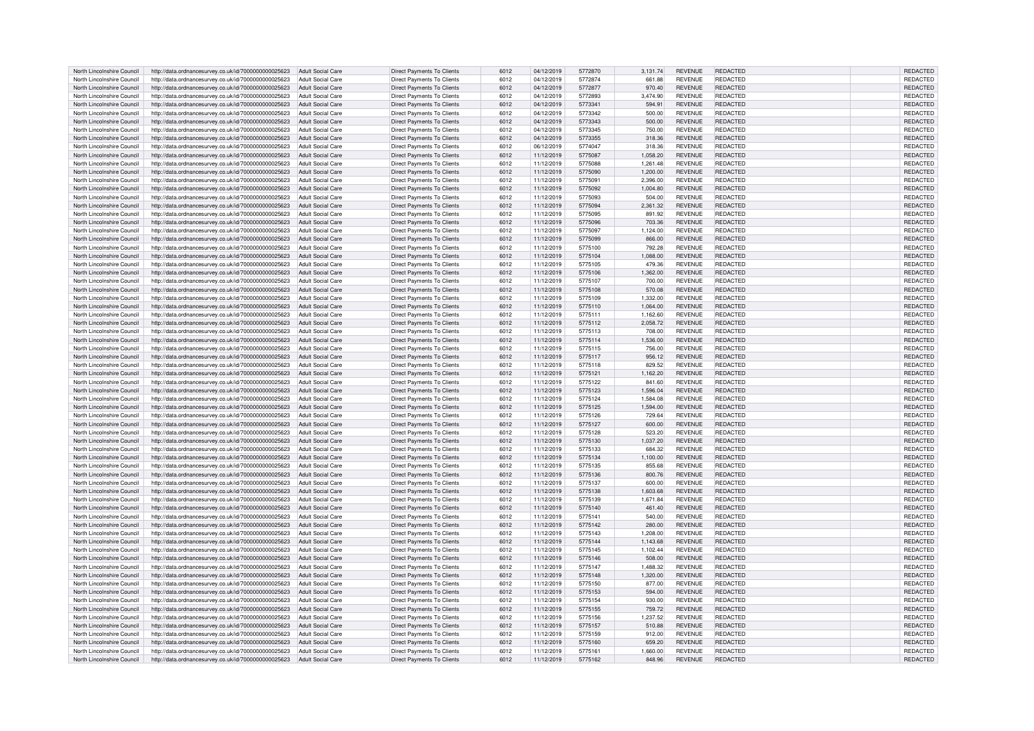| North Lincolnshire Council | http://data.ordnancesurvey.co.uk/id/7000000000025623                   | Adult Social Care        | Direct Payments To Clients        | 6012 | 04/12/2019 | 5772870 | 3,131.74 | <b>REVENUE</b> | REDACTED        | REDACTED        |
|----------------------------|------------------------------------------------------------------------|--------------------------|-----------------------------------|------|------------|---------|----------|----------------|-----------------|-----------------|
| North Lincolnshire Council | http://data.ordnancesurvey.co.uk/id/7000000000025623                   | <b>Adult Social Care</b> | <b>Direct Payments To Clients</b> | 6012 | 04/12/2019 | 5772874 | 661.88   | <b>REVENUE</b> | REDACTED        | REDACTED        |
| North Lincolnshire Council | http://data.ordnancesurvey.co.uk/id/7000000000025623                   | <b>Adult Social Care</b> | <b>Direct Payments To Clients</b> | 6012 | 04/12/2019 | 5772877 | 970.40   | <b>REVENUE</b> | REDACTED        | REDACTED        |
| North Lincolnshire Council | http://data.ordnancesurvey.co.uk/id/7000000000025623                   | Adult Social Care        | <b>Direct Payments To Clients</b> | 6012 | 04/12/2019 | 5772893 | 3.474.90 | <b>REVENUE</b> | <b>REDACTED</b> | <b>REDACTED</b> |
|                            |                                                                        |                          |                                   |      |            |         |          |                |                 |                 |
| North Lincolnshire Council | http://data.ordnancesurvey.co.uk/id/7000000000025623                   | <b>Adult Social Care</b> | Direct Payments To Clients        | 6012 | 04/12/2019 | 5773341 | 594.91   | <b>REVENUE</b> | REDACTED        | REDACTED        |
| North Lincolnshire Council | http://data.ordnancesurvey.co.uk/id/7000000000025623                   | <b>Adult Social Care</b> | Direct Payments To Clients        | 6012 | 04/12/2019 | 5773342 | 500.00   | <b>REVENUE</b> | REDACTED        | REDACTED        |
| North Lincolnshire Council | http://data.ordnancesurvey.co.uk/id/7000000000025623                   | <b>Adult Social Care</b> | Direct Payments To Clients        | 6012 | 04/12/2019 | 5773343 | 500.00   | <b>REVENUE</b> | <b>REDACTED</b> | REDACTED        |
| North Lincolnshire Council | http://data.ordnancesurvey.co.uk/id/7000000000025623                   | <b>Adult Social Care</b> | Direct Payments To Clients        | 6012 | 04/12/2019 | 5773345 | 750.00   | <b>REVENUE</b> | <b>REDACTED</b> | REDACTED        |
| North Lincolnshire Council | http://data.ordnancesurvey.co.uk/id/7000000000025623                   | <b>Adult Social Care</b> | <b>Direct Payments To Clients</b> | 6012 | 04/12/2019 | 5773355 | 318.36   | <b>REVENUE</b> | REDACTED        | <b>REDACTED</b> |
| North Lincolnshire Council | http://data.ordnancesurvey.co.uk/id/7000000000025623                   | Adult Social Care        | Direct Payments To Clients        | 6012 | 06/12/2019 | 5774047 | 318.36   | <b>REVENUE</b> | REDACTED        | REDACTED        |
| North Lincolnshire Council | http://data.ordnancesurvey.co.uk/id/7000000000025623                   | Adult Social Care        | <b>Direct Payments To Clients</b> | 6012 | 11/12/2019 | 5775087 | 1,058.20 | <b>REVENUE</b> | REDACTED        | REDACTED        |
| North Lincolnshire Council | http://data.ordnancesurvey.co.uk/id/7000000000025623                   | <b>Adult Social Care</b> | <b>Direct Payments To Clients</b> | 6012 | 11/12/2019 | 5775088 | 1,261.48 | <b>REVENUE</b> | REDACTED        | REDACTED        |
| North Lincolnshire Council | http://data.ordnancesurvey.co.uk/id/7000000000025623                   | Adult Social Care        | <b>Direct Payments To Clients</b> | 6012 | 11/12/2019 | 5775090 | 1,200.00 | <b>REVENUE</b> | <b>REDACTED</b> | REDACTED        |
|                            |                                                                        |                          |                                   |      |            |         |          |                |                 |                 |
| North Lincolnshire Council | http://data.ordnancesurvey.co.uk/id/7000000000025623                   | Adult Social Care        | <b>Direct Payments To Clients</b> | 6012 | 11/12/2019 | 5775091 | 2.396.00 | <b>REVENUE</b> | REDACTED        | REDACTED        |
| North Lincolnshire Council | http://data.ordnancesurvey.co.uk/id/7000000000025623                   | Adult Social Care        | Direct Payments To Clients        | 6012 | 11/12/2019 | 5775092 | 1,004.80 | <b>REVENUE</b> | <b>REDACTED</b> | REDACTED        |
| North Lincolnshire Council | http://data.ordnancesurvey.co.uk/id/7000000000025623                   | <b>Adult Social Care</b> | <b>Direct Payments To Clients</b> | 6012 | 11/12/2019 | 5775093 | 504.00   | <b>REVENUE</b> | REDACTED        | REDACTED        |
| North Lincolnshire Council | http://data.ordnancesurvey.co.uk/id/7000000000025623                   | <b>Adult Social Care</b> | <b>Direct Payments To Clients</b> | 6012 | 11/12/2019 | 5775094 | 2,361.32 | REVENUE        | REDACTED        | REDACTED        |
| North Lincolnshire Council | http://data.ordnancesurvey.co.uk/id/7000000000025623                   | <b>Adult Social Care</b> | <b>Direct Payments To Clients</b> | 6012 | 11/12/2019 | 5775095 | 891.92   | <b>REVENUE</b> | <b>REDACTED</b> | REDACTED        |
| North Lincolnshire Council | http://data.ordnancesurvey.co.uk/id/7000000000025623                   | <b>Adult Social Care</b> | <b>Direct Payments To Clients</b> | 6012 | 11/12/2019 | 5775096 | 703.36   | <b>REVENUE</b> | REDACTED        | REDACTED        |
| North Lincolnshire Council | http://data.ordnancesurvey.co.uk/id/7000000000025623                   | Adult Social Care        | Direct Payments To Clients        | 6012 | 11/12/2019 | 5775097 | 1,124.00 | <b>REVENUE</b> | REDACTED        | REDACTED        |
| North Lincolnshire Council | http://data.ordnancesurvey.co.uk/id/7000000000025623                   | <b>Adult Social Care</b> | Direct Payments To Clients        | 6012 | 11/12/2019 | 5775099 | 866.00   | <b>REVENUE</b> | <b>REDACTED</b> | REDACTED        |
| North Lincolnshire Council | http://data.ordnancesurvey.co.uk/id/7000000000025623                   | <b>Adult Social Care</b> | <b>Direct Payments To Clients</b> | 6012 | 11/12/2019 | 5775100 | 792.28   | <b>REVENUE</b> | REDACTED        | REDACTED        |
| North Lincolnshire Council | http://data.ordnancesurvey.co.uk/id/7000000000025623                   | Adult Social Care        | <b>Direct Payments To Clients</b> | 6012 | 11/12/2019 | 5775104 | 1,088.00 | <b>REVENUE</b> | <b>REDACTED</b> | REDACTED        |
|                            |                                                                        |                          |                                   |      |            |         |          |                |                 |                 |
| North Lincolnshire Council | http://data.ordnancesurvey.co.uk/id/7000000000025623                   | Adult Social Care        | Direct Payments To Clients        | 6012 | 11/12/2019 | 5775105 | 479.36   | <b>REVENUE</b> | REDACTED        | REDACTED        |
| North Lincolnshire Council | http://data.ordnancesurvey.co.uk/id/7000000000025623                   | Adult Social Care        | <b>Direct Payments To Clients</b> | 6012 | 11/12/2019 | 5775106 | 1,362.00 | <b>REVENUE</b> | REDACTED        | REDACTED        |
| North Lincolnshire Council | http://data.ordnancesurvey.co.uk/id/7000000000025623                   | <b>Adult Social Care</b> | Direct Payments To Clients        | 6012 | 11/12/2019 | 5775107 | 700.00   | <b>REVENUE</b> | REDACTED        | REDACTED        |
| North Lincolnshire Council | http://data.ordnancesurvey.co.uk/id/7000000000025623                   | <b>Adult Social Care</b> | <b>Direct Payments To Clients</b> | 6012 | 11/12/2019 | 5775108 | 570.08   | <b>REVENUE</b> | REDACTED        | REDACTED        |
| North Lincolnshire Council | http://data.ordnancesurvey.co.uk/id/7000000000025623                   | <b>Adult Social Care</b> | Direct Payments To Clients        | 6012 | 11/12/2019 | 5775109 | 1.332.00 | <b>REVENUE</b> | REDACTED        | REDACTED        |
| North Lincolnshire Council | http://data.ordnancesurvey.co.uk/id/7000000000025623                   | <b>Adult Social Care</b> | <b>Direct Payments To Clients</b> | 6012 | 11/12/2019 | 5775110 | 1.064.00 | <b>REVENUE</b> | REDACTED        | <b>REDACTED</b> |
| North Lincolnshire Council | http://data.ordnancesurvey.co.uk/id/7000000000025623                   | Adult Social Care        | <b>Direct Payments To Clients</b> | 6012 | 11/12/2019 | 5775111 | 1,162.60 | <b>REVENUE</b> | REDACTED        | REDACTED        |
| North Lincolnshire Council | http://data.ordnancesurvey.co.uk/id/7000000000025623                   | Adult Social Care        | Direct Payments To Clients        | 6012 | 11/12/2019 | 5775112 | 2,058.72 | <b>REVENUE</b> | REDACTED        | REDACTED        |
| North Lincolnshire Council | http://data.ordnancesurvey.co.uk/id/7000000000025623                   | Adult Social Care        | <b>Direct Payments To Clients</b> | 6012 | 11/12/2019 | 5775113 | 708.00   | <b>REVENUE</b> | REDACTED        | REDACTED        |
| North Lincolnshire Council | http://data.ordnancesurvey.co.uk/id/7000000000025623                   | Adult Social Care        | <b>Direct Payments To Clients</b> | 6012 | 11/12/2019 | 5775114 | 1,536.00 | <b>REVENUE</b> | REDACTED        | REDACTED        |
| North Lincolnshire Council | http://data.ordnancesurvey.co.uk/id/7000000000025623                   | Adult Social Care        | <b>Direct Payments To Clients</b> | 6012 | 11/12/2019 | 5775115 | 756.00   | <b>REVENUE</b> | REDACTED        | REDACTED        |
| North Lincolnshire Council | http://data.ordnancesurvey.co.uk/id/7000000000025623                   | <b>Adult Social Care</b> | <b>Direct Payments To Clients</b> | 6012 | 11/12/2019 | 5775117 | 956.12   | <b>REVENUE</b> | REDACTED        | REDACTED        |
|                            |                                                                        |                          |                                   |      |            |         |          |                |                 |                 |
| North Lincolnshire Council | http://data.ordnancesurvey.co.uk/id/7000000000025623                   | <b>Adult Social Care</b> | <b>Direct Payments To Clients</b> | 6012 | 11/12/2019 | 5775118 | 829.52   | REVENUE        | REDACTED        | REDACTED        |
| North Lincolnshire Council | http://data.ordnancesurvey.co.uk/id/7000000000025623                   | Adult Social Care        | <b>Direct Payments To Clients</b> | 6012 | 11/12/2019 | 5775121 | 1,162.20 | REVENUE        | REDACTED        | <b>REDACTED</b> |
| North Lincolnshire Council | http://data.ordnancesurvey.co.uk/id/7000000000025623                   | <b>Adult Social Care</b> | <b>Direct Payments To Clients</b> | 6012 | 11/12/2019 | 5775122 | 841.60   | <b>REVENUE</b> | REDACTED        | REDACTED        |
| North Lincolnshire Council | http://data.ordnancesurvey.co.uk/id/7000000000025623                   | <b>Adult Social Care</b> | Direct Payments To Clients        | 6012 | 11/12/2019 | 5775123 | 1.596.04 | <b>REVENUE</b> | REDACTED        | REDACTED        |
| North Lincolnshire Council | http://data.ordnancesurvey.co.uk/id/7000000000025623                   | <b>Adult Social Care</b> | Direct Payments To Clients        | 6012 | 11/12/2019 | 5775124 | 1,584.08 | <b>REVENUE</b> | REDACTED        | REDACTED        |
| North Lincolnshire Council | http://data.ordnancesurvey.co.uk/id/7000000000025623                   | <b>Adult Social Care</b> | <b>Direct Payments To Clients</b> | 6012 | 11/12/2019 | 5775125 | 1,594.00 | <b>REVENUE</b> | REDACTED        | REDACTED        |
| North Lincolnshire Council | http://data.ordnancesurvey.co.uk/id/7000000000025623                   | Adult Social Care        | Direct Payments To Clients        | 6012 | 11/12/2019 | 5775126 | 729.64   | <b>REVENUE</b> | REDACTED        | <b>REDACTED</b> |
| North Lincolnshire Council | http://data.ordnancesurvey.co.uk/id/7000000000025623                   | <b>Adult Social Care</b> | <b>Direct Payments To Clients</b> | 6012 | 11/12/2019 | 5775127 | 600.00   | <b>REVENUE</b> | REDACTED        | REDACTED        |
| North Lincolnshire Council | http://data.ordnancesurvey.co.uk/id/7000000000025623                   | Adult Social Care        | <b>Direct Payments To Clients</b> | 6012 | 11/12/2019 | 5775128 | 523.20   | <b>REVENUE</b> | REDACTED        | REDACTED        |
| North Lincolnshire Council | http://data.ordnancesurvey.co.uk/id/7000000000025623                   | <b>Adult Social Care</b> | Direct Payments To Clients        | 6012 | 11/12/2019 | 5775130 | 1,037.20 | <b>REVENUE</b> | REDACTED        | REDACTED        |
| North Lincolnshire Council | http://data.ordnancesurvey.co.uk/id/7000000000025623                   | <b>Adult Social Care</b> | <b>Direct Payments To Clients</b> | 6012 | 11/12/2019 | 5775133 | 684.32   | <b>REVENUE</b> | REDACTED        | REDACTED        |
| North Lincolnshire Council | http://data.ordnancesurvey.co.uk/id/7000000000025623                   | Adult Social Care        | Direct Payments To Clients        | 6012 | 11/12/2019 | 5775134 | 1,100.00 | <b>REVENUE</b> | REDACTED        | REDACTED        |
| North Lincolnshire Council | http://data.ordnancesurvey.co.uk/id/7000000000025623                   | Adult Social Care        | <b>Direct Payments To Clients</b> | 6012 | 11/12/2019 | 5775135 | 855.68   | <b>REVENUE</b> | REDACTED        | REDACTED        |
|                            |                                                                        |                          |                                   |      |            |         |          |                |                 |                 |
| North Lincolnshire Council | http://data.ordnancesurvey.co.uk/id/7000000000025623                   | Adult Social Care        | Direct Payments To Clients        | 6012 | 11/12/2019 | 5775136 | 800.76   | <b>REVENUE</b> | <b>REDACTED</b> | REDACTED        |
| North Lincolnshire Council | http://data.ordnancesurvey.co.uk/id/7000000000025623                   | Adult Social Care        | Direct Payments To Clients        | 6012 | 11/12/2019 | 5775137 | 600.00   | <b>REVENUE</b> | REDACTED        | REDACTED        |
| North Lincolnshire Council | http://data.ordnancesurvey.co.uk/id/7000000000025623                   | Adult Social Care        | <b>Direct Payments To Clients</b> | 6012 | 11/12/2019 | 5775138 | 1,603.68 | <b>REVENUE</b> | REDACTED        | REDACTED        |
| North Lincolnshire Council | http://data.ordnancesurvey.co.uk/id/7000000000025623                   | <b>Adult Social Care</b> | Direct Payments To Clients        | 6012 | 11/12/2019 | 5775139 | 1,671.84 | <b>REVENUE</b> | <b>REDACTED</b> | REDACTED        |
| North Lincolnshire Council | http://data.ordnancesurvey.co.uk/id/7000000000025623                   | Adult Social Care        | <b>Direct Payments To Clients</b> | 6012 | 11/12/2019 | 5775140 | 461.40   | <b>REVENUE</b> | REDACTED        | REDACTED        |
| North Lincolnshire Council | http://data.ordnancesurvey.co.uk/id/7000000000025623                   | <b>Adult Social Care</b> | Direct Payments To Clients        | 6012 | 11/12/2019 | 5775141 | 540.00   | <b>REVENUE</b> | REDACTED        | REDACTED        |
| North Lincolnshire Council | http://data.ordnancesurvey.co.uk/id/7000000000025623                   | <b>Adult Social Care</b> | Direct Payments To Clients        | 6012 | 11/12/2019 | 5775142 | 280.00   | <b>REVENUE</b> | <b>REDACTED</b> | REDACTED        |
| North Lincolnshire Council | http://data.ordnancesurvey.co.uk/id/7000000000025623                   | <b>Adult Social Care</b> | <b>Direct Payments To Clients</b> | 6012 | 11/12/2019 | 5775143 | 1,208.00 | <b>REVENUE</b> | <b>REDACTED</b> | <b>REDACTED</b> |
| North Lincolnshire Council | http://data.ordnancesurvey.co.uk/id/7000000000025623                   | <b>Adult Social Care</b> | <b>Direct Payments To Clients</b> | 6012 | 11/12/2019 | 5775144 | 1,143.68 | <b>REVENUE</b> | <b>REDACTED</b> | REDACTED        |
| North Lincolnshire Council | http://data.ordnancesurvey.co.uk/id/7000000000025623                   | Adult Social Care        | <b>Direct Payments To Clients</b> | 6012 | 11/12/2019 | 5775145 | 1.102.44 | <b>REVENUE</b> | REDACTED        | REDACTED        |
| North Lincolnshire Council | http://data.ordnancesurvey.co.uk/id/7000000000025623                   | Adult Social Care        | Direct Payments To Clients        | 6012 | 11/12/2019 | 5775146 | 508.00   | <b>REVENUE</b> | <b>REDACTED</b> | REDACTED        |
| North Lincolnshire Council | http://data.ordnancesurvey.co.uk/id/7000000000025623                   | <b>Adult Social Care</b> | <b>Direct Payments To Clients</b> | 6012 | 11/12/2019 | 5775147 | 1,488.32 | <b>REVENUE</b> | REDACTED        | REDACTED        |
| North Lincolnshire Council | http://data.ordnancesurvey.co.uk/id/7000000000025623                   | <b>Adult Social Care</b> | <b>Direct Payments To Clients</b> | 6012 | 11/12/2019 | 5775148 | 1,320.00 | REVENUE        | REDACTED        | REDACTED        |
| North Lincolnshire Council | http://data.ordnancesurvey.co.uk/id/7000000000025623                   | Adult Social Care        | <b>Direct Payments To Clients</b> | 6012 | 11/12/2019 | 5775150 | 877.00   | <b>REVENUE</b> | <b>REDACTED</b> | REDACTED        |
|                            |                                                                        |                          |                                   |      |            |         |          |                |                 |                 |
| North Lincolnshire Council | http://data.ordnancesurvey.co.uk/id/7000000000025623                   | <b>Adult Social Care</b> | <b>Direct Payments To Clients</b> | 6012 | 11/12/2019 | 5775153 | 594.00   | <b>REVENUE</b> | REDACTED        | <b>REDACTED</b> |
| North Lincolnshire Council | http://data.ordnancesurvey.co.uk/id/7000000000025623                   | Adult Social Care        | Direct Payments To Clients        | 6012 | 11/12/2019 | 5775154 | 930.00   | <b>REVENUE</b> | REDACTED        | REDACTED        |
| North Lincolnshire Council | http://data.ordnancesurvey.co.uk/id/7000000000025623                   | <b>Adult Social Care</b> | <b>Direct Payments To Clients</b> | 6012 | 11/12/2019 | 5775155 | 759.72   | <b>REVENUE</b> | <b>REDACTED</b> | REDACTED        |
| North Lincolnshire Council | http://data.ordnancesurvey.co.uk/id/7000000000025623                   | <b>Adult Social Care</b> | <b>Direct Payments To Clients</b> | 6012 | 11/12/2019 | 5775156 | 1,237.52 | <b>REVENUE</b> | REDACTED        | REDACTED        |
| North Lincolnshire Council | http://data.ordnancesurvey.co.uk/id/7000000000025623                   | <b>Adult Social Care</b> | <b>Direct Payments To Clients</b> | 6012 | 11/12/2019 | 5775157 | 510.88   | <b>REVENUE</b> | <b>REDACTED</b> | REDACTED        |
| North Lincolnshire Council | http://data.ordnancesurvey.co.uk/id/7000000000025623                   | <b>Adult Social Care</b> | <b>Direct Payments To Clients</b> | 6012 | 11/12/2019 | 5775159 | 912.00   | <b>REVENUE</b> | REDACTED        | REDACTED        |
| North Lincolnshire Council | http://data.ordnancesurvey.co.uk/id/7000000000025623                   | <b>Adult Social Care</b> | <b>Direct Payments To Clients</b> | 6012 | 11/12/2019 | 5775160 | 659.20   | <b>REVENUE</b> | REDACTED        | REDACTED        |
| North Lincolnshire Council | http://data.ordnancesurvey.co.uk/id/7000000000025623                   | Adult Social Care        | <b>Direct Payments To Clients</b> | 6012 | 11/12/2019 | 5775161 | 1.660.00 | <b>REVENUE</b> | REDACTED        | REDACTED        |
| North Lincolnshire Council | http://data.ordnancesurvey.co.uk/id/7000000000025623 Adult Social Care |                          | <b>Direct Payments To Clients</b> | 6012 | 11/12/2019 | 5775162 | 848.96   | <b>REVENUE</b> | <b>REDACTED</b> | REDACTED        |
|                            |                                                                        |                          |                                   |      |            |         |          |                |                 |                 |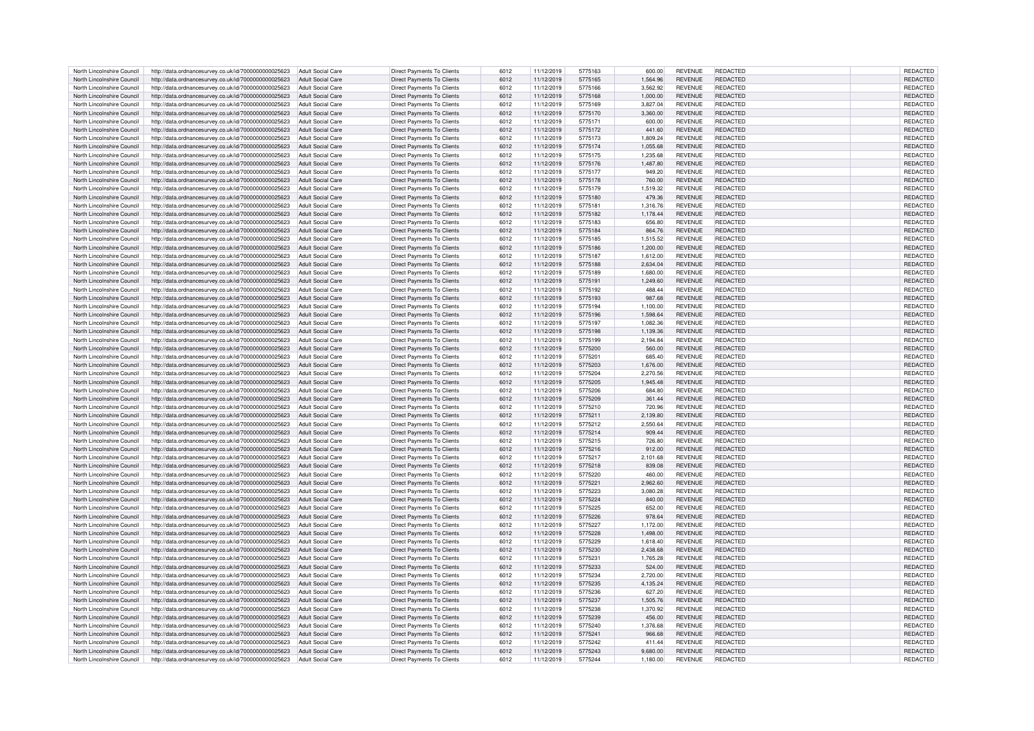| North Lincolnshire Council | http://data.ordnancesurvey.co.uk/id/7000000000025623                   | Adult Social Care        | <b>Direct Payments To Clients</b> | 6012 | 11/12/2019 | 5775163 | 600.00   | <b>REVENUE</b> | REDACTED        | REDACTED        |
|----------------------------|------------------------------------------------------------------------|--------------------------|-----------------------------------|------|------------|---------|----------|----------------|-----------------|-----------------|
|                            |                                                                        |                          |                                   |      |            |         |          |                |                 |                 |
| North Lincolnshire Council | http://data.ordnancesurvey.co.uk/id/7000000000025623                   | Adult Social Care        | <b>Direct Payments To Clients</b> | 6012 | 11/12/2019 | 5775165 | 1.564.96 | <b>REVENUE</b> | REDACTED        | <b>REDACTED</b> |
| North Lincolnshire Council | http://data.ordnancesurvey.co.uk/id/7000000000025623                   | Adult Social Care        | Direct Payments To Clients        | 6012 | 11/12/2019 | 5775166 | 3,562.92 | <b>REVENUE</b> | REDACTED        | <b>REDACTED</b> |
| North Lincolnshire Council | http://data.ordnancesurvey.co.uk/id/7000000000025623                   | Adult Social Care        | <b>Direct Payments To Clients</b> | 6012 | 11/12/2019 | 5775168 | 1,000.00 | <b>REVENUE</b> | <b>REDACTED</b> | <b>REDACTED</b> |
| North Lincolnshire Council | http://data.ordnancesurvey.co.uk/id/7000000000025623                   | <b>Adult Social Care</b> | Direct Payments To Clients        | 6012 | 11/12/2019 | 5775169 | 3.827.04 | <b>REVENUE</b> | REDACTED        | REDACTED        |
|                            |                                                                        |                          |                                   |      |            |         |          |                |                 |                 |
| North Lincolnshire Council | http://data.ordnancesurvey.co.uk/id/7000000000025623                   | <b>Adult Social Care</b> | <b>Direct Payments To Clients</b> | 6012 | 11/12/2019 | 5775170 | 3,360.00 | <b>REVENUE</b> | <b>REDACTED</b> | REDACTED        |
| North Lincolnshire Council | http://data.ordnancesurvey.co.uk/id/7000000000025623                   | <b>Adult Social Care</b> | <b>Direct Payments To Clients</b> | 6012 | 11/12/2019 | 5775171 | 600.00   | <b>REVENUE</b> | REDACTED        | REDACTED        |
| North Lincolnshire Council | http://data.ordnancesurvey.co.uk/id/7000000000025623                   | <b>Adult Social Care</b> | <b>Direct Payments To Clients</b> | 6012 | 11/12/2019 | 5775172 | 441.60   | <b>REVENUE</b> | <b>REDACTED</b> | <b>REDACTED</b> |
|                            |                                                                        |                          |                                   |      |            |         |          |                | <b>REDACTED</b> |                 |
| North Lincolnshire Council | http://data.ordnancesurvey.co.uk/id/7000000000025623                   | Adult Social Care        | Direct Payments To Clients        | 6012 | 11/12/2019 | 5775173 | 1.809.24 | <b>REVENUE</b> |                 | <b>REDACTED</b> |
| North Lincolnshire Council | http://data.ordnancesurvey.co.uk/id/7000000000025623                   | Adult Social Care        | Direct Payments To Clients        | 6012 | 11/12/2019 | 5775174 | 1,055.68 | <b>REVENUE</b> | REDACTED        | REDACTED        |
| North Lincolnshire Council | http://data.ordnancesurvey.co.uk/id/7000000000025623                   | Adult Social Care        | Direct Payments To Clients        | 6012 | 11/12/2019 | 5775175 | 1,235.68 | <b>REVENUE</b> | REDACTED        | <b>REDACTED</b> |
| North Lincolnshire Council | http://data.ordnancesurvey.co.uk/id/7000000000025623                   | Adult Social Care        | <b>Direct Payments To Clients</b> | 6012 | 11/12/2019 | 5775176 | 1,487.80 | <b>REVENUE</b> | REDACTED        | REDACTED        |
|                            |                                                                        |                          |                                   |      |            |         |          |                |                 |                 |
| North Lincolnshire Council | http://data.ordnancesurvey.co.uk/id/7000000000025623                   | Adult Social Care        | Direct Payments To Clients        | 6012 | 11/12/2019 | 5775177 | 949.20   | <b>REVENUE</b> | REDACTED        | <b>REDACTED</b> |
| North Lincolnshire Council | http://data.ordnancesurvey.co.uk/id/7000000000025623                   | Adult Social Care        | Direct Payments To Clients        | 6012 | 11/12/2019 | 5775178 | 760.00   | <b>REVENUE</b> | REDACTED        | REDACTED        |
| North Lincolnshire Council | http://data.ordnancesurvey.co.uk/id/7000000000025623                   | <b>Adult Social Care</b> | Direct Payments To Clients        | 6012 | 11/12/2019 | 5775179 | 1,519.32 | <b>REVENUE</b> | REDACTED        | REDACTED        |
|                            |                                                                        |                          |                                   |      |            |         |          |                |                 |                 |
| North Lincolnshire Council | http://data.ordnancesurvey.co.uk/id/7000000000025623                   | <b>Adult Social Care</b> | Direct Payments To Clients        | 6012 | 11/12/2019 | 5775180 | 479.36   | <b>REVENUE</b> | REDACTED        | REDACTED        |
| North Lincolnshire Council | http://data.ordnancesurvey.co.uk/id/7000000000025623                   | <b>Adult Social Care</b> | <b>Direct Payments To Clients</b> | 6012 | 11/12/2019 | 5775181 | 1,316.76 | <b>REVENUE</b> | <b>REDACTED</b> | REDACTED        |
| North Lincolnshire Council | http://data.ordnancesurvey.co.uk/id/7000000000025623                   | <b>Adult Social Care</b> | Direct Payments To Clients        | 6012 | 11/12/2019 | 5775182 | 1,178.44 | <b>REVENUE</b> | <b>REDACTED</b> | <b>REDACTED</b> |
| North Lincolnshire Council | http://data.ordnancesurvey.co.uk/id/7000000000025623                   | <b>Adult Social Care</b> | Direct Payments To Clients        | 6012 | 11/12/2019 | 5775183 | 656.80   | <b>REVENUE</b> | <b>REDACTED</b> | REDACTED        |
|                            |                                                                        |                          |                                   |      |            |         |          |                |                 |                 |
| North Lincolnshire Council | http://data.ordnancesurvey.co.uk/id/7000000000025623                   | <b>Adult Social Care</b> | <b>Direct Payments To Clients</b> | 6012 | 11/12/2019 | 5775184 | 864.76   | <b>REVENUE</b> | REDACTED        | REDACTED        |
| North Lincolnshire Council | http://data.ordnancesurvey.co.uk/id/7000000000025623                   | Adult Social Care        | <b>Direct Payments To Clients</b> | 6012 | 11/12/2019 | 5775185 | 1,515.52 | <b>REVENUE</b> | REDACTED        | REDACTED        |
| North Lincolnshire Council | http://data.ordnancesurvey.co.uk/id/7000000000025623                   | Adult Social Care        | <b>Direct Payments To Clients</b> | 6012 | 11/12/2019 | 5775186 | 1,200.00 | <b>REVENUE</b> | REDACTED        | REDACTED        |
|                            |                                                                        |                          |                                   |      |            |         |          |                |                 |                 |
| North Lincolnshire Council | http://data.ordnancesurvey.co.uk/id/7000000000025623                   | <b>Adult Social Care</b> | <b>Direct Payments To Clients</b> | 6012 | 11/12/2019 | 5775187 | 1,612.00 | <b>REVENUE</b> | REDACTED        | REDACTED        |
| North Lincolnshire Council | http://data.ordnancesurvey.co.uk/id/7000000000025623                   | <b>Adult Social Care</b> | Direct Payments To Clients        | 6012 | 11/12/2019 | 5775188 | 2,634.04 | <b>REVENUE</b> | <b>REDACTED</b> | REDACTED        |
| North Lincolnshire Council | http://data.ordnancesurvey.co.uk/id/7000000000025623                   | Adult Social Care        | Direct Payments To Clients        | 6012 | 11/12/2019 | 5775189 | 1,680.00 | <b>REVENUE</b> | REDACTED        | REDACTED        |
| North Lincolnshire Council | http://data.ordnancesurvey.co.uk/id/7000000000025623                   | <b>Adult Social Care</b> | <b>Direct Payments To Clients</b> | 6012 | 11/12/2019 | 5775191 | 1,249.60 | <b>REVENUE</b> | REDACTED        | REDACTED        |
|                            |                                                                        |                          |                                   |      |            |         |          |                |                 |                 |
| North Lincolnshire Council | http://data.ordnancesurvey.co.uk/id/7000000000025623                   | Adult Social Care        | Direct Payments To Clients        | 6012 | 11/12/2019 | 5775192 | 488.44   | <b>REVENUE</b> | <b>REDACTED</b> | <b>REDACTED</b> |
| North Lincolnshire Council | http://data.ordnancesurvey.co.uk/id/7000000000025623                   | Adult Social Care        | <b>Direct Payments To Clients</b> | 6012 | 11/12/2019 | 5775193 | 987.68   | <b>REVENUE</b> | <b>REDACTED</b> | <b>REDACTED</b> |
| North Lincolnshire Council | http://data.ordnancesurvey.co.uk/id/7000000000025623                   | Adult Social Care        | Direct Payments To Clients        | 6012 | 11/12/2019 | 5775194 | 1,100.00 | <b>REVENUE</b> | <b>REDACTED</b> | <b>REDACTED</b> |
|                            |                                                                        |                          |                                   |      |            |         |          |                |                 |                 |
| North Lincolnshire Council | http://data.ordnancesurvey.co.uk/id/7000000000025623                   | Adult Social Care        | Direct Payments To Clients        | 6012 | 11/12/2019 | 5775196 | 1,598.64 | <b>REVENUE</b> | REDACTED        | REDACTED        |
| North Lincolnshire Council | http://data.ordnancesurvey.co.uk/id/7000000000025623                   | Adult Social Care        | <b>Direct Payments To Clients</b> | 6012 | 11/12/2019 | 5775197 | 1,082.36 | <b>REVENUE</b> | REDACTED        | REDACTED        |
| North Lincolnshire Council | http://data.ordnancesurvey.co.uk/id/7000000000025623                   | Adult Social Care        | <b>Direct Payments To Clients</b> | 6012 | 11/12/2019 | 5775198 | 1,139.36 | <b>REVENUE</b> | REDACTED        | REDACTED        |
| North Lincolnshire Council | http://data.ordnancesurvey.co.uk/id/7000000000025623                   | Adult Social Care        | Direct Payments To Clients        | 6012 | 11/12/2019 | 5775199 | 2,194.84 | <b>REVENUE</b> | <b>REDACTED</b> | REDACTED        |
|                            |                                                                        |                          |                                   |      |            |         |          |                |                 |                 |
| North Lincolnshire Council | http://data.ordnancesurvey.co.uk/id/7000000000025623                   | Adult Social Care        | Direct Payments To Clients        | 6012 | 11/12/2019 | 5775200 | 560.00   | <b>REVENUE</b> | REDACTED        | REDACTED        |
| North Lincolnshire Council | http://data.ordnancesurvey.co.uk/id/7000000000025623                   | Adult Social Care        | Direct Payments To Clients        | 6012 | 11/12/2019 | 5775201 | 685.40   | <b>REVENUE</b> | REDACTED        | REDACTED        |
| North Lincolnshire Council | http://data.ordnancesurvey.co.uk/id/7000000000025623                   | <b>Adult Social Care</b> | Direct Payments To Clients        | 6012 | 11/12/2019 | 5775203 | 1,676.00 | <b>REVENUE</b> | <b>REDACTED</b> | REDACTED        |
|                            |                                                                        |                          |                                   |      |            |         |          |                |                 |                 |
| North Lincolnshire Council | http://data.ordnancesurvey.co.uk/id/7000000000025623                   | <b>Adult Social Care</b> | <b>Direct Payments To Clients</b> | 6012 | 11/12/2019 | 5775204 | 2,270.56 | <b>REVENUE</b> | REDACTED        | REDACTED        |
| North Lincolnshire Council | http://data.ordnancesurvey.co.uk/id/7000000000025623                   | Adult Social Care        | Direct Payments To Clients        | 6012 | 11/12/2019 | 5775205 | 1,945.48 | <b>REVENUE</b> | <b>REDACTED</b> | REDACTED        |
| North Lincolnshire Council | http://data.ordnancesurvey.co.uk/id/7000000000025623                   | <b>Adult Social Care</b> | Direct Payments To Clients        | 6012 | 11/12/2019 | 5775206 | 684.80   | <b>REVENUE</b> | REDACTED        | REDACTED        |
| North Lincolnshire Council | http://data.ordnancesurvey.co.uk/id/7000000000025623                   | <b>Adult Social Care</b> | <b>Direct Payments To Clients</b> | 6012 | 11/12/2019 | 5775209 | 361.44   | <b>REVENUE</b> | REDACTED        | REDACTED        |
|                            |                                                                        |                          |                                   |      |            |         |          |                |                 |                 |
| North Lincolnshire Council | http://data.ordnancesurvey.co.uk/id/7000000000025623                   | Adult Social Care        | <b>Direct Payments To Clients</b> | 6012 | 11/12/2019 | 5775210 | 720.96   | <b>REVENUE</b> | REDACTED        | REDACTED        |
| North Lincolnshire Council | http://data.ordnancesurvey.co.uk/id/7000000000025623                   | <b>Adult Social Care</b> | <b>Direct Payments To Clients</b> | 6012 | 11/12/2019 | 5775211 | 2,139.80 | <b>REVENUE</b> | REDACTED        | REDACTED        |
| North Lincolnshire Council | http://data.ordnancesurvey.co.uk/id/7000000000025623                   | Adult Social Care        | Direct Payments To Clients        | 6012 | 11/12/2019 | 5775212 | 2.550.64 | <b>REVENUE</b> | REDACTED        | <b>REDACTED</b> |
|                            |                                                                        |                          |                                   |      |            |         |          |                |                 |                 |
| North Lincolnshire Council | http://data.ordnancesurvey.co.uk/id/7000000000025623                   | <b>Adult Social Care</b> | Direct Payments To Clients        | 6012 | 11/12/2019 | 5775214 | 909.44   | <b>REVENUE</b> | <b>REDACTED</b> | REDACTED        |
| North Lincolnshire Council | http://data.ordnancesurvey.co.uk/id/7000000000025623                   | <b>Adult Social Care</b> | Direct Payments To Clients        | 6012 | 11/12/2019 | 5775215 | 726.80   | <b>REVENUE</b> | <b>REDACTED</b> | <b>REDACTED</b> |
| North Lincolnshire Council | http://data.ordnancesurvey.co.uk/id/7000000000025623                   | <b>Adult Social Care</b> | <b>Direct Payments To Clients</b> | 6012 | 11/12/2019 | 5775216 | 912.00   | <b>REVENUE</b> | REDACTED        | REDACTED        |
| North Lincolnshire Council | http://data.ordnancesurvey.co.uk/id/7000000000025623                   | Adult Social Care        | Direct Payments To Clients        | 6012 | 11/12/2019 | 5775217 | 2,101.68 | <b>REVENUE</b> | <b>REDACTED</b> | REDACTED        |
|                            |                                                                        |                          |                                   |      |            |         |          |                |                 |                 |
| North Lincolnshire Council | http://data.ordnancesurvey.co.uk/id/7000000000025623                   | Adult Social Care        | <b>Direct Payments To Clients</b> | 6012 | 11/12/2019 | 5775218 | 839.08   | <b>REVENUE</b> | <b>REDACTED</b> | REDACTED        |
| North Lincolnshire Council | http://data.ordnancesurvey.co.uk/id/7000000000025623                   | Adult Social Care        | Direct Payments To Clients        | 6012 | 11/12/2019 | 5775220 | 460.00   | <b>REVENUE</b> | <b>REDACTED</b> | <b>REDACTED</b> |
| North Lincolnshire Council | http://data.ordnancesurvey.co.uk/id/7000000000025623                   | Adult Social Care        | Direct Payments To Clients        | 6012 | 11/12/2019 | 5775221 | 2,962.60 | <b>REVENUE</b> | REDACTED        | REDACTED        |
| North Lincolnshire Council | http://data.ordnancesurvey.co.uk/id/7000000000025623                   | Adult Social Care        | <b>Direct Payments To Clients</b> | 6012 | 11/12/2019 | 5775223 | 3,080.28 | <b>REVENUE</b> | REDACTED        | REDACTED        |
|                            |                                                                        |                          |                                   |      |            |         |          |                |                 |                 |
| North Lincolnshire Council | http://data.ordnancesurvey.co.uk/id/7000000000025623                   | Adult Social Care        | <b>Direct Payments To Clients</b> | 6012 | 11/12/2019 | 5775224 | 840.00   | <b>REVENUE</b> | REDACTED        | REDACTED        |
| North Lincolnshire Council | http://data.ordnancesurvey.co.uk/id/7000000000025623                   | Adult Social Care        | Direct Payments To Clients        | 6012 | 11/12/2019 | 5775225 | 652.00   | <b>REVENUE</b> | REDACTED        | <b>REDACTED</b> |
| North Lincolnshire Council | http://data.ordnancesurvey.co.uk/id/7000000000025623                   | Adult Social Care        | Direct Payments To Clients        | 6012 | 11/12/2019 | 5775226 | 978.64   | <b>REVENUE</b> | <b>REDACTED</b> | REDACTED        |
|                            |                                                                        |                          |                                   |      |            |         |          |                |                 |                 |
| North Lincolnshire Council | http://data.ordnancesurvey.co.uk/id/7000000000025623                   | <b>Adult Social Care</b> | Direct Payments To Clients        | 6012 | 11/12/2019 | 5775227 | 1,172.00 | <b>REVENUE</b> | REDACTED        | REDACTED        |
| North Lincolnshire Council | http://data.ordnancesurvey.co.uk/id/7000000000025623                   | <b>Adult Social Care</b> | <b>Direct Payments To Clients</b> | 6012 | 11/12/2019 | 5775228 | 1,498.00 | <b>REVENUE</b> | REDACTED        | REDACTED        |
| North Lincolnshire Council | http://data.ordnancesurvey.co.uk/id/7000000000025623                   | <b>Adult Social Care</b> | <b>Direct Payments To Clients</b> | 6012 | 11/12/2019 | 5775229 | 1,618.40 | <b>REVENUE</b> | REDACTED        | REDACTED        |
| North Lincolnshire Council | http://data.ordnancesurvey.co.uk/id/7000000000025623                   | Adult Social Care        | Direct Payments To Clients        | 6012 | 11/12/2019 | 5775230 | 2,438.68 | <b>REVENUE</b> | <b>REDACTED</b> | <b>REDACTED</b> |
|                            |                                                                        |                          |                                   |      |            |         |          |                |                 |                 |
| North Lincolnshire Council | http://data.ordnancesurvey.co.uk/id/7000000000025623                   | <b>Adult Social Care</b> | Direct Payments To Clients        | 6012 | 11/12/2019 | 5775231 | 1,765.28 | <b>REVENUE</b> | REDACTED        | REDACTED        |
| North Lincolnshire Council | http://data.ordnancesurvey.co.uk/id/7000000000025623                   | <b>Adult Social Care</b> | Direct Payments To Clients        | 6012 | 11/12/2019 | 5775233 | 524.00   | <b>REVENUE</b> | REDACTED        | REDACTED        |
| North Lincolnshire Council | http://data.ordnancesurvey.co.uk/id/7000000000025623                   | Adult Social Care        | Direct Payments To Clients        | 6012 | 11/12/2019 | 5775234 | 2,720.00 | <b>REVENUE</b> | REDACTED        | REDACTED        |
| North Lincolnshire Council | http://data.ordnancesurvey.co.uk/id/7000000000025623                   | <b>Adult Social Care</b> | <b>Direct Payments To Clients</b> | 6012 | 11/12/2019 | 5775235 | 4,135.24 | <b>REVENUE</b> | REDACTED        | REDACTED        |
|                            |                                                                        |                          |                                   |      |            |         |          |                |                 |                 |
| North Lincolnshire Council | http://data.ordnancesurvey.co.uk/id/7000000000025623                   | Adult Social Care        | Direct Payments To Clients        | 6012 | 11/12/2019 | 5775236 | 627.20   | <b>REVENUE</b> | REDACTED        | <b>REDACTED</b> |
| North Lincolnshire Council | http://data.ordnancesurvey.co.uk/id/7000000000025623                   | Adult Social Care        | Direct Payments To Clients        | 6012 | 11/12/2019 | 5775237 | 1,505.76 | <b>REVENUE</b> | REDACTED        | REDACTED        |
| North Lincolnshire Council | http://data.ordnancesurvey.co.uk/id/7000000000025623                   | <b>Adult Social Care</b> | <b>Direct Payments To Clients</b> | 6012 | 11/12/2019 | 5775238 | 1,370.92 | <b>REVENUE</b> | REDACTED        | REDACTED        |
|                            |                                                                        |                          |                                   |      |            |         |          |                |                 |                 |
| North Lincolnshire Council | http://data.ordnancesurvey.co.uk/id/7000000000025623                   | <b>Adult Social Care</b> | Direct Payments To Clients        | 6012 | 11/12/2019 | 5775239 | 456.00   | <b>REVENUE</b> | REDACTED        | REDACTED        |
| North Lincolnshire Council | http://data.ordnancesurvey.co.uk/id/7000000000025623                   | <b>Adult Social Care</b> | Direct Payments To Clients        | 6012 | 11/12/2019 | 5775240 | 1,376.68 | <b>REVENUE</b> | <b>REDACTED</b> | REDACTED        |
| North Lincolnshire Council | http://data.ordnancesurvey.co.uk/id/7000000000025623                   | <b>Adult Social Care</b> | <b>Direct Payments To Clients</b> | 6012 | 11/12/2019 | 5775241 | 966.68   | <b>REVENUE</b> | REDACTED        | REDACTED        |
| North Lincolnshire Council | http://data.ordnancesurvey.co.uk/id/7000000000025623                   | <b>Adult Social Care</b> | Direct Payments To Clients        | 6012 | 11/12/2019 | 5775242 | 411.44   | <b>REVENUE</b> | <b>REDACTED</b> | <b>REDACTED</b> |
|                            |                                                                        |                          |                                   |      |            |         |          |                |                 |                 |
| North Lincolnshire Council | http://data.ordnancesurvey.co.uk/id/7000000000025623                   | <b>Adult Social Care</b> | Direct Payments To Clients        | 6012 | 11/12/2019 | 5775243 | 9,680.00 | <b>REVENUE</b> | <b>REDACTED</b> | REDACTED        |
| North Lincolnshire Council | http://data.ordnancesurvey.co.uk/id/7000000000025623 Adult Social Care |                          | <b>Direct Payments To Clients</b> | 6012 | 11/12/2019 | 5775244 | 1,180.00 | <b>REVENUE</b> | REDACTED        | REDACTED        |
|                            |                                                                        |                          |                                   |      |            |         |          |                |                 |                 |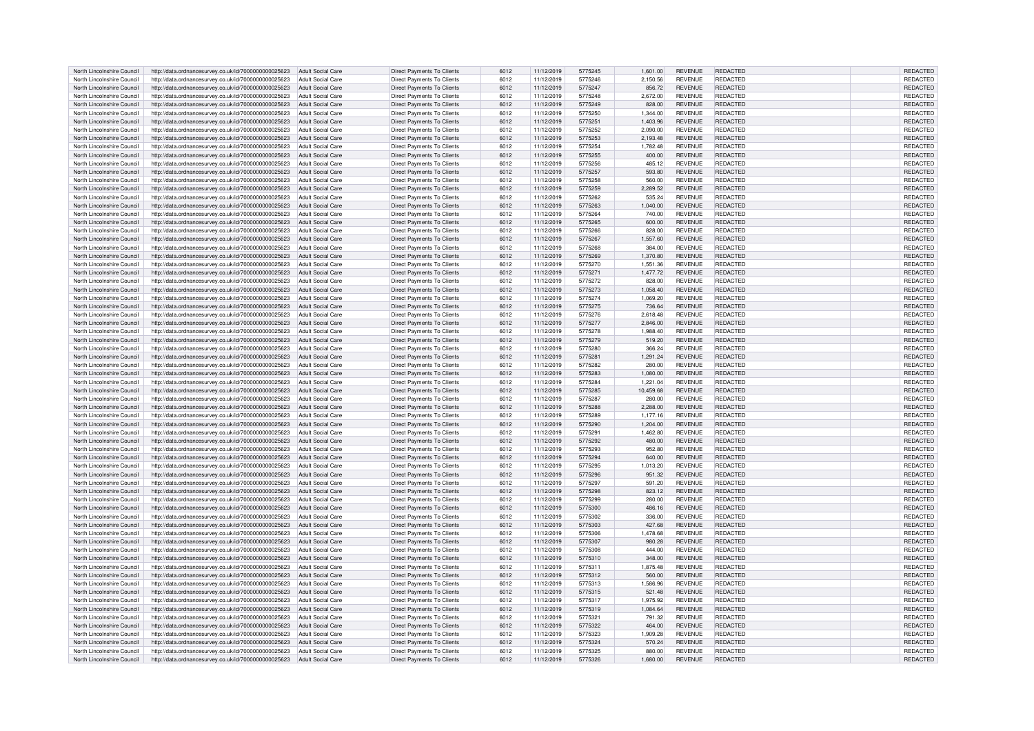| North Lincolnshire Council | http://data.ordnancesurvey.co.uk/id/7000000000025623                   | Adult Social Care        | <b>Direct Payments To Clients</b> | 6012 | 11/12/2019 | 5775245 | 1,601.00  | <b>REVENUE</b> | REDACTED        | REDACTED        |
|----------------------------|------------------------------------------------------------------------|--------------------------|-----------------------------------|------|------------|---------|-----------|----------------|-----------------|-----------------|
| North Lincolnshire Council | http://data.ordnancesurvey.co.uk/id/7000000000025623                   | Adult Social Care        | <b>Direct Payments To Clients</b> | 6012 | 11/12/2019 | 5775246 | 2.150.56  | <b>REVENUE</b> | REDACTED        | <b>REDACTED</b> |
| North Lincolnshire Council | http://data.ordnancesurvey.co.uk/id/7000000000025623                   | <b>Adult Social Care</b> | Direct Payments To Clients        | 6012 | 11/12/2019 | 5775247 | 856.72    | <b>REVENUE</b> | REDACTED        | REDACTED        |
|                            |                                                                        |                          |                                   |      |            |         |           |                |                 |                 |
| North Lincolnshire Council | http://data.ordnancesurvey.co.uk/id/7000000000025623                   | <b>Adult Social Care</b> | <b>Direct Payments To Clients</b> | 6012 | 11/12/2019 | 5775248 | 2,672.00  | <b>REVENUE</b> | REDACTED        | REDACTED        |
| North Lincolnshire Council | http://data.ordnancesurvey.co.uk/id/7000000000025623                   | <b>Adult Social Care</b> | Direct Payments To Clients        | 6012 | 11/12/2019 | 5775249 | 828.00    | <b>REVENUE</b> | REDACTED        | REDACTED        |
| North Lincolnshire Council | http://data.ordnancesurvey.co.uk/id/7000000000025623                   | <b>Adult Social Care</b> | <b>Direct Payments To Clients</b> | 6012 | 11/12/2019 | 5775250 | 1,344.00  | <b>REVENUE</b> | REDACTED        | REDACTED        |
| North Lincolnshire Council | http://data.ordnancesurvey.co.uk/id/7000000000025623                   | <b>Adult Social Care</b> | <b>Direct Payments To Clients</b> | 6012 | 11/12/2019 | 5775251 | 1,403.96  | <b>REVENUE</b> | REDACTED        | REDACTED        |
| North Lincolnshire Council | http://data.ordnancesurvey.co.uk/id/7000000000025623                   | <b>Adult Social Care</b> | <b>Direct Payments To Clients</b> | 6012 | 11/12/2019 | 5775252 | 2.090.00  | <b>REVENUE</b> | REDACTED        | <b>REDACTED</b> |
| North Lincolnshire Council | http://data.ordnancesurvey.co.uk/id/7000000000025623                   | Adult Social Care        | Direct Payments To Clients        | 6012 | 11/12/2019 | 5775253 | 2,193.48  | <b>REVENUE</b> | REDACTED        | REDACTED        |
| North Lincolnshire Council | http://data.ordnancesurvey.co.uk/id/7000000000025623                   | Adult Social Care        | Direct Payments To Clients        | 6012 | 11/12/2019 | 5775254 | 1,782.48  | <b>REVENUE</b> | REDACTED        | REDACTED        |
|                            | http://data.ordnancesurvey.co.uk/id/7000000000025623                   | <b>Adult Social Care</b> | <b>Direct Payments To Clients</b> |      | 11/12/2019 |         |           | <b>REVENUE</b> | REDACTED        | REDACTED        |
| North Lincolnshire Council |                                                                        |                          |                                   | 6012 |            | 5775255 | 400.00    |                |                 |                 |
| North Lincolnshire Council | http://data.ordnancesurvey.co.uk/id/7000000000025623                   | <b>Adult Social Care</b> | <b>Direct Payments To Clients</b> | 6012 | 11/12/2019 | 5775256 | 485.12    | <b>REVENUE</b> | REDACTED        | REDACTED        |
| North Lincolnshire Council | http://data.ordnancesurvey.co.uk/id/7000000000025623                   | Adult Social Care        | <b>Direct Payments To Clients</b> | 6012 | 11/12/2019 | 5775257 | 593.80    | <b>REVENUE</b> | REDACTED        | REDACTED        |
| North Lincolnshire Council | http://data.ordnancesurvey.co.uk/id/7000000000025623                   | <b>Adult Social Care</b> | Direct Payments To Clients        | 6012 | 11/12/2019 | 5775258 | 560.00    | <b>REVENUE</b> | REDACTED        | REDACTED        |
| North Lincolnshire Council | http://data.ordnancesurvey.co.uk/id/7000000000025623                   | <b>Adult Social Care</b> | Direct Payments To Clients        | 6012 | 11/12/2019 | 5775259 | 2,289.52  | <b>REVENUE</b> | <b>REDACTED</b> | REDACTED        |
| North Lincolnshire Council | http://data.ordnancesurvey.co.uk/id/7000000000025623                   | <b>Adult Social Care</b> | <b>Direct Payments To Clients</b> | 6012 | 11/12/2019 | 5775262 | 535.24    | <b>REVENUE</b> | REDACTED        | REDACTED        |
| North Lincolnshire Council | http://data.ordnancesurvey.co.uk/id/7000000000025623                   | <b>Adult Social Care</b> | <b>Direct Payments To Clients</b> | 6012 | 11/12/2019 | 5775263 | 1,040.00  | REVENUE        | <b>REDACTED</b> | REDACTED        |
| North Lincolnshire Council | http://data.ordnancesurvey.co.uk/id/7000000000025623                   | Adult Social Care        | Direct Payments To Clients        | 6012 | 11/12/2019 | 5775264 | 740.00    | <b>REVENUE</b> | REDACTED        | REDACTED        |
| North Lincolnshire Council | http://data.ordnancesurvey.co.uk/id/7000000000025623                   | Adult Social Care        | Direct Payments To Clients        | 6012 | 11/12/2019 | 5775265 | 600.00    | <b>REVENUE</b> | <b>REDACTED</b> | REDACTED        |
| North Lincolnshire Council |                                                                        | Adult Social Care        | Direct Payments To Clients        |      |            |         |           |                | <b>REDACTED</b> |                 |
|                            | http://data.ordnancesurvey.co.uk/id/7000000000025623                   |                          |                                   | 6012 | 11/12/2019 | 5775266 | 828.00    | REVENUE        |                 | REDACTED        |
| North Lincolnshire Council | http://data.ordnancesurvey.co.uk/id/7000000000025623                   | <b>Adult Social Care</b> | <b>Direct Payments To Clients</b> | 6012 | 11/12/2019 | 5775267 | 1,557.60  | <b>REVENUE</b> | REDACTED        | REDACTED        |
| North Lincolnshire Council | http://data.ordnancesurvey.co.uk/id/7000000000025623                   | <b>Adult Social Care</b> | <b>Direct Payments To Clients</b> | 6012 | 11/12/2019 | 5775268 | 384.00    | <b>REVENUE</b> | <b>REDACTED</b> | REDACTED        |
| North Lincolnshire Council | http://data.ordnancesurvey.co.uk/id/7000000000025623                   | <b>Adult Social Care</b> | <b>Direct Payments To Clients</b> | 6012 | 11/12/2019 | 5775269 | 1,370.80  | <b>REVENUE</b> | REDACTED        | REDACTED        |
| North Lincolnshire Council | http://data.ordnancesurvey.co.uk/id/7000000000025623                   | Adult Social Care        | Direct Payments To Clients        | 6012 | 11/12/2019 | 5775270 | 1,551.36  | <b>REVENUE</b> | REDACTED        | REDACTED        |
| North Lincolnshire Council | http://data.ordnancesurvey.co.uk/id/7000000000025623                   | Adult Social Care        | Direct Payments To Clients        | 6012 | 11/12/2019 | 5775271 | 1,477.72  | <b>REVENUE</b> | <b>REDACTED</b> | REDACTED        |
| North Lincolnshire Council | http://data.ordnancesurvey.co.uk/id/7000000000025623                   | <b>Adult Social Care</b> | <b>Direct Payments To Clients</b> | 6012 | 11/12/2019 | 5775272 | 828.00    | <b>REVENUE</b> | REDACTED        | REDACTED        |
| North Lincolnshire Council | http://data.ordnancesurvey.co.uk/id/7000000000025623                   | Adult Social Care        | <b>Direct Payments To Clients</b> | 6012 | 11/12/2019 | 5775273 | 1.058.40  | <b>REVENUE</b> | <b>REDACTED</b> | <b>REDACTED</b> |
| North Lincolnshire Council | http://data.ordnancesurvey.co.uk/id/7000000000025623                   | Adult Social Care        | <b>Direct Payments To Clients</b> | 6012 | 11/12/2019 | 5775274 | 1.069.20  | <b>REVENUE</b> | REDACTED        | REDACTED        |
|                            |                                                                        |                          |                                   |      |            |         |           |                |                 |                 |
| North Lincolnshire Council | http://data.ordnancesurvey.co.uk/id/7000000000025623                   | <b>Adult Social Care</b> | Direct Payments To Clients        | 6012 | 11/12/2019 | 5775275 | 736.64    | <b>REVENUE</b> | REDACTED        | REDACTED        |
| North Lincolnshire Council | http://data.ordnancesurvey.co.uk/id/7000000000025623                   | Adult Social Care        | Direct Payments To Clients        | 6012 | 11/12/2019 | 5775276 | 2,618.48  | <b>REVENUE</b> | REDACTED        | REDACTED        |
| North Lincolnshire Council | http://data.ordnancesurvey.co.uk/id/7000000000025623                   | Adult Social Care        | <b>Direct Payments To Clients</b> | 6012 | 11/12/2019 | 5775277 | 2,846.00  | <b>REVENUE</b> | REDACTED        | REDACTED        |
| North Lincolnshire Council | http://data.ordnancesurvey.co.uk/id/7000000000025623                   | <b>Adult Social Care</b> | <b>Direct Payments To Clients</b> | 6012 | 11/12/2019 | 5775278 | 1,988.40  | <b>REVENUE</b> | REDACTED        | REDACTED        |
| North Lincolnshire Council | http://data.ordnancesurvey.co.uk/id/7000000000025623                   | Adult Social Care        | <b>Direct Payments To Clients</b> | 6012 | 11/12/2019 | 5775279 | 519.20    | <b>REVENUE</b> | <b>REDACTED</b> | REDACTED        |
| North Lincolnshire Council | http://data.ordnancesurvey.co.uk/id/7000000000025623                   | <b>Adult Social Care</b> | Direct Payments To Clients        | 6012 | 11/12/2019 | 5775280 | 366.24    | <b>REVENUE</b> | REDACTED        | REDACTED        |
| North Lincolnshire Council | http://data.ordnancesurvey.co.uk/id/7000000000025623                   | <b>Adult Social Care</b> | Direct Payments To Clients        | 6012 | 11/12/2019 | 5775281 | 1,291.24  | <b>REVENUE</b> | <b>REDACTED</b> | REDACTED        |
| North Lincolnshire Council | http://data.ordnancesurvey.co.uk/id/7000000000025623                   | <b>Adult Social Care</b> | Direct Payments To Clients        | 6012 |            | 5775282 | 280.00    | REVENUE        | REDACTED        | REDACTED        |
|                            |                                                                        |                          |                                   |      | 11/12/2019 |         |           |                |                 |                 |
| North Lincolnshire Council | http://data.ordnancesurvey.co.uk/id/7000000000025623                   | <b>Adult Social Care</b> | <b>Direct Payments To Clients</b> | 6012 | 11/12/2019 | 5775283 | 1,080.00  | <b>REVENUE</b> | REDACTED        | REDACTED        |
| North Lincolnshire Council | http://data.ordnancesurvey.co.uk/id/7000000000025623                   | <b>Adult Social Care</b> | Direct Payments To Clients        | 6012 | 11/12/2019 | 5775284 | 1.221.04  | <b>REVENUE</b> | REDACTED        | REDACTED        |
| North Lincolnshire Council | http://data.ordnancesurvey.co.uk/id/7000000000025623                   | <b>Adult Social Care</b> | Direct Payments To Clients        | 6012 | 11/12/2019 | 5775285 | 10,459.68 | <b>REVENUE</b> | REDACTED        | REDACTED        |
| North Lincolnshire Council | http://data.ordnancesurvey.co.uk/id/7000000000025623                   | <b>Adult Social Care</b> | <b>Direct Payments To Clients</b> | 6012 | 11/12/2019 | 5775287 | 280.00    | <b>REVENUE</b> | REDACTED        | REDACTED        |
| North Lincolnshire Council | http://data.ordnancesurvey.co.uk/id/7000000000025623                   | <b>Adult Social Care</b> | <b>Direct Payments To Clients</b> | 6012 | 11/12/2019 | 5775288 | 2,288.00  | REVENUE        | REDACTED        | REDACTED        |
| North Lincolnshire Council | http://data.ordnancesurvey.co.uk/id/7000000000025623                   | <b>Adult Social Care</b> | <b>Direct Payments To Clients</b> | 6012 | 11/12/2019 | 5775289 | 1,177.16  | <b>REVENUE</b> | <b>REDACTED</b> | REDACTED        |
| North Lincolnshire Council | http://data.ordnancesurvey.co.uk/id/7000000000025623                   | Adult Social Care        | <b>Direct Payments To Clients</b> | 6012 | 11/12/2019 | 5775290 | 1.204.00  | <b>REVENUE</b> | REDACTED        | REDACTED        |
| North Lincolnshire Council | http://data.ordnancesurvey.co.uk/id/7000000000025623                   | <b>Adult Social Care</b> | <b>Direct Payments To Clients</b> | 6012 | 11/12/2019 | 5775291 | 1,462.80  | <b>REVENUE</b> | REDACTED        | REDACTED        |
| North Lincolnshire Council | http://data.ordnancesurvey.co.uk/id/7000000000025623                   | <b>Adult Social Care</b> | <b>Direct Payments To Clients</b> | 6012 | 11/12/2019 | 5775292 | 480.00    | <b>REVENUE</b> | <b>REDACTED</b> | REDACTED        |
|                            |                                                                        |                          |                                   |      |            |         |           |                |                 |                 |
| North Lincolnshire Council | http://data.ordnancesurvey.co.uk/id/7000000000025623                   | <b>Adult Social Care</b> | <b>Direct Payments To Clients</b> | 6012 | 11/12/2019 | 5775293 | 952.80    | <b>REVENUE</b> | REDACTED        | REDACTED        |
| North Lincolnshire Council | http://data.ordnancesurvey.co.uk/id/7000000000025623                   | <b>Adult Social Care</b> | <b>Direct Payments To Clients</b> | 6012 | 11/12/2019 | 5775294 | 640.00    | <b>REVENUE</b> | <b>REDACTED</b> | REDACTED        |
| North Lincolnshire Council | http://data.ordnancesurvey.co.uk/id/7000000000025623                   | Adult Social Care        | <b>Direct Payments To Clients</b> | 6012 | 11/12/2019 | 5775295 | 1,013.20  | <b>REVENUE</b> | REDACTED        | REDACTED        |
| North Lincolnshire Council | http://data.ordnancesurvey.co.uk/id/7000000000025623                   | <b>Adult Social Care</b> | <b>Direct Payments To Clients</b> | 6012 | 11/12/2019 | 5775296 | 951.32    | <b>REVENUE</b> | REDACTED        | REDACTED        |
| North Lincolnshire Council | http://data.ordnancesurvey.co.uk/id/7000000000025623                   | Adult Social Care        | Direct Payments To Clients        | 6012 | 11/12/2019 | 5775297 | 591.20    | <b>REVENUE</b> | REDACTED        | REDACTED        |
| North Lincolnshire Council | http://data.ordnancesurvey.co.uk/id/7000000000025623                   | Adult Social Care        | <b>Direct Payments To Clients</b> | 6012 | 11/12/2019 | 5775298 | 823.12    | <b>REVENUE</b> | REDACTED        | REDACTED        |
| North Lincolnshire Council | http://data.ordnancesurvey.co.uk/id/7000000000025623                   | <b>Adult Social Care</b> | <b>Direct Payments To Clients</b> | 6012 | 11/12/2019 | 5775299 | 280.00    | <b>REVENUE</b> | REDACTED        | REDACTED        |
| North Lincolnshire Council | http://data.ordnancesurvey.co.uk/id/7000000000025623                   | Adult Social Care        | <b>Direct Payments To Clients</b> | 6012 | 11/12/2019 | 5775300 | 486.16    | <b>REVENUE</b> | REDACTED        | REDACTED        |
| North Lincolnshire Council | http://data.ordnancesurvey.co.uk/id/7000000000025623                   | <b>Adult Social Care</b> | Direct Payments To Clients        | 6012 | 11/12/2019 | 5775302 | 336.00    | <b>REVENUE</b> | REDACTED        | REDACTED        |
|                            |                                                                        |                          |                                   |      |            |         |           |                |                 |                 |
| North Lincolnshire Council | http://data.ordnancesurvey.co.uk/id/7000000000025623                   | <b>Adult Social Care</b> | Direct Payments To Clients        | 6012 | 11/12/2019 | 5775303 | 427.68    | <b>REVENUE</b> | REDACTED        | REDACTED        |
| North Lincolnshire Council | http://data.ordnancesurvey.co.uk/id/7000000000025623                   | <b>Adult Social Care</b> | <b>Direct Payments To Clients</b> | 6012 | 11/12/2019 | 5775306 | 1,478.68  | <b>REVENUE</b> | REDACTED        | REDACTED        |
| North Lincolnshire Council | http://data.ordnancesurvey.co.uk/id/7000000000025623                   | <b>Adult Social Care</b> | <b>Direct Payments To Clients</b> | 6012 | 11/12/2019 | 5775307 | 980.28    | <b>REVENUE</b> | REDACTED        | REDACTED        |
| North Lincolnshire Council | http://data.ordnancesurvey.co.uk/id/7000000000025623                   | Adult Social Care        | Direct Payments To Clients        | 6012 | 11/12/2019 | 5775308 | 444.00    | <b>REVENUE</b> | REDACTED        | REDACTED        |
| North Lincolnshire Council | http://data.ordnancesurvey.co.uk/id/7000000000025623                   | <b>Adult Social Care</b> | Direct Payments To Clients        | 6012 | 11/12/2019 | 5775310 | 348.00    | <b>REVENUE</b> | <b>REDACTED</b> | REDACTED        |
| North Lincolnshire Council | http://data.ordnancesurvey.co.uk/id/7000000000025623                   | <b>Adult Social Care</b> | Direct Payments To Clients        | 6012 | 11/12/2019 | 5775311 | 1,875.48  | <b>REVENUE</b> | REDACTED        | REDACTED        |
| North Lincolnshire Council | http://data.ordnancesurvey.co.uk/id/7000000000025623                   | <b>Adult Social Care</b> | <b>Direct Payments To Clients</b> | 6012 | 11/12/2019 | 5775312 | 560.00    | <b>REVENUE</b> | REDACTED        | REDACTED        |
| North Lincolnshire Council | http://data.ordnancesurvey.co.uk/id/7000000000025623                   | Adult Social Care        | <b>Direct Payments To Clients</b> | 6012 | 11/12/2019 | 5775313 | 1,586.96  | <b>REVENUE</b> | REDACTED        | REDACTED        |
| North Lincolnshire Council | http://data.ordnancesurvey.co.uk/id/7000000000025623                   | <b>Adult Social Care</b> | <b>Direct Payments To Clients</b> | 6012 | 11/12/2019 | 5775315 | 521.48    | <b>REVENUE</b> | REDACTED        | <b>REDACTED</b> |
| North Lincolnshire Council | http://data.ordnancesurvey.co.uk/id/7000000000025623                   | <b>Adult Social Care</b> | Direct Payments To Clients        | 6012 | 11/12/2019 | 5775317 | 1,975.92  | <b>REVENUE</b> | REDACTED        | REDACTED        |
|                            |                                                                        |                          |                                   |      |            |         |           |                |                 |                 |
| North Lincolnshire Council | http://data.ordnancesurvey.co.uk/id/7000000000025623                   | <b>Adult Social Care</b> | <b>Direct Payments To Clients</b> | 6012 | 11/12/2019 | 5775319 | 1,084.64  | <b>REVENUE</b> | <b>REDACTED</b> | REDACTED        |
| North Lincolnshire Council | http://data.ordnancesurvey.co.uk/id/7000000000025623                   | <b>Adult Social Care</b> | <b>Direct Payments To Clients</b> | 6012 | 11/12/2019 | 577532  | 791.32    | <b>REVENUE</b> | REDACTED        | REDACTED        |
| North Lincolnshire Council | http://data.ordnancesurvey.co.uk/id/7000000000025623                   | <b>Adult Social Care</b> | <b>Direct Payments To Clients</b> | 6012 | 11/12/2019 | 5775322 | 464.00    | <b>REVENUE</b> | <b>REDACTED</b> | REDACTED        |
| North Lincolnshire Council | http://data.ordnancesurvey.co.uk/id/7000000000025623                   | <b>Adult Social Care</b> | <b>Direct Payments To Clients</b> | 6012 | 11/12/2019 | 5775323 | 1,909.28  | <b>REVENUE</b> | REDACTED        | REDACTED        |
| North Lincolnshire Council | http://data.ordnancesurvey.co.uk/id/7000000000025623                   | <b>Adult Social Care</b> | <b>Direct Payments To Clients</b> | 6012 | 11/12/2019 | 5775324 | 570.24    | <b>REVENUE</b> | REDACTED        | REDACTED        |
| North Lincolnshire Council | http://data.ordnancesurvey.co.uk/id/7000000000025623                   | Adult Social Care        | Direct Payments To Clients        | 6012 | 11/12/2019 | 5775325 | 880.00    | <b>REVENUE</b> | REDACTED        | REDACTED        |
| North Lincolnshire Council | http://data.ordnancesurvey.co.uk/id/7000000000025623 Adult Social Care |                          | <b>Direct Payments To Clients</b> | 6012 | 11/12/2019 | 5775326 | 1,680.00  | <b>REVENUE</b> | REDACTED        | REDACTED        |
|                            |                                                                        |                          |                                   |      |            |         |           |                |                 |                 |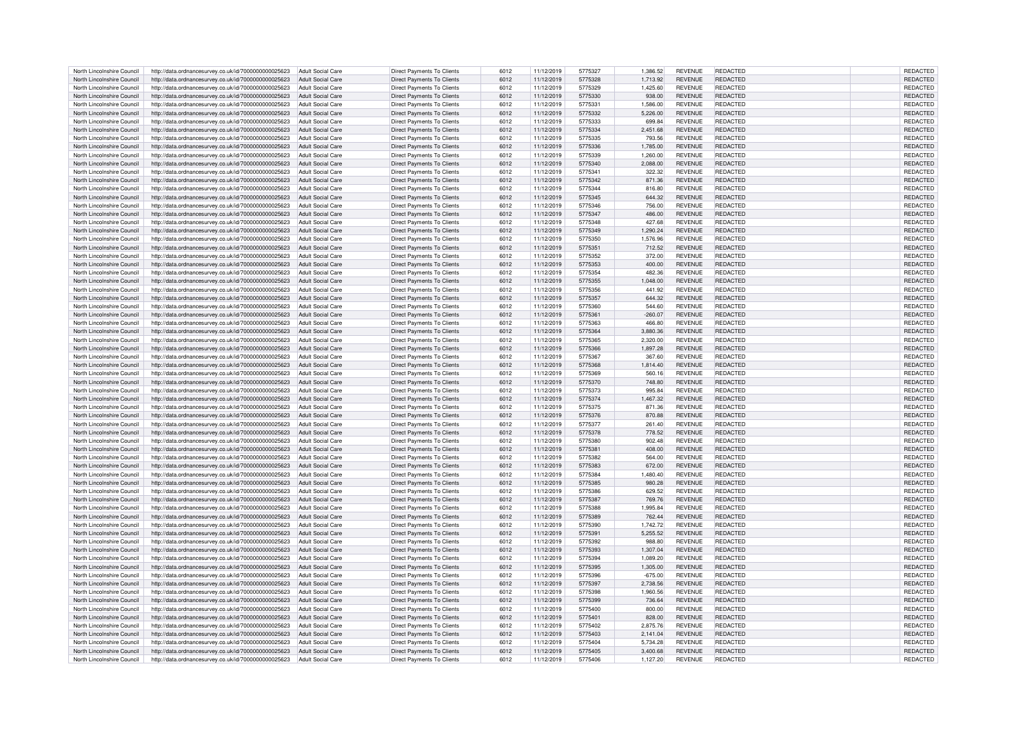| North Lincolnshire Council | http://data.ordnancesurvey.co.uk/id/7000000000025623                   | Adult Social Care        | <b>Direct Payments To Clients</b> | 6012 | 11/12/2019 | 5775327 | 1,386.52  | <b>REVENUE</b> | REDACTED        | REDACTED        |
|----------------------------|------------------------------------------------------------------------|--------------------------|-----------------------------------|------|------------|---------|-----------|----------------|-----------------|-----------------|
| North Lincolnshire Council | http://data.ordnancesurvey.co.uk/id/7000000000025623                   | Adult Social Care        | <b>Direct Payments To Clients</b> | 6012 | 11/12/2019 | 5775328 | 1,713.92  | <b>REVENUE</b> | <b>REDACTED</b> | REDACTED        |
| North Lincolnshire Council | http://data.ordnancesurvey.co.uk/id/7000000000025623                   | Adult Social Care        | <b>Direct Payments To Clients</b> | 6012 | 11/12/2019 | 5775329 | 1,425.60  | <b>REVENUE</b> | REDACTED        | REDACTED        |
|                            |                                                                        |                          |                                   |      |            |         |           |                |                 |                 |
| North Lincolnshire Council | http://data.ordnancesurvey.co.uk/id/7000000000025623                   | Adult Social Care        | Direct Payments To Clients        | 6012 | 11/12/2019 | 5775330 | 938.00    | <b>REVENUE</b> | REDACTED        | REDACTED        |
| North Lincolnshire Council | http://data.ordnancesurvey.co.uk/id/7000000000025623                   | Adult Social Care        | Direct Payments To Clients        | 6012 | 11/12/2019 | 5775331 | 1.586.00  | <b>REVENUE</b> | REDACTED        | REDACTED        |
| North Lincolnshire Council | http://data.ordnancesurvey.co.uk/id/7000000000025623                   | <b>Adult Social Care</b> | <b>Direct Payments To Clients</b> | 6012 | 11/12/2019 | 5775332 | 5,226.00  | <b>REVENUE</b> | <b>REDACTED</b> | REDACTED        |
| North Lincolnshire Council | http://data.ordnancesurvey.co.uk/id/7000000000025623                   | <b>Adult Social Care</b> | <b>Direct Payments To Clients</b> | 6012 | 11/12/2019 | 5775333 | 699.84    | <b>REVENUE</b> | REDACTED        | REDACTED        |
| North Lincolnshire Council | http://data.ordnancesurvey.co.uk/id/7000000000025623                   | <b>Adult Social Care</b> | <b>Direct Payments To Clients</b> | 6012 | 11/12/2019 | 5775334 | 2.451.68  | <b>REVENUE</b> | REDACTED        | <b>REDACTED</b> |
| North Lincolnshire Council | http://data.ordnancesurvey.co.uk/id/7000000000025623                   | Adult Social Care        | Direct Payments To Clients        | 6012 | 11/12/2019 | 5775335 | 793.56    | <b>REVENUE</b> | <b>REDACTED</b> | REDACTED        |
| North Lincolnshire Council | http://data.ordnancesurvey.co.uk/id/7000000000025623                   | <b>Adult Social Care</b> | Direct Payments To Clients        | 6012 | 11/12/2019 | 5775336 | 1,785.00  | <b>REVENUE</b> | REDACTED        | REDACTED        |
|                            | http://data.ordnancesurvey.co.uk/id/7000000000025623                   | Adult Social Care        | <b>Direct Payments To Clients</b> |      |            | 5775339 |           | REVENUE        | REDACTED        | <b>REDACTED</b> |
| North Lincolnshire Council |                                                                        |                          |                                   | 6012 | 11/12/2019 |         | 1,260.00  |                |                 |                 |
| North Lincolnshire Council | http://data.ordnancesurvey.co.uk/id/7000000000025623                   | <b>Adult Social Care</b> | <b>Direct Payments To Clients</b> | 6012 | 11/12/2019 | 5775340 | 2,088.00  | <b>REVENUE</b> | REDACTED        | REDACTED        |
| North Lincolnshire Council | http://data.ordnancesurvey.co.uk/id/7000000000025623                   | Adult Social Care        | <b>Direct Payments To Clients</b> | 6012 | 11/12/2019 | 5775341 | 322.32    | <b>REVENUE</b> | REDACTED        | REDACTED        |
| North Lincolnshire Council | http://data.ordnancesurvey.co.uk/id/7000000000025623                   | <b>Adult Social Care</b> | Direct Payments To Clients        | 6012 | 11/12/2019 | 5775342 | 871.36    | REVENUE        | REDACTED        | REDACTED        |
| North Lincolnshire Council | http://data.ordnancesurvey.co.uk/id/7000000000025623                   | <b>Adult Social Care</b> | Direct Payments To Clients        | 6012 | 11/12/2019 | 5775344 | 816.80    | <b>REVENUE</b> | REDACTED        | REDACTED        |
| North Lincolnshire Council | http://data.ordnancesurvey.co.uk/id/7000000000025623                   | <b>Adult Social Care</b> | Direct Payments To Clients        | 6012 | 11/12/2019 | 5775345 | 644.32    | REVENUE        | REDACTED        | REDACTED        |
| North Lincolnshire Council | http://data.ordnancesurvey.co.uk/id/7000000000025623                   | <b>Adult Social Care</b> | <b>Direct Payments To Clients</b> | 6012 | 11/12/2019 | 5775346 | 756.00    | REVENUE        | <b>REDACTED</b> | REDACTED        |
| North Lincolnshire Council | http://data.ordnancesurvey.co.uk/id/7000000000025623                   | Adult Social Care        | <b>Direct Payments To Clients</b> | 6012 | 11/12/2019 | 5775347 | 486.00    | <b>REVENUE</b> | <b>REDACTED</b> | <b>REDACTED</b> |
| North Lincolnshire Council |                                                                        |                          | <b>Direct Payments To Clients</b> |      |            | 5775348 | 427.68    | <b>REVENUE</b> | <b>REDACTED</b> | REDACTED        |
|                            | http://data.ordnancesurvey.co.uk/id/7000000000025623                   | <b>Adult Social Care</b> |                                   | 6012 | 11/12/2019 |         |           |                |                 |                 |
| North Lincolnshire Council | http://data.ordnancesurvey.co.uk/id/7000000000025623                   | <b>Adult Social Care</b> | <b>Direct Payments To Clients</b> | 6012 | 11/12/2019 | 5775349 | 1,290.24  | REVENUE        | <b>REDACTED</b> | REDACTED        |
| North Lincolnshire Council | http://data.ordnancesurvey.co.uk/id/7000000000025623                   | Adult Social Care        | <b>Direct Payments To Clients</b> | 6012 | 11/12/2019 | 5775350 | 1,576.96  | REVENUE        | REDACTED        | REDACTED        |
| North Lincolnshire Council | http://data.ordnancesurvey.co.uk/id/7000000000025623                   | Adult Social Care        | <b>Direct Payments To Clients</b> | 6012 | 11/12/2019 | 5775351 | 712.52    | REVENUE        | <b>REDACTED</b> | REDACTED        |
| North Lincolnshire Council | http://data.ordnancesurvey.co.uk/id/7000000000025623                   | <b>Adult Social Care</b> | <b>Direct Payments To Clients</b> | 6012 | 11/12/2019 | 5775352 | 372.00    | <b>REVENUE</b> | REDACTED        | REDACTED        |
| North Lincolnshire Council | http://data.ordnancesurvey.co.uk/id/7000000000025623                   | <b>Adult Social Care</b> | Direct Payments To Clients        | 6012 | 11/12/2019 | 5775353 | 400.00    | <b>REVENUE</b> | <b>REDACTED</b> | REDACTED        |
| North Lincolnshire Council | http://data.ordnancesurvey.co.uk/id/7000000000025623                   | Adult Social Care        | Direct Payments To Clients        | 6012 | 11/12/2019 | 5775354 | 482.36    | <b>REVENUE</b> | <b>REDACTED</b> | REDACTED        |
|                            |                                                                        |                          |                                   |      |            |         |           |                |                 |                 |
| North Lincolnshire Council | http://data.ordnancesurvey.co.uk/id/7000000000025623                   | <b>Adult Social Care</b> | <b>Direct Payments To Clients</b> | 6012 | 11/12/2019 | 5775355 | 1,048.00  | REVENUE        | <b>REDACTED</b> | REDACTED        |
| North Lincolnshire Council | http://data.ordnancesurvey.co.uk/id/7000000000025623                   | Adult Social Care        | <b>Direct Payments To Clients</b> | 6012 | 11/12/2019 | 5775356 | 441.92    | <b>REVENUE</b> | <b>REDACTED</b> | REDACTED        |
| North Lincolnshire Council | http://data.ordnancesurvey.co.uk/id/7000000000025623                   | Adult Social Care        | <b>Direct Payments To Clients</b> | 6012 | 11/12/2019 | 5775357 | 644.32    | <b>REVENUE</b> | <b>REDACTED</b> | REDACTED        |
| North Lincolnshire Council | http://data.ordnancesurvey.co.uk/id/7000000000025623                   | Adult Social Care        | <b>Direct Payments To Clients</b> | 6012 | 11/12/2019 | 5775360 | 544.60    | <b>REVENUE</b> | REDACTED        | REDACTED        |
| North Lincolnshire Council | http://data.ordnancesurvey.co.uk/id/7000000000025623                   | <b>Adult Social Care</b> | Direct Payments To Clients        | 6012 | 11/12/2019 | 5775361 | $-260.07$ | <b>REVENUE</b> | REDACTED        | REDACTED        |
| North Lincolnshire Council | http://data.ordnancesurvey.co.uk/id/7000000000025623                   | Adult Social Care        | <b>Direct Payments To Clients</b> | 6012 | 11/12/2019 | 5775363 | 466.80    | <b>REVENUE</b> | REDACTED        | REDACTED        |
| North Lincolnshire Council | http://data.ordnancesurvey.co.uk/id/7000000000025623                   | Adult Social Care        | <b>Direct Payments To Clients</b> | 6012 | 11/12/2019 | 5775364 | 3,880.36  | <b>REVENUE</b> | REDACTED        | REDACTED        |
| North Lincolnshire Council | http://data.ordnancesurvey.co.uk/id/7000000000025623                   | Adult Social Care        | Direct Payments To Clients        | 6012 | 11/12/2019 | 5775365 | 2,320.00  | <b>REVENUE</b> | <b>REDACTED</b> | REDACTED        |
|                            |                                                                        |                          |                                   |      |            |         |           |                |                 |                 |
| North Lincolnshire Council | http://data.ordnancesurvey.co.uk/id/7000000000025623                   | <b>Adult Social Care</b> | Direct Payments To Clients        | 6012 | 11/12/2019 | 5775366 | 1,897.28  | REVENUE        | REDACTED        | REDACTED        |
| North Lincolnshire Council | http://data.ordnancesurvey.co.uk/id/7000000000025623                   | <b>Adult Social Care</b> | Direct Payments To Clients        | 6012 | 11/12/2019 | 5775367 | 367.60    | REVENUE        | REDACTED        | REDACTED        |
| North Lincolnshire Council | http://data.ordnancesurvey.co.uk/id/7000000000025623                   | <b>Adult Social Care</b> | Direct Payments To Clients        | 6012 | 11/12/2019 | 5775368 | 1,814.40  | REVENUE        | <b>REDACTED</b> | REDACTED        |
| North Lincolnshire Council | http://data.ordnancesurvey.co.uk/id/7000000000025623                   | <b>Adult Social Care</b> | <b>Direct Payments To Clients</b> | 6012 | 11/12/2019 | 5775369 | 560.16    | <b>REVENUE</b> | REDACTED        | REDACTED        |
| North Lincolnshire Council | http://data.ordnancesurvey.co.uk/id/7000000000025623                   | Adult Social Care        | <b>Direct Payments To Clients</b> | 6012 | 11/12/2019 | 5775370 | 748.80    | <b>REVENUE</b> | REDACTED        | REDACTED        |
| North Lincolnshire Council | http://data.ordnancesurvey.co.uk/id/7000000000025623                   | <b>Adult Social Care</b> | Direct Payments To Clients        | 6012 | 11/12/2019 | 5775373 | 995.84    | <b>REVENUE</b> | REDACTED        | REDACTED        |
| North Lincolnshire Council | http://data.ordnancesurvey.co.uk/id/7000000000025623                   | <b>Adult Social Care</b> | <b>Direct Payments To Clients</b> | 6012 | 11/12/2019 | 5775374 | 1,467.32  | REVENUE        | REDACTED        | REDACTED        |
|                            |                                                                        |                          |                                   |      |            |         |           |                |                 |                 |
| North Lincolnshire Council | http://data.ordnancesurvey.co.uk/id/7000000000025623                   | <b>Adult Social Care</b> | <b>Direct Payments To Clients</b> | 6012 | 11/12/2019 | 5775375 | 871.36    | REVENUE        | REDACTED        | REDACTED        |
| North Lincolnshire Council | http://data.ordnancesurvey.co.uk/id/7000000000025623                   | <b>Adult Social Care</b> | <b>Direct Payments To Clients</b> | 6012 | 11/12/2019 | 5775376 | 870.88    | REVENUE        | REDACTED        | REDACTED        |
| North Lincolnshire Council | http://data.ordnancesurvey.co.uk/id/7000000000025623                   | Adult Social Care        | Direct Payments To Clients        | 6012 | 11/12/2019 | 5775377 | 261.40    | <b>REVENUE</b> | <b>REDACTED</b> | REDACTED        |
| North Lincolnshire Council | http://data.ordnancesurvey.co.uk/id/7000000000025623                   | <b>Adult Social Care</b> | Direct Payments To Clients        | 6012 | 11/12/2019 | 5775378 | 778.52    | <b>REVENUE</b> | <b>REDACTED</b> | REDACTED        |
| North Lincolnshire Council | http://data.ordnancesurvey.co.uk/id/7000000000025623                   | <b>Adult Social Care</b> | Direct Payments To Clients        | 6012 | 11/12/2019 | 5775380 | 902.48    | <b>REVENUE</b> | <b>REDACTED</b> | REDACTED        |
| North Lincolnshire Council | http://data.ordnancesurvey.co.uk/id/7000000000025623                   | <b>Adult Social Care</b> | <b>Direct Payments To Clients</b> | 6012 | 11/12/2019 | 5775381 | 408.00    | REVENUE        | REDACTED        | REDACTED        |
| North Lincolnshire Council | http://data.ordnancesurvey.co.uk/id/7000000000025623                   | Adult Social Care        | <b>Direct Payments To Clients</b> | 6012 | 11/12/2019 | 5775382 | 564.00    | <b>REVENUE</b> | <b>REDACTED</b> | REDACTED        |
| North Lincolnshire Council | http://data.ordnancesurvey.co.uk/id/7000000000025623                   | <b>Adult Social Care</b> | <b>Direct Payments To Clients</b> | 6012 | 11/12/2019 | 5775383 | 672.00    | <b>REVENUE</b> | <b>REDACTED</b> | REDACTED        |
|                            |                                                                        |                          |                                   |      |            |         |           |                |                 |                 |
| North Lincolnshire Council | http://data.ordnancesurvey.co.uk/id/7000000000025623                   | Adult Social Care        | Direct Payments To Clients        | 6012 | 11/12/2019 | 5775384 | 1,480.40  | <b>REVENUE</b> | REDACTED        | REDACTED        |
| North Lincolnshire Council | http://data.ordnancesurvey.co.uk/id/7000000000025623                   | <b>Adult Social Care</b> | Direct Payments To Clients        | 6012 | 11/12/2019 | 5775385 | 980.28    | <b>REVENUE</b> | REDACTED        | REDACTED        |
| North Lincolnshire Council | http://data.ordnancesurvey.co.uk/id/7000000000025623                   | Adult Social Care        | Direct Payments To Clients        | 6012 | 11/12/2019 | 5775386 | 629.52    | <b>REVENUE</b> | REDACTED        | REDACTED        |
| North Lincolnshire Council | http://data.ordnancesurvey.co.uk/id/7000000000025623                   | Adult Social Care        | <b>Direct Payments To Clients</b> | 6012 | 11/12/2019 | 5775387 | 769.76    | <b>REVENUE</b> | REDACTED        | REDACTED        |
| North Lincolnshire Council | http://data.ordnancesurvey.co.uk/id/7000000000025623                   | Adult Social Care        | Direct Payments To Clients        | 6012 | 11/12/2019 | 5775388 | 1,995.84  | <b>REVENUE</b> | <b>REDACTED</b> | REDACTED        |
| North Lincolnshire Council | http://data.ordnancesurvey.co.uk/id/7000000000025623                   | <b>Adult Social Care</b> | <b>Direct Payments To Clients</b> | 6012 | 11/12/2019 | 5775389 | 762.44    | <b>REVENUE</b> | REDACTED        | REDACTED        |
| North Lincolnshire Council | http://data.ordnancesurvey.co.uk/id/7000000000025623                   | <b>Adult Social Care</b> | Direct Payments To Clients        | 6012 | 11/12/2019 | 5775390 | 1,742.72  | <b>REVENUE</b> | REDACTED        | REDACTED        |
| North Lincolnshire Council | http://data.ordnancesurvey.co.uk/id/7000000000025623                   | <b>Adult Social Care</b> | <b>Direct Payments To Clients</b> | 6012 | 11/12/2019 | 5775391 | 5,255.52  | <b>REVENUE</b> | REDACTED        | REDACTED        |
| North Lincolnshire Council | http://data.ordnancesurvey.co.uk/id/7000000000025623                   | Adult Social Care        | <b>Direct Payments To Clients</b> | 6012 | 11/12/2019 | 5775392 | 988.80    | <b>REVENUE</b> | REDACTED        | REDACTED        |
|                            |                                                                        |                          |                                   |      |            |         |           |                |                 |                 |
| North Lincolnshire Council | http://data.ordnancesurvey.co.uk/id/7000000000025623                   | Adult Social Care        | <b>Direct Payments To Clients</b> | 6012 | 11/12/2019 | 5775393 | 1,307.04  | <b>REVENUE</b> | REDACTED        | REDACTED        |
| North Lincolnshire Council | http://data.ordnancesurvey.co.uk/id/7000000000025623                   | <b>Adult Social Care</b> | Direct Payments To Clients        | 6012 | 11/12/2019 | 5775394 | 1,089.20  | <b>REVENUE</b> | <b>REDACTED</b> | REDACTED        |
| North Lincolnshire Council | http://data.ordnancesurvey.co.uk/id/7000000000025623                   | <b>Adult Social Care</b> | Direct Payments To Clients        | 6012 | 11/12/2019 | 5775395 | 1,305.00  | <b>REVENUE</b> | REDACTED        | REDACTED        |
| North Lincolnshire Council | http://data.ordnancesurvey.co.uk/id/7000000000025623                   | Adult Social Care        | Direct Payments To Clients        | 6012 | 11/12/2019 | 5775396 | $-675.00$ | <b>REVENUE</b> | REDACTED        | REDACTED        |
| North Lincolnshire Council | http://data.ordnancesurvey.co.uk/id/7000000000025623                   | <b>Adult Social Care</b> | <b>Direct Payments To Clients</b> | 6012 | 11/12/2019 | 5775397 | 2,738.56  | <b>REVENUE</b> | REDACTED        | REDACTED        |
| North Lincolnshire Council | http://data.ordnancesurvey.co.uk/id/7000000000025623                   | Adult Social Care        | <b>Direct Payments To Clients</b> | 6012 | 11/12/2019 | 5775398 | 1.960.56  | <b>REVENUE</b> | <b>REDACTED</b> | <b>REDACTED</b> |
| North Lincolnshire Council | http://data.ordnancesurvey.co.uk/id/7000000000025623                   | <b>Adult Social Care</b> | Direct Payments To Clients        | 6012 | 11/12/2019 | 5775399 | 736.64    | <b>REVENUE</b> | REDACTED        | REDACTED        |
|                            |                                                                        |                          |                                   |      |            |         |           |                |                 |                 |
| North Lincolnshire Council | http://data.ordnancesurvey.co.uk/id/7000000000025623                   | <b>Adult Social Care</b> | <b>Direct Payments To Clients</b> | 6012 | 11/12/2019 | 5775400 | 800.00    | <b>REVENUE</b> | REDACTED        | REDACTED        |
| North Lincolnshire Council | http://data.ordnancesurvey.co.uk/id/7000000000025623                   | <b>Adult Social Care</b> | <b>Direct Payments To Clients</b> | 6012 | 11/12/2019 | 5775401 | 828.00    | <b>REVENUE</b> | REDACTED        | REDACTED        |
| North Lincolnshire Council | http://data.ordnancesurvey.co.uk/id/7000000000025623                   | <b>Adult Social Care</b> | <b>Direct Payments To Clients</b> | 6012 | 11/12/2019 | 5775402 | 2,875.76  | <b>REVENUE</b> | <b>REDACTED</b> | REDACTED        |
| North Lincolnshire Council | http://data.ordnancesurvey.co.uk/id/7000000000025623                   | <b>Adult Social Care</b> | <b>Direct Payments To Clients</b> | 6012 | 11/12/2019 | 5775403 | 2,141.04  | <b>REVENUE</b> | REDACTED        | REDACTED        |
| North Lincolnshire Council | http://data.ordnancesurvey.co.uk/id/7000000000025623                   | Adult Social Care        | <b>Direct Payments To Clients</b> | 6012 | 11/12/2019 | 5775404 | 5,734.28  | <b>REVENUE</b> | REDACTED        | REDACTED        |
| North Lincolnshire Council | http://data.ordnancesurvey.co.uk/id/7000000000025623                   | Adult Social Care        | Direct Payments To Clients        | 6012 | 11/12/2019 | 5775405 | 3.400.68  | <b>REVENUE</b> | <b>REDACTED</b> | REDACTED        |
| North Lincolnshire Council | http://data.ordnancesurvey.co.uk/id/7000000000025623 Adult Social Care |                          | <b>Direct Payments To Clients</b> | 6012 | 11/12/2019 | 5775406 | 1.127.20  | <b>REVENUE</b> | REDACTED        | REDACTED        |
|                            |                                                                        |                          |                                   |      |            |         |           |                |                 |                 |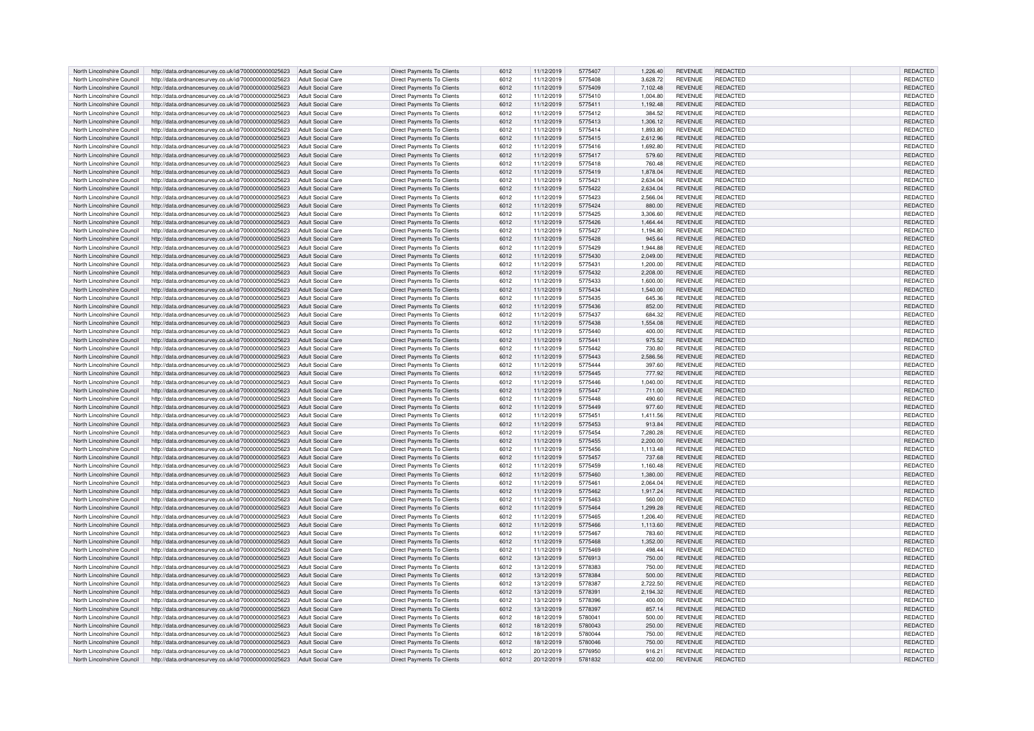| North Lincolnshire Council | http://data.ordnancesurvey.co.uk/id/7000000000025623                   | Adult Social Care        | <b>Direct Payments To Clients</b> | 6012 | 11/12/2019 | 5775407 | 1,226.40 | <b>REVENUE</b> | REDACTED        | REDACTED        |
|----------------------------|------------------------------------------------------------------------|--------------------------|-----------------------------------|------|------------|---------|----------|----------------|-----------------|-----------------|
| North Lincolnshire Council | http://data.ordnancesurvey.co.uk/id/7000000000025623                   | Adult Social Care        | <b>Direct Payments To Clients</b> | 6012 | 11/12/2019 | 5775408 | 3.628.72 | <b>REVENUE</b> | REDACTED        | <b>REDACTED</b> |
| North Lincolnshire Council | http://data.ordnancesurvey.co.uk/id/7000000000025623                   | <b>Adult Social Care</b> | Direct Payments To Clients        | 6012 | 11/12/2019 | 5775409 | 7,102.48 | <b>REVENUE</b> | REDACTED        | REDACTED        |
|                            |                                                                        |                          |                                   |      |            |         |          |                |                 |                 |
| North Lincolnshire Council | http://data.ordnancesurvey.co.uk/id/7000000000025623                   | <b>Adult Social Care</b> | <b>Direct Payments To Clients</b> | 6012 | 11/12/2019 | 5775410 | 1,004.80 | <b>REVENUE</b> | REDACTED        | REDACTED        |
| North Lincolnshire Council | http://data.ordnancesurvey.co.uk/id/7000000000025623                   | <b>Adult Social Care</b> | Direct Payments To Clients        | 6012 | 11/12/2019 | 5775411 | 1.192.48 | <b>REVENUE</b> | REDACTED        | REDACTED        |
| North Lincolnshire Council | http://data.ordnancesurvey.co.uk/id/7000000000025623                   | <b>Adult Social Care</b> | <b>Direct Payments To Clients</b> | 6012 | 11/12/2019 | 5775412 | 384.52   | <b>REVENUE</b> | REDACTED        | REDACTED        |
| North Lincolnshire Council | http://data.ordnancesurvey.co.uk/id/7000000000025623                   | <b>Adult Social Care</b> | <b>Direct Payments To Clients</b> | 6012 | 11/12/2019 | 5775413 | 1,306.12 | <b>REVENUE</b> | REDACTED        | REDACTED        |
| North Lincolnshire Council | http://data.ordnancesurvey.co.uk/id/7000000000025623                   | <b>Adult Social Care</b> | <b>Direct Payments To Clients</b> | 6012 | 11/12/2019 | 5775414 | 1.893.80 | <b>REVENUE</b> | REDACTED        | <b>REDACTED</b> |
| North Lincolnshire Council | http://data.ordnancesurvey.co.uk/id/7000000000025623                   | Adult Social Care        | Direct Payments To Clients        | 6012 | 11/12/2019 | 5775415 | 2.612.96 | <b>REVENUE</b> | REDACTED        | REDACTED        |
| North Lincolnshire Council | http://data.ordnancesurvey.co.uk/id/7000000000025623                   | Adult Social Care        | Direct Payments To Clients        | 6012 | 11/12/2019 | 5775416 | 1,692.80 | <b>REVENUE</b> | REDACTED        | REDACTED        |
|                            | http://data.ordnancesurvey.co.uk/id/7000000000025623                   | <b>Adult Social Care</b> | <b>Direct Payments To Clients</b> |      | 11/12/2019 | 5775417 | 579.60   | <b>REVENUE</b> | REDACTED        | REDACTED        |
| North Lincolnshire Council |                                                                        |                          |                                   | 6012 |            |         |          |                |                 |                 |
| North Lincolnshire Council | http://data.ordnancesurvey.co.uk/id/7000000000025623                   | <b>Adult Social Care</b> | <b>Direct Payments To Clients</b> | 6012 | 11/12/2019 | 5775418 | 760.48   | <b>REVENUE</b> | REDACTED        | REDACTED        |
| North Lincolnshire Council | http://data.ordnancesurvey.co.uk/id/7000000000025623                   | <b>Adult Social Care</b> | <b>Direct Payments To Clients</b> | 6012 | 11/12/2019 | 5775419 | 1.878.04 | <b>REVENUE</b> | REDACTED        | REDACTED        |
| North Lincolnshire Council | http://data.ordnancesurvey.co.uk/id/7000000000025623                   | <b>Adult Social Care</b> | Direct Payments To Clients        | 6012 | 11/12/2019 | 5775421 | 2,634.04 | <b>REVENUE</b> | REDACTED        | REDACTED        |
| North Lincolnshire Council | http://data.ordnancesurvey.co.uk/id/7000000000025623                   | <b>Adult Social Care</b> | Direct Payments To Clients        | 6012 | 11/12/2019 | 5775422 | 2,634.04 | <b>REVENUE</b> | REDACTED        | REDACTED        |
| North Lincolnshire Council | http://data.ordnancesurvey.co.uk/id/7000000000025623                   | <b>Adult Social Care</b> | <b>Direct Payments To Clients</b> | 6012 | 11/12/2019 | 5775423 | 2,566.04 | REVENUE        | REDACTED        | REDACTED        |
| North Lincolnshire Council | http://data.ordnancesurvey.co.uk/id/7000000000025623                   | <b>Adult Social Care</b> | <b>Direct Payments To Clients</b> | 6012 | 11/12/2019 | 5775424 | 880.00   | REVENUE        | <b>REDACTED</b> | REDACTED        |
| North Lincolnshire Council | http://data.ordnancesurvey.co.uk/id/7000000000025623                   | Adult Social Care        | Direct Payments To Clients        | 6012 | 11/12/2019 | 5775425 | 3.306.60 | <b>REVENUE</b> | REDACTED        | REDACTED        |
| North Lincolnshire Council | http://data.ordnancesurvey.co.uk/id/7000000000025623                   | Adult Social Care        | Direct Payments To Clients        | 6012 | 11/12/2019 | 5775426 | 1,464.44 | <b>REVENUE</b> | <b>REDACTED</b> | REDACTED        |
| North Lincolnshire Council | http://data.ordnancesurvey.co.uk/id/7000000000025623                   | Adult Social Care        | Direct Payments To Clients        | 6012 | 11/12/2019 | 5775427 | 1,194.80 | <b>REVENUE</b> | REDACTED        | REDACTED        |
|                            |                                                                        |                          |                                   |      |            |         |          |                |                 |                 |
| North Lincolnshire Council | http://data.ordnancesurvey.co.uk/id/7000000000025623                   | <b>Adult Social Care</b> | <b>Direct Payments To Clients</b> | 6012 | 11/12/2019 | 5775428 | 945.64   | REVENUE        | REDACTED        | REDACTED        |
| North Lincolnshire Council | http://data.ordnancesurvey.co.uk/id/7000000000025623                   | <b>Adult Social Care</b> | Direct Payments To Clients        | 6012 | 11/12/2019 | 5775429 | 1.944.88 | <b>REVENUE</b> | <b>REDACTED</b> | REDACTED        |
| North Lincolnshire Council | http://data.ordnancesurvey.co.uk/id/7000000000025623                   | <b>Adult Social Care</b> | <b>Direct Payments To Clients</b> | 6012 | 11/12/2019 | 5775430 | 2,049.00 | <b>REVENUE</b> | REDACTED        | REDACTED        |
| North Lincolnshire Council | http://data.ordnancesurvey.co.uk/id/7000000000025623                   | Adult Social Care        | Direct Payments To Clients        | 6012 | 11/12/2019 | 5775431 | 1,200.00 | <b>REVENUE</b> | REDACTED        | REDACTED        |
| North Lincolnshire Council | http://data.ordnancesurvey.co.uk/id/7000000000025623                   | <b>Adult Social Care</b> | Direct Payments To Clients        | 6012 | 11/12/2019 | 5775432 | 2,208.00 | <b>REVENUE</b> | REDACTED        | REDACTED        |
| North Lincolnshire Council | http://data.ordnancesurvey.co.uk/id/7000000000025623                   | <b>Adult Social Care</b> | <b>Direct Payments To Clients</b> | 6012 | 11/12/2019 | 5775433 | 1,600.00 | <b>REVENUE</b> | REDACTED        | REDACTED        |
| North Lincolnshire Council | http://data.ordnancesurvey.co.uk/id/7000000000025623                   | Adult Social Care        | <b>Direct Payments To Clients</b> | 6012 | 11/12/2019 | 5775434 | 1.540.00 | <b>REVENUE</b> | REDACTED        | <b>REDACTED</b> |
| North Lincolnshire Council | http://data.ordnancesurvey.co.uk/id/7000000000025623                   | Adult Social Care        | Direct Payments To Clients        | 6012 | 11/12/2019 | 5775435 | 645.36   | <b>REVENUE</b> | REDACTED        | REDACTED        |
|                            |                                                                        |                          |                                   |      |            |         |          |                |                 |                 |
| North Lincolnshire Council | http://data.ordnancesurvey.co.uk/id/7000000000025623                   | <b>Adult Social Care</b> | Direct Payments To Clients        | 6012 | 11/12/2019 | 5775436 | 852.00   | <b>REVENUE</b> | REDACTED        | REDACTED        |
| North Lincolnshire Council | http://data.ordnancesurvey.co.uk/id/7000000000025623                   | Adult Social Care        | Direct Payments To Clients        | 6012 | 11/12/2019 | 5775437 | 684.32   | <b>REVENUE</b> | REDACTED        | REDACTED        |
| North Lincolnshire Council | http://data.ordnancesurvey.co.uk/id/7000000000025623                   | Adult Social Care        | <b>Direct Payments To Clients</b> | 6012 | 11/12/2019 | 5775438 | 1,554.08 | <b>REVENUE</b> | REDACTED        | REDACTED        |
| North Lincolnshire Council | http://data.ordnancesurvey.co.uk/id/7000000000025623                   | <b>Adult Social Care</b> | <b>Direct Payments To Clients</b> | 6012 | 11/12/2019 | 5775440 | 400.00   | <b>REVENUE</b> | REDACTED        | REDACTED        |
| North Lincolnshire Council | http://data.ordnancesurvey.co.uk/id/7000000000025623                   | Adult Social Care        | <b>Direct Payments To Clients</b> | 6012 | 11/12/2019 | 5775441 | 975.52   | <b>REVENUE</b> | REDACTED        | REDACTED        |
| North Lincolnshire Council | http://data.ordnancesurvey.co.uk/id/7000000000025623                   | <b>Adult Social Care</b> | Direct Payments To Clients        | 6012 | 11/12/2019 | 5775442 | 730.80   | <b>REVENUE</b> | REDACTED        | REDACTED        |
| North Lincolnshire Council | http://data.ordnancesurvey.co.uk/id/7000000000025623                   | <b>Adult Social Care</b> | Direct Payments To Clients        | 6012 | 11/12/2019 | 5775443 | 2,586.56 | <b>REVENUE</b> | <b>REDACTED</b> | REDACTED        |
| North Lincolnshire Council | http://data.ordnancesurvey.co.uk/id/7000000000025623                   | <b>Adult Social Care</b> | Direct Payments To Clients        | 6012 |            | 5775444 | 397.60   | REVENUE        | REDACTED        | REDACTED        |
|                            |                                                                        |                          |                                   |      | 11/12/2019 |         |          |                |                 |                 |
| North Lincolnshire Council | http://data.ordnancesurvey.co.uk/id/7000000000025623                   | <b>Adult Social Care</b> | <b>Direct Payments To Clients</b> | 6012 | 11/12/2019 | 5775445 | 777.92   | <b>REVENUE</b> | REDACTED        | REDACTED        |
| North Lincolnshire Council | http://data.ordnancesurvey.co.uk/id/7000000000025623                   | <b>Adult Social Care</b> | <b>Direct Payments To Clients</b> | 6012 | 11/12/2019 | 5775446 | 1.040.00 | <b>REVENUE</b> | REDACTED        | REDACTED        |
| North Lincolnshire Council | http://data.ordnancesurvey.co.uk/id/7000000000025623                   | <b>Adult Social Care</b> | Direct Payments To Clients        | 6012 | 11/12/2019 | 5775447 | 711.00   | <b>REVENUE</b> | REDACTED        | REDACTED        |
| North Lincolnshire Council | http://data.ordnancesurvey.co.uk/id/7000000000025623                   | <b>Adult Social Care</b> | <b>Direct Payments To Clients</b> | 6012 | 11/12/2019 | 5775448 | 490.60   | <b>REVENUE</b> | REDACTED        | REDACTED        |
| North Lincolnshire Council | http://data.ordnancesurvey.co.uk/id/7000000000025623                   | <b>Adult Social Care</b> | <b>Direct Payments To Clients</b> | 6012 | 11/12/2019 | 5775449 | 977.60   | <b>REVENUE</b> | REDACTED        | REDACTED        |
| North Lincolnshire Council | http://data.ordnancesurvey.co.uk/id/7000000000025623                   | <b>Adult Social Care</b> | <b>Direct Payments To Clients</b> | 6012 | 11/12/2019 | 5775451 | 1,411.56 | <b>REVENUE</b> | <b>REDACTED</b> | REDACTED        |
| North Lincolnshire Council | http://data.ordnancesurvey.co.uk/id/7000000000025623                   | Adult Social Care        | <b>Direct Payments To Clients</b> | 6012 | 11/12/2019 | 5775453 | 913.84   | <b>REVENUE</b> | REDACTED        | REDACTED        |
| North Lincolnshire Council | http://data.ordnancesurvey.co.uk/id/7000000000025623                   | <b>Adult Social Care</b> | <b>Direct Payments To Clients</b> | 6012 | 11/12/2019 | 5775454 | 7,280.28 | <b>REVENUE</b> | REDACTED        | REDACTED        |
| North Lincolnshire Council | http://data.ordnancesurvey.co.uk/id/7000000000025623                   | <b>Adult Social Care</b> | <b>Direct Payments To Clients</b> | 6012 | 11/12/2019 | 5775455 | 2,200.00 | <b>REVENUE</b> | <b>REDACTED</b> | REDACTED        |
|                            |                                                                        |                          |                                   |      |            |         |          |                |                 |                 |
| North Lincolnshire Council | http://data.ordnancesurvey.co.uk/id/7000000000025623                   | <b>Adult Social Care</b> | <b>Direct Payments To Clients</b> | 6012 | 11/12/2019 | 5775456 | 1.113.48 | <b>REVENUE</b> | REDACTED        | REDACTED        |
| North Lincolnshire Council | http://data.ordnancesurvey.co.uk/id/7000000000025623                   | <b>Adult Social Care</b> | <b>Direct Payments To Clients</b> | 6012 | 11/12/2019 | 5775457 | 737.68   | <b>REVENUE</b> | <b>REDACTED</b> | REDACTED        |
| North Lincolnshire Council | http://data.ordnancesurvey.co.uk/id/7000000000025623                   | Adult Social Care        | <b>Direct Payments To Clients</b> | 6012 | 11/12/2019 | 5775459 | 1,160.48 | <b>REVENUE</b> | REDACTED        | REDACTED        |
| North Lincolnshire Council | http://data.ordnancesurvey.co.uk/id/7000000000025623                   | <b>Adult Social Care</b> | <b>Direct Payments To Clients</b> | 6012 | 11/12/2019 | 5775460 | 1,380.00 | <b>REVENUE</b> | REDACTED        | REDACTED        |
| North Lincolnshire Council | http://data.ordnancesurvey.co.uk/id/7000000000025623                   | Adult Social Care        | Direct Payments To Clients        | 6012 | 11/12/2019 | 5775461 | 2,064.04 | <b>REVENUE</b> | REDACTED        | REDACTED        |
| North Lincolnshire Council | http://data.ordnancesurvey.co.uk/id/7000000000025623                   | Adult Social Care        | <b>Direct Payments To Clients</b> | 6012 | 11/12/2019 | 5775462 | 1,917.24 | <b>REVENUE</b> | REDACTED        | REDACTED        |
| North Lincolnshire Council | http://data.ordnancesurvey.co.uk/id/7000000000025623                   | <b>Adult Social Care</b> | <b>Direct Payments To Clients</b> | 6012 | 11/12/2019 | 5775463 | 560.00   | <b>REVENUE</b> | REDACTED        | REDACTED        |
| North Lincolnshire Council | http://data.ordnancesurvey.co.uk/id/7000000000025623                   | Adult Social Care        | <b>Direct Payments To Clients</b> | 6012 | 11/12/2019 | 5775464 | 1,299.28 | <b>REVENUE</b> | <b>REDACTED</b> | REDACTED        |
| North Lincolnshire Council |                                                                        | <b>Adult Social Care</b> | <b>Direct Payments To Clients</b> | 6012 | 11/12/2019 | 5775465 | 1,206.40 | <b>REVENUE</b> | REDACTED        | REDACTED        |
|                            | http://data.ordnancesurvey.co.uk/id/7000000000025623                   |                          |                                   |      |            |         |          |                |                 |                 |
| North Lincolnshire Council | http://data.ordnancesurvey.co.uk/id/7000000000025623                   | <b>Adult Social Care</b> | Direct Payments To Clients        | 6012 | 11/12/2019 | 5775466 | 1,113.60 | <b>REVENUE</b> | <b>REDACTED</b> | REDACTED        |
| North Lincolnshire Council | http://data.ordnancesurvey.co.uk/id/7000000000025623                   | <b>Adult Social Care</b> | <b>Direct Payments To Clients</b> | 6012 | 11/12/2019 | 5775467 | 783.60   | <b>REVENUE</b> | REDACTED        | REDACTED        |
| North Lincolnshire Council | http://data.ordnancesurvey.co.uk/id/7000000000025623                   | <b>Adult Social Care</b> | <b>Direct Payments To Clients</b> | 6012 | 11/12/2019 | 5775468 | 1,352.00 | <b>REVENUE</b> | REDACTED        | REDACTED        |
| North Lincolnshire Council | http://data.ordnancesurvey.co.uk/id/7000000000025623                   | Adult Social Care        | Direct Payments To Clients        | 6012 | 11/12/2019 | 5775469 | 498.44   | <b>REVENUE</b> | REDACTED        | REDACTED        |
| North Lincolnshire Council | http://data.ordnancesurvey.co.uk/id/7000000000025623                   | <b>Adult Social Care</b> | Direct Payments To Clients        | 6012 | 13/12/2019 | 5776913 | 750.00   | <b>REVENUE</b> | <b>REDACTED</b> | REDACTED        |
| North Lincolnshire Council | http://data.ordnancesurvey.co.uk/id/7000000000025623                   | <b>Adult Social Care</b> | Direct Payments To Clients        | 6012 | 13/12/2019 | 5778383 | 750.00   | <b>REVENUE</b> | REDACTED        | REDACTED        |
| North Lincolnshire Council | http://data.ordnancesurvey.co.uk/id/7000000000025623                   | <b>Adult Social Care</b> | <b>Direct Payments To Clients</b> | 6012 | 13/12/2019 | 5778384 | 500.00   | <b>REVENUE</b> | REDACTED        | REDACTED        |
| North Lincolnshire Council | http://data.ordnancesurvey.co.uk/id/7000000000025623                   | <b>Adult Social Care</b> | <b>Direct Payments To Clients</b> | 6012 | 13/12/2019 | 5778387 | 2,722.50 | <b>REVENUE</b> | REDACTED        | REDACTED        |
| North Lincolnshire Council | http://data.ordnancesurvey.co.uk/id/7000000000025623                   | <b>Adult Social Care</b> | <b>Direct Payments To Clients</b> | 6012 | 13/12/2019 | 5778391 | 2.194.32 | <b>REVENUE</b> | REDACTED        | <b>REDACTED</b> |
|                            |                                                                        |                          |                                   |      |            |         |          |                |                 |                 |
| North Lincolnshire Council | http://data.ordnancesurvey.co.uk/id/7000000000025623                   | <b>Adult Social Care</b> | Direct Payments To Clients        | 6012 | 13/12/2019 | 5778396 | 400.00   | <b>REVENUE</b> | REDACTED        | REDACTED        |
| North Lincolnshire Council | http://data.ordnancesurvey.co.uk/id/7000000000025623                   | <b>Adult Social Care</b> | <b>Direct Payments To Clients</b> | 6012 | 13/12/2019 | 5778397 | 857.14   | <b>REVENUE</b> | <b>REDACTED</b> | REDACTED        |
| North Lincolnshire Council | http://data.ordnancesurvey.co.uk/id/7000000000025623                   | <b>Adult Social Care</b> | <b>Direct Payments To Clients</b> | 6012 | 18/12/2019 | 5780041 | 500.00   | <b>REVENUE</b> | REDACTED        | REDACTED        |
| North Lincolnshire Council | http://data.ordnancesurvey.co.uk/id/7000000000025623                   | <b>Adult Social Care</b> | <b>Direct Payments To Clients</b> | 6012 | 18/12/2019 | 5780043 | 250.00   | <b>REVENUE</b> | <b>REDACTED</b> | REDACTED        |
| North Lincolnshire Council | http://data.ordnancesurvey.co.uk/id/7000000000025623                   | <b>Adult Social Care</b> | <b>Direct Payments To Clients</b> | 6012 | 18/12/2019 | 5780044 | 750.00   | <b>REVENUE</b> | REDACTED        | REDACTED        |
| North Lincolnshire Council | http://data.ordnancesurvey.co.uk/id/7000000000025623                   | <b>Adult Social Care</b> | <b>Direct Payments To Clients</b> | 6012 | 18/12/2019 | 5780046 | 750.00   | <b>REVENUE</b> | REDACTED        | REDACTED        |
| North Lincolnshire Council | http://data.ordnancesurvey.co.uk/id/7000000000025623                   | Adult Social Care        | Direct Payments To Clients        | 6012 | 20/12/2019 | 5776950 | 916.21   | <b>REVENUE</b> | REDACTED        | REDACTED        |
| North Lincolnshire Council | http://data.ordnancesurvey.co.uk/id/7000000000025623 Adult Social Care |                          | <b>Direct Payments To Clients</b> | 6012 | 20/12/2019 | 5781832 | 402.00   | <b>REVENUE</b> | <b>REDACTED</b> | REDACTED        |
|                            |                                                                        |                          |                                   |      |            |         |          |                |                 |                 |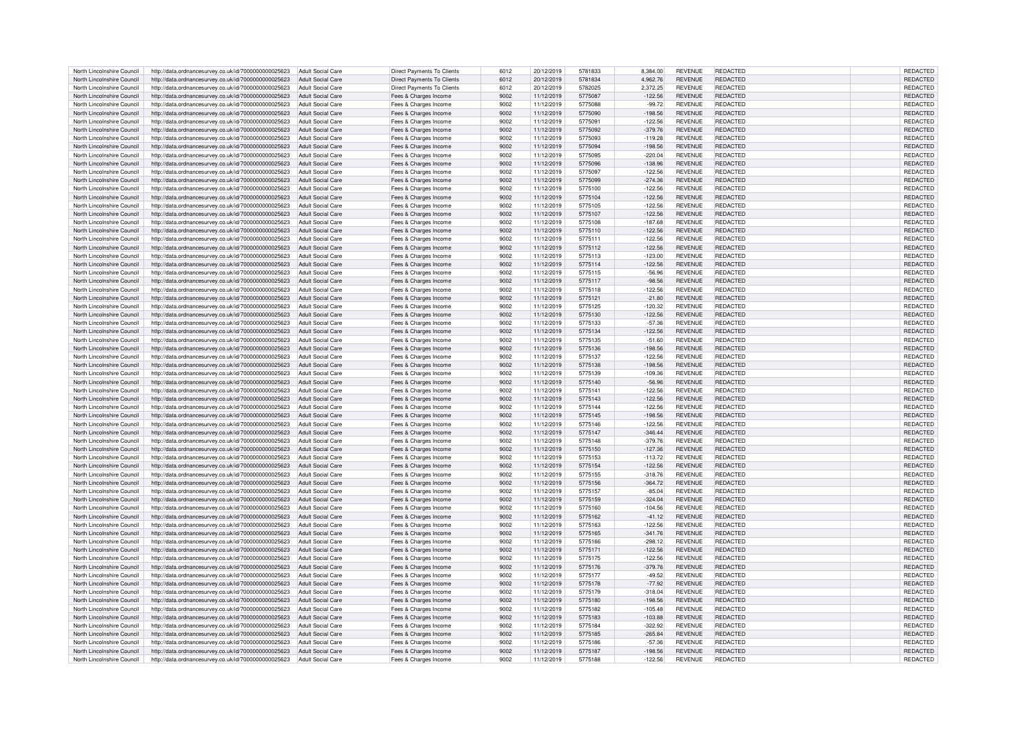| North Lincolnshire Council | http://data.ordnancesurvey.co.uk/id/7000000000025623                   | Adult Social Care        | <b>Direct Payments To Clients</b> | 6012 | 20/12/2019 | 5781833 | 8,384.00  | <b>REVENUE</b> | REDACTED        | REDACTED        |
|----------------------------|------------------------------------------------------------------------|--------------------------|-----------------------------------|------|------------|---------|-----------|----------------|-----------------|-----------------|
| North Lincolnshire Council | http://data.ordnancesurvey.co.uk/id/7000000000025623                   | Adult Social Care        | <b>Direct Payments To Clients</b> | 6012 | 20/12/2019 | 5781834 | 4.962.76  | REVENUE        | REDACTED        | <b>REDACTED</b> |
| North Lincolnshire Council | http://data.ordnancesurvey.co.uk/id/7000000000025623                   | Adult Social Care        | <b>Direct Payments To Clients</b> | 6012 | 20/12/2019 | 5782025 | 2,372.25  | <b>REVENUE</b> | REDACTED        | <b>REDACTED</b> |
|                            |                                                                        |                          |                                   |      |            |         |           |                |                 |                 |
| North Lincolnshire Council | http://data.ordnancesurvey.co.uk/id/7000000000025623                   | Adult Social Care        | Fees & Charges Income             | 9002 | 11/12/2019 | 5775087 | $-122.56$ | <b>REVENUE</b> | REDACTED        | REDACTED        |
| North Lincolnshire Council | http://data.ordnancesurvey.co.uk/id/7000000000025623                   | <b>Adult Social Care</b> | Fees & Charges Income             | 9002 | 11/12/2019 | 5775088 | $-99.72$  | <b>REVENUE</b> | REDACTED        | REDACTED        |
| North Lincolnshire Council | http://data.ordnancesurvey.co.uk/id/7000000000025623                   | <b>Adult Social Care</b> | Fees & Charges Income             | 9002 | 11/12/2019 | 5775090 | $-198.56$ | <b>REVENUE</b> | <b>REDACTED</b> | REDACTED        |
| North Lincolnshire Council | http://data.ordnancesurvey.co.uk/id/7000000000025623                   | <b>Adult Social Care</b> | Fees & Charges Income             | 9002 | 11/12/2019 | 577509  | $-122.56$ | REVENUE        | <b>REDACTED</b> | REDACTED        |
| North Lincolnshire Council | http://data.ordnancesurvey.co.uk/id/7000000000025623                   | <b>Adult Social Care</b> | Fees & Charges Income             | 9002 | 11/12/2019 | 5775092 | $-379.76$ | <b>REVENUE</b> | REDACTED        | <b>REDACTED</b> |
| North Lincolnshire Council | http://data.ordnancesurvey.co.uk/id/7000000000025623                   | Adult Social Care        | Fees & Charges Income             | 9002 | 11/12/2019 | 5775093 | $-119.28$ | <b>REVENUE</b> | <b>REDACTED</b> | REDACTED        |
| North Lincolnshire Council | http://data.ordnancesurvey.co.uk/id/7000000000025623                   | <b>Adult Social Care</b> | Fees & Charges Income             | 9002 | 11/12/2019 | 5775094 | $-198.56$ | <b>REVENUE</b> | <b>REDACTED</b> | REDACTED        |
|                            |                                                                        | Adult Social Care        |                                   |      |            |         |           | REVENUE        | REDACTED        | <b>REDACTED</b> |
| North Lincolnshire Council | http://data.ordnancesurvey.co.uk/id/7000000000025623                   |                          | Fees & Charges Income             | 9002 | 11/12/2019 | 5775095 | $-220.04$ |                |                 |                 |
| North Lincolnshire Council | http://data.ordnancesurvey.co.uk/id/7000000000025623                   | <b>Adult Social Care</b> | Fees & Charges Income             | 9002 | 11/12/2019 | 5775096 | $-138.96$ | <b>REVENUE</b> | <b>REDACTED</b> | REDACTED        |
| North Lincolnshire Council | http://data.ordnancesurvey.co.uk/id/7000000000025623                   | Adult Social Care        | Fees & Charges Income             | 9002 | 11/12/2019 | 5775097 | $-122.56$ | <b>REVENUE</b> | <b>REDACTED</b> | REDACTED        |
| North Lincolnshire Council | http://data.ordnancesurvey.co.uk/id/7000000000025623                   | Adult Social Care        | Fees & Charges Income             | 9002 | 11/12/2019 | 5775099 | $-274.36$ | <b>REVENUE</b> | <b>REDACTED</b> | REDACTED        |
| North Lincolnshire Council | http://data.ordnancesurvey.co.uk/id/7000000000025623                   | <b>Adult Social Care</b> | Fees & Charges Income             | 9002 | 11/12/2019 | 5775100 | $-122.56$ | <b>REVENUE</b> | <b>REDACTED</b> | REDACTED        |
| North Lincolnshire Council | http://data.ordnancesurvey.co.uk/id/7000000000025623                   | <b>Adult Social Care</b> | Fees & Charges Income             | 9002 | 11/12/2019 | 5775104 | $-122.56$ | REVENUE        | REDACTED        | REDACTED        |
| North Lincolnshire Council | http://data.ordnancesurvey.co.uk/id/7000000000025623                   | <b>Adult Social Care</b> | Fees & Charges Income             | 9002 | 11/12/2019 | 5775105 | $-122.56$ | REVENUE        | <b>REDACTED</b> | REDACTED        |
| North Lincolnshire Council | http://data.ordnancesurvey.co.uk/id/7000000000025623                   | Adult Social Care        | Fees & Charges Income             | 9002 | 11/12/2019 | 5775107 | $-122.56$ | <b>REVENUE</b> | <b>REDACTED</b> | <b>REDACTED</b> |
| North Lincolnshire Council |                                                                        | Adult Social Care        |                                   | 9002 | 11/12/2019 | 5775108 | $-187.68$ | <b>REVENUE</b> | <b>REDACTED</b> | REDACTED        |
|                            | http://data.ordnancesurvey.co.uk/id/7000000000025623                   |                          | Fees & Charges Income             |      |            |         |           |                |                 |                 |
| North Lincolnshire Council | http://data.ordnancesurvey.co.uk/id/7000000000025623                   | <b>Adult Social Care</b> | Fees & Charges Income             | 9002 | 11/12/2019 | 5775110 | $-122.56$ | <b>REVENUE</b> | <b>REDACTED</b> | REDACTED        |
| North Lincolnshire Council | http://data.ordnancesurvey.co.uk/id/7000000000025623                   | Adult Social Care        | Fees & Charges Income             | 9002 | 11/12/2019 | 5775111 | $-122.56$ | REVENUE        | REDACTED        | REDACTED        |
| North Lincolnshire Council | http://data.ordnancesurvey.co.uk/id/7000000000025623                   | Adult Social Care        | Fees & Charges Income             | 9002 | 11/12/2019 | 5775112 | $-122.56$ | REVENUE        | <b>REDACTED</b> | REDACTED        |
| North Lincolnshire Council | http://data.ordnancesurvey.co.uk/id/7000000000025623                   | <b>Adult Social Care</b> | Fees & Charges Income             | 9002 | 11/12/2019 | 5775113 | $-123.00$ | <b>REVENUE</b> | REDACTED        | REDACTED        |
| North Lincolnshire Council | http://data.ordnancesurvey.co.uk/id/7000000000025623                   | <b>Adult Social Care</b> | Fees & Charges Income             | 9002 | 11/12/2019 | 5775114 | $-122.56$ | <b>REVENUE</b> | REDACTED        | REDACTED        |
| North Lincolnshire Council | http://data.ordnancesurvey.co.uk/id/7000000000025623                   | <b>Adult Social Care</b> | Fees & Charges Income             | 9002 | 11/12/2019 | 5775115 | $-56.96$  | <b>REVENUE</b> | REDACTED        | REDACTED        |
| North Lincolnshire Council | http://data.ordnancesurvey.co.uk/id/7000000000025623                   | <b>Adult Social Care</b> | Fees & Charges Income             | 9002 | 11/12/2019 | 5775117 | $-98.56$  | REVENUE        | <b>REDACTED</b> | REDACTED        |
|                            |                                                                        |                          |                                   |      |            |         |           |                |                 |                 |
| North Lincolnshire Council | http://data.ordnancesurvey.co.uk/id/7000000000025623                   | Adult Social Care        | Fees & Charges Income             | 9002 | 11/12/2019 | 5775118 | $-122.56$ | <b>REVENUE</b> | <b>REDACTED</b> | <b>REDACTED</b> |
| North Lincolnshire Council | http://data.ordnancesurvey.co.uk/id/7000000000025623                   | Adult Social Care        | Fees & Charges Income             | 9002 | 11/12/2019 | 5775121 | $-21.80$  | <b>REVENUE</b> | <b>REDACTED</b> | REDACTED        |
| North Lincolnshire Council | http://data.ordnancesurvey.co.uk/id/7000000000025623                   | Adult Social Care        | Fees & Charges Income             | 9002 | 11/12/2019 | 5775125 | $-120.32$ | <b>REVENUE</b> | <b>REDACTED</b> | REDACTED        |
| North Lincolnshire Council | http://data.ordnancesurvey.co.uk/id/7000000000025623                   | <b>Adult Social Care</b> | Fees & Charges Income             | 9002 | 11/12/2019 | 5775130 | $-122.56$ | <b>REVENUE</b> | REDACTED        | REDACTED        |
| North Lincolnshire Council | http://data.ordnancesurvey.co.uk/id/7000000000025623                   | Adult Social Care        | Fees & Charges Income             | 9002 | 11/12/2019 | 5775133 | $-57.36$  | <b>REVENUE</b> | REDACTED        | REDACTED        |
| North Lincolnshire Council | http://data.ordnancesurvey.co.uk/id/7000000000025623                   | Adult Social Care        | Fees & Charges Income             | 9002 | 11/12/2019 | 5775134 | $-122.56$ | <b>REVENUE</b> | <b>REDACTED</b> | REDACTED        |
| North Lincolnshire Council | http://data.ordnancesurvey.co.uk/id/7000000000025623                   | Adult Social Care        | Fees & Charges Income             | 9002 | 11/12/2019 | 5775135 | $-51.60$  | <b>REVENUE</b> | REDACTED        | REDACTED        |
|                            |                                                                        |                          |                                   |      |            |         |           |                |                 |                 |
| North Lincolnshire Council | http://data.ordnancesurvey.co.uk/id/7000000000025623                   | <b>Adult Social Care</b> | Fees & Charges Income             | 9002 | 11/12/2019 | 5775136 | $-198.56$ | <b>REVENUE</b> | REDACTED        | REDACTED        |
| North Lincolnshire Council | http://data.ordnancesurvey.co.uk/id/7000000000025623                   | Adult Social Care        | Fees & Charges Income             | 9002 | 11/12/2019 | 5775137 | $-122.56$ | REVENUE        | REDACTED        | REDACTED        |
| North Lincolnshire Council | http://data.ordnancesurvey.co.uk/id/7000000000025623                   | <b>Adult Social Care</b> | Fees & Charges Income             | 9002 | 11/12/2019 | 5775138 | $-198.56$ | <b>REVENUE</b> | <b>REDACTED</b> | REDACTED        |
| North Lincolnshire Council | http://data.ordnancesurvey.co.uk/id/7000000000025623                   | <b>Adult Social Care</b> | Fees & Charges Income             | 9002 | 11/12/2019 | 5775139 | $-109.36$ | REVENUE        | <b>REDACTED</b> | REDACTED        |
| North Lincolnshire Council | http://data.ordnancesurvey.co.uk/id/7000000000025623                   | Adult Social Care        | Fees & Charges Income             | 9002 | 11/12/2019 | 5775140 | $-56.96$  | <b>REVENUE</b> | <b>REDACTED</b> | <b>REDACTED</b> |
| North Lincolnshire Council | http://data.ordnancesurvey.co.uk/id/7000000000025623                   | <b>Adult Social Care</b> | Fees & Charges Income             | 9002 | 11/12/2019 | 5775141 | $-122.56$ | REVENUE        | <b>REDACTED</b> | REDACTED        |
| North Lincolnshire Council | http://data.ordnancesurvey.co.uk/id/7000000000025623                   | <b>Adult Social Care</b> | Fees & Charges Income             | 9002 | 11/12/2019 | 5775143 | $-122.56$ | REVENUE        | REDACTED        | REDACTED        |
|                            |                                                                        |                          |                                   |      |            |         |           |                |                 |                 |
| North Lincolnshire Council | http://data.ordnancesurvey.co.uk/id/7000000000025623                   | Adult Social Care        | Fees & Charges Income             | 9002 | 11/12/2019 | 5775144 | $-122.56$ | REVENUE        | REDACTED        | REDACTED        |
| North Lincolnshire Council | http://data.ordnancesurvey.co.uk/id/7000000000025623                   | <b>Adult Social Care</b> | Fees & Charges Income             | 9002 | 11/12/2019 | 5775145 | $-198.56$ | REVENUE        | <b>REDACTED</b> | REDACTED        |
| North Lincolnshire Council | http://data.ordnancesurvey.co.uk/id/7000000000025623                   | Adult Social Care        | Fees & Charges Income             | 9002 | 11/12/2019 | 5775146 | $-122.56$ | <b>REVENUE</b> | REDACTED        | REDACTED        |
| North Lincolnshire Council | http://data.ordnancesurvey.co.uk/id/7000000000025623                   | <b>Adult Social Care</b> | Fees & Charges Income             | 9002 | 11/12/2019 | 5775147 | $-346.44$ | <b>REVENUE</b> | <b>REDACTED</b> | REDACTED        |
| North Lincolnshire Council | http://data.ordnancesurvey.co.uk/id/7000000000025623                   | <b>Adult Social Care</b> | Fees & Charges Income             | 9002 | 11/12/2019 | 5775148 | $-379.76$ | <b>REVENUE</b> | <b>REDACTED</b> | REDACTED        |
| North Lincolnshire Council | http://data.ordnancesurvey.co.uk/id/7000000000025623                   | <b>Adult Social Care</b> | Fees & Charges Income             | 9002 | 11/12/2019 | 5775150 | $-127.36$ | REVENUE        | <b>REDACTED</b> | REDACTED        |
| North Lincolnshire Council | http://data.ordnancesurvey.co.uk/id/7000000000025623                   | <b>Adult Social Care</b> | Fees & Charges Income             | 9002 | 11/12/2019 | 5775153 | $-113.72$ | REVENUE        | <b>REDACTED</b> | REDACTED        |
| North Lincolnshire Council | http://data.ordnancesurvey.co.uk/id/7000000000025623                   | <b>Adult Social Care</b> | Fees & Charges Income             | 9002 | 11/12/2019 | 5775154 | $-122.56$ | <b>REVENUE</b> | <b>REDACTED</b> | REDACTED        |
|                            |                                                                        |                          |                                   |      |            |         |           |                | <b>REDACTED</b> |                 |
| North Lincolnshire Council | http://data.ordnancesurvey.co.uk/id/7000000000025623                   | Adult Social Care        | Fees & Charges Income             | 9002 | 11/12/2019 | 5775155 | $-318.76$ | <b>REVENUE</b> |                 | REDACTED        |
| North Lincolnshire Council | http://data.ordnancesurvey.co.uk/id/7000000000025623                   | <b>Adult Social Care</b> | Fees & Charges Income             | 9002 | 11/12/2019 | 5775156 | $-364.72$ | <b>REVENUE</b> | REDACTED        | REDACTED        |
| North Lincolnshire Council | http://data.ordnancesurvey.co.uk/id/7000000000025623                   | Adult Social Care        | Fees & Charges Income             | 9002 | 11/12/2019 | 5775157 | $-85.04$  | <b>REVENUE</b> | REDACTED        | REDACTED        |
| North Lincolnshire Council | http://data.ordnancesurvey.co.uk/id/7000000000025623                   | Adult Social Care        | Fees & Charges Income             | 9002 | 11/12/2019 | 5775159 | $-324.04$ | <b>REVENUE</b> | REDACTED        | REDACTED        |
| North Lincolnshire Council | http://data.ordnancesurvey.co.uk/id/7000000000025623                   | Adult Social Care        | Fees & Charges Income             | 9002 | 11/12/2019 | 5775160 | $-104.56$ | <b>REVENUE</b> | <b>REDACTED</b> | REDACTED        |
| North Lincolnshire Council | http://data.ordnancesurvey.co.uk/id/7000000000025623                   | <b>Adult Social Care</b> | Fees & Charges Income             | 9002 | 11/12/2019 | 5775162 | $-41.12$  | <b>REVENUE</b> | REDACTED        | <b>REDACTED</b> |
| North Lincolnshire Council | http://data.ordnancesurvey.co.uk/id/7000000000025623                   | Adult Social Care        | Fees & Charges Income             | 9002 | 11/12/2019 | 5775163 | $-122.56$ | REVENUE        | REDACTED        | REDACTED        |
| North Lincolnshire Council | http://data.ordnancesurvey.co.uk/id/7000000000025623                   | <b>Adult Social Care</b> | Fees & Charges Income             | 9002 | 11/12/2019 | 5775165 | $-341.76$ | REVENUE        | <b>REDACTED</b> | REDACTED        |
|                            |                                                                        |                          |                                   |      |            |         |           |                | <b>REDACTED</b> |                 |
| North Lincolnshire Council | http://data.ordnancesurvey.co.uk/id/7000000000025623                   | <b>Adult Social Care</b> | Fees & Charges Income             | 9002 | 11/12/2019 | 5775166 | $-298.12$ | REVENUE        |                 | REDACTED        |
| North Lincolnshire Council | http://data.ordnancesurvey.co.uk/id/7000000000025623                   | Adult Social Care        | Fees & Charges Income             | 9002 | 11/12/2019 | 5775171 | $-122.56$ | <b>REVENUE</b> | <b>REDACTED</b> | REDACTED        |
| North Lincolnshire Council | http://data.ordnancesurvey.co.uk/id/7000000000025623                   | <b>Adult Social Care</b> | Fees & Charges Income             | 9002 | 11/12/2019 | 5775175 | $-122.56$ | <b>REVENUE</b> | <b>REDACTED</b> | REDACTED        |
| North Lincolnshire Council | http://data.ordnancesurvey.co.uk/id/7000000000025623                   | Adult Social Care        | Fees & Charges Income             | 9002 | 11/12/2019 | 5775176 | $-379.76$ | <b>REVENUE</b> | REDACTED        | REDACTED        |
| North Lincolnshire Council | http://data.ordnancesurvey.co.uk/id/7000000000025623                   | Adult Social Care        | Fees & Charges Income             | 9002 | 11/12/2019 | 5775177 | $-49.52$  | <b>REVENUE</b> | REDACTED        | REDACTED        |
| North Lincolnshire Council | http://data.ordnancesurvey.co.uk/id/7000000000025623                   | <b>Adult Social Care</b> | Fees & Charges Income             | 9002 | 11/12/2019 | 5775178 | $-77.92$  | REVENUE        | REDACTED        | REDACTED        |
| North Lincolnshire Council | http://data.ordnancesurvey.co.uk/id/7000000000025623                   | Adult Social Care        | Fees & Charges Income             | 9002 | 11/12/2019 | 5775179 | $-318.04$ | <b>REVENUE</b> | REDACTED        | REDACTED        |
| North Lincolnshire Council | http://data.ordnancesurvey.co.uk/id/7000000000025623                   | <b>Adult Social Care</b> | Fees & Charges Income             | 9002 | 11/12/2019 | 5775180 | $-198.56$ | <b>REVENUE</b> | REDACTED        | REDACTED        |
|                            |                                                                        |                          |                                   | 9002 |            |         |           |                |                 |                 |
| North Lincolnshire Council | http://data.ordnancesurvey.co.uk/id/7000000000025623                   | <b>Adult Social Care</b> | Fees & Charges Income             |      | 11/12/2019 | 5775182 | $-105.48$ | <b>REVENUE</b> | REDACTED        | REDACTED        |
| North Lincolnshire Council | http://data.ordnancesurvey.co.uk/id/7000000000025623                   | <b>Adult Social Care</b> | Fees & Charges Income             | 9002 | 11/12/2019 | 5775183 | $-103.88$ | <b>REVENUE</b> | <b>REDACTED</b> | REDACTED        |
| North Lincolnshire Council | http://data.ordnancesurvey.co.uk/id/7000000000025623                   | <b>Adult Social Care</b> | Fees & Charges Income             | 9002 | 11/12/2019 | 5775184 | $-322.92$ | REVENUE        | <b>REDACTED</b> | REDACTED        |
| North Lincolnshire Council | http://data.ordnancesurvey.co.uk/id/7000000000025623                   | <b>Adult Social Care</b> | Fees & Charges Income             | 9002 | 11/12/2019 | 5775185 | $-265.84$ | <b>REVENUE</b> | REDACTED        | REDACTED        |
| North Lincolnshire Council | http://data.ordnancesurvey.co.uk/id/7000000000025623                   | Adult Social Care        | Fees & Charges Income             | 9002 | 11/12/2019 | 5775186 | $-57.36$  | <b>REVENUE</b> | REDACTED        | REDACTED        |
| North Lincolnshire Council | http://data.ordnancesurvey.co.uk/id/7000000000025623                   | <b>Adult Social Care</b> | Fees & Charges Income             | 9002 | 11/12/2019 | 5775187 | $-198.56$ | <b>REVENUE</b> | REDACTED        | REDACTED        |
| North Lincolnshire Council | http://data.ordnancesurvey.co.uk/id/7000000000025623 Adult Social Care |                          | Fees & Charges Income             | 9002 | 11/12/2019 | 5775188 | $-122.56$ | <b>REVENUE</b> | REDACTED        | REDACTED        |
|                            |                                                                        |                          |                                   |      |            |         |           |                |                 |                 |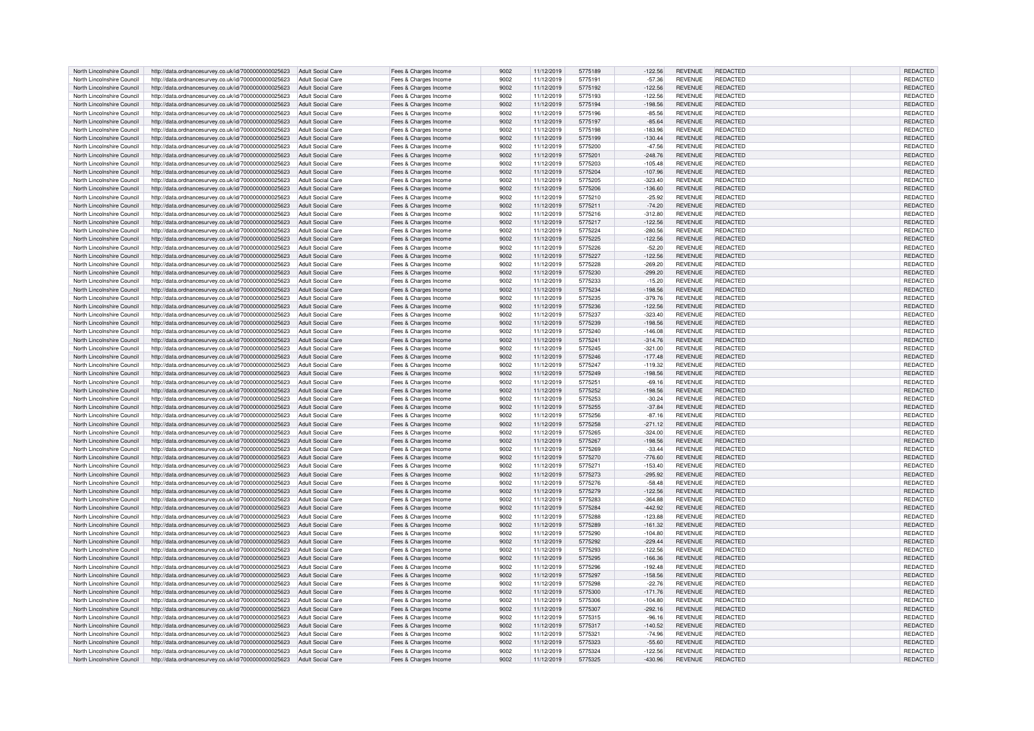| North Lincolnshire Council | http://data.ordnancesurvey.co.uk/id/7000000000025623                   | Adult Social Care        | Fees & Charges Income | 9002 | 11/12/2019 | 5775189 | $-122.56$ | <b>REVENUE</b> | REDACTED        | REDACTED        |
|----------------------------|------------------------------------------------------------------------|--------------------------|-----------------------|------|------------|---------|-----------|----------------|-----------------|-----------------|
| North Lincolnshire Council | http://data.ordnancesurvey.co.uk/id/7000000000025623                   | Adult Social Care        | Fees & Charges Income | 9002 | 11/12/2019 | 5775191 | $-57.36$  | <b>REVENUE</b> | REDACTED        | REDACTED        |
|                            |                                                                        |                          |                       |      |            |         |           |                |                 |                 |
| North Lincolnshire Council | http://data.ordnancesurvey.co.uk/id/7000000000025623                   | <b>Adult Social Care</b> | Fees & Charges Income | 9002 | 11/12/2019 | 5775192 | $-122.56$ | <b>REVENUE</b> | REDACTED        | REDACTED        |
| North Lincolnshire Council | http://data.ordnancesurvey.co.uk/id/7000000000025623                   | Adult Social Care        | Fees & Charges Income | 9002 | 11/12/2019 | 5775193 | $-122.56$ | <b>REVENUE</b> | <b>REDACTED</b> | <b>REDACTED</b> |
| North Lincolnshire Council | http://data.ordnancesurvey.co.uk/id/7000000000025623                   | <b>Adult Social Care</b> | Fees & Charges Income | 9002 | 11/12/2019 | 5775194 | $-198.56$ | <b>REVENUE</b> | <b>REDACTED</b> | REDACTED        |
| North Lincolnshire Council | http://data.ordnancesurvey.co.uk/id/7000000000025623                   | <b>Adult Social Care</b> | Fees & Charges Income | 9002 | 11/12/2019 | 5775196 | $-85.56$  | <b>REVENUE</b> | REDACTED        | REDACTED        |
| North Lincolnshire Council | http://data.ordnancesurvey.co.uk/id/7000000000025623                   | Adult Social Care        | Fees & Charges Income | 9002 | 11/12/2019 | 5775197 | $-85.64$  | <b>REVENUE</b> | <b>REDACTED</b> | REDACTED        |
| North Lincolnshire Council | http://data.ordnancesurvey.co.uk/id/7000000000025623                   | <b>Adult Social Care</b> | Fees & Charges Income | 9002 | 11/12/2019 | 5775198 | $-183.96$ | REVENUE        | <b>REDACTED</b> | REDACTED        |
|                            |                                                                        |                          |                       |      |            |         |           |                |                 |                 |
| North Lincolnshire Council | http://data.ordnancesurvey.co.uk/id/7000000000025623                   | <b>Adult Social Care</b> | Fees & Charges Income | 9002 | 11/12/2019 | 5775199 | $-130.44$ | <b>REVENUE</b> | REDACTED        | <b>REDACTED</b> |
| North Lincolnshire Council | http://data.ordnancesurvey.co.uk/id/7000000000025623                   | <b>Adult Social Care</b> | Fees & Charges Income | 9002 | 11/12/2019 | 5775200 | $-47.56$  | <b>REVENUE</b> | <b>REDACTED</b> | REDACTED        |
| North Lincolnshire Council | http://data.ordnancesurvey.co.uk/id/7000000000025623                   | Adult Social Care        | Fees & Charges Income | 9002 | 11/12/2019 | 5775201 | $-248.76$ | <b>REVENUE</b> | <b>REDACTED</b> | REDACTED        |
| North Lincolnshire Council | http://data.ordnancesurvey.co.uk/id/7000000000025623                   | Adult Social Care        | Fees & Charges Income | 9002 | 11/12/2019 | 5775203 | $-105.48$ | <b>REVENUE</b> | REDACTED        | REDACTED        |
| North Lincolnshire Council | http://data.ordnancesurvey.co.uk/id/7000000000025623                   | <b>Adult Social Care</b> | Fees & Charges Income | 9002 | 11/12/2019 | 5775204 | $-107.96$ | REVENUE        | <b>REDACTED</b> | REDACTED        |
|                            |                                                                        |                          |                       |      |            |         |           |                |                 |                 |
| North Lincolnshire Council | http://data.ordnancesurvey.co.uk/id/7000000000025623                   | Adult Social Care        | Fees & Charges Income | 9002 | 11/12/2019 | 5775205 | $-323.40$ | <b>REVENUE</b> | <b>REDACTED</b> | REDACTED        |
| North Lincolnshire Council | http://data.ordnancesurvey.co.uk/id/7000000000025623                   | Adult Social Care        | Fees & Charges Income | 9002 | 11/12/2019 | 5775206 | $-136.60$ | <b>REVENUE</b> | <b>REDACTED</b> | REDACTED        |
| North Lincolnshire Council | http://data.ordnancesurvey.co.uk/id/7000000000025623                   | <b>Adult Social Care</b> | Fees & Charges Income | 9002 | 11/12/2019 | 5775210 | $-25.92$  | REVENUE        | <b>REDACTED</b> | REDACTED        |
| North Lincolnshire Council | http://data.ordnancesurvey.co.uk/id/7000000000025623                   | <b>Adult Social Care</b> | Fees & Charges Income | 9002 | 11/12/2019 | 5775211 | $-74.20$  | <b>REVENUE</b> | REDACTED        | <b>REDACTED</b> |
| North Lincolnshire Council | http://data.ordnancesurvey.co.uk/id/7000000000025623                   | <b>Adult Social Care</b> | Fees & Charges Income | 9002 | 11/12/2019 | 5775216 | $-312.80$ | REVENUE        | <b>REDACTED</b> | REDACTED        |
| North Lincolnshire Council | http://data.ordnancesurvey.co.uk/id/7000000000025623                   | <b>Adult Social Care</b> |                       | 9002 | 11/12/2019 | 5775217 | $-122.56$ | REVENUE        | REDACTED        | REDACTED        |
|                            |                                                                        |                          | Fees & Charges Income |      |            |         |           |                |                 |                 |
| North Lincolnshire Council | http://data.ordnancesurvey.co.uk/id/7000000000025623                   | <b>Adult Social Care</b> | Fees & Charges Income | 9002 | 11/12/2019 | 5775224 | $-280.56$ | <b>REVENUE</b> | REDACTED        | REDACTED        |
| North Lincolnshire Council | http://data.ordnancesurvey.co.uk/id/7000000000025623                   | <b>Adult Social Care</b> | Fees & Charges Income | 9002 | 11/12/2019 | 5775225 | $-122.56$ | <b>REVENUE</b> | <b>REDACTED</b> | REDACTED        |
| North Lincolnshire Council | http://data.ordnancesurvey.co.uk/id/7000000000025623                   | <b>Adult Social Care</b> | Fees & Charges Income | 9002 | 11/12/2019 | 5775226 | $-52.20$  | REVENUE        | REDACTED        | REDACTED        |
| North Lincolnshire Council | http://data.ordnancesurvey.co.uk/id/7000000000025623                   | Adult Social Care        | Fees & Charges Income | 9002 | 11/12/2019 | 5775227 | $-122.56$ | REVENUE        | <b>REDACTED</b> | REDACTED        |
| North Lincolnshire Council |                                                                        |                          |                       | 9002 |            | 5775228 |           | <b>REVENUE</b> | REDACTED        |                 |
|                            | http://data.ordnancesurvey.co.uk/id/7000000000025623                   | <b>Adult Social Care</b> | Fees & Charges Income |      | 11/12/2019 |         | $-269.20$ |                |                 | REDACTED        |
| North Lincolnshire Council | http://data.ordnancesurvey.co.uk/id/7000000000025623                   | <b>Adult Social Care</b> | Fees & Charges Income | 9002 | 11/12/2019 | 5775230 | $-299.20$ | <b>REVENUE</b> | <b>REDACTED</b> | REDACTED        |
| North Lincolnshire Council | http://data.ordnancesurvey.co.uk/id/7000000000025623                   | <b>Adult Social Care</b> | Fees & Charges Income | 9002 | 11/12/2019 | 5775233 | $-15.20$  | <b>REVENUE</b> | REDACTED        | REDACTED        |
| North Lincolnshire Council | http://data.ordnancesurvey.co.uk/id/7000000000025623                   | <b>Adult Social Care</b> | Fees & Charges Income | 9002 | 11/12/2019 | 5775234 | $-198.56$ | REVENUE        | <b>REDACTED</b> | REDACTED        |
| North Lincolnshire Council | http://data.ordnancesurvey.co.uk/id/7000000000025623                   | <b>Adult Social Care</b> | Fees & Charges Income | 9002 | 11/12/2019 | 5775235 | $-379.76$ | <b>REVENUE</b> | REDACTED        | REDACTED        |
| North Lincolnshire Council | http://data.ordnancesurvey.co.uk/id/7000000000025623                   | Adult Social Care        |                       | 9002 | 11/12/2019 | 5775236 | $-122.56$ | <b>REVENUE</b> | <b>REDACTED</b> | <b>REDACTED</b> |
|                            |                                                                        |                          | Fees & Charges Income |      |            |         |           |                |                 |                 |
| North Lincolnshire Council | http://data.ordnancesurvey.co.uk/id/7000000000025623                   | Adult Social Care        | Fees & Charges Income | 9002 | 11/12/2019 | 5775237 | $-323.40$ | <b>REVENUE</b> | <b>REDACTED</b> | REDACTED        |
| North Lincolnshire Council | http://data.ordnancesurvey.co.uk/id/7000000000025623                   | <b>Adult Social Care</b> | Fees & Charges Income | 9002 | 11/12/2019 | 5775239 | $-198.56$ | <b>REVENUE</b> | REDACTED        | REDACTED        |
| North Lincolnshire Council | http://data.ordnancesurvey.co.uk/id/7000000000025623                   | <b>Adult Social Care</b> | Fees & Charges Income | 9002 | 11/12/2019 | 5775240 | $-146.08$ | REVENUE        | REDACTED        | REDACTED        |
| North Lincolnshire Council | http://data.ordnancesurvey.co.uk/id/7000000000025623                   | Adult Social Care        | Fees & Charges Income | 9002 | 11/12/2019 | 5775241 | $-314.76$ | <b>REVENUE</b> | REDACTED        | REDACTED        |
| North Lincolnshire Council | http://data.ordnancesurvey.co.uk/id/7000000000025623                   | <b>Adult Social Care</b> | Fees & Charges Income | 9002 | 11/12/2019 | 5775245 | $-321.00$ | <b>REVENUE</b> | REDACTED        | REDACTED        |
|                            |                                                                        |                          |                       |      |            |         |           |                |                 |                 |
| North Lincolnshire Council | http://data.ordnancesurvey.co.uk/id/7000000000025623                   | <b>Adult Social Care</b> | Fees & Charges Income | 9002 | 11/12/2019 | 5775246 | $-177.48$ | <b>REVENUE</b> | REDACTED        | <b>REDACTED</b> |
| North Lincolnshire Council | http://data.ordnancesurvey.co.uk/id/7000000000025623                   | <b>Adult Social Care</b> | Fees & Charges Income | 9002 | 11/12/2019 | 5775247 | $-119.32$ | REVENUE        | REDACTED        | REDACTED        |
| North Lincolnshire Council | http://data.ordnancesurvey.co.uk/id/7000000000025623                   | <b>Adult Social Care</b> | Fees & Charges Income | 9002 | 11/12/2019 | 5775249 | $-198.56$ | REVENUE        | <b>REDACTED</b> | <b>REDACTED</b> |
| North Lincolnshire Council | http://data.ordnancesurvey.co.uk/id/7000000000025623                   | <b>Adult Social Care</b> | Fees & Charges Income | 9002 | 11/12/2019 | 5775251 | $-69.16$  | REVENUE        | <b>REDACTED</b> | REDACTED        |
| North Lincolnshire Council | http://data.ordnancesurvey.co.uk/id/7000000000025623                   | Adult Social Care        | Fees & Charges Income | 9002 | 11/12/2019 | 5775252 | $-198.56$ | <b>REVENUE</b> | <b>REDACTED</b> | <b>REDACTED</b> |
|                            |                                                                        |                          |                       |      |            |         |           |                |                 |                 |
| North Lincolnshire Council | http://data.ordnancesurvey.co.uk/id/7000000000025623                   | Adult Social Care        | Fees & Charges Income | 9002 | 11/12/2019 | 5775253 | $-30.24$  | REVENUE        | REDACTED        | REDACTED        |
| North Lincolnshire Council | http://data.ordnancesurvey.co.uk/id/7000000000025623                   | <b>Adult Social Care</b> | Fees & Charges Income | 9002 | 11/12/2019 | 5775255 | $-37.84$  | REVENUE        | REDACTED        | REDACTED        |
| North Lincolnshire Council | http://data.ordnancesurvey.co.uk/id/7000000000025623                   | Adult Social Care        | Fees & Charges Income | 9002 | 11/12/2019 | 5775256 | $-87.16$  | <b>REVENUE</b> | REDACTED        | REDACTED        |
| North Lincolnshire Council | http://data.ordnancesurvey.co.uk/id/7000000000025623                   | <b>Adult Social Care</b> | Fees & Charges Income | 9002 | 11/12/2019 | 5775258 | $-271.12$ | REVENUE        | REDACTED        | REDACTED        |
| North Lincolnshire Council | http://data.ordnancesurvey.co.uk/id/7000000000025623                   | Adult Social Care        | Fees & Charges Income | 9002 | 11/12/2019 | 5775265 | $-324.00$ | <b>REVENUE</b> | REDACTED        | REDACTED        |
|                            |                                                                        |                          |                       |      |            |         |           |                |                 |                 |
| North Lincolnshire Council | http://data.ordnancesurvey.co.uk/id/7000000000025623                   | <b>Adult Social Care</b> | Fees & Charges Income | 9002 | 11/12/2019 | 5775267 | $-198.56$ | <b>REVENUE</b> | <b>REDACTED</b> | REDACTED        |
| North Lincolnshire Council | http://data.ordnancesurvey.co.uk/id/7000000000025623                   | <b>Adult Social Care</b> | Fees & Charges Income | 9002 | 11/12/2019 | 5775269 | $-33.44$  | <b>REVENUE</b> | REDACTED        | REDACTED        |
| North Lincolnshire Council | http://data.ordnancesurvey.co.uk/id/7000000000025623                   | <b>Adult Social Care</b> | Fees & Charges Income | 9002 | 11/12/2019 | 5775270 | $-776.60$ | <b>REVENUE</b> | <b>REDACTED</b> | REDACTED        |
| North Lincolnshire Council | http://data.ordnancesurvey.co.uk/id/7000000000025623                   | Adult Social Care        | Fees & Charges Income | 9002 | 11/12/2019 | 5775271 | $-153.40$ | <b>REVENUE</b> | REDACTED        | REDACTED        |
| North Lincolnshire Council |                                                                        | Adult Social Care        |                       | 9002 | 11/12/2019 | 5775273 | $-295.92$ | <b>REVENUE</b> | <b>REDACTED</b> | REDACTED        |
|                            | http://data.ordnancesurvey.co.uk/id/7000000000025623                   |                          | Fees & Charges Income |      |            |         |           | <b>REVENUE</b> | <b>REDACTED</b> |                 |
| North Lincolnshire Council | http://data.ordnancesurvey.co.uk/id/7000000000025623                   | Adult Social Care        | Fees & Charges Income | 9002 | 11/12/2019 | 5775276 | $-58.48$  |                |                 | REDACTED        |
| North Lincolnshire Council | http://data.ordnancesurvey.co.uk/id/7000000000025623                   | Adult Social Care        | Fees & Charges Income | 9002 | 11/12/2019 | 5775279 | $-122.56$ | <b>REVENUE</b> | <b>REDACTED</b> | REDACTED        |
| North Lincolnshire Council | http://data.ordnancesurvey.co.uk/id/7000000000025623                   | Adult Social Care        | Fees & Charges Income | 9002 | 11/12/2019 | 5775283 | $-364.88$ | REVENUE        | <b>REDACTED</b> | REDACTED        |
| North Lincolnshire Council | http://data.ordnancesurvey.co.uk/id/7000000000025623                   | Adult Social Care        | Fees & Charges Income | 9002 | 11/12/2019 | 5775284 | $-442.92$ | <b>REVENUE</b> | REDACTED        | REDACTED        |
| North Lincolnshire Council | http://data.ordnancesurvey.co.uk/id/7000000000025623                   | Adult Social Care        | Fees & Charges Income | 9002 | 11/12/2019 | 5775288 | $-123.88$ | <b>REVENUE</b> | <b>REDACTED</b> | REDACTED        |
| North Lincolnshire Council |                                                                        | <b>Adult Social Care</b> |                       | 9002 | 11/12/2019 | 5775289 | $-161.32$ | REVENUE        | <b>REDACTED</b> | REDACTED        |
|                            | http://data.ordnancesurvey.co.uk/id/7000000000025623                   |                          | Fees & Charges Income |      |            |         |           |                |                 |                 |
| North Lincolnshire Council | http://data.ordnancesurvey.co.uk/id/7000000000025623                   | <b>Adult Social Care</b> | Fees & Charges Income | 9002 | 11/12/2019 | 5775290 | $-104.80$ | <b>REVENUE</b> | <b>REDACTED</b> | REDACTED        |
| North Lincolnshire Council | http://data.ordnancesurvey.co.uk/id/7000000000025623                   | <b>Adult Social Care</b> | Fees & Charges Income | 9002 | 11/12/2019 | 5775292 | $-229.44$ | REVENUE        | <b>REDACTED</b> | REDACTED        |
| North Lincolnshire Council | http://data.ordnancesurvey.co.uk/id/7000000000025623                   | Adult Social Care        | Fees & Charges Income | 9002 | 11/12/2019 | 5775293 | $-122.56$ | REVENUE        | REDACTED        | REDACTED        |
| North Lincolnshire Council | http://data.ordnancesurvey.co.uk/id/7000000000025623                   | <b>Adult Social Care</b> | Fees & Charges Income | 9002 | 11/12/2019 | 5775295 | $-166.36$ | REVENUE        | <b>REDACTED</b> | REDACTED        |
| North Lincolnshire Council | http://data.ordnancesurvey.co.uk/id/7000000000025623                   | Adult Social Care        | Fees & Charges Income | 9002 | 11/12/2019 | 5775296 | $-192.48$ | <b>REVENUE</b> | <b>REDACTED</b> | REDACTED        |
|                            |                                                                        |                          |                       |      |            |         |           |                |                 |                 |
| North Lincolnshire Council | http://data.ordnancesurvey.co.uk/id/7000000000025623                   | <b>Adult Social Care</b> | Fees & Charges Income | 9002 | 11/12/2019 | 5775297 | $-158.56$ | REVENUE        | REDACTED        | REDACTED        |
| North Lincolnshire Council | http://data.ordnancesurvey.co.uk/id/7000000000025623                   | Adult Social Care        | Fees & Charges Income | 9002 | 11/12/2019 | 5775298 | $-22.76$  | REVENUE        | <b>REDACTED</b> | REDACTED        |
| North Lincolnshire Council | http://data.ordnancesurvey.co.uk/id/7000000000025623                   | Adult Social Care        | Fees & Charges Income | 9002 | 11/12/2019 | 5775300 | $-171.76$ | <b>REVENUE</b> | REDACTED        | REDACTED        |
| North Lincolnshire Council | http://data.ordnancesurvey.co.uk/id/7000000000025623                   | <b>Adult Social Care</b> | Fees & Charges Income | 9002 | 11/12/2019 | 5775306 | $-104.80$ | <b>REVENUE</b> | <b>REDACTED</b> | REDACTED        |
| North Lincolnshire Council | http://data.ordnancesurvey.co.uk/id/7000000000025623                   | <b>Adult Social Care</b> | Fees & Charges Income | 9002 | 11/12/2019 | 5775307 | $-292.16$ | <b>REVENUE</b> | <b>REDACTED</b> | REDACTED        |
|                            |                                                                        |                          |                       |      |            |         |           |                |                 |                 |
| North Lincolnshire Council | http://data.ordnancesurvey.co.uk/id/7000000000025623                   | <b>Adult Social Care</b> | Fees & Charges Income | 9002 | 11/12/2019 | 5775315 | $-96.16$  | <b>REVENUE</b> | REDACTED        | REDACTED        |
| North Lincolnshire Council | http://data.ordnancesurvey.co.uk/id/7000000000025623                   | <b>Adult Social Care</b> | Fees & Charges Income | 9002 | 11/12/2019 | 5775317 | 140.52    | <b>REVENUE</b> | <b>REDACTED</b> | REDACTED        |
| North Lincolnshire Council | http://data.ordnancesurvey.co.uk/id/7000000000025623                   | <b>Adult Social Care</b> | Fees & Charges Income | 9002 | 11/12/2019 | 5775321 | $-74.96$  | <b>REVENUE</b> | REDACTED        | REDACTED        |
| North Lincolnshire Council | http://data.ordnancesurvey.co.uk/id/7000000000025623                   | <b>Adult Social Care</b> | Fees & Charges Income | 9002 | 11/12/2019 | 5775323 | $-55.60$  | <b>REVENUE</b> | REDACTED        | REDACTED        |
| North Lincolnshire Council | http://data.ordnancesurvey.co.uk/id/7000000000025623                   | Adult Social Care        | Fees & Charges Income | 9002 | 11/12/2019 | 5775324 | $-122.56$ | <b>REVENUE</b> | <b>REDACTED</b> | REDACTED        |
| North Lincolnshire Council | http://data.ordnancesurvey.co.uk/id/7000000000025623 Adult Social Care |                          | Fees & Charges Income | 9002 | 11/12/2019 | 5775325 | $-430.96$ | <b>REVENUE</b> | REDACTED        | REDACTED        |
|                            |                                                                        |                          |                       |      |            |         |           |                |                 |                 |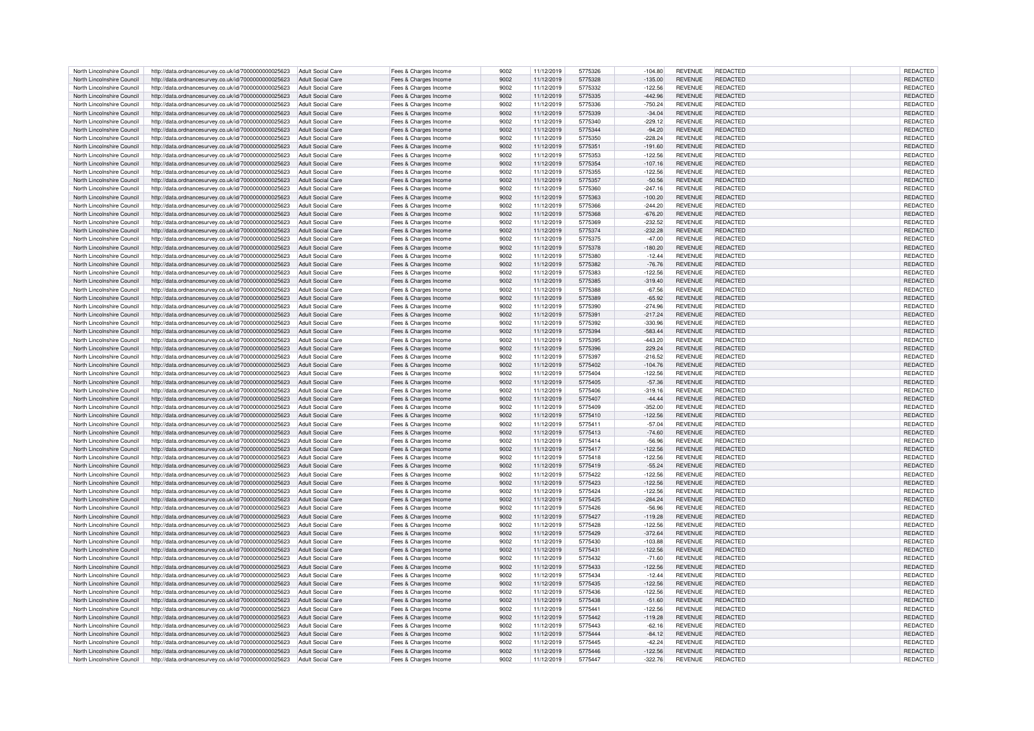| North Lincolnshire Council | http://data.ordnancesurvey.co.uk/id/7000000000025623                                                                           | Adult Social Care        | Fees & Charges Income                          | 9002 | 11/12/2019 | 5775326 | $-104.80$ | <b>REVENUE</b> | REDACTED        | REDACTED        |
|----------------------------|--------------------------------------------------------------------------------------------------------------------------------|--------------------------|------------------------------------------------|------|------------|---------|-----------|----------------|-----------------|-----------------|
| North Lincolnshire Council | http://data.ordnancesurvey.co.uk/id/7000000000025623                                                                           | Adult Social Care        | Fees & Charges Income                          | 9002 | 11/12/2019 | 5775328 | $-135.00$ | <b>REVENUE</b> | REDACTED        | <b>REDACTED</b> |
|                            |                                                                                                                                |                          |                                                |      |            |         |           |                |                 |                 |
| North Lincolnshire Council | http://data.ordnancesurvey.co.uk/id/7000000000025623                                                                           | Adult Social Care        | Fees & Charges Income                          | 9002 | 11/12/2019 | 5775332 | $-122.56$ | <b>REVENUE</b> | REDACTED        | <b>REDACTED</b> |
| North Lincolnshire Council | http://data.ordnancesurvey.co.uk/id/7000000000025623                                                                           | Adult Social Care        | Fees & Charges Income                          | 9002 | 11/12/2019 | 5775335 | $-442.96$ | <b>REVENUE</b> | REDACTED        | REDACTED        |
| North Lincolnshire Council | http://data.ordnancesurvey.co.uk/id/7000000000025623                                                                           | <b>Adult Social Care</b> | Fees & Charges Income                          | 9002 | 11/12/2019 | 5775336 | $-750.24$ | <b>REVENUE</b> | REDACTED        | REDACTED        |
| North Lincolnshire Council | http://data.ordnancesurvey.co.uk/id/7000000000025623                                                                           | <b>Adult Social Care</b> | Fees & Charges Income                          | 9002 | 11/12/2019 | 5775339 | $-34.04$  | <b>REVENUE</b> | REDACTED        | REDACTED        |
| North Lincolnshire Council | http://data.ordnancesurvey.co.uk/id/7000000000025623                                                                           | <b>Adult Social Care</b> | Fees & Charges Income                          | 9002 | 11/12/2019 | 5775340 | $-229.12$ | <b>REVENUE</b> | <b>REDACTED</b> | REDACTED        |
| North Lincolnshire Council |                                                                                                                                | <b>Adult Social Care</b> |                                                | 9002 | 11/12/2019 | 5775344 | $-94.20$  | <b>REVENUE</b> | REDACTED        | <b>REDACTED</b> |
|                            | http://data.ordnancesurvey.co.uk/id/7000000000025623                                                                           |                          | Fees & Charges Income                          |      |            |         |           |                |                 |                 |
| North Lincolnshire Council | http://data.ordnancesurvey.co.uk/id/7000000000025623                                                                           | Adult Social Care        | Fees & Charges Income                          | 9002 | 11/12/2019 | 5775350 | $-228.24$ | <b>REVENUE</b> | <b>REDACTED</b> | REDACTED        |
| North Lincolnshire Council | http://data.ordnancesurvey.co.uk/id/7000000000025623                                                                           | Adult Social Care        | Fees & Charges Income                          | 9002 | 11/12/2019 | 577535  | $-191.60$ | <b>REVENUE</b> | REDACTED        | REDACTED        |
| North Lincolnshire Council | http://data.ordnancesurvey.co.uk/id/7000000000025623                                                                           | Adult Social Care        | Fees & Charges Income                          | 9002 | 11/12/2019 | 5775353 | $-122.56$ | REVENUE        | REDACTED        | <b>REDACTED</b> |
| North Lincolnshire Council | http://data.ordnancesurvey.co.uk/id/7000000000025623                                                                           | <b>Adult Social Care</b> | Fees & Charges Income                          | 9002 | 11/12/2019 | 5775354 | $-107.16$ | <b>REVENUE</b> | <b>REDACTED</b> | REDACTED        |
| North Lincolnshire Council | http://data.ordnancesurvey.co.uk/id/7000000000025623                                                                           | Adult Social Care        | Fees & Charges Income                          | 9002 | 11/12/2019 | 5775355 | $-122.56$ | <b>REVENUE</b> | <b>REDACTED</b> | REDACTED        |
|                            |                                                                                                                                |                          |                                                |      |            |         |           |                |                 |                 |
| North Lincolnshire Council | http://data.ordnancesurvey.co.uk/id/7000000000025623                                                                           | Adult Social Care        | Fees & Charges Income                          | 9002 | 11/12/2019 | 5775357 | $-50.56$  | REVENUE        | <b>REDACTED</b> | REDACTED        |
| North Lincolnshire Council | http://data.ordnancesurvey.co.uk/id/7000000000025623                                                                           | Adult Social Care        | Fees & Charges Income                          | 9002 | 11/12/2019 | 5775360 | $-247.16$ | <b>REVENUE</b> | <b>REDACTED</b> | REDACTED        |
| North Lincolnshire Council | http://data.ordnancesurvey.co.uk/id/7000000000025623                                                                           | <b>Adult Social Care</b> | Fees & Charges Income                          | 9002 | 11/12/2019 | 5775363 | $-100.20$ | REVENUE        | REDACTED        | REDACTED        |
| North Lincolnshire Council | http://data.ordnancesurvey.co.uk/id/7000000000025623                                                                           | <b>Adult Social Care</b> | Fees & Charges Income                          | 9002 | 11/12/2019 | 5775366 | $-244.20$ | REVENUE        | <b>REDACTED</b> | REDACTED        |
| North Lincolnshire Council | http://data.ordnancesurvey.co.uk/id/7000000000025623                                                                           | <b>Adult Social Care</b> | Fees & Charges Income                          | 9002 | 11/12/2019 | 5775368 | $-676.20$ | <b>REVENUE</b> | <b>REDACTED</b> | REDACTED        |
|                            |                                                                                                                                |                          |                                                |      |            |         |           |                |                 |                 |
| North Lincolnshire Council | http://data.ordnancesurvey.co.uk/id/7000000000025623                                                                           | Adult Social Care        | Fees & Charges Income                          | 9002 | 11/12/2019 | 5775369 | $-232.52$ | REVENUE        | REDACTED        | REDACTED        |
| North Lincolnshire Council | http://data.ordnancesurvey.co.uk/id/7000000000025623                                                                           | <b>Adult Social Care</b> | Fees & Charges Income                          | 9002 | 11/12/2019 | 5775374 | $-232.28$ | <b>REVENUE</b> | <b>REDACTED</b> | REDACTED        |
| North Lincolnshire Council | http://data.ordnancesurvey.co.uk/id/7000000000025623                                                                           | Adult Social Care        | Fees & Charges Income                          | 9002 | 11/12/2019 | 5775375 | $-47.00$  | REVENUE        | REDACTED        | REDACTED        |
| North Lincolnshire Council | http://data.ordnancesurvey.co.uk/id/7000000000025623                                                                           | Adult Social Care        | Fees & Charges Income                          | 9002 | 11/12/2019 | 5775378 | $-180.20$ | REVENUE        | <b>REDACTED</b> | REDACTED        |
| North Lincolnshire Council | http://data.ordnancesurvey.co.uk/id/7000000000025623                                                                           | <b>Adult Social Care</b> | Fees & Charges Income                          | 9002 | 11/12/2019 | 5775380 | $-12.44$  | <b>REVENUE</b> | REDACTED        | REDACTED        |
|                            |                                                                                                                                |                          |                                                |      |            |         |           |                |                 |                 |
| North Lincolnshire Council | http://data.ordnancesurvey.co.uk/id/7000000000025623                                                                           | <b>Adult Social Care</b> | Fees & Charges Income                          | 9002 | 11/12/2019 | 5775382 | $-76.76$  | <b>REVENUE</b> | REDACTED        | REDACTED        |
| North Lincolnshire Council | http://data.ordnancesurvey.co.uk/id/7000000000025623                                                                           | <b>Adult Social Care</b> | Fees & Charges Income                          | 9002 | 11/12/2019 | 5775383 | $-122.56$ | <b>REVENUE</b> | REDACTED        | REDACTED        |
| North Lincolnshire Council | http://data.ordnancesurvey.co.uk/id/7000000000025623                                                                           | <b>Adult Social Care</b> | Fees & Charges Income                          | 9002 | 11/12/2019 | 5775385 | $-319.40$ | REVENUE        | REDACTED        | REDACTED        |
| North Lincolnshire Council | http://data.ordnancesurvey.co.uk/id/7000000000025623                                                                           | Adult Social Care        | Fees & Charges Income                          | 9002 | 11/12/2019 | 5775388 | $-67.56$  | <b>REVENUE</b> | <b>REDACTED</b> | <b>REDACTED</b> |
| North Lincolnshire Council | http://data.ordnancesurvey.co.uk/id/7000000000025623                                                                           | Adult Social Care        | Fees & Charges Income                          | 9002 | 11/12/2019 | 5775389 | $-65.92$  | <b>REVENUE</b> | <b>REDACTED</b> | <b>REDACTED</b> |
| North Lincolnshire Council |                                                                                                                                | Adult Social Care        |                                                | 9002 | 11/12/2019 | 5775390 | $-274.96$ | <b>REVENUE</b> | <b>REDACTED</b> |                 |
|                            | http://data.ordnancesurvey.co.uk/id/7000000000025623                                                                           |                          | Fees & Charges Income                          |      |            |         |           |                |                 | REDACTED        |
| North Lincolnshire Council | http://data.ordnancesurvey.co.uk/id/7000000000025623                                                                           | <b>Adult Social Care</b> | Fees & Charges Income                          | 9002 | 11/12/2019 | 577539  | $-217.24$ | <b>REVENUE</b> | REDACTED        | REDACTED        |
| North Lincolnshire Council | http://data.ordnancesurvey.co.uk/id/7000000000025623                                                                           | Adult Social Care        | Fees & Charges Income                          | 9002 | 11/12/2019 | 5775392 | $-330.96$ | <b>REVENUE</b> | REDACTED        | REDACTED        |
| North Lincolnshire Council | http://data.ordnancesurvey.co.uk/id/7000000000025623                                                                           | Adult Social Care        | Fees & Charges Income                          | 9002 | 11/12/2019 | 5775394 | $-583.44$ | <b>REVENUE</b> | <b>REDACTED</b> | REDACTED        |
| North Lincolnshire Council | http://data.ordnancesurvey.co.uk/id/7000000000025623                                                                           | Adult Social Care        | Fees & Charges Income                          | 9002 | 11/12/2019 | 5775395 | $-443.20$ | <b>REVENUE</b> | REDACTED        | REDACTED        |
|                            |                                                                                                                                |                          |                                                |      |            |         |           |                |                 |                 |
| North Lincolnshire Council | http://data.ordnancesurvey.co.uk/id/7000000000025623                                                                           | <b>Adult Social Care</b> | Fees & Charges Income                          | 9002 | 11/12/2019 | 5775396 | 229.24    | <b>REVENUE</b> | REDACTED        | REDACTED        |
| North Lincolnshire Council | http://data.ordnancesurvey.co.uk/id/7000000000025623                                                                           | Adult Social Care        | Fees & Charges Income                          | 9002 | 11/12/2019 | 5775397 | $-216.52$ | REVENUE        | REDACTED        | REDACTED        |
| North Lincolnshire Council | http://data.ordnancesurvey.co.uk/id/7000000000025623                                                                           | <b>Adult Social Care</b> | Fees & Charges Income                          | 9002 | 11/12/2019 | 5775402 | $-104.76$ | <b>REVENUE</b> | <b>REDACTED</b> | REDACTED        |
| North Lincolnshire Council | http://data.ordnancesurvey.co.uk/id/7000000000025623                                                                           | <b>Adult Social Care</b> | Fees & Charges Income                          | 9002 | 11/12/2019 | 5775404 | $-122.56$ | REVENUE        | <b>REDACTED</b> | REDACTED        |
| North Lincolnshire Council | http://data.ordnancesurvey.co.uk/id/7000000000025623                                                                           | <b>Adult Social Care</b> | Fees & Charges Income                          | 9002 | 11/12/2019 | 5775405 | $-57.36$  | <b>REVENUE</b> | <b>REDACTED</b> | <b>REDACTED</b> |
| North Lincolnshire Council |                                                                                                                                |                          |                                                | 9002 |            | 5775406 |           |                | <b>REDACTED</b> |                 |
|                            | http://data.ordnancesurvey.co.uk/id/7000000000025623                                                                           | <b>Adult Social Care</b> | Fees & Charges Income                          |      | 11/12/2019 |         | $-319.16$ | <b>REVENUE</b> |                 | REDACTED        |
| North Lincolnshire Council | http://data.ordnancesurvey.co.uk/id/7000000000025623                                                                           | <b>Adult Social Care</b> | Fees & Charges Income                          | 9002 | 11/12/2019 | 5775407 | $-44.44$  | REVENUE        | REDACTED        | REDACTED        |
| North Lincolnshire Council | http://data.ordnancesurvey.co.uk/id/7000000000025623                                                                           | Adult Social Care        | Fees & Charges Income                          | 9002 | 11/12/2019 | 5775409 | $-352.00$ | REVENUE        | REDACTED        | REDACTED        |
| North Lincolnshire Council | http://data.ordnancesurvey.co.uk/id/7000000000025623                                                                           | <b>Adult Social Care</b> | Fees & Charges Income                          | 9002 | 11/12/2019 | 5775410 | $-122.56$ | REVENUE        | <b>REDACTED</b> | REDACTED        |
| North Lincolnshire Council | http://data.ordnancesurvey.co.uk/id/7000000000025623                                                                           | <b>Adult Social Care</b> | Fees & Charges Income                          | 9002 | 11/12/2019 | 5775411 | $-57.04$  | <b>REVENUE</b> | REDACTED        | REDACTED        |
|                            |                                                                                                                                |                          |                                                | 9002 |            |         |           |                |                 |                 |
| North Lincolnshire Council | http://data.ordnancesurvey.co.uk/id/7000000000025623                                                                           | <b>Adult Social Care</b> | Fees & Charges Income                          |      | 11/12/2019 | 5775413 | $-74.60$  | <b>REVENUE</b> | REDACTED        | REDACTED        |
| North Lincolnshire Council | http://data.ordnancesurvey.co.uk/id/7000000000025623                                                                           | <b>Adult Social Care</b> | Fees & Charges Income                          | 9002 | 11/12/2019 | 5775414 | $-56.96$  | <b>REVENUE</b> | <b>REDACTED</b> | REDACTED        |
| North Lincolnshire Council | http://data.ordnancesurvey.co.uk/id/7000000000025623                                                                           | <b>Adult Social Care</b> | Fees & Charges Income                          | 9002 | 11/12/2019 | 5775417 | $-122.56$ | REVENUE        | REDACTED        | REDACTED        |
| North Lincolnshire Council | http://data.ordnancesurvey.co.uk/id/7000000000025623                                                                           | <b>Adult Social Care</b> | Fees & Charges Income                          | 9002 | 11/12/2019 | 5775418 | $-122.56$ | REVENUE        | <b>REDACTED</b> | REDACTED        |
| North Lincolnshire Council | http://data.ordnancesurvey.co.uk/id/7000000000025623                                                                           | <b>Adult Social Care</b> | Fees & Charges Income                          | 9002 | 11/12/2019 | 5775419 | $-55.24$  | <b>REVENUE</b> | <b>REDACTED</b> | REDACTED        |
| North Lincolnshire Council | http://data.ordnancesurvey.co.uk/id/7000000000025623                                                                           | Adult Social Care        |                                                | 9002 | 11/12/2019 | 5775422 | $-122.56$ | <b>REVENUE</b> | <b>REDACTED</b> | REDACTED        |
|                            |                                                                                                                                |                          | Fees & Charges Income                          |      |            |         |           |                |                 |                 |
| North Lincolnshire Council | http://data.ordnancesurvey.co.uk/id/7000000000025623                                                                           | Adult Social Care        | Fees & Charges Income                          | 9002 | 11/12/2019 | 5775423 | $-122.56$ | <b>REVENUE</b> | REDACTED        | REDACTED        |
| North Lincolnshire Council | http://data.ordnancesurvey.co.uk/id/7000000000025623                                                                           | Adult Social Care        | Fees & Charges Income                          | 9002 | 11/12/2019 | 5775424 | $-122.56$ | <b>REVENUE</b> | REDACTED        | REDACTED        |
| North Lincolnshire Council | http://data.ordnancesurvey.co.uk/id/7000000000025623                                                                           | Adult Social Care        | Fees & Charges Income                          | 9002 | 11/12/2019 | 5775425 | $-284.24$ | <b>REVENUE</b> | REDACTED        | REDACTED        |
| North Lincolnshire Council | http://data.ordnancesurvey.co.uk/id/7000000000025623                                                                           | Adult Social Care        | Fees & Charges Income                          | 9002 | 11/12/2019 | 5775426 | $-56.96$  | <b>REVENUE</b> | <b>REDACTED</b> | REDACTED        |
| North Lincolnshire Council | http://data.ordnancesurvey.co.uk/id/7000000000025623                                                                           | <b>Adult Social Care</b> | Fees & Charges Income                          | 9002 | 11/12/2019 | 5775427 | $-119.28$ | <b>REVENUE</b> | REDACTED        | REDACTED        |
|                            |                                                                                                                                |                          |                                                |      |            |         |           |                |                 |                 |
| North Lincolnshire Council | http://data.ordnancesurvey.co.uk/id/7000000000025623                                                                           | Adult Social Care        | Fees & Charges Income                          | 9002 | 11/12/2019 | 5775428 | $-122.56$ | <b>REVENUE</b> | REDACTED        | REDACTED        |
| North Lincolnshire Council | http://data.ordnancesurvey.co.uk/id/7000000000025623                                                                           | <b>Adult Social Care</b> | Fees & Charges Income                          | 9002 | 11/12/2019 | 5775429 | $-372.64$ | REVENUE        | REDACTED        | REDACTED        |
| North Lincolnshire Council | http://data.ordnancesurvey.co.uk/id/7000000000025623                                                                           | <b>Adult Social Care</b> | Fees & Charges Income                          | 9002 | 11/12/2019 | 5775430 | $-103.88$ | REVENUE        | <b>REDACTED</b> | REDACTED        |
| North Lincolnshire Council | http://data.ordnancesurvey.co.uk/id/7000000000025623                                                                           | Adult Social Care        | Fees & Charges Income                          | 9002 | 11/12/2019 | 5775431 | $-122.56$ | <b>REVENUE</b> | <b>REDACTED</b> | REDACTED        |
| North Lincolnshire Council | http://data.ordnancesurvey.co.uk/id/7000000000025623                                                                           | <b>Adult Social Care</b> | Fees & Charges Income                          | 9002 | 11/12/2019 | 5775432 | $-71.60$  | <b>REVENUE</b> | <b>REDACTED</b> | REDACTED        |
|                            |                                                                                                                                |                          |                                                |      |            |         |           |                |                 |                 |
| North Lincolnshire Council | http://data.ordnancesurvey.co.uk/id/7000000000025623                                                                           | Adult Social Care        | Fees & Charges Income                          | 9002 | 11/12/2019 | 5775433 | $-122.56$ | REVENUE        | REDACTED        | REDACTED        |
| North Lincolnshire Council | http://data.ordnancesurvey.co.uk/id/7000000000025623                                                                           | Adult Social Care        | Fees & Charges Income                          | 9002 | 11/12/2019 | 5775434 | $-12.44$  | <b>REVENUE</b> | REDACTED        | REDACTED        |
| North Lincolnshire Council | http://data.ordnancesurvey.co.uk/id/7000000000025623                                                                           | <b>Adult Social Care</b> | Fees & Charges Income                          | 9002 | 11/12/2019 | 5775435 | $-122.56$ | REVENUE        | REDACTED        | REDACTED        |
| North Lincolnshire Council | http://data.ordnancesurvey.co.uk/id/7000000000025623                                                                           | Adult Social Care        | Fees & Charges Income                          | 9002 | 11/12/2019 | 5775436 | $-122.56$ | <b>REVENUE</b> | REDACTED        | REDACTED        |
| North Lincolnshire Council | http://data.ordnancesurvey.co.uk/id/7000000000025623                                                                           | <b>Adult Social Care</b> | Fees & Charges Income                          | 9002 | 11/12/2019 | 5775438 | $-51.60$  | <b>REVENUE</b> | REDACTED        | REDACTED        |
|                            |                                                                                                                                |                          |                                                | 9002 |            |         |           |                |                 |                 |
| North Lincolnshire Council | http://data.ordnancesurvey.co.uk/id/7000000000025623                                                                           | <b>Adult Social Care</b> | Fees & Charges Income                          |      | 11/12/2019 | 5775441 | $-122.56$ | <b>REVENUE</b> | REDACTED        | REDACTED        |
| North Lincolnshire Council | http://data.ordnancesurvey.co.uk/id/7000000000025623                                                                           | <b>Adult Social Care</b> | Fees & Charges Income                          | 9002 | 11/12/2019 | 5775442 | $-119.28$ | <b>REVENUE</b> | REDACTED        | REDACTED        |
| North Lincolnshire Council | http://data.ordnancesurvey.co.uk/id/7000000000025623                                                                           | <b>Adult Social Care</b> | Fees & Charges Income                          | 9002 | 11/12/2019 | 5775443 | $-62.16$  | REVENUE        | <b>REDACTED</b> | REDACTED        |
| North Lincolnshire Council | http://data.ordnancesurvey.co.uk/id/7000000000025623                                                                           | <b>Adult Social Care</b> | Fees & Charges Income                          | 9002 | 11/12/2019 | 5775444 | $-84.12$  | <b>REVENUE</b> | REDACTED        | REDACTED        |
| North Lincolnshire Council | http://data.ordnancesurvey.co.uk/id/7000000000025623                                                                           | Adult Social Care        | Fees & Charges Income                          | 9002 | 11/12/2019 | 5775445 | $-42.24$  | <b>REVENUE</b> | REDACTED        | REDACTED        |
| North Lincolnshire Council |                                                                                                                                |                          |                                                | 9002 | 11/12/2019 | 5775446 | $-122.56$ | <b>REVENUE</b> | REDACTED        | REDACTED        |
|                            |                                                                                                                                |                          |                                                |      |            |         |           |                |                 |                 |
| North Lincolnshire Council | http://data.ordnancesurvey.co.uk/id/7000000000025623<br>http://data.ordnancesurvey.co.uk/id/7000000000025623 Adult Social Care | <b>Adult Social Care</b> | Fees & Charges Income<br>Fees & Charges Income | 9002 | 11/12/2019 | 5775447 | $-322.76$ | <b>REVENUE</b> | REDACTED        | REDACTED        |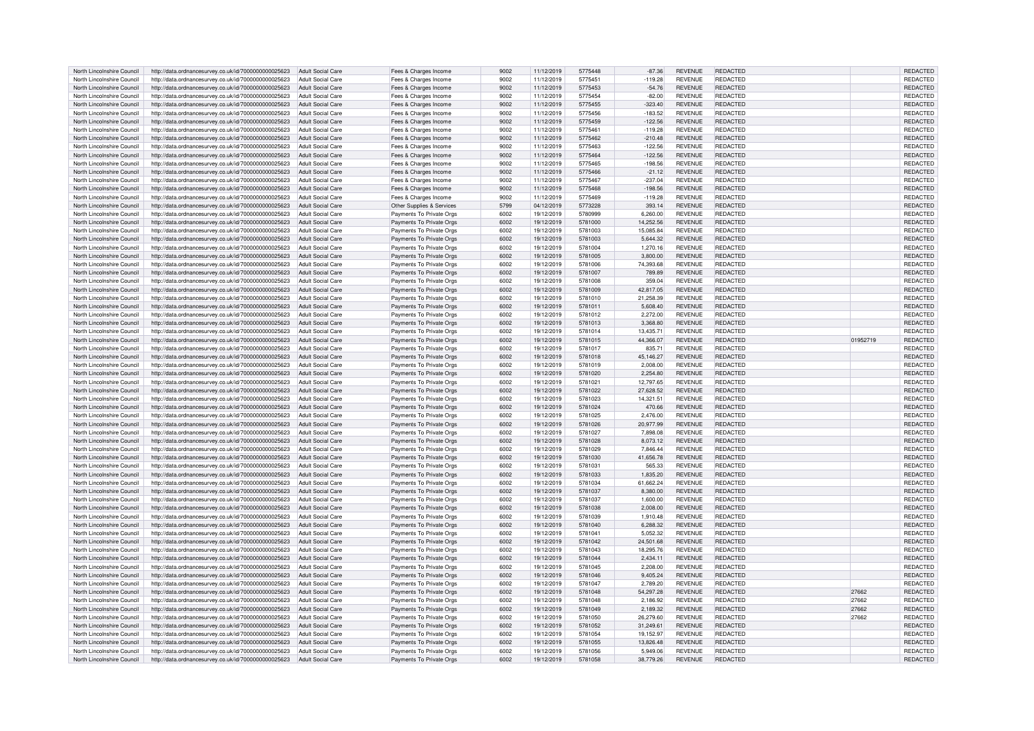| North Lincolnshire Council | http://data.ordnancesurvey.co.uk/id/7000000000025623                                                                           | Adult Social Care        | Fees & Charges Income                                | 9002 | 11/12/2019 | 5775448 | $-87.36$  | <b>REVENUE</b> | <b>REDACTED</b> |          | REDACTED        |
|----------------------------|--------------------------------------------------------------------------------------------------------------------------------|--------------------------|------------------------------------------------------|------|------------|---------|-----------|----------------|-----------------|----------|-----------------|
| North Lincolnshire Council | http://data.ordnancesurvey.co.uk/id/7000000000025623                                                                           | Adult Social Care        | Fees & Charges Income                                | 9002 | 11/12/2019 | 5775451 | $-119.28$ | <b>REVENUE</b> | REDACTED        |          | REDACTED        |
|                            |                                                                                                                                |                          |                                                      |      |            |         |           |                |                 |          |                 |
| North Lincolnshire Council | http://data.ordnancesurvey.co.uk/id/7000000000025623                                                                           | <b>Adult Social Care</b> | Fees & Charges Income                                | 9002 | 11/12/2019 | 5775453 | $-54.76$  | <b>REVENUE</b> | REDACTED        |          | REDACTED        |
| North Lincolnshire Council | http://data.ordnancesurvey.co.uk/id/7000000000025623                                                                           | Adult Social Care        | Fees & Charges Income                                | 9002 | 11/12/2019 | 5775454 | $-82.00$  | <b>REVENUE</b> | REDACTED        |          | <b>REDACTED</b> |
| North Lincolnshire Council | http://data.ordnancesurvey.co.uk/id/7000000000025623                                                                           | <b>Adult Social Care</b> | Fees & Charges Income                                | 9002 | 11/12/2019 | 5775455 | $-323.40$ | <b>REVENUE</b> | REDACTED        |          | REDACTED        |
| North Lincolnshire Council |                                                                                                                                | <b>Adult Social Care</b> |                                                      | 9002 |            | 5775456 | $-183.52$ | <b>REVENUE</b> | REDACTED        |          | REDACTED        |
|                            | http://data.ordnancesurvey.co.uk/id/7000000000025623                                                                           |                          | Fees & Charges Income                                |      | 11/12/2019 |         |           |                |                 |          |                 |
| North Lincolnshire Council | http://data.ordnancesurvey.co.uk/id/7000000000025623                                                                           | <b>Adult Social Care</b> | Fees & Charges Income                                | 9002 | 11/12/2019 | 5775459 | $-122.56$ | <b>REVENUE</b> | REDACTED        |          | <b>REDACTED</b> |
| North Lincolnshire Council | http://data.ordnancesurvey.co.uk/id/7000000000025623                                                                           | <b>Adult Social Care</b> | Fees & Charges Income                                | 9002 | 11/12/2019 | 577546  | $-119.28$ | <b>REVENUE</b> | REDACTED        |          | REDACTED        |
| North Lincolnshire Council | http://data.ordnancesurvey.co.uk/id/7000000000025623                                                                           | Adult Social Care        | Fees & Charges Income                                | 9002 | 11/12/2019 | 5775462 | $-210.48$ | <b>REVENUE</b> | <b>REDACTED</b> |          | <b>REDACTED</b> |
|                            |                                                                                                                                |                          |                                                      |      |            |         |           |                |                 |          |                 |
| North Lincolnshire Council | http://data.ordnancesurvey.co.uk/id/7000000000025623                                                                           | <b>Adult Social Care</b> | Fees & Charges Income                                | 9002 | 11/12/2019 | 5775463 | $-122.56$ | <b>REVENUE</b> | <b>REDACTED</b> |          | <b>REDACTED</b> |
| North Lincolnshire Council | http://data.ordnancesurvey.co.uk/id/7000000000025623                                                                           | Adult Social Care        | Fees & Charges Income                                | 9002 | 11/12/2019 | 5775464 | $-122.56$ | <b>REVENUE</b> | REDACTED        |          | REDACTED        |
| North Lincolnshire Council | http://data.ordnancesurvey.co.uk/id/7000000000025623                                                                           | Adult Social Care        | Fees & Charges Income                                | 9002 | 11/12/2019 | 5775465 | $-198.56$ | <b>REVENUE</b> | REDACTED        |          | REDACTED        |
| North Lincolnshire Council | http://data.ordnancesurvey.co.uk/id/7000000000025623                                                                           | Adult Social Care        | Fees & Charges Income                                | 9002 | 11/12/2019 | 5775466 | $-21.12$  | <b>REVENUE</b> | REDACTED        |          | REDACTED        |
|                            |                                                                                                                                |                          |                                                      |      |            |         |           |                |                 |          |                 |
| North Lincolnshire Council | http://data.ordnancesurvey.co.uk/id/7000000000025623                                                                           | Adult Social Care        | Fees & Charges Income                                | 9002 | 11/12/2019 | 5775467 | $-237.04$ | <b>REVENUE</b> | REDACTED        |          | <b>REDACTED</b> |
| North Lincolnshire Council | http://data.ordnancesurvey.co.uk/id/7000000000025623                                                                           | Adult Social Care        | Fees & Charges Income                                | 9002 | 11/12/2019 | 5775468 | $-198.56$ | <b>REVENUE</b> | <b>REDACTED</b> |          | REDACTED        |
| North Lincolnshire Council | http://data.ordnancesurvey.co.uk/id/7000000000025623                                                                           | <b>Adult Social Care</b> | Fees & Charges Income                                | 9002 | 11/12/2019 | 5775469 | $-119.28$ | <b>REVENUE</b> | <b>REDACTED</b> |          | REDACTED        |
|                            |                                                                                                                                |                          |                                                      |      |            |         |           |                |                 |          |                 |
| North Lincolnshire Council | http://data.ordnancesurvey.co.uk/id/7000000000025623                                                                           | <b>Adult Social Care</b> | Other Supplies & Services                            | 5799 | 04/12/2019 | 5773228 | 393.14    | <b>REVENUE</b> | REDACTED        |          | REDACTED        |
| North Lincolnshire Council | http://data.ordnancesurvey.co.uk/id/7000000000025623                                                                           | <b>Adult Social Care</b> | Payments To Private Orgs                             | 6002 | 19/12/2019 | 5780999 | 6,260.00  | <b>REVENUE</b> | REDACTED        |          | REDACTED        |
| North Lincolnshire Council | http://data.ordnancesurvey.co.uk/id/7000000000025623                                                                           | Adult Social Care        | Payments To Private Orgs                             | 6002 | 19/12/2019 | 5781000 | 14,252.56 | <b>REVENUE</b> | <b>REDACTED</b> |          | REDACTED        |
| North Lincolnshire Council | http://data.ordnancesurvey.co.uk/id/7000000000025623                                                                           | <b>Adult Social Care</b> | Payments To Private Orgs                             | 6002 | 19/12/2019 | 5781003 | 15.085.84 | <b>REVENUE</b> | <b>REDACTED</b> |          | REDACTED        |
|                            |                                                                                                                                |                          |                                                      |      |            |         |           |                |                 |          |                 |
| North Lincolnshire Council | http://data.ordnancesurvey.co.uk/id/7000000000025623                                                                           | Adult Social Care        | Payments To Private Orgs                             | 6002 | 19/12/2019 | 5781003 | 5,644.32  | <b>REVENUE</b> | <b>REDACTED</b> |          | REDACTED        |
| North Lincolnshire Council | http://data.ordnancesurvey.co.uk/id/7000000000025623                                                                           | Adult Social Care        | Payments To Private Orgs                             | 6002 | 19/12/2019 | 5781004 | 1,270.16  | <b>REVENUE</b> | REDACTED        |          | REDACTED        |
| North Lincolnshire Council | http://data.ordnancesurvey.co.uk/id/7000000000025623                                                                           | Adult Social Care        | Payments To Private Orgs                             | 6002 | 19/12/2019 | 5781005 | 3.800.00  | <b>REVENUE</b> | REDACTED        |          | <b>REDACTED</b> |
| North Lincolnshire Council |                                                                                                                                | Adult Social Care        |                                                      | 6002 |            | 5781006 | 74,393.68 | <b>REVENUE</b> | REDACTED        |          | REDACTED        |
|                            | http://data.ordnancesurvey.co.uk/id/7000000000025623                                                                           |                          | Payments To Private Orgs                             |      | 19/12/2019 |         |           |                |                 |          |                 |
| North Lincolnshire Council | http://data.ordnancesurvey.co.uk/id/7000000000025623                                                                           | <b>Adult Social Care</b> | Payments To Private Orgs                             | 6002 | 19/12/2019 | 5781007 | 789.89    | <b>REVENUE</b> | <b>REDACTED</b> |          | REDACTED        |
| North Lincolnshire Council | http://data.ordnancesurvey.co.uk/id/7000000000025623                                                                           | <b>Adult Social Care</b> | Payments To Private Orgs                             | 6002 | 19/12/2019 | 5781008 | 359.04    | <b>REVENUE</b> | <b>REDACTED</b> |          | REDACTED        |
| North Lincolnshire Council | http://data.ordnancesurvey.co.uk/id/7000000000025623                                                                           | <b>Adult Social Care</b> | Payments To Private Orgs                             | 6002 | 19/12/2019 | 5781009 | 42,817.05 | <b>REVENUE</b> | REDACTED        |          | REDACTED        |
|                            |                                                                                                                                |                          |                                                      |      |            |         |           |                |                 |          |                 |
| North Lincolnshire Council | http://data.ordnancesurvey.co.uk/id/7000000000025623                                                                           | Adult Social Care        | Payments To Private Orgs                             | 6002 | 19/12/2019 | 5781010 | 21.258.39 | <b>REVENUE</b> | REDACTED        |          | <b>REDACTED</b> |
| North Lincolnshire Council | http://data.ordnancesurvey.co.uk/id/7000000000025623                                                                           | <b>Adult Social Care</b> | Payments To Private Orgs                             | 6002 | 19/12/2019 | 5781011 | 5.608.40  | <b>REVENUE</b> | REDACTED        |          | <b>REDACTED</b> |
| North Lincolnshire Council | http://data.ordnancesurvey.co.uk/id/7000000000025623                                                                           | Adult Social Care        | Payments To Private Orgs                             | 6002 | 19/12/2019 | 5781012 | 2.272.00  | <b>REVENUE</b> | <b>REDACTED</b> |          | <b>REDACTED</b> |
|                            |                                                                                                                                | Adult Social Care        |                                                      | 6002 |            | 5781013 | 3.368.80  | <b>REVENUE</b> | <b>REDACTED</b> |          | REDACTED        |
| North Lincolnshire Council | http://data.ordnancesurvey.co.uk/id/7000000000025623                                                                           |                          | Payments To Private Orgs                             |      | 19/12/2019 |         |           |                |                 |          |                 |
| North Lincolnshire Council | http://data.ordnancesurvey.co.uk/id/7000000000025623                                                                           | Adult Social Care        | Payments To Private Orgs                             | 6002 | 19/12/2019 | 5781014 | 13,435.71 | <b>REVENUE</b> | REDACTED        |          | <b>REDACTED</b> |
| North Lincolnshire Council | http://data.ordnancesurvey.co.uk/id/7000000000025623                                                                           | Adult Social Care        | Payments To Private Orgs                             | 6002 | 19/12/2019 | 5781015 | 44,366.07 | <b>REVENUE</b> | REDACTED        | 01952719 | REDACTED        |
| North Lincolnshire Council | http://data.ordnancesurvey.co.uk/id/7000000000025623                                                                           | Adult Social Care        | Payments To Private Orgs                             | 6002 | 19/12/2019 | 5781017 | 835.71    | <b>REVENUE</b> | REDACTED        |          | <b>REDACTED</b> |
|                            |                                                                                                                                |                          |                                                      |      |            |         |           |                |                 |          |                 |
| North Lincolnshire Council | http://data.ordnancesurvey.co.uk/id/7000000000025623                                                                           | <b>Adult Social Care</b> | Payments To Private Orgs                             | 6002 | 19/12/2019 | 5781018 | 45,146.27 | <b>REVENUE</b> | <b>REDACTED</b> |          | REDACTED        |
| North Lincolnshire Council | http://data.ordnancesurvey.co.uk/id/7000000000025623                                                                           | <b>Adult Social Care</b> | Payments To Private Orgs                             | 6002 |            |         | 2,008.00  | <b>REVENUE</b> | REDACTED        |          | REDACTED        |
|                            |                                                                                                                                |                          |                                                      |      | 19/12/2019 | 5781019 |           |                |                 |          |                 |
| North Lincolnshire Council |                                                                                                                                | <b>Adult Social Care</b> |                                                      |      | 19/12/2019 | 5781020 |           | <b>REVENUE</b> | REDACTED        |          | <b>REDACTED</b> |
|                            | http://data.ordnancesurvey.co.uk/id/7000000000025623                                                                           |                          | Payments To Private Orgs                             | 6002 |            |         | 2.254.80  |                |                 |          |                 |
| North Lincolnshire Council | http://data.ordnancesurvey.co.uk/id/7000000000025623                                                                           | <b>Adult Social Care</b> | Payments To Private Orgs                             | 6002 | 19/12/2019 | 5781021 | 12,797.65 | <b>REVENUE</b> | REDACTED        |          | REDACTED        |
| North Lincolnshire Council | http://data.ordnancesurvey.co.uk/id/7000000000025623                                                                           | Adult Social Care        | Payments To Private Orgs                             | 6002 | 19/12/2019 | 5781022 | 27.628.52 | <b>REVENUE</b> | <b>REDACTED</b> |          | <b>REDACTED</b> |
| North Lincolnshire Council |                                                                                                                                |                          |                                                      |      |            | 5781023 |           |                |                 |          |                 |
|                            | http://data.ordnancesurvey.co.uk/id/7000000000025623                                                                           | Adult Social Care        | Payments To Private Orgs                             | 6002 | 19/12/2019 |         | 14,321.51 | <b>REVENUE</b> | REDACTED        |          | REDACTED        |
| North Lincolnshire Council | http://data.ordnancesurvey.co.uk/id/7000000000025623                                                                           | Adult Social Care        | Payments To Private Orgs                             | 6002 | 19/12/2019 | 5781024 | 470.66    | <b>REVENUE</b> | REDACTED        |          | REDACTED        |
| North Lincolnshire Council | http://data.ordnancesurvey.co.uk/id/7000000000025623                                                                           | Adult Social Care        | Payments To Private Orgs                             | 6002 | 19/12/2019 | 5781025 | 2.476.00  | <b>REVENUE</b> | REDACTED        |          | <b>REDACTED</b> |
| North Lincolnshire Council | http://data.ordnancesurvey.co.uk/id/7000000000025623                                                                           | Adult Social Care        | Payments To Private Orgs                             | 6002 | 19/12/2019 | 5781026 | 20,977.99 | <b>REVENUE</b> | REDACTED        |          | REDACTED        |
| North Lincolnshire Council |                                                                                                                                | <b>Adult Social Care</b> |                                                      | 6002 |            | 5781027 |           |                |                 |          |                 |
|                            | http://data.ordnancesurvey.co.uk/id/7000000000025623                                                                           |                          | Payments To Private Orgs                             |      | 19/12/2019 |         | 7.898.08  | <b>REVENUE</b> | <b>REDACTED</b> |          | REDACTED        |
| North Lincolnshire Council | http://data.ordnancesurvey.co.uk/id/7000000000025623                                                                           | <b>Adult Social Care</b> | Payments To Private Orgs                             | 6002 | 19/12/2019 | 5781028 | 8,073.12  | <b>REVENUE</b> | <b>REDACTED</b> |          | REDACTED        |
| North Lincolnshire Council | http://data.ordnancesurvey.co.uk/id/7000000000025623                                                                           | Adult Social Care        | Payments To Private Orgs                             | 6002 | 19/12/2019 | 5781029 | 7,846.44  | <b>REVENUE</b> | REDACTED        |          | REDACTED        |
| North Lincolnshire Council | http://data.ordnancesurvey.co.uk/id/7000000000025623                                                                           | <b>Adult Social Care</b> | Payments To Private Orgs                             | 6002 | 19/12/2019 | 5781030 | 41,656.78 | <b>REVENUE</b> | REDACTED        |          | REDACTED        |
|                            |                                                                                                                                |                          |                                                      |      |            |         |           |                |                 |          |                 |
| North Lincolnshire Council | http://data.ordnancesurvey.co.uk/id/7000000000025623                                                                           | Adult Social Care        | Payments To Private Orgs                             | 6002 | 19/12/2019 | 5781031 | 565.33    | <b>REVENUE</b> | REDACTED        |          | <b>REDACTED</b> |
| North Lincolnshire Council | http://data.ordnancesurvey.co.uk/id/7000000000025623                                                                           | Adult Social Care        | Payments To Private Orgs                             | 6002 | 19/12/2019 | 5781033 | 1.835.20  | <b>REVENUE</b> | <b>REDACTED</b> |          | <b>REDACTED</b> |
| North Lincolnshire Council | http://data.ordnancesurvey.co.uk/id/7000000000025623                                                                           | Adult Social Care        | Payments To Private Orgs                             | 6002 | 19/12/2019 | 5781034 | 61,662.24 | <b>REVENUE</b> | <b>REDACTED</b> |          | REDACTED        |
| North Lincolnshire Council | http://data.ordnancesurvey.co.uk/id/7000000000025623                                                                           | Adult Social Care        | Payments To Private Orgs                             | 6002 | 19/12/2019 | 5781037 | 8,380.00  | <b>REVENUE</b> | <b>REDACTED</b> |          | REDACTED        |
|                            |                                                                                                                                |                          |                                                      | 6002 |            |         |           | <b>REVENUE</b> | REDACTED        |          |                 |
| North Lincolnshire Council | http://data.ordnancesurvey.co.uk/id/7000000000025623                                                                           | Adult Social Care        | Payments To Private Orgs                             |      | 19/12/2019 | 5781037 | 1,600.00  |                |                 |          | REDACTED        |
| North Lincolnshire Council | http://data.ordnancesurvey.co.uk/id/7000000000025623                                                                           | Adult Social Care        | Payments To Private Orgs                             | 6002 | 19/12/2019 | 5781038 | 2.008.00  | <b>REVENUE</b> | <b>REDACTED</b> |          | <b>REDACTED</b> |
| North Lincolnshire Council | http://data.ordnancesurvey.co.uk/id/7000000000025623                                                                           | Adult Social Care        | Payments To Private Orgs                             | 6002 | 19/12/2019 | 5781039 | 1,910.48  | <b>REVENUE</b> | <b>REDACTED</b> |          | REDACTED        |
| North Lincolnshire Council | http://data.ordnancesurvey.co.uk/id/7000000000025623                                                                           | Adult Social Care        | Payments To Private Orgs                             | 6002 | 19/12/2019 | 5781040 | 6,288.32  | <b>REVENUE</b> | <b>REDACTED</b> |          | REDACTED        |
|                            |                                                                                                                                |                          |                                                      | 6002 |            | 5781041 |           |                | <b>REDACTED</b> |          |                 |
| North Lincolnshire Council | http://data.ordnancesurvey.co.uk/id/7000000000025623                                                                           | <b>Adult Social Care</b> | Payments To Private Orgs                             |      | 19/12/2019 |         | 5,052.32  | <b>REVENUE</b> |                 |          | <b>REDACTED</b> |
| North Lincolnshire Council | http://data.ordnancesurvey.co.uk/id/7000000000025623                                                                           | Adult Social Care        | Payments To Private Orgs                             | 6002 | 19/12/2019 | 5781042 | 24,501.68 | <b>REVENUE</b> | REDACTED        |          | REDACTED        |
| North Lincolnshire Council | http://data.ordnancesurvey.co.uk/id/7000000000025623                                                                           | Adult Social Care        | Payments To Private Orgs                             | 6002 | 19/12/2019 | 5781043 | 18,295.76 | <b>REVENUE</b> | REDACTED        |          | <b>REDACTED</b> |
| North Lincolnshire Council |                                                                                                                                | <b>Adult Social Care</b> |                                                      | 6002 | 19/12/2019 | 5781044 | 2,434.11  | <b>REVENUE</b> | REDACTED        |          | REDACTED        |
|                            | http://data.ordnancesurvey.co.uk/id/7000000000025623                                                                           |                          | Payments To Private Orgs                             |      |            |         |           |                |                 |          |                 |
| North Lincolnshire Council | http://data.ordnancesurvey.co.uk/id/7000000000025623                                                                           | Adult Social Care        | Payments To Private Orgs                             | 6002 | 19/12/2019 | 5781045 | 2,208.00  | <b>REVENUE</b> | <b>REDACTED</b> |          | REDACTED        |
| North Lincolnshire Council | http://data.ordnancesurvey.co.uk/id/7000000000025623                                                                           | <b>Adult Social Care</b> | Payments To Private Orgs                             | 6002 | 19/12/2019 | 5781046 | 9,405.24  | <b>REVENUE</b> | REDACTED        |          | REDACTED        |
| North Lincolnshire Council | http://data.ordnancesurvey.co.uk/id/7000000000025623                                                                           | <b>Adult Social Care</b> | Payments To Private Orgs                             | 6002 | 19/12/2019 | 5781047 | 2,789.20  | <b>REVENUE</b> | <b>REDACTED</b> |          | REDACTED        |
|                            |                                                                                                                                |                          |                                                      |      |            |         |           |                |                 |          |                 |
| North Lincolnshire Council | http://data.ordnancesurvey.co.uk/id/7000000000025623                                                                           | Adult Social Care        | Payments To Private Orgs                             | 6002 | 19/12/2019 | 5781048 | 54.297.28 | <b>REVENUE</b> | REDACTED        | 27662    | <b>REDACTED</b> |
| North Lincolnshire Council | http://data.ordnancesurvey.co.uk/id/7000000000025623                                                                           | Adult Social Care        | Payments To Private Orgs                             | 6002 | 19/12/2019 | 5781048 | 2,186.92  | <b>REVENUE</b> | REDACTED        | 27662    | REDACTED        |
| North Lincolnshire Council | http://data.ordnancesurvey.co.uk/id/7000000000025623                                                                           | <b>Adult Social Care</b> | Payments To Private Orgs                             | 6002 | 19/12/2019 | 5781049 | 2,189.32  | <b>REVENUE</b> | <b>REDACTED</b> | 27662    | REDACTED        |
| North Lincolnshire Council | http://data.ordnancesurvey.co.uk/id/7000000000025623                                                                           | <b>Adult Social Care</b> | Payments To Private Orgs                             | 6002 | 19/12/2019 | 5781050 | 26.279.60 | <b>REVENUE</b> | REDACTED        | 27662    | REDACTED        |
|                            |                                                                                                                                | <b>Adult Social Care</b> |                                                      | 6002 | 19/12/2019 | 5781052 |           | <b>REVENUE</b> | <b>REDACTED</b> |          |                 |
| North Lincolnshire Council | http://data.ordnancesurvey.co.uk/id/7000000000025623                                                                           |                          | Payments To Private Orgs                             |      |            |         | 31,249.61 |                |                 |          | REDACTED        |
| North Lincolnshire Council | http://data.ordnancesurvey.co.uk/id/7000000000025623                                                                           | <b>Adult Social Care</b> | Payments To Private Orgs                             | 6002 | 19/12/2019 | 5781054 | 19,152.97 | <b>REVENUE</b> | REDACTED        |          | REDACTED        |
| North Lincolnshire Council | http://data.ordnancesurvey.co.uk/id/7000000000025623                                                                           | Adult Social Care        | Payments To Private Orgs                             | 6002 | 19/12/2019 | 5781055 | 13.826.48 | <b>REVENUE</b> | <b>REDACTED</b> |          | <b>REDACTED</b> |
| North Lincolnshire Council |                                                                                                                                | Adult Social Care        |                                                      | 6002 | 19/12/2019 | 5781056 | 5.949.06  | <b>REVENUE</b> | <b>REDACTED</b> |          | <b>REDACTED</b> |
| North Lincolnshire Council | http://data.ordnancesurvey.co.uk/id/7000000000025623<br>http://data.ordnancesurvey.co.uk/id/7000000000025623 Adult Social Care |                          | Payments To Private Orgs<br>Payments To Private Orgs | 6002 | 19/12/2019 | 5781058 | 38,779.26 | <b>REVENUE</b> | <b>REDACTED</b> |          | REDACTED        |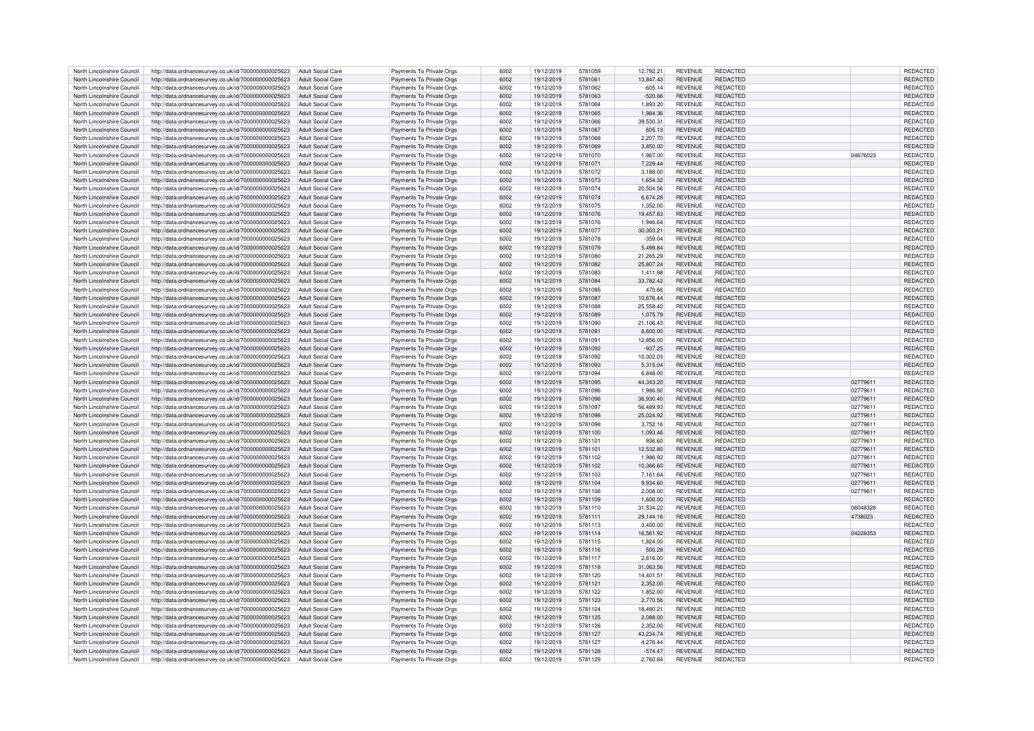| North Lincolnshire Council | http://data.ordnancesurvey.co.uk/id/7000000000025623                   | Adult Social Care        | Payments To Private Orgs | 6002 | 19/12/2019 | 5781059 | 12,792.21 | <b>REVENUE</b> | REDACTED        |          | REDACTED        |
|----------------------------|------------------------------------------------------------------------|--------------------------|--------------------------|------|------------|---------|-----------|----------------|-----------------|----------|-----------------|
| North Lincolnshire Council | http://data.ordnancesurvey.co.uk/id/7000000000025623                   | Adult Social Care        | Payments To Private Orgs | 6002 | 19/12/2019 | 5781061 | 13.847.43 | <b>REVENUE</b> | REDACTED        |          | <b>REDACTED</b> |
| North Lincolnshire Council | http://data.ordnancesurvey.co.uk/id/7000000000025623                   | Adult Social Care        |                          | 6002 | 19/12/2019 | 5781062 | $-605.14$ | <b>REVENUE</b> | REDACTED        |          | REDACTED        |
|                            |                                                                        |                          | Payments To Private Orgs |      |            |         |           |                |                 |          |                 |
| North Lincolnshire Council | http://data.ordnancesurvey.co.uk/id/7000000000025623                   | <b>Adult Social Care</b> | Payments To Private Orgs | 6002 | 19/12/2019 | 5781063 | $-520.66$ | <b>REVENUE</b> | <b>REDACTED</b> |          | REDACTED        |
| North Lincolnshire Council | http://data.ordnancesurvey.co.uk/id/7000000000025623                   | <b>Adult Social Care</b> | Payments To Private Orgs | 6002 | 19/12/2019 | 5781064 | 1.893.20  | <b>REVENUE</b> | REDACTED        |          | REDACTED        |
| North Lincolnshire Council | http://data.ordnancesurvey.co.uk/id/7000000000025623                   | <b>Adult Social Care</b> | Payments To Private Orgs | 6002 | 19/12/2019 | 5781065 | 1,984.36  | <b>REVENUE</b> | REDACTED        |          | REDACTED        |
| North Lincolnshire Council | http://data.ordnancesurvey.co.uk/id/7000000000025623                   | <b>Adult Social Care</b> | Payments To Private Orgs | 6002 | 19/12/2019 | 5781066 | 39,530.31 | <b>REVENUE</b> | <b>REDACTED</b> |          | REDACTED        |
| North Lincolnshire Council | http://data.ordnancesurvey.co.uk/id/7000000000025623                   | <b>Adult Social Care</b> | Payments To Private Orgs | 6002 | 19/12/2019 | 5781067 | 605.13    | <b>REVENUE</b> | REDACTED        |          | <b>REDACTED</b> |
| North Lincolnshire Council | http://data.ordnancesurvey.co.uk/id/7000000000025623                   | Adult Social Care        | Payments To Private Orgs | 6002 | 19/12/2019 | 5781068 | 2.207.70  | <b>REVENUE</b> | <b>REDACTED</b> |          | REDACTED        |
|                            |                                                                        |                          |                          | 6002 |            |         |           |                |                 |          |                 |
| North Lincolnshire Council | http://data.ordnancesurvey.co.uk/id/7000000000025623                   | Adult Social Care        | Payments To Private Orgs |      | 19/12/2019 | 5781069 | 3,850.00  | <b>REVENUE</b> | REDACTED        |          | REDACTED        |
| North Lincolnshire Council | http://data.ordnancesurvey.co.uk/id/7000000000025623                   | Adult Social Care        | Payments To Private Orgs | 6002 | 19/12/2019 | 5781070 | 1.967.00  | <b>REVENUE</b> | REDACTED        | 04676023 | <b>REDACTED</b> |
| North Lincolnshire Council | http://data.ordnancesurvey.co.uk/id/7000000000025623                   | <b>Adult Social Care</b> | Payments To Private Orgs | 6002 | 19/12/2019 | 5781071 | 7,229.44  | <b>REVENUE</b> | REDACTED        |          | REDACTED        |
| North Lincolnshire Council | http://data.ordnancesurvey.co.uk/id/7000000000025623                   | Adult Social Care        | Payments To Private Orgs | 6002 | 19/12/2019 | 5781072 | 3.188.00  | <b>REVENUE</b> | REDACTED        |          | REDACTED        |
| North Lincolnshire Council | http://data.ordnancesurvey.co.uk/id/7000000000025623                   | <b>Adult Social Care</b> | Payments To Private Orgs | 6002 | 19/12/2019 | 5781073 | 1,654.32  | <b>REVENUE</b> | <b>REDACTED</b> |          | REDACTED        |
| North Lincolnshire Council | http://data.ordnancesurvey.co.uk/id/7000000000025623                   | Adult Social Care        | Payments To Private Orgs | 6002 | 19/12/2019 | 5781074 | 20,504.56 | <b>REVENUE</b> | REDACTED        |          | REDACTED        |
|                            |                                                                        |                          |                          |      |            |         |           |                |                 |          |                 |
| North Lincolnshire Council | http://data.ordnancesurvey.co.uk/id/7000000000025623                   | <b>Adult Social Care</b> | Payments To Private Orgs | 6002 | 19/12/2019 | 5781074 | 6,674.28  | <b>REVENUE</b> | REDACTED        |          | REDACTED        |
| North Lincolnshire Council | http://data.ordnancesurvey.co.uk/id/7000000000025623                   | Adult Social Care        | Payments To Private Orgs | 6002 | 19/12/2019 | 5781075 | 1,352.00  | <b>REVENUE</b> | <b>REDACTED</b> |          | REDACTED        |
| North Lincolnshire Council | http://data.ordnancesurvey.co.uk/id/7000000000025623                   | Adult Social Care        | Payments To Private Orgs | 6002 | 19/12/2019 | 5781076 | 19.457.83 | <b>REVENUE</b> | REDACTED        |          | REDACTED        |
| North Lincolnshire Council | http://data.ordnancesurvey.co.uk/id/7000000000025623                   | Adult Social Care        | Payments To Private Orgs | 6002 | 19/12/2019 | 5781076 | 1.946.64  | <b>REVENUE</b> | REDACTED        |          | REDACTED        |
| North Lincolnshire Council | http://data.ordnancesurvey.co.uk/id/7000000000025623                   | <b>Adult Social Care</b> | Payments To Private Orgs | 6002 | 19/12/2019 | 5781077 | 30,303.21 | <b>REVENUE</b> | <b>REDACTED</b> |          | REDACTED        |
| North Lincolnshire Council | http://data.ordnancesurvey.co.uk/id/7000000000025623                   | Adult Social Care        | Payments To Private Orgs | 6002 | 19/12/2019 | 5781078 | $-359.04$ | <b>REVENUE</b> | REDACTED        |          | REDACTED        |
| North Lincolnshire Council | http://data.ordnancesurvey.co.uk/id/7000000000025623                   | <b>Adult Social Care</b> | Payments To Private Orgs | 6002 | 19/12/2019 | 5781079 | 5,499.84  | <b>REVENUE</b> | <b>REDACTED</b> |          | REDACTED        |
|                            |                                                                        |                          |                          |      |            |         |           |                |                 |          |                 |
| North Lincolnshire Council | http://data.ordnancesurvey.co.uk/id/7000000000025623                   | <b>Adult Social Care</b> | Payments To Private Orgs | 6002 | 19/12/2019 | 5781080 | 21,265.29 | <b>REVENUE</b> | REDACTED        |          | REDACTED        |
| North Lincolnshire Council | http://data.ordnancesurvey.co.uk/id/7000000000025623                   | <b>Adult Social Care</b> | Payments To Private Orgs | 6002 | 19/12/2019 | 5781082 | 25,807.24 | <b>REVENUE</b> | <b>REDACTED</b> |          | REDACTED        |
| North Lincolnshire Council | http://data.ordnancesurvey.co.uk/id/7000000000025623                   | <b>Adult Social Care</b> | Payments To Private Orgs | 6002 | 19/12/2019 | 5781083 | 1.411.98  | <b>REVENUE</b> | REDACTED        |          | REDACTED        |
| North Lincolnshire Council | http://data.ordnancesurvey.co.uk/id/7000000000025623                   | <b>Adult Social Care</b> | Payments To Private Orgs | 6002 | 19/12/2019 | 5781084 | 33,782.42 | <b>REVENUE</b> | REDACTED        |          | REDACTED        |
| North Lincolnshire Council | http://data.ordnancesurvey.co.uk/id/7000000000025623                   | <b>Adult Social Care</b> | Payments To Private Orgs | 6002 | 19/12/2019 | 5781085 | 470.66    | <b>REVENUE</b> | <b>REDACTED</b> |          | <b>REDACTED</b> |
| North Lincolnshire Council |                                                                        | <b>Adult Social Care</b> |                          | 6002 | 19/12/2019 | 5781087 | 10.676.44 | <b>REVENUE</b> | REDACTED        |          | REDACTED        |
|                            | http://data.ordnancesurvey.co.uk/id/7000000000025623                   |                          | Payments To Private Orgs |      |            |         |           |                |                 |          |                 |
| North Lincolnshire Council | http://data.ordnancesurvey.co.uk/id/7000000000025623                   | <b>Adult Social Care</b> | Payments To Private Orgs | 6002 | 19/12/2019 | 5781088 | 25.558.40 | <b>REVENUE</b> | <b>REDACTED</b> |          | REDACTED        |
| North Lincolnshire Council | http://data.ordnancesurvey.co.uk/id/7000000000025623                   | Adult Social Care        | Payments To Private Orgs | 6002 | 19/12/2019 | 5781089 | 1,075.79  | <b>REVENUE</b> | REDACTED        |          | REDACTED        |
| North Lincolnshire Council | http://data.ordnancesurvey.co.uk/id/7000000000025623                   | Adult Social Care        | Payments To Private Orgs | 6002 | 19/12/2019 | 5781090 | 21,106.43 | <b>REVENUE</b> | REDACTED        |          | REDACTED        |
| North Lincolnshire Council | http://data.ordnancesurvey.co.uk/id/7000000000025623                   | <b>Adult Social Care</b> | Payments To Private Orgs | 6002 | 19/12/2019 | 5781091 | 8,600.00  | <b>REVENUE</b> | <b>REDACTED</b> |          | REDACTED        |
| North Lincolnshire Council | http://data.ordnancesurvey.co.uk/id/7000000000025623                   | Adult Social Care        | Payments To Private Orgs | 6002 | 19/12/2019 | 5781091 | 12.856.00 | <b>REVENUE</b> | REDACTED        |          | REDACTED        |
|                            |                                                                        |                          |                          |      |            | 5781092 |           |                |                 |          |                 |
| North Lincolnshire Council | http://data.ordnancesurvey.co.uk/id/7000000000025623                   | Adult Social Care        | Payments To Private Orgs | 6002 | 19/12/2019 |         | $-937.25$ | <b>REVENUE</b> | <b>REDACTED</b> |          | REDACTED        |
| North Lincolnshire Council | http://data.ordnancesurvey.co.uk/id/7000000000025623                   | Adult Social Care        | Payments To Private Orgs | 6002 | 19/12/2019 | 5781092 | 10,302.03 | <b>REVENUE</b> | REDACTED        |          | REDACTED        |
| North Lincolnshire Council | http://data.ordnancesurvey.co.uk/id/7000000000025623                   | <b>Adult Social Care</b> | Payments To Private Orgs | 6002 | 19/12/2019 | 5781093 | 5.315.04  | <b>REVENUE</b> | REDACTED        |          | REDACTED        |
| North Lincolnshire Council | http://data.ordnancesurvey.co.uk/id/7000000000025623                   | <b>Adult Social Care</b> | Payments To Private Orgs | 6002 | 19/12/2019 | 5781094 | 6,848.00  | <b>REVENUE</b> | <b>REDACTED</b> |          | REDACTED        |
| North Lincolnshire Council | http://data.ordnancesurvey.co.uk/id/7000000000025623                   | <b>Adult Social Care</b> | Payments To Private Orgs | 6002 | 19/12/2019 | 5781095 | 44.343.20 | <b>REVENUE</b> | REDACTED        | 02779611 | REDACTED        |
| North Lincolnshire Council | http://data.ordnancesurvey.co.uk/id/7000000000025623                   | Adult Social Care        | Payments To Private Orgs | 6002 | 19/12/2019 | 5781096 | 1,986.92  | <b>REVENUE</b> | REDACTED        | 0277961  | REDACTED        |
|                            |                                                                        |                          |                          |      |            |         |           |                |                 |          |                 |
| North Lincolnshire Council | http://data.ordnancesurvey.co.uk/id/7000000000025623                   | Adult Social Care        | Payments To Private Orgs | 6002 | 19/12/2019 | 5781096 | 36,930.40 | <b>REVENUE</b> | <b>REDACTED</b> | 02779611 | REDACTED        |
| North Lincolnshire Council | http://data.ordnancesurvey.co.uk/id/7000000000025623                   | Adult Social Care        | Payments To Private Orgs | 6002 | 19/12/2019 | 5781097 | 56,489.93 | <b>REVENUE</b> | REDACTED        | 02779611 | REDACTED        |
| North Lincolnshire Council | http://data.ordnancesurvey.co.uk/id/7000000000025623                   | <b>Adult Social Care</b> | Payments To Private Orgs | 6002 | 19/12/2019 | 5781098 | 25,024.92 | <b>REVENUE</b> | <b>REDACTED</b> | 02779611 | REDACTED        |
| North Lincolnshire Council | http://data.ordnancesurvey.co.uk/id/7000000000025623                   | <b>Adult Social Care</b> | Payments To Private Oras | 6002 | 19/12/2019 | 5781098 | 3.752.16  | <b>REVENUE</b> | REDACTED        | 02779611 | REDACTED        |
| North Lincolnshire Council | http://data.ordnancesurvey.co.uk/id/7000000000025623                   | <b>Adult Social Care</b> | Payments To Private Orgs | 6002 | 19/12/2019 | 5781100 | 1,093.46  | <b>REVENUE</b> | REDACTED        | 02779611 | REDACTED        |
| North Lincolnshire Council | http://data.ordnancesurvey.co.uk/id/7000000000025623                   | <b>Adult Social Care</b> | Payments To Private Orgs | 6002 | 19/12/2019 | 5781101 | 936.60    | <b>REVENUE</b> | <b>REDACTED</b> | 02779611 | <b>REDACTED</b> |
| North Lincolnshire Council | http://data.ordnancesurvey.co.uk/id/7000000000025623                   | <b>Adult Social Care</b> | Payments To Private Orgs | 6002 | 19/12/2019 | 5781101 | 12,532.80 | <b>REVENUE</b> | <b>REDACTED</b> | 02779611 | REDACTED        |
|                            |                                                                        |                          |                          |      |            |         |           |                |                 |          |                 |
| North Lincolnshire Council | http://data.ordnancesurvey.co.uk/id/7000000000025623                   | <b>Adult Social Care</b> | Payments To Private Orgs | 6002 | 19/12/2019 | 5781102 | 1.986.92  | <b>REVENUE</b> | <b>REDACTED</b> | 02779611 | REDACTED        |
| North Lincolnshire Council | http://data.ordnancesurvey.co.uk/id/7000000000025623                   | Adult Social Care        | Payments To Private Orgs | 6002 | 19/12/2019 | 5781102 | 10.366.60 | <b>REVENUE</b> | REDACTED        | 02779611 | <b>REDACTED</b> |
| North Lincolnshire Council | http://data.ordnancesurvey.co.uk/id/7000000000025623                   | Adult Social Care        | Payments To Private Orgs | 6002 | 19/12/2019 | 5781103 | 7,161.64  | <b>REVENUE</b> | <b>REDACTED</b> | 0277961  | REDACTED        |
| North Lincolnshire Council | http://data.ordnancesurvey.co.uk/id/7000000000025623                   | Adult Social Care        | Payments To Private Orgs | 6002 | 19/12/2019 | 5781104 | 9.934.60  | <b>REVENUE</b> | <b>REDACTED</b> | 02779611 | REDACTED        |
| North Lincolnshire Council | http://data.ordnancesurvey.co.uk/id/7000000000025623                   | Adult Social Care        | Payments To Private Orgs | 6002 | 19/12/2019 | 5781106 | 2,008.00  | <b>REVENUE</b> | <b>REDACTED</b> | 02779611 | REDACTED        |
| North Lincolnshire Council | http://data.ordnancesurvey.co.uk/id/7000000000025623                   | Adult Social Care        | Payments To Private Orgs | 6002 | 19/12/2019 | 5781109 | 1,600.00  | <b>REVENUE</b> | REDACTED        |          | REDACTED        |
|                            |                                                                        |                          |                          |      |            |         |           |                |                 |          |                 |
| North Lincolnshire Council | http://data.ordnancesurvey.co.uk/id/7000000000025623                   | Adult Social Care        | Payments To Private Orgs | 6002 | 19/12/2019 | 5781110 | 31.534.22 | <b>REVENUE</b> | REDACTED        | 06048328 | REDACTED        |
| North Lincolnshire Council | http://data.ordnancesurvey.co.uk/id/7000000000025623                   | Adult Social Care        | Payments To Private Orgs | 6002 | 19/12/2019 | 5781111 | 29.144.16 | <b>REVENUE</b> | <b>REDACTED</b> | 4738023  | <b>REDACTED</b> |
| North Lincolnshire Council | http://data.ordnancesurvey.co.uk/id/7000000000025623                   | Adult Social Care        | Payments To Private Orgs | 6002 | 19/12/2019 | 5781113 | 3,400.00  | <b>REVENUE</b> | <b>REDACTED</b> |          | REDACTED        |
| North Lincolnshire Council | http://data.ordnancesurvey.co.uk/id/7000000000025623                   | <b>Adult Social Care</b> | Payments To Private Orgs | 6002 | 19/12/2019 | 5781114 | 16,561.92 | <b>REVENUE</b> | <b>REDACTED</b> | 04228353 | REDACTED        |
| North Lincolnshire Council | http://data.ordnancesurvey.co.uk/id/7000000000025623                   | <b>Adult Social Care</b> | Payments To Private Orgs | 6002 | 19/12/2019 | 5781115 | 1,824.00  | <b>REVENUE</b> | <b>REDACTED</b> |          | REDACTED        |
| North Lincolnshire Council | http://data.ordnancesurvey.co.uk/id/7000000000025623                   | <b>Adult Social Care</b> | Payments To Private Orgs | 6002 | 19/12/2019 | 5781116 | 500.28    | <b>REVENUE</b> | <b>REDACTED</b> |          | <b>REDACTED</b> |
| North Lincolnshire Council |                                                                        | Adult Social Care        |                          | 6002 |            | 5781117 |           | <b>REVENUE</b> | <b>REDACTED</b> |          |                 |
|                            | http://data.ordnancesurvey.co.uk/id/7000000000025623                   |                          | Payments To Private Orgs |      | 19/12/2019 |         | 2,616.00  |                |                 |          | REDACTED        |
| North Lincolnshire Council | http://data.ordnancesurvey.co.uk/id/7000000000025623                   | Adult Social Care        | Payments To Private Orgs | 6002 | 19/12/2019 | 5781118 | 31,063.56 | <b>REVENUE</b> | <b>REDACTED</b> |          | REDACTED        |
| North Lincolnshire Council | http://data.ordnancesurvey.co.uk/id/7000000000025623                   | Adult Social Care        | Payments To Private Orgs | 6002 | 19/12/2019 | 5781120 | 14.401.51 | <b>REVENUE</b> | REDACTED        |          | REDACTED        |
| North Lincolnshire Council | http://data.ordnancesurvey.co.uk/id/7000000000025623                   | <b>Adult Social Care</b> | Payments To Private Orgs | 6002 | 19/12/2019 | 5781121 | 2,352.00  | <b>REVENUE</b> | REDACTED        |          | REDACTED        |
| North Lincolnshire Council | http://data.ordnancesurvey.co.uk/id/7000000000025623                   | Adult Social Care        | Payments To Private Oras | 6002 | 19/12/2019 | 5781122 | 1.852.00  | <b>REVENUE</b> | REDACTED        |          | REDACTED        |
| North Lincolnshire Council | http://data.ordnancesurvey.co.uk/id/7000000000025623                   | <b>Adult Social Care</b> | Payments To Private Orgs | 6002 | 19/12/2019 | 5781123 | 2,770.56  | <b>REVENUE</b> | <b>REDACTED</b> |          | REDACTED        |
|                            |                                                                        |                          |                          | 6002 |            |         |           |                |                 |          |                 |
| North Lincolnshire Council | http://data.ordnancesurvey.co.uk/id/7000000000025623                   | <b>Adult Social Care</b> | Payments To Private Orgs |      | 19/12/2019 | 5781124 | 18,490.21 | <b>REVENUE</b> | <b>REDACTED</b> |          | REDACTED        |
| North Lincolnshire Council | http://data.ordnancesurvey.co.uk/id/7000000000025623                   | <b>Adult Social Care</b> | Payments To Private Orgs | 6002 | 19/12/2019 | 5781125 | 2,088.00  | <b>REVENUE</b> | <b>REDACTED</b> |          | REDACTED        |
| North Lincolnshire Council | http://data.ordnancesurvey.co.uk/id/7000000000025623                   | <b>Adult Social Care</b> | Payments To Private Orgs | 6002 | 19/12/2019 | 5781126 | 2.352.00  | <b>REVENUE</b> | <b>REDACTED</b> |          | REDACTED        |
| North Lincolnshire Council | http://data.ordnancesurvey.co.uk/id/7000000000025623                   | <b>Adult Social Care</b> | Payments To Private Orgs | 6002 | 19/12/2019 | 5781127 | 43,234.74 | <b>REVENUE</b> | REDACTED        |          | REDACTED        |
| North Lincolnshire Council | http://data.ordnancesurvey.co.uk/id/7000000000025623                   | Adult Social Care        | Payments To Private Orgs | 6002 | 19/12/2019 | 5781127 | 4.276.44  | <b>REVENUE</b> | <b>REDACTED</b> |          | REDACTED        |
| North Lincolnshire Council | http://data.ordnancesurvey.co.uk/id/7000000000025623 Adult Social Care |                          | Payments To Private Orgs | 6002 | 19/12/2019 | 5781128 | $-574.47$ | <b>REVENUE</b> | <b>REDACTED</b> |          | REDACTED        |
|                            |                                                                        |                          |                          |      |            |         |           |                |                 |          |                 |
| North Lincolnshire Council | http://data.ordnancesurvey.co.uk/id/7000000000025623 Adult Social Care |                          | Payments To Private Orgs | 6002 | 19/12/2019 | 5781129 | 2,760.84  | <b>REVENUE</b> | <b>REDACTED</b> |          | REDACTED        |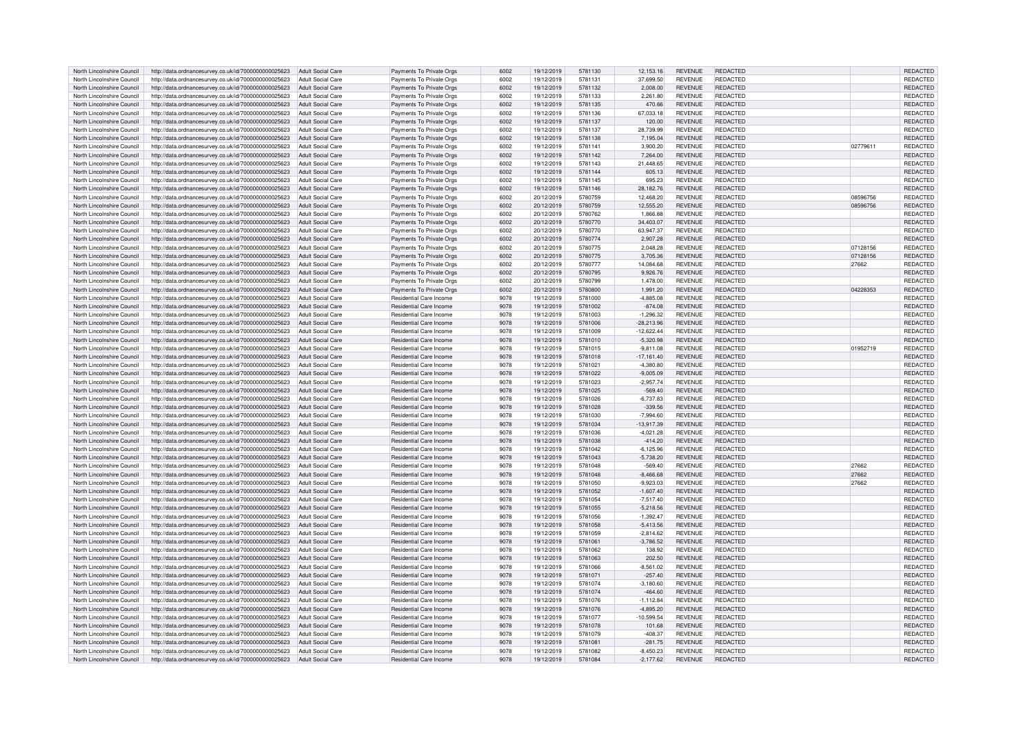| North Lincolnshire Council                               | http://data.ordnancesurvey.co.uk/id/7000000000025623                                                                          | Adult Social Care        | Payments To Private Orgs                           | 6002         | 19/12/2019               | 5781130            | 12,153.16                  | <b>REVENUE</b>                   | REDACTED                           |          | REDACTED                    |
|----------------------------------------------------------|-------------------------------------------------------------------------------------------------------------------------------|--------------------------|----------------------------------------------------|--------------|--------------------------|--------------------|----------------------------|----------------------------------|------------------------------------|----------|-----------------------------|
| North Lincolnshire Council                               |                                                                                                                               | Adult Social Care        |                                                    | 6002         | 19/12/2019               | 5781131            | 37.699.50                  | <b>REVENUE</b>                   | REDACTED                           |          | <b>REDACTED</b>             |
|                                                          | http://data.ordnancesurvey.co.uk/id/7000000000025623                                                                          |                          | Payments To Private Orgs                           |              |                          |                    |                            |                                  |                                    |          |                             |
| North Lincolnshire Council                               | http://data.ordnancesurvey.co.uk/id/7000000000025623                                                                          | Adult Social Care        | Payments To Private Orgs                           | 6002         | 19/12/2019               | 5781132            | 2,008.00                   | <b>REVENUE</b>                   | <b>REDACTED</b>                    |          | <b>REDACTED</b>             |
| North Lincolnshire Council                               | http://data.ordnancesurvey.co.uk/id/7000000000025623                                                                          | <b>Adult Social Care</b> | Payments To Private Orgs                           | 6002         | 19/12/2019               | 5781133            | 2,261.80                   | <b>REVENUE</b>                   | REDACTED                           |          | <b>REDACTED</b>             |
| North Lincolnshire Council                               | http://data.ordnancesurvey.co.uk/id/7000000000025623                                                                          | Adult Social Care        | Payments To Private Orgs                           | 6002         | 19/12/2019               | 5781135            | 470.66                     | <b>REVENUE</b>                   | <b>REDACTED</b>                    |          | REDACTED                    |
|                                                          |                                                                                                                               |                          |                                                    |              |                          |                    |                            |                                  |                                    |          |                             |
| North Lincolnshire Council                               | http://data.ordnancesurvey.co.uk/id/7000000000025623                                                                          | Adult Social Care        | Payments To Private Orgs                           | 6002         | 19/12/2019               | 5781136            | 67,033.18                  | <b>REVENUE</b>                   | REDACTED                           |          | REDACTED                    |
| North Lincolnshire Council                               | http://data.ordnancesurvey.co.uk/id/7000000000025623                                                                          | <b>Adult Social Care</b> | Payments To Private Orgs                           | 6002         | 19/12/2019               | 5781137            | 120.00                     | <b>REVENUE</b>                   | REDACTED                           |          | REDACTED                    |
| North Lincolnshire Council                               | http://data.ordnancesurvey.co.uk/id/7000000000025623                                                                          | <b>Adult Social Care</b> | Payments To Private Orgs                           | 6002         | 19/12/2019               | 5781137            | 28,739.99                  | <b>REVENUE</b>                   | REDACTED                           |          | <b>REDACTED</b>             |
| North Lincolnshire Council                               | http://data.ordnancesurvey.co.uk/id/7000000000025623                                                                          | Adult Social Care        | Payments To Private Orgs                           | 6002         | 19/12/2019               | 5781138            | 7.195.04                   | <b>REVENUE</b>                   | <b>REDACTED</b>                    |          | <b>REDACTED</b>             |
|                                                          |                                                                                                                               |                          |                                                    |              |                          |                    |                            |                                  |                                    |          |                             |
| North Lincolnshire Council                               | http://data.ordnancesurvey.co.uk/id/7000000000025623                                                                          | Adult Social Care        | Payments To Private Orgs                           | 6002         | 19/12/2019               | 5781141            | 3,900.20                   | <b>REVENUE</b>                   | REDACTED                           | 02779611 | REDACTED                    |
| North Lincolnshire Council                               | http://data.ordnancesurvey.co.uk/id/7000000000025623                                                                          | Adult Social Care        | Payments To Private Orgs                           | 6002         | 19/12/2019               | 5781142            | 7,264.00                   | <b>REVENUE</b>                   | REDACTED                           |          | <b>REDACTED</b>             |
| North Lincolnshire Council                               | http://data.ordnancesurvey.co.uk/id/7000000000025623                                                                          | <b>Adult Social Care</b> | Payments To Private Orgs                           | 6002         | 19/12/2019               | 5781143            | 21,448.65                  | <b>REVENUE</b>                   | REDACTED                           |          | REDACTED                    |
|                                                          |                                                                                                                               |                          |                                                    |              |                          |                    |                            |                                  |                                    |          |                             |
| North Lincolnshire Council                               | http://data.ordnancesurvey.co.uk/id/7000000000025623                                                                          | Adult Social Care        | Payments To Private Orgs                           | 6002         | 19/12/2019               | 5781144            | 605.13                     | <b>REVENUE</b>                   | <b>REDACTED</b>                    |          | <b>REDACTED</b>             |
| North Lincolnshire Council                               | http://data.ordnancesurvey.co.uk/id/7000000000025623                                                                          | Adult Social Care        | Payments To Private Orgs                           | 6002         | 19/12/2019               | 5781145            | 695.23                     | <b>REVENUE</b>                   | REDACTED                           |          | REDACTED                    |
| North Lincolnshire Council                               | http://data.ordnancesurvey.co.uk/id/7000000000025623                                                                          | Adult Social Care        | Payments To Private Orgs                           | 6002         | 19/12/2019               | 5781146            | 28,182.76                  | <b>REVENUE</b>                   | <b>REDACTED</b>                    |          | REDACTED                    |
|                                                          |                                                                                                                               |                          |                                                    |              |                          |                    |                            |                                  |                                    |          |                             |
| North Lincolnshire Council                               | http://data.ordnancesurvey.co.uk/id/7000000000025623                                                                          | <b>Adult Social Care</b> | Payments To Private Orgs                           | 6002         | 20/12/2019               | 5780759            | 12,468.20                  | <b>REVENUE</b>                   | REDACTED                           | 08596756 | REDACTED                    |
| North Lincolnshire Council                               | http://data.ordnancesurvey.co.uk/id/7000000000025623                                                                          | Adult Social Care        | Payments To Private Orgs                           | 6002         | 20/12/2019               | 5780759            | 12,555.20                  | <b>REVENUE</b>                   | <b>REDACTED</b>                    | 08596756 | REDACTED                    |
| North Lincolnshire Council                               | http://data.ordnancesurvey.co.uk/id/7000000000025623                                                                          | <b>Adult Social Care</b> | Payments To Private Oras                           | 6002         | 20/12/2019               | 5780762            | 1.866.88                   | <b>REVENUE</b>                   | REDACTED                           |          | <b>REDACTED</b>             |
| North Lincolnshire Council                               | http://data.ordnancesurvey.co.uk/id/7000000000025623                                                                          | <b>Adult Social Care</b> | Payments To Private Orgs                           | 6002         | 20/12/2019               | 5780770            | 34,403.07                  | <b>REVENUE</b>                   | <b>REDACTED</b>                    |          | <b>REDACTED</b>             |
|                                                          |                                                                                                                               |                          |                                                    |              |                          |                    |                            |                                  |                                    |          |                             |
| North Lincolnshire Council                               | http://data.ordnancesurvey.co.uk/id/7000000000025623                                                                          | Adult Social Care        | Payments To Private Orgs                           | 6002         | 20/12/2019               | 5780770            | 63,947.37                  | <b>REVENUE</b>                   | REDACTED                           |          | REDACTED                    |
| North Lincolnshire Council                               | http://data.ordnancesurvey.co.uk/id/7000000000025623                                                                          | Adult Social Care        | Payments To Private Orgs                           | 6002         | 20/12/2019               | 5780774            | 2,907.28                   | <b>REVENUE</b>                   | REDACTED                           |          | REDACTED                    |
| North Lincolnshire Council                               | http://data.ordnancesurvey.co.uk/id/7000000000025623                                                                          | <b>Adult Social Care</b> | Payments To Private Orgs                           | 6002         | 20/12/2019               | 5780775            | 2,048.28                   | <b>REVENUE</b>                   | REDACTED                           | 07128156 | <b>REDACTED</b>             |
|                                                          |                                                                                                                               |                          |                                                    |              |                          |                    |                            |                                  |                                    |          |                             |
| North Lincolnshire Council                               | http://data.ordnancesurvey.co.uk/id/7000000000025623                                                                          | Adult Social Care        | Payments To Private Orgs                           | 6002         | 20/12/2019               | 5780775            | 3,705.36                   | <b>REVENUE</b>                   | REDACTED                           | 07128156 | REDACTED                    |
| North Lincolnshire Council                               | http://data.ordnancesurvey.co.uk/id/7000000000025623                                                                          | <b>Adult Social Care</b> | Payments To Private Orgs                           | 6002         | 20/12/2019               | 5780777            | 14,084.68                  | <b>REVENUE</b>                   | <b>REDACTED</b>                    | 27662    | REDACTED                    |
| North Lincolnshire Council                               | http://data.ordnancesurvey.co.uk/id/7000000000025623                                                                          | <b>Adult Social Care</b> | Payments To Private Orgs                           | 6002         | 20/12/2019               | 5780795            | 9,926.76                   | <b>REVENUE</b>                   | <b>REDACTED</b>                    |          | REDACTED                    |
|                                                          |                                                                                                                               |                          |                                                    |              |                          |                    |                            |                                  |                                    |          |                             |
| North Lincolnshire Council                               | http://data.ordnancesurvey.co.uk/id/7000000000025623                                                                          | Adult Social Care        | Payments To Private Orgs                           | 6002         | 20/12/2019               | 5780799            | 1,478.00                   | <b>REVENUE</b>                   | REDACTED                           |          | REDACTED                    |
| North Lincolnshire Council                               | http://data.ordnancesurvey.co.uk/id/7000000000025623                                                                          | <b>Adult Social Care</b> | Payments To Private Orgs                           | 6002         | 20/12/2019               | 5780800            | 1.991.20                   | <b>REVENUE</b>                   | <b>REDACTED</b>                    | 04228353 | <b>REDACTED</b>             |
| North Lincolnshire Council                               | http://data.ordnancesurvey.co.uk/id/7000000000025623                                                                          | Adult Social Care        | Residential Care Income                            | 9078         | 19/12/2019               | 5781000            | $-4.885.08$                | <b>REVENUE</b>                   | <b>REDACTED</b>                    |          | <b>REDACTED</b>             |
| North Lincolnshire Council                               | http://data.ordnancesurvey.co.uk/id/7000000000025623                                                                          | Adult Social Care        | Residential Care Income                            | 9078         | 19/12/2019               | 5781002            | $-874.08$                  | <b>REVENUE</b>                   | <b>REDACTED</b>                    |          | <b>REDACTED</b>             |
|                                                          |                                                                                                                               |                          |                                                    |              |                          |                    |                            |                                  |                                    |          |                             |
| North Lincolnshire Council                               | http://data.ordnancesurvey.co.uk/id/7000000000025623                                                                          | Adult Social Care        | Residential Care Income                            | 9078         | 19/12/2019               | 5781003            | $-1,296.32$                | <b>REVENUE</b>                   | <b>REDACTED</b>                    |          | REDACTED                    |
| North Lincolnshire Council                               | http://data.ordnancesurvey.co.uk/id/7000000000025623                                                                          | Adult Social Care        | Residential Care Income                            | 9078         | 19/12/2019               | 5781006            | 28,213.96                  | <b>REVENUE</b>                   | REDACTED                           |          | REDACTED                    |
| North Lincolnshire Council                               | http://data.ordnancesurvey.co.uk/id/7000000000025623                                                                          | Adult Social Care        | Residential Care Income                            | 9078         | 19/12/2019               | 5781009            | $-12,622.44$               | <b>REVENUE</b>                   | REDACTED                           |          | REDACTED                    |
|                                                          |                                                                                                                               |                          |                                                    |              |                          |                    |                            |                                  |                                    |          |                             |
| North Lincolnshire Council                               | http://data.ordnancesurvey.co.uk/id/7000000000025623                                                                          | Adult Social Care        | Residential Care Income                            | 9078         | 19/12/2019               | 5781010            | $-5.320.98$                | <b>REVENUE</b>                   | <b>REDACTED</b>                    |          | <b>REDACTED</b>             |
| North Lincolnshire Council                               | http://data.ordnancesurvey.co.uk/id/7000000000025623                                                                          | Adult Social Care        | Residential Care Income                            | 9078         | 19/12/2019               | 5781015            | $-9,811.08$                | <b>REVENUE</b>                   | <b>REDACTED</b>                    | 01952719 | REDACTED                    |
| North Lincolnshire Council                               | http://data.ordnancesurvey.co.uk/id/7000000000025623                                                                          | Adult Social Care        | Residential Care Income                            | 9078         | 19/12/2019               | 5781018            | $-17,161.40$               | <b>REVENUE</b>                   | <b>REDACTED</b>                    |          | REDACTED                    |
|                                                          |                                                                                                                               |                          |                                                    |              |                          |                    |                            |                                  |                                    |          |                             |
| North Lincolnshire Council                               | http://data.ordnancesurvey.co.uk/id/7000000000025623                                                                          | <b>Adult Social Care</b> | Residential Care Income                            | 9078         | 19/12/2019               | 5781021            | $-4,380.80$                | <b>REVENUE</b>                   | <b>REDACTED</b>                    |          | <b>REDACTED</b>             |
| North Lincolnshire Council                               | http://data.ordnancesurvey.co.uk/id/7000000000025623                                                                          | <b>Adult Social Care</b> | Residential Care Income                            | 9078         | 19/12/2019               | 5781022            | $-9,005.09$                | <b>REVENUE</b>                   | <b>REDACTED</b>                    |          | REDACTED                    |
| North Lincolnshire Council                               | http://data.ordnancesurvey.co.uk/id/7000000000025623                                                                          | <b>Adult Social Care</b> | Residential Care Income                            | 9078         | 19/12/2019               | 5781023            | $-2.957.74$                | <b>REVENUE</b>                   | REDACTED                           |          | <b>REDACTED</b>             |
| North Lincolnshire Council                               | http://data.ordnancesurvey.co.uk/id/7000000000025623                                                                          | <b>Adult Social Care</b> | <b>Residential Care Income</b>                     | 9078         | 19/12/2019               | 5781025            | $-569.40$                  | <b>REVENUE</b>                   | <b>REDACTED</b>                    |          | REDACTED                    |
|                                                          |                                                                                                                               |                          |                                                    |              |                          |                    |                            |                                  |                                    |          |                             |
| North Lincolnshire Council                               | http://data.ordnancesurvey.co.uk/id/7000000000025623                                                                          | Adult Social Care        | Residential Care Income                            | 9078         | 19/12/2019               | 5781026            | $-6,737.83$                | <b>REVENUE</b>                   | <b>REDACTED</b>                    |          | REDACTED                    |
| North Lincolnshire Council                               | http://data.ordnancesurvey.co.uk/id/7000000000025623                                                                          | Adult Social Care        | Residential Care Income                            | 9078         | 19/12/2019               | 5781028            | $-339.56$                  | <b>REVENUE</b>                   | REDACTED                           |          | REDACTED                    |
| North Lincolnshire Council                               | http://data.ordnancesurvey.co.uk/id/7000000000025623                                                                          | <b>Adult Social Care</b> | Residential Care Income                            | 9078         | 19/12/2019               | 5781030            | $-7,994.60$                | <b>REVENUE</b>                   | <b>REDACTED</b>                    |          | REDACTED                    |
|                                                          |                                                                                                                               |                          |                                                    |              |                          |                    |                            |                                  |                                    |          |                             |
| North Lincolnshire Council                               | http://data.ordnancesurvey.co.uk/id/7000000000025623                                                                          | Adult Social Care        | Residential Care Income                            | 9078         | 19/12/2019               | 5781034            | $-13.917.39$               | <b>REVENUE</b>                   | <b>REDACTED</b>                    |          | <b>REDACTED</b>             |
| North Lincolnshire Council                               | http://data.ordnancesurvey.co.uk/id/7000000000025623                                                                          | <b>Adult Social Care</b> | Residential Care Income                            | 9078         | 19/12/2019               | 5781036            | $-4,021.28$                | <b>REVENUE</b>                   | REDACTED                           |          | REDACTED                    |
| North Lincolnshire Council                               | http://data.ordnancesurvey.co.uk/id/7000000000025623                                                                          | <b>Adult Social Care</b> | Residential Care Income                            | 9078         | 19/12/2019               | 5781038            | $-414.20$                  | <b>REVENUE</b>                   | <b>REDACTED</b>                    |          | <b>REDACTED</b>             |
| North Lincolnshire Council                               | http://data.ordnancesurvey.co.uk/id/7000000000025623                                                                          | Adult Social Care        | Residential Care Income                            | 9078         | 19/12/2019               | 5781042            | $-6, 125.96$               | <b>REVENUE</b>                   | REDACTED                           |          | REDACTED                    |
|                                                          |                                                                                                                               |                          |                                                    |              |                          |                    |                            |                                  |                                    |          |                             |
| North Lincolnshire Council                               | http://data.ordnancesurvey.co.uk/id/7000000000025623                                                                          | <b>Adult Social Care</b> | <b>Residential Care Income</b>                     | 9078         | 19/12/2019               | 5781043            | $-5.738.20$                | <b>REVENUE</b>                   | <b>REDACTED</b>                    |          | <b>REDACTED</b>             |
| North Lincolnshire Council                               | http://data.ordnancesurvey.co.uk/id/7000000000025623                                                                          | Adult Social Care        | Residential Care Income                            | 9078         | 19/12/2019               | 5781048            | $-569.40$                  | <b>REVENUE</b>                   | <b>REDACTED</b>                    | 27662    | <b>REDACTED</b>             |
| North Lincolnshire Council                               | http://data.ordnancesurvey.co.uk/id/7000000000025623                                                                          | Adult Social Care        | Residential Care Income                            | 9078         | 19/12/2019               | 5781048            | $-8.466.68$                | <b>REVENUE</b>                   | <b>REDACTED</b>                    | 27662    | <b>REDACTED</b>             |
|                                                          |                                                                                                                               |                          |                                                    |              |                          |                    |                            |                                  |                                    |          |                             |
| North Lincolnshire Council                               | http://data.ordnancesurvey.co.uk/id/7000000000025623                                                                          | Adult Social Care        | Residential Care Income                            | 9078         | 19/12/2019               | 5781050            | $-9,923.03$                | <b>REVENUE</b>                   | <b>REDACTED</b>                    | 27662    | REDACTED                    |
| North Lincolnshire Council                               | http://data.ordnancesurvey.co.uk/id/7000000000025623                                                                          | Adult Social Care        | Residential Care Income                            | 9078         | 19/12/2019               | 5781052            | $-1,607.40$                | <b>REVENUE</b>                   | REDACTED                           |          | REDACTED                    |
| North Lincolnshire Council                               | http://data.ordnancesurvey.co.uk/id/7000000000025623                                                                          | Adult Social Care        | Residential Care Income                            | 9078         | 19/12/2019               | 5781054            | $-7,517.40$                | <b>REVENUE</b>                   | REDACTED                           |          | REDACTED                    |
| North Lincolnshire Council                               | http://data.ordnancesurvey.co.uk/id/7000000000025623                                                                          | Adult Social Care        | Residential Care Income                            | 9078         | 19/12/2019               | 5781055            | $-5,218.56$                | <b>REVENUE</b>                   | <b>REDACTED</b>                    |          | <b>REDACTED</b>             |
|                                                          |                                                                                                                               |                          |                                                    |              |                          |                    |                            |                                  |                                    |          |                             |
| North Lincolnshire Council                               | http://data.ordnancesurvey.co.uk/id/7000000000025623                                                                          | Adult Social Care        | Residential Care Income                            | 9078         | 19/12/2019               | 5781056            | $-1,392.47$                | <b>REVENUE</b>                   | <b>REDACTED</b>                    |          | REDACTED                    |
| North Lincolnshire Council                               | http://data.ordnancesurvey.co.uk/id/7000000000025623                                                                          | Adult Social Care        | Residential Care Income                            | 9078         | 19/12/2019               | 5781058            | $-5,413.56$                | <b>REVENUE</b>                   | <b>REDACTED</b>                    |          | REDACTED                    |
| North Lincolnshire Council                               | http://data.ordnancesurvey.co.uk/id/7000000000025623                                                                          | Adult Social Care        | Residential Care Income                            | 9078         | 19/12/2019               | 5781059            | $-2,814.62$                | <b>REVENUE</b>                   | REDACTED                           |          | REDACTED                    |
|                                                          |                                                                                                                               |                          |                                                    |              |                          |                    |                            |                                  |                                    |          |                             |
| North Lincolnshire Council                               |                                                                                                                               |                          |                                                    |              |                          |                    |                            |                                  |                                    |          |                             |
| North Lincolnshire Council                               | http://data.ordnancesurvey.co.uk/id/7000000000025623                                                                          | Adult Social Care        | Residential Care Income                            | 9078         | 19/12/2019               | 5781061            | $-3,786.52$                | <b>REVENUE</b>                   | <b>REDACTED</b>                    |          | REDACTED                    |
|                                                          | http://data.ordnancesurvey.co.uk/id/7000000000025623                                                                          | <b>Adult Social Care</b> | Residential Care Income                            | 9078         | 19/12/2019               | 5781062            | 138.92                     | <b>REVENUE</b>                   | REDACTED                           |          | <b>REDACTED</b>             |
| North Lincolnshire Council                               |                                                                                                                               | <b>Adult Social Care</b> | <b>Residential Care Income</b>                     | 9078         | 19/12/2019               | 5781063            | 202.50                     | <b>REVENUE</b>                   | <b>REDACTED</b>                    |          | REDACTED                    |
|                                                          | http://data.ordnancesurvey.co.uk/id/7000000000025623                                                                          |                          |                                                    |              |                          |                    |                            |                                  |                                    |          |                             |
| North Lincolnshire Council                               | http://data.ordnancesurvey.co.uk/id/7000000000025623                                                                          | Adult Social Care        | Residential Care Income                            | 9078         | 19/12/2019               | 5781066            | $-8,561.02$                | <b>REVENUE</b>                   | REDACTED                           |          | REDACTED                    |
| North Lincolnshire Council                               | http://data.ordnancesurvey.co.uk/id/7000000000025623                                                                          | Adult Social Care        | Residential Care Income                            | 9078         | 19/12/2019               | 5781071            | $-257.40$                  | <b>REVENUE</b>                   | REDACTED                           |          | <b>REDACTED</b>             |
| North Lincolnshire Council                               | http://data.ordnancesurvey.co.uk/id/7000000000025623                                                                          | <b>Adult Social Care</b> | Residential Care Income                            | 9078         | 19/12/2019               | 5781074            | $-3,180.60$                | <b>REVENUE</b>                   | REDACTED                           |          | REDACTED                    |
|                                                          |                                                                                                                               |                          |                                                    |              |                          |                    |                            |                                  |                                    |          |                             |
| North Lincolnshire Council                               | http://data.ordnancesurvey.co.uk/id/7000000000025623                                                                          | Adult Social Care        | Residential Care Income                            | 9078         | 19/12/2019               | 5781074            | $-464.60$                  | <b>REVENUE</b>                   | <b>REDACTED</b>                    |          | <b>REDACTED</b>             |
| North Lincolnshire Council                               | http://data.ordnancesurvey.co.uk/id/7000000000025623                                                                          | Adult Social Care        | Residential Care Income                            | 9078         | 19/12/2019               | 5781076            | $-1,112.84$                | <b>REVENUE</b>                   | REDACTED                           |          | REDACTED                    |
| North Lincolnshire Council                               | http://data.ordnancesurvey.co.uk/id/7000000000025623                                                                          | <b>Adult Social Care</b> | Residential Care Income                            | 9078         | 19/12/2019               | 5781076            | $-4,895.20$                | <b>REVENUE</b>                   | REDACTED                           |          | REDACTED                    |
|                                                          |                                                                                                                               |                          |                                                    |              |                          |                    |                            |                                  |                                    |          |                             |
| North Lincolnshire Council                               | http://data.ordnancesurvey.co.uk/id/7000000000025623                                                                          | <b>Adult Social Care</b> | Residential Care Income                            | 9078         | 19/12/2019               | 5781077            | $-10,599.54$               | <b>REVENUE</b>                   | <b>REDACTED</b>                    |          | REDACTED                    |
| North Lincolnshire Council                               | http://data.ordnancesurvey.co.uk/id/7000000000025623                                                                          | <b>Adult Social Care</b> | <b>Residential Care Income</b>                     | 9078         | 19/12/2019               | 5781078            | 101.68                     | <b>REVENUE</b>                   | <b>REDACTED</b>                    |          | REDACTED                    |
| North Lincolnshire Council                               | http://data.ordnancesurvey.co.uk/id/7000000000025623                                                                          | <b>Adult Social Care</b> | Residential Care Income                            | 9078         | 19/12/2019               | 5781079            | $-408.37$                  | <b>REVENUE</b>                   | REDACTED                           |          | REDACTED                    |
|                                                          | http://data.ordnancesurvey.co.uk/id/7000000000025623                                                                          | Adult Social Care        | <b>Residential Care Income</b>                     | 9078         | 19/12/2019               | 578108             | $-281.75$                  | <b>REVENUE</b>                   | <b>REDACTED</b>                    |          | <b>REDACTED</b>             |
| North Lincolnshire Council                               |                                                                                                                               |                          |                                                    |              |                          |                    |                            |                                  |                                    |          |                             |
| North Lincolnshire Council<br>North Lincolnshire Council | http://data.ordnancesurvey.co.uk/id/7000000000025623<br>http://data.ordnancesurvey.co.uk/id/700000000025623 Adult Social Care | Adult Social Care        | Residential Care Income<br>Residential Care Income | 9078<br>9078 | 19/12/2019<br>19/12/2019 | 5781082<br>5781084 | $-8.450.23$<br>$-2,177.62$ | <b>REVENUE</b><br><b>REVENUE</b> | <b>REDACTED</b><br><b>REDACTED</b> |          | <b>REDACTED</b><br>REDACTED |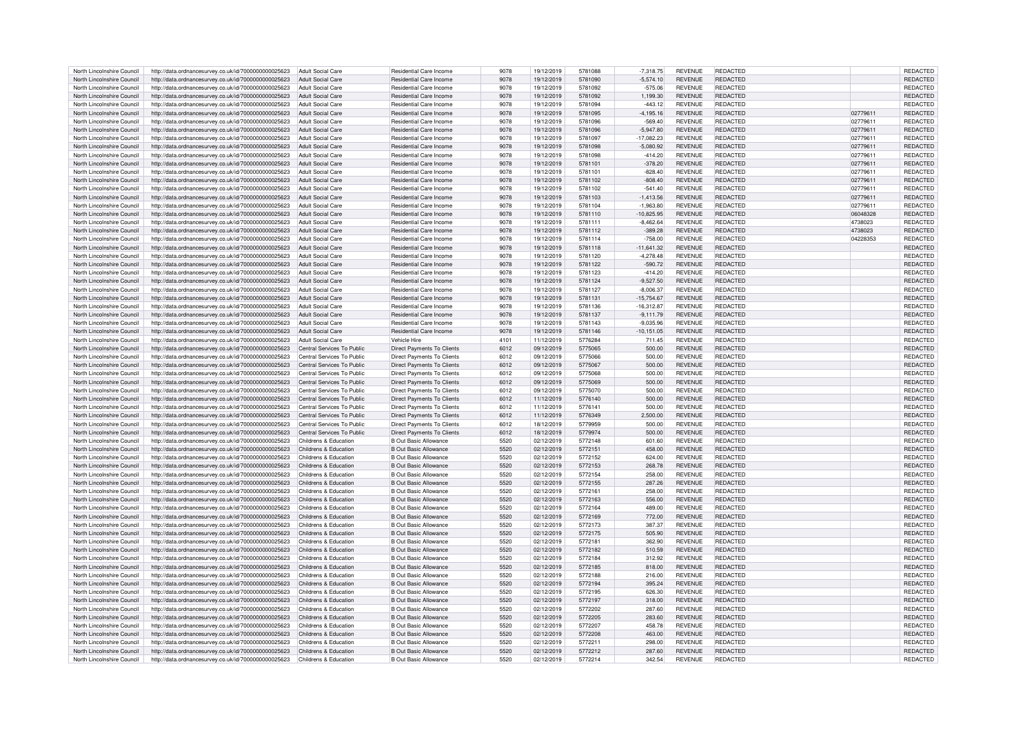| North Lincolnshire Council | http://data.ordnancesurvey.co.uk/id/7000000000025623                       | Adult Social Care          | Residential Care Income           | 9078 | 19/12/2019 | 5781088 | $-7,318.75$   | <b>REVENUE</b> | REDACTED        |          | REDACTED        |
|----------------------------|----------------------------------------------------------------------------|----------------------------|-----------------------------------|------|------------|---------|---------------|----------------|-----------------|----------|-----------------|
| North Lincolnshire Council | http://data.ordnancesurvey.co.uk/id/7000000000025623                       | Adult Social Care          | Residential Care Income           | 9078 | 19/12/2019 | 5781090 | $-5.574.10$   | <b>REVENUE</b> | <b>REDACTED</b> |          | REDACTED        |
|                            |                                                                            |                            |                                   |      |            |         |               |                |                 |          |                 |
| North Lincolnshire Council | http://data.ordnancesurvey.co.uk/id/7000000000025623                       | Adult Social Care          | Residential Care Income           | 9078 | 19/12/2019 | 5781092 | $-575.06$     | <b>REVENUE</b> | REDACTED        |          | REDACTED        |
| North Lincolnshire Council | http://data.ordnancesurvey.co.uk/id/7000000000025623                       | <b>Adult Social Care</b>   | Residential Care Income           | 9078 | 19/12/2019 | 5781092 | 1,199.30      | <b>REVENUE</b> | <b>REDACTED</b> |          | REDACTED        |
| North Lincolnshire Council | http://data.ordnancesurvey.co.uk/id/7000000000025623                       | <b>Adult Social Care</b>   | Residential Care Income           | 9078 | 19/12/2019 | 5781094 | $-443.12$     | <b>REVENUE</b> | <b>REDACTED</b> |          | REDACTED        |
| North Lincolnshire Council | http://data.ordnancesurvey.co.uk/id/7000000000025623                       | <b>Adult Social Care</b>   | Residential Care Income           | 9078 | 19/12/2019 | 5781095 | $-4,195.16$   | <b>REVENUE</b> | <b>REDACTED</b> | 02779611 | REDACTED        |
| North Lincolnshire Council | http://data.ordnancesurvey.co.uk/id/7000000000025623                       | <b>Adult Social Care</b>   | Residential Care Income           | 9078 | 19/12/2019 | 5781096 | $-569.40$     | <b>REVENUE</b> | REDACTED        | 0277961  | REDACTED        |
|                            |                                                                            |                            |                                   |      |            |         |               |                |                 |          |                 |
| North Lincolnshire Council | http://data.ordnancesurvey.co.uk/id/7000000000025623                       | <b>Adult Social Care</b>   | Residential Care Income           | 9078 | 19/12/2019 | 5781096 | $-5.947.80$   | <b>REVENUE</b> | <b>REDACTED</b> | 02779611 | REDACTED        |
| North Lincolnshire Council | http://data.ordnancesurvey.co.uk/id/7000000000025623                       | <b>Adult Social Care</b>   | Residential Care Income           | 9078 | 19/12/2019 | 5781097 | $-17.082.23$  | <b>REVENUE</b> | <b>REDACTED</b> | 0277961  | REDACTED        |
| North Lincolnshire Council | http://data.ordnancesurvey.co.uk/id/7000000000025623                       | Adult Social Care          | Residential Care Income           | 9078 | 19/12/2019 | 5781098 | $-5,080.92$   | <b>REVENUE</b> | <b>REDACTED</b> | 02779611 | REDACTED        |
| North Lincolnshire Council | http://data.ordnancesurvey.co.uk/id/7000000000025623                       | Adult Social Care          | Residential Care Income           | 9078 | 19/12/2019 | 5781098 | $-414.20$     | <b>REVENUE</b> | REDACTED        | 02779611 | REDACTED        |
|                            |                                                                            |                            |                                   |      |            |         |               |                |                 |          |                 |
| North Lincolnshire Council | http://data.ordnancesurvey.co.uk/id/7000000000025623                       | <b>Adult Social Care</b>   | Residential Care Income           | 9078 | 19/12/2019 | 5781101 | $-378.20$     | <b>REVENUE</b> | <b>REDACTED</b> | 02779611 | REDACTED        |
| North Lincolnshire Council | http://data.ordnancesurvey.co.uk/id/7000000000025623                       | Adult Social Care          | Residential Care Income           | 9078 | 19/12/2019 | 5781101 | $-828.40$     | <b>REVENUE</b> | REDACTED        | 02779611 | REDACTED        |
| North Lincolnshire Council | http://data.ordnancesurvey.co.uk/id/7000000000025623                       | <b>Adult Social Care</b>   | Residential Care Income           | 9078 | 19/12/2019 | 5781102 | $-808.40$     | <b>REVENUE</b> | <b>REDACTED</b> | 02779611 | REDACTED        |
| North Lincolnshire Council | http://data.ordnancesurvey.co.uk/id/7000000000025623                       | <b>Adult Social Care</b>   | Residential Care Income           | 9078 | 19/12/2019 | 5781102 | $-541.40$     | <b>REVENUE</b> | REDACTED        | 02779611 | REDACTED        |
| North Lincolnshire Council | http://data.ordnancesurvey.co.uk/id/7000000000025623                       | <b>Adult Social Care</b>   | Residential Care Income           | 9078 | 19/12/2019 | 5781103 | $-1,413.56$   | <b>REVENUE</b> | <b>REDACTED</b> | 02779611 | REDACTED        |
|                            |                                                                            |                            |                                   |      |            |         |               |                |                 |          |                 |
| North Lincolnshire Council | http://data.ordnancesurvey.co.uk/id/7000000000025623                       | <b>Adult Social Care</b>   | Residential Care Income           | 9078 | 19/12/2019 | 5781104 | $-1,963.80$   | <b>REVENUE</b> | <b>REDACTED</b> | 02779611 | REDACTED        |
| North Lincolnshire Council | http://data.ordnancesurvey.co.uk/id/7000000000025623                       | <b>Adult Social Care</b>   | Residential Care Income           | 9078 | 19/12/2019 | 5781110 | $-10.825.95$  | <b>REVENUE</b> | <b>REDACTED</b> | 06048328 | <b>REDACTED</b> |
| North Lincolnshire Council | http://data.ordnancesurvey.co.uk/id/7000000000025623                       | <b>Adult Social Care</b>   | Residential Care Income           | 9078 | 19/12/2019 | 5781111 | $-8,462.64$   | <b>REVENUE</b> | <b>REDACTED</b> | 4738023  | REDACTED        |
| North Lincolnshire Council | http://data.ordnancesurvey.co.uk/id/7000000000025623                       | <b>Adult Social Care</b>   | Residential Care Income           | 9078 | 19/12/2019 | 5781112 | $-389.28$     | <b>REVENUE</b> | <b>REDACTED</b> | 4738023  | REDACTED        |
|                            |                                                                            |                            |                                   |      |            |         |               |                |                 |          |                 |
| North Lincolnshire Council | http://data.ordnancesurvey.co.uk/id/7000000000025623                       | <b>Adult Social Care</b>   | Residential Care Income           | 9078 | 19/12/2019 | 5781114 | $-758.00$     | <b>REVENUE</b> | REDACTED        | 04228353 | REDACTED        |
| North Lincolnshire Council | http://data.ordnancesurvey.co.uk/id/7000000000025623                       | Adult Social Care          | Residential Care Income           | 9078 | 19/12/2019 | 5781118 | $-11,641.32$  | <b>REVENUE</b> | <b>REDACTED</b> |          | REDACTED        |
| North Lincolnshire Council | http://data.ordnancesurvey.co.uk/id/7000000000025623                       | <b>Adult Social Care</b>   | Residential Care Income           | 9078 | 19/12/2019 | 5781120 | $-4,278.48$   | <b>REVENUE</b> | <b>REDACTED</b> |          | REDACTED        |
| North Lincolnshire Council | http://data.ordnancesurvey.co.uk/id/7000000000025623                       | <b>Adult Social Care</b>   | Residential Care Income           | 9078 | 19/12/2019 | 5781122 | $-590.72$     | <b>REVENUE</b> | REDACTED        |          | REDACTED        |
| North Lincolnshire Council | http://data.ordnancesurvey.co.uk/id/7000000000025623                       | <b>Adult Social Care</b>   | Residential Care Income           | 9078 | 19/12/2019 | 5781123 | $-414.20$     | <b>REVENUE</b> | <b>REDACTED</b> |          | REDACTED        |
|                            |                                                                            |                            |                                   |      |            |         |               |                |                 |          |                 |
| North Lincolnshire Council | http://data.ordnancesurvey.co.uk/id/7000000000025623                       | <b>Adult Social Care</b>   | Residential Care Income           | 9078 | 19/12/2019 | 5781124 | $-9,527.50$   | <b>REVENUE</b> | <b>REDACTED</b> |          | REDACTED        |
| North Lincolnshire Council | http://data.ordnancesurvey.co.uk/id/7000000000025623                       | <b>Adult Social Care</b>   | Residential Care Income           | 9078 | 19/12/2019 | 5781127 | $-8,006.37$   | <b>REVENUE</b> | <b>REDACTED</b> |          | <b>REDACTED</b> |
| North Lincolnshire Council | http://data.ordnancesurvey.co.uk/id/7000000000025623                       | Adult Social Care          | Residential Care Income           | 9078 | 19/12/2019 | 5781131 | $-15,754.67$  | <b>REVENUE</b> | <b>REDACTED</b> |          | <b>REDACTED</b> |
| North Lincolnshire Council | http://data.ordnancesurvey.co.uk/id/7000000000025623                       | <b>Adult Social Care</b>   | Residential Care Income           | 9078 | 19/12/2019 | 5781136 | $-16,312.87$  | <b>REVENUE</b> | <b>REDACTED</b> |          | REDACTED        |
|                            |                                                                            |                            |                                   |      |            |         |               |                |                 |          |                 |
| North Lincolnshire Council | http://data.ordnancesurvey.co.uk/id/7000000000025623                       | Adult Social Care          | Residential Care Income           | 9078 | 19/12/2019 | 5781137 | $-9,111.79$   | <b>REVENUE</b> | REDACTED        |          | REDACTED        |
| North Lincolnshire Council | http://data.ordnancesurvey.co.uk/id/7000000000025623                       | Adult Social Care          | Residential Care Income           | 9078 | 19/12/2019 | 5781143 | $-9,035.96$   | <b>REVENUE</b> | <b>REDACTED</b> |          | REDACTED        |
| North Lincolnshire Council | http://data.ordnancesurvey.co.uk/id/7000000000025623                       | Adult Social Care          | Residential Care Income           | 9078 | 19/12/2019 | 5781146 | $-10, 151.05$ | <b>REVENUE</b> | <b>REDACTED</b> |          | REDACTED        |
| North Lincolnshire Council | http://data.ordnancesurvey.co.uk/id/7000000000025623                       | Adult Social Care          | Vehicle Hire                      | 4101 | 11/12/2019 | 5776284 | 711.45        | <b>REVENUE</b> | <b>REDACTED</b> |          | REDACTED        |
| North Lincolnshire Council |                                                                            | Central Services To Public | Direct Payments To Clients        | 6012 |            | 5775065 | 500.00        | <b>REVENUE</b> | REDACTED        |          | REDACTED        |
|                            | http://data.ordnancesurvey.co.uk/id/7000000000025623                       |                            |                                   |      | 09/12/2019 |         |               |                |                 |          |                 |
| North Lincolnshire Council | http://data.ordnancesurvey.co.uk/id/7000000000025623                       | Central Services To Public | Direct Payments To Clients        | 6012 | 09/12/2019 | 5775066 | 500.00        | <b>REVENUE</b> | REDACTED        |          | REDACTED        |
| North Lincolnshire Council | http://data.ordnancesurvey.co.uk/id/7000000000025623                       | Central Services To Public | Direct Payments To Clients        | 6012 | 09/12/2019 | 5775067 | 500.00        | <b>REVENUE</b> | <b>REDACTED</b> |          | <b>REDACTED</b> |
| North Lincolnshire Council | http://data.ordnancesurvey.co.uk/id/7000000000025623                       | Central Services To Public | <b>Direct Payments To Clients</b> | 6012 | 09/12/2019 | 5775068 | 500.00        | <b>REVENUE</b> | <b>REDACTED</b> |          | REDACTED        |
| North Lincolnshire Council | http://data.ordnancesurvey.co.uk/id/7000000000025623                       | Central Services To Public | Direct Payments To Clients        | 6012 | 09/12/2019 | 5775069 | 500.00        | <b>REVENUE</b> | <b>REDACTED</b> |          | <b>REDACTED</b> |
|                            |                                                                            |                            |                                   |      |            |         |               |                |                 |          |                 |
| North Lincolnshire Council | http://data.ordnancesurvey.co.uk/id/7000000000025623                       | Central Services To Public | <b>Direct Payments To Clients</b> | 6012 | 09/12/2019 | 5775070 | 500.00        | <b>REVENUE</b> | <b>REDACTED</b> |          | REDACTED        |
| North Lincolnshire Council | http://data.ordnancesurvey.co.uk/id/7000000000025623                       | Central Services To Public | Direct Payments To Clients        | 6012 | 11/12/2019 | 5776140 | 500.00        | <b>REVENUE</b> | <b>REDACTED</b> |          | REDACTED        |
| North Lincolnshire Council | http://data.ordnancesurvey.co.uk/id/7000000000025623                       | Central Services To Public | Direct Payments To Clients        | 6012 | 11/12/2019 | 5776141 | 500.00        | <b>REVENUE</b> | REDACTED        |          | REDACTED        |
| North Lincolnshire Council | http://data.ordnancesurvey.co.uk/id/7000000000025623                       | Central Services To Public | <b>Direct Payments To Clients</b> | 6012 | 11/12/2019 | 5776349 | 2,500.00      | <b>REVENUE</b> | REDACTED        |          | REDACTED        |
|                            |                                                                            |                            |                                   |      |            |         |               |                |                 |          |                 |
| North Lincolnshire Council | http://data.ordnancesurvey.co.uk/id/7000000000025623                       | Central Services To Public | <b>Direct Payments To Clients</b> | 6012 | 18/12/2019 | 5779959 | 500.00        | <b>REVENUE</b> | <b>REDACTED</b> |          | REDACTED        |
| North Lincolnshire Council | http://data.ordnancesurvey.co.uk/id/7000000000025623                       | Central Services To Public | Direct Payments To Clients        | 6012 | 18/12/2019 | 5779974 | 500.00        | <b>REVENUE</b> | REDACTED        |          | REDACTED        |
| North Lincolnshire Council | http://data.ordnancesurvey.co.uk/id/7000000000025623                       | Childrens & Education      | <b>B Out Basic Allowance</b>      | 5520 | 02/12/2019 | 5772148 | 601.60        | <b>REVENUE</b> | <b>REDACTED</b> |          | REDACTED        |
| North Lincolnshire Council | http://data.ordnancesurvey.co.uk/id/7000000000025623                       | Childrens & Education      | <b>B Out Basic Allowance</b>      | 5520 | 02/12/2019 | 5772151 | 458.00        | <b>REVENUE</b> | <b>REDACTED</b> |          | REDACTED        |
| North Lincolnshire Council | http://data.ordnancesurvey.co.uk/id/7000000000025623                       | Childrens & Education      | <b>B Out Basic Allowance</b>      | 5520 | 02/12/2019 | 5772152 | 624.00        | <b>REVENUE</b> | <b>REDACTED</b> |          | <b>REDACTED</b> |
|                            |                                                                            |                            |                                   |      |            |         |               |                |                 |          |                 |
| North Lincolnshire Council | http://data.ordnancesurvey.co.uk/id/7000000000025623                       | Childrens & Education      | <b>B Out Basic Allowance</b>      | 5520 | 02/12/2019 | 5772153 | 268.78        | <b>REVENUE</b> | <b>REDACTED</b> |          | <b>REDACTED</b> |
| North Lincolnshire Council | http://data.ordnancesurvey.co.uk/id/7000000000025623                       | Childrens & Education      | <b>B Out Basic Allowance</b>      | 5520 | 02/12/2019 | 5772154 | 258.00        | <b>REVENUE</b> | REDACTED        |          | REDACTED        |
| North Lincolnshire Council | http://data.ordnancesurvey.co.uk/id/7000000000025623                       | Childrens & Education      | <b>B Out Basic Allowance</b>      | 5520 | 02/12/2019 | 5772155 | 287.26        | <b>REVENUE</b> | <b>REDACTED</b> |          | REDACTED        |
| North Lincolnshire Council | http://data.ordnancesurvey.co.uk/id/7000000000025623                       | Childrens & Education      | <b>B Out Basic Allowance</b>      | 5520 | 02/12/2019 | 5772161 | 258.00        | <b>REVENUE</b> | <b>REDACTED</b> |          | REDACTED        |
|                            |                                                                            |                            |                                   |      |            |         |               |                |                 |          |                 |
| North Lincolnshire Council | http://data.ordnancesurvey.co.uk/id/7000000000025623                       | Childrens & Education      | <b>B Out Basic Allowance</b>      | 5520 | 02/12/2019 | 5772163 | 556.00        | <b>REVENUE</b> | REDACTED        |          | REDACTED        |
| North Lincolnshire Council | http://data.ordnancesurvey.co.uk/id/7000000000025623                       | Childrens & Education      | <b>B Out Basic Allowance</b>      | 5520 | 02/12/2019 | 5772164 | 489.00        | <b>REVENUE</b> | <b>REDACTED</b> |          | REDACTED        |
| North Lincolnshire Council | http://data.ordnancesurvey.co.uk/id/7000000000025623                       | Childrens & Education      | <b>B Out Basic Allowance</b>      | 5520 | 02/12/2019 | 5772169 | 772.00        | <b>REVENUE</b> | <b>REDACTED</b> |          | REDACTED        |
| North Lincolnshire Council | http://data.ordnancesurvey.co.uk/id/7000000000025623                       | Childrens & Education      | <b>B Out Basic Allowance</b>      | 5520 | 02/12/2019 | 5772173 | 387.37        | <b>REVENUE</b> | REDACTED        |          | REDACTED        |
| North Lincolnshire Council | http://data.ordnancesurvey.co.uk/id/7000000000025623                       | Childrens & Education      | <b>B Out Basic Allowance</b>      | 5520 | 02/12/2019 | 5772175 | 505.90        | <b>REVENUE</b> | <b>REDACTED</b> |          | REDACTED        |
|                            |                                                                            |                            |                                   |      |            |         |               |                |                 |          |                 |
| North Lincolnshire Council | http://data.ordnancesurvey.co.uk/id/7000000000025623                       | Childrens & Education      | <b>B Out Basic Allowance</b>      | 5520 | 02/12/2019 | 5772181 | 362.90        | <b>REVENUE</b> | <b>REDACTED</b> |          | REDACTED        |
| North Lincolnshire Council | http://data.ordnancesurvey.co.uk/id/7000000000025623                       | Childrens & Education      | <b>B Out Basic Allowance</b>      | 5520 | 02/12/2019 | 5772182 | 510.59        | <b>REVENUE</b> | <b>REDACTED</b> |          | <b>REDACTED</b> |
| North Lincolnshire Council | http://data.ordnancesurvey.co.uk/id/7000000000025623                       | Childrens & Education      | <b>B.Out Basic Allowance</b>      | 5520 | 02/12/2019 | 5772184 | 312.92        | <b>REVENUE</b> | <b>REDACTED</b> |          | REDACTED        |
| North Lincolnshire Council | http://data.ordnancesurvey.co.uk/id/7000000000025623                       | Childrens & Education      | <b>B Out Basic Allowance</b>      | 5520 | 02/12/2019 | 5772185 | 818.00        | <b>REVENUE</b> | <b>REDACTED</b> |          | REDACTED        |
| North Lincolnshire Council | http://data.ordnancesurvey.co.uk/id/7000000000025623                       | Childrens & Education      | <b>B Out Basic Allowance</b>      | 5520 | 02/12/2019 | 5772188 | 216.00        | <b>REVENUE</b> | <b>REDACTED</b> |          | <b>REDACTED</b> |
|                            |                                                                            |                            |                                   |      |            |         |               |                |                 |          |                 |
| North Lincolnshire Council | http://data.ordnancesurvey.co.uk/id/7000000000025623                       | Childrens & Education      | <b>B Out Basic Allowance</b>      | 5520 | 02/12/2019 | 5772194 | 395.24        | <b>REVENUE</b> | REDACTED        |          | REDACTED        |
| North Lincolnshire Council | http://data.ordnancesurvey.co.uk/id/7000000000025623                       | Childrens & Education      | <b>B Out Basic Allowance</b>      | 5520 | 02/12/2019 | 5772195 | 626.30        | <b>REVENUE</b> | REDACTED        |          | REDACTED        |
| North Lincolnshire Council | http://data.ordnancesurvey.co.uk/id/7000000000025623                       | Childrens & Education      | <b>B Out Basic Allowance</b>      | 5520 | 02/12/2019 | 5772197 | 318.00        | <b>REVENUE</b> | <b>REDACTED</b> |          | REDACTED        |
| North Lincolnshire Council | http://data.ordnancesurvey.co.uk/id/7000000000025623                       | Childrens & Education      | <b>B Out Basic Allowance</b>      | 5520 | 02/12/2019 | 5772202 | 287.60        | <b>REVENUE</b> | REDACTED        |          | REDACTED        |
| North Lincolnshire Council | http://data.ordnancesurvey.co.uk/id/7000000000025623                       | Childrens & Education      | <b>B Out Basic Allowance</b>      | 5520 | 02/12/2019 | 5772205 | 283.60        | <b>REVENUE</b> | <b>REDACTED</b> |          | <b>REDACTED</b> |
|                            |                                                                            |                            |                                   |      |            |         |               |                |                 |          |                 |
| North Lincolnshire Council | http://data.ordnancesurvey.co.uk/id/7000000000025623                       | Childrens & Education      | <b>B Out Basic Allowance</b>      | 5520 | 02/12/2019 | 5772207 | 458.78        | <b>REVENUE</b> | <b>REDACTED</b> |          | REDACTED        |
| North Lincolnshire Council | http://data.ordnancesurvey.co.uk/id/7000000000025623                       | Childrens & Education      | <b>B Out Basic Allowance</b>      | 5520 | 02/12/2019 | 5772208 | 463.00        | <b>REVENUE</b> | <b>REDACTED</b> |          | REDACTED        |
| North Lincolnshire Council | http://data.ordnancesurvey.co.uk/id/7000000000025623                       | Childrens & Education      | <b>B Out Basic Allowance</b>      | 5520 | 02/12/2019 | 5772211 | 298.00        | <b>REVENUE</b> | REDACTED        |          | REDACTED        |
| North Lincolnshire Council | http://data.ordnancesurvey.co.uk/id/7000000000025623                       | Childrens & Education      | <b>B Out Basic Allowance</b>      | 5520 | 02/12/2019 | 5772212 | 287.60        | <b>REVENUE</b> | REDACTED        |          | REDACTED        |
| North Lincolnshire Council | http://data.ordnancesurvey.co.uk/id/7000000000025623 Childrens & Education |                            | <b>B Out Basic Allowance</b>      | 5520 | 02/12/2019 | 5772214 | 342.54        | <b>REVENUE</b> | REDACTED        |          | REDACTED        |
|                            |                                                                            |                            |                                   |      |            |         |               |                |                 |          |                 |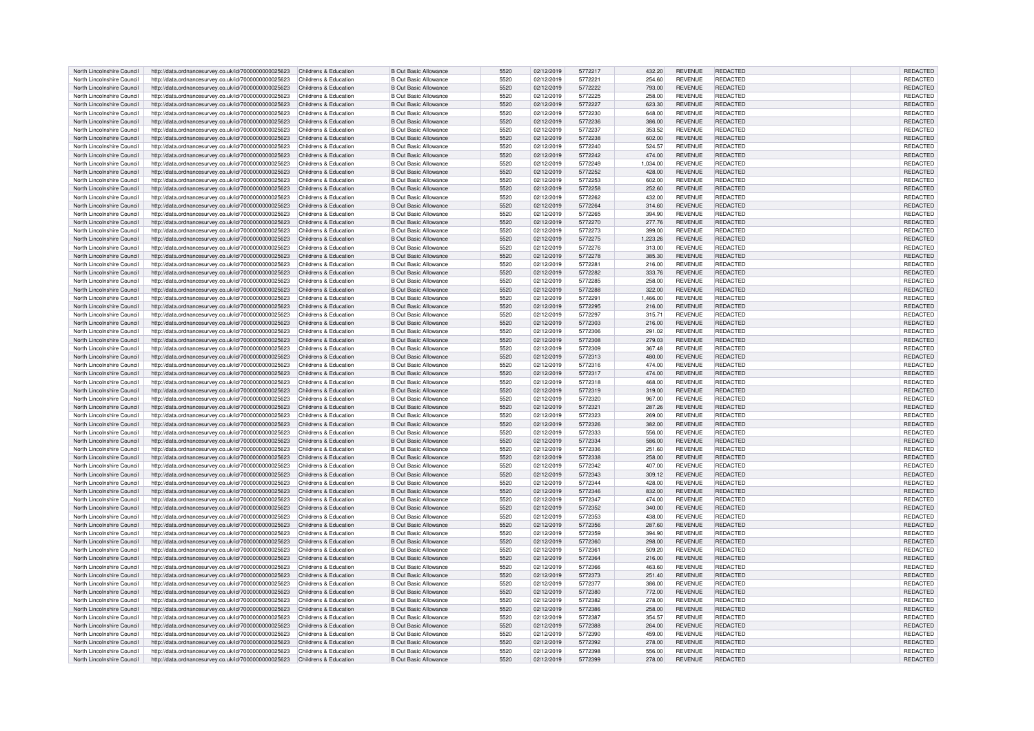| North Lincolnshire Council | http://data.ordnancesurvey.co.uk/id/7000000000025623                       | Childrens & Education | <b>B Out Basic Allowance</b> | 5520 | 02/12/2019 | 5772217 | 432.20   | <b>REVENUE</b> | REDACTED        | REDACTED        |
|----------------------------|----------------------------------------------------------------------------|-----------------------|------------------------------|------|------------|---------|----------|----------------|-----------------|-----------------|
| North Lincolnshire Council | http://data.ordnancesurvey.co.uk/id/7000000000025623                       | Childrens & Education | <b>B Out Basic Allowance</b> | 5520 | 02/12/2019 | 5772221 | 254.60   | <b>REVENUE</b> | <b>REDACTED</b> | <b>REDACTED</b> |
| North Lincolnshire Council |                                                                            | Childrens & Education | <b>B Out Basic Allowance</b> | 5520 |            |         |          | <b>REVENUE</b> | <b>REDACTED</b> | REDACTED        |
|                            | http://data.ordnancesurvey.co.uk/id/7000000000025623                       |                       |                              |      | 02/12/2019 | 5772222 | 793.00   |                |                 |                 |
| North Lincolnshire Council | http://data.ordnancesurvey.co.uk/id/7000000000025623                       | Childrens & Education | <b>B Out Basic Allowance</b> | 5520 | 02/12/2019 | 5772225 | 258.00   | <b>REVENUE</b> | REDACTED        | REDACTED        |
| North Lincolnshire Council | http://data.ordnancesurvey.co.uk/id/7000000000025623                       | Childrens & Education | <b>B Out Basic Allowance</b> | 5520 | 02/12/2019 | 5772227 | 623.30   | <b>REVENUE</b> | <b>REDACTED</b> | REDACTED        |
| North Lincolnshire Council | http://data.ordnancesurvey.co.uk/id/7000000000025623                       | Childrens & Education | <b>B Out Basic Allowance</b> | 5520 | 02/12/2019 | 5772230 | 648.00   | <b>REVENUE</b> | REDACTED        | REDACTED        |
| North Lincolnshire Council | http://data.ordnancesurvey.co.uk/id/7000000000025623                       | Childrens & Education | <b>B Out Basic Allowance</b> | 5520 | 02/12/2019 | 5772236 | 386.00   | <b>REVENUE</b> | <b>REDACTED</b> | REDACTED        |
| North Lincolnshire Council | http://data.ordnancesurvey.co.uk/id/7000000000025623                       | Childrens & Education | <b>B Out Basic Allowance</b> | 5520 | 02/12/2019 | 5772237 | 353.52   | <b>REVENUE</b> | REDACTED        | <b>REDACTED</b> |
| North Lincolnshire Council | http://data.ordnancesurvey.co.uk/id/7000000000025623                       | Childrens & Education | <b>B Out Basic Allowance</b> | 5520 | 02/12/2019 | 5772238 | 602.00   | <b>REVENUE</b> | <b>REDACTED</b> | REDACTED        |
|                            |                                                                            |                       |                              |      |            |         |          |                |                 |                 |
| North Lincolnshire Council | http://data.ordnancesurvey.co.uk/id/7000000000025623                       | Childrens & Education | <b>B Out Basic Allowance</b> | 5520 | 02/12/2019 | 5772240 | 524.57   | <b>REVENUE</b> | <b>REDACTED</b> | REDACTED        |
| North Lincolnshire Council | http://data.ordnancesurvey.co.uk/id/7000000000025623                       | Childrens & Education | <b>B Out Basic Allowance</b> | 5520 | 02/12/2019 | 5772242 | 474.00   | <b>REVENUE</b> | <b>REDACTED</b> | <b>REDACTED</b> |
| North Lincolnshire Council | http://data.ordnancesurvey.co.uk/id/7000000000025623                       | Childrens & Education | <b>B Out Basic Allowance</b> | 5520 | 02/12/2019 | 5772249 | 1,034.00 | <b>REVENUE</b> | <b>REDACTED</b> | REDACTED        |
| North Lincolnshire Council | http://data.ordnancesurvey.co.uk/id/7000000000025623                       | Childrens & Education | <b>B Out Basic Allowance</b> | 5520 | 02/12/2019 | 5772252 | 428.00   | <b>REVENUE</b> | <b>REDACTED</b> | <b>REDACTED</b> |
| North Lincolnshire Council | http://data.ordnancesurvey.co.uk/id/7000000000025623                       | Childrens & Education | <b>B Out Basic Allowance</b> | 5520 | 02/12/2019 | 5772253 | 602.00   | <b>REVENUE</b> | <b>REDACTED</b> | REDACTED        |
| North Lincolnshire Council | http://data.ordnancesurvey.co.uk/id/7000000000025623                       | Childrens & Education | <b>B Out Basic Allowance</b> | 5520 | 02/12/2019 | 5772258 | 252.60   | <b>REVENUE</b> | <b>REDACTED</b> | REDACTED        |
|                            |                                                                            |                       |                              |      |            |         |          |                |                 |                 |
| North Lincolnshire Council | http://data.ordnancesurvey.co.uk/id/7000000000025623                       | Childrens & Education | <b>B Out Basic Allowance</b> | 5520 | 02/12/2019 | 5772262 | 432.00   | <b>REVENUE</b> | <b>REDACTED</b> | <b>REDACTED</b> |
| North Lincolnshire Council | http://data.ordnancesurvey.co.uk/id/7000000000025623                       | Childrens & Education | <b>B Out Basic Allowance</b> | 5520 | 02/12/2019 | 5772264 | 314.60   | <b>REVENUE</b> | <b>REDACTED</b> | REDACTED        |
| North Lincolnshire Council | http://data.ordnancesurvey.co.uk/id/7000000000025623                       | Childrens & Education | <b>B Out Basic Allowance</b> | 5520 | 02/12/2019 | 5772265 | 394.90   | <b>REVENUE</b> | REDACTED        | REDACTED        |
| North Lincolnshire Council | http://data.ordnancesurvey.co.uk/id/7000000000025623                       | Childrens & Education | <b>B Out Basic Allowance</b> | 5520 | 02/12/2019 | 5772270 | 277.76   | <b>REVENUE</b> | <b>REDACTED</b> | REDACTED        |
| North Lincolnshire Council | http://data.ordnancesurvey.co.uk/id/7000000000025623                       | Childrens & Education | <b>B Out Basic Allowance</b> | 5520 | 02/12/2019 | 5772273 | 399.00   | <b>REVENUE</b> | <b>REDACTED</b> | REDACTED        |
| North Lincolnshire Council | http://data.ordnancesurvey.co.uk/id/7000000000025623                       | Childrens & Education | <b>B Out Basic Allowance</b> | 5520 | 02/12/2019 | 5772275 | 1,223.26 | <b>REVENUE</b> | <b>REDACTED</b> | REDACTED        |
| North Lincolnshire Council | http://data.ordnancesurvey.co.uk/id/7000000000025623                       | Childrens & Education | <b>B Out Basic Allowance</b> | 5520 | 02/12/2019 | 5772276 | 313.00   | <b>REVENUE</b> | <b>REDACTED</b> | REDACTED        |
|                            |                                                                            |                       |                              |      |            |         |          |                |                 |                 |
| North Lincolnshire Council | http://data.ordnancesurvey.co.uk/id/7000000000025623                       | Childrens & Education | <b>B Out Basic Allowance</b> | 5520 | 02/12/2019 | 5772278 | 385.30   | <b>REVENUE</b> | <b>REDACTED</b> | REDACTED        |
| North Lincolnshire Council | http://data.ordnancesurvey.co.uk/id/7000000000025623                       | Childrens & Education | <b>B Out Basic Allowance</b> | 5520 | 02/12/2019 | 5772281 | 216.00   | <b>REVENUE</b> | REDACTED        | REDACTED        |
| North Lincolnshire Council | http://data.ordnancesurvey.co.uk/id/7000000000025623                       | Childrens & Education | <b>B Out Basic Allowance</b> | 5520 | 02/12/2019 | 5772282 | 333.76   | <b>REVENUE</b> | <b>REDACTED</b> | REDACTED        |
| North Lincolnshire Council | http://data.ordnancesurvey.co.uk/id/7000000000025623                       | Childrens & Education | <b>B Out Basic Allowance</b> | 5520 | 02/12/2019 | 5772285 | 258.00   | <b>REVENUE</b> | REDACTED        | REDACTED        |
| North Lincolnshire Council | http://data.ordnancesurvey.co.uk/id/7000000000025623                       | Childrens & Education | <b>B Out Basic Allowance</b> | 5520 | 02/12/2019 | 5772288 | 322.00   | <b>REVENUE</b> | <b>REDACTED</b> | <b>REDACTED</b> |
| North Lincolnshire Council | http://data.ordnancesurvey.co.uk/id/7000000000025623                       | Childrens & Education | <b>B Out Basic Allowance</b> | 5520 | 02/12/2019 | 5772291 | 1,466.00 | <b>REVENUE</b> | <b>REDACTED</b> | <b>REDACTED</b> |
|                            |                                                                            |                       |                              |      |            |         |          |                |                 |                 |
| North Lincolnshire Council | http://data.ordnancesurvey.co.uk/id/7000000000025623                       | Childrens & Education | <b>B Out Basic Allowance</b> | 5520 | 02/12/2019 | 5772295 | 216.00   | <b>REVENUE</b> | REDACTED        | <b>REDACTED</b> |
| North Lincolnshire Council | http://data.ordnancesurvey.co.uk/id/7000000000025623                       | Childrens & Education | <b>B Out Basic Allowance</b> | 5520 | 02/12/2019 | 5772297 | 315.71   | <b>REVENUE</b> | REDACTED        | REDACTED        |
| North Lincolnshire Council | http://data.ordnancesurvey.co.uk/id/7000000000025623                       | Childrens & Education | <b>B Out Basic Allowance</b> | 5520 | 02/12/2019 | 5772303 | 216.00   | <b>REVENUE</b> | <b>REDACTED</b> | REDACTED        |
| North Lincolnshire Council | http://data.ordnancesurvey.co.uk/id/7000000000025623                       | Childrens & Education | <b>B Out Basic Allowance</b> | 5520 | 02/12/2019 | 5772306 | 291.02   | <b>REVENUE</b> | <b>REDACTED</b> | REDACTED        |
| North Lincolnshire Council | http://data.ordnancesurvey.co.uk/id/7000000000025623                       | Childrens & Education | <b>B Out Basic Allowance</b> | 5520 | 02/12/2019 | 5772308 | 279.03   | <b>REVENUE</b> | REDACTED        | <b>REDACTED</b> |
| North Lincolnshire Council | http://data.ordnancesurvey.co.uk/id/7000000000025623                       | Childrens & Education | <b>B Out Basic Allowance</b> | 5520 | 02/12/2019 | 5772309 | 367.48   | <b>REVENUE</b> | REDACTED        | REDACTED        |
|                            |                                                                            |                       |                              |      |            |         |          |                |                 |                 |
| North Lincolnshire Council | http://data.ordnancesurvey.co.uk/id/7000000000025623                       | Childrens & Education | <b>B Out Basic Allowance</b> | 5520 | 02/12/2019 | 5772313 | 480.00   | <b>REVENUE</b> | <b>REDACTED</b> | REDACTED        |
| North Lincolnshire Council | http://data.ordnancesurvey.co.uk/id/7000000000025623                       | Childrens & Education | <b>B Out Basic Allowance</b> | 5520 | 02/12/2019 | 5772316 | 474.00   | <b>REVENUE</b> | REDACTED        | <b>REDACTED</b> |
| North Lincolnshire Council | http://data.ordnancesurvey.co.uk/id/7000000000025623                       | Childrens & Education | <b>B Out Basic Allowance</b> | 5520 | 02/12/2019 | 5772317 | 474.00   | <b>REVENUE</b> | <b>REDACTED</b> | REDACTED        |
| North Lincolnshire Council | http://data.ordnancesurvey.co.uk/id/7000000000025623                       | Childrens & Education | <b>B Out Basic Allowance</b> | 5520 | 02/12/2019 | 5772318 | 468.00   | <b>REVENUE</b> | REDACTED        | REDACTED        |
| North Lincolnshire Council | http://data.ordnancesurvey.co.uk/id/7000000000025623                       | Childrens & Education | <b>B Out Basic Allowance</b> | 5520 | 02/12/2019 | 5772319 | 319.00   | <b>REVENUE</b> | <b>REDACTED</b> | REDACTED        |
| North Lincolnshire Council | http://data.ordnancesurvey.co.uk/id/7000000000025623                       | Childrens & Education | <b>B Out Basic Allowance</b> | 5520 | 02/12/2019 | 5772320 | 967.00   | <b>REVENUE</b> | <b>REDACTED</b> | REDACTED        |
| North Lincolnshire Council |                                                                            | Childrens & Education | <b>B Out Basic Allowance</b> | 5520 | 02/12/2019 | 5772321 | 287.26   | <b>REVENUE</b> | <b>REDACTED</b> | REDACTED        |
|                            | http://data.ordnancesurvey.co.uk/id/7000000000025623                       |                       |                              |      |            |         |          |                |                 |                 |
| North Lincolnshire Council | http://data.ordnancesurvey.co.uk/id/7000000000025623                       | Childrens & Education | <b>B Out Basic Allowance</b> | 5520 | 02/12/2019 | 5772323 | 269.00   | <b>REVENUE</b> | <b>REDACTED</b> | REDACTED        |
| North Lincolnshire Council | http://data.ordnancesurvey.co.uk/id/7000000000025623                       | Childrens & Education | <b>B Out Basic Allowance</b> | 5520 | 02/12/2019 | 5772326 | 382.00   | <b>REVENUE</b> | <b>REDACTED</b> | REDACTED        |
| North Lincolnshire Council | http://data.ordnancesurvey.co.uk/id/7000000000025623                       | Childrens & Education | <b>B Out Basic Allowance</b> | 5520 | 02/12/2019 | 5772333 | 556.00   | <b>REVENUE</b> | <b>REDACTED</b> | REDACTED        |
| North Lincolnshire Council | http://data.ordnancesurvey.co.uk/id/7000000000025623                       | Childrens & Education | <b>B Out Basic Allowance</b> | 5520 | 02/12/2019 | 5772334 | 586.00   | <b>REVENUE</b> | <b>REDACTED</b> | REDACTED        |
| North Lincolnshire Council | http://data.ordnancesurvey.co.uk/id/7000000000025623                       | Childrens & Education | <b>B Out Basic Allowance</b> | 5520 | 02/12/2019 | 5772336 | 251.60   | <b>REVENUE</b> | REDACTED        | REDACTED        |
| North Lincolnshire Council | http://data.ordnancesurvey.co.uk/id/7000000000025623                       | Childrens & Education | <b>B Out Basic Allowance</b> | 5520 | 02/12/2019 | 5772338 | 258.00   | <b>REVENUE</b> | <b>REDACTED</b> | REDACTED        |
|                            |                                                                            |                       |                              |      |            |         |          |                |                 |                 |
| North Lincolnshire Council | http://data.ordnancesurvey.co.uk/id/7000000000025623                       | Childrens & Education | <b>B Out Basic Allowance</b> | 5520 | 02/12/2019 | 5772342 | 407.00   | <b>REVENUE</b> | REDACTED        | REDACTED        |
| North Lincolnshire Council | http://data.ordnancesurvey.co.uk/id/7000000000025623                       | Childrens & Education | <b>B Out Basic Allowance</b> | 5520 | 02/12/2019 | 5772343 | 309.12   | <b>REVENUE</b> | REDACTED        | REDACTED        |
| North Lincolnshire Council | http://data.ordnancesurvey.co.uk/id/7000000000025623                       | Childrens & Education | <b>B Out Basic Allowance</b> | 5520 | 02/12/2019 | 5772344 | 428.00   | <b>REVENUE</b> | REDACTED        | REDACTED        |
| North Lincolnshire Council | http://data.ordnancesurvey.co.uk/id/7000000000025623                       | Childrens & Education | <b>B Out Basic Allowance</b> | 5520 | 02/12/2019 | 5772346 | 832.00   | <b>REVENUE</b> | <b>REDACTED</b> | REDACTED        |
| North Lincolnshire Council | http://data.ordnancesurvey.co.uk/id/7000000000025623                       | Childrens & Education | <b>B Out Basic Allowance</b> | 5520 | 02/12/2019 | 5772347 | 474.00   | <b>REVENUE</b> | <b>REDACTED</b> | REDACTED        |
| North Lincolnshire Council | http://data.ordnancesurvey.co.uk/id/7000000000025623                       | Childrens & Education | <b>B Out Basic Allowance</b> | 5520 | 02/12/2019 | 5772352 | 340.00   | <b>REVENUE</b> | REDACTED        | <b>REDACTED</b> |
| North Lincolnshire Council |                                                                            | Childrens & Education | <b>B Out Basic Allowance</b> | 5520 | 02/12/2019 | 5772353 | 438.00   | <b>REVENUE</b> | <b>REDACTED</b> | <b>REDACTED</b> |
|                            | http://data.ordnancesurvey.co.uk/id/7000000000025623                       |                       |                              |      |            |         |          |                |                 |                 |
| North Lincolnshire Council | http://data.ordnancesurvey.co.uk/id/7000000000025623                       | Childrens & Education | <b>B Out Basic Allowance</b> | 5520 | 02/12/2019 | 5772356 | 287.60   | <b>REVENUE</b> | <b>REDACTED</b> | REDACTED        |
| North Lincolnshire Council | http://data.ordnancesurvey.co.uk/id/7000000000025623                       | Childrens & Education | <b>B Out Basic Allowance</b> | 5520 | 02/12/2019 | 5772359 | 394.90   | <b>REVENUE</b> | REDACTED        | REDACTED        |
| North Lincolnshire Council | http://data.ordnancesurvey.co.uk/id/7000000000025623                       | Childrens & Education | <b>B Out Basic Allowance</b> | 5520 | 02/12/2019 | 5772360 | 298.00   | <b>REVENUE</b> | <b>REDACTED</b> | REDACTED        |
| North Lincolnshire Council | http://data.ordnancesurvey.co.uk/id/7000000000025623                       | Childrens & Education | <b>B Out Basic Allowance</b> | 5520 | 02/12/2019 | 5772361 | 509.20   | <b>REVENUE</b> | REDACTED        | REDACTED        |
| North Lincolnshire Council | http://data.ordnancesurvey.co.uk/id/7000000000025623                       | Childrens & Education | <b>B Out Basic Allowance</b> | 5520 | 02/12/2019 | 5772364 | 216.00   | <b>REVENUE</b> | <b>REDACTED</b> | REDACTED        |
| North Lincolnshire Council | http://data.ordnancesurvey.co.uk/id/7000000000025623                       | Childrens & Education | <b>B Out Basic Allowance</b> | 5520 | 02/12/2019 | 5772366 | 463.60   | <b>REVENUE</b> | REDACTED        | REDACTED        |
| North Lincolnshire Council |                                                                            | Childrens & Education | <b>B Out Basic Allowance</b> | 5520 | 02/12/2019 | 5772373 | 251.40   | <b>REVENUE</b> | <b>REDACTED</b> | REDACTED        |
|                            | http://data.ordnancesurvey.co.uk/id/7000000000025623                       |                       |                              |      |            |         |          |                |                 |                 |
| North Lincolnshire Council | http://data.ordnancesurvey.co.uk/id/7000000000025623                       | Childrens & Education | <b>B Out Basic Allowance</b> | 5520 | 02/12/2019 | 5772377 | 386.00   | <b>REVENUE</b> | REDACTED        | REDACTED        |
| North Lincolnshire Council | http://data.ordnancesurvey.co.uk/id/7000000000025623                       | Childrens & Education | <b>B Out Basic Allowance</b> | 5520 | 02/12/2019 | 5772380 | 772.00   | <b>REVENUE</b> | REDACTED        | <b>REDACTED</b> |
| North Lincolnshire Council | http://data.ordnancesurvey.co.uk/id/7000000000025623                       | Childrens & Education | <b>B Out Basic Allowance</b> | 5520 | 02/12/2019 | 5772382 | 278.00   | <b>REVENUE</b> | REDACTED        | REDACTED        |
| North Lincolnshire Council | http://data.ordnancesurvey.co.uk/id/7000000000025623                       | Childrens & Education | <b>B Out Basic Allowance</b> | 5520 | 02/12/2019 | 5772386 | 258.00   | <b>REVENUE</b> | <b>REDACTED</b> | REDACTED        |
| North Lincolnshire Council | http://data.ordnancesurvey.co.uk/id/7000000000025623                       | Childrens & Education | <b>B Out Basic Allowance</b> | 5520 | 02/12/2019 | 5772387 | 354.57   | <b>REVENUE</b> | REDACTED        | REDACTED        |
| North Lincolnshire Council | http://data.ordnancesurvey.co.uk/id/7000000000025623                       | Childrens & Education | <b>B Out Basic Allowance</b> | 5520 | 02/12/2019 | 5772388 | 264.00   | <b>REVENUE</b> | <b>REDACTED</b> | REDACTED        |
|                            |                                                                            |                       |                              |      |            |         |          |                |                 |                 |
| North Lincolnshire Council | http://data.ordnancesurvey.co.uk/id/7000000000025623                       | Childrens & Education | <b>B Out Basic Allowance</b> | 5520 | 02/12/2019 | 5772390 | 459.00   | <b>REVENUE</b> | REDACTED        | REDACTED        |
| North Lincolnshire Council | http://data.ordnancesurvey.co.uk/id/7000000000025623                       | Childrens & Education | <b>B Out Basic Allowance</b> | 5520 | 02/12/2019 | 5772392 | 278.00   | <b>REVENUE</b> | REDACTED        | REDACTED        |
| North Lincolnshire Council | http://data.ordnancesurvey.co.uk/id/7000000000025623                       | Childrens & Education | <b>B Out Basic Allowance</b> | 5520 | 02/12/2019 | 5772398 | 556.00   | <b>REVENUE</b> | <b>REDACTED</b> | <b>REDACTED</b> |
| North Lincolnshire Council | http://data.ordnancesurvey.co.uk/id/7000000000025623 Childrens & Education |                       | <b>B Out Basic Allowance</b> | 5520 | 02/12/2019 | 5772399 | 278.00   | <b>REVENUE</b> | <b>REDACTED</b> | REDACTED        |
|                            |                                                                            |                       |                              |      |            |         |          |                |                 |                 |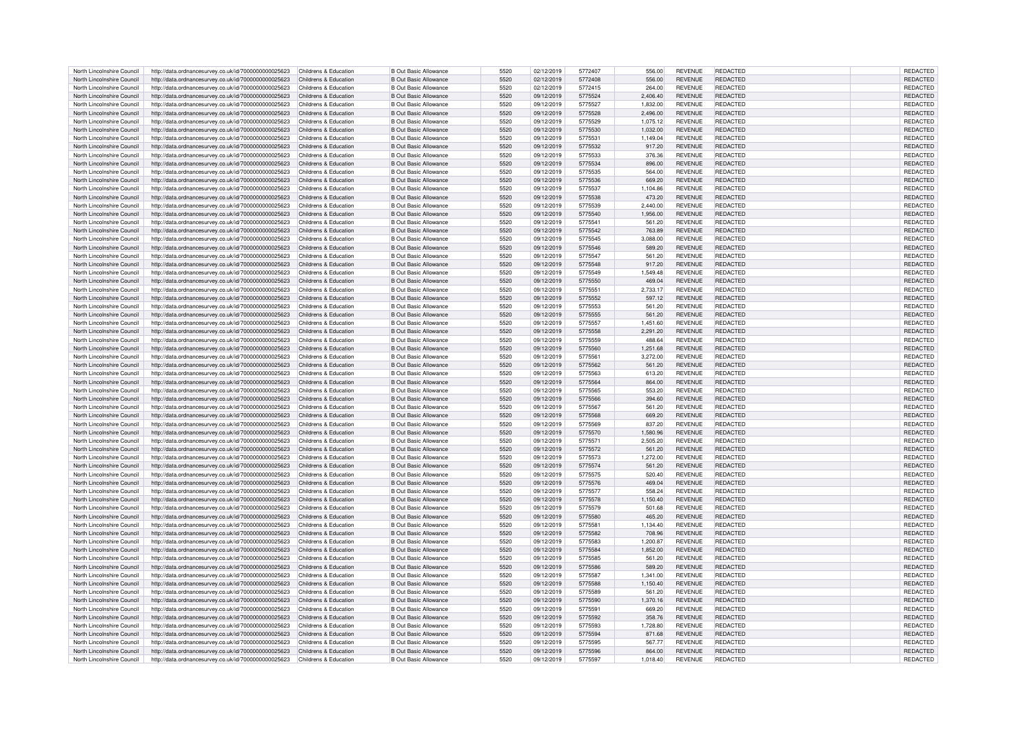| North Lincolnshire Council | http://data.ordnancesurvey.co.uk/id/7000000000025623                      | Childrens & Education | <b>B</b> Out Basic Allowance | 5520 | 02/12/2019 | 5772407 | 556.00   | <b>REVENUE</b> | <b>REDACTED</b> | REDACTED        |  |
|----------------------------|---------------------------------------------------------------------------|-----------------------|------------------------------|------|------------|---------|----------|----------------|-----------------|-----------------|--|
| North Lincolnshire Council | http://data.ordnancesurvey.co.uk/id/7000000000025623                      | Childrens & Education | <b>B Out Basic Allowance</b> | 5520 | 02/12/2019 | 5772408 | 556.00   | <b>REVENUE</b> | <b>REDACTED</b> | <b>REDACTED</b> |  |
|                            |                                                                           |                       |                              |      |            |         |          |                |                 |                 |  |
| North Lincolnshire Council | http://data.ordnancesurvey.co.uk/id/7000000000025623                      | Childrens & Education | <b>B Out Basic Allowance</b> | 5520 | 02/12/2019 | 5772415 | 264.00   | <b>REVENUE</b> | REDACTED        | REDACTED        |  |
| North Lincolnshire Council | http://data.ordnancesurvey.co.uk/id/7000000000025623                      | Childrens & Education | <b>B Out Basic Allowance</b> | 5520 | 09/12/2019 | 5775524 | 2,406.40 | <b>REVENUE</b> | <b>REDACTED</b> | <b>REDACTED</b> |  |
| North Lincolnshire Council | http://data.ordnancesurvey.co.uk/id/7000000000025623                      | Childrens & Education | <b>B</b> Out Basic Allowance | 5520 | 09/12/2019 | 5775527 | 1,832.00 | <b>REVENUE</b> | REDACTED        | REDACTED        |  |
| North Lincolnshire Council | http://data.ordnancesurvey.co.uk/id/7000000000025623                      | Childrens & Education | B Out Basic Allowance        | 5520 | 09/12/2019 | 5775528 | 2.496.00 | <b>REVENUE</b> | <b>REDACTED</b> | <b>REDACTED</b> |  |
| North Lincolnshire Council |                                                                           | Childrens & Education | B Out Basic Allowance        | 5520 | 09/12/2019 | 5775529 |          | <b>REVENUE</b> | <b>REDACTED</b> | <b>REDACTED</b> |  |
|                            | http://data.ordnancesurvey.co.uk/id/7000000000025623                      |                       |                              |      |            |         | 1,075.12 |                |                 |                 |  |
| North Lincolnshire Council | http://data.ordnancesurvey.co.uk/id/7000000000025623                      | Childrens & Education | B Out Basic Allowance        | 5520 | 09/12/2019 | 5775530 | 1,032.00 | <b>REVENUE</b> | <b>REDACTED</b> | <b>REDACTED</b> |  |
| North Lincolnshire Council | http://data.ordnancesurvey.co.uk/id/7000000000025623                      | Childrens & Education | B Out Basic Allowance        | 5520 | 09/12/2019 | 5775531 | 1,149.04 | <b>REVENUE</b> | REDACTED        | REDACTED        |  |
| North Lincolnshire Council | http://data.ordnancesurvey.co.uk/id/7000000000025623                      | Childrens & Education | <b>B</b> Out Basic Allowance | 5520 | 09/12/2019 | 5775532 | 917.20   | <b>REVENUE</b> | <b>REDACTED</b> | REDACTED        |  |
| North Lincolnshire Council | http://data.ordnancesurvey.co.uk/id/7000000000025623                      | Childrens & Education | <b>B</b> Out Basic Allowance | 5520 | 09/12/2019 | 5775533 | 376.36   | <b>REVENUE</b> | REDACTED        | REDACTED        |  |
|                            |                                                                           |                       |                              |      |            |         |          |                |                 |                 |  |
| North Lincolnshire Council | http://data.ordnancesurvey.co.uk/id/7000000000025623                      | Childrens & Education | B Out Basic Allowance        | 5520 | 09/12/2019 | 5775534 | 896.00   | <b>REVENUE</b> | <b>REDACTED</b> | <b>REDACTED</b> |  |
| North Lincolnshire Council | http://data.ordnancesurvey.co.uk/id/7000000000025623                      | Childrens & Education | B Out Basic Allowance        | 5520 | 09/12/2019 | 5775535 | 564.00   | <b>REVENUE</b> | <b>REDACTED</b> | REDACTED        |  |
| North Lincolnshire Council | http://data.ordnancesurvey.co.uk/id/7000000000025623                      | Childrens & Education | <b>B Out Basic Allowance</b> | 5520 | 09/12/2019 | 5775536 | 669.20   | <b>REVENUE</b> | <b>REDACTED</b> | REDACTED        |  |
| North Lincolnshire Council | http://data.ordnancesurvey.co.uk/id/7000000000025623                      | Childrens & Education | <b>B Out Basic Allowance</b> | 5520 | 09/12/2019 | 5775537 | 1,104.86 | <b>REVENUE</b> | <b>REDACTED</b> | REDACTED        |  |
|                            |                                                                           |                       |                              |      |            |         |          |                |                 |                 |  |
| North Lincolnshire Council | http://data.ordnancesurvey.co.uk/id/7000000000025623                      | Childrens & Education | <b>B Out Basic Allowance</b> | 5520 | 09/12/2019 | 5775538 | 473.20   | <b>REVENUE</b> | <b>REDACTED</b> | REDACTED        |  |
| North Lincolnshire Council | http://data.ordnancesurvey.co.uk/id/7000000000025623                      | Childrens & Education | B Out Basic Allowance        | 5520 | 09/12/2019 | 5775539 | 2.440.00 | <b>REVENUE</b> | REDACTED        | REDACTED        |  |
| North Lincolnshire Council | http://data.ordnancesurvey.co.uk/id/7000000000025623                      | Childrens & Education | B Out Basic Allowance        | 5520 | 09/12/2019 | 5775540 | 1,956.00 | <b>REVENUE</b> | <b>REDACTED</b> | REDACTED        |  |
| North Lincolnshire Council | http://data.ordnancesurvey.co.uk/id/7000000000025623                      | Childrens & Education | B Out Basic Allowance        | 5520 | 09/12/2019 | 5775541 | 561.20   | <b>REVENUE</b> | <b>REDACTED</b> | REDACTED        |  |
|                            |                                                                           |                       |                              |      |            |         |          |                |                 |                 |  |
| North Lincolnshire Council | http://data.ordnancesurvey.co.uk/id/7000000000025623                      | Childrens & Education | <b>B Out Basic Allowance</b> | 5520 | 09/12/2019 | 5775542 | 763.89   | <b>REVENUE</b> | REDACTED        | REDACTED        |  |
| North Lincolnshire Council | http://data.ordnancesurvey.co.uk/id/7000000000025623                      | Childrens & Education | <b>B Out Basic Allowance</b> | 5520 | 09/12/2019 | 5775545 | 3,088.00 | <b>REVENUE</b> | <b>REDACTED</b> | REDACTED        |  |
| North Lincolnshire Council | http://data.ordnancesurvey.co.uk/id/7000000000025623                      | Childrens & Education | <b>B Out Basic Allowance</b> | 5520 | 09/12/2019 | 5775546 | 589.20   | <b>REVENUE</b> | <b>REDACTED</b> | REDACTED        |  |
| North Lincolnshire Council | http://data.ordnancesurvey.co.uk/id/7000000000025623                      | Childrens & Education | B Out Basic Allowance        | 5520 | 09/12/2019 | 5775547 | 561.20   | <b>REVENUE</b> | <b>REDACTED</b> | REDACTED        |  |
| North Lincolnshire Council |                                                                           | Childrens & Education |                              | 5520 |            | 5775548 |          | <b>REVENUE</b> | <b>REDACTED</b> | REDACTED        |  |
|                            | http://data.ordnancesurvey.co.uk/id/7000000000025623                      |                       | <b>B Out Basic Allowance</b> |      | 09/12/2019 |         | 917.20   |                |                 |                 |  |
| North Lincolnshire Council | http://data.ordnancesurvey.co.uk/id/7000000000025623                      | Childrens & Education | <b>B Out Basic Allowance</b> | 5520 | 09/12/2019 | 5775549 | 1,549.48 | <b>REVENUE</b> | <b>REDACTED</b> | REDACTED        |  |
| North Lincolnshire Council | http://data.ordnancesurvey.co.uk/id/7000000000025623                      | Childrens & Education | B Out Basic Allowance        | 5520 | 09/12/2019 | 5775550 | 469.04   | <b>REVENUE</b> | <b>REDACTED</b> | <b>REDACTED</b> |  |
| North Lincolnshire Council | http://data.ordnancesurvey.co.uk/id/7000000000025623                      | Childrens & Education | <b>B Out Basic Allowance</b> | 5520 | 09/12/2019 | 5775551 | 2,733.17 | <b>REVENUE</b> | <b>REDACTED</b> | REDACTED        |  |
| North Lincolnshire Council | http://data.ordnancesurvey.co.uk/id/7000000000025623                      | Childrens & Education | <b>B Out Basic Allowance</b> | 5520 | 09/12/2019 | 5775552 | 597.12   | <b>REVENUE</b> | <b>REDACTED</b> | REDACTED        |  |
|                            |                                                                           |                       |                              |      |            |         |          |                |                 |                 |  |
| North Lincolnshire Council | http://data.ordnancesurvey.co.uk/id/7000000000025623                      | Childrens & Education | B Out Basic Allowance        | 5520 | 09/12/2019 | 5775553 | 561.20   | <b>REVENUE</b> | <b>REDACTED</b> | REDACTED        |  |
| North Lincolnshire Council | http://data.ordnancesurvey.co.uk/id/7000000000025623                      | Childrens & Education | <b>B Out Basic Allowance</b> | 5520 | 09/12/2019 | 5775555 | 561.20   | <b>REVENUE</b> | <b>REDACTED</b> | REDACTED        |  |
| North Lincolnshire Council | http://data.ordnancesurvey.co.uk/id/7000000000025623                      | Childrens & Education | <b>B Out Basic Allowance</b> | 5520 | 09/12/2019 | 5775557 | 1,451.60 | <b>REVENUE</b> | REDACTED        | REDACTED        |  |
| North Lincolnshire Council | http://data.ordnancesurvey.co.uk/id/7000000000025623                      | Childrens & Education | B Out Basic Allowance        | 5520 | 09/12/2019 | 5775558 | 2.291.20 | <b>REVENUE</b> | <b>REDACTED</b> | <b>REDACTED</b> |  |
|                            |                                                                           |                       |                              |      |            | 5775559 |          |                | <b>REDACTED</b> |                 |  |
| North Lincolnshire Council | http://data.ordnancesurvey.co.uk/id/7000000000025623                      | Childrens & Education | <b>B Out Basic Allowance</b> | 5520 | 09/12/2019 |         | 488.64   | <b>REVENUE</b> |                 | REDACTED        |  |
| North Lincolnshire Council | http://data.ordnancesurvey.co.uk/id/7000000000025623                      | Childrens & Education | <b>B Out Basic Allowance</b> | 5520 | 09/12/2019 | 5775560 | 1,251.68 | <b>REVENUE</b> | <b>REDACTED</b> | REDACTED        |  |
| North Lincolnshire Council | http://data.ordnancesurvey.co.uk/id/7000000000025623                      | Childrens & Education | <b>B Out Basic Allowance</b> | 5520 | 09/12/2019 | 5775561 | 3,272.00 | <b>REVENUE</b> | <b>REDACTED</b> | REDACTED        |  |
| North Lincolnshire Council | http://data.ordnancesurvey.co.uk/id/7000000000025623                      | Childrens & Education | <b>B Out Basic Allowance</b> | 5520 | 09/12/2019 | 5775562 | 561.20   | <b>REVENUE</b> | <b>REDACTED</b> | REDACTED        |  |
| North Lincolnshire Council | http://data.ordnancesurvey.co.uk/id/7000000000025623                      | Childrens & Education | B Out Basic Allowance        | 5520 | 09/12/2019 | 5775563 | 613.20   | <b>REVENUE</b> | <b>REDACTED</b> | REDACTED        |  |
|                            |                                                                           |                       |                              |      |            |         |          |                |                 |                 |  |
| North Lincolnshire Council | http://data.ordnancesurvey.co.uk/id/7000000000025623                      | Childrens & Education | B Out Basic Allowance        | 5520 | 09/12/2019 | 5775564 | 864.00   | <b>REVENUE</b> | <b>REDACTED</b> | REDACTED        |  |
| North Lincolnshire Council | http://data.ordnancesurvey.co.uk/id/7000000000025623                      | Childrens & Education | B Out Basic Allowance        | 5520 | 09/12/2019 | 5775565 | 553.20   | <b>REVENUE</b> | REDACTED        | REDACTED        |  |
| North Lincolnshire Council | http://data.ordnancesurvey.co.uk/id/7000000000025623                      | Childrens & Education | <b>B Out Basic Allowance</b> | 5520 | 09/12/2019 | 5775566 | 394.60   | <b>REVENUE</b> | <b>REDACTED</b> | REDACTED        |  |
| North Lincolnshire Council | http://data.ordnancesurvey.co.uk/id/7000000000025623                      | Childrens & Education | B Out Basic Allowance        | 5520 | 09/12/2019 | 5775567 | 561.20   | <b>REVENUE</b> | <b>REDACTED</b> | REDACTED        |  |
|                            |                                                                           |                       |                              |      |            |         |          |                |                 |                 |  |
| North Lincolnshire Council | http://data.ordnancesurvey.co.uk/id/7000000000025623                      | Childrens & Education | <b>B Out Basic Allowance</b> | 5520 | 09/12/2019 | 5775568 | 669.20   | <b>REVENUE</b> | <b>REDACTED</b> | REDACTED        |  |
| North Lincolnshire Council | http://data.ordnancesurvey.co.uk/id/7000000000025623                      | Childrens & Education | B Out Basic Allowance        | 5520 | 09/12/2019 | 5775569 | 837.20   | <b>REVENUE</b> | <b>REDACTED</b> | REDACTED        |  |
| North Lincolnshire Council | http://data.ordnancesurvey.co.uk/id/7000000000025623                      | Childrens & Education | <b>B Out Basic Allowance</b> | 5520 | 09/12/2019 | 5775570 | 1,580.96 | <b>REVENUE</b> | <b>REDACTED</b> | REDACTED        |  |
| North Lincolnshire Council | http://data.ordnancesurvey.co.uk/id/7000000000025623                      | Childrens & Education | <b>B Out Basic Allowance</b> | 5520 | 09/12/2019 | 5775571 | 2,505.20 | <b>REVENUE</b> | REDACTED        | REDACTED        |  |
|                            |                                                                           |                       |                              |      |            |         |          |                |                 |                 |  |
| North Lincolnshire Council | http://data.ordnancesurvey.co.uk/id/7000000000025623                      | Childrens & Education | B Out Basic Allowance        | 5520 | 09/12/2019 | 5775572 | 561.20   | <b>REVENUE</b> | <b>REDACTED</b> | <b>REDACTED</b> |  |
| North Lincolnshire Council | http://data.ordnancesurvey.co.uk/id/7000000000025623                      | Childrens & Education | <b>B Out Basic Allowance</b> | 5520 | 09/12/2019 | 5775573 | 1,272.00 | <b>REVENUE</b> | <b>REDACTED</b> | REDACTED        |  |
| North Lincolnshire Council | http://data.ordnancesurvey.co.uk/id/7000000000025623                      | Childrens & Education | <b>B Out Basic Allowance</b> | 5520 | 09/12/2019 | 5775574 | 561.20   | <b>REVENUE</b> | <b>REDACTED</b> | <b>REDACTED</b> |  |
| North Lincolnshire Council | http://data.ordnancesurvey.co.uk/id/7000000000025623                      | Childrens & Education | <b>B Out Basic Allowance</b> | 5520 | 09/12/2019 | 5775575 | 520.40   | <b>REVENUE</b> | <b>REDACTED</b> | REDACTED        |  |
| North Lincolnshire Council | http://data.ordnancesurvey.co.uk/id/7000000000025623                      | Childrens & Education | <b>B Out Basic Allowance</b> | 5520 | 09/12/2019 | 5775576 | 469.04   | <b>REVENUE</b> | <b>REDACTED</b> | REDACTED        |  |
|                            |                                                                           |                       |                              |      |            |         |          |                |                 |                 |  |
| North Lincolnshire Council | http://data.ordnancesurvey.co.uk/id/7000000000025623                      | Childrens & Education | <b>B Out Basic Allowance</b> | 5520 | 09/12/2019 | 5775577 | 558.24   | <b>REVENUE</b> | <b>REDACTED</b> | REDACTED        |  |
| North Lincolnshire Council | http://data.ordnancesurvey.co.uk/id/7000000000025623                      | Childrens & Education | <b>B Out Basic Allowance</b> | 5520 | 09/12/2019 | 5775578 | 1,150.40 | <b>REVENUE</b> | <b>REDACTED</b> | <b>REDACTED</b> |  |
| North Lincolnshire Council | http://data.ordnancesurvey.co.uk/id/7000000000025623                      | Childrens & Education | <b>B Out Basic Allowance</b> | 5520 | 09/12/2019 | 5775579 | 501.68   | <b>REVENUE</b> | <b>REDACTED</b> | REDACTED        |  |
| North Lincolnshire Council | http://data.ordnancesurvey.co.uk/id/7000000000025623                      | Childrens & Education | <b>B Out Basic Allowance</b> | 5520 | 09/12/2019 | 5775580 | 465.20   | <b>REVENUE</b> | <b>REDACTED</b> | <b>REDACTED</b> |  |
| North Lincolnshire Council |                                                                           | Childrens & Education | B Out Basic Allowance        | 5520 |            | 5775581 |          | <b>REVENUE</b> | <b>REDACTED</b> |                 |  |
|                            | http://data.ordnancesurvey.co.uk/id/7000000000025623                      |                       |                              |      | 09/12/2019 |         | 1,134.40 |                |                 | REDACTED        |  |
| North Lincolnshire Council | http://data.ordnancesurvey.co.uk/id/7000000000025623                      | Childrens & Education | <b>B Out Basic Allowance</b> | 5520 | 09/12/2019 | 5775582 | 708.96   | <b>REVENUE</b> | <b>REDACTED</b> | REDACTED        |  |
| North Lincolnshire Council | http://data.ordnancesurvey.co.uk/id/7000000000025623                      | Childrens & Education | <b>B Out Basic Allowance</b> | 5520 | 09/12/2019 | 5775583 | 1,200.87 | <b>REVENUE</b> | <b>REDACTED</b> | REDACTED        |  |
| North Lincolnshire Council | http://data.ordnancesurvey.co.uk/id/7000000000025623                      | Childrens & Education | B Out Basic Allowance        | 5520 | 09/12/2019 | 5775584 | 1.852.00 | <b>REVENUE</b> | <b>REDACTED</b> | <b>REDACTED</b> |  |
| North Lincolnshire Council | http://data.ordnancesurvey.co.uk/id/7000000000025623                      | Childrens & Education | B Out Basic Allowance        | 5520 | 09/12/2019 | 5775585 | 561.20   | <b>REVENUE</b> | <b>REDACTED</b> | REDACTED        |  |
|                            |                                                                           |                       |                              |      |            |         |          |                |                 |                 |  |
| North Lincolnshire Council | http://data.ordnancesurvey.co.uk/id/7000000000025623                      | Childrens & Education | <b>B Out Basic Allowance</b> | 5520 | 09/12/2019 | 5775586 | 589.20   | <b>REVENUE</b> | <b>REDACTED</b> | REDACTED        |  |
| North Lincolnshire Council | http://data.ordnancesurvey.co.uk/id/7000000000025623                      | Childrens & Education | B Out Basic Allowance        | 5520 | 09/12/2019 | 5775587 | 1,341.00 | <b>REVENUE</b> | <b>REDACTED</b> | <b>REDACTED</b> |  |
| North Lincolnshire Council | http://data.ordnancesurvey.co.uk/id/7000000000025623                      | Childrens & Education | <b>B Out Basic Allowance</b> | 5520 | 09/12/2019 | 5775588 | 1,150.40 | <b>REVENUE</b> | <b>REDACTED</b> | REDACTED        |  |
| North Lincolnshire Council | http://data.ordnancesurvey.co.uk/id/7000000000025623                      | Childrens & Education | B Out Basic Allowance        | 5520 | 09/12/2019 | 5775589 | 561.20   | <b>REVENUE</b> | <b>REDACTED</b> | REDACTED        |  |
| North Lincolnshire Council |                                                                           | Childrens & Education | <b>B Out Basic Allowance</b> | 5520 |            | 5775590 | 1,370.16 | <b>REVENUE</b> | REDACTED        | REDACTED        |  |
|                            | http://data.ordnancesurvey.co.uk/id/7000000000025623                      |                       |                              |      | 09/12/2019 |         |          |                |                 |                 |  |
| North Lincolnshire Council | http://data.ordnancesurvey.co.uk/id/7000000000025623                      | Childrens & Education | <b>B Out Basic Allowance</b> | 5520 | 09/12/2019 | 5775591 | 669.20   | <b>REVENUE</b> | <b>REDACTED</b> | REDACTED        |  |
| North Lincolnshire Council | http://data.ordnancesurvey.co.uk/id/7000000000025623                      | Childrens & Education | <b>B Out Basic Allowance</b> | 5520 | 09/12/2019 | 5775592 | 358.76   | <b>REVENUE</b> | <b>REDACTED</b> | <b>REDACTED</b> |  |
| North Lincolnshire Council | http://data.ordnancesurvey.co.uk/id/7000000000025623                      | Childrens & Education | <b>B Out Basic Allowance</b> | 5520 | 09/12/2019 | 5775593 | 1,728.80 | <b>REVENUE</b> | <b>REDACTED</b> | REDACTED        |  |
| North Lincolnshire Council | http://data.ordnancesurvey.co.uk/id/7000000000025623                      | Childrens & Education | <b>B Out Basic Allowance</b> | 5520 | 09/12/2019 | 5775594 | 871.68   | <b>REVENUE</b> | <b>REDACTED</b> | REDACTED        |  |
|                            |                                                                           | Childrens & Education | B Out Basic Allowance        | 5520 | 09/12/2019 | 5775595 | 567.77   | <b>REVENUE</b> | <b>REDACTED</b> |                 |  |
| North Lincolnshire Council | http://data.ordnancesurvey.co.uk/id/7000000000025623                      |                       |                              |      |            |         |          |                |                 | REDACTED        |  |
| North Lincolnshire Council | http://data.ordnancesurvey.co.uk/id/700000000025623 Childrens & Education |                       | B Out Basic Allowance        | 5520 | 09/12/2019 | 5775596 | 864.00   | <b>REVENUE</b> | <b>REDACTED</b> | REDACTED        |  |
| North Lincolnshire Council | http://data.ordnancesurvey.co.uk/id/700000000025623 Childrens & Education |                       | <b>B Out Basic Allowance</b> | 5520 | 09/12/2019 | 5775597 | 1.018.40 | <b>REVENUE</b> | REDACTED        | REDACTED        |  |
|                            |                                                                           |                       |                              |      |            |         |          |                |                 |                 |  |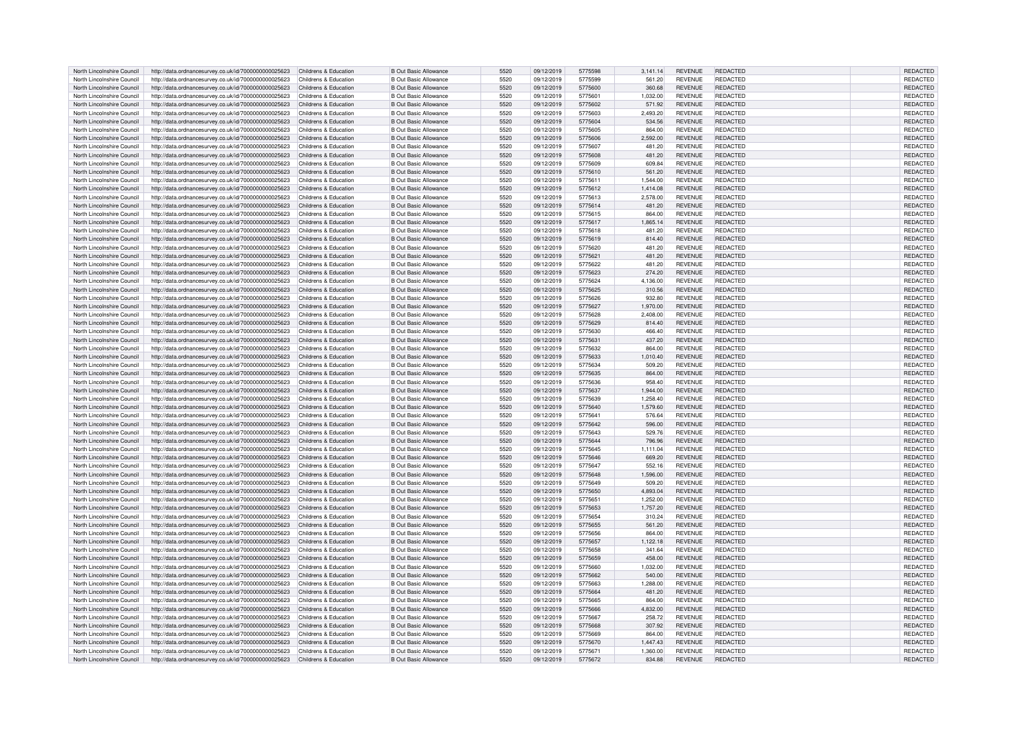| North Lincolnshire Council | http://data.ordnancesurvey.co.uk/id/7000000000025623                       | Childrens & Education | <b>B Out Basic Allowance</b> | 5520         | 09/12/2019 | 5775598 | 3.141.14 | <b>REVENUE</b> | <b>REDACTED</b> | <b>REDACTED</b> |
|----------------------------|----------------------------------------------------------------------------|-----------------------|------------------------------|--------------|------------|---------|----------|----------------|-----------------|-----------------|
| North Lincolnshire Council | http://data.ordnancesurvey.co.uk/id/7000000000025623                       | Childrens & Education | <b>B Out Basic Allowance</b> | 5520         | 09/12/2019 | 5775599 | 561.20   | <b>REVENUE</b> | REDACTED        | REDACTED        |
| North Lincolnshire Council | http://data.ordnancesurvey.co.uk/id/7000000000025623                       | Childrens & Education | <b>B Out Basic Allowance</b> | 5520         | 09/12/2019 | 5775600 | 360.68   | <b>REVENUE</b> | <b>REDACTED</b> | REDACTED        |
| North Lincolnshire Council | http://data.ordnancesurvey.co.uk/id/7000000000025623                       | Childrens & Education | <b>B Out Basic Allowance</b> | 5520         | 09/12/2019 | 5775601 | 1.032.00 | <b>REVENUE</b> | <b>REDACTED</b> | REDACTED        |
|                            |                                                                            |                       |                              |              |            |         |          |                |                 |                 |
| North Lincolnshire Council | http://data.ordnancesurvey.co.uk/id/7000000000025623                       | Childrens & Education | <b>B Out Basic Allowance</b> | 5520         | 09/12/2019 | 5775602 | 571.92   | <b>REVENUE</b> | <b>REDACTED</b> | <b>REDACTED</b> |
| North Lincolnshire Council | http://data.ordnancesurvey.co.uk/id/7000000000025623                       | Childrens & Education | <b>B Out Basic Allowance</b> | 5520         | 09/12/2019 | 5775603 | 2,493.20 | <b>REVENUE</b> | REDACTED        | REDACTED        |
| North Lincolnshire Council | http://data.ordnancesurvey.co.uk/id/7000000000025623                       | Childrens & Education | <b>B Out Basic Allowance</b> | 5520         | 09/12/2019 | 5775604 | 534.56   | <b>REVENUE</b> | <b>REDACTED</b> | REDACTED        |
| North Lincolnshire Council | http://data.ordnancesurvey.co.uk/id/7000000000025623                       | Childrens & Education | <b>B Out Basic Allowance</b> | 5520         | 09/12/2019 | 5775605 | 864.00   | <b>REVENUE</b> | <b>REDACTED</b> | REDACTED        |
| North Lincolnshire Council | http://data.ordnancesurvey.co.uk/id/7000000000025623                       | Childrens & Education | <b>B Out Basic Allowance</b> | 5520         | 09/12/2019 | 5775606 | 2.592.00 | <b>REVENUE</b> | <b>REDACTED</b> | <b>REDACTED</b> |
| North Lincolnshire Council | http://data.ordnancesurvey.co.uk/id/7000000000025623                       | Childrens & Education | <b>B Out Basic Allowance</b> | 5520         | 09/12/2019 | 5775607 | 481.20   | <b>REVENUE</b> | <b>REDACTED</b> | REDACTED        |
| North Lincolnshire Council | http://data.ordnancesurvey.co.uk/id/7000000000025623                       | Childrens & Education | <b>B Out Basic Allowance</b> | 5520         | 09/12/2019 | 5775608 | 481.20   | <b>REVENUE</b> | <b>REDACTED</b> | REDACTED        |
| North Lincolnshire Council |                                                                            | Childrens & Education | <b>B Out Basic Allowance</b> | 5520         | 09/12/2019 | 5775609 | 609.84   | <b>REVENUE</b> | REDACTED        | REDACTED        |
|                            | http://data.ordnancesurvey.co.uk/id/7000000000025623                       |                       |                              |              |            |         |          |                |                 |                 |
| North Lincolnshire Council | http://data.ordnancesurvey.co.uk/id/7000000000025623                       | Childrens & Education | <b>B Out Basic Allowance</b> | 5520         | 09/12/2019 | 5775610 | 561.20   | <b>REVENUE</b> | <b>REDACTED</b> | REDACTED        |
| North Lincolnshire Council | http://data.ordnancesurvey.co.uk/id/7000000000025623                       | Childrens & Education | <b>B Out Basic Allowance</b> | 5520         | 09/12/2019 | 5775611 | 1.544.00 | <b>REVENUE</b> | <b>REDACTED</b> | REDACTED        |
| North Lincolnshire Council | http://data.ordnancesurvey.co.uk/id/7000000000025623                       | Childrens & Education | <b>B Out Basic Allowance</b> | 5520         | 09/12/2019 | 5775612 | 1,414.08 | <b>REVENUE</b> | <b>REDACTED</b> | REDACTED        |
| North Lincolnshire Council | http://data.ordnancesurvey.co.uk/id/7000000000025623                       | Childrens & Education | <b>B Out Basic Allowance</b> | 5520         | 09/12/2019 | 5775613 | 2,578.00 | <b>REVENUE</b> | <b>REDACTED</b> | REDACTED        |
| North Lincolnshire Council | http://data.ordnancesurvey.co.uk/id/7000000000025623                       | Childrens & Education | <b>B Out Basic Allowance</b> | 5520         | 09/12/2019 | 5775614 | 481.20   | <b>REVENUE</b> | <b>REDACTED</b> | <b>REDACTED</b> |
| North Lincolnshire Council | http://data.ordnancesurvey.co.uk/id/7000000000025623                       | Childrens & Education | <b>B Out Basic Allowance</b> | 5520         | 09/12/2019 | 5775615 | 864.00   | <b>REVENUE</b> | <b>REDACTED</b> | REDACTED        |
| North Lincolnshire Council | http://data.ordnancesurvey.co.uk/id/7000000000025623                       | Childrens & Education | <b>B Out Basic Allowance</b> | 5520         | 09/12/2019 | 5775617 | 1,865.14 | <b>REVENUE</b> | <b>REDACTED</b> | REDACTED        |
| North Lincolnshire Council | http://data.ordnancesurvey.co.uk/id/7000000000025623                       | Childrens & Education | <b>B Out Basic Allowance</b> | 5520         | 09/12/2019 | 5775618 | 481.20   | <b>REVENUE</b> | <b>REDACTED</b> | <b>REDACTED</b> |
|                            |                                                                            |                       |                              | 5520         |            | 5775619 |          |                | <b>REDACTED</b> |                 |
| North Lincolnshire Council | http://data.ordnancesurvey.co.uk/id/7000000000025623                       | Childrens & Education | <b>B Out Basic Allowance</b> |              | 09/12/2019 |         | 814.40   | <b>REVENUE</b> |                 | REDACTED        |
| North Lincolnshire Council | http://data.ordnancesurvey.co.uk/id/7000000000025623                       | Childrens & Education | <b>B Out Basic Allowance</b> | 5520         | 09/12/2019 | 5775620 | 481.20   | <b>REVENUE</b> | <b>REDACTED</b> | REDACTED        |
| North Lincolnshire Council | http://data.ordnancesurvey.co.uk/id/7000000000025623                       | Childrens & Education | <b>B Out Basic Allowance</b> | 5520         | 09/12/2019 | 5775621 | 481.20   | <b>REVENUE</b> | <b>REDACTED</b> | <b>REDACTED</b> |
| North Lincolnshire Council | http://data.ordnancesurvey.co.uk/id/7000000000025623                       | Childrens & Education | <b>B Out Basic Allowance</b> | 5520         | 09/12/2019 | 5775622 | 481.20   | <b>REVENUE</b> | <b>REDACTED</b> | REDACTED        |
| North Lincolnshire Council | http://data.ordnancesurvey.co.uk/id/7000000000025623                       | Childrens & Education | <b>B Out Basic Allowance</b> | 5520         | 09/12/2019 | 5775623 | 274.20   | <b>REVENUE</b> | <b>REDACTED</b> | REDACTED        |
| North Lincolnshire Council | http://data.ordnancesurvey.co.uk/id/7000000000025623                       | Childrens & Education | <b>B Out Basic Allowance</b> | 5520         | 09/12/2019 | 5775624 | 4,136.00 | <b>REVENUE</b> | <b>REDACTED</b> | REDACTED        |
| North Lincolnshire Council | http://data.ordnancesurvey.co.uk/id/7000000000025623                       | Childrens & Education | <b>B Out Basic Allowance</b> | 5520         | 09/12/2019 | 5775625 | 310.56   | <b>REVENUE</b> | <b>REDACTED</b> | REDACTED        |
| North Lincolnshire Council | http://data.ordnancesurvey.co.uk/id/7000000000025623                       | Childrens & Education | <b>B Out Basic Allowance</b> | 5520         | 09/12/2019 | 5775626 | 932.80   | <b>REVENUE</b> | <b>REDACTED</b> | REDACTED        |
| North Lincolnshire Council | http://data.ordnancesurvey.co.uk/id/7000000000025623                       | Childrens & Education | <b>B Out Basic Allowance</b> | 5520         | 09/12/2019 | 5775627 | 1.970.00 | <b>REVENUE</b> | <b>REDACTED</b> | <b>REDACTED</b> |
| North Lincolnshire Council | http://data.ordnancesurvey.co.uk/id/7000000000025623                       | Childrens & Education | <b>B Out Basic Allowance</b> | 5520         | 09/12/2019 | 5775628 | 2,408.00 | <b>REVENUE</b> | <b>REDACTED</b> | REDACTED        |
|                            |                                                                            |                       |                              |              |            |         |          |                |                 |                 |
| North Lincolnshire Council | http://data.ordnancesurvey.co.uk/id/7000000000025623                       | Childrens & Education | <b>B Out Basic Allowance</b> | 5520         | 09/12/2019 | 5775629 | 814.40   | <b>REVENUE</b> | <b>REDACTED</b> | REDACTED        |
| North Lincolnshire Council | http://data.ordnancesurvey.co.uk/id/7000000000025623                       | Childrens & Education | <b>B Out Basic Allowance</b> | 5520         | 09/12/2019 | 5775630 | 466.40   | <b>REVENUE</b> | <b>REDACTED</b> | REDACTED        |
| North Lincolnshire Council | http://data.ordnancesurvey.co.uk/id/7000000000025623                       | Childrens & Education | <b>B Out Basic Allowance</b> | 5520         | 09/12/2019 | 5775631 | 437.20   | <b>REVENUE</b> | <b>REDACTED</b> | REDACTED        |
| North Lincolnshire Council | http://data.ordnancesurvey.co.uk/id/7000000000025623                       | Childrens & Education | <b>B Out Basic Allowance</b> | 5520         | 09/12/2019 | 5775632 | 864.00   | <b>REVENUE</b> | <b>REDACTED</b> | REDACTED        |
| North Lincolnshire Council | http://data.ordnancesurvey.co.uk/id/7000000000025623                       | Childrens & Education | <b>B Out Basic Allowance</b> | 5520         | 09/12/2019 | 5775633 | 1,010.40 | <b>REVENUE</b> | REDACTED        | REDACTED        |
| North Lincolnshire Council | http://data.ordnancesurvey.co.uk/id/7000000000025623                       | Childrens & Education | <b>B Out Basic Allowance</b> | 5520         | 09/12/2019 | 5775634 | 509.20   | <b>REVENUE</b> | REDACTED        | REDACTED        |
| North Lincolnshire Council | http://data.ordnancesurvey.co.uk/id/7000000000025623                       | Childrens & Education | <b>B Out Basic Allowance</b> | 5520         | 09/12/2019 | 5775635 | 864.00   | <b>REVENUE</b> | <b>REDACTED</b> | <b>REDACTED</b> |
| North Lincolnshire Council | http://data.ordnancesurvey.co.uk/id/7000000000025623                       | Childrens & Education | <b>B Out Basic Allowance</b> | 5520         | 09/12/2019 | 5775636 | 958.40   | <b>REVENUE</b> | REDACTED        | REDACTED        |
| North Lincolnshire Council | http://data.ordnancesurvey.co.uk/id/7000000000025623                       | Childrens & Education | <b>B Out Basic Allowance</b> | 5520         | 09/12/2019 | 5775637 | 1.944.00 | <b>REVENUE</b> | REDACTED        | <b>REDACTED</b> |
| North Lincolnshire Council |                                                                            | Childrens & Education | <b>B Out Basic Allowance</b> | 5520         | 09/12/2019 | 5775639 | 1,258.40 | <b>REVENUE</b> | <b>REDACTED</b> | REDACTED        |
|                            | http://data.ordnancesurvey.co.uk/id/7000000000025623                       |                       |                              |              |            |         |          |                |                 |                 |
| North Lincolnshire Council | http://data.ordnancesurvey.co.uk/id/7000000000025623                       | Childrens & Education | <b>B Out Basic Allowance</b> | 5520         | 09/12/2019 | 5775640 | 1,579.60 | <b>REVENUE</b> | <b>REDACTED</b> | REDACTED        |
| North Lincolnshire Council | http://data.ordnancesurvey.co.uk/id/7000000000025623                       | Childrens & Education | <b>B Out Basic Allowance</b> | 5520         | 09/12/2019 | 5775641 | 576.64   | <b>REVENUE</b> | <b>REDACTED</b> | <b>REDACTED</b> |
| North Lincolnshire Council | http://data.ordnancesurvey.co.uk/id/7000000000025623                       | Childrens & Education | <b>B Out Basic Allowance</b> | 5520         | 09/12/2019 | 5775642 | 596.00   | <b>REVENUE</b> | REDACTED        | REDACTED        |
| North Lincolnshire Council | http://data.ordnancesurvey.co.uk/id/7000000000025623                       | Childrens & Education | <b>B Out Basic Allowance</b> | 5520         | 09/12/2019 | 5775643 | 529.76   | <b>REVENUE</b> | REDACTED        | REDACTED        |
| North Lincolnshire Council | http://data.ordnancesurvey.co.uk/id/7000000000025623                       | Childrens & Education | <b>B Out Basic Allowance</b> | 5520         | 09/12/2019 | 5775644 | 796.96   | <b>REVENUE</b> | <b>REDACTED</b> | REDACTED        |
| North Lincolnshire Council | http://data.ordnancesurvey.co.uk/id/7000000000025623                       | Childrens & Education | <b>B Out Basic Allowance</b> | 5520         | 09/12/2019 | 5775645 | 1,111.04 | <b>REVENUE</b> | REDACTED        | REDACTED        |
| North Lincolnshire Council | http://data.ordnancesurvey.co.uk/id/7000000000025623                       | Childrens & Education | <b>B Out Basic Allowance</b> | 5520         | 09/12/2019 | 5775646 | 669.20   | <b>REVENUE</b> | <b>REDACTED</b> | REDACTED        |
| North Lincolnshire Council | http://data.ordnancesurvey.co.uk/id/7000000000025623                       | Childrens & Education | <b>B Out Basic Allowance</b> | 5520         | 09/12/2019 | 5775647 | 552.16   | <b>REVENUE</b> | REDACTED        | REDACTED        |
| North Lincolnshire Council | http://data.ordnancesurvey.co.uk/id/7000000000025623                       | Childrens & Education | <b>B Out Basic Allowance</b> | 5520         | 09/12/2019 | 5775648 | 1.596.00 | <b>REVENUE</b> | <b>REDACTED</b> | REDACTED        |
|                            |                                                                            |                       |                              |              |            | 5775649 |          |                | <b>REDACTED</b> |                 |
| North Lincolnshire Council | http://data.ordnancesurvey.co.uk/id/7000000000025623                       | Childrens & Education | <b>B Out Basic Allowance</b> | 5520<br>5520 | 09/12/2019 | 5775650 | 509.20   | <b>REVENUE</b> | <b>REDACTED</b> | REDACTED        |
| North Lincolnshire Council | http://data.ordnancesurvey.co.uk/id/7000000000025623                       | Childrens & Education | <b>B Out Basic Allowance</b> |              | 09/12/2019 |         | 4,893.04 | <b>REVENUE</b> |                 | REDACTED        |
| North Lincolnshire Council | http://data.ordnancesurvey.co.uk/id/7000000000025623                       | Childrens & Education | <b>B Out Basic Allowance</b> | 5520         | 09/12/2019 | 5775651 | 1,252.00 | <b>REVENUE</b> | <b>REDACTED</b> | REDACTED        |
| North Lincolnshire Council | http://data.ordnancesurvey.co.uk/id/7000000000025623                       | Childrens & Education | <b>B Out Basic Allowance</b> | 5520         | 09/12/2019 | 5775653 | 1,757.20 | <b>REVENUE</b> | REDACTED        | <b>REDACTED</b> |
| North Lincolnshire Council | http://data.ordnancesurvey.co.uk/id/7000000000025623                       | Childrens & Education | <b>B Out Basic Allowance</b> | 5520         | 09/12/2019 | 5775654 | 310.24   | <b>REVENUE</b> | <b>REDACTED</b> | REDACTED        |
| North Lincolnshire Council | http://data.ordnancesurvey.co.uk/id/7000000000025623                       | Childrens & Education | <b>B Out Basic Allowance</b> | 5520         | 09/12/2019 | 5775655 | 561.20   | <b>REVENUE</b> | <b>REDACTED</b> | REDACTED        |
| North Lincolnshire Council | http://data.ordnancesurvey.co.uk/id/7000000000025623                       | Childrens & Education | <b>B Out Basic Allowance</b> | 5520         | 09/12/2019 | 5775656 | 864.00   | <b>REVENUE</b> | <b>REDACTED</b> | <b>REDACTED</b> |
| North Lincolnshire Council | http://data.ordnancesurvey.co.uk/id/7000000000025623                       | Childrens & Education | <b>B Out Basic Allowance</b> | 5520         | 09/12/2019 | 5775657 | 1,122.18 | <b>REVENUE</b> | <b>REDACTED</b> | REDACTED        |
| North Lincolnshire Council | http://data.ordnancesurvey.co.uk/id/7000000000025623                       | Childrens & Education | <b>B Out Basic Allowance</b> | 5520         | 09/12/2019 | 5775658 | 341.64   | <b>REVENUE</b> | <b>REDACTED</b> | REDACTED        |
| North Lincolnshire Council | http://data.ordnancesurvey.co.uk/id/7000000000025623                       | Childrens & Education | <b>B Out Basic Allowance</b> | 5520         | 09/12/2019 | 5775659 | 458.00   | <b>REVENUE</b> | <b>REDACTED</b> | REDACTED        |
| North Lincolnshire Council | http://data.ordnancesurvey.co.uk/id/7000000000025623                       | Childrens & Education | <b>B Out Basic Allowance</b> | 5520         | 09/12/2019 | 5775660 | 1,032.00 | <b>REVENUE</b> | <b>REDACTED</b> | REDACTED        |
|                            |                                                                            |                       |                              |              |            |         |          |                |                 |                 |
| North Lincolnshire Council | http://data.ordnancesurvey.co.uk/id/7000000000025623                       | Childrens & Education | <b>B Out Basic Allowance</b> | 5520         | 09/12/2019 | 5775662 | 540.00   | <b>REVENUE</b> | <b>REDACTED</b> | REDACTED        |
| North Lincolnshire Council | http://data.ordnancesurvey.co.uk/id/7000000000025623                       | Childrens & Education | <b>B Out Basic Allowance</b> | 5520         | 09/12/2019 | 5775663 | 1,288.00 | <b>REVENUE</b> | <b>REDACTED</b> | REDACTED        |
| North Lincolnshire Council | http://data.ordnancesurvey.co.uk/id/7000000000025623                       | Childrens & Education | <b>B Out Basic Allowance</b> | 5520         | 09/12/2019 | 5775664 | 481.20   | <b>REVENUE</b> | REDACTED        | <b>REDACTED</b> |
| North Lincolnshire Council | http://data.ordnancesurvey.co.uk/id/7000000000025623                       | Childrens & Education | <b>B Out Basic Allowance</b> | 5520         | 09/12/2019 | 5775665 | 864.00   | <b>REVENUE</b> | <b>REDACTED</b> | REDACTED        |
| North Lincolnshire Council | http://data.ordnancesurvey.co.uk/id/7000000000025623                       | Childrens & Education | <b>B Out Basic Allowance</b> | 5520         | 09/12/2019 | 5775666 | 4,832.00 | <b>REVENUE</b> | <b>REDACTED</b> | REDACTED        |
| North Lincolnshire Council | http://data.ordnancesurvey.co.uk/id/7000000000025623                       | Childrens & Education | <b>B Out Basic Allowance</b> | 5520         | 09/12/2019 | 5775667 | 258.72   | <b>REVENUE</b> | REDACTED        | REDACTED        |
| North Lincolnshire Council | http://data.ordnancesurvey.co.uk/id/7000000000025623                       | Childrens & Education | <b>B Out Basic Allowance</b> | 5520         | 09/12/2019 | 5775668 | 307.92   | <b>REVENUE</b> | <b>REDACTED</b> | REDACTED        |
| North Lincolnshire Council | http://data.ordnancesurvey.co.uk/id/7000000000025623                       | Childrens & Education | <b>B Out Basic Allowance</b> | 5520         | 09/12/2019 | 5775669 | 864.00   | <b>REVENUE</b> | REDACTED        | REDACTED        |
| North Lincolnshire Council | http://data.ordnancesurvey.co.uk/id/7000000000025623                       | Childrens & Education | <b>B Out Basic Allowance</b> | 5520         | 09/12/2019 | 5775670 | 1,447.43 | <b>REVENUE</b> | REDACTED        | REDACTED        |
| North Lincolnshire Council | http://data.ordnancesurvey.co.uk/id/7000000000025623                       | Childrens & Education | <b>B Out Basic Allowance</b> | 5520         | 09/12/2019 | 5775671 | 1.360.00 | <b>REVENUE</b> | REDACTED        | <b>REDACTED</b> |
| North Lincolnshire Council | http://data.ordnancesurvey.co.uk/id/7000000000025623 Childrens & Education |                       | <b>B Out Basic Allowance</b> | 5520         | 09/12/2019 | 5775672 | 834.88   | <b>REVENUE</b> | <b>REDACTED</b> | REDACTED        |
|                            |                                                                            |                       |                              |              |            |         |          |                |                 |                 |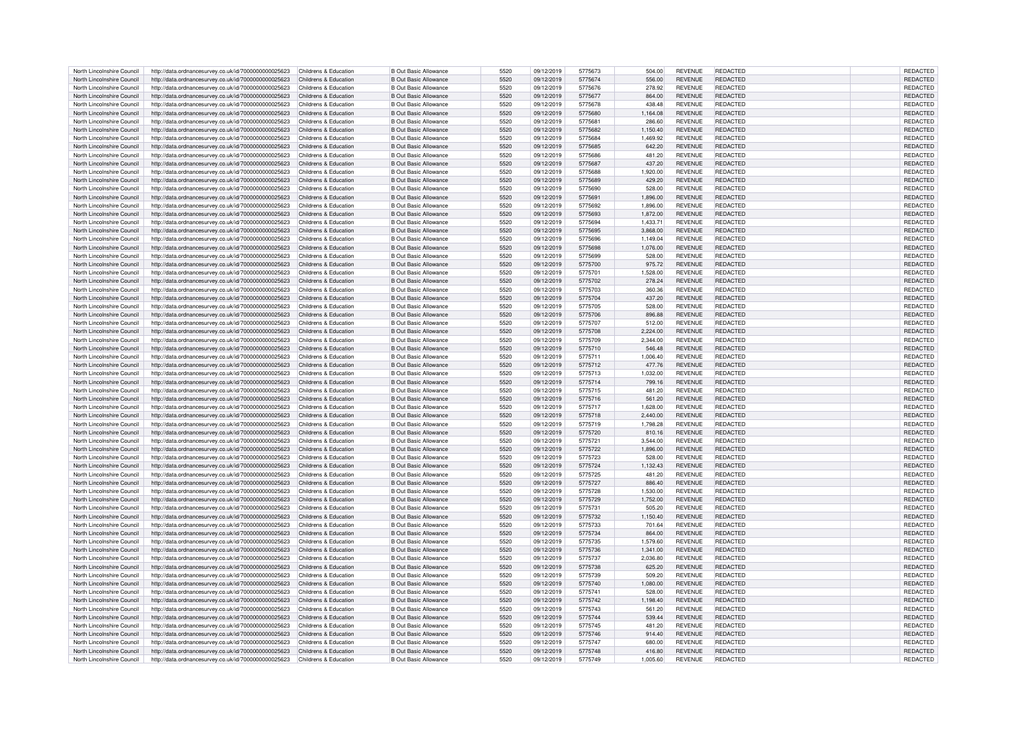| North Lincolnshire Council | http://data.ordnancesurvey.co.uk/id/7000000000025623                       | Childrens & Education | <b>B</b> Out Basic Allowance | 5520 | 09/12/2019 | 5775673 | 504.00   | <b>REVENUE</b> | REDACTED        | REDACTED        |
|----------------------------|----------------------------------------------------------------------------|-----------------------|------------------------------|------|------------|---------|----------|----------------|-----------------|-----------------|
| North Lincolnshire Council | http://data.ordnancesurvey.co.uk/id/7000000000025623                       | Childrens & Education | B Out Basic Allowance        | 5520 | 09/12/2019 | 5775674 | 556.00   | <b>REVENUE</b> | <b>REDACTED</b> | <b>REDACTED</b> |
|                            |                                                                            |                       |                              |      |            |         |          |                |                 |                 |
| North Lincolnshire Council | http://data.ordnancesurvey.co.uk/id/7000000000025623                       | Childrens & Education | B Out Basic Allowance        | 5520 | 09/12/2019 | 5775676 | 278.92   | <b>REVENUE</b> | <b>REDACTED</b> | REDACTED        |
| North Lincolnshire Council | http://data.ordnancesurvey.co.uk/id/7000000000025623                       | Childrens & Education | <b>B</b> Out Basic Allowance | 5520 | 09/12/2019 | 5775677 | 864.00   | <b>REVENUE</b> | <b>REDACTED</b> | REDACTED        |
| North Lincolnshire Council | http://data.ordnancesurvey.co.uk/id/7000000000025623                       | Childrens & Education | B Out Basic Allowance        | 5520 | 09/12/2019 | 5775678 | 438.48   | <b>REVENUE</b> | <b>REDACTED</b> | REDACTED        |
| North Lincolnshire Council | http://data.ordnancesurvey.co.uk/id/7000000000025623                       | Childrens & Education | <b>B</b> Out Basic Allowance | 5520 | 09/12/2019 | 5775680 | 1,164.08 | <b>REVENUE</b> | <b>REDACTED</b> | REDACTED        |
|                            |                                                                            |                       |                              | 5520 |            |         |          |                | <b>REDACTED</b> |                 |
| North Lincolnshire Council | http://data.ordnancesurvey.co.uk/id/7000000000025623                       | Childrens & Education | <b>B</b> Out Basic Allowance |      | 09/12/2019 | 5775681 | 286.60   | <b>REVENUE</b> |                 | REDACTED        |
| North Lincolnshire Council | http://data.ordnancesurvey.co.uk/id/7000000000025623                       | Childrens & Education | B Out Basic Allowance        | 5520 | 09/12/2019 | 5775682 | 1.150.40 | <b>REVENUE</b> | REDACTED        | REDACTED        |
| North Lincolnshire Council | http://data.ordnancesurvey.co.uk/id/7000000000025623                       | Childrens & Education | <b>B Out Basic Allowance</b> | 5520 | 09/12/2019 | 5775684 | 1.469.92 | <b>REVENUE</b> | <b>REDACTED</b> | REDACTED        |
| North Lincolnshire Council | http://data.ordnancesurvey.co.uk/id/7000000000025623                       | Childrens & Education | <b>B Out Basic Allowance</b> | 5520 | 09/12/2019 | 5775685 | 642.20   | <b>REVENUE</b> | REDACTED        | REDACTED        |
| North Lincolnshire Council |                                                                            | Childrens & Education | B Out Basic Allowance        | 5520 | 09/12/2019 | 5775686 | 481.20   | <b>REVENUE</b> | REDACTED        | REDACTED        |
|                            | http://data.ordnancesurvey.co.uk/id/7000000000025623                       |                       |                              |      |            |         |          |                |                 |                 |
| North Lincolnshire Council | http://data.ordnancesurvey.co.uk/id/7000000000025623                       | Childrens & Education | <b>B Out Basic Allowance</b> | 5520 | 09/12/2019 | 5775687 | 437.20   | <b>REVENUE</b> | REDACTED        | REDACTED        |
| North Lincolnshire Council | http://data.ordnancesurvey.co.uk/id/7000000000025623                       | Childrens & Education | B Out Basic Allowance        | 5520 | 09/12/2019 | 5775688 | 1.920.00 | <b>REVENUE</b> | REDACTED        | REDACTED        |
| North Lincolnshire Council | http://data.ordnancesurvey.co.uk/id/7000000000025623                       | Childrens & Education | <b>B Out Basic Allowance</b> | 5520 | 09/12/2019 | 5775689 | 429.20   | <b>REVENUE</b> | <b>REDACTED</b> | REDACTED        |
| North Lincolnshire Council | http://data.ordnancesurvey.co.uk/id/7000000000025623                       | Childrens & Education | <b>B Out Basic Allowance</b> | 5520 | 09/12/2019 | 5775690 | 528.00   | <b>REVENUE</b> | <b>REDACTED</b> | REDACTED        |
|                            |                                                                            |                       |                              |      |            |         |          |                |                 |                 |
| North Lincolnshire Council | http://data.ordnancesurvey.co.uk/id/7000000000025623                       | Childrens & Education | <b>B Out Basic Allowance</b> | 5520 | 09/12/2019 | 5775691 | 1,896.00 | <b>REVENUE</b> | <b>REDACTED</b> | <b>REDACTED</b> |
| North Lincolnshire Council | http://data.ordnancesurvey.co.uk/id/7000000000025623                       | Childrens & Education | <b>B Out Basic Allowance</b> | 5520 | 09/12/2019 | 5775692 | 1,896.00 | <b>REVENUE</b> | <b>REDACTED</b> | REDACTED        |
| North Lincolnshire Council | http://data.ordnancesurvey.co.uk/id/7000000000025623                       | Childrens & Education | <b>B Out Basic Allowance</b> | 5520 | 09/12/2019 | 5775693 | 1.872.00 | <b>REVENUE</b> | <b>REDACTED</b> | REDACTED        |
| North Lincolnshire Council | http://data.ordnancesurvey.co.uk/id/7000000000025623                       | Childrens & Education | B Out Basic Allowance        | 5520 | 09/12/2019 | 5775694 | 1,433.71 | <b>REVENUE</b> | <b>REDACTED</b> | REDACTED        |
| North Lincolnshire Council | http://data.ordnancesurvey.co.uk/id/7000000000025623                       | Childrens & Education | <b>B Out Basic Allowance</b> | 5520 | 09/12/2019 | 5775695 | 3,868.00 | <b>REVENUE</b> | <b>REDACTED</b> | REDACTED        |
|                            |                                                                            |                       |                              |      |            |         |          |                |                 |                 |
| North Lincolnshire Council | http://data.ordnancesurvey.co.uk/id/7000000000025623                       | Childrens & Education | <b>B Out Basic Allowance</b> | 5520 | 09/12/2019 | 5775696 | 1.149.04 | <b>REVENUE</b> | REDACTED        | REDACTED        |
| North Lincolnshire Council | http://data.ordnancesurvey.co.uk/id/7000000000025623                       | Childrens & Education | <b>B Out Basic Allowance</b> | 5520 | 09/12/2019 | 5775698 | 1,076.00 | <b>REVENUE</b> | <b>REDACTED</b> | REDACTED        |
| North Lincolnshire Council | http://data.ordnancesurvey.co.uk/id/7000000000025623                       | Childrens & Education | <b>B Out Basic Allowance</b> | 5520 | 09/12/2019 | 5775699 | 528.00   | <b>REVENUE</b> | REDACTED        | REDACTED        |
| North Lincolnshire Council | http://data.ordnancesurvey.co.uk/id/7000000000025623                       | Childrens & Education | <b>B Out Basic Allowance</b> | 5520 | 09/12/2019 | 5775700 | 975.72   | <b>REVENUE</b> | <b>REDACTED</b> | REDACTED        |
| North Lincolnshire Council |                                                                            | Childrens & Education | B Out Basic Allowance        | 5520 |            | 5775701 |          | <b>REVENUE</b> | <b>REDACTED</b> |                 |
|                            | http://data.ordnancesurvey.co.uk/id/7000000000025623                       |                       |                              |      | 09/12/2019 |         | 1,528.00 |                |                 | REDACTED        |
| North Lincolnshire Council | http://data.ordnancesurvey.co.uk/id/7000000000025623                       | Childrens & Education | <b>B Out Basic Allowance</b> | 5520 | 09/12/2019 | 5775702 | 278.24   | <b>REVENUE</b> | <b>REDACTED</b> | REDACTED        |
| North Lincolnshire Council | http://data.ordnancesurvey.co.uk/id/7000000000025623                       | Childrens & Education | B Out Basic Allowance        | 5520 | 09/12/2019 | 5775703 | 360.36   | <b>REVENUE</b> | <b>REDACTED</b> | <b>REDACTED</b> |
| North Lincolnshire Council | http://data.ordnancesurvey.co.uk/id/7000000000025623                       | Childrens & Education | B Out Basic Allowance        | 5520 | 09/12/2019 | 5775704 | 437.20   | <b>REVENUE</b> | <b>REDACTED</b> | <b>REDACTED</b> |
| North Lincolnshire Council | http://data.ordnancesurvey.co.uk/id/7000000000025623                       | Childrens & Education | <b>B Out Basic Allowance</b> | 5520 | 09/12/2019 | 5775705 | 528.00   | <b>REVENUE</b> | <b>REDACTED</b> | REDACTED        |
|                            |                                                                            |                       |                              |      |            |         |          |                |                 |                 |
| North Lincolnshire Council | http://data.ordnancesurvey.co.uk/id/7000000000025623                       | Childrens & Education | <b>B Out Basic Allowance</b> | 5520 | 09/12/2019 | 5775706 | 896.88   | <b>REVENUE</b> | <b>REDACTED</b> | REDACTED        |
| North Lincolnshire Council | http://data.ordnancesurvey.co.uk/id/7000000000025623                       | Childrens & Education | <b>B Out Basic Allowance</b> | 5520 | 09/12/2019 | 5775707 | 512.00   | <b>REVENUE</b> | <b>REDACTED</b> | REDACTED        |
| North Lincolnshire Council | http://data.ordnancesurvey.co.uk/id/7000000000025623                       | Childrens & Education | <b>B Out Basic Allowance</b> | 5520 | 09/12/2019 | 5775708 | 2,224.00 | <b>REVENUE</b> | <b>REDACTED</b> | REDACTED        |
| North Lincolnshire Council | http://data.ordnancesurvey.co.uk/id/7000000000025623                       | Childrens & Education | B Out Basic Allowance        | 5520 | 09/12/2019 | 5775709 | 2.344.00 | <b>REVENUE</b> | <b>REDACTED</b> | REDACTED        |
| North Lincolnshire Council |                                                                            | Childrens & Education | B Out Basic Allowance        |      |            | 5775710 |          |                |                 | REDACTED        |
|                            | http://data.ordnancesurvey.co.uk/id/7000000000025623                       |                       |                              | 5520 | 09/12/2019 |         | 546.48   | <b>REVENUE</b> | REDACTED        |                 |
| North Lincolnshire Council | http://data.ordnancesurvey.co.uk/id/7000000000025623                       | Childrens & Education | B Out Basic Allowance        | 5520 | 09/12/2019 | 5775711 | 1,006.40 | <b>REVENUE</b> | REDACTED        | REDACTED        |
| North Lincolnshire Council | http://data.ordnancesurvey.co.uk/id/7000000000025623                       | Childrens & Education | B Out Basic Allowance        | 5520 | 09/12/2019 | 5775712 | 477.76   | <b>REVENUE</b> | <b>REDACTED</b> | <b>REDACTED</b> |
| North Lincolnshire Council | http://data.ordnancesurvey.co.uk/id/7000000000025623                       | Childrens & Education | <b>B Out Basic Allowance</b> | 5520 | 09/12/2019 | 5775713 | 1,032.00 | <b>REVENUE</b> | <b>REDACTED</b> | REDACTED        |
| North Lincolnshire Council | http://data.ordnancesurvey.co.uk/id/7000000000025623                       | Childrens & Education | <b>B Out Basic Allowance</b> | 5520 | 09/12/2019 | 5775714 | 799.16   | <b>REVENUE</b> | <b>REDACTED</b> | <b>REDACTED</b> |
| North Lincolnshire Council |                                                                            | Childrens & Education | B Out Basic Allowance        | 5520 |            | 5775715 | 481.20   | <b>REVENUE</b> | <b>REDACTED</b> |                 |
|                            | http://data.ordnancesurvey.co.uk/id/7000000000025623                       |                       |                              |      | 09/12/2019 |         |          |                |                 | REDACTED        |
| North Lincolnshire Council | http://data.ordnancesurvey.co.uk/id/7000000000025623                       | Childrens & Education | <b>B Out Basic Allowance</b> | 5520 | 09/12/2019 | 5775716 | 561.20   | <b>REVENUE</b> | <b>REDACTED</b> | REDACTED        |
| North Lincolnshire Council | http://data.ordnancesurvey.co.uk/id/7000000000025623                       | Childrens & Education | B Out Basic Allowance        | 5520 | 09/12/2019 | 5775717 | 1.628.00 | <b>REVENUE</b> | <b>REDACTED</b> | REDACTED        |
| North Lincolnshire Council | http://data.ordnancesurvey.co.uk/id/7000000000025623                       | Childrens & Education | <b>B Out Basic Allowance</b> | 5520 | 09/12/2019 | 5775718 | 2,440.00 | <b>REVENUE</b> | <b>REDACTED</b> | REDACTED        |
| North Lincolnshire Council | http://data.ordnancesurvev.co.uk/id/7000000000025623                       | Childrens & Education | <b>B Out Basic Allowance</b> | 5520 | 09/12/2019 | 5775719 | 1.798.28 | <b>REVENUE</b> | <b>REDACTED</b> | REDACTED        |
|                            |                                                                            |                       |                              |      |            |         |          |                |                 |                 |
| North Lincolnshire Council | http://data.ordnancesurvey.co.uk/id/7000000000025623                       | Childrens & Education | <b>B Out Basic Allowance</b> | 5520 | 09/12/2019 | 5775720 | 810.16   | <b>REVENUE</b> | <b>REDACTED</b> | REDACTED        |
| North Lincolnshire Council | http://data.ordnancesurvey.co.uk/id/7000000000025623                       | Childrens & Education | <b>B Out Basic Allowance</b> | 5520 | 09/12/2019 | 5775721 | 3,544.00 | <b>REVENUE</b> | <b>REDACTED</b> | REDACTED        |
| North Lincolnshire Council | http://data.ordnancesurvey.co.uk/id/7000000000025623                       | Childrens & Education | <b>B Out Basic Allowance</b> | 5520 | 09/12/2019 | 5775722 | 1,896.00 | <b>REVENUE</b> | <b>REDACTED</b> | REDACTED        |
| North Lincolnshire Council | http://data.ordnancesurvey.co.uk/id/7000000000025623                       | Childrens & Education | <b>B Out Basic Allowance</b> | 5520 | 09/12/2019 | 5775723 | 528.00   | <b>REVENUE</b> | <b>REDACTED</b> | <b>REDACTED</b> |
| North Lincolnshire Council |                                                                            | Childrens & Education | B Out Basic Allowance        | 5520 | 09/12/2019 | 5775724 |          | <b>REVENUE</b> | <b>REDACTED</b> | <b>REDACTED</b> |
|                            | http://data.ordnancesurvey.co.uk/id/7000000000025623                       |                       |                              |      |            |         | 1,132.43 |                |                 |                 |
| North Lincolnshire Council | http://data.ordnancesurvey.co.uk/id/7000000000025623                       | Childrens & Education | <b>B Out Basic Allowance</b> | 5520 | 09/12/2019 | 5775725 | 481.20   | <b>REVENUE</b> | <b>REDACTED</b> | REDACTED        |
| North Lincolnshire Council | http://data.ordnancesurvey.co.uk/id/7000000000025623                       | Childrens & Education | <b>B Out Basic Allowance</b> | 5520 | 09/12/2019 | 5775727 | 886.40   | <b>REVENUE</b> | <b>REDACTED</b> | REDACTED        |
| North Lincolnshire Council | http://data.ordnancesurvey.co.uk/id/7000000000025623                       | Childrens & Education | <b>B Out Basic Allowance</b> | 5520 | 09/12/2019 | 5775728 | 1,530.00 | <b>REVENUE</b> | REDACTED        | REDACTED        |
| North Lincolnshire Council | http://data.ordnancesurvey.co.uk/id/7000000000025623                       | Childrens & Education | <b>B Out Basic Allowance</b> | 5520 | 09/12/2019 | 5775729 | 1,752.00 | <b>REVENUE</b> | <b>REDACTED</b> | REDACTED        |
|                            |                                                                            |                       |                              |      |            |         |          |                |                 |                 |
| North Lincolnshire Council | http://data.ordnancesurvey.co.uk/id/7000000000025623                       | Childrens & Education | B Out Basic Allowance        | 5520 | 09/12/2019 | 5775731 | 505.20   | <b>REVENUE</b> | <b>REDACTED</b> | <b>REDACTED</b> |
| North Lincolnshire Council | http://data.ordnancesurvey.co.uk/id/7000000000025623                       | Childrens & Education | <b>B Out Basic Allowance</b> | 5520 | 09/12/2019 | 5775732 | 1,150.40 | <b>REVENUE</b> | <b>REDACTED</b> | <b>REDACTED</b> |
| North Lincolnshire Council | http://data.ordnancesurvey.co.uk/id/7000000000025623                       | Childrens & Education | B Out Basic Allowance        | 5520 | 09/12/2019 | 5775733 | 701.64   | <b>REVENUE</b> | REDACTED        | <b>REDACTED</b> |
| North Lincolnshire Council | http://data.ordnancesurvey.co.uk/id/7000000000025623                       | Childrens & Education | <b>B Out Basic Allowance</b> | 5520 | 09/12/2019 | 5775734 | 864.00   | <b>REVENUE</b> | <b>REDACTED</b> | REDACTED        |
| North Lincolnshire Council | http://data.ordnancesurvey.co.uk/id/7000000000025623                       | Childrens & Education | <b>B Out Basic Allowance</b> | 5520 | 09/12/2019 | 5775735 | 1,579.60 | <b>REVENUE</b> | <b>REDACTED</b> | REDACTED        |
|                            |                                                                            |                       |                              |      |            |         |          |                |                 |                 |
| North Lincolnshire Council | http://data.ordnancesurvey.co.uk/id/7000000000025623                       | Childrens & Education | <b>B Out Basic Allowance</b> | 5520 | 09/12/2019 | 5775736 | 1.341.00 | <b>REVENUE</b> | <b>REDACTED</b> | <b>REDACTED</b> |
| North Lincolnshire Council | http://data.ordnancesurvey.co.uk/id/7000000000025623                       | Childrens & Education | <b>B.Out Basic Allowance</b> | 5520 | 09/12/2019 | 5775737 | 2,036.80 | <b>REVENUE</b> | <b>REDACTED</b> | REDACTED        |
| North Lincolnshire Council | http://data.ordnancesurvey.co.uk/id/7000000000025623                       | Childrens & Education | <b>B Out Basic Allowance</b> | 5520 | 09/12/2019 | 5775738 | 625.20   | <b>REVENUE</b> | <b>REDACTED</b> | REDACTED        |
| North Lincolnshire Council | http://data.ordnancesurvey.co.uk/id/7000000000025623                       | Childrens & Education | B Out Basic Allowance        | 5520 | 09/12/2019 | 5775739 | 509.20   | <b>REVENUE</b> | <b>REDACTED</b> | <b>REDACTED</b> |
| North Lincolnshire Council | http://data.ordnancesurvey.co.uk/id/7000000000025623                       | Childrens & Education | <b>B Out Basic Allowance</b> | 5520 | 09/12/2019 | 5775740 | 1,080.00 | <b>REVENUE</b> | <b>REDACTED</b> | REDACTED        |
|                            |                                                                            |                       |                              |      |            |         |          |                |                 |                 |
| North Lincolnshire Council | http://data.ordnancesurvey.co.uk/id/7000000000025623                       | Childrens & Education | B Out Basic Allowance        | 5520 | 09/12/2019 | 5775741 | 528.00   | <b>REVENUE</b> | <b>REDACTED</b> | REDACTED        |
| North Lincolnshire Council | http://data.ordnancesurvey.co.uk/id/7000000000025623                       | Childrens & Education | <b>B Out Basic Allowance</b> | 5520 | 09/12/2019 | 5775742 | 1,198.40 | <b>REVENUE</b> | REDACTED        | REDACTED        |
| North Lincolnshire Council | http://data.ordnancesurvey.co.uk/id/7000000000025623                       | Childrens & Education | <b>B Out Basic Allowance</b> | 5520 | 09/12/2019 | 5775743 | 561.20   | <b>REVENUE</b> | <b>REDACTED</b> | REDACTED        |
| North Lincolnshire Council | http://data.ordnancesurvey.co.uk/id/7000000000025623                       | Childrens & Education | <b>B Out Basic Allowance</b> | 5520 | 09/12/2019 | 5775744 | 539.44   | <b>REVENUE</b> | REDACTED        | <b>REDACTED</b> |
| North Lincolnshire Council | http://data.ordnancesurvey.co.uk/id/7000000000025623                       | Childrens & Education | <b>B Out Basic Allowance</b> | 5520 | 09/12/2019 | 5775745 | 481.20   | <b>REVENUE</b> | <b>REDACTED</b> | REDACTED        |
|                            |                                                                            |                       |                              |      |            |         |          |                |                 |                 |
| North Lincolnshire Council | http://data.ordnancesurvey.co.uk/id/7000000000025623                       | Childrens & Education | <b>B Out Basic Allowance</b> | 5520 | 09/12/2019 | 5775746 | 914.40   | <b>REVENUE</b> | <b>REDACTED</b> | REDACTED        |
| North Lincolnshire Council | http://data.ordnancesurvey.co.uk/id/7000000000025623                       | Childrens & Education | B Out Basic Allowance        | 5520 | 09/12/2019 | 5775747 | 680.00   | <b>REVENUE</b> | REDACTED        | REDACTED        |
| North Lincolnshire Council | http://data.ordnancesurvey.co.uk/id/700000000025623 Childrens & Education  |                       | B Out Basic Allowance        | 5520 | 09/12/2019 | 5775748 | 416.80   | <b>REVENUE</b> | <b>REDACTED</b> | REDACTED        |
|                            |                                                                            |                       |                              |      |            |         |          |                |                 |                 |
| North Lincolnshire Council | http://data.ordnancesurvey.co.uk/id/7000000000025623 Childrens & Education |                       | <b>B Out Basic Allowance</b> | 5520 | 09/12/2019 | 5775749 | 1.005.60 | <b>REVENUE</b> | REDACTED        | REDACTED        |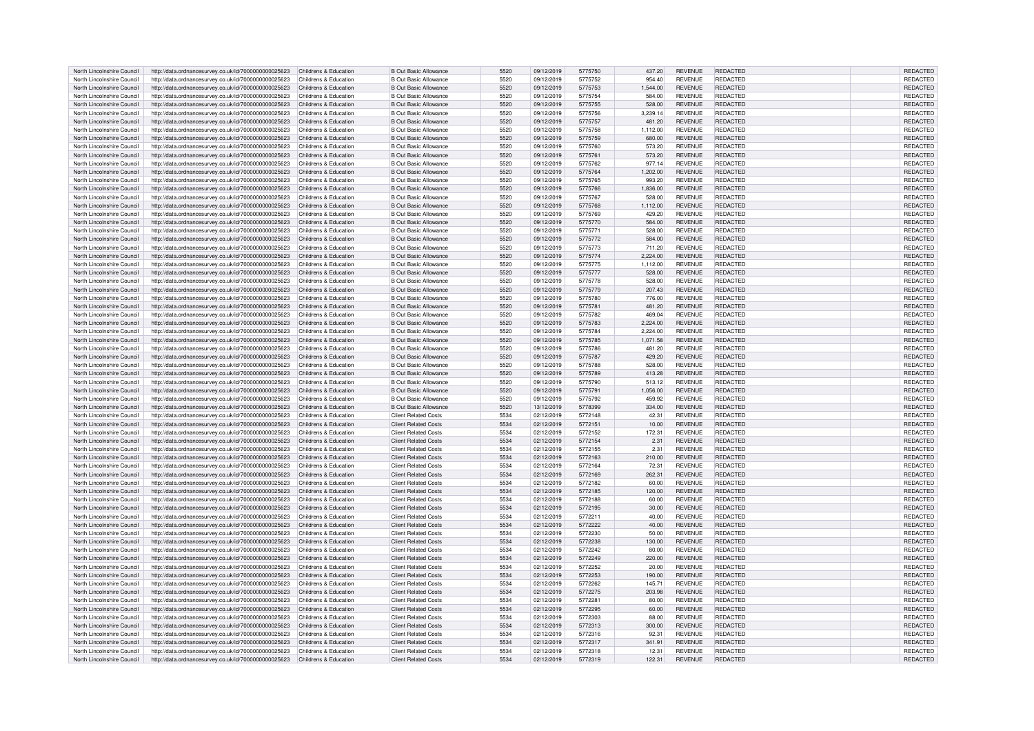| North Lincolnshire Council | http://data.ordnancesurvey.co.uk/id/7000000000025623                                                                               | Childrens & Education | <b>B Out Basic Allowance</b> | 5520 | 09/12/2019 | 5775750 | 437.20   | <b>REVENUE</b> | <b>REDACTED</b> | REDACTED        |
|----------------------------|------------------------------------------------------------------------------------------------------------------------------------|-----------------------|------------------------------|------|------------|---------|----------|----------------|-----------------|-----------------|
| North Lincolnshire Council | http://data.ordnancesurvey.co.uk/id/7000000000025623                                                                               | Childrens & Education | <b>B Out Basic Allowance</b> | 5520 | 09/12/2019 | 5775752 | 954.40   | <b>REVENUE</b> | <b>REDACTED</b> | <b>REDACTED</b> |
| North Lincolnshire Council |                                                                                                                                    | Childrens & Education | <b>B Out Basic Allowance</b> | 5520 | 09/12/2019 |         | 1.544.00 | <b>REVENUE</b> | <b>REDACTED</b> | REDACTED        |
|                            | http://data.ordnancesurvey.co.uk/id/7000000000025623                                                                               |                       |                              |      |            | 5775753 |          |                |                 |                 |
| North Lincolnshire Council | http://data.ordnancesurvey.co.uk/id/7000000000025623                                                                               | Childrens & Education | <b>B Out Basic Allowance</b> | 5520 | 09/12/2019 | 5775754 | 584.00   | <b>REVENUE</b> | <b>REDACTED</b> | REDACTED        |
| North Lincolnshire Council | http://data.ordnancesurvey.co.uk/id/7000000000025623                                                                               | Childrens & Education | <b>B Out Basic Allowance</b> | 5520 | 09/12/2019 | 5775755 | 528.00   | <b>REVENUE</b> | <b>REDACTED</b> | REDACTED        |
| North Lincolnshire Council | http://data.ordnancesurvey.co.uk/id/7000000000025623                                                                               | Childrens & Education | <b>B Out Basic Allowance</b> | 5520 | 09/12/2019 | 5775756 | 3,239.14 | <b>REVENUE</b> | REDACTED        | REDACTED        |
| North Lincolnshire Council | http://data.ordnancesurvey.co.uk/id/7000000000025623                                                                               | Childrens & Education | <b>B Out Basic Allowance</b> | 5520 | 09/12/2019 | 5775757 | 481.20   | <b>REVENUE</b> | <b>REDACTED</b> | REDACTED        |
| North Lincolnshire Council | http://data.ordnancesurvey.co.uk/id/7000000000025623                                                                               | Childrens & Education | <b>B Out Basic Allowance</b> | 5520 | 09/12/2019 | 5775758 | 1.112.00 | <b>REVENUE</b> | <b>REDACTED</b> | <b>REDACTED</b> |
| North Lincolnshire Council | http://data.ordnancesurvey.co.uk/id/7000000000025623                                                                               | Childrens & Education | <b>B Out Basic Allowance</b> | 5520 | 09/12/2019 | 5775759 | 680.00   | <b>REVENUE</b> | <b>REDACTED</b> | REDACTED        |
|                            |                                                                                                                                    |                       |                              |      |            |         |          |                |                 |                 |
| North Lincolnshire Council | http://data.ordnancesurvey.co.uk/id/7000000000025623                                                                               | Childrens & Education | <b>B Out Basic Allowance</b> | 5520 | 09/12/2019 | 5775760 | 573.20   | <b>REVENUE</b> | <b>REDACTED</b> | REDACTED        |
| North Lincolnshire Council | http://data.ordnancesurvey.co.uk/id/7000000000025623                                                                               | Childrens & Education | <b>B Out Basic Allowance</b> | 5520 | 09/12/2019 | 5775761 | 573.20   | <b>REVENUE</b> | REDACTED        | <b>REDACTED</b> |
| North Lincolnshire Council | http://data.ordnancesurvey.co.uk/id/7000000000025623                                                                               | Childrens & Education | <b>B Out Basic Allowance</b> | 5520 | 09/12/2019 | 5775762 | 977.14   | <b>REVENUE</b> | <b>REDACTED</b> | REDACTED        |
| North Lincolnshire Council | http://data.ordnancesurvey.co.uk/id/7000000000025623                                                                               | Childrens & Education | <b>B Out Basic Allowance</b> | 5520 | 09/12/2019 | 5775764 | 1.202.00 | <b>REVENUE</b> | <b>REDACTED</b> | <b>REDACTED</b> |
| North Lincolnshire Council | http://data.ordnancesurvey.co.uk/id/7000000000025623                                                                               | Childrens & Education | <b>B Out Basic Allowance</b> | 5520 | 09/12/2019 | 5775765 | 993.20   | <b>REVENUE</b> | <b>REDACTED</b> | REDACTED        |
| North Lincolnshire Council | http://data.ordnancesurvey.co.uk/id/7000000000025623                                                                               | Childrens & Education | <b>B Out Basic Allowance</b> | 5520 | 09/12/2019 | 5775766 | 1,836.00 | <b>REVENUE</b> | <b>REDACTED</b> | REDACTED        |
|                            |                                                                                                                                    |                       |                              |      |            |         |          |                |                 |                 |
| North Lincolnshire Council | http://data.ordnancesurvey.co.uk/id/7000000000025623                                                                               | Childrens & Education | <b>B Out Basic Allowance</b> | 5520 | 09/12/2019 | 5775767 | 528.00   | <b>REVENUE</b> | REDACTED        | <b>REDACTED</b> |
| North Lincolnshire Council | http://data.ordnancesurvey.co.uk/id/7000000000025623                                                                               | Childrens & Education | <b>B Out Basic Allowance</b> | 5520 | 09/12/2019 | 5775768 | 1,112.00 | <b>REVENUE</b> | <b>REDACTED</b> | REDACTED        |
| North Lincolnshire Council | http://data.ordnancesurvey.co.uk/id/7000000000025623                                                                               | Childrens & Education | <b>B Out Basic Allowance</b> | 5520 | 09/12/2019 | 5775769 | 429.20   | <b>REVENUE</b> | REDACTED        | REDACTED        |
| North Lincolnshire Council | http://data.ordnancesurvey.co.uk/id/7000000000025623                                                                               | Childrens & Education | <b>B Out Basic Allowance</b> | 5520 | 09/12/2019 | 5775770 | 584.00   | <b>REVENUE</b> | <b>REDACTED</b> | REDACTED        |
| North Lincolnshire Council | http://data.ordnancesurvey.co.uk/id/7000000000025623                                                                               | Childrens & Education | <b>B Out Basic Allowance</b> | 5520 | 09/12/2019 | 5775771 | 528.00   | <b>REVENUE</b> | <b>REDACTED</b> | REDACTED        |
| North Lincolnshire Council | http://data.ordnancesurvey.co.uk/id/7000000000025623                                                                               | Childrens & Education | <b>B Out Basic Allowance</b> | 5520 | 09/12/2019 | 5775772 | 584.00   | <b>REVENUE</b> | <b>REDACTED</b> | REDACTED        |
| North Lincolnshire Council | http://data.ordnancesurvey.co.uk/id/7000000000025623                                                                               | Childrens & Education | <b>B Out Basic Allowance</b> | 5520 | 09/12/2019 | 5775773 | 711.20   | <b>REVENUE</b> | <b>REDACTED</b> | REDACTED        |
|                            |                                                                                                                                    |                       |                              |      |            |         |          |                |                 |                 |
| North Lincolnshire Council | http://data.ordnancesurvey.co.uk/id/7000000000025623                                                                               | Childrens & Education | <b>B Out Basic Allowance</b> | 5520 | 09/12/2019 | 5775774 | 2,224.00 | <b>REVENUE</b> | <b>REDACTED</b> | REDACTED        |
| North Lincolnshire Council | http://data.ordnancesurvey.co.uk/id/7000000000025623                                                                               | Childrens & Education | <b>B Out Basic Allowance</b> | 5520 | 09/12/2019 | 5775775 | 1,112.00 | <b>REVENUE</b> | <b>REDACTED</b> | REDACTED        |
| North Lincolnshire Council | http://data.ordnancesurvey.co.uk/id/7000000000025623                                                                               | Childrens & Education | <b>B Out Basic Allowance</b> | 5520 | 09/12/2019 | 5775777 | 528.00   | <b>REVENUE</b> | <b>REDACTED</b> | REDACTED        |
| North Lincolnshire Council | http://data.ordnancesurvey.co.uk/id/7000000000025623                                                                               | Childrens & Education | <b>B Out Basic Allowance</b> | 5520 | 09/12/2019 | 5775778 | 528.00   | <b>REVENUE</b> | REDACTED        | REDACTED        |
| North Lincolnshire Council | http://data.ordnancesurvey.co.uk/id/7000000000025623                                                                               | Childrens & Education | <b>B Out Basic Allowance</b> | 5520 | 09/12/2019 | 5775779 | 207.43   | <b>REVENUE</b> | <b>REDACTED</b> | <b>REDACTED</b> |
| North Lincolnshire Council |                                                                                                                                    | Childrens & Education | <b>B Out Basic Allowance</b> | 5520 | 09/12/2019 | 5775780 | 776.00   | <b>REVENUE</b> | REDACTED        | <b>REDACTED</b> |
|                            | http://data.ordnancesurvey.co.uk/id/7000000000025623                                                                               |                       |                              |      |            |         |          |                |                 |                 |
| North Lincolnshire Council | http://data.ordnancesurvey.co.uk/id/7000000000025623                                                                               | Childrens & Education | <b>B Out Basic Allowance</b> | 5520 | 09/12/2019 | 5775781 | 481.20   | <b>REVENUE</b> | <b>REDACTED</b> | <b>REDACTED</b> |
| North Lincolnshire Council | http://data.ordnancesurvey.co.uk/id/7000000000025623                                                                               | Childrens & Education | <b>B Out Basic Allowance</b> | 5520 | 09/12/2019 | 5775782 | 469.04   | <b>REVENUE</b> | <b>REDACTED</b> | REDACTED        |
| North Lincolnshire Council | http://data.ordnancesurvey.co.uk/id/7000000000025623                                                                               | Childrens & Education | <b>B Out Basic Allowance</b> | 5520 | 09/12/2019 | 5775783 | 2,224.00 | <b>REVENUE</b> | <b>REDACTED</b> | REDACTED        |
| North Lincolnshire Council | http://data.ordnancesurvey.co.uk/id/7000000000025623                                                                               | Childrens & Education | <b>B Out Basic Allowance</b> | 5520 | 09/12/2019 | 5775784 | 2,224.00 | <b>REVENUE</b> | <b>REDACTED</b> | REDACTED        |
| North Lincolnshire Council | http://data.ordnancesurvey.co.uk/id/7000000000025623                                                                               | Childrens & Education | <b>B Out Basic Allowance</b> | 5520 | 09/12/2019 | 5775785 | 1,071.58 | <b>REVENUE</b> | REDACTED        | <b>REDACTED</b> |
|                            |                                                                                                                                    |                       |                              |      |            |         |          |                |                 |                 |
| North Lincolnshire Council | http://data.ordnancesurvey.co.uk/id/7000000000025623                                                                               | Childrens & Education | <b>B Out Basic Allowance</b> | 5520 | 09/12/2019 | 5775786 | 481.20   | <b>REVENUE</b> | REDACTED        | REDACTED        |
| North Lincolnshire Council | http://data.ordnancesurvey.co.uk/id/7000000000025623                                                                               | Childrens & Education | <b>B Out Basic Allowance</b> | 5520 | 09/12/2019 | 5775787 | 429.20   | <b>REVENUE</b> | <b>REDACTED</b> | REDACTED        |
| North Lincolnshire Council | http://data.ordnancesurvey.co.uk/id/7000000000025623                                                                               | Childrens & Education | <b>B Out Basic Allowance</b> | 5520 | 09/12/2019 | 5775788 | 528.00   | <b>REVENUE</b> | REDACTED        | <b>REDACTED</b> |
| North Lincolnshire Council | http://data.ordnancesurvey.co.uk/id/7000000000025623                                                                               | Childrens & Education | <b>B Out Basic Allowance</b> | 5520 | 09/12/2019 | 5775789 | 413.28   | <b>REVENUE</b> | <b>REDACTED</b> | REDACTED        |
| North Lincolnshire Council | http://data.ordnancesurvey.co.uk/id/7000000000025623                                                                               | Childrens & Education | <b>B Out Basic Allowance</b> | 5520 | 09/12/2019 | 5775790 | 513.12   | <b>REVENUE</b> | REDACTED        | REDACTED        |
| North Lincolnshire Council | http://data.ordnancesurvey.co.uk/id/7000000000025623                                                                               | Childrens & Education | <b>B Out Basic Allowance</b> | 5520 | 09/12/2019 | 5775791 | 1,056.00 | <b>REVENUE</b> | <b>REDACTED</b> | REDACTED        |
|                            |                                                                                                                                    |                       |                              |      |            |         |          |                |                 |                 |
| North Lincolnshire Council | http://data.ordnancesurvey.co.uk/id/7000000000025623                                                                               | Childrens & Education | <b>B Out Basic Allowance</b> | 5520 | 09/12/2019 | 5775792 | 459.92   | <b>REVENUE</b> | <b>REDACTED</b> | REDACTED        |
| North Lincolnshire Council | http://data.ordnancesurvey.co.uk/id/7000000000025623                                                                               | Childrens & Education | <b>B Out Basic Allowance</b> | 5520 | 13/12/2019 | 5778399 | 334.00   | <b>REVENUE</b> | <b>REDACTED</b> | REDACTED        |
| North Lincolnshire Council | http://data.ordnancesurvey.co.uk/id/7000000000025623                                                                               | Childrens & Education | <b>Client Related Costs</b>  | 5534 | 02/12/2019 | 5772148 | 42.31    | <b>REVENUE</b> | <b>REDACTED</b> | REDACTED        |
| North Lincolnshire Council | http://data.ordnancesurvey.co.uk/id/7000000000025623                                                                               | Childrens & Education | <b>Client Related Costs</b>  | 5534 | 02/12/2019 | 5772151 | 10.00    | <b>REVENUE</b> | <b>REDACTED</b> | REDACTED        |
| North Lincolnshire Council | http://data.ordnancesurvey.co.uk/id/7000000000025623                                                                               | Childrens & Education | <b>Client Related Costs</b>  | 5534 | 02/12/2019 | 5772152 | 172.31   | <b>REVENUE</b> | <b>REDACTED</b> | REDACTED        |
| North Lincolnshire Council | http://data.ordnancesurvey.co.uk/id/7000000000025623                                                                               | Childrens & Education | <b>Client Related Costs</b>  | 5534 | 02/12/2019 | 5772154 | 2.31     | <b>REVENUE</b> | <b>REDACTED</b> | <b>REDACTED</b> |
|                            |                                                                                                                                    |                       |                              |      |            |         |          |                |                 |                 |
| North Lincolnshire Council | http://data.ordnancesurvey.co.uk/id/7000000000025623                                                                               | Childrens & Education | <b>Client Related Costs</b>  | 5534 | 02/12/2019 | 5772155 | 2.31     | <b>REVENUE</b> | REDACTED        | REDACTED        |
| North Lincolnshire Council | http://data.ordnancesurvey.co.uk/id/7000000000025623                                                                               | Childrens & Education | <b>Client Related Costs</b>  | 5534 | 02/12/2019 | 5772163 | 210.00   | <b>REVENUE</b> | <b>REDACTED</b> | <b>REDACTED</b> |
| North Lincolnshire Council | http://data.ordnancesurvey.co.uk/id/7000000000025623                                                                               | Childrens & Education | <b>Client Related Costs</b>  | 5534 | 02/12/2019 | 5772164 | 72.31    | <b>REVENUE</b> | REDACTED        | REDACTED        |
| North Lincolnshire Council | http://data.ordnancesurvey.co.uk/id/7000000000025623                                                                               | Childrens & Education | <b>Client Related Costs</b>  | 5534 | 02/12/2019 | 5772169 | 262.31   | <b>REVENUE</b> | REDACTED        | REDACTED        |
| North Lincolnshire Council | http://data.ordnancesurvey.co.uk/id/7000000000025623                                                                               | Childrens & Education | <b>Client Related Costs</b>  | 5534 | 02/12/2019 | 5772182 | 60.00    | <b>REVENUE</b> | REDACTED        | REDACTED        |
| North Lincolnshire Council | http://data.ordnancesurvey.co.uk/id/7000000000025623                                                                               | Childrens & Education | <b>Client Related Costs</b>  | 5534 | 02/12/2019 | 5772185 | 120.00   | <b>REVENUE</b> | <b>REDACTED</b> | REDACTED        |
| North Lincolnshire Council | http://data.ordnancesurvey.co.uk/id/7000000000025623                                                                               | Childrens & Education | <b>Client Related Costs</b>  | 5534 | 02/12/2019 | 5772188 | 60.00    | <b>REVENUE</b> | <b>REDACTED</b> | REDACTED        |
|                            |                                                                                                                                    |                       |                              |      |            |         |          |                |                 |                 |
| North Lincolnshire Council | http://data.ordnancesurvey.co.uk/id/7000000000025623                                                                               | Childrens & Education | <b>Client Related Costs</b>  | 5534 | 02/12/2019 | 5772195 | 30.00    | <b>REVENUE</b> | REDACTED        | <b>REDACTED</b> |
| North Lincolnshire Council | http://data.ordnancesurvey.co.uk/id/7000000000025623                                                                               |                       |                              |      |            |         |          |                | <b>REDACTED</b> | <b>REDACTED</b> |
| North Lincolnshire Council |                                                                                                                                    | Childrens & Education | <b>Client Related Costs</b>  | 5534 | 02/12/2019 | 5772211 | 40.00    | <b>REVENUE</b> |                 |                 |
|                            | http://data.ordnancesurvey.co.uk/id/7000000000025623                                                                               | Childrens & Education | <b>Client Related Costs</b>  | 5534 | 02/12/2019 | 5772222 | 40.00    | <b>REVENUE</b> | <b>REDACTED</b> | REDACTED        |
| North Lincolnshire Council | http://data.ordnancesurvey.co.uk/id/7000000000025623                                                                               | Childrens & Education | <b>Client Related Costs</b>  | 5534 | 02/12/2019 | 5772230 | 50.00    | <b>REVENUE</b> | REDACTED        | REDACTED        |
|                            |                                                                                                                                    |                       |                              |      |            |         |          |                | <b>REDACTED</b> |                 |
| North Lincolnshire Council | http://data.ordnancesurvey.co.uk/id/7000000000025623                                                                               | Childrens & Education | <b>Client Related Costs</b>  | 5534 | 02/12/2019 | 5772238 | 130.00   | <b>REVENUE</b> |                 | REDACTED        |
| North Lincolnshire Council | http://data.ordnancesurvey.co.uk/id/7000000000025623                                                                               | Childrens & Education | <b>Client Related Costs</b>  | 5534 | 02/12/2019 | 5772242 | 80.00    | <b>REVENUE</b> | REDACTED        | REDACTED        |
| North Lincolnshire Council | http://data.ordnancesurvey.co.uk/id/7000000000025623                                                                               | Childrens & Education | <b>Client Related Costs</b>  | 5534 | 02/12/2019 | 5772249 | 220.00   | <b>REVENUE</b> | <b>REDACTED</b> | REDACTED        |
| North Lincolnshire Council | http://data.ordnancesurvey.co.uk/id/7000000000025623                                                                               | Childrens & Education | <b>Client Related Costs</b>  | 5534 | 02/12/2019 | 5772252 | 20.00    | <b>REVENUE</b> | REDACTED        | <b>REDACTED</b> |
| North Lincolnshire Council | http://data.ordnancesurvey.co.uk/id/7000000000025623                                                                               | Childrens & Education | <b>Client Related Costs</b>  | 5534 | 02/12/2019 | 5772253 | 190.00   | <b>REVENUE</b> | <b>REDACTED</b> | REDACTED        |
| North Lincolnshire Council | http://data.ordnancesurvey.co.uk/id/7000000000025623                                                                               | Childrens & Education | <b>Client Related Costs</b>  | 5534 | 02/12/2019 | 5772262 | 145.71   | <b>REVENUE</b> | <b>REDACTED</b> | REDACTED        |
| North Lincolnshire Council |                                                                                                                                    | Childrens & Education | <b>Client Related Costs</b>  | 5534 | 02/12/2019 | 5772275 | 203.98   | <b>REVENUE</b> | REDACTED        | <b>REDACTED</b> |
|                            | http://data.ordnancesurvey.co.uk/id/7000000000025623                                                                               |                       |                              |      |            |         |          |                |                 |                 |
| North Lincolnshire Council | http://data.ordnancesurvey.co.uk/id/7000000000025623                                                                               | Childrens & Education | <b>Client Related Costs</b>  | 5534 | 02/12/2019 | 5772281 | 80.00    | <b>REVENUE</b> | REDACTED        | REDACTED        |
| North Lincolnshire Council | http://data.ordnancesurvey.co.uk/id/7000000000025623                                                                               | Childrens & Education | <b>Client Related Costs</b>  | 5534 | 02/12/2019 | 5772295 | 60.00    | <b>REVENUE</b> | <b>REDACTED</b> | REDACTED        |
| North Lincolnshire Council | http://data.ordnancesurvey.co.uk/id/7000000000025623                                                                               | Childrens & Education | <b>Client Related Costs</b>  | 5534 | 02/12/2019 | 5772303 | 88.00    | <b>REVENUE</b> | REDACTED        | <b>REDACTED</b> |
| North Lincolnshire Council | http://data.ordnancesurvey.co.uk/id/7000000000025623                                                                               | Childrens & Education | <b>Client Related Costs</b>  | 5534 | 02/12/2019 | 5772313 | 300.00   | <b>REVENUE</b> | <b>REDACTED</b> | REDACTED        |
| North Lincolnshire Council | http://data.ordnancesurvey.co.uk/id/7000000000025623                                                                               | Childrens & Education | <b>Client Related Costs</b>  | 5534 | 02/12/2019 | 5772316 | 92.31    | <b>REVENUE</b> | REDACTED        | REDACTED        |
| North Lincolnshire Council |                                                                                                                                    | Childrens & Education | <b>Client Related Costs</b>  | 5534 | 02/12/2019 | 5772317 | 341.91   | <b>REVENUE</b> | REDACTED        | REDACTED        |
| North Lincolnshire Council | http://data.ordnancesurvey.co.uk/id/7000000000025623                                                                               | Childrens & Education | <b>Client Related Costs</b>  | 5534 | 02/12/2019 | 5772318 | 12.31    | <b>REVENUE</b> | <b>REDACTED</b> | <b>REDACTED</b> |
| North Lincolnshire Council | http://data.ordnancesurvey.co.uk/id/7000000000025623<br>http://data.ordnancesurvey.co.uk/id/7000000000025623 Childrens & Education |                       | <b>Client Related Costs</b>  | 5534 | 02/12/2019 | 5772319 | 122.31   | <b>REVENUE</b> | <b>REDACTED</b> | REDACTED        |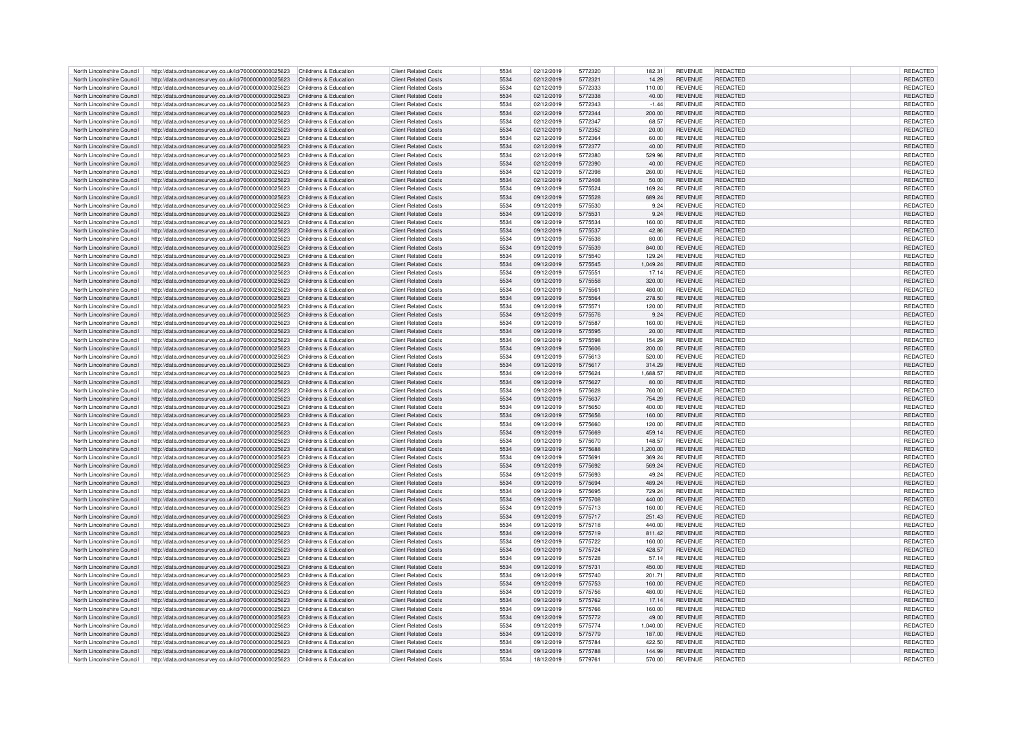| North Lincolnshire Council | http://data.ordnancesurvey.co.uk/id/7000000000025623                       | Childrens & Education | <b>Client Related Costs</b> | 5534 | 02/12/2019 | 5772320 | 182.31   | <b>REVENUE</b> | <b>REDACTED</b> | <b>REDACTED</b> |
|----------------------------|----------------------------------------------------------------------------|-----------------------|-----------------------------|------|------------|---------|----------|----------------|-----------------|-----------------|
| North Lincolnshire Council | http://data.ordnancesurvey.co.uk/id/7000000000025623                       | Childrens & Education | <b>Client Related Costs</b> | 5534 | 02/12/2019 | 5772321 | 14.29    | <b>REVENUE</b> | <b>REDACTED</b> | REDACTED        |
| North Lincolnshire Council | http://data.ordnancesurvey.co.uk/id/7000000000025623                       | Childrens & Education | <b>Client Related Costs</b> | 5534 | 02/12/2019 | 5772333 | 110.00   | <b>REVENUE</b> | REDACTED        | REDACTED        |
|                            |                                                                            |                       |                             |      |            |         |          |                |                 |                 |
| North Lincolnshire Council | http://data.ordnancesurvey.co.uk/id/7000000000025623                       | Childrens & Education | <b>Client Related Costs</b> | 5534 | 02/12/2019 | 5772338 | 40.00    | <b>REVENUE</b> | <b>REDACTED</b> | REDACTED        |
| North Lincolnshire Council | http://data.ordnancesurvey.co.uk/id/7000000000025623                       | Childrens & Education | <b>Client Related Costs</b> | 5534 | 02/12/2019 | 5772343 | $-1.44$  | <b>REVENUE</b> | <b>REDACTED</b> | REDACTED        |
| North Lincolnshire Council | http://data.ordnancesurvey.co.uk/id/7000000000025623                       | Childrens & Education | <b>Client Related Costs</b> | 5534 | 02/12/2019 | 5772344 | 200.00   | <b>REVENUE</b> | <b>REDACTED</b> | REDACTED        |
| North Lincolnshire Council | http://data.ordnancesurvey.co.uk/id/7000000000025623                       | Childrens & Education | <b>Client Related Costs</b> | 5534 | 02/12/2019 | 5772347 | 68.57    | <b>REVENUE</b> | <b>REDACTED</b> | REDACTED        |
| North Lincolnshire Council | http://data.ordnancesurvey.co.uk/id/7000000000025623                       | Childrens & Education | <b>Client Related Costs</b> | 5534 | 02/12/2019 | 5772352 | 20.00    | <b>REVENUE</b> | <b>REDACTED</b> | REDACTED        |
| North Lincolnshire Council | http://data.ordnancesurvey.co.uk/id/7000000000025623                       | Childrens & Education | <b>Client Related Costs</b> | 5534 | 02/12/2019 | 5772364 | 60.00    | <b>REVENUE</b> | <b>REDACTED</b> | REDACTED        |
|                            |                                                                            |                       | <b>Client Related Costs</b> | 5534 |            | 5772377 |          |                | <b>REDACTED</b> |                 |
| North Lincolnshire Council | http://data.ordnancesurvey.co.uk/id/7000000000025623                       | Childrens & Education |                             |      | 02/12/2019 |         | 40.00    | <b>REVENUE</b> |                 | REDACTED        |
| North Lincolnshire Council | http://data.ordnancesurvey.co.uk/id/7000000000025623                       | Childrens & Education | <b>Client Related Costs</b> | 5534 | 02/12/2019 | 5772380 | 529.96   | <b>REVENUE</b> | <b>REDACTED</b> | REDACTED        |
| North Lincolnshire Council | http://data.ordnancesurvey.co.uk/id/7000000000025623                       | Childrens & Education | <b>Client Related Costs</b> | 5534 | 02/12/2019 | 5772390 | 40.00    | <b>REVENUE</b> | REDACTED        | REDACTED        |
| North Lincolnshire Council | http://data.ordnancesurvey.co.uk/id/7000000000025623                       | Childrens & Education | <b>Client Related Costs</b> | 5534 | 02/12/2019 | 5772398 | 260.00   | <b>REVENUE</b> | <b>REDACTED</b> | REDACTED        |
| North Lincolnshire Council | http://data.ordnancesurvey.co.uk/id/7000000000025623                       | Childrens & Education | <b>Client Related Costs</b> | 5534 | 02/12/2019 | 5772408 | 50.00    | <b>REVENUE</b> | <b>REDACTED</b> | REDACTED        |
| North Lincolnshire Council | http://data.ordnancesurvey.co.uk/id/7000000000025623                       | Childrens & Education | <b>Client Related Costs</b> | 5534 | 09/12/2019 | 5775524 | 169.24   | <b>REVENUE</b> | <b>REDACTED</b> | REDACTED        |
| North Lincolnshire Council | http://data.ordnancesurvey.co.uk/id/7000000000025623                       | Childrens & Education | <b>Client Related Costs</b> | 5534 | 09/12/2019 | 5775528 | 689.24   | <b>REVENUE</b> | <b>REDACTED</b> | REDACTED        |
|                            |                                                                            |                       |                             |      |            |         |          |                |                 |                 |
| North Lincolnshire Council | http://data.ordnancesurvey.co.uk/id/7000000000025623                       | Childrens & Education | <b>Client Related Costs</b> | 5534 | 09/12/2019 | 5775530 | 9.24     | <b>REVENUE</b> | <b>REDACTED</b> | <b>REDACTED</b> |
| North Lincolnshire Council | http://data.ordnancesurvey.co.uk/id/7000000000025623                       | Childrens & Education | <b>Client Related Costs</b> | 5534 | 09/12/2019 | 5775531 | 9.24     | <b>REVENUE</b> | <b>REDACTED</b> | REDACTED        |
| North Lincolnshire Council | http://data.ordnancesurvey.co.uk/id/7000000000025623                       | Childrens & Education | <b>Client Related Costs</b> | 5534 | 09/12/2019 | 5775534 | 160.00   | <b>REVENUE</b> | <b>REDACTED</b> | REDACTED        |
| North Lincolnshire Council | http://data.ordnancesurvey.co.uk/id/7000000000025623                       | Childrens & Education | <b>Client Related Costs</b> | 5534 | 09/12/2019 | 5775537 | 42.86    | <b>REVENUE</b> | <b>REDACTED</b> | REDACTED        |
| North Lincolnshire Council | http://data.ordnancesurvey.co.uk/id/7000000000025623                       | Childrens & Education | <b>Client Related Costs</b> | 5534 | 09/12/2019 | 5775538 | 80.00    | <b>REVENUE</b> | <b>REDACTED</b> | REDACTED        |
| North Lincolnshire Council | http://data.ordnancesurvey.co.uk/id/7000000000025623                       | Childrens & Education | <b>Client Related Costs</b> | 5534 | 09/12/2019 | 5775539 | 840.00   | <b>REVENUE</b> | <b>REDACTED</b> | REDACTED        |
| North Lincolnshire Council |                                                                            | Childrens & Education | <b>Client Related Costs</b> | 5534 | 09/12/2019 | 5775540 | 129.24   | <b>REVENUE</b> | <b>REDACTED</b> | <b>REDACTED</b> |
|                            | http://data.ordnancesurvey.co.uk/id/7000000000025623                       |                       |                             |      |            |         |          |                |                 |                 |
| North Lincolnshire Council | http://data.ordnancesurvey.co.uk/id/7000000000025623                       | Childrens & Education | <b>Client Related Costs</b> | 5534 | 09/12/2019 | 5775545 | 1,049.24 | <b>REVENUE</b> | <b>REDACTED</b> | REDACTED        |
| North Lincolnshire Council | http://data.ordnancesurvey.co.uk/id/7000000000025623                       | Childrens & Education | <b>Client Related Costs</b> | 5534 | 09/12/2019 | 5775551 | 17.14    | <b>REVENUE</b> | <b>REDACTED</b> | REDACTED        |
| North Lincolnshire Council | http://data.ordnancesurvey.co.uk/id/7000000000025623                       | Childrens & Education | <b>Client Related Costs</b> | 5534 | 09/12/2019 | 5775558 | 320.00   | <b>REVENUE</b> | <b>REDACTED</b> | REDACTED        |
| North Lincolnshire Council | http://data.ordnancesurvey.co.uk/id/7000000000025623                       | Childrens & Education | <b>Client Related Costs</b> | 5534 | 09/12/2019 | 5775561 | 480.00   | <b>REVENUE</b> | <b>REDACTED</b> | REDACTED        |
| North Lincolnshire Council | http://data.ordnancesurvey.co.uk/id/7000000000025623                       | Childrens & Education | <b>Client Related Costs</b> | 5534 | 09/12/2019 | 5775564 | 278.50   | <b>REVENUE</b> | <b>REDACTED</b> | REDACTED        |
| North Lincolnshire Council |                                                                            | Childrens & Education | <b>Client Related Costs</b> | 5534 | 09/12/2019 | 5775571 | 120.00   | <b>REVENUE</b> | <b>REDACTED</b> | REDACTED        |
|                            | http://data.ordnancesurvey.co.uk/id/7000000000025623                       |                       |                             |      |            |         |          |                |                 |                 |
| North Lincolnshire Council | http://data.ordnancesurvey.co.uk/id/7000000000025623                       | Childrens & Education | <b>Client Related Costs</b> | 5534 | 09/12/2019 | 5775576 | 9.24     | <b>REVENUE</b> | <b>REDACTED</b> | REDACTED        |
| North Lincolnshire Council | http://data.ordnancesurvey.co.uk/id/7000000000025623                       | Childrens & Education | <b>Client Related Costs</b> | 5534 | 09/12/2019 | 5775587 | 160.00   | <b>REVENUE</b> | <b>REDACTED</b> | <b>REDACTED</b> |
| North Lincolnshire Council | http://data.ordnancesurvey.co.uk/id/7000000000025623                       | Childrens & Education | <b>Client Related Costs</b> | 5534 | 09/12/2019 | 5775595 | 20.00    | <b>REVENUE</b> | <b>REDACTED</b> | REDACTED        |
| North Lincolnshire Council | http://data.ordnancesurvey.co.uk/id/7000000000025623                       | Childrens & Education | <b>Client Related Costs</b> | 5534 | 09/12/2019 | 5775598 | 154.29   | <b>REVENUE</b> | REDACTED        | REDACTED        |
| North Lincolnshire Council | http://data.ordnancesurvey.co.uk/id/7000000000025623                       | Childrens & Education | <b>Client Related Costs</b> | 5534 | 09/12/2019 | 5775606 | 200.00   | <b>REVENUE</b> | <b>REDACTED</b> | REDACTED        |
|                            |                                                                            |                       |                             | 5534 |            |         |          | <b>REVENUE</b> | <b>REDACTED</b> | REDACTED        |
| North Lincolnshire Council | http://data.ordnancesurvey.co.uk/id/7000000000025623                       | Childrens & Education | <b>Client Related Costs</b> |      | 09/12/2019 | 5775613 | 520.00   |                |                 |                 |
| North Lincolnshire Council | http://data.ordnancesurvey.co.uk/id/7000000000025623                       | Childrens & Education | <b>Client Related Costs</b> | 5534 | 09/12/2019 | 5775617 | 314.29   | <b>REVENUE</b> | <b>REDACTED</b> | REDACTED        |
| North Lincolnshire Council | http://data.ordnancesurvey.co.uk/id/7000000000025623                       | Childrens & Education | <b>Client Related Costs</b> | 5534 | 09/12/2019 | 5775624 | 1.688.57 | <b>REVENUE</b> | <b>REDACTED</b> | REDACTED        |
| North Lincolnshire Council | http://data.ordnancesurvey.co.uk/id/7000000000025623                       | Childrens & Education | <b>Client Related Costs</b> | 5534 | 09/12/2019 | 5775627 | 80.00    | <b>REVENUE</b> | <b>REDACTED</b> | REDACTED        |
| North Lincolnshire Council | http://data.ordnancesurvey.co.uk/id/7000000000025623                       | Childrens & Education | <b>Client Related Costs</b> | 5534 | 09/12/2019 | 5775628 | 760.00   | <b>REVENUE</b> | <b>REDACTED</b> | REDACTED        |
| North Lincolnshire Council | http://data.ordnancesurvey.co.uk/id/7000000000025623                       | Childrens & Education | <b>Client Related Costs</b> | 5534 | 09/12/2019 | 5775637 | 754.29   | <b>REVENUE</b> | <b>REDACTED</b> | REDACTED        |
|                            |                                                                            |                       |                             |      |            |         |          |                |                 |                 |
| North Lincolnshire Council | http://data.ordnancesurvey.co.uk/id/7000000000025623                       | Childrens & Education | <b>Client Related Costs</b> | 5534 | 09/12/2019 | 5775650 | 400.00   | <b>REVENUE</b> | <b>REDACTED</b> | REDACTED        |
| North Lincolnshire Council | http://data.ordnancesurvey.co.uk/id/7000000000025623                       | Childrens & Education | <b>Client Related Costs</b> | 5534 | 09/12/2019 | 5775656 | 160.00   | <b>REVENUE</b> | <b>REDACTED</b> | <b>REDACTED</b> |
| North Lincolnshire Council | http://data.ordnancesurvey.co.uk/id/7000000000025623                       | Childrens & Education | <b>Client Related Costs</b> | 5534 | 09/12/2019 | 5775660 | 120.00   | <b>REVENUE</b> | REDACTED        | REDACTED        |
| North Lincolnshire Council | http://data.ordnancesurvey.co.uk/id/7000000000025623                       | Childrens & Education | <b>Client Related Costs</b> | 5534 | 09/12/2019 | 5775669 | 459.14   | <b>REVENUE</b> | <b>REDACTED</b> | REDACTED        |
| North Lincolnshire Council | http://data.ordnancesurvey.co.uk/id/7000000000025623                       | Childrens & Education | <b>Client Related Costs</b> | 5534 | 09/12/2019 | 5775670 | 148.57   | <b>REVENUE</b> | REDACTED        | REDACTED        |
| North Lincolnshire Council | http://data.ordnancesurvey.co.uk/id/7000000000025623                       | Childrens & Education | <b>Client Related Costs</b> | 5534 | 09/12/2019 | 5775688 | 1,200.00 | <b>REVENUE</b> | <b>REDACTED</b> | REDACTED        |
| North Lincolnshire Council |                                                                            | Childrens & Education | <b>Client Related Costs</b> | 5534 | 09/12/2019 | 5775691 | 369.24   | <b>REVENUE</b> | <b>REDACTED</b> | <b>REDACTED</b> |
|                            | http://data.ordnancesurvey.co.uk/id/7000000000025623                       |                       |                             |      |            |         |          |                |                 |                 |
| North Lincolnshire Council | http://data.ordnancesurvey.co.uk/id/7000000000025623                       | Childrens & Education | <b>Client Related Costs</b> | 5534 | 09/12/2019 | 5775692 | 569.24   | <b>REVENUE</b> | <b>REDACTED</b> | REDACTED        |
| North Lincolnshire Council | http://data.ordnancesurvey.co.uk/id/7000000000025623                       | Childrens & Education | <b>Client Related Costs</b> | 5534 | 09/12/2019 | 5775693 | 49.24    | <b>REVENUE</b> | <b>REDACTED</b> | REDACTED        |
| North Lincolnshire Council | http://data.ordnancesurvey.co.uk/id/7000000000025623                       | Childrens & Education | <b>Client Related Costs</b> | 5534 | 09/12/2019 | 5775694 | 489.24   | <b>REVENUE</b> | <b>REDACTED</b> | REDACTED        |
| North Lincolnshire Council | http://data.ordnancesurvey.co.uk/id/7000000000025623                       | Childrens & Education | <b>Client Related Costs</b> | 5534 | 09/12/2019 | 5775695 | 729.24   | <b>REVENUE</b> | <b>REDACTED</b> | REDACTED        |
| North Lincolnshire Council | http://data.ordnancesurvey.co.uk/id/7000000000025623                       | Childrens & Education | <b>Client Related Costs</b> | 5534 | 09/12/2019 | 5775708 | 440.00   | <b>REVENUE</b> | <b>REDACTED</b> | REDACTED        |
| North Lincolnshire Council | http://data.ordnancesurvey.co.uk/id/7000000000025623                       | Childrens & Education | <b>Client Related Costs</b> | 5534 | 09/12/2019 | 5775713 | 160.00   | <b>REVENUE</b> | REDACTED        | <b>REDACTED</b> |
|                            |                                                                            |                       |                             |      |            |         |          |                | <b>REDACTED</b> |                 |
| North Lincolnshire Council | http://data.ordnancesurvey.co.uk/id/7000000000025623                       | Childrens & Education | <b>Client Related Costs</b> | 5534 | 09/12/2019 | 5775717 | 251.43   | <b>REVENUE</b> |                 | REDACTED        |
| North Lincolnshire Council | http://data.ordnancesurvey.co.uk/id/7000000000025623                       | Childrens & Education | <b>Client Related Costs</b> | 5534 | 09/12/2019 | 5775718 | 440.00   | <b>REVENUE</b> | <b>REDACTED</b> | REDACTED        |
| North Lincolnshire Council | http://data.ordnancesurvey.co.uk/id/7000000000025623                       | Childrens & Education | <b>Client Related Costs</b> | 5534 | 09/12/2019 | 5775719 | 811.42   | <b>REVENUE</b> | <b>REDACTED</b> | <b>REDACTED</b> |
| North Lincolnshire Council | http://data.ordnancesurvey.co.uk/id/7000000000025623                       | Childrens & Education | <b>Client Related Costs</b> | 5534 | 09/12/2019 | 5775722 | 160.00   | <b>REVENUE</b> | <b>REDACTED</b> | REDACTED        |
| North Lincolnshire Council | http://data.ordnancesurvey.co.uk/id/7000000000025623                       | Childrens & Education | <b>Client Related Costs</b> | 5534 | 09/12/2019 | 5775724 | 428.57   | <b>REVENUE</b> | <b>REDACTED</b> | <b>REDACTED</b> |
| North Lincolnshire Council | http://data.ordnancesurvey.co.uk/id/7000000000025623                       | Childrens & Education | <b>Client Related Costs</b> | 5534 | 09/12/2019 | 5775728 | 57.14    | <b>REVENUE</b> | <b>REDACTED</b> | REDACTED        |
| North Lincolnshire Council | http://data.ordnancesurvey.co.uk/id/7000000000025623                       | Childrens & Education | <b>Client Related Costs</b> | 5534 | 09/12/2019 | 5775731 | 450.00   | <b>REVENUE</b> | <b>REDACTED</b> | REDACTED        |
|                            |                                                                            |                       |                             |      |            |         |          |                |                 |                 |
| North Lincolnshire Council | http://data.ordnancesurvey.co.uk/id/7000000000025623                       | Childrens & Education | <b>Client Related Costs</b> | 5534 | 09/12/2019 | 5775740 | 201.71   | <b>REVENUE</b> | REDACTED        | REDACTED        |
| North Lincolnshire Council | http://data.ordnancesurvey.co.uk/id/7000000000025623                       | Childrens & Education | <b>Client Related Costs</b> | 5534 | 09/12/2019 | 5775753 | 160.00   | <b>REVENUE</b> | <b>REDACTED</b> | REDACTED        |
| North Lincolnshire Council | http://data.ordnancesurvey.co.uk/id/7000000000025623                       | Childrens & Education | <b>Client Related Costs</b> | 5534 | 09/12/2019 | 5775756 | 480.00   | <b>REVENUE</b> | REDACTED        | <b>REDACTED</b> |
| North Lincolnshire Council | http://data.ordnancesurvey.co.uk/id/7000000000025623                       | Childrens & Education | <b>Client Related Costs</b> | 5534 | 09/12/2019 | 5775762 | 17.14    | <b>REVENUE</b> | REDACTED        | REDACTED        |
| North Lincolnshire Council | http://data.ordnancesurvey.co.uk/id/7000000000025623                       | Childrens & Education | <b>Client Related Costs</b> | 5534 | 09/12/2019 | 5775766 | 160.00   | <b>REVENUE</b> | REDACTED        | REDACTED        |
| North Lincolnshire Council | http://data.ordnancesurvey.co.uk/id/7000000000025623                       | Childrens & Education | <b>Client Related Costs</b> | 5534 | 09/12/2019 | 5775772 | 49.00    | <b>REVENUE</b> | <b>REDACTED</b> | REDACTED        |
|                            |                                                                            | Childrens & Education | <b>Client Related Costs</b> | 5534 | 09/12/2019 | 5775774 |          | <b>REVENUE</b> | <b>REDACTED</b> |                 |
| North Lincolnshire Council | http://data.ordnancesurvey.co.uk/id/7000000000025623                       |                       |                             |      |            |         | 1,040.00 |                |                 | REDACTED        |
| North Lincolnshire Council | http://data.ordnancesurvey.co.uk/id/7000000000025623                       | Childrens & Education | <b>Client Related Costs</b> | 5534 | 09/12/2019 | 5775779 | 187.00   | <b>REVENUE</b> | <b>REDACTED</b> | REDACTED        |
| North Lincolnshire Council | http://data.ordnancesurvey.co.uk/id/7000000000025623                       | Childrens & Education | <b>Client Related Costs</b> | 5534 | 09/12/2019 | 5775784 | 422.50   | <b>REVENUE</b> | REDACTED        | <b>REDACTED</b> |
|                            |                                                                            |                       |                             |      |            |         |          |                |                 |                 |
| North Lincolnshire Council | http://data.ordnancesurvey.co.uk/id/7000000000025623                       | Childrens & Education | <b>Client Related Costs</b> | 5534 | 09/12/2019 | 5775788 | 144.99   | <b>REVENUE</b> | <b>REDACTED</b> | REDACTED        |
| North Lincolnshire Council | http://data.ordnancesurvey.co.uk/id/7000000000025623 Childrens & Education |                       | <b>Client Related Costs</b> | 5534 | 18/12/2019 | 5779761 | 570.00   | <b>REVENUE</b> | REDACTED        | REDACTED        |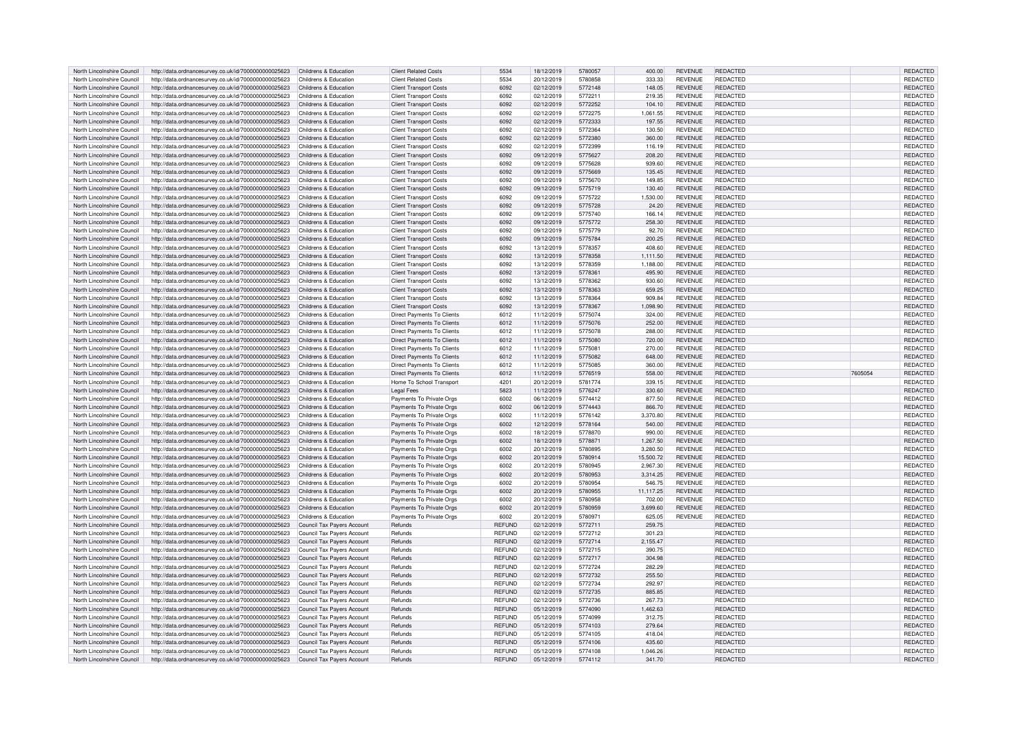| North Lincolnshire Council                               | http://data.ordnancesurvey.co.uk/id/7000000000025623                                                                                    | Childrens & Education      | <b>Client Related Costs</b>       | 5534                           | 18/12/2019               | 5780057            | 400.00             | <b>REVENUE</b> | REDACTED                           |         | REDACTED                    |
|----------------------------------------------------------|-----------------------------------------------------------------------------------------------------------------------------------------|----------------------------|-----------------------------------|--------------------------------|--------------------------|--------------------|--------------------|----------------|------------------------------------|---------|-----------------------------|
| North Lincolnshire Council                               | http://data.ordnancesurvey.co.uk/id/7000000000025623                                                                                    | Childrens & Education      | <b>Client Related Costs</b>       | 5534                           | 20/12/2019               | 5780858            | 333.33             | <b>REVENUE</b> | REDACTED                           |         | <b>REDACTED</b>             |
|                                                          |                                                                                                                                         |                            |                                   |                                |                          |                    |                    |                |                                    |         |                             |
| North Lincolnshire Council                               | http://data.ordnancesurvey.co.uk/id/7000000000025623                                                                                    | Childrens & Education      | <b>Client Transport Costs</b>     | 6092                           | 02/12/2019               | 5772148            | 148.05             | <b>REVENUE</b> | <b>REDACTED</b>                    |         | <b>REDACTED</b>             |
| North Lincolnshire Council                               | http://data.ordnancesurvey.co.uk/id/7000000000025623                                                                                    | Childrens & Education      | <b>Client Transport Costs</b>     | 6092                           | 02/12/2019               | 5772211            | 219.35             | <b>REVENUE</b> | REDACTED                           |         | <b>REDACTED</b>             |
| North Lincolnshire Council                               | http://data.ordnancesurvey.co.uk/id/7000000000025623                                                                                    | Childrens & Education      | <b>Client Transport Costs</b>     | 6092                           | 02/12/2019               | 5772252            | 104.10             | <b>REVENUE</b> | <b>REDACTED</b>                    |         | REDACTED                    |
| North Lincolnshire Council                               | http://data.ordnancesurvey.co.uk/id/7000000000025623                                                                                    | Childrens & Education      | <b>Client Transport Costs</b>     | 6092                           | 02/12/2019               | 5772275            | 1,061.55           | <b>REVENUE</b> | REDACTED                           |         | REDACTED                    |
| North Lincolnshire Council                               | http://data.ordnancesurvey.co.uk/id/7000000000025623                                                                                    | Childrens & Education      | <b>Client Transport Costs</b>     | 6092                           | 02/12/2019               | 5772333            | 197.55             | <b>REVENUE</b> | REDACTED                           |         | REDACTED                    |
|                                                          |                                                                                                                                         |                            |                                   |                                |                          |                    |                    |                |                                    |         |                             |
| North Lincolnshire Council                               | http://data.ordnancesurvey.co.uk/id/7000000000025623                                                                                    | Childrens & Education      | Client Transport Costs            | 6092                           | 02/12/2019               | 5772364            | 130.50             | <b>REVENUE</b> | REDACTED                           |         | <b>REDACTED</b>             |
| North Lincolnshire Council                               | http://data.ordnancesurvey.co.uk/id/7000000000025623                                                                                    | Childrens & Education      | <b>Client Transport Costs</b>     | 6092                           | 02/12/2019               | 5772380            | 360.00             | <b>REVENUE</b> | <b>REDACTED</b>                    |         | <b>REDACTED</b>             |
| North Lincolnshire Council                               | http://data.ordnancesurvey.co.uk/id/7000000000025623                                                                                    | Childrens & Education      | <b>Client Transport Costs</b>     | 6092                           | 02/12/2019               | 5772399            | 116.19             | <b>REVENUE</b> | REDACTED                           |         | REDACTED                    |
| North Lincolnshire Council                               | http://data.ordnancesurvey.co.uk/id/7000000000025623                                                                                    | Childrens & Education      | <b>Client Transport Costs</b>     | 6092                           | 09/12/2019               | 5775627            | 208.20             | <b>REVENUE</b> | REDACTED                           |         | <b>REDACTED</b>             |
| North Lincolnshire Council                               | http://data.ordnancesurvey.co.uk/id/7000000000025623                                                                                    | Childrens & Education      | <b>Client Transport Costs</b>     | 6092                           | 09/12/2019               | 5775628            | 939.60             | <b>REVENUE</b> | REDACTED                           |         | REDACTED                    |
| North Lincolnshire Council                               |                                                                                                                                         | Childrens & Education      | <b>Client Transport Costs</b>     | 6092                           | 09/12/2019               | 5775669            | 135.45             | <b>REVENUE</b> | <b>REDACTED</b>                    |         | <b>REDACTED</b>             |
|                                                          | http://data.ordnancesurvey.co.uk/id/7000000000025623                                                                                    |                            |                                   |                                |                          |                    |                    |                |                                    |         |                             |
| North Lincolnshire Council                               | http://data.ordnancesurvey.co.uk/id/7000000000025623                                                                                    | Childrens & Education      | <b>Client Transport Costs</b>     | 6092                           | 09/12/2019               | 5775670            | 149.85             | <b>REVENUE</b> | REDACTED                           |         | REDACTED                    |
| North Lincolnshire Council                               | http://data.ordnancesurvey.co.uk/id/7000000000025623                                                                                    | Childrens & Education      | <b>Client Transport Costs</b>     | 6092                           | 09/12/2019               | 5775719            | 130.40             | <b>REVENUE</b> | <b>REDACTED</b>                    |         | REDACTED                    |
| North Lincolnshire Council                               | http://data.ordnancesurvey.co.uk/id/7000000000025623                                                                                    | Childrens & Education      | <b>Client Transport Costs</b>     | 6092                           | 09/12/2019               | 5775722            | 1,530.00           | <b>REVENUE</b> | REDACTED                           |         | REDACTED                    |
| North Lincolnshire Council                               | http://data.ordnancesurvey.co.uk/id/7000000000025623                                                                                    | Childrens & Education      | <b>Client Transport Costs</b>     | 6092                           | 09/12/2019               | 5775728            | 24.20              | <b>REVENUE</b> | <b>REDACTED</b>                    |         | REDACTED                    |
| North Lincolnshire Council                               | http://data.ordnancesurvey.co.uk/id/7000000000025623                                                                                    | Childrens & Education      | <b>Client Transport Costs</b>     | 6092                           | 09/12/2019               | 5775740            | 166.14             | <b>REVENUE</b> | REDACTED                           |         | <b>REDACTED</b>             |
|                                                          |                                                                                                                                         |                            |                                   |                                |                          |                    |                    |                |                                    |         |                             |
| North Lincolnshire Council                               | http://data.ordnancesurvey.co.uk/id/7000000000025623                                                                                    | Childrens & Education      | <b>Client Transport Costs</b>     | 6092                           | 09/12/2019               | 5775772            | 258.30             | <b>REVENUE</b> | <b>REDACTED</b>                    |         | REDACTED                    |
| North Lincolnshire Council                               | http://data.ordnancesurvey.co.uk/id/7000000000025623                                                                                    | Childrens & Education      | <b>Client Transport Costs</b>     | 6092                           | 09/12/2019               | 5775779            | 92.70              | <b>REVENUE</b> | REDACTED                           |         | REDACTED                    |
| North Lincolnshire Council                               | http://data.ordnancesurvey.co.uk/id/7000000000025623                                                                                    | Childrens & Education      | <b>Client Transport Costs</b>     | 6092                           | 09/12/2019               | 5775784            | 200.25             | <b>REVENUE</b> | REDACTED                           |         | REDACTED                    |
| North Lincolnshire Council                               | http://data.ordnancesurvey.co.uk/id/7000000000025623                                                                                    | Childrens & Education      | <b>Client Transport Costs</b>     | 6092                           | 13/12/2019               | 5778357            | 408.60             | <b>REVENUE</b> | REDACTED                           |         | REDACTED                    |
| North Lincolnshire Council                               | http://data.ordnancesurvey.co.uk/id/7000000000025623                                                                                    | Childrens & Education      | <b>Client Transport Costs</b>     | 6092                           | 13/12/2019               | 5778358            | 1,111.50           | <b>REVENUE</b> | REDACTED                           |         | REDACTED                    |
|                                                          |                                                                                                                                         |                            |                                   |                                |                          |                    |                    |                |                                    |         |                             |
| North Lincolnshire Council                               | http://data.ordnancesurvey.co.uk/id/7000000000025623                                                                                    | Childrens & Education      | <b>Client Transport Costs</b>     | 6092                           | 13/12/2019               | 5778359            | 1,188.00           | <b>REVENUE</b> | REDACTED                           |         | REDACTED                    |
| North Lincolnshire Council                               | http://data.ordnancesurvey.co.uk/id/7000000000025623                                                                                    | Childrens & Education      | <b>Client Transport Costs</b>     | 6092                           | 13/12/2019               | 5778361            | 495.90             | <b>REVENUE</b> | <b>REDACTED</b>                    |         | REDACTED                    |
| North Lincolnshire Council                               | http://data.ordnancesurvey.co.uk/id/7000000000025623                                                                                    | Childrens & Education      | <b>Client Transport Costs</b>     | 6092                           | 13/12/2019               | 5778362            | 930.60             | <b>REVENUE</b> | REDACTED                           |         | REDACTED                    |
| North Lincolnshire Council                               | http://data.ordnancesurvey.co.uk/id/7000000000025623                                                                                    | Childrens & Education      | <b>Client Transport Costs</b>     | 6092                           | 13/12/2019               | 5778363            | 659.25             | <b>REVENUE</b> | <b>REDACTED</b>                    |         | <b>REDACTED</b>             |
| North Lincolnshire Council                               | http://data.ordnancesurvey.co.uk/id/7000000000025623                                                                                    | Childrens & Education      | Client Transport Costs            | 6092                           | 13/12/2019               | 5778364            | 909.84             | <b>REVENUE</b> | REDACTED                           |         | <b>REDACTED</b>             |
|                                                          |                                                                                                                                         |                            |                                   |                                |                          |                    |                    |                | <b>REDACTED</b>                    |         |                             |
| North Lincolnshire Council                               | http://data.ordnancesurvey.co.uk/id/7000000000025623                                                                                    | Childrens & Education      | <b>Client Transport Costs</b>     | 6092                           | 13/12/2019               | 5778367            | 1.098.90           | <b>REVENUE</b> |                                    |         | <b>REDACTED</b>             |
| North Lincolnshire Council                               | http://data.ordnancesurvey.co.uk/id/7000000000025623                                                                                    | Childrens & Education      | Direct Payments To Clients        | 6012                           | 11/12/2019               | 5775074            | 324.00             | <b>REVENUE</b> | REDACTED                           |         | REDACTED                    |
| North Lincolnshire Council                               | http://data.ordnancesurvey.co.uk/id/7000000000025623                                                                                    | Childrens & Education      | <b>Direct Payments To Clients</b> | 6012                           | 11/12/2019               | 5775076            | 252.00             | <b>REVENUE</b> | REDACTED                           |         | REDACTED                    |
| North Lincolnshire Council                               | http://data.ordnancesurvey.co.uk/id/7000000000025623                                                                                    | Childrens & Education      | <b>Direct Payments To Clients</b> | 6012                           | 11/12/2019               | 5775078            | 288.00             | <b>REVENUE</b> | REDACTED                           |         | REDACTED                    |
| North Lincolnshire Council                               | http://data.ordnancesurvey.co.uk/id/7000000000025623                                                                                    | Childrens & Education      | <b>Direct Payments To Clients</b> | 6012                           | 11/12/2019               | 5775080            | 720.00             | <b>REVENUE</b> | <b>REDACTED</b>                    |         | <b>REDACTED</b>             |
|                                                          |                                                                                                                                         |                            |                                   |                                |                          |                    |                    |                |                                    |         |                             |
| North Lincolnshire Council                               | http://data.ordnancesurvey.co.uk/id/7000000000025623                                                                                    | Childrens & Education      | Direct Payments To Clients        | 6012                           | 11/12/2019               | 5775081            | 270.00             | <b>REVENUE</b> | REDACTED                           |         | REDACTED                    |
| North Lincolnshire Council                               | http://data.ordnancesurvey.co.uk/id/7000000000025623                                                                                    | Childrens & Education      | Direct Payments To Clients        | 6012                           | 11/12/2019               | 5775082            | 648.00             | <b>REVENUE</b> | <b>REDACTED</b>                    |         | REDACTED                    |
|                                                          |                                                                                                                                         |                            |                                   |                                |                          |                    |                    |                |                                    |         |                             |
| North Lincolnshire Council                               | http://data.ordnancesurvey.co.uk/id/7000000000025623                                                                                    | Childrens & Education      | Direct Payments To Clients        | 6012                           | 11/12/2019               | 5775085            | 360.00             | <b>REVENUE</b> | REDACTED                           |         | <b>REDACTED</b>             |
|                                                          |                                                                                                                                         |                            |                                   |                                |                          |                    |                    |                |                                    |         |                             |
| North Lincolnshire Council                               | http://data.ordnancesurvey.co.uk/id/7000000000025623                                                                                    | Childrens & Education      | <b>Direct Payments To Clients</b> | 6012                           | 11/12/2019               | 5776519            | 558.00             | <b>REVENUE</b> | REDACTED                           | 7605054 | REDACTED                    |
| North Lincolnshire Council                               | http://data.ordnancesurvey.co.uk/id/7000000000025623                                                                                    | Childrens & Education      | Home To School Transport          | 4201                           | 20/12/2019               | 5781774            | 339.15             | <b>REVENUE</b> | REDACTED                           |         | <b>REDACTED</b>             |
| North Lincolnshire Council                               | http://data.ordnancesurvey.co.uk/id/7000000000025623                                                                                    | Childrens & Education      | <b>Legal Fees</b>                 | 5823                           | 11/12/2019               | 5776247            | 330.60             | <b>REVENUE</b> | REDACTED                           |         | REDACTED                    |
| North Lincolnshire Council                               | http://data.ordnancesurvey.co.uk/id/7000000000025623                                                                                    | Childrens & Education      | Payments To Private Orgs          | 6002                           | 06/12/2019               | 5774412            | 877.50             | <b>REVENUE</b> | REDACTED                           |         | REDACTED                    |
| North Lincolnshire Council                               | http://data.ordnancesurvey.co.uk/id/7000000000025623                                                                                    | Childrens & Education      | Payments To Private Orgs          | 6002                           | 06/12/2019               | 5774443            | 866.70             | <b>REVENUE</b> | REDACTED                           |         | <b>REDACTED</b>             |
|                                                          |                                                                                                                                         | Childrens & Education      |                                   | 6002                           |                          |                    |                    | <b>REVENUE</b> | REDACTED                           |         |                             |
| North Lincolnshire Council                               | http://data.ordnancesurvey.co.uk/id/7000000000025623                                                                                    |                            | Payments To Private Orgs          |                                | 11/12/2019               | 5776142            | 3,370.80           |                |                                    |         | REDACTED                    |
| North Lincolnshire Council                               | http://data.ordnancesurvey.co.uk/id/7000000000025623                                                                                    | Childrens & Education      | Payments To Private Orgs          | 6002                           | 12/12/2019               | 5778164            | 540.00             | <b>REVENUE</b> | <b>REDACTED</b>                    |         | <b>REDACTED</b>             |
| North Lincolnshire Council                               | http://data.ordnancesurvey.co.uk/id/7000000000025623                                                                                    | Childrens & Education      | Payments To Private Orgs          | 6002                           | 18/12/2019               | 5778870            | 990.00             | <b>REVENUE</b> | REDACTED                           |         | REDACTED                    |
| North Lincolnshire Council                               | http://data.ordnancesurvey.co.uk/id/7000000000025623                                                                                    | Childrens & Education      | Payments To Private Orgs          | 6002                           | 18/12/2019               | 5778871            | 1,267.50           | <b>REVENUE</b> | REDACTED                           |         | <b>REDACTED</b>             |
| North Lincolnshire Council                               | http://data.ordnancesurvey.co.uk/id/7000000000025623                                                                                    | Childrens & Education      | Payments To Private Orgs          | 6002                           | 20/12/2019               | 5780895            | 3,280.50           | <b>REVENUE</b> | REDACTED                           |         | REDACTED                    |
|                                                          |                                                                                                                                         | Childrens & Education      |                                   | 6002                           | 20/12/2019               | 5780914            |                    | <b>REVENUE</b> | <b>REDACTED</b>                    |         |                             |
| North Lincolnshire Council                               | http://data.ordnancesurvey.co.uk/id/7000000000025623                                                                                    |                            | Payments To Private Orgs          |                                |                          |                    | 15,500.72          |                |                                    |         | REDACTED                    |
| North Lincolnshire Council                               | http://data.ordnancesurvey.co.uk/id/7000000000025623                                                                                    | Childrens & Education      | Payments To Private Orgs          | 6002                           | 20/12/2019               | 5780945            | 2,967.30           | <b>REVENUE</b> | <b>REDACTED</b>                    |         | <b>REDACTED</b>             |
| North Lincolnshire Council                               | http://data.ordnancesurvey.co.uk/id/7000000000025623                                                                                    | Childrens & Education      | Payments To Private Orgs          | 6002                           | 20/12/2019               | 5780953            | 3,314.25           | <b>REVENUE</b> | <b>REDACTED</b>                    |         | <b>REDACTED</b>             |
| North Lincolnshire Council                               | http://data.ordnancesurvey.co.uk/id/7000000000025623                                                                                    | Childrens & Education      | Payments To Private Orgs          | 6002                           | 20/12/2019               | 5780954            | 546.75             | <b>REVENUE</b> | REDACTED                           |         | REDACTED                    |
| North Lincolnshire Council                               | http://data.ordnancesurvey.co.uk/id/7000000000025623                                                                                    | Childrens & Education      | Payments To Private Orgs          | 6002                           | 20/12/2019               | 5780955            | 11,117.25          | <b>REVENUE</b> | REDACTED                           |         | REDACTED                    |
| North Lincolnshire Council                               | http://data.ordnancesurvey.co.uk/id/7000000000025623                                                                                    | Childrens & Education      | Payments To Private Orgs          | 6002                           | 20/12/2019               | 5780958            | 702.00             | <b>REVENUE</b> | REDACTED                           |         | REDACTED                    |
| North Lincolnshire Council                               | http://data.ordnancesurvey.co.uk/id/7000000000025623                                                                                    | Childrens & Education      |                                   | 6002                           | 20/12/2019               | 5780959            | 3,699.60           | <b>REVENUE</b> | <b>REDACTED</b>                    |         | <b>REDACTED</b>             |
|                                                          |                                                                                                                                         |                            | Payments To Private Orgs          |                                |                          |                    |                    |                |                                    |         |                             |
| North Lincolnshire Council                               | http://data.ordnancesurvey.co.uk/id/7000000000025623                                                                                    | Childrens & Education      | Payments To Private Orgs          | 6002                           | 20/12/2019               | 5780971            | 625.05             | <b>REVENUE</b> | <b>REDACTED</b>                    |         | <b>REDACTED</b>             |
| North Lincolnshire Council                               | http://data.ordnancesurvey.co.uk/id/7000000000025623                                                                                    | Council Tax Payers Account | Refunds                           | <b>REFUND</b>                  | 02/12/2019               | 5772711            | 259.75             |                | <b>REDACTED</b>                    |         | REDACTED                    |
| North Lincolnshire Council                               | http://data.ordnancesurvey.co.uk/id/7000000000025623                                                                                    | Council Tax Payers Account | Refunds                           | <b>REFUND</b>                  | 02/12/2019               | 5772712            | 301.23             |                | <b>REDACTED</b>                    |         | REDACTED                    |
| North Lincolnshire Council                               | http://data.ordnancesurvey.co.uk/id/7000000000025623                                                                                    | Council Tax Payers Account | Refunds                           | <b>REFUND</b>                  | 02/12/2019               | 5772714            | 2,155.47           |                | <b>REDACTED</b>                    |         | REDACTED                    |
| North Lincolnshire Council                               | http://data.ordnancesurvey.co.uk/id/7000000000025623                                                                                    | Council Tax Payers Account | Refunds                           | <b>REFUND</b>                  | 02/12/2019               | 5772715            | 390.75             |                | <b>REDACTED</b>                    |         | <b>REDACTED</b>             |
| North Lincolnshire Council                               |                                                                                                                                         |                            | Refunds                           |                                |                          |                    | 304.98             |                |                                    |         |                             |
|                                                          | http://data.ordnancesurvey.co.uk/id/7000000000025623                                                                                    | Council Tax Payers Account |                                   | <b>REFUND</b>                  | 02/12/2019               | 5772717            |                    |                | REDACTED                           |         | REDACTED                    |
| North Lincolnshire Council                               | http://data.ordnancesurvey.co.uk/id/7000000000025623                                                                                    | Council Tax Payers Account | Refunds                           | <b>REFUND</b>                  | 02/12/2019               | 5772724            | 282.29             |                | <b>REDACTED</b>                    |         | REDACTED                    |
| North Lincolnshire Council                               | http://data.ordnancesurvey.co.uk/id/7000000000025623                                                                                    | Council Tax Payers Account | Refunds                           | <b>REFUND</b>                  | 02/12/2019               | 5772732            | 255.50             |                | <b>REDACTED</b>                    |         | <b>REDACTED</b>             |
| North Lincolnshire Council                               | http://data.ordnancesurvey.co.uk/id/7000000000025623                                                                                    | Council Tax Payers Account | Refunds                           | <b>REFUND</b>                  | 02/12/2019               | 5772734            | 292.97             |                | REDACTED                           |         | REDACTED                    |
| North Lincolnshire Council                               | http://data.ordnancesurvey.co.uk/id/7000000000025623                                                                                    | Council Tax Payers Account | Refunds                           | <b>REFUND</b>                  | 02/12/2019               | 5772735            | 885.85             |                | <b>REDACTED</b>                    |         | <b>REDACTED</b>             |
| North Lincolnshire Council                               |                                                                                                                                         |                            | Refunds                           | <b>REFUND</b>                  | 02/12/2019               | 5772736            | 267.73             |                |                                    |         | REDACTED                    |
|                                                          | http://data.ordnancesurvey.co.uk/id/7000000000025623                                                                                    | Council Tax Payers Account |                                   |                                |                          |                    |                    |                | REDACTED                           |         |                             |
| North Lincolnshire Council                               | http://data.ordnancesurvey.co.uk/id/7000000000025623                                                                                    | Council Tax Payers Account | Refunds                           | <b>REFUND</b>                  | 05/12/2019               | 5774090            | 1,462.63           |                | <b>REDACTED</b>                    |         | REDACTED                    |
| North Lincolnshire Council                               | http://data.ordnancesurvey.co.uk/id/7000000000025623                                                                                    | Council Tax Payers Account | Refunds                           | <b>REFUND</b>                  | 05/12/2019               | 5774099            | 312.75             |                | <b>REDACTED</b>                    |         | REDACTED                    |
| North Lincolnshire Council                               | http://data.ordnancesurvey.co.uk/id/7000000000025623                                                                                    | Council Tax Payers Account | Refunds                           | <b>REFUND</b>                  | 05/12/2019               | 5774103            | 279.64             |                | <b>REDACTED</b>                    |         | REDACTED                    |
| North Lincolnshire Council                               | http://data.ordnancesurvey.co.uk/id/7000000000025623                                                                                    | Council Tax Payers Account | Refunds                           | <b>REFUND</b>                  | 05/12/2019               | 5774105            | 418.04             |                | <b>REDACTED</b>                    |         | REDACTED                    |
|                                                          |                                                                                                                                         |                            | Refunds                           | <b>REFUND</b>                  | 05/12/2019               | 5774106            | 435.60             |                | <b>REDACTED</b>                    |         | <b>REDACTED</b>             |
| North Lincolnshire Council                               | http://data.ordnancesurvey.co.uk/id/7000000000025623                                                                                    | Council Tax Payers Account |                                   |                                |                          |                    |                    |                |                                    |         |                             |
| North Lincolnshire Council<br>North Lincolnshire Council | http://data.ordnancesurvey.co.uk/id/7000000000025623<br>http://data.ordnancesurvey.co.uk/id/7000000000025623 Council Tax Payers Account | Council Tax Payers Account | Refunds<br>Refunds                | <b>REFUND</b><br><b>REFUND</b> | 05/12/2019<br>05/12/2019 | 5774108<br>5774112 | 1,046.26<br>341.70 |                | <b>REDACTED</b><br><b>REDACTED</b> |         | <b>REDACTED</b><br>REDACTED |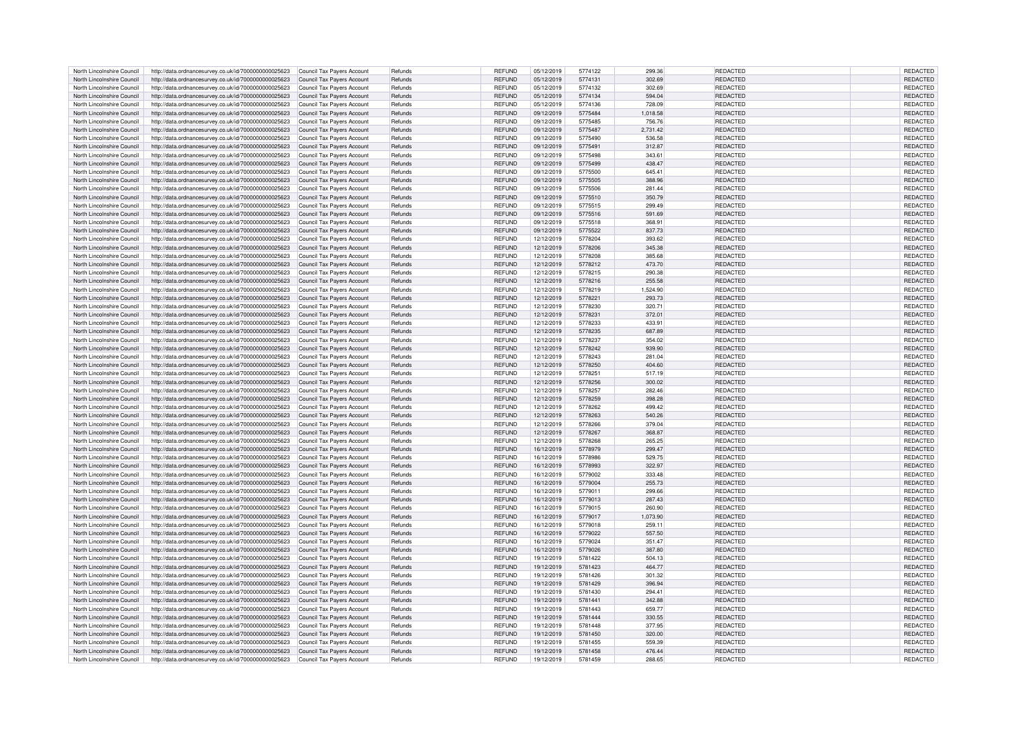| North Lincolnshire Council | http://data.ordnancesurvey.co.uk/id/7000000000025623 | Council Tax Payers Account | Refunds | <b>REFUND</b> | 05/12/2019 | 5774122 | 299.36   | REDACTED        | REDACTED        |
|----------------------------|------------------------------------------------------|----------------------------|---------|---------------|------------|---------|----------|-----------------|-----------------|
| North Lincolnshire Council | http://data.ordnancesurvey.co.uk/id/7000000000025623 | Council Tax Pavers Account | Refunds | <b>REFUND</b> | 05/12/2019 | 5774131 | 302.69   | <b>REDACTED</b> | <b>REDACTED</b> |
| North Lincolnshire Council | http://data.ordnancesurvey.co.uk/id/7000000000025623 | Council Tax Payers Account | Refunds | <b>REFUND</b> | 05/12/2019 | 5774132 | 302.69   | REDACTED        | REDACTED        |
| North Lincolnshire Council | http://data.ordnancesurvey.co.uk/id/7000000000025623 | Council Tax Payers Account | Refunds | <b>REFUND</b> | 05/12/2019 | 5774134 | 594.04   | REDACTED        | REDACTED        |
|                            |                                                      |                            |         |               |            |         |          |                 |                 |
| North Lincolnshire Council | http://data.ordnancesurvey.co.uk/id/7000000000025623 | Council Tax Payers Account | Refunds | <b>REFUND</b> | 05/12/2019 | 5774136 | 728.09   | REDACTED        | REDACTED        |
| North Lincolnshire Council | http://data.ordnancesurvey.co.uk/id/7000000000025623 | Council Tax Payers Account | Refunds | <b>REFUND</b> | 09/12/2019 | 5775484 | 1.018.58 | <b>REDACTED</b> | REDACTED        |
| North Lincolnshire Council | http://data.ordnancesurvey.co.uk/id/7000000000025623 | Council Tax Payers Account | Refunds | <b>REFUND</b> | 09/12/2019 | 5775485 | 756.76   | <b>REDACTED</b> | <b>REDACTED</b> |
| North Lincolnshire Council | http://data.ordnancesurvey.co.uk/id/7000000000025623 | Council Tax Payers Account | Refunds | <b>REFUND</b> | 09/12/2019 | 5775487 | 2,731.42 | REDACTED        | <b>REDACTED</b> |
|                            |                                                      |                            | Refunds | <b>REFUND</b> | 09/12/2019 | 5775490 |          | REDACTED        |                 |
| North Lincolnshire Council | http://data.ordnancesurvey.co.uk/id/7000000000025623 | Council Tax Payers Account |         |               |            |         | 536.58   |                 | REDACTED        |
| North Lincolnshire Council | http://data.ordnancesurvey.co.uk/id/7000000000025623 | Council Tax Payers Account | Refunds | <b>REFUND</b> | 09/12/2019 | 5775491 | 312.87   | REDACTED        | REDACTED        |
| North Lincolnshire Council | http://data.ordnancesurvey.co.uk/id/7000000000025623 | Council Tax Payers Account | Refunds | <b>REFUND</b> | 09/12/2019 | 5775498 | 343.61   | REDACTED        | REDACTED        |
| North Lincolnshire Council | http://data.ordnancesurvey.co.uk/id/7000000000025623 | Council Tax Payers Account | Refunds | <b>REFUND</b> | 09/12/2019 | 5775499 | 438.47   | <b>REDACTED</b> | REDACTED        |
| North Lincolnshire Council |                                                      |                            | Refunds |               | 09/12/2019 | 5775500 | 645.41   | REDACTED        |                 |
|                            | http://data.ordnancesurvey.co.uk/id/7000000000025623 | Council Tax Payers Account |         | <b>REFUND</b> |            |         |          |                 | REDACTED        |
| North Lincolnshire Council | http://data.ordnancesurvey.co.uk/id/7000000000025623 | Council Tax Payers Account | Refunds | <b>REFUND</b> | 09/12/2019 | 5775505 | 388.96   | REDACTED        | REDACTED        |
| North Lincolnshire Council | http://data.ordnancesurvey.co.uk/id/7000000000025623 | Council Tax Payers Account | Refunds | <b>REFUND</b> | 09/12/2019 | 5775506 | 281.44   | REDACTED        | REDACTED        |
| North Lincolnshire Council | http://data.ordnancesurvey.co.uk/id/7000000000025623 | Council Tax Payers Account | Refunds | <b>REFUND</b> | 09/12/2019 | 5775510 | 350.79   | REDACTED        | REDACTED        |
| North Lincolnshire Council | http://data.ordnancesurvey.co.uk/id/7000000000025623 | Council Tax Payers Account | Refunds | <b>REFUND</b> | 09/12/2019 | 5775515 | 299.49   | REDACTED        | REDACTED        |
|                            |                                                      |                            |         |               |            |         |          |                 |                 |
| North Lincolnshire Council | http://data.ordnancesurvey.co.uk/id/7000000000025623 | Council Tax Payers Account | Refunds | <b>REFUND</b> | 09/12/2019 | 5775516 | 591.69   | <b>REDACTED</b> | REDACTED        |
| North Lincolnshire Council | http://data.ordnancesurvey.co.uk/id/7000000000025623 | Council Tax Payers Account | Refunds | <b>REFUND</b> | 09/12/2019 | 5775518 | 368.91   | REDACTED        | REDACTED        |
| North Lincolnshire Council | http://data.ordnancesurvey.co.uk/id/7000000000025623 | Council Tax Payers Account | Refunds | <b>REFUND</b> | 09/12/2019 | 5775522 | 837.73   | REDACTED        | REDACTED        |
| North Lincolnshire Council | http://data.ordnancesurvey.co.uk/id/7000000000025623 | Council Tax Payers Account | Refunds | <b>REFUND</b> | 12/12/2019 | 5778204 | 393.62   | <b>REDACTED</b> | <b>REDACTED</b> |
|                            |                                                      |                            |         |               |            |         |          |                 |                 |
| North Lincolnshire Council | http://data.ordnancesurvey.co.uk/id/7000000000025623 | Council Tax Payers Account | Refunds | <b>REFUND</b> | 12/12/2019 | 5778206 | 345.38   | <b>REDACTED</b> | REDACTED        |
| North Lincolnshire Council | http://data.ordnancesurvey.co.uk/id/7000000000025623 | Council Tax Payers Account | Refunds | REFUND        | 12/12/2019 | 5778208 | 385.68   | REDACTED        | <b>REDACTED</b> |
| North Lincolnshire Council | http://data.ordnancesurvey.co.uk/id/7000000000025623 | Council Tax Payers Account | Refunds | <b>REFUND</b> | 12/12/2019 | 5778212 | 473.70   | REDACTED        | REDACTED        |
| North Lincolnshire Council | http://data.ordnancesurvey.co.uk/id/7000000000025623 | Council Tax Payers Account | Refunds | <b>REFUND</b> | 12/12/2019 | 5778215 | 290.38   | REDACTED        | REDACTED        |
|                            |                                                      |                            |         |               |            |         |          |                 |                 |
| North Lincolnshire Council | http://data.ordnancesurvey.co.uk/id/7000000000025623 | Council Tax Payers Account | Refunds | <b>REFUND</b> | 12/12/2019 | 5778216 | 255.58   | REDACTED        | REDACTED        |
| North Lincolnshire Council | http://data.ordnancesurvey.co.uk/id/7000000000025623 | Council Tax Payers Account | Refunds | <b>REFUND</b> | 12/12/2019 | 5778219 | 1,524.90 | REDACTED        | REDACTED        |
| North Lincolnshire Council | http://data.ordnancesurvey.co.uk/id/7000000000025623 | Council Tax Payers Account | Refunds | <b>REFUND</b> | 12/12/2019 | 5778221 | 293.73   | REDACTED        | REDACTED        |
| North Lincolnshire Council | http://data.ordnancesurvey.co.uk/id/7000000000025623 | Council Tax Payers Account | Refunds | <b>REFUND</b> | 12/12/2019 | 5778230 | 320.71   | <b>REDACTED</b> | <b>REDACTED</b> |
|                            |                                                      |                            |         |               |            |         |          |                 |                 |
| North Lincolnshire Council | http://data.ordnancesurvey.co.uk/id/7000000000025623 | Council Tax Payers Account | Refunds | <b>REFUND</b> | 12/12/2019 | 5778231 | 372.01   | REDACTED        | REDACTED        |
| North Lincolnshire Council | http://data.ordnancesurvey.co.uk/id/7000000000025623 | Council Tax Payers Account | Refunds | <b>REFUND</b> | 12/12/2019 | 5778233 | 433.91   | REDACTED        | REDACTED        |
| North Lincolnshire Council | http://data.ordnancesurvey.co.uk/id/7000000000025623 | Council Tax Payers Account | Refunds | <b>REFUND</b> | 12/12/2019 | 5778235 | 687.89   | REDACTED        | REDACTED        |
| North Lincolnshire Council | http://data.ordnancesurvey.co.uk/id/7000000000025623 | Council Tax Payers Account | Refunds | <b>REFUND</b> | 12/12/2019 | 5778237 | 354.02   | <b>REDACTED</b> | <b>REDACTED</b> |
| North Lincolnshire Council |                                                      |                            | Refunds |               |            | 5778242 | 939.90   | REDACTED        |                 |
|                            | http://data.ordnancesurvey.co.uk/id/7000000000025623 | Council Tax Payers Account |         | <b>REFUND</b> | 12/12/2019 |         |          |                 | REDACTED        |
| North Lincolnshire Council | http://data.ordnancesurvey.co.uk/id/7000000000025623 | Council Tax Payers Account | Refunds | <b>REFUND</b> | 12/12/2019 | 5778243 | 281.04   | REDACTED        | REDACTED        |
| North Lincolnshire Council | http://data.ordnancesurvey.co.uk/id/7000000000025623 | Council Tax Payers Account | Refunds | <b>REFUND</b> | 12/12/2019 | 5778250 | 404.60   | <b>REDACTED</b> | <b>REDACTED</b> |
| North Lincolnshire Council | http://data.ordnancesurvey.co.uk/id/7000000000025623 | Council Tax Payers Account | Refunds | <b>REFUND</b> | 12/12/2019 | 5778251 | 517.19   | REDACTED        | REDACTED        |
| North Lincolnshire Council | http://data.ordnancesurvey.co.uk/id/7000000000025623 | Council Tax Payers Account | Refunds | <b>REFUND</b> | 12/12/2019 | 5778256 | 300.02   | <b>REDACTED</b> | <b>REDACTED</b> |
|                            |                                                      |                            |         |               |            |         |          |                 |                 |
| North Lincolnshire Council | http://data.ordnancesurvey.co.uk/id/7000000000025623 | Council Tax Payers Account | Refunds | <b>REFUND</b> | 12/12/2019 | 5778257 | 282.46   | <b>REDACTED</b> | REDACTED        |
| North Lincolnshire Council | http://data.ordnancesurvey.co.uk/id/7000000000025623 | Council Tax Payers Account | Refunds | <b>REFUND</b> | 12/12/2019 | 5778259 | 398.28   | REDACTED        | REDACTED        |
| North Lincolnshire Council | http://data.ordnancesurvey.co.uk/id/7000000000025623 | Council Tax Payers Accoun  | Refunds | <b>REFUND</b> | 12/12/2019 | 5778262 | 499.42   | REDACTED        | REDACTED        |
| North Lincolnshire Council | http://data.ordnancesurvey.co.uk/id/7000000000025623 | Council Tax Payers Account | Refunds | <b>REFUND</b> | 12/12/2019 | 5778263 | 540.26   | <b>REDACTED</b> | REDACTED        |
|                            |                                                      |                            |         |               |            |         |          |                 |                 |
| North Lincolnshire Council | http://data.ordnancesurvey.co.uk/id/7000000000025623 | Council Tax Payers Account | Refunds | <b>REFUND</b> | 12/12/2019 | 5778266 | 379.04   | REDACTED        | REDACTED        |
| North Lincolnshire Council | http://data.ordnancesurvey.co.uk/id/7000000000025623 | Council Tax Payers Account | Refunds | <b>REFUND</b> | 12/12/2019 | 5778267 | 368.87   | REDACTED        | REDACTED        |
| North Lincolnshire Council | http://data.ordnancesurvey.co.uk/id/7000000000025623 | Council Tax Payers Account | Refunds | <b>REFUND</b> | 12/12/2019 | 5778268 | 265.25   | REDACTED        | REDACTED        |
| North Lincolnshire Council | http://data.ordnancesurvey.co.uk/id/7000000000025623 | Council Tax Payers Account | Refunds | <b>REFUND</b> | 16/12/2019 | 5778979 | 299.47   | REDACTED        | REDACTED        |
|                            |                                                      |                            |         |               |            |         |          |                 |                 |
| North Lincolnshire Council | http://data.ordnancesurvey.co.uk/id/7000000000025623 | Council Tax Payers Account | Refunds | <b>REFUND</b> | 16/12/2019 | 5778986 | 529.75   | REDACTED        | REDACTED        |
| North Lincolnshire Council | http://data.ordnancesurvey.co.uk/id/7000000000025623 | Council Tax Payers Account | Refunds | <b>REFUND</b> | 16/12/2019 | 5778993 | 322.97   | <b>REDACTED</b> | <b>REDACTED</b> |
| North Lincolnshire Council | http://data.ordnancesurvey.co.uk/id/7000000000025623 | Council Tax Payers Account | Refunds | <b>REFUND</b> | 16/12/2019 | 5779002 | 333.48   | REDACTED        | REDACTED        |
| North Lincolnshire Council | http://data.ordnancesurvey.co.uk/id/7000000000025623 | Council Tax Payers Account | Refunds | <b>REFUND</b> | 16/12/2019 | 5779004 | 255.73   | REDACTED        | REDACTED        |
| North Lincolnshire Council | http://data.ordnancesurvey.co.uk/id/7000000000025623 | Council Tax Payers Account | Refunds | <b>REFUND</b> | 16/12/2019 | 5779011 | 299.66   | <b>REDACTED</b> | <b>REDACTED</b> |
|                            |                                                      |                            |         |               |            |         |          |                 |                 |
| North Lincolnshire Council | http://data.ordnancesurvey.co.uk/id/7000000000025623 | Council Tax Payers Account | Refunds | <b>REFUND</b> | 16/12/2019 | 5779013 | 287.43   | REDACTED        | REDACTED        |
| North Lincolnshire Council | http://data.ordnancesurvey.co.uk/id/7000000000025623 | Council Tax Pavers Account | Refunds | <b>REFUND</b> | 16/12/2019 | 5779015 | 260.90   | <b>REDACTED</b> | <b>REDACTED</b> |
| North Lincolnshire Council | http://data.ordnancesurvey.co.uk/id/7000000000025623 | Council Tax Payers Account | Refunds | <b>REFUND</b> | 16/12/2019 | 5779017 | 1,073.90 | REDACTED        | REDACTED        |
| North Lincolnshire Council | http://data.ordnancesurvey.co.uk/id/7000000000025623 | Council Tax Payers Account | Refunds | <b>REFUND</b> | 16/12/2019 | 5779018 | 259.11   | REDACTED        | <b>REDACTED</b> |
|                            |                                                      |                            |         |               |            |         |          |                 |                 |
| North Lincolnshire Council | http://data.ordnancesurvey.co.uk/id/7000000000025623 | Council Tax Payers Account | Refunds | <b>REFUND</b> | 16/12/2019 | 5779022 | 557.50   | REDACTED        | REDACTED        |
| North Lincolnshire Council | http://data.ordnancesurvey.co.uk/id/7000000000025623 | Council Tax Payers Account | Refunds | <b>REFUND</b> | 16/12/2019 | 5779024 | 351.47   | <b>REDACTED</b> | REDACTED        |
| North Lincolnshire Council | http://data.ordnancesurvey.co.uk/id/7000000000025623 | Council Tax Payers Account | Refunds | <b>REFUND</b> | 16/12/2019 | 5779026 | 387.80   | <b>REDACTED</b> | REDACTED        |
| North Lincolnshire Council | http://data.ordnancesurvey.co.uk/id/7000000000025623 | Council Tax Payers Account | Refunds | <b>REFUND</b> | 19/12/2019 | 5781422 | 504.13   | <b>REDACTED</b> | <b>REDACTED</b> |
| North Lincolnshire Council |                                                      |                            | Refunds | <b>REFUND</b> | 19/12/2019 | 5781423 | 464.77   | REDACTED        | REDACTED        |
|                            | http://data.ordnancesurvey.co.uk/id/7000000000025623 | Council Tax Payers Account |         |               |            |         |          |                 |                 |
| North Lincolnshire Council | http://data.ordnancesurvey.co.uk/id/7000000000025623 | Council Tax Payers Account | Refunds | <b>REFUND</b> | 19/12/2019 | 5781426 | 301.32   | REDACTED        | REDACTED        |
| North Lincolnshire Council | http://data.ordnancesurvey.co.uk/id/7000000000025623 | Council Tax Payers Account | Refunds | <b>REFUND</b> | 19/12/2019 | 5781429 | 396.94   | <b>REDACTED</b> | REDACTED        |
| North Lincolnshire Council | http://data.ordnancesurvey.co.uk/id/7000000000025623 | Council Tax Payers Account | Refunds | <b>REFUND</b> | 19/12/2019 | 5781430 | 294.41   | REDACTED        | REDACTED        |
| North Lincolnshire Council | http://data.ordnancesurvey.co.uk/id/7000000000025623 | Council Tax Payers Account | Refunds | <b>REFUND</b> | 19/12/2019 | 5781441 | 342.88   | <b>REDACTED</b> | <b>REDACTED</b> |
|                            |                                                      |                            |         |               |            |         |          |                 |                 |
| North Lincolnshire Council | http://data.ordnancesurvey.co.uk/id/7000000000025623 | Council Tax Payers Account | Refunds | <b>REFUND</b> | 19/12/2019 | 5781443 | 659.77   | REDACTED        | REDACTED        |
| North Lincolnshire Council | http://data.ordnancesurvey.co.uk/id/7000000000025623 | Council Tax Payers Account | Refunds | <b>REFUND</b> | 19/12/2019 | 5781444 | 330.55   | REDACTED        | REDACTED        |
| North Lincolnshire Council | http://data.ordnancesurvey.co.uk/id/7000000000025623 | Council Tax Payers Account | Refunds | <b>REFUND</b> | 19/12/2019 | 5781448 | 377.95   | REDACTED        | REDACTED        |
| North Lincolnshire Council | http://data.ordnancesurvey.co.uk/id/7000000000025623 | Council Tax Payers Account | Refunds | <b>REFUND</b> | 19/12/2019 | 5781450 | 320.00   | <b>REDACTED</b> | <b>REDACTED</b> |
| North Lincolnshire Council | http://data.ordnancesurvey.co.uk/id/7000000000025623 | Council Tax Payers Account | Refunds | <b>REFUND</b> | 19/12/2019 | 5781455 | 559.39   | <b>REDACTED</b> | <b>REDACTED</b> |
|                            |                                                      |                            |         |               |            |         |          |                 |                 |
| North Lincolnshire Council | http://data.ordnancesurvey.co.uk/id/7000000000025623 | Council Tax Payers Account | Refunds | <b>REFUND</b> | 19/12/2019 | 5781458 | 476.44   | <b>REDACTED</b> | <b>REDACTED</b> |
| North Lincolnshire Council | http://data.ordnancesurvey.co.uk/id/7000000000025623 | Council Tax Payers Account | Refunds | <b>REFUND</b> | 19/12/2019 | 5781459 | 288.65   | REDACTED        | REDACTED        |
|                            |                                                      |                            |         |               |            |         |          |                 |                 |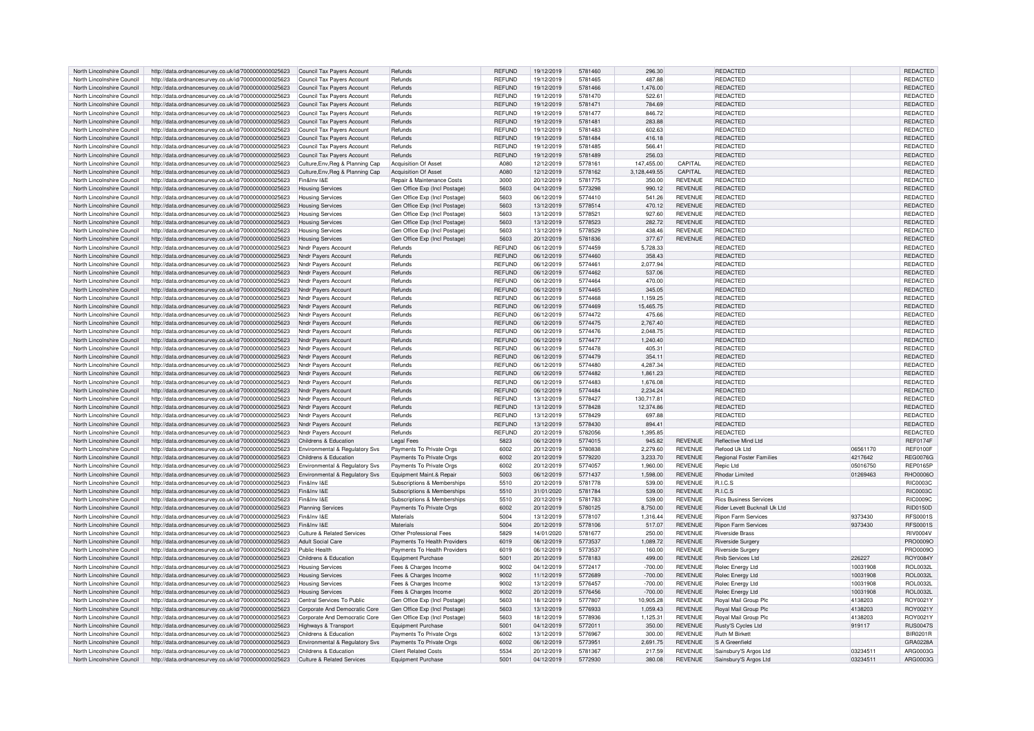| North Lincolnshire Council                               | http://data.ordnancesurvey.co.uk/id/7000000000025623                                                         | Council Tax Payers Account                          | Refunds                                                  | <b>REFUND</b> | 19/12/2019               | 5781460            | 296.30           |                                  | REDACTED                                       |                      | REDACTED             |
|----------------------------------------------------------|--------------------------------------------------------------------------------------------------------------|-----------------------------------------------------|----------------------------------------------------------|---------------|--------------------------|--------------------|------------------|----------------------------------|------------------------------------------------|----------------------|----------------------|
| North Lincolnshire Council                               | http://data.ordnancesurvey.co.uk/id/7000000000025623                                                         | Council Tax Payers Account                          | Refunds                                                  | <b>REFUND</b> | 19/12/2019               | 5781465            | 487.88           |                                  | <b>REDACTED</b>                                |                      | <b>REDACTED</b>      |
|                                                          |                                                                                                              |                                                     |                                                          |               |                          |                    |                  |                                  |                                                |                      |                      |
| North Lincolnshire Council                               | http://data.ordnancesurvey.co.uk/id/7000000000025623                                                         | Council Tax Payers Account                          | Refunds                                                  | <b>REFUND</b> | 19/12/2019               | 5781466            | 1.476.00         |                                  | REDACTED                                       |                      | <b>REDACTED</b>      |
| North Lincolnshire Council                               | http://data.ordnancesurvey.co.uk/id/7000000000025623                                                         | Council Tax Payers Account                          | Refunds                                                  | <b>REFUND</b> | 19/12/2019               | 5781470            | 522.61           |                                  | REDACTED                                       |                      | <b>REDACTED</b>      |
| North Lincolnshire Council                               | http://data.ordnancesurvey.co.uk/id/7000000000025623                                                         | Council Tax Payers Account                          | Refunds                                                  | <b>REFUND</b> | 19/12/2019               | 5781471            | 784.69           |                                  | REDACTED                                       |                      | REDACTED             |
| North Lincolnshire Council                               | http://data.ordnancesurvey.co.uk/id/7000000000025623                                                         | Council Tax Payers Account                          | Refunds                                                  | <b>REFUND</b> | 19/12/2019               | 5781477            | 846.72           |                                  | REDACTED                                       |                      | REDACTED             |
|                                                          |                                                                                                              |                                                     |                                                          |               |                          |                    |                  |                                  |                                                |                      |                      |
| North Lincolnshire Council                               | http://data.ordnancesurvey.co.uk/id/7000000000025623                                                         | Council Tax Payers Account                          | Refunds                                                  | <b>REFUND</b> | 19/12/2019               | 5781481            | 283.88           |                                  | REDACTED                                       |                      | REDACTED             |
| North Lincolnshire Council                               | http://data.ordnancesurvey.co.uk/id/7000000000025623                                                         | Council Tax Payers Account                          | Refunds                                                  | <b>REFUND</b> | 19/12/2019               | 5781483            | 602.63           |                                  | <b>REDACTED</b>                                |                      | <b>REDACTED</b>      |
| North Lincolnshire Council                               | http://data.ordnancesurvey.co.uk/id/7000000000025623                                                         | Council Tax Payers Account                          | Refunds                                                  | <b>REFUND</b> | 19/12/2019               | 5781484            | 416.18           |                                  | <b>REDACTED</b>                                |                      | <b>REDACTED</b>      |
| North Lincolnshire Council                               | http://data.ordnancesurvey.co.uk/id/7000000000025623                                                         | Council Tax Payers Account                          | Refunds                                                  | <b>REFUND</b> | 19/12/2019               | 5781485            | 566.41           |                                  | REDACTED                                       |                      | REDACTED             |
|                                                          |                                                                                                              |                                                     |                                                          | <b>REFUND</b> |                          | 5781489            | 256.03           |                                  | <b>REDACTED</b>                                |                      | REDACTED             |
| North Lincolnshire Council                               | http://data.ordnancesurvey.co.uk/id/7000000000025623                                                         | Council Tax Payers Account                          | Refunds                                                  |               | 19/12/2019               |                    |                  |                                  |                                                |                      |                      |
| North Lincolnshire Council                               | http://data.ordnancesurvey.co.uk/id/7000000000025623                                                         | Culture, Env, Reg & Planning Cap                    | Acquisition Of Asset                                     | A080          | 12/12/2019               | 5778161            | 147,455.00       | CAPITAL                          | REDACTED                                       |                      | REDACTED             |
| North Lincolnshire Council                               | http://data.ordnancesurvey.co.uk/id/7000000000025623                                                         | Culture, Env, Reg & Planning Cap                    | <b>Acquisition Of Asset</b>                              | A080          | 12/12/2019               | 5778162            | 3.128.449.55     | CAPITAL                          | REDACTED                                       |                      | <b>REDACTED</b>      |
| North Lincolnshire Council                               | http://data.ordnancesurvey.co.uk/id/7000000000025623                                                         | Fin&Inv I&F                                         | Repair & Maintenance Costs                               | 3000          | 20/12/2019               | 5781775            | 350.00           | <b>REVENUE</b>                   | <b>REDACTED</b>                                |                      | REDACTED             |
| North Lincolnshire Council                               | http://data.ordnancesurvey.co.uk/id/7000000000025623                                                         | <b>Housing Services</b>                             | Gen Office Exp (Incl Postage)                            | 5603          | 04/12/2019               | 5773298            | 990.12           | <b>REVENUE</b>                   | <b>REDACTED</b>                                |                      | REDACTED             |
|                                                          |                                                                                                              |                                                     |                                                          |               |                          |                    |                  |                                  |                                                |                      |                      |
| North Lincolnshire Council                               | http://data.ordnancesurvey.co.uk/id/7000000000025623                                                         | <b>Housing Services</b>                             | Gen Office Exp (Incl Postage                             | 5603          | 06/12/2019               | 5774410            | 541.26           | <b>REVENUE</b>                   | REDACTED                                       |                      | <b>REDACTED</b>      |
| North Lincolnshire Council                               | http://data.ordnancesurvey.co.uk/id/7000000000025623                                                         | <b>Housing Services</b>                             | Gen Office Exp (Incl Postage                             | 5603          | 13/12/2019               | 5778514            | 470.12           | <b>REVENUE</b>                   | REDACTED                                       |                      | REDACTED             |
| North Lincolnshire Council                               | http://data.ordnancesurvey.co.uk/id/7000000000025623                                                         | <b>Housing Services</b>                             | Gen Office Exp (Incl Postage                             | 5603          | 13/12/2019               | 5778521            | 927.60           | <b>REVENUE</b>                   | REDACTED                                       |                      | <b>REDACTED</b>      |
| North Lincolnshire Council                               | http://data.ordnancesurvey.co.uk/id/7000000000025623                                                         | <b>Housing Services</b>                             | Gen Office Exp (Incl Postage                             | 5603          | 13/12/2019               | 5778523            | 282.72           | <b>REVENUE</b>                   | <b>REDACTED</b>                                |                      | REDACTED             |
|                                                          |                                                                                                              |                                                     |                                                          |               |                          |                    |                  |                                  |                                                |                      |                      |
| North Lincolnshire Council                               | http://data.ordnancesurvey.co.uk/id/7000000000025623                                                         | <b>Housing Services</b>                             | Gen Office Exp (Incl Postage                             | 5603          | 13/12/2019               | 5778529            | 438.46           | <b>REVENUE</b>                   | REDACTED                                       |                      | REDACTED             |
| North Lincolnshire Council                               | http://data.ordnancesurvey.co.uk/id/7000000000025623                                                         | <b>Housing Services</b>                             | Gen Office Exp (Incl Postage)                            | 5603          | 20/12/2019               | 5781836            | 377.67           | <b>REVENUE</b>                   | <b>REDACTED</b>                                |                      | REDACTED             |
| North Lincolnshire Council                               | http://data.ordnancesurvey.co.uk/id/7000000000025623                                                         | Nndr Payers Account                                 | Refunds                                                  | REFUND        | 06/12/2019               | 5774459            | 5,728.33         |                                  | REDACTED                                       |                      | REDACTED             |
| North Lincolnshire Council                               | http://data.ordnancesurvey.co.uk/id/7000000000025623                                                         | Nndr Payers Account                                 | Refunds                                                  | <b>REFUND</b> | 06/12/2019               | 5774460            | 358.43           |                                  | <b>REDACTED</b>                                |                      | <b>REDACTED</b>      |
|                                                          |                                                                                                              |                                                     |                                                          |               |                          |                    |                  |                                  |                                                |                      |                      |
| North Lincolnshire Council                               | http://data.ordnancesurvey.co.uk/id/7000000000025623                                                         | Nndr Payers Account                                 | Refunds                                                  | <b>REFUND</b> | 06/12/2019               | 5774461            | 2,077.94         |                                  | <b>REDACTED</b>                                |                      | REDACTED             |
| North Lincolnshire Council                               | http://data.ordnancesurvey.co.uk/id/7000000000025623                                                         | Nndr Payers Account                                 | Refunds                                                  | <b>REFUND</b> | 06/12/2019               | 5774462            | 537.06           |                                  | <b>REDACTED</b>                                |                      | REDACTED             |
| North Lincolnshire Council                               | http://data.ordnancesurvey.co.uk/id/7000000000025623                                                         | <b>Nndr Pavers Account</b>                          | Refunds                                                  | <b>REFUND</b> | 06/12/2019               | 5774464            | 470.00           |                                  | <b>REDACTED</b>                                |                      | REDACTED             |
| North Lincolnshire Council                               | http://data.ordnancesurvey.co.uk/id/7000000000025623                                                         | Nndr Payers Account                                 | Refunds                                                  | <b>REFUND</b> | 06/12/2019               | 5774465            | 345.05           |                                  | <b>REDACTED</b>                                |                      | REDACTED             |
|                                                          |                                                                                                              |                                                     |                                                          |               |                          |                    |                  |                                  |                                                |                      |                      |
| North Lincolnshire Council                               | http://data.ordnancesurvey.co.uk/id/7000000000025623                                                         | Nndr Payers Account                                 | Refunds                                                  | <b>REFUND</b> | 06/12/2019               | 5774468            | 1,159.25         |                                  | <b>REDACTED</b>                                |                      | <b>REDACTED</b>      |
| North Lincolnshire Council                               | http://data.ordnancesurvey.co.uk/id/7000000000025623                                                         | Nndr Payers Account                                 | Refunds                                                  | <b>REFUND</b> | 06/12/2019               | 5774469            | 15,465.75        |                                  | REDACTED                                       |                      | REDACTED             |
| North Lincolnshire Council                               | http://data.ordnancesurvey.co.uk/id/7000000000025623                                                         | Nndr Payers Account                                 | Refunds                                                  | <b>REFUND</b> | 06/12/2019               | 5774472            | 475.66           |                                  | <b>REDACTED</b>                                |                      | REDACTED             |
| North Lincolnshire Council                               | http://data.ordnancesurvey.co.uk/id/7000000000025623                                                         | Nndr Pavers Account                                 | Refunds                                                  | <b>REFUND</b> | 06/12/2019               | 5774475            | 2,767.40         |                                  | <b>REDACTED</b>                                |                      | REDACTED             |
|                                                          |                                                                                                              |                                                     |                                                          |               |                          |                    |                  |                                  |                                                |                      |                      |
| North Lincolnshire Council                               | http://data.ordnancesurvey.co.uk/id/7000000000025623                                                         | Nndr Pavers Account                                 | Refunds                                                  | <b>REFUND</b> | 06/12/2019               | 5774476            | 2.048.75         |                                  | <b>REDACTED</b>                                |                      | <b>REDACTED</b>      |
| North Lincolnshire Council                               | http://data.ordnancesurvey.co.uk/id/7000000000025623                                                         | Nndr Payers Account                                 | Refunds                                                  | <b>REFUND</b> | 06/12/2019               | 5774477            | 1,240.40         |                                  | <b>REDACTED</b>                                |                      | REDACTED             |
| North Lincolnshire Council                               | http://data.ordnancesurvey.co.uk/id/7000000000025623                                                         | <b>Nndr Pavers Account</b>                          | Refunds                                                  | <b>REFUND</b> | 06/12/2019               | 5774478            | 405.31           |                                  | <b>REDACTED</b>                                |                      | REDACTED             |
| North Lincolnshire Council                               | http://data.ordnancesurvey.co.uk/id/7000000000025623                                                         | Nndr Payers Account                                 | Refunds                                                  | <b>REFUND</b> | 06/12/2019               | 5774479            | 354.11           |                                  | <b>REDACTED</b>                                |                      | REDACTED             |
|                                                          |                                                                                                              |                                                     |                                                          |               |                          |                    |                  |                                  |                                                |                      |                      |
| North Lincolnshire Council                               | http://data.ordnancesurvey.co.uk/id/7000000000025623                                                         | Nndr Payers Account                                 | Refunds                                                  | <b>REFUND</b> | 06/12/2019               | 5774480            | 4.287.34         |                                  | <b>REDACTED</b>                                |                      | REDACTED             |
| North Lincolnshire Council                               | http://data.ordnancesurvey.co.uk/id/7000000000025623                                                         | Nndr Pavers Account                                 | Refunds                                                  | <b>REFUND</b> | 06/12/2019               | 5774482            | 1.861.23         |                                  | <b>REDACTED</b>                                |                      | <b>REDACTED</b>      |
| North Lincolnshire Council                               | http://data.ordnancesurvey.co.uk/id/7000000000025623                                                         | Nndr Payers Account                                 | Refunds                                                  | <b>REFUND</b> | 06/12/2019               | 5774483            | 1.676.08         |                                  | <b>REDACTED</b>                                |                      | <b>REDACTED</b>      |
| North Lincolnshire Council                               | http://data.ordnancesurvey.co.uk/id/7000000000025623                                                         | Nndr Payers Account                                 | Refunds                                                  | <b>REFUND</b> | 06/12/2019               | 5774484            | 2,234.24         |                                  | REDACTED                                       |                      | REDACTED             |
|                                                          |                                                                                                              |                                                     |                                                          |               |                          |                    |                  |                                  |                                                |                      |                      |
| North Lincolnshire Council                               | http://data.ordnancesurvey.co.uk/id/7000000000025623                                                         | Nndr Pavers Accoun                                  | Refunds                                                  | <b>REFUND</b> | 13/12/2019               | 5778427            | 130,717.81       |                                  | <b>REDACTED</b>                                |                      | REDACTED             |
| North Lincolnshire Council                               | http://data.ordnancesurvey.co.uk/id/7000000000025623                                                         | Nndr Payers Account                                 | Refunds                                                  | <b>REFUND</b> | 13/12/2019               | 5778428            | 12,374.86        |                                  | <b>REDACTED</b>                                |                      | <b>REDACTED</b>      |
| North Lincolnshire Council                               | http://data.ordnancesurvey.co.uk/id/7000000000025623                                                         | Nndr Payers Account                                 | Refunds                                                  | <b>REFUND</b> | 13/12/2019               | 5778429            | 697.88           |                                  | REDACTED                                       |                      | REDACTED             |
| North Lincolnshire Council                               | http://data.ordnancesurvey.co.uk/id/7000000000025623                                                         | Nndr Payers Account                                 | Refunds                                                  | <b>REFUND</b> | 13/12/2019               | 5778430            | 894.41           |                                  | <b>REDACTED</b>                                |                      | REDACTED             |
|                                                          |                                                                                                              |                                                     |                                                          |               |                          |                    |                  |                                  |                                                |                      |                      |
| North Lincolnshire Council                               | http://data.ordnancesurvey.co.uk/id/7000000000025623                                                         | Nndr Payers Account                                 | Refunds                                                  | <b>REFUND</b> | 20/12/2019               | 5782056            | 1,395.85         |                                  | <b>REDACTED</b>                                |                      | REDACTED             |
| North Lincolnshire Council                               | http://data.ordnancesurvey.co.uk/id/7000000000025623                                                         | Childrens & Education                               | Legal Fees                                               | 5823          | 06/12/2019               | 5774015            | 945.82           | <b>REVENUE</b>                   | Reflective Mind Ltd                            |                      | <b>REF0174F</b>      |
| North Lincolnshire Council                               | http://data.ordnancesurvey.co.uk/id/7000000000025623                                                         | Environmental & Regulatory Svs                      | Payments To Private Orgs                                 | 6002          | 20/12/2019               | 5780838            | 2.279.60         | <b>REVENUE</b>                   | Refood Uk I td                                 | 06561170             | <b>REF0100F</b>      |
| North Lincolnshire Council                               | http://data.ordnancesurvey.co.uk/id/7000000000025623                                                         | Childrens & Education                               | Payments To Private Orgs                                 | 6002          | 20/12/2019               | 5779220            | 3,233.70         | <b>REVENUE</b>                   | <b>Regional Foster Families</b>                | 4217642              | <b>REG0076G</b>      |
|                                                          |                                                                                                              |                                                     |                                                          | 6002          | 20/12/2019               | 5774057            |                  | <b>REVENUE</b>                   | Repic Ltd                                      |                      | <b>REP0165P</b>      |
| North Lincolnshire Council                               | http://data.ordnancesurvey.co.uk/id/7000000000025623                                                         | Environmental & Regulatory Svs                      | Payments To Private Orgs                                 |               |                          |                    | 1,960.00         |                                  |                                                | 05016750             |                      |
| North Lincolnshire Council                               | http://data.ordnancesurvey.co.uk/id/7000000000025623                                                         | Environmental & Regulatory Svs                      | Equipment Maint.& Repair                                 | 5003          | 06/12/2019               | 5771437            | 1,598.00         | <b>REVENUE</b>                   | <b>Rhodar Limited</b>                          | 01269463             | RHO0006O             |
| North Lincolnshire Council                               | http://data.ordnancesurvey.co.uk/id/7000000000025623                                                         | Fin&Inv I&F                                         | Subscriptions & Memberships                              | 5510          | 20/12/2019               | 5781778            | 539.00           | <b>REVENUE</b>                   | R.I.C.S                                        |                      | <b>RIC0003C</b>      |
| North Lincolnshire Council                               | http://data.ordnancesurvey.co.uk/id/7000000000025623                                                         | Fin&Inv I&F                                         | Subscriptions & Memberships                              | 5510          | 31/01/2020               | 5781784            | 539.00           | <b>REVENUE</b>                   | <b>R.LC.S</b>                                  |                      | <b>RIC0003C</b>      |
| North Lincolnshire Council                               | http://data.ordnancesurvey.co.uk/id/7000000000025623                                                         | Fin&Inv I&F                                         | Subscriptions & Memberships                              | 5510          | 20/12/2019               | 5781783            | 539.00           | <b>REVENUE</b>                   | <b>Rics Business Services</b>                  |                      | <b>BIC0009C</b>      |
|                                                          |                                                                                                              |                                                     |                                                          |               |                          |                    |                  |                                  |                                                |                      |                      |
| North Lincolnshire Council                               | http://data.ordnancesurvey.co.uk/id/7000000000025623                                                         | Planning Services                                   | Payments To Private Orgs                                 | 6002          | 20/12/2019               | 5780125            | 8,750.00         | <b>REVENUE</b>                   | Rider Levett Bucknall Uk Ltd                   |                      | <b>RID0150D</b>      |
| North Lincolnshire Council                               | http://data.ordnancesurvey.co.uk/id/7000000000025623                                                         | Fin&Inv I&E                                         | Materials                                                | 5004          | 13/12/2019               | 5778107            | 1,316.44         | <b>REVENUE</b>                   | <b>Ripon Farm Services</b>                     | 9373430              | <b>RFS0001S</b>      |
| North Lincolnshire Council                               | http://data.ordnancesurvey.co.uk/id/7000000000025623                                                         | Fin&Inv I&F                                         | Materials                                                | 5004          | 20/12/2019               | 5778106            | 517.07           | <b>REVENUE</b>                   | <b>Ripon Farm Services</b>                     | 9373430              | <b>RFS0001S</b>      |
| North Lincolnshire Council                               |                                                                                                              |                                                     |                                                          |               | 14/01/2020               | 5781677            |                  | <b>REVENUE</b>                   | <b>Riverside Brass</b>                         |                      | <b>RIV0004V</b>      |
|                                                          |                                                                                                              |                                                     |                                                          |               |                          |                    |                  |                                  |                                                |                      |                      |
|                                                          | http://data.ordnancesurvey.co.uk/id/7000000000025623                                                         | Culture & Related Services                          | Other Professional Fees                                  | 5829          |                          |                    | 250.00           |                                  |                                                |                      |                      |
| North Lincolnshire Council                               | http://data.ordnancesurvey.co.uk/id/7000000000025623                                                         | Adult Social Care                                   | Payments To Health Providers                             | 6019          | 06/12/2019               | 5773537            | 1.089.72         | <b>REVENUE</b>                   | <b>Riverside Surgery</b>                       |                      | PRO0009O             |
| North Lincolnshire Council                               | http://data.ordnancesurvey.co.uk/id/7000000000025623                                                         | Public Health                                       | Payments To Health Providers                             | 6019          | 06/12/2019               | 5773537            | 160.00           | <b>REVENUE</b>                   | Riverside Surgery                              |                      | <b>PRO0009O</b>      |
| North Lincolnshire Council                               | http://data.ordnancesurvey.co.uk/id/7000000000025623                                                         | Childrens & Education                               | <b>Equipment Purchase</b>                                | 5001          | 20/12/2019               | 5778183            | 499.00           | <b>REVENUE</b>                   | <b>Rnib Services Ltd</b>                       | 226227               | ROY0084Y             |
|                                                          |                                                                                                              | <b>Housing Services</b>                             |                                                          | 9002          |                          | 5772417            |                  |                                  |                                                |                      |                      |
| North Lincolnshire Council                               | http://data.ordnancesurvey.co.uk/id/7000000000025623                                                         |                                                     | Fees & Charges Income                                    |               | 04/12/2019               |                    | $-700.00$        | <b>REVENUE</b>                   | Rolec Energy Ltd                               | 10031908             | ROL0032L             |
| North Lincolnshire Council                               | http://data.ordnancesurvey.co.uk/id/7000000000025623                                                         | <b>Housing Services</b>                             | Fees & Charges Income                                    | 9002          | 11/12/2019               | 5772689            | $-700.00$        | <b>REVENUE</b>                   | Rolec Energy Ltd                               | 10031908             | <b>ROL0032L</b>      |
| North Lincolnshire Council                               | http://data.ordnancesurvey.co.uk/id/7000000000025623                                                         | <b>Housing Services</b>                             | Fees & Charges Income                                    | 9002          | 13/12/2019               | 5776457            | $-700.00$        | <b>REVENUE</b>                   | Rolec Energy Ltd                               | 10031908             | <b>ROL0032L</b>      |
| North Lincolnshire Council                               | http://data.ordnancesurvey.co.uk/id/7000000000025623                                                         | <b>Housing Services</b>                             | Fees & Charges Income                                    | 9002          | 20/12/2019               | 5776456            | $-700.00$        | <b>REVENUE</b>                   | Rolec Energy Ltd                               | 10031908             | <b>ROL0032L</b>      |
| North Lincolnshire Council                               |                                                                                                              | Central Services To Public                          |                                                          | 5603          | 18/12/2019               | 5777807            | 10,905.28        | <b>REVENUE</b>                   | Roval Mail Group Plo                           | 4138203              | ROY0021Y             |
|                                                          | http://data.ordnancesurvey.co.uk/id/7000000000025623                                                         |                                                     | Gen Office Exp (Incl Postage                             |               |                          |                    |                  |                                  |                                                |                      |                      |
| North Lincolnshire Council                               | http://data.ordnancesurvey.co.uk/id/7000000000025623                                                         | Corporate And Democratic Core                       | Gen Office Exp (Incl Postage                             | 5603          | 13/12/2019               | 5776933            | 1.059.43         | <b>REVENUE</b>                   | <b>Royal Mail Group Plo</b>                    | 4138203              | ROY0021Y             |
| North Lincolnshire Council                               | http://data.ordnancesurvey.co.uk/id/7000000000025623                                                         | Corporate And Democratic Core                       | Gen Office Exp (Incl Postage)                            | 5603          | 18/12/2019               | 5778936            | 1,125.31         | <b>REVENUE</b>                   | Royal Mail Group Plc                           | 4138203              | ROY0021Y             |
| North Lincolnshire Council                               | http://data.ordnancesurvey.co.uk/id/7000000000025623                                                         | Highways & Transport                                | Foujoment Purchase                                       | 5001          | 04/12/2019               | 5772011            | 350.00           | <b>REVENUE</b>                   | Rustv'S Cycles Ltd                             | 919117               | <b>RUS0047S</b>      |
| North Lincolnshire Council                               | http://data.ordnancesurvey.co.uk/id/7000000000025623                                                         | Childrens & Education                               | Payments To Private Orgs                                 | 6002          | 13/12/2019               | 5776967            | 300.00           | <b>REVENUE</b>                   | <b>Ruth M Birkett</b>                          |                      | BIR0201B             |
|                                                          |                                                                                                              |                                                     |                                                          | 6002          |                          |                    |                  |                                  |                                                |                      |                      |
| North Lincolnshire Council                               | http://data.ordnancesurvey.co.uk/id/7000000000025623                                                         | Environmental & Regulatory Svs                      | Payments To Private Orgs                                 |               | 06/12/2019               | 5773951            | 2,691.75         | <b>REVENUE</b>                   | S A Greenfield                                 |                      | GRA0228A             |
| North Lincolnshire Council<br>North Lincolnshire Council | http://data.ordnancesurvey.co.uk/id/7000000000025623<br>http://data.ordnancesurvey.co.uk/id/7000000000025623 | Childrens & Education<br>Culture & Related Services | <b>Client Related Costs</b><br><b>Equipment Purchase</b> | 5534<br>5001  | 20/12/2019<br>04/12/2019 | 5781367<br>5772930 | 217.59<br>380.08 | <b>REVENUE</b><br><b>REVENUE</b> | Sainsbury'S Argos Ltd<br>Sainsbury'S Argos Ltd | 03234511<br>03234511 | ARG0003G<br>ARG0003G |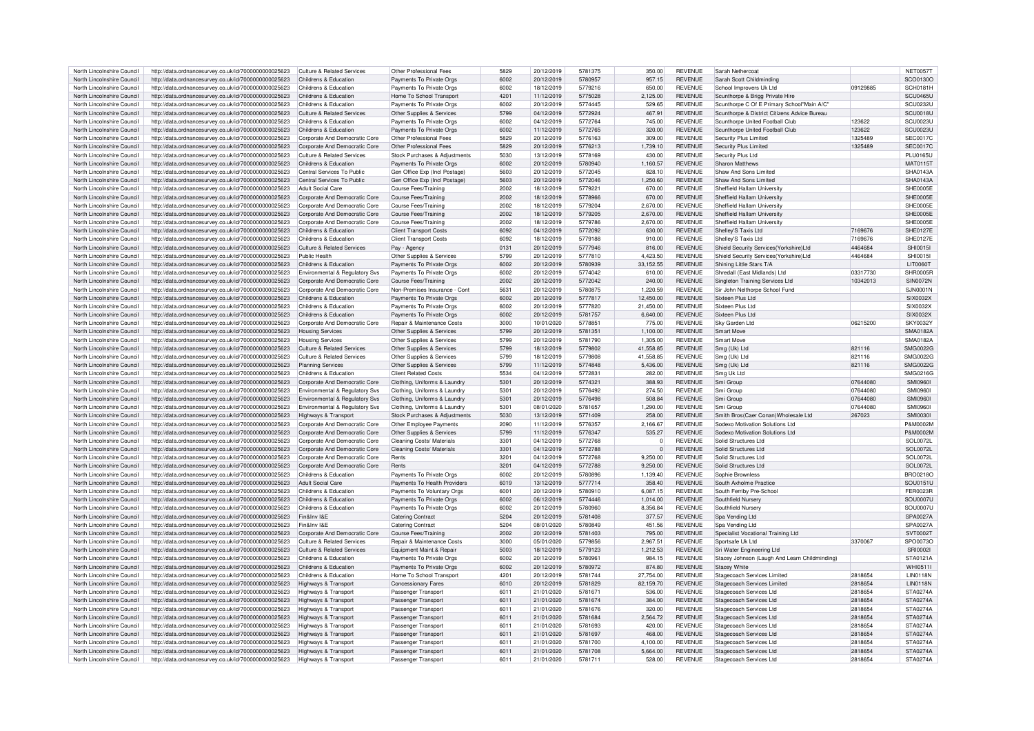| North Lincolnshire Council | http://data.ordnancesurvey.co.uk/id/7000000000025623 | Culture & Related Services                | Other Professional Fees       | 5829 | 20/12/2019 | 5781375 | 350.00      | <b>REVENUE</b> | Sarah Nethercoat                              |          | <b>NET00571</b> |
|----------------------------|------------------------------------------------------|-------------------------------------------|-------------------------------|------|------------|---------|-------------|----------------|-----------------------------------------------|----------|-----------------|
| North Lincolnshire Council | http://data.ordnancesurvey.co.uk/id/7000000000025623 | Childrens & Education                     | Payments To Private Orgs      | 6002 | 20/12/2019 | 5780957 | 957.15      | <b>REVENUE</b> | Sarah Scott Childminding                      |          | SCO0130O        |
| North Lincolnshire Council | http://data.ordnancesurvey.co.uk/id/7000000000025623 | Childrens & Education                     | Payments To Private Orgs      | 6002 | 18/12/2019 | 5779216 | 650.00      | <b>REVENUE</b> | School Improvers Uk Ltd                       | 09129885 | <b>SCH0181E</b> |
| North Lincolnshire Council | http://data.ordnancesurvey.co.uk/id/7000000000025623 | Childrens & Education                     | Home To School Transport      | 4201 | 11/12/2019 | 5775028 | 2,125.00    | <b>REVENUE</b> | Scunthorpe & Brigg Private Hire               |          | <b>SCU0465L</b> |
|                            |                                                      |                                           |                               |      |            |         |             |                |                                               |          |                 |
| North Lincolnshire Council | http://data.ordnancesurvey.co.uk/id/7000000000025623 | Childrens & Education                     | Payments To Private Orgs      | 6002 | 20/12/2019 | 5774445 | 529.65      | <b>REVENUE</b> | Scunthorpe C Of E Primary School"Main A/C"    |          | SCU0232L        |
| North Lincolnshire Council | http://data.ordnancesurvey.co.uk/id/7000000000025623 | Culture & Related Services                | Other Supplies & Services     | 5799 | 04/12/2019 | 5772924 | 467.91      | <b>REVENUE</b> | Scunthorpe & District Citizens Advice Bureau  |          | <b>SCU0018L</b> |
| North Lincolnshire Council | http://data.ordnancesurvey.co.uk/id/7000000000025623 | Childrens & Education                     | Payments To Private Orgs      | 6002 | 04/12/2019 | 5772764 | 745.00      | <b>REVENUE</b> | Scunthorpe United Football Club               | 123622   | SCU0023L        |
| North Lincolnshire Council | http://data.ordnancesurvey.co.uk/id/7000000000025623 | Childrens & Education                     | Payments To Private Orgs      | 6002 | 11/12/2019 | 5772765 | 320.00      | <b>REVENUE</b> | Scunthorpe United Football Club               | 123622   | <b>SCU0023L</b> |
|                            |                                                      |                                           |                               |      |            |         |             |                |                                               |          |                 |
| North Lincolnshire Council | http://data.ordnancesurvey.co.uk/id/7000000000025623 | Corporate And Democratic Core             | Other Professional Fees       | 5829 | 20/12/2019 | 5776163 | 309.00      | <b>REVENUE</b> | Security Plus Limited                         | 1325489  | <b>SEC0017C</b> |
| North Lincolnshire Council | http://data.ordnancesurvey.co.uk/id/7000000000025623 | Corporate And Democratic Core             | Other Professional Fees       | 5829 | 20/12/2019 | 5776213 | 1,739.10    | <b>REVENUE</b> | Security Plus Limited                         | 1325489  | <b>SEC0017C</b> |
| North Lincolnshire Council | http://data.ordnancesurvey.co.uk/id/7000000000025623 | Culture & Related Services                | Stock Purchases & Adjustments | 5030 | 13/12/2019 | 5778169 | 430.00      | <b>REVENUE</b> | Security Plus Ltd                             |          | <b>PLU0165U</b> |
|                            |                                                      |                                           |                               |      |            |         |             |                |                                               |          |                 |
| North Lincolnshire Council | http://data.ordnancesurvey.co.uk/id/7000000000025623 | Childrens & Education                     | Payments To Private Orgs      | 6002 | 20/12/2019 | 5780940 | 1,160.57    | <b>REVENUE</b> | Sharon Matthews                               |          | MAT01151        |
| North Lincolnshire Council | http://data.ordnancesurvey.co.uk/id/7000000000025623 | Central Services To Public                | Gen Office Exp (Incl Postage) | 5603 | 20/12/2019 | 5772045 | 828.10      | <b>REVENUE</b> | Shaw And Sons Limited                         |          | SHA0143A        |
| North Lincolnshire Council | http://data.ordnancesurvey.co.uk/id/7000000000025623 | Central Services To Public                | Gen Office Exp (Incl Postage) | 5603 | 20/12/2019 | 5772046 | 1.250.60    | <b>REVENUE</b> | Shaw And Sons Limited                         |          | SHA0143/        |
| North Lincolnshire Council | http://data.ordnancesurvey.co.uk/id/7000000000025623 | <b>Adult Social Care</b>                  | Course Fees/Training          | 2002 | 18/12/2019 | 5779221 | 670.00      | <b>REVENUE</b> | Sheffield Hallam University                   |          | SHE0005E        |
|                            |                                                      |                                           |                               |      |            |         |             |                |                                               |          |                 |
| North Lincolnshire Council | http://data.ordnancesurvey.co.uk/id/7000000000025623 | Cornorate And Democratic Core             | <b>Course Fees/Training</b>   | 2002 | 18/12/2019 | 5778966 | 670.00      | <b>REVENUE</b> | Sheffield Hallam Universit                    |          | SHE0005E        |
| North Lincolnshire Council | http://data.ordnancesurvey.co.uk/id/7000000000025623 | Corporate And Democratic Core             | Course Fees/Training          | 2002 | 18/12/2019 | 5779204 | 2,670.00    | <b>REVENUE</b> | Sheffield Hallam Universit                    |          | SHE0005E        |
| North Lincolnshire Council | http://data.ordnancesurvey.co.uk/id/7000000000025623 | Corporate And Democratic Core             | Course Fees/Training          | 2002 | 18/12/2019 | 5779205 | 2,670.00    | <b>REVENUE</b> | Sheffield Hallam University                   |          | SHE0005E        |
|                            |                                                      |                                           |                               |      |            |         |             |                |                                               |          |                 |
| North Lincolnshire Council | http://data.ordnancesurvey.co.uk/id/7000000000025623 | Corporate And Democratic Core             | Course Fees/Training          | 2002 | 18/12/2019 | 5779786 | 2,670.00    | <b>REVENUE</b> | Sheffield Hallam University                   |          | SHE0005E        |
| North Lincolnshire Council | http://data.ordnancesurvey.co.uk/id/7000000000025623 | Childrens & Education                     | <b>Client Transport Costs</b> | 6092 | 04/12/2019 | 5772092 | 630.00      | <b>REVENUE</b> | Shellev'S Taxis Ltd                           | 7169676  | <b>SHE0127E</b> |
| North Lincolnshire Council | http://data.ordnancesurvey.co.uk/id/7000000000025623 | Childrens & Education                     | Client Transport Costs        | 6092 | 18/12/2019 | 5779188 | 910.00      | <b>REVENUE</b> | Shelley'S Taxis Ltd                           | 7169676  | <b>SHE0127E</b> |
| North Lincolnshire Council | http://data.ordnancesurvey.co.uk/id/7000000000025623 | Culture & Related Services                | Pay - Agency                  | 0131 | 20/12/2019 | 5777946 | 816.00      | <b>REVENUE</b> | Shield Security Services(Yorkshire)Ltd        | 4464684  | <b>SHI0015I</b> |
|                            |                                                      |                                           |                               |      |            |         |             |                |                                               |          |                 |
| North Lincolnshire Council | http://data.ordnancesurvey.co.uk/id/7000000000025623 | <b>Public Health</b>                      | Other Supplies & Services     | 5799 | 20/12/2019 | 5777810 | 4,423.50    | <b>REVENUE</b> | Shield Security Services(Yorkshire)Ltd        | 4464684  | SHI0015I        |
| North Lincolnshire Council | http://data.ordnancesurvey.co.uk/id/7000000000025623 | Childrens & Education                     | Payments To Private Orgs      | 6002 | 20/12/2019 | 5780939 | 33.152.55   | <b>REVENUE</b> | Shining Little Stars T/A                      |          | 1 IT0060        |
| North Lincolnshire Council | http://data.ordnancesurvey.co.uk/id/7000000000025623 | Environmental & Regulatory Svs            | Payments To Private Orgs      | 6002 | 20/12/2019 | 5774042 | 610.00      | <b>REVENUE</b> | Shredall (East Midlands) Ltd                  | 03317730 | SHR0005F        |
|                            |                                                      |                                           |                               |      |            |         |             |                |                                               |          |                 |
| North Lincolnshire Council | http://data.ordnancesurvey.co.uk/id/7000000000025623 | Corporate And Democratic Core             | Course Fees/Training          | 2002 | 20/12/2019 | 5772042 | 240.00      | <b>REVENUE</b> | Singleton Training Services Ltd               | 10342013 | <b>SIN0072N</b> |
| North Lincolnshire Council | http://data.ordnancesurvey.co.uk/id/7000000000025623 | Corporate And Democratic Core             | Non-Premises Insurance - Cont | 5631 | 20/12/2019 | 5780875 | 1,220.59    | <b>REVENUE</b> | Sir John Nelthorpe School Fund                |          | SJN0001N        |
| North Lincolnshire Council | http://data.ordnancesurvey.co.uk/id/7000000000025623 | Childrens & Education                     | Payments To Private Orgs      | 6002 | 20/12/2019 | 5777817 | 12,450.00   | <b>REVENUE</b> | Sixteen Plus Ltd                              |          | SIX0032X        |
| North Lincolnshire Council | http://data.ordnancesurvey.co.uk/id/7000000000025623 | Childrens & Education                     | Payments To Private Orgs      | 6002 | 20/12/2019 | 5777820 | 21,450.00   | <b>REVENUE</b> | Sixteen Plus Ltd                              |          | SIX0032X        |
|                            |                                                      |                                           |                               |      |            |         |             |                |                                               |          |                 |
| North Lincolnshire Council | http://data.ordnancesurvey.co.uk/id/7000000000025623 | Childrens & Education                     | Payments To Private Orgs      | 6002 | 20/12/2019 | 5781757 | 6,640.00    | <b>REVENUE</b> | Sixteen Plus Ltd                              |          | SIX0032X        |
| North Lincolnshire Council | http://data.ordnancesurvey.co.uk/id/7000000000025623 | Corporate And Democratic Core             | Repair & Maintenance Costs    | 3000 | 10/01/2020 | 5778851 | 775.00      | <b>REVENUE</b> | Sky Garden Ltd                                | 06215200 | SKY0032Y        |
| North Lincolnshire Council | http://data.ordnancesurvey.co.uk/id/7000000000025623 | <b>Housing Services</b>                   | Other Supplies & Services     | 5799 | 20/12/2019 | 5781351 | 1,100.00    | <b>REVENUE</b> | Smart Move                                    |          | SMA0182A        |
|                            |                                                      |                                           |                               |      |            | 5781790 |             |                |                                               |          |                 |
| North Lincolnshire Council | http://data.ordnancesurvey.co.uk/id/7000000000025623 | <b>Housing Services</b>                   | Other Supplies & Services     | 5799 | 20/12/2019 |         | 1.305.00    | <b>REVENUE</b> | Smart Move                                    |          | SMA0182/        |
| North Lincolnshire Council | http://data.ordnancesurvey.co.uk/id/7000000000025623 | <b>Culture &amp; Related Services</b>     | Other Supplies & Services     | 5799 | 18/12/2019 | 5779802 | 41,558.85   | <b>REVENUE</b> | Smg (Uk) Ltd                                  | 821116   | SMG0022C        |
| North Lincolnshire Council | http://data.ordnancesurvey.co.uk/id/7000000000025623 | Culture & Related Services                | Other Supplies & Services     | 5799 | 18/12/2019 | 5779808 | 41,558.85   | <b>REVENUE</b> | Smg (Uk) Ltd                                  | 821116   | SMG00220        |
| North Lincolnshire Council | http://data.ordnancesurvey.co.uk/id/7000000000025623 | <b>Planning Services</b>                  | Other Supplies & Services     | 5799 | 11/12/2019 | 5774848 | 5.436.00    | <b>REVENUE</b> | Smg (Uk) Ltd                                  | 821116   | SMG0022G        |
|                            |                                                      |                                           |                               |      |            |         |             |                |                                               |          |                 |
| North Lincolnshire Council | http://data.ordnancesurvey.co.uk/id/7000000000025623 | Childrens & Education                     | Client Related Costs          | 5534 | 04/12/2019 | 577283  | 282.00      | <b>REVENUE</b> | Smg Uk Ltd                                    |          | SMG02160        |
| North Lincolnshire Council | http://data.ordnancesurvey.co.uk/id/7000000000025623 | Corporate And Democratic Core             | Clothing, Uniforms & Laundry  | 5301 | 20/12/2019 | 577432  | 388.93      | <b>REVENUE</b> | Smi Group                                     | 07644080 | <b>SMI0960I</b> |
| North Lincolnshire Council | http://data.ordnancesurvey.co.uk/id/7000000000025623 | Environmental & Regulatory Svs            | Clothing, Uniforms & Laundry  | 5301 | 20/12/2019 | 5776492 | 274.50      | <b>REVENUE</b> | Smi Groun                                     | 07644080 | SMI0960         |
|                            |                                                      |                                           |                               | 5301 |            | 5776498 |             | <b>REVENUE</b> | Smi Groun                                     |          | SMI0960         |
| North Lincolnshire Council | http://data.ordnancesurvey.co.uk/id/7000000000025623 | <b>Environmental &amp; Regulatory Svs</b> | Clothing, Uniforms & Laundry  |      | 20/12/2019 |         | 508.84      |                |                                               | 07644080 |                 |
| North Lincolnshire Council | http://data.ordnancesurvey.co.uk/id/7000000000025623 | Environmental & Regulatory Sys            | Clothing, Uniforms & Laundry  | 5301 | 08/01/2020 | 5781657 | 1.290.00    | <b>REVENUE</b> | Smi Group                                     | 07644080 | <b>SMI09601</b> |
| North Lincolnshire Council | http://data.ordnancesurvey.co.uk/id/7000000000025623 | Highways & Transport                      | Stock Purchases & Adjustments | 5030 | 13/12/2019 | 5771409 | 258.00      | <b>REVENUE</b> | Smith Bros(Caer Conan) Wholesale Ltd          | 267023   | <b>SMI0030I</b> |
| North Lincolnshire Council | http://data.ordnancesurvey.co.uk/id/7000000000025623 | Corporate And Democratic Core             | Other Employee Payments       | 2090 | 11/12/2019 | 5776357 | 2.166.67    | <b>REVENUE</b> | Sodero Motivation Solutions Ltd               |          | P&M0002M        |
|                            |                                                      |                                           |                               |      |            |         |             |                |                                               |          |                 |
| North Lincolnshire Council | http://data.ordnancesurvey.co.uk/id/7000000000025623 | Corporate And Democratic Core             | Other Supplies & Services     | 5799 | 11/12/2019 | 5776347 | 535.27      | <b>REVENUE</b> | Sodexo Motivation Solutions Ltd               |          | P&M0002M        |
| North Lincolnshire Council | http://data.ordnancesurvey.co.uk/id/7000000000025623 | Corporate And Democratic Core             | Cleaning Costs/ Materials     | 3301 | 04/12/2019 | 5772768 | $\Omega$    | <b>REVENUE</b> | Solid Structures Ltd                          |          | SOI 0072L       |
| North Lincolnshire Council | http://data.ordnancesurvey.co.uk/id/7000000000025623 | Corporate And Democratic Core             | Cleaning Costs/ Materials     | 3301 | 04/12/2019 | 5772788 | $\mathbf 0$ | <b>REVENUE</b> | Solid Structures Ltd                          |          | SOL0072L        |
| North Lincolnshire Council | http://data.ordnancesurvey.co.uk/id/7000000000025623 | Corporate And Democratic Core             | Rents                         | 3201 | 04/12/2019 | 5772768 | 9.250.00    | <b>REVENUE</b> | Solid Structures Ltd                          |          | SOL0072L        |
|                            |                                                      |                                           |                               |      |            |         |             |                |                                               |          |                 |
| North Lincolnshire Council | http://data.ordnancesurvey.co.uk/id/7000000000025623 | Corporate And Democratic Core             | Rents                         | 3201 | 04/12/2019 | 5772788 | 9,250.00    | <b>REVENUE</b> | Solid Structures Ltd                          |          | SOL0072L        |
| North Lincolnshire Council | http://data.ordnancesurvey.co.uk/id/7000000000025623 | Childrens & Education                     | Payments To Private Orgs      | 6002 | 20/12/2019 | 5780896 | 1,139.40    | <b>REVENUE</b> | Sophie Brownless                              |          | <b>BRO02180</b> |
| North Lincolnshire Council | http://data.ordnancesurvey.co.uk/id/7000000000025623 | <b>Adult Social Care</b>                  | Payments To Health Providers  | 6019 | 13/12/2019 | 5777714 | 358,40      | <b>REVENUE</b> | South Axholme Practice                        |          | SOU0151L        |
| North Lincolnshire Council | http://data.ordnancesurvey.co.uk/id/7000000000025623 | Childrens & Education                     | Payments To Voluntary Orgs    | 6001 | 20/12/2019 | 5780910 | 6.087.15    | <b>REVENUE</b> | South Ferriby Pre-School                      |          | FFR0023F        |
|                            |                                                      |                                           |                               |      |            |         |             |                |                                               |          |                 |
| North Lincolnshire Council | http://data.ordnancesurvey.co.uk/id/7000000000025623 | Childrens & Education                     | Payments To Private Orgs      | 6002 | 06/12/2019 | 5774446 | 1,014.00    | <b>REVENUE</b> | Southfield Nursery                            |          | SOU0007U        |
| North Lincolnshire Council | http://data.ordnancesurvey.co.uk/id/7000000000025623 | Childrens & Education                     | Payments To Private Orgs      | 6002 | 20/12/2019 | 5780960 | 8.356.84    | <b>REVENUE</b> | Southfield Nursery                            |          | SOU0007L        |
| North Lincolnshire Council | http://data.ordnancesurvey.co.uk/id/7000000000025623 | Fin&Inv I&E                               | <b>Catering Contract</b>      | 5204 | 20/12/2019 | 5781408 | 377.57      | <b>REVENUE</b> | Spa Vending Ltd                               |          | SPA0027/        |
|                            |                                                      | Fin&Inv I&F                               |                               | 5204 |            | 5780849 |             |                |                                               |          |                 |
| North Lincolnshire Council | http://data.ordnancesurvey.co.uk/id/7000000000025623 |                                           | <b>Catering Contract</b>      |      | 08/01/2020 |         | 451.56      | <b>REVENUE</b> | Spa Vending Ltd                               |          | SPA0027/        |
| North Lincolnshire Council | http://data.ordnancesurvey.co.uk/id/7000000000025623 | Corporate And Democratic Core             | <b>Course Fees/Training</b>   | 2002 | 20/12/2019 | 5781403 | 795.00      | <b>REVENUE</b> | Specialist Vocational Training Ltd            |          | SVT00021        |
| North Lincolnshire Council | http://data.ordnancesurvey.co.uk/id/7000000000025623 | Culture & Related Services                | Repair & Maintenance Costs    | 3000 | 05/01/2020 | 5779856 | 2.967.51    | <b>REVENUE</b> | Sportsafe Uk Ltd                              | 3370067  | SPO0073C        |
| North Lincolnshire Council | http://data.ordnancesurvey.co.uk/id/7000000000025623 | Culture & Related Services                | Equipment Maint.& Repair      | 5003 | 18/12/2019 | 5779123 | 1,212.53    | <b>REVENUE</b> | Sri Water Engineering Ltd                     |          | SRI0002         |
|                            |                                                      |                                           |                               |      |            |         |             |                |                                               |          |                 |
| North Lincolnshire Council | http://data.ordnancesurvey.co.uk/id/7000000000025623 | Childrens & Education                     | Payments To Private Orgs      | 6002 | 20/12/2019 | 578096  | 984.15      | <b>REVENUE</b> | Stacey Johnson (Laugh And Learn Childminding) |          | STA0121A        |
| North Lincolnshire Council | http://data.ordnancesurvey.co.uk/id/7000000000025623 | Childrens & Education                     | Payments To Private Orgs      | 6002 | 20/12/2019 | 5780972 | 874.80      | <b>REVENUE</b> | Stacey White                                  |          | WHI0511         |
| North Lincolnshire Council | http://data.ordnancesurvey.co.uk/id/7000000000025623 | Childrens & Education                     | Home To School Transport      | 4201 | 20/12/2019 | 5781744 | 27,754.00   | REVENUE        | Stagecoach Services Limited                   | 2818654  | <b>LIN0118N</b> |
| North Lincolnshire Council | http://data.ordnancesurvey.co.uk/id/7000000000025623 | Highways & Transport                      | <b>Concessionary Fares</b>    | 6010 | 20/12/2019 | 5781829 | 82,159.70   | <b>REVENUE</b> | Stagecoach Services Limited                   | 2818654  | <b>LIN0118N</b> |
|                            |                                                      |                                           |                               |      |            |         |             |                |                                               |          |                 |
| North Lincolnshire Council | http://data.ordnancesurvey.co.uk/id/7000000000025623 | Highways & Transport                      | Passenger Transport           | 6011 | 21/01/2020 | 5781671 | 536.00      | <b>REVENUE</b> | Stagecoach Services Ltd                       | 2818654  | STA0274A        |
| North Lincolnshire Council | http://data.ordnancesurvey.co.uk/id/7000000000025623 | <b>Highways &amp; Transport</b>           | Passenger Transport           | 6011 | 21/01/2020 | 5781674 | 384.00      | <b>REVENUE</b> | <b>Stagecoach Services Ltd</b>                | 2818654  | STA0274A        |
| North Lincolnshire Council | http://data.ordnancesurvey.co.uk/id/7000000000025623 | Highways & Transport                      | Passenger Transport           | 6011 | 21/01/2020 | 5781676 | 320.00      | <b>REVENUE</b> | Stagecoach Services Ltd                       | 2818654  | STA0274/        |
| North Lincolnshire Council |                                                      |                                           |                               | 6011 | 21/01/2020 | 5781684 | 2.564.72    | <b>REVENUE</b> |                                               | 2818654  | STA0274A        |
|                            | http://data.ordnancesurvey.co.uk/id/7000000000025623 | <b>Highways &amp; Transport</b>           | Passenger Transport           |      |            |         |             |                | <b>Stagecoach Services Ltd</b>                |          |                 |
| North Lincolnshire Council | http://data.ordnancesurvey.co.uk/id/7000000000025623 | <b>Highways &amp; Transport</b>           | Passenger Transport           | 6011 | 21/01/2020 | 5781693 | 420.00      | <b>REVENUE</b> | Stagecoach Services Ltd                       | 2818654  | STA0274A        |
| North Lincolnshire Council | http://data.ordnancesurvey.co.uk/id/7000000000025623 | <b>Highways &amp; Transport</b>           | Passenger Transport           | 6011 | 21/01/2020 | 5781697 | 468.00      | <b>REVENUE</b> | Stagecoach Services Ltd                       | 2818654  | STA0274A        |
| North Lincolnshire Council | http://data.ordnancesurvey.co.uk/id/7000000000025623 | Highways & Transport                      | Passenger Transport           | 6011 | 21/01/2020 | 5781700 | 4,100.00    | <b>REVENUE</b> | Stagecoach Services Ltd                       | 2818654  | STA0274A        |
|                            |                                                      |                                           |                               |      |            |         |             |                |                                               |          |                 |
| North Lincolnshire Council | http://data.ordnancesurvey.co.uk/id/7000000000025623 | <b>Highways &amp; Transport</b>           | Passenger Transport           | 6011 | 21/01/2020 | 5781708 | 5,664.00    | <b>REVENUE</b> | Stagecoach Services Ltd                       | 2818654  | STA0274A        |
| North Lincolnshire Council | http://data.ordnancesurvey.co.uk/id/7000000000025623 | Highways & Transport                      | Passenger Transport           | 6011 | 21/01/2020 | 5781711 | 528.00      | <b>REVENUE</b> | Stagecoach Services Ltd                       | 2818654  | STA0274A        |
|                            |                                                      |                                           |                               |      |            |         |             |                |                                               |          |                 |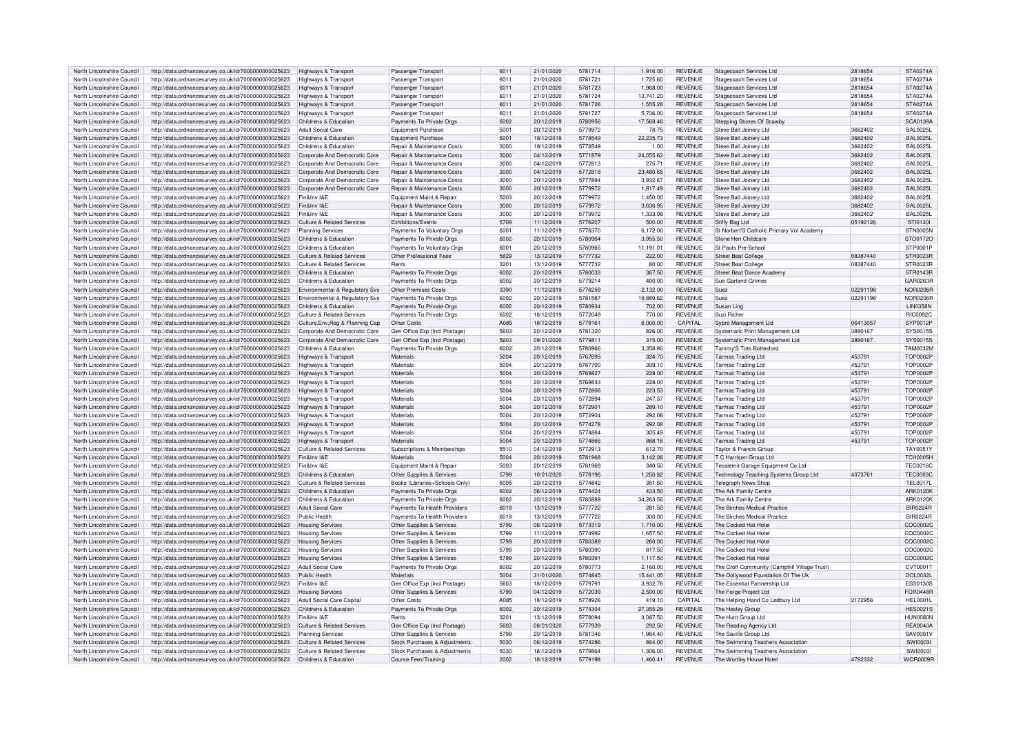| North Lincolnshire Council | http://data.ordnancesurvey.co.uk/id/7000000000025623                      | Highways & Transport                  | Passenger Transport                   | 6011             | 21/01/2020 | 5781714 | 1,916.00  | <b>REVENUE</b> | Stagecoach Services Ltd                      | 2818654  | STA0274A        |
|----------------------------|---------------------------------------------------------------------------|---------------------------------------|---------------------------------------|------------------|------------|---------|-----------|----------------|----------------------------------------------|----------|-----------------|
|                            |                                                                           |                                       |                                       |                  |            |         |           |                |                                              |          |                 |
| North Lincolnshire Council | http://data.ordnancesurvey.co.uk/id/7000000000025623                      | Highways & Transport                  | Passenger Transport                   | 6011             | 21/01/2020 | 5781721 | 1.725.60  | <b>REVENUE</b> | Stagecoach Services Ltd                      | 2818654  | <b>STA0274A</b> |
| North Lincolnshire Council | http://data.ordnancesurvey.co.uk/id/7000000000025623                      | Highways & Transport                  | Passenger Transport                   | 6011             | 21/01/2020 | 5781723 | 1,968.00  | <b>REVENUE</b> | Stagecoach Services Ltd                      | 2818654  | <b>STA0274A</b> |
|                            |                                                                           |                                       |                                       |                  |            |         |           |                |                                              |          |                 |
| North Lincolnshire Council | http://data.ordnancesurvey.co.uk/id/7000000000025623                      | Highways & Transport                  | Passenger Transport                   | 6011             | 21/01/2020 | 5781724 | 13,741.20 | <b>REVENUE</b> | Stagecoach Services Ltd                      | 2818654  | <b>STA0274A</b> |
| North Lincolnshire Council | http://data.ordnancesurvey.co.uk/id/7000000000025623                      | Highways & Transport                  | Passenger Transport                   | 6011             | 21/01/2020 | 5781726 | 1,555.28  | <b>REVENUE</b> | Stagecoach Services Ltd                      | 2818654  | STA0274A        |
| North Lincolnshire Council | http://data.ordnancesurvey.co.uk/id/7000000000025623                      | Highways & Transport                  | Passenger Transport                   | 6011             | 21/01/2020 | 5781727 | 5.736.00  | <b>REVENUE</b> | Stagecoach Services Ltd                      | 2818654  | <b>STA0274A</b> |
|                            |                                                                           |                                       |                                       |                  |            |         |           |                |                                              |          |                 |
| North Lincolnshire Council | http://data.ordnancesurvey.co.uk/id/7000000000025623                      | Childrens & Education                 | Payments To Private Orgs              | 6002             | 20/12/2019 | 5780956 | 17,568.46 | <b>REVENUE</b> | Stepping Stones Of Scawb                     |          | <b>SCA0139A</b> |
| North Lincolnshire Council | http://data.ordnancesurvey.co.uk/id/7000000000025623                      | Adult Social Care                     | Equipment Purchase                    | 5001             | 20/12/2019 | 5779972 | 78.75     | <b>REVENUE</b> | Steve Ball Joinery Ltd                       | 3682402  | <b>BAL0025L</b> |
|                            |                                                                           |                                       |                                       |                  |            |         |           |                |                                              |          |                 |
| North Lincolnshire Council | http://data.ordnancesurvey.co.uk/id/7000000000025623                      | Childrens & Education                 | Equipment Purchase                    | 5001             | 18/12/2019 | 5778549 | 22,235.73 | <b>REVENUE</b> | Steve Ball Joinery Ltd                       | 3682402  | <b>BAL0025L</b> |
| North Lincolnshire Council | http://data.ordnancesurvey.co.uk/id/7000000000025623                      | Childrens & Education                 | Repair & Maintenance Costs            | 3000             | 18/12/2019 | 5778549 | 1.00      | <b>REVENUE</b> | Steve Ball Joinery Ltd                       | 3682402  | BAI 0025L       |
|                            |                                                                           |                                       |                                       | 3000             |            |         |           |                |                                              |          |                 |
| North Lincolnshire Council | http://data.ordnancesurvey.co.uk/id/7000000000025623                      | Corporate And Democratic Core         | Repair & Maintenance Costs            |                  | 04/12/2019 | 5771879 | 24,055.62 | <b>REVENUE</b> | Steve Ball Joinery Ltd                       | 3682402  | <b>BAL0025L</b> |
| North Lincolnshire Council | http://data.ordnancesurvey.co.uk/id/7000000000025623                      | Corporate And Democratic Core         | Repair & Maintenance Costs            | 3000             | 04/12/2019 | 5772813 | 275.71    | <b>REVENUE</b> | Steve Ball Joinery Ltd                       | 3682402  | <b>BAL0025L</b> |
| North Lincolnshire Council | http://data.ordnancesurvey.co.uk/id/7000000000025623                      | Corporate And Democratic Core         | Repair & Maintenance Costs            | 3000             | 04/12/2019 | 5772818 | 23.480.65 | <b>REVENUE</b> | Steve Ball Joinery Ltd                       | 3682402  | BAI 0025L       |
|                            |                                                                           |                                       |                                       |                  |            |         |           |                |                                              |          |                 |
| North Lincolnshire Council | http://data.ordnancesurvey.co.uk/id/7000000000025623                      | Corporate And Democratic Core         | Repair & Maintenance Costs            | 3000             | 20/12/2019 | 5777894 | 3.932.67  | <b>REVENUE</b> | Steve Ball Joinery Ltd                       | 3682402  | <b>BAL0025L</b> |
| North Lincolnshire Council | http://data.ordnancesurvey.co.uk/id/7000000000025623                      | Corporate And Democratic Core         | Repair & Maintenance Costs            | 3000             | 20/12/2019 | 5779972 | 1,917.49  | <b>REVENUE</b> | Steve Ball Joinery Ltd                       | 3682402  | BAI 0025L       |
|                            |                                                                           |                                       |                                       |                  |            |         |           |                |                                              |          |                 |
| North Lincolnshire Council | http://data.ordnancesurvey.co.uk/id/7000000000025623                      | Fin&Inv I&F                           | Equipment Maint.& Repair              | 5003             | 20/12/2019 | 5779972 | 1,450.00  | <b>REVENUE</b> | Steve Ball Joinery Ltd                       | 3682402  | BAI 0025L       |
| North Lincolnshire Council | http://data.ordnancesurvey.co.uk/id/7000000000025623                      | Fin&Inv I&E                           | Repair & Maintenance Costs            | 3000             | 20/12/2019 | 5779972 | 3.636.95  | <b>REVENUE</b> | Steve Ball Joinery Ltd                       | 3682402  | <b>BAL0025L</b> |
| North Lincolnshire Council | http://data.ordnancesurvey.co.uk/id/7000000000025623                      | Fin&Inv I&E                           | <b>Benair &amp; Maintenance Costs</b> | 3000             | 20/12/2019 | 5779972 | 1.333.98  | <b>REVENUE</b> | Steve Ball Joinery Ltd                       | 3682402  | <b>BAL0025L</b> |
|                            |                                                                           |                                       |                                       |                  |            |         |           |                |                                              |          |                 |
| North Lincolnshire Council | http://data.ordnancesurvey.co.uk/id/7000000000025623                      | Culture & Related Services            | Exhibitions/Events                    | 5709             | 11/12/2019 | 5776207 | 500.00    | <b>REVENUE</b> | Stiffy Bag Ltd                               | 05192126 | STI0130I        |
| North Lincolnshire Council | http://data.ordnancesurvey.co.uk/id/7000000000025623                      | Planning Services                     | Payments To Voluntary Orgs            | 6001             | 11/12/2019 | 5776370 | 6,172.00  | <b>REVENUE</b> | St Norbert'S Catholic Primary Vol Academy    |          | STN0005N        |
|                            |                                                                           |                                       |                                       |                  |            |         |           |                |                                              |          |                 |
| North Lincolnshire Council | http://data.ordnancesurvey.co.uk/id/7000000000025623                      | Childrens & Education                 | Payments To Private Orgs              | 6002             | 20/12/2019 | 5780964 | 3.955.50  | <b>REVENUE</b> | Stone Hen Childcare                          |          | STO0172C        |
| North Lincolnshire Council | http://data.ordnancesurvey.co.uk/id/7000000000025623                      | Childrens & Education                 | Payments To Voluntary Orgs            | 6001             | 20/12/2019 | 5780965 | 11,191.01 | <b>REVENUE</b> | St Pauls Pre-School                          |          | STP0001F        |
|                            |                                                                           |                                       |                                       |                  |            |         |           |                |                                              |          |                 |
| North Lincolnshire Council | http://data.ordnancesurvey.co.uk/id/7000000000025623                      | Culture & Related Services            | Other Professional Fees               | 5829             | 13/12/2019 | 5777732 | 222.00    | <b>REVENUE</b> | Street Beat College                          | 08387440 | STR0023R        |
| North Lincolnshire Council | http://data.ordnancesurvey.co.uk/id/7000000000025623                      | Culture & Related Services            | Rents                                 | 3201             | 13/12/2019 | 5777732 | 80.00     | <b>REVENUE</b> | <b>Street Beat College</b>                   | 08387440 | STR0023R        |
| North Lincolnshire Council | http://data.ordnancesurvey.co.uk/id/7000000000025623                      | Childrens & Education                 | Payments To Private Orgs              | 6002             | 20/12/2019 | 5780033 | 367.50    | <b>REVENUE</b> | Street Beat Dance Academ                     |          | STR0143R        |
|                            |                                                                           |                                       |                                       |                  |            |         |           |                |                                              |          |                 |
| North Lincolnshire Council | http://data.ordnancesurvey.co.uk/id/7000000000025623                      | Childrens & Education                 | Payments To Private Orgs              | 6002             | 20/12/2019 | 5779214 | 400.00    | <b>REVENUE</b> | Sue Garland-Grime                            |          | GAR0263F        |
| North Lincolnshire Council | http://data.ordnancesurvey.co.uk/id/7000000000025623                      | Environmental & Regulatory Svs        | Other Premises Costs                  | 3390             | 11/12/2019 | 5776259 | 2,132.00  | <b>REVENUE</b> | Suez                                         | 02291198 | <b>NOR0206F</b> |
|                            |                                                                           |                                       |                                       |                  |            |         |           |                |                                              |          |                 |
| North Lincolnshire Council | http://data.ordnancesurvey.co.uk/id/7000000000025623                      | Environmental & Regulatory Svs        | Payments To Private Orgs              | 5002             | 20/12/2019 | 5781587 | 19.889.62 | <b>REVENUE</b> | Suez                                         | 02291198 | NOR0206F        |
| North Lincolnshire Council | http://data.ordnancesurvey.co.uk/id/7000000000025623                      | Childrens & Education                 | Payments To Private Orgs              | 6002             | 20/12/2019 | 5780934 | 702.00    | <b>REVENUE</b> | Susan Ling                                   |          | <b>LIN0358N</b> |
|                            |                                                                           |                                       |                                       |                  |            |         |           |                |                                              |          |                 |
| North Lincolnshire Council | http://data.ordnancesurvey.co.uk/id/7000000000025623                      | Culture & Related Services            | Payments To Private Orgs              | 6002             | 18/12/2019 | 5772049 | 770.00    | <b>REVENUE</b> | Suzi Richer                                  |          | <b>BIC0092C</b> |
| North Lincolnshire Council | http://data.ordnancesurvey.co.uk/id/7000000000025623                      | Culture, Env, Reg & Planning Cap      | Other Costs                           | A085             | 18/12/2019 | 5779161 | 6,000.00  | CAPITAL        | Sypro Management Ltd                         | 06413057 | SYP0012P        |
| North Lincolnshire Council | http://data.ordnancesurvey.co.uk/id/7000000000025623                      | Corporate And Democratic Core         | Gen Office Exp (Incl Postage)         | 5603             | 20/12/2019 | 5781320 | 826.00    | <b>REVENUE</b> | Systematic Print Management Ltd              | 3890167  | SYS0015S        |
|                            |                                                                           |                                       |                                       |                  |            |         |           |                |                                              |          |                 |
| North Lincolnshire Council | http://data.ordnancesurvey.co.uk/id/7000000000025623                      | Corporate And Democratic Core         | Gen Office Exp (Incl Postage)         | 5603             | 09/01/2020 | 5779811 | 315.00    | <b>REVENUE</b> | Systematic Print Management Ltd              | 3890167  | SYS0015S        |
| North Lincolnshire Council | http://data.ordnancesurvey.co.uk/id/7000000000025623                      | Childrens & Education                 | Payments To Private Orgs              | 6002             | 20/12/2019 | 5780966 | 3.358.80  | <b>REVENUE</b> | Tammy'S Tots Bottesford                      |          | <b>TAM0032M</b> |
|                            |                                                                           |                                       |                                       |                  |            |         |           |                |                                              |          |                 |
| North Lincolnshire Council | http://data.ordnancesurvey.co.uk/id/7000000000025623                      | Highways & Transport                  | Materials                             | 5004             | 20/12/2019 | 5767695 | 324.70    | <b>REVENUE</b> | <b>Tarmac Trading Ltd</b>                    | 453791   | <b>TOP0002P</b> |
| North Lincolnshire Council | http://data.ordnancesurvey.co.uk/id/7000000000025623                      | Highways & Transport                  | Materials                             | 5004             | 20/12/2019 | 5767700 | 309.10    | <b>REVENUE</b> | <b>Tarmac Trading Ltd</b>                    | 453791   | <b>TOP0002P</b> |
|                            |                                                                           |                                       |                                       |                  |            |         |           |                |                                              |          |                 |
| North Lincolnshire Council | http://data.ordnancesurvey.co.uk/id/7000000000025623                      | Highways & Transport                  | Materials                             | 5004             | 20/12/2019 | 5769827 | 228.00    | <b>REVENUE</b> | Tarmac Trading Ltd                           | 453791   | <b>TOP0002F</b> |
| North Lincolnshire Council | http://data.ordnancesurvey.co.uk/id/7000000000025623                      | Highways & Transpor                   | Materials                             | 5004             | 20/12/2019 | 5769833 | 228.00    | <b>REVENUE</b> | <b>Tarmac Trading Ltd</b>                    | 453791   | <b>TOP0002P</b> |
| North Lincolnshire Council |                                                                           |                                       | Materials                             | 5004             |            |         | 223.53    | <b>REVENUE</b> |                                              | 453791   | <b>TOP0002P</b> |
|                            | http://data.ordnancesurvey.co.uk/id/7000000000025623                      | Highways & Transport                  |                                       |                  | 20/12/2019 | 5772806 |           |                | <b>Tarmac Trading Ltd</b>                    |          |                 |
| North Lincolnshire Council | http://data.ordnancesurvey.co.uk/id/7000000000025623                      | Highways & Transport                  | Materials                             | 5004             | 20/12/2019 | 5772894 | 247.37    | <b>REVENUE</b> | <b>Tarmac Trading Ltd</b>                    | 453791   | <b>TOP0002P</b> |
| North Lincolnshire Council | http://data.ordnancesurvey.co.uk/id/7000000000025623                      | <b>Highways &amp; Transport</b>       | Materials                             | 5004             | 20/12/2019 | 577290  | 289.10    | <b>REVENUE</b> | <b>Tarmac Trading Ltd</b>                    | 453791   | <b>TOP0002P</b> |
|                            |                                                                           |                                       |                                       |                  |            |         |           |                |                                              |          |                 |
| North Lincolnshire Council | http://data.ordnancesurvey.co.uk/id/7000000000025623                      | Highways & Transport                  | Materials                             | 5004             | 20/12/2019 | 5772904 | 292.08    | <b>REVENUE</b> | <b>Tarmac Trading Ltd</b>                    | 453791   | <b>TOP0002P</b> |
| North Lincolnshire Council | http://data.ordnancesurvey.co.uk/id/7000000000025623                      | Highways & Transport                  | Materials                             | 5004             | 20/12/2019 | 5774278 | 292.08    | <b>REVENUE</b> | <b>Tarmac Trading Ltd</b>                    | 453791   | <b>TOP0002P</b> |
|                            |                                                                           |                                       |                                       |                  |            |         |           |                |                                              |          |                 |
| North Lincolnshire Council | http://data.ordnancesurvey.co.uk/id/7000000000025623                      | Highways & Transport                  | Materials                             | 5004             | 20/12/2019 | 5774864 | 305.49    | <b>REVENUE</b> | <b>Tarmac Trading Ltd</b>                    | 453791   | <b>TOP0002P</b> |
| North Lincolnshire Council | http://data.ordnancesurvey.co.uk/id/7000000000025623                      | Highways & Transport                  | Materials                             | 5004             | 20/12/2019 | 5774866 | 888.16    | <b>REVENUE</b> | <b>Tarmac Trading Ltd</b>                    | 453791   | <b>TOP0002P</b> |
|                            |                                                                           |                                       |                                       |                  |            |         |           |                |                                              |          |                 |
| North Lincolnshire Council | http://data.ordnancesurvey.co.uk/id/7000000000025623                      | Culture & Related Services            | Subscriptions & Memberships           | 5510             | 04/12/2019 | 5772913 | 612.70    | <b>REVENUE</b> | Taylor & Francis Group                       |          | TAY0051Y        |
| North Lincolnshire Council | http://data.ordnancesurvey.co.uk/id/7000000000025623                      | Fin&Inv I&F                           | Materials                             | 5004             | 20/12/2019 | 5781968 | 3.142.08  | <b>REVENUE</b> | T C Harrison Group Ltd                       |          | <b>TCH0005H</b> |
| North Lincolnshire Council | http://data.ordnancesurvey.co.uk/id/7000000000025623                      | Fin&Inv I&F                           | Equipment Maint.& Repair              | 5003             | 20/12/2019 | 5781969 | 340.50    | <b>REVENUE</b> | Tecalemit Garage Equipment Co Ltd            |          | TEC0016C        |
|                            |                                                                           |                                       |                                       |                  |            |         |           |                |                                              |          |                 |
| North Lincolnshire Council | http://data.ordnancesurvey.co.uk/id/7000000000025623                      | Childrens & Education                 | Other Supplies & Services             | 5799             | 10/01/2020 | 5778196 | 1,250.82  | <b>REVENUE</b> | Technology Teaching Systems Group Ltd        | 4373761  | <b>TEC0003C</b> |
| North Lincolnshire Council | http://data.ordnancesurvey.co.uk/id/7000000000025623                      | Culture & Related Services            | Books (Libraries+Schools Only)        | 5005             | 20/12/2019 | 5774842 | 351.50    | <b>REVENUE</b> | <b>Telegraph News Shop</b>                   |          | <b>TEL0017L</b> |
|                            |                                                                           |                                       |                                       |                  |            |         |           |                |                                              |          |                 |
| North Lincolnshire Council | http://data.ordnancesurvey.co.uk/id/7000000000025623                      | Childrens & Education                 | Payments To Private Orgs              | 6002             | 06/12/2019 | 5774424 | 433.50    | <b>REVENUE</b> | The Ark Family Centre                        |          | <b>ARK0120K</b> |
| North Lincolnshire Council | http://data.ordnancesurvey.co.uk/id/7000000000025623                      | Childrens & Education                 | Payments To Private Oras              | 6002             | 20/12/2019 | 5780889 | 34.263.56 | <b>REVENUE</b> | The Ark Family Centre                        |          | <b>ARK0120K</b> |
| North Lincolnshire Council | http://data.ordnancesurvey.co.uk/id/7000000000025623                      | Adult Social Care                     | Payments To Health Providers          | 6019             | 13/12/2019 | 5777722 | 281.50    | <b>REVENUE</b> | The Birches Medical Practice                 |          | <b>BIR0224R</b> |
|                            |                                                                           |                                       |                                       |                  |            |         |           |                |                                              |          |                 |
| North Lincolnshire Council | http://data.ordnancesurvey.co.uk/id/7000000000025623                      | <b>Public Health</b>                  | Payments To Health Providers          | 6019             | 13/12/2019 | 5777722 | 300.00    | <b>REVENUE</b> | The Birches Medical Practice                 |          | <b>BIR0224R</b> |
| North Lincolnshire Council | http://data.ordnancesurvey.co.uk/id/7000000000025623                      | <b>Housing Services</b>               | Other Supplies & Services             | 5799             | 06/12/2019 | 5773319 | 1.710.00  | <b>REVENUE</b> | The Cocked Hat Hotel                         |          | COC0002C        |
|                            |                                                                           |                                       |                                       |                  |            |         |           |                |                                              |          |                 |
| North Lincolnshire Council | http://data.ordnancesurvey.co.uk/id/7000000000025623                      | <b>Housing Services</b>               | Other Supplies & Services             | 5799             | 11/12/2019 | 5774992 | 1,657.50  | <b>REVENUE</b> | The Cocked Hat Hotel                         |          | COC0002C        |
| North Lincolnshire Council | http://data.ordnancesurvey.co.uk/id/7000000000025623                      | <b>Housing Services</b>               | Other Supplies & Services             | 5799             | 20/12/2019 | 5780389 | 260.00    | <b>REVENUE</b> | The Cocked Hat Hotel                         |          | COC0002C        |
|                            |                                                                           |                                       |                                       |                  |            |         |           |                |                                              |          |                 |
| North Lincolnshire Council | http://data.ordnancesurvey.co.uk/id/7000000000025623                      | <b>Housing Services</b>               | Other Supplies & Services             | 5799             | 20/12/2019 | 5780390 | 817.50    | <b>REVENUE</b> | The Cocked Hat Hotel                         |          | COC0002C        |
| North Lincolnshire Council | http://data.ordnancesurvey.co.uk/id/7000000000025623                      | <b>Housing Services</b>               | Other Supplies & Services             | 5799             | 20/12/2019 | 5780391 | 1.117.50  | <b>REVENUE</b> | The Cocked Hat Hotel                         |          | COC0002C        |
| North Lincolnshire Council |                                                                           | <b>Adult Social Care</b>              |                                       | 6002             |            | 5780773 | 2,160.00  | <b>REVENUE</b> | The Croft Community (Camphill Village Trust) |          | CVT0001T        |
|                            | http://data.ordnancesurvey.co.uk/id/7000000000025623                      |                                       | Payments To Private Orgs              |                  | 20/12/2019 |         |           |                |                                              |          |                 |
| North Lincolnshire Council | http://data.ordnancesurvey.co.uk/id/7000000000025623                      | Public Health                         | Materials                             | 5004             | 31/01/2020 | 5774845 | 15.441.05 | <b>REVENUE</b> | The Dollywood Foundation Of The Uk           |          | <b>DOL0032L</b> |
| North Lincolnshire Council | http://data.ordnancesurvey.co.uk/id/7000000000025623                      | Fin&Inv I&F                           | Gen Office Exp (Incl Postage)         | 5603             | 18/12/2019 | 5779791 | 3,932.78  | <b>REVENUE</b> | The Essential Partnership Ltd                |          | <b>ESS0130S</b> |
|                            |                                                                           |                                       |                                       |                  |            |         |           |                |                                              |          |                 |
| North Lincolnshire Council | http://data.ordnancesurvey.co.uk/id/7000000000025623                      | <b>Housing Services</b>               | Other Supplies & Services             | 5799             | 04/12/2019 | 5772039 | 2.500.00  | <b>REVENUE</b> | The Forge Project Ltd                        |          | <b>FOR0448R</b> |
| North Lincolnshire Council | http://data.ordnancesurvey.co.uk/id/7000000000025623                      | <b>Adult Social Care Capital</b>      | Other Costs                           | A085             | 18/12/2019 | 5778926 | 419.10    | CAPITAL        | The Helping Hand Co Ledbury Ltd              | 2172956  | <b>HEL0001L</b> |
|                            |                                                                           |                                       |                                       |                  |            |         |           |                |                                              |          |                 |
| North Lincolnshire Council | http://data.ordnancesurvey.co.uk/id/7000000000025623                      | Childrens & Education                 | Payments To Private Orgs              | 6002             | 20/12/2019 | 5774304 | 27,355.29 | <b>REVENUE</b> | The Hesley Group                             |          | <b>HES0021S</b> |
| North Lincolnshire Council | http://data.ordnancesurvey.co.uk/id/7000000000025623                      | Fin&Inv I&E                           | Rents                                 | 320 <sup>°</sup> | 13/12/2019 | 5778094 | 3,087.50  | <b>REVENUE</b> | The Hunt Group Ltd                           |          | HUN0080N        |
|                            |                                                                           |                                       |                                       | 5603             | 08/01/2020 | 5777939 | 292.50    | <b>REVENUE</b> |                                              |          | <b>REA0040A</b> |
| North Lincolnshire Council | http://data.ordnancesurvey.co.uk/id/7000000000025623                      | <b>Culture &amp; Related Services</b> | Gen Office Exp (Incl Postage)         |                  |            |         |           |                | The Reading Agency Ltd                       |          |                 |
| North Lincolnshire Council | http://data.ordnancesurvey.co.uk/id/7000000000025623                      | <b>Planning Services</b>              | Other Supplies & Services             | 5799             | 20/12/2019 | 5781346 | 1.964.40  | <b>REVENUE</b> | The Saville Group Ltd                        |          | SAV0001V        |
| North Lincolnshire Council | http://data.ordnancesurvey.co.uk/id/7000000000025623                      | <b>Culture &amp; Related Services</b> | Stock Purchases & Adjustments         | 5030             | 06/12/2019 | 5774286 | 864.00    | <b>REVENUE</b> | The Swimming Teachers Association            |          | SW100031        |
|                            |                                                                           |                                       |                                       |                  |            |         |           |                |                                              |          |                 |
|                            |                                                                           |                                       |                                       |                  |            |         |           |                |                                              |          |                 |
| North Lincolnshire Council | http://data.ordnancesurvey.co.uk/id/7000000000025623                      | Culture & Related Services            | Stock Purchases & Adjustments         | 5030             | 18/12/2019 | 5779864 | 1.306.00  | <b>REVENUE</b> | The Swimming Teachers Association            |          | SW100031        |
| North Lincolnshire Council | http://data.ordnancesurvey.co.uk/id/700000000025623 Childrens & Education |                                       | Course Fees/Training                  | 2002             | 18/12/2019 | 5779198 | 1,460.41  | <b>REVENUE</b> | The Wortley House Hotel                      | 4792332  | WOR0009R        |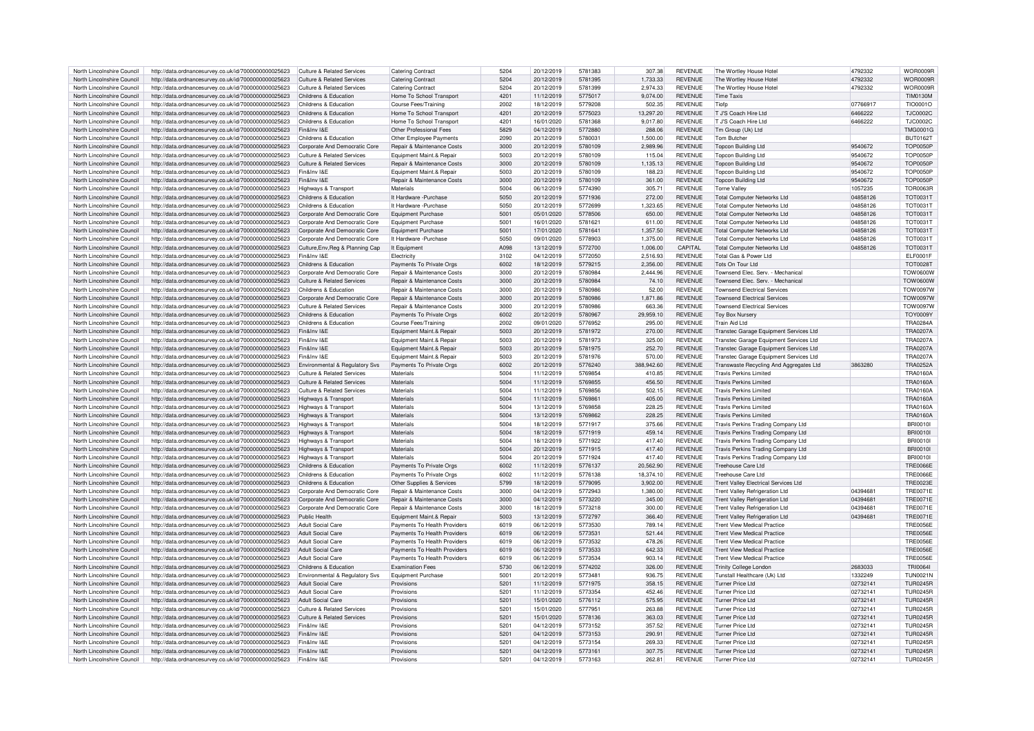| North Lincolnshire Council | http://data.ordnancesurvey.co.uk/id/7000000000025623 | <b>Culture &amp; Related Services</b> | <b>Catering Contract</b>              | 5204 | 20/12/2019 | 5781383 | 307.38     | REVENUE        | The Wortley House Hotel                     | 4792332  | WOR0009F        |
|----------------------------|------------------------------------------------------|---------------------------------------|---------------------------------------|------|------------|---------|------------|----------------|---------------------------------------------|----------|-----------------|
| North Lincolnshire Counci  | http://data.ordnancesurvey.co.uk/id/7000000000025623 | <b>Culture &amp; Related Services</b> | Catering Contract                     | 5204 | 20/12/2019 | 5781395 | 1,733.33   | <b>REVENUE</b> | The Wortley House Hote                      | 4792332  | WOR0009F        |
| North Lincolnshire Council | http://data.ordnancesurvey.co.uk/id/7000000000025623 | <b>Culture &amp; Related Services</b> | Catering Contract                     | 5204 | 20/12/2019 | 5781399 | 2.974.33   | <b>REVENUE</b> | The Wortley House Hotel                     | 4792332  | WOR0009F        |
| North Lincolnshire Council | http://data.ordnancesurvey.co.uk/id/7000000000025623 | Childrens & Education                 | Home To School Transport              | 4201 | 11/12/2019 | 5775017 | 9.074.00   | <b>REVENUE</b> | <b>Time Taxis</b>                           |          | <b>TIM0130M</b> |
|                            |                                                      |                                       |                                       |      |            |         |            |                |                                             |          |                 |
| North Lincolnshire Council | http://data.ordnancesurvey.co.uk/id/7000000000025623 | Childrens & Education                 | <b>Course Fees/Training</b>           | 2002 | 18/12/2019 | 5779208 | 502.35     | <b>REVENUE</b> | Tiofp                                       | 07766917 | TIO0001O        |
| North Lincolnshire Council | http://data.ordnancesurvey.co.uk/id/7000000000025623 | Childrens & Education                 | Home To School Transport              | 4201 | 20/12/2019 | 5775023 | 13,297.20  | <b>REVENUE</b> | T J'S Coach Hire Ltd                        | 6466222  | <b>TJC0002C</b> |
| North Lincolnshire Council | http://data.ordnancesurvey.co.uk/id/7000000000025623 | Childrens & Education                 | Home To School Transport              | 4201 | 16/01/2020 | 5781368 | 9,017.80   | <b>REVENUE</b> | T J'S Coach Hire Ltd                        | 6466222  | <b>TJC0002C</b> |
|                            |                                                      | Fin&Inv I&F                           |                                       | 5829 |            |         |            |                |                                             |          |                 |
| North Lincolnshire Council | http://data.ordnancesurvey.co.uk/id/7000000000025623 |                                       | Other Professional Fees               |      | 04/12/2019 | 5772880 | 288.06     | <b>REVENUE</b> | Tm Group (Uk) Ltd                           |          | <b>TMG0001G</b> |
| North Lincolnshire Council | http://data.ordnancesurvey.co.uk/id/7000000000025623 | Childrens & Education                 | Other Employee Payments               | 2090 | 20/12/2019 | 5780031 | 1.500.00   | <b>REVENUE</b> | Tom Butcher                                 |          | <b>BUT0162T</b> |
| North Lincolnshire Council | http://data.ordnancesurvey.co.uk/id/7000000000025623 | Corporate And Democratic Core         | Repair & Maintenance Costs            | 3000 | 20/12/2019 | 5780109 | 2.989.96   | <b>REVENUE</b> | <b>Topcon Building Ltd</b>                  | 9540672  | <b>TOP0050P</b> |
| North Lincolnshire Council | http://data.ordnancesurvey.co.uk/id/7000000000025623 | <b>Culture &amp; Related Services</b> | Equipment Maint.& Repair              | 5003 | 20/12/2019 | 5780109 | 115.04     | <b>REVENUE</b> | <b>Topcon Building Ltd</b>                  | 9540672  | <b>TOP0050F</b> |
|                            |                                                      |                                       |                                       |      |            |         |            |                |                                             |          |                 |
| North Lincolnshire Counci  | http://data.ordnancesurvey.co.uk/id/7000000000025623 | Culture & Related Services            | <b>Benair &amp; Maintenance Costs</b> | 3000 | 20/12/2019 | 5780109 | 1.135.13   | <b>REVENUE</b> | <b>Topcon Building Ltd</b>                  | 9540672  | <b>TOP0050F</b> |
| North Lincolnshire Council | http://data.ordnancesurvey.co.uk/id/7000000000025623 | Fin&Inv I&F                           | Equipment Maint.& Repair              | 5003 | 20/12/2019 | 5780109 | 188.23     | <b>REVENUE</b> | <b>Topcon Building Ltd</b>                  | 9540672  | <b>TOP0050F</b> |
| North Lincolnshire Council | http://data.ordnancesurvey.co.uk/id/7000000000025623 | Fin&Inv I&E                           | Repair & Maintenance Costs            | 3000 | 20/12/2019 | 5780109 | 361.00     | <b>REVENUE</b> | Topcon Building Ltd                         | 9540672  | <b>TOP0050F</b> |
| North Lincolnshire Council |                                                      |                                       | Materials                             | 5004 | 06/12/2019 | 5774390 | 305.71     | <b>REVENUE</b> |                                             |          | <b>TOR0063R</b> |
|                            | http://data.ordnancesurvey.co.uk/id/7000000000025623 | Highways & Transport                  |                                       |      |            |         |            |                | <b>Torne Valley</b>                         | 1057235  |                 |
| North Lincolnshire Council | http://data.ordnancesurvey.co.uk/id/7000000000025623 | Childrens & Education                 | It Hardware - Purchase                | 5050 | 20/12/2019 | 5771936 | 272.00     | <b>REVENUE</b> | <b>Total Computer Networks Ltd</b>          | 04858126 | <b>TOT0031T</b> |
| North Lincolnshire Council | http://data.ordnancesurvey.co.uk/id/7000000000025623 | Childrens & Education                 | It Hardware - Purchase                | 5050 | 20/12/2019 | 5772699 | 1,323.65   | <b>REVENUE</b> | <b>Total Computer Networks Ltd</b>          | 04858126 | <b>TOT0031T</b> |
| North Lincolnshire Council | http://data.ordnancesurvey.co.uk/id/7000000000025623 | Corporate And Democratic Core         | <b>Equipment Purchase</b>             | 5001 | 05/01/2020 | 5778506 | 650.00     | <b>REVENUE</b> | <b>Total Computer Networks Ltd</b>          | 04858126 | <b>TOT0031T</b> |
|                            |                                                      |                                       |                                       |      |            |         |            |                |                                             |          |                 |
| North Lincolnshire Council | http://data.ordnancesurvey.co.uk/id/7000000000025623 | Corporate And Democratic Core         | <b>Equipment Purchase</b>             | 5001 | 16/01/2020 | 5781621 | 611.00     | <b>REVENUE</b> | <b>Total Computer Networks Ltd</b>          | 04858126 | <b>TOT0031T</b> |
| North Lincolnshire Council | http://data.ordnancesurvey.co.uk/id/7000000000025623 | Corporate And Democratic Core         | <b>Equipment Purchase</b>             | 5001 | 17/01/2020 | 5781641 | 1,357.50   | <b>REVENUE</b> | <b>Total Computer Networks Ltd</b>          | 04858126 | <b>TOT0031T</b> |
| North Lincolnshire Council | http://data.ordnancesurvey.co.uk/id/7000000000025623 | Corporate And Democratic Core         | It Hardware - Purchase                | 5050 | 09/01/2020 | 5778903 | 1,375.00   | <b>REVENUE</b> | <b>Total Computer Networks Ltd</b>          | 04858126 | <b>TOT0031T</b> |
|                            |                                                      |                                       |                                       | A098 |            |         |            |                |                                             |          |                 |
| North Lincolnshire Council | http://data.ordnancesurvey.co.uk/id/7000000000025623 | Culture, Env, Reg & Planning Cap      | It Equipment                          |      | 13/12/2019 | 5772700 | 1,006.00   | CAPITAL        | <b>Total Computer Networks Ltd</b>          | 04858126 | <b>TOT0031T</b> |
| North Lincolnshire Council | http://data.ordnancesurvey.co.uk/id/7000000000025623 | Fin&Inv I&F                           | Flectricity                           | 3102 | 04/12/2019 | 5772050 | 2.516.93   | <b>REVENUE</b> | Total Gas & Power Ltd                       |          | ELF0001F        |
| North Lincolnshire Council | http://data.ordnancesurvey.co.uk/id/7000000000025623 | Childrens & Education                 | Payments To Private Orgs              | 6002 | 18/12/2019 | 5779215 | 2.356.00   | <b>REVENUE</b> | Tots On Tour Ltd                            |          | <b>TOT0028T</b> |
| North Lincolnshire Council |                                                      | Corporate And Democratic Core         | Repair & Maintenance Costs            | 3000 | 20/12/2019 | 5780984 | 2,444.96   | <b>REVENUE</b> | Townsend Elec. Serv. - Mechanical           |          | <b>TOW0600V</b> |
|                            | http://data.ordnancesurvey.co.uk/id/7000000000025623 |                                       |                                       |      |            |         |            |                |                                             |          |                 |
| North Lincolnshire Council | http://data.ordnancesurvey.co.uk/id/7000000000025623 | <b>Culture &amp; Related Services</b> | Repair & Maintenance Costs            | 3000 | 20/12/2019 | 5780984 | 74.10      | <b>REVENUE</b> | Townsend Elec. Serv. - Mechanical           |          | <b>TOW0600V</b> |
| North Lincolnshire Council | http://data.ordnancesurvey.co.uk/id/7000000000025623 | Childrens & Education                 | Repair & Maintenance Costs            | 3000 | 20/12/2019 | 5780986 | 52.00      | REVENUE        | <b>Townsend Flectrical Services</b>         |          | <b>TOW0097W</b> |
| North Lincolnshire Council | http://data.ordnancesurvey.co.uk/id/7000000000025623 | Corporate And Democratic Core         | Repair & Maintenance Costs            | 3000 | 20/12/2019 | 5780986 | 1,871.86   | <b>REVENUE</b> | <b>Townsend Electrical Services</b>         |          | <b>TOW0097W</b> |
|                            |                                                      |                                       |                                       |      |            |         |            |                |                                             |          |                 |
| North Lincolnshire Council | http://data.ordnancesurvey.co.uk/id/7000000000025623 | <b>Culture &amp; Related Services</b> | Repair & Maintenance Costs            | 3000 | 20/12/2019 | 5780986 | 663.36     | <b>REVENUE</b> | <b>Townsend Electrical Services</b>         |          | <b>TOW0097W</b> |
| North Lincolnshire Council | http://data.ordnancesurvey.co.uk/id/7000000000025623 | Childrens & Education                 | Payments To Private Orgs              | 6002 | 20/12/2019 | 5780967 | 29,959.10  | <b>REVENUE</b> | <b>Toy Box Nursery</b>                      |          | <b>TOY0009Y</b> |
| North Lincolnshire Council | http://data.ordnancesurvey.co.uk/id/7000000000025623 | Childrens & Education                 | Course Fees/Training                  | 2002 | 09/01/2020 | 5776952 | 295.00     | <b>REVENUE</b> | Train Aid I td                              |          | <b>TRA0284A</b> |
|                            |                                                      |                                       |                                       |      |            |         |            |                |                                             |          |                 |
| North Lincolnshire Council | http://data.ordnancesurvey.co.uk/id/7000000000025623 | Fin&Inv I&E                           | Equipment Maint.& Repair              | 5003 | 20/12/2019 | 5781972 | 270.00     | <b>REVENUE</b> | Transtec Garage Equipment Services Ltd      |          | <b>TRA0207A</b> |
| North Lincolnshire Council | http://data.ordnancesurvey.co.uk/id/7000000000025623 | Fin&Inv I&F                           | Equipment Maint.& Repair              | 5003 | 20/12/2019 | 5781973 | 325.00     | <b>REVENUE</b> | Transtec Garage Equipment Services Ltd      |          | TRA0207/        |
| North Lincolnshire Council | http://data.ordnancesurvey.co.uk/id/7000000000025623 | Fin&Inv I&F                           | Equipment Maint.& Repair              | 5003 | 20/12/2019 | 5781975 | 252.70     | <b>REVENUE</b> | Transtec Garage Equipment Services Ltd      |          | <b>TRA0207A</b> |
| North Lincolnshire Council | http://data.ordnancesurvey.co.uk/id/7000000000025623 | Fin&Inv I&E                           | Equipment Maint.& Repair              | 5003 | 20/12/2019 | 5781976 | 570.00     | <b>REVENUE</b> | Transtec Garage Equipment Services Ltd      |          | <b>TRA0207A</b> |
|                            |                                                      |                                       |                                       |      |            |         |            |                |                                             |          |                 |
| North Lincolnshire Council | http://data.ordnancesurvey.co.uk/id/7000000000025623 | Environmental & Regulatory Svs        | Payments To Private Orgs              | 6002 | 20/12/2019 | 5776240 | 388,942.60 | <b>REVENUE</b> | Transwaste Recycling And Aggregates Ltd     | 3863280  | <b>TRA0252A</b> |
| North Lincolnshire Council | http://data.ordnancesurvey.co.uk/id/7000000000025623 | <b>Culture &amp; Related Services</b> | Materials                             | 5004 | 11/12/2019 | 5769854 | 410.85     | <b>REVENUE</b> | <b>Travis Perkins Limited</b>               |          | <b>TRA0160A</b> |
| North Lincolnshire Council | http://data.ordnancesurvey.co.uk/id/7000000000025623 | <b>Culture &amp; Related Services</b> | Materials                             | 5004 | 11/12/2019 | 5769855 | 456.50     | <b>REVENUE</b> | <b>Travis Perkins Limited</b>               |          | <b>TRA0160A</b> |
| North Lincolnshire Council | http://data.ordnancesurvey.co.uk/id/7000000000025623 | Culture & Related Services            | Materials                             | 5004 | 11/12/2019 | 5769856 | 502.15     | <b>REVENUE</b> | <b>Travis Perkins Limited</b>               |          | <b>TRA0160A</b> |
|                            |                                                      |                                       |                                       |      |            |         |            |                |                                             |          |                 |
| North Lincolnshire Council | http://data.ordnancesurvey.co.uk/id/7000000000025623 | Highways & Transport                  | Materials                             | 5004 | 11/12/2019 | 5769861 | 405.00     | <b>REVENUE</b> | <b>Travis Perkins Limited</b>               |          | TRA0160A        |
| North Lincolnshire Counci  | http://data.ordnancesurvey.co.uk/id/7000000000025623 | Highways & Transport                  | Materials                             | 5004 | 13/12/2019 | 5769858 | 228.25     | <b>REVENUE</b> | <b>Travis Perkins Limited</b>               |          | <b>TRA0160A</b> |
| North Lincolnshire Council | http://data.ordnancesurvey.co.uk/id/7000000000025623 | Highways & Transport                  | Materials                             | 5004 | 13/12/2019 | 5769862 | 228.25     | REVENUE        | <b>Travis Perkins Limited</b>               |          | <b>TRA0160A</b> |
|                            |                                                      |                                       |                                       |      |            |         |            |                |                                             |          |                 |
| North Lincolnshire Council | http://data.ordnancesurvey.co.uk/id/7000000000025623 | Highways & Transport                  | Materials                             | 5004 | 18/12/2019 | 5771917 | 375.66     | <b>REVENUE</b> | Travis Perkins Trading Company Ltd          |          | <b>BRI0010I</b> |
| North Lincolnshire Council | http://data.ordnancesurvey.co.uk/id/7000000000025623 | Highways & Transport                  | Materials                             | 5004 | 18/12/2019 | 5771919 | 459.14     | <b>REVENUE</b> | Travis Perkins Trading Company Ltd          |          | <b>BRI0010I</b> |
| North Lincolnshire Council | http://data.ordnancesurvey.co.uk/id/7000000000025623 | Highways & Transport                  | Materials                             | 5004 | 18/12/2019 | 5771922 | 417.40     | <b>REVENUE</b> | Travis Perkins Trading Company Ltd          |          | <b>BRI0010I</b> |
| North Lincolnshire Council | http://data.ordnancesurvey.co.uk/id/7000000000025623 | <b>Highways &amp; Transport</b>       | Materials                             | 5004 | 20/12/2019 | 5771915 | 417.40     | <b>REVENUE</b> | Travis Perkins Trading Company Ltd          |          | <b>BRI0010L</b> |
|                            |                                                      |                                       |                                       |      |            |         |            |                |                                             |          |                 |
| North Lincolnshire Council | http://data.ordnancesurvey.co.uk/id/7000000000025623 | Highways & Transport                  | Materials                             | 5004 | 20/12/2019 | 5771924 | 417.40     | REVENUE        | Travis Perkins Trading Company Ltd          |          | <b>BRI0010I</b> |
| North Lincolnshire Council | http://data.ordnancesurvey.co.uk/id/7000000000025623 | Childrens & Education                 | Payments To Private Orgs              | 6002 | 11/12/2019 | 5776137 | 20,562.90  | <b>REVENUE</b> | Treehouse Care Ltd                          |          | <b>TRE0066E</b> |
| North Lincolnshire Council | http://data.ordnancesurvey.co.uk/id/7000000000025623 | Childrens & Education                 | Payments To Private Orgs              | 6002 | 11/12/2019 | 5776138 | 18,374.10  | <b>REVENUE</b> | Treehouse Care Ltd                          |          | <b>TRE0066E</b> |
| North Lincolnshire Council |                                                      | Childrens & Education                 | Other Supplies & Services             | 5799 | 18/12/2019 | 5779095 | 3.902.00   | <b>REVENUE</b> |                                             |          | <b>TRE0023E</b> |
|                            | http://data.ordnancesurvey.co.uk/id/7000000000025623 |                                       |                                       |      |            |         |            |                | <b>Trent Valley Electrical Services Ltd</b> |          |                 |
| North Lincolnshire Council | http://data.ordnancesurvey.co.uk/id/7000000000025623 | Corporate And Democratic Core         | Repair & Maintenance Costs            | 3000 | 04/12/2019 | 5772943 | 1,380.00   | <b>REVENUE</b> | <b>Trent Valley Refrigeration Ltd</b>       | 04394681 | <b>TRE0071E</b> |
| North Lincolnshire Council |                                                      |                                       |                                       |      |            |         |            |                |                                             |          |                 |
|                            | http://data.ordnancesurvey.co.uk/id/7000000000025623 | Corporate And Democratic Core         | Repair & Maintenance Costs            | 3000 | 04/12/2019 | 5773220 | 345.00     | <b>REVENUE</b> | Trent Valley Refrigeration Ltd              | 04394681 | <b>TRE0071E</b> |
|                            |                                                      |                                       |                                       |      |            |         |            |                |                                             |          |                 |
| North Lincolnshire Council | http://data.ordnancesurvey.co.uk/id/7000000000025623 | Corporate And Democratic Core         | Repair & Maintenance Costs            | 3000 | 18/12/2019 | 5773218 | 300.00     | <b>REVENUE</b> | <b>Trent Valley Refrigeration Ltd</b>       | 0439468  | <b>TRE0071E</b> |
| North Lincolnshire Council | http://data.ordnancesurvey.co.uk/id/7000000000025623 | Public Health                         | Equipment Maint.& Repair              | 5003 | 13/12/2019 | 5772797 | 366.40     | <b>REVENUE</b> | Trent Valley Refrigeration Ltd              | 04394681 | TRF0071F        |
| North Lincolnshire Council | http://data.ordnancesurvey.co.uk/id/7000000000025623 | <b>Adult Social Care</b>              | Payments To Health Providers          | 6019 | 06/12/2019 | 5773530 | 789.14     | <b>REVENUE</b> | <b>Trent View Medical Practice</b>          |          | <b>TRE0056E</b> |
| North Lincolnshire Council |                                                      | <b>Adult Social Care</b>              |                                       | 6019 | 06/12/2019 | 5773531 | 521.44     | <b>REVENUE</b> | <b>Trent View Medical Practice</b>          |          | <b>TRE0056E</b> |
|                            | http://data.ordnancesurvey.co.uk/id/7000000000025623 |                                       | Payments To Health Providers          |      |            |         |            |                |                                             |          |                 |
| North Lincolnshire Council | http://data.ordnancesurvey.co.uk/id/7000000000025623 | <b>Adult Social Care</b>              | Payments To Health Providers          | 6019 | 06/12/2019 | 5773532 | 478.26     | <b>REVENUE</b> | <b>Trent View Medical Practice</b>          |          | <b>TRE0056E</b> |
| North Lincolnshire Council | http://data.ordnancesurvey.co.uk/id/7000000000025623 | <b>Adult Social Care</b>              | Payments To Health Providers          | 6019 | 06/12/2019 | 5773533 | 642.33     | <b>REVENUE</b> | <b>Trent View Medical Practice</b>          |          | <b>TRE0056E</b> |
| North Lincolnshire Council | http://data.ordnancesurvey.co.uk/id/7000000000025623 | Adult Social Care                     | Payments To Health Providers          | 6019 | 06/12/2019 | 5773534 | 903.14     | <b>REVENUE</b> | <b>Trent View Medical Practice</b>          |          | <b>TRE0056F</b> |
|                            |                                                      |                                       |                                       |      |            |         |            |                |                                             |          |                 |
| North Lincolnshire Council | http://data.ordnancesurvey.co.uk/id/7000000000025623 | Childrens & Education                 | <b>Examination Fees</b>               | 5730 | 06/12/2019 | 5774202 | 326.00     | <b>REVENUE</b> | <b>Trinity College London</b>               | 2683033  | <b>TRI00641</b> |
| North Lincolnshire Council | http://data.ordnancesurvey.co.uk/id/7000000000025623 | Environmental & Regulatory Svs        | Equipment Purchase                    | 5001 | 20/12/2019 | 5773481 | 936.75     | <b>REVENUE</b> | Tunstall Healthcare (Uk) I td               | 1332249  | <b>TUN0021N</b> |
| North Lincolnshire Council | http://data.ordnancesurvey.co.uk/id/7000000000025623 | <b>Adult Social Care</b>              | Provisions                            | 5201 | 11/12/2019 | 5771975 | 358.15     | <b>REVENUE</b> | <b>Turner Price Ltd</b>                     | 02732141 | <b>TUR0245R</b> |
| North Lincolnshire Council | http://data.ordnancesurvey.co.uk/id/7000000000025623 | <b>Adult Social Care</b>              | Provisions                            | 5201 | 11/12/2019 | 5773354 | 452.46     | <b>REVENUE</b> | Turner Price I td                           | 02732141 | <b>TUR0245R</b> |
|                            |                                                      |                                       |                                       |      |            |         |            |                |                                             |          |                 |
| North Lincolnshire Council | http://data.ordnancesurvey.co.uk/id/7000000000025623 | <b>Adult Social Care</b>              | Provisions                            | 5201 | 15/01/2020 | 5776112 | 575.95     | <b>REVENUE</b> | <b>Turner Price Ltd</b>                     | 02732141 | <b>TUR0245R</b> |
| North Lincolnshire Council | http://data.ordnancesurvey.co.uk/id/7000000000025623 | Culture & Related Services            | Provisions                            | 5201 | 15/01/2020 | 5777951 | 263.88     | <b>REVENUE</b> | Turner Price Ltd                            | 02732141 | <b>TUR0245R</b> |
| North Lincolnshire Council | http://data.ordnancesurvey.co.uk/id/7000000000025623 | <b>Culture &amp; Related Services</b> | Provisions                            | 5201 | 15/01/2020 | 5778136 | 363.03     | <b>REVENUE</b> | Turner Price I td                           | 02732141 | <b>TUR0245R</b> |
|                            |                                                      | Fin&Inv I&F                           |                                       |      |            | 5773152 |            | <b>REVENUE</b> | Turner Price I td                           |          |                 |
| North Lincolnshire Council | http://data.ordnancesurvey.co.uk/id/7000000000025623 |                                       | Provisions                            | 5201 | 04/12/2019 |         | 357.52     |                |                                             | 02732141 | <b>TUR0245R</b> |
| North Lincolnshire Council | http://data.ordnancesurvey.co.uk/id/7000000000025623 | Fin&Inv I&E                           | Provisions                            | 5201 | 04/12/2019 | 5773153 | 290.91     | <b>REVENUE</b> | <b>Turner Price Ltd</b>                     | 02732141 | <b>TUR0245R</b> |
| North Lincolnshire Council | http://data.ordnancesurvey.co.uk/id/7000000000025623 | Fin&Inv I&F                           | Provisions                            | 5201 | 04/12/2019 | 5773154 | 269.33     | <b>REVENUE</b> | Turner Price I td                           | 02732141 | <b>TUR0245F</b> |
| North Lincolnshire Council | http://data.ordnancesurvey.co.uk/id/7000000000025623 | Fin&Inv I&F                           | Provisions                            | 5201 | 04/12/2019 | 5773161 | 307.75     | <b>REVENUE</b> | <b>Turner Price Ltd</b>                     | 02732141 | <b>TUR0245R</b> |
| North Lincolnshire Council | http://data.ordnancesurvey.co.uk/id/7000000000025623 | Fin&Inv I&F                           | Provisions                            | 5201 | 04/12/2019 | 5773163 | 262.81     | <b>REVENUE</b> | Turner Price I td                           | 02732141 | <b>TUR0245R</b> |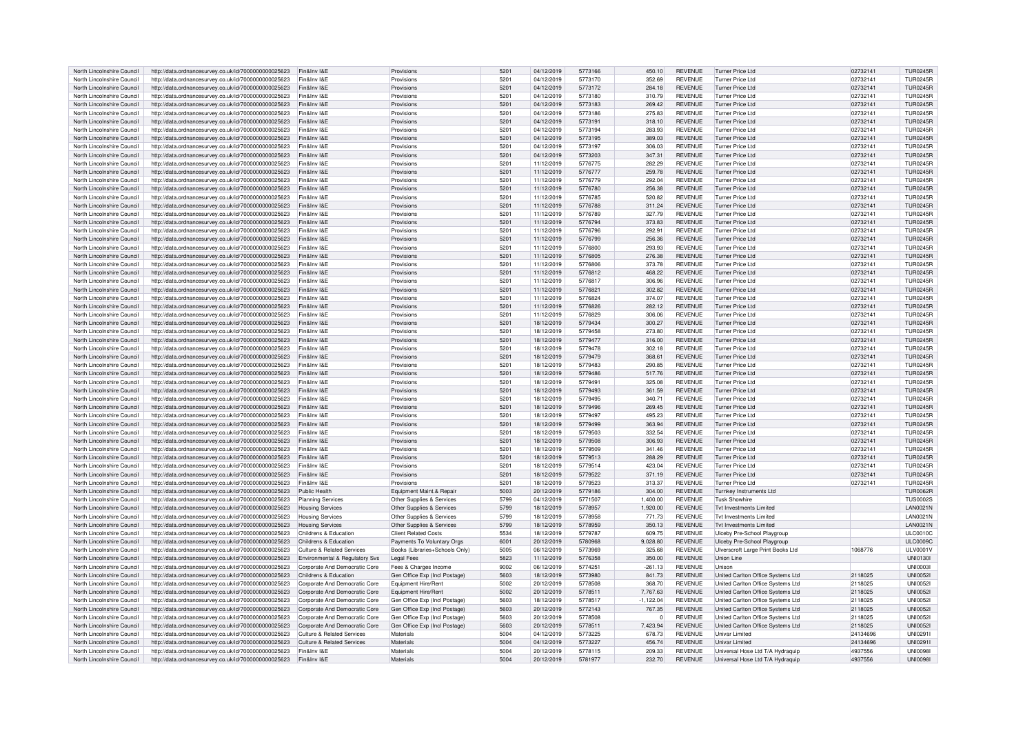| North Lincolnshire Council | http://data.ordnancesurvey.co.uk/id/7000000000025623             | Fin&Inv I&F                           | Provisions                     | 5201             | 04/12/2019 | 5773166 | 450.10      | <b>REVENUE</b> | <b>Turner Price Ltd</b>           | 02732141 | <b>TUR0245B</b> |
|----------------------------|------------------------------------------------------------------|---------------------------------------|--------------------------------|------------------|------------|---------|-------------|----------------|-----------------------------------|----------|-----------------|
| North Lincolnshire Council | http://data.ordnancesurvey.co.uk/id/7000000000025623             | Fin&Inv I&F                           | Provisions                     | 5201             | 04/12/2019 | 5773170 | 352.69      | <b>REVENUE</b> | Turner Price Ltd                  | 02732141 | <b>TUR0245R</b> |
| North Lincolnshire Council | http://data.ordnancesurvey.co.uk/id/7000000000025623             | Fin&Inv I&E                           | Provisions                     | 5201             | 04/12/2019 | 5773172 | 284.18      | <b>REVENUE</b> | <b>Turner Price Ltd</b>           | 02732141 | <b>TUR0245R</b> |
| North Lincolnshire Council | http://data.ordnancesurvey.co.uk/id/7000000000025623             | Fin&Inv I&F                           | Provisions                     | 520 <sup>1</sup> | 04/12/2019 | 5773180 | 310.79      | <b>REVENUE</b> | Turner Price Ltd                  | 02732141 | <b>TUR0245R</b> |
| North Lincolnshire Council | http://data.ordnancesurvey.co.uk/id/7000000000025623             | Fin&Inv I&E                           | Provisions                     | 5201             | 04/12/2019 | 5773183 | 269.42      | <b>REVENUE</b> | <b>Turner Price Ltd</b>           | 02732141 | <b>TUR0245R</b> |
| North Lincolnshire Council | http://data.ordnancesurvey.co.uk/id/7000000000025623             | Fin&Inv I&F                           | Provisions                     | 520 <sup>1</sup> | 04/12/2019 | 5773186 | 275.83      | <b>REVENUE</b> | Turner Price Ltd                  | 02732141 | <b>TUR0245R</b> |
| North Lincolnshire Council | http://data.ordnancesurvey.co.uk/id/7000000000025623             | Fin&Inv I&F                           | Provisions                     | 520 <sup>1</sup> | 04/12/2019 | 5773191 | 318.10      | <b>REVENUE</b> | Turner Price Ltd                  | 02732141 | <b>TUR0245R</b> |
| North Lincolnshire Council |                                                                  | Fin&Inv I&E                           | Provisions                     | 520 <sup>°</sup> | 04/12/2019 | 5773194 | 283.93      | <b>REVENUE</b> | <b>Turner Price Ltd</b>           | 02732141 | <b>TUR0245R</b> |
|                            | http://data.ordnancesurvey.co.uk/id/7000000000025623             | Fin&Inv I&F                           |                                | 520 <sup>1</sup> | 04/12/2019 | 5773195 | 389.03      | <b>REVENUE</b> | Turner Price Ltd                  |          |                 |
| North Lincolnshire Council | http://data.ordnancesurvey.co.uk/id/7000000000025623             |                                       | Provisions                     |                  |            |         |             |                |                                   | 02732141 | <b>TUR0245R</b> |
| North Lincolnshire Council | http://data.ordnancesurvey.co.uk/id/7000000000025623             | Fin&Inv I&E                           | Provisions                     | 5201             | 04/12/2019 | 5773197 | 306.03      | <b>REVENUE</b> | <b>Turner Price Ltd</b>           | 02732141 | <b>TUR0245R</b> |
| North Lincolnshire Council | http://data.ordnancesurvey.co.uk/id/7000000000025623             | Fin&Inv I&F                           | Provisions                     | 5201             | 04/12/2019 | 5773203 | 347.31      | <b>REVENUE</b> | Turner Price Ltd                  | 02732141 | <b>TUR0245R</b> |
| North Lincolnshire Council | http://data.ordnancesurvey.co.uk/id/7000000000025623             | Fin&Inv I&F                           | Provisions                     | 5201             | 11/12/2019 | 5776775 | 282.29      | <b>REVENUE</b> | Turner Price I td                 | 02732141 | <b>TUR0245R</b> |
| North Lincolnshire Council | http://data.ordnancesurvey.co.uk/id/7000000000025623             | Fin&Inv I&F                           | Provisions                     | 5201             | 11/12/2019 | 5776777 | 259.78      | <b>REVENUE</b> | Turner Price Ltd                  | 02732141 | <b>TUR0245R</b> |
| North Lincolnshire Council | http://data.ordnancesurvey.co.uk/id/7000000000025623             | Fin&Inv I&F                           | Provisions                     | 520 <sup>1</sup> | 11/12/2019 | 5776779 | 292.04      | <b>REVENUE</b> | Turner Price I to                 | 02732141 | <b>TUR0245R</b> |
| North Lincolnshire Council | http://data.ordnancesurvey.co.uk/id/7000000000025623             | Fin&Inv I&E                           | Provisions                     | 5201             | 11/12/2019 | 5776780 | 256.38      | <b>REVENUE</b> | <b>Turner Price Ltd</b>           | 02732141 | <b>TUR0245R</b> |
| North Lincolnshire Council | http://data.ordnancesurvey.co.uk/id/7000000000025623             | Fin&Inv I&E                           | Provisions                     | 5201             | 11/12/2019 | 5776785 | 520.82      | <b>REVENUE</b> | Turner Price Ltd                  | 02732141 | <b>TUR0245R</b> |
| North Lincolnshire Council | http://data.ordnancesurvey.co.uk/id/7000000000025623             | Fin&Inv I&F                           | Provisions                     | 5201             | 11/12/2019 | 5776788 | 311.24      | <b>REVENUE</b> | Turner Price Ltd                  | 02732141 | <b>TUR0245R</b> |
| North Lincolnshire Council | http://data.ordnancesurvey.co.uk/id/7000000000025623             | Fin&Inv I&E                           | Provisions                     | 5201             | 11/12/2019 | 5776789 | 327.79      | <b>REVENUE</b> | Turner Price Ltd                  | 02732141 | <b>TUR0245F</b> |
| North Lincolnshire Council | http://data.ordnancesurvey.co.uk/id/7000000000025623             | Fin&Inv I&F                           | Provisions                     | 520              | 11/12/2019 | 5776794 | 373.83      | <b>REVENUE</b> | Turner Price Ltd                  | 02732141 | <b>TUR0245R</b> |
| North Lincolnshire Council | http://data.ordnancesurvey.co.uk/id/7000000000025623             | Fin&Inv I&F                           | Provisions                     | 5201             | 11/12/2019 | 5776796 | 292.91      | <b>REVENUE</b> | Turner Price Ltd                  | 02732141 | <b>TUR0245R</b> |
| North Lincolnshire Council | http://data.ordnancesurvey.co.uk/id/7000000000025623             | Fin&Inv I&E                           | Provisions                     | 5201             | 11/12/2019 | 5776799 | 256.36      | <b>REVENUE</b> | <b>Turner Price Ltd</b>           | 02732141 | <b>TUR0245R</b> |
| North Lincolnshire Council | http://data.ordnancesurvey.co.uk/id/7000000000025623             | Fin&Inv I&F                           | Provisions                     | 5201             | 11/12/2019 | 5776800 | 293.93      | <b>REVENUE</b> | <b>Turner Price Ltd</b>           | 02732141 | <b>TUR0245R</b> |
| North Lincolnshire Council | http://data.ordnancesurvey.co.uk/id/7000000000025623             | Fin&Inv I&E                           | Provisions                     | 5201             | 11/12/2019 | 5776805 | 276.38      | <b>REVENUE</b> | <b>Turner Price Ltd</b>           | 02732141 | <b>TUR0245R</b> |
| North Lincolnshire Council |                                                                  | Fin&Inv I&F                           | Provisions                     | 5201             |            | 5776806 | 373.78      | <b>REVENUE</b> | Turner Price Ltd                  | 02732141 | <b>TUR0245R</b> |
|                            | http://data.ordnancesurvey.co.uk/id/7000000000025623             |                                       |                                |                  | 11/12/2019 |         |             |                |                                   |          |                 |
| North Lincolnshire Council | http://data.ordnancesurvey.co.uk/id/7000000000025623             | Fin&Inv I&F                           | Provisions                     | 5201             | 11/12/2019 | 5776812 | 468.22      | <b>REVENUE</b> | Turner Price Ltd                  | 02732141 | <b>TUR0245R</b> |
| North Lincolnshire Council | http://data.ordnancesurvey.co.uk/id/7000000000025623             | Fin&Inv I&E                           | Provisions                     | 5201             | 11/12/2019 | 5776817 | 306.96      | <b>REVENUE</b> | <b>Turner Price Ltd</b>           | 02732141 | <b>TUR0245R</b> |
| North Lincolnshire Council | http://data.ordnancesurvey.co.uk/id/7000000000025623             | Fin&Inv I&F                           | Provisions                     | 520              | 11/12/2019 | 5776821 | 302.82      | <b>REVENUE</b> | <b>Turner Price Ltd</b>           | 02732141 | <b>TUR0245R</b> |
| North Lincolnshire Council | http://data.ordnancesurvey.co.uk/id/7000000000025623             | Fin&Inv I&F                           | Provisions                     | 5201             | 11/12/2019 | 5776824 | 374.07      | <b>REVENUE</b> | Turner Price Ltd                  | 02732141 | <b>TUR0245R</b> |
| North Lincolnshire Council | http://data.ordnancesurvey.co.uk/id/7000000000025623             | Fin&Inv I&E                           | Provisions                     | 5201             | 11/12/2019 | 5776826 | 282.12      | <b>REVENUE</b> | <b>Turner Price Ltd</b>           | 02732141 | <b>TUR0245R</b> |
| North Lincolnshire Council | http://data.ordnancesurvey.co.uk/id/7000000000025623             | Fin&Inv I&F                           | Provisions                     | 5201             | 11/12/2019 | 5776829 | 306.06      | <b>REVENUE</b> | Turner Price Ltd                  | 02732141 | <b>TUR0245R</b> |
| North Lincolnshire Council | http://data.ordnancesurvey.co.uk/id/7000000000025623             | Fin&Inv I&E                           | Provisions                     | 5201             | 18/12/2019 | 5779434 | 300.27      | <b>REVENUE</b> | <b>Turner Price Ltd</b>           | 02732141 | <b>TUR0245R</b> |
| North Lincolnshire Council | http://data.ordnancesurvey.co.uk/id/7000000000025623             | Fin&Inv I&F                           | Provisions                     | 520 <sup>1</sup> | 18/12/2019 | 5779458 | 273.80      | <b>REVENUE</b> | Turner Price Ltd                  | 02732141 | <b>TUR0245R</b> |
| North Lincolnshire Council | http://data.ordnancesurvey.co.uk/id/7000000000025623             | Fin&Inv I&F                           | Provisions                     | 5201             | 18/12/2019 | 5779477 | 316.00      | <b>REVENUE</b> | Turner Price Ltd                  | 02732141 | <b>TUR0245R</b> |
| North Lincolnshire Council | http://data.ordnancesurvey.co.uk/id/7000000000025623             | Fin&Inv I&F                           | Provisions                     | 5201             | 18/12/2019 | 5779478 | 302.18      | <b>REVENUE</b> | <b>Turner Price Ltd</b>           | 02732141 | TUR0245B        |
| North Lincolnshire Council | http://data.ordnancesurvey.co.uk/id/7000000000025623             | Fin&Inv I&F                           | Provisions                     | 5201             | 18/12/2019 | 5779479 | 368.61      | <b>REVENUE</b> | Turner Price Ltd                  | 02732141 | <b>TUR0245R</b> |
| North Lincolnshire Council | http://data.ordnancesurvey.co.uk/id/7000000000025623             | Fin&Inv I&E                           | Provisions                     | 5201             | 18/12/2019 | 5779483 | 290.85      | <b>REVENUE</b> | Turner Price Ltd                  | 02732141 | <b>TUR0245R</b> |
| North Lincolnshire Council | http://data.ordnancesurvey.co.uk/id/7000000000025623             | Fin&Inv I&F                           | Provisions                     | 5201             | 18/12/2019 | 5779486 | 517.76      | <b>REVENUE</b> | Turner Price Ltd                  | 02732141 | TUR0245F        |
| North Lincolnshire Council | http://data.ordnancesurvey.co.uk/id/7000000000025623             | Fin&Inv I&F                           | Provisions                     | 5201             | 18/12/2019 | 5779491 | 325.08      | <b>REVENUE</b> | <b>Turner Price Ltd</b>           | 02732141 | <b>TUR0245R</b> |
| North Lincolnshire Council |                                                                  | Fin&Inv I&E                           | Provisions                     | 5201             | 18/12/2019 | 5779493 | 361.59      | <b>REVENUE</b> | Turner Price Ltd                  |          | <b>TUR0245R</b> |
|                            | http://data.ordnancesurvey.co.uk/id/7000000000025623             |                                       |                                |                  |            |         |             |                |                                   | 02732141 |                 |
| North Lincolnshire Council | http://data.ordnancesurvey.co.uk/id/7000000000025623             | Fin&Inv I&F                           | Provisions                     | 520              | 18/12/2019 | 5779495 | 340.71      | <b>REVENUE</b> | Turner Price I to                 | 0273214  | <b>TUR0245R</b> |
| North Lincolnshire Council | http://data.ordnancesurvey.co.uk/id/7000000000025623             | Fin&Inv I&E                           | Provisions                     | 5201             | 18/12/2019 | 5779496 | 269.45      | <b>REVENUE</b> | <b>Turner Price Ltd</b>           | 0273214  | <b>TUR0245R</b> |
| North Lincolnshire Council | http://data.ordnancesurvey.co.uk/id/7000000000025623             | Fin&Inv I&F                           | Provisions                     | 5201             | 18/12/2019 | 5779497 | 495.23      | <b>REVENUE</b> | Turner Price Ltd                  | 0273214  | TUR0245F        |
| North Lincolnshire Council | http://data.ordnancesurvey.co.uk/id/7000000000025623             | Fin&Inv I&E                           | Provisions                     | 5201             | 18/12/2019 | 5779499 | 363.94      | <b>REVENUE</b> | <b>Turner Price Ltd</b>           | 02732141 | <b>TUR0245R</b> |
| North Lincolnshire Council | http://data.ordnancesurvey.co.uk/id/7000000000025623             | Fin&Inv I&E                           | Provisions                     | 5201             | 18/12/2019 | 5779503 | 332.54      | <b>REVENUE</b> | Turner Price I to                 | 02732141 | <b>TUR0245R</b> |
| North Lincolnshire Council | http://data.ordnancesurvey.co.uk/id/7000000000025623             | Fin&Inv I&F                           | Provisions                     | 5201             | 18/12/2019 | 5779508 | 306.93      | <b>REVENUE</b> | Turner Price I to                 | 02732141 | <b>TUR0245R</b> |
| North Lincolnshire Council | http://data.ordnancesurvey.co.uk/id/7000000000025623             | Fin&Inv I&E                           | Provisions                     | 5201             | 18/12/2019 | 5779509 | 341.46      | <b>REVENUE</b> | <b>Turner Price Ltd</b>           | 02732141 | <b>TUR0245R</b> |
| North Lincolnshire Council | http://data.ordnancesurvey.co.uk/id/7000000000025623             | Fin&Inv I&F                           | Provisions                     | 520 <sup>1</sup> | 18/12/2019 | 5779513 | 288.29      | <b>REVENUE</b> | Turner Price Ltd                  | 02732141 | TUR0245F        |
| North Lincolnshire Council | http://data.ordnancesurvey.co.uk/id/7000000000025623             | Fin&Inv I&F                           | Provisions                     | 5201             | 18/12/2019 | 5779514 | 423.04      | <b>REVENUE</b> | Turner Price Ltd                  | 02732141 | <b>TUR0245R</b> |
| North Lincolnshire Council | http://data.ordnancesurvey.co.uk/id/7000000000025623             | Fin&Inv I&F                           | Provisions                     | 5201             | 18/12/2019 | 5779522 | 371.19      | <b>REVENUE</b> | Turner Price Ltd                  | 02732141 | <b>TUR0245R</b> |
| North Lincolnshire Council | http://data.ordnancesurvey.co.uk/id/7000000000025623             | Fin&Inv I&F                           | Provisions                     | 520              | 18/12/2019 | 5779523 | 313.37      | <b>REVENUE</b> | Turner Price I td                 | 02732141 | <b>TUR0245R</b> |
| North Lincolnshire Council | http://data.ordnancesurvey.co.uk/id/7000000000025623             | Public Health                         | Equipment Maint.& Repair       | 5003             | 20/12/2019 | 5779186 | 304.00      | <b>REVENUE</b> | <b>Turnkey Instruments Ltd</b>    |          | <b>TUR0062R</b> |
| North Lincolnshire Council | http://data.ordnancesurvey.co.uk/id/7000000000025623             | Planning Services                     | Other Supplies & Services      | 5799             | 04/12/2019 | 5771507 | 1.400.00    | <b>REVENUE</b> | <b>Tusk Showhire</b>              |          | <b>TUS0002S</b> |
| North Lincolnshire Council | http://data.ordnancesurvey.co.uk/id/7000000000025623             |                                       | Other Supplies & Services      | 5799             | 18/12/2019 | 5778957 | 1,920.00    | <b>REVENUE</b> | Tyt Investments I imited          |          | <b>LAN0021N</b> |
| North Lincolnshire Council |                                                                  | <b>Housing Services</b>               |                                | 5799             | 18/12/2019 | 5778958 | 771.73      | <b>REVENUE</b> | Tyt Investments I imited          |          | LAN0021N        |
|                            | http://data.ordnancesurvey.co.uk/id/7000000000025623             | <b>Housing Services</b>               | Other Supplies & Services      | 5799             |            | 5778959 |             | <b>REVENUE</b> | Tyt Investments I imited          |          |                 |
| North Lincolnshire Council | http://data.ordnancesurvey.co.uk/id/7000000000025623             | <b>Housing Services</b>               | Other Supplies & Services      |                  | 18/12/2019 |         | 350.13      |                |                                   |          | LAN0021N        |
| North Lincolnshire Council | http://data.ordnancesurvey.co.uk/id/7000000000025623             | Childrens & Education                 | <b>Client Related Costs</b>    | 5534             | 18/12/2019 | 5779787 | 609.75      | <b>REVENUE</b> | Ulceby Pre-School Playgroup       |          | <b>ULC0010C</b> |
| North Lincolnshire Council | http://data.ordnancesurvey.co.uk/id/7000000000025623             | Childrens & Education                 | Payments To Voluntary Orgs     | 6001             | 20/12/2019 | 5780968 | 9.028.80    | <b>REVENUE</b> | Ulceby Pre-School Playgroup       |          | <b>ULC0009C</b> |
| North Lincolnshire Council | http://data.ordnancesurvey.co.uk/id/7000000000025623             | Culture & Related Services            | Books (Libraries+Schools Only) | 5005             | 06/12/2019 | 5773969 | 325.68      | <b>REVENUE</b> | Ulverscroft Large Print Books Ltd | 1068776  | LILV0001V       |
| North Lincolnshire Council | http://data.ordnancesurvey.co.uk/id/7000000000025623             | Environmental & Regulatory Svs        | <b>Legal Fees</b>              | 5823             | 11/12/2019 | 5776358 | 350.00      | <b>REVENUE</b> | Union Line                        |          | <b>UNI01301</b> |
| North Lincolnshire Council | http://data.ordnancesurvey.co.uk/id/7000000000025623             | Corporate And Democratic Core         | Fees & Charges Income          | 9002             | 06/12/2019 | 5774251 | $-261.13$   | <b>REVENUE</b> | <b>Unison</b>                     |          | UNI0003         |
| North Lincolnshire Council | http://data.ordnancesurvey.co.uk/id/7000000000025623             | Childrens & Education                 | Gen Office Exp (Incl Postage)  | 5603             | 18/12/2019 | 5773980 | 841.73      | <b>REVENUE</b> | United Carlton Office Systems Ltd | 2118025  | <b>UNI0052</b>  |
| North Lincolnshire Council | http://data.ordnancesurvey.co.uk/id/7000000000025623             | Corporate And Democratic Core         | Fauinment Hire/Rent            | 5002             | 20/12/2019 | 5778508 | 368.70      | <b>REVENUE</b> | United Carlton Office Systems Ltd | 2118025  | <b>UNI0052</b>  |
| North Lincolnshire Council | http://data.ordnancesurvey.co.uk/id/7000000000025623             | Corporate And Democratic Core         | Equipment Hire/Rent            | 5002             | 20/12/2019 | 5778511 | 7,767.63    | <b>REVENUE</b> | United Carlton Office Systems Ltd | 2118025  | UNI0052         |
| North Lincolnshire Council | http://data.ordnancesurvey.co.uk/id/7000000000025623             | Corporate And Democratic Core         | Gen Office Exp (Incl Postage)  | 5603             | 18/12/2019 | 5778517 | $-1,122.04$ | <b>REVENUE</b> | United Carlton Office Systems Ltd | 2118025  | <b>UNI0052</b>  |
| North Lincolnshire Council | http://data.ordnancesurvey.co.uk/id/7000000000025623             | Corporate And Democratic Core         | Gen Office Exp (Incl Postage   | 5603             | 20/12/2019 | 5772143 | 767.35      | <b>REVENUE</b> | United Carlton Office Systems Ltd | 2118025  | UNI0052         |
| North Lincolnshire Council | http://data.ordnancesurvey.co.uk/id/7000000000025623             | Corporate And Democratic Core         | Gen Office Exp (Incl Postage   | 5603             | 20/12/2019 | 5778508 | $\mathbf 0$ | <b>REVENUE</b> | United Carlton Office Systems Ltd | 2118025  | <b>UNI0052</b>  |
| North Lincolnshire Council | http://data.ordnancesurvey.co.uk/id/7000000000025623             | Corporate And Democratic Core         | Gen Office Exp (Incl Postage)  | 5603             | 20/12/2019 | 5778511 | 7.423.94    | <b>REVENUE</b> | United Carlton Office Systems Ltd | 2118025  | <b>UNI00521</b> |
| North Lincolnshire Council | http://data.ordnancesurvey.co.uk/id/7000000000025623             | Culture & Related Services            | Materials                      | 5004             | 04/12/2019 | 5773225 | 678.73      | <b>REVENUE</b> | Univar Limited                    | 24134696 | UNI02911        |
| North Lincolnshire Council | http://data.ordnancesurvey.co.uk/id/7000000000025623             | <b>Culture &amp; Related Services</b> | Materials                      | 5004             | 04/12/2019 | 5773227 | 456.74      | <b>REVENUE</b> | <b>Univar Limited</b>             | 24134696 | UNI02911        |
|                            |                                                                  | Fin&Inv I&F                           |                                |                  |            |         |             |                |                                   |          |                 |
| North Lincolnshire Council | http://data.ordnancesurvey.co.uk/id/7000000000025623             |                                       | Materials                      | 5004             | 20/12/2019 | 5778115 | 209.33      | <b>REVENUE</b> | Universal Hose Ltd T/A Hydraquip  | 4937556  | <b>UNI0098I</b> |
| North Lincolnshire Council | http://data.ordnancesurvey.co.uk/id/7000000000025623 Fin&Inv I&E |                                       | Materials                      | 5004             | 20/12/2019 | 5781977 | 232.70      | <b>REVENUE</b> | Universal Hose Ltd T/A Hydraquip  | 4937556  | <b>UNI0098I</b> |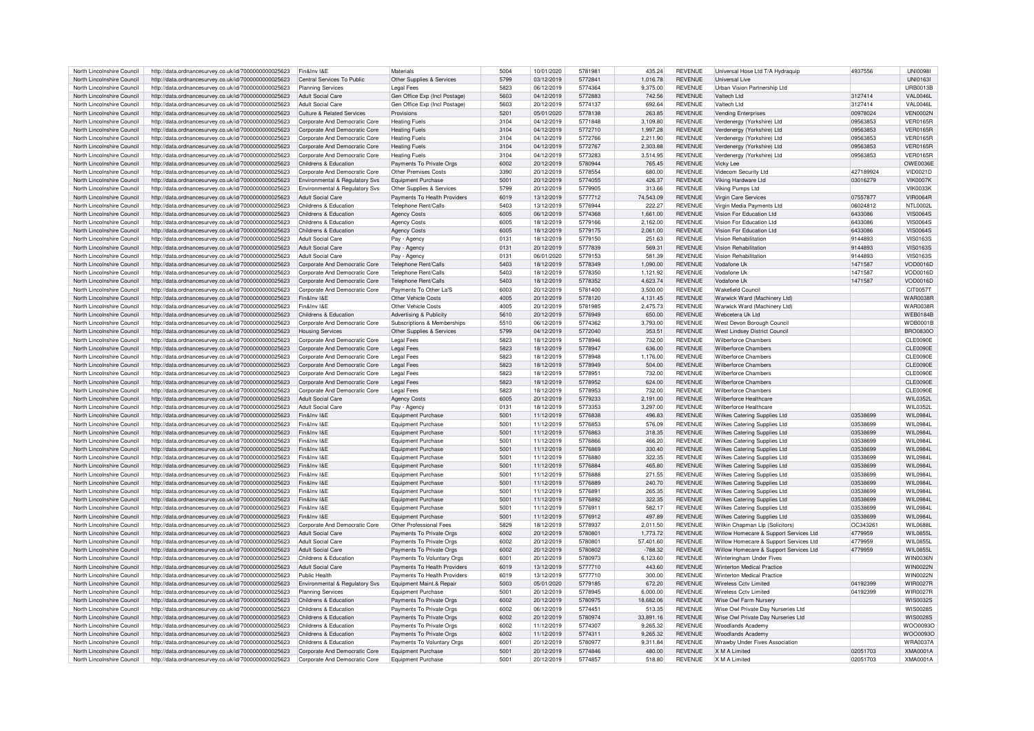|                            |                                                                                                              |                                            | Materials                     |      |            |         |           |                |                                        |           |                   |
|----------------------------|--------------------------------------------------------------------------------------------------------------|--------------------------------------------|-------------------------------|------|------------|---------|-----------|----------------|----------------------------------------|-----------|-------------------|
| North Lincolnshire Council | http://data.ordnancesurvey.co.uk/id/7000000000025623                                                         | Fin&Inv I&E                                |                               | 5004 | 10/01/2020 | 5781981 | 435.24    | <b>REVENUE</b> | Universal Hose Ltd T/A Hydraquip       | 4937556   | <b>UNI00981</b>   |
| North Lincolnshire Council | http://data.ordnancesurvey.co.uk/id/7000000000025623                                                         | Central Services To Public                 | Other Supplies & Services     | 5799 | 03/12/2019 | 5772841 | 1,016.78  | <b>REVENUE</b> | Universal Live                         |           | <b>I INIO1631</b> |
| North Lincolnshire Council | http://data.ordnancesurvey.co.uk/id/7000000000025623                                                         | <b>Planning Services</b>                   | Legal Fees                    | 5823 | 06/12/2019 | 5774364 | 9,375.00  | REVENUE        | Urban Vision Partnership Ltd           |           | <b>URB0013E</b>   |
| North Lincolnshire Council | http://data.ordnancesurvey.co.uk/id/7000000000025623                                                         | <b>Adult Social Care</b>                   |                               | 5603 | 04/12/2019 | 5772883 | 742.56    | <b>REVENUE</b> | Valtech Ltd                            | 3127414   | <b>VAL0046L</b>   |
|                            |                                                                                                              |                                            | Gen Office Exp (Incl Postage) |      |            |         |           |                |                                        |           |                   |
| North Lincolnshire Council | http://data.ordnancesurvey.co.uk/id/7000000000025623                                                         | <b>Adult Social Care</b>                   | Gen Office Exp (Incl Postage) | 5603 | 20/12/2019 | 5774137 | 692.64    | <b>REVENUE</b> | Valtech I to                           | 3127414   | VAI 0046L         |
| North Lincolnshire Council | http://data.ordnancesurvey.co.uk/id/7000000000025623                                                         | <b>Culture &amp; Related Services</b>      | Provisions                    | 5201 | 05/01/2020 | 5778138 | 263.85    | <b>REVENUE</b> | Vending Enterprises                    | 00978024  | <b>VEN0002N</b>   |
|                            |                                                                                                              |                                            |                               |      |            | 5771848 |           | <b>REVENUE</b> |                                        |           | <b>VER0165R</b>   |
| North Lincolnshire Council | http://data.ordnancesurvey.co.uk/id/7000000000025623                                                         | Corporate And Democratic Core              | <b>Heating Fuels</b>          | 3104 | 04/12/2019 |         | 3,109.80  |                | Verdenergy (Yorkshire) Ltd             | 09563853  |                   |
| North Lincolnshire Council | http://data.ordnancesurvey.co.uk/id/7000000000025623                                                         | Corporate And Democratic Core              | <b>Heating Fuels</b>          | 3104 | 04/12/2019 | 5772710 | 1,997.28  | <b>REVENUE</b> | Verdenergy (Yorkshire) Ltd             | 09563853  | <b>VER0165R</b>   |
| North Lincolnshire Council | http://data.ordnancesurvey.co.uk/id/7000000000025623                                                         | Corporate And Democratic Core              | <b>Heating Fuels</b>          | 3104 | 04/12/2019 | 5772766 | 2,211.90  | <b>REVENUE</b> | Verdenergy (Yorkshire) Ltd             | 09563853  | <b>VER0165R</b>   |
|                            |                                                                                                              |                                            |                               | 3104 |            |         |           | <b>REVENUE</b> |                                        |           | <b>VER0165F</b>   |
| North Lincolnshire Council | http://data.ordnancesurvey.co.uk/id/7000000000025623                                                         | Corporate And Democratic Core              | <b>Heating Fuels</b>          |      | 04/12/2019 | 5772767 | 2,303.88  |                | Verdenergy (Yorkshire) Ltd             | 09563853  |                   |
| North Lincolnshire Council | http://data.ordnancesurvey.co.uk/id/7000000000025623                                                         | Corporate And Democratic Core              | <b>Heating Fuels</b>          | 3104 | 04/12/2019 | 5773283 | 3,514.95  | REVENUE        | Verdenergy (Yorkshire) Ltd             | 09563853  | <b>VER0165F</b>   |
| North Lincolnshire Council | http://data.ordnancesurvey.co.uk/id/7000000000025623                                                         | Childrens & Education                      | Payments To Private Orgs      | 6002 | 20/12/2019 | 5780944 | 765.45    | <b>REVENUE</b> | Vicky Lee                              |           | OWE0036E          |
|                            |                                                                                                              |                                            |                               |      |            |         |           |                |                                        |           |                   |
| North Lincolnshire Council | http://data.ordnancesurvey.co.uk/id/7000000000025623                                                         | Corporate And Democratic Core              | Other Premises Costs          | 3390 | 20/12/2019 | 5778554 | 680.00    | REVENUE        | Videcom Security Ltd                   | 427189924 | VID0021D          |
| North Lincolnshire Council | http://data.ordnancesurvey.co.uk/id/7000000000025623                                                         | Environmental & Regulatory Svs             | <b>Equipment Purchase</b>     | 5001 | 20/12/2019 | 5774055 | 426.37    | <b>REVENUE</b> | Viking Hardware Ltd                    | 03016279  | VIK0007k          |
| North Lincolnshire Council | http://data.ordnancesurvey.co.uk/id/7000000000025623                                                         | <b>Environmental &amp; Requlatory Sys.</b> | Other Supplies & Services     | 5799 | 20/12/2019 | 5779905 | 313.66    | <b>REVENUE</b> | Viking Pumps Ltd                       |           | <b>VIK0033F</b>   |
|                            |                                                                                                              |                                            |                               |      |            |         |           |                |                                        |           |                   |
| North Lincolnshire Council | http://data.ordnancesurvey.co.uk/id/7000000000025623                                                         | <b>Adult Social Care</b>                   | Payments To Health Providers  | 6019 | 13/12/2019 | 5777712 | 74.543.09 | <b>REVENUE</b> | Virgin Care Services                   | 07557877  | <b>VIR0064R</b>   |
| North Lincolnshire Council | http://data.ordnancesurvey.co.uk/id/7000000000025623                                                         | Childrens & Education                      | Telephone Rent/Calls          | 5403 | 13/12/2019 | 5776944 | 222.27    | <b>REVENUE</b> | Virgin Media Payments I td             | 06024812  | <b>NTL0002L</b>   |
| North Lincolnshire Council | http://data.ordnancesurvey.co.uk/id/7000000000025623                                                         | Childrens & Education                      | <b>Agency Costs</b>           | 6005 | 06/12/2019 | 5774368 | 1,661.00  | <b>REVENUE</b> | Vision For Education Ltd               | 6433086   | VIS00645          |
|                            |                                                                                                              |                                            |                               |      |            |         |           |                |                                        |           |                   |
| North Lincolnshire Council | http://data.ordnancesurvey.co.uk/id/7000000000025623                                                         | Childrens & Education                      | <b>Agency Costs</b>           | 6005 | 18/12/2019 | 5779166 | 2,162.00  | <b>REVENUE</b> | Vision For Education Ltd               | 6433086   | VIS00645          |
| North Lincolnshire Council | http://data.ordnancesurvey.co.uk/id/7000000000025623                                                         | Childrens & Education                      | <b>Agency Costs</b>           | 6005 | 18/12/2019 | 5779175 | 2,061.00  | <b>REVENUE</b> | Vision For Education Ltd               | 6433086   | <b>VIS0064S</b>   |
| North Lincolnshire Council | http://data.ordnancesurvey.co.uk/id/7000000000025623                                                         | <b>Adult Social Care</b>                   | Pay - Agency                  | 0131 | 18/12/2019 | 5779150 | 251.63    | <b>REVENUE</b> | Vision Rehabilitation                  | 9144893   | <b>VIS0163S</b>   |
|                            |                                                                                                              |                                            |                               |      |            |         |           |                |                                        |           |                   |
| North Lincolnshire Council | http://data.ordnancesurvey.co.uk/id/7000000000025623                                                         | Adult Social Care                          | Pay - Agency                  | 0131 | 20/12/2019 | 5777839 | 569.31    | <b>REVENUE</b> | Vision Rehabilitation                  | 9144893   | <b>VIS0163S</b>   |
| North Lincolnshire Council | http://data.ordnancesurvey.co.uk/id/7000000000025623                                                         | <b>Adult Social Care</b>                   | Pay - Agency                  | 0131 | 06/01/2020 | 5779153 | 581.39    | <b>REVENUE</b> | Vision Rehabilitation                  | 9144893   | VIS0163S          |
| North Lincolnshire Council | http://data.ordnancesurvey.co.uk/id/7000000000025623                                                         | Corporate And Democratic Core              | Telephone Rent/Calls          | 5403 | 18/12/2019 | 5778349 | 1,090.00  | <b>REVENUE</b> | Vodafone Uk                            | 1471587   | VOD0016D          |
|                            |                                                                                                              |                                            |                               |      |            |         |           |                |                                        |           |                   |
| North Lincolnshire Council | http://data.ordnancesurvey.co.uk/id/7000000000025623                                                         | Corporate And Democratic Core              | <b>Telephone Rent/Calls</b>   | 5403 | 18/12/2019 | 5778350 | 1.121.92  | <b>REVENUE</b> | Vodafone Uk                            | 1471587   | VOD0016E          |
| North Lincolnshire Council | http://data.ordnancesurvey.co.uk/id/7000000000025623                                                         | Corporate And Democratic Core              | Telephone Rent/Calls          | 5403 | 18/12/2019 | 5778352 | 4.623.74  | <b>REVENUE</b> | Vodafone I lk                          | 1471587   | <b>VOD0016D</b>   |
| North Lincolnshire Council | http://data.ordnancesurvey.co.uk/id/7000000000025623                                                         | Corporate And Democratic Core              | Payments To Other La'S        | 6003 | 20/12/2019 | 5781400 | 3.500.00  | <b>REVENUE</b> | Wakefield Council                      |           | <b>CIT0057T</b>   |
|                            |                                                                                                              |                                            |                               |      |            |         |           |                |                                        |           |                   |
| North Lincolnshire Council | http://data.ordnancesurvey.co.uk/id/7000000000025623                                                         | Fin&Inv I&F                                | Other Vehicle Costs           | 4005 | 20/12/2019 | 5778120 | 4,131.45  | <b>REVENUE</b> | Warwick Ward (Machinery Ltd)           |           | <b>WAR0038F</b>   |
| North Lincolnshire Council | http://data.ordnancesurvey.co.uk/id/7000000000025623                                                         | Fin&Inv I&F                                | Other Vehicle Costs           | 4005 | 20/12/2019 | 5781985 | 2,475.73  | <b>REVENUE</b> | Warwick Ward (Machinery Ltd)           |           | <b>WAR0038F</b>   |
| North Lincolnshire Council |                                                                                                              | Childrens & Education                      |                               | 5610 |            | 5776949 | 650.00    | <b>REVENUE</b> | Webcetera Uk I td                      |           |                   |
|                            | http://data.ordnancesurvey.co.uk/id/7000000000025623                                                         |                                            | Advertising & Publicity       |      | 20/12/2019 |         |           |                |                                        |           | <b>WEB0184E</b>   |
| North Lincolnshire Council | http://data.ordnancesurvey.co.uk/id/7000000000025623                                                         | Corporate And Democratic Core              | Subscriptions & Memberships   | 5510 | 06/12/2019 | 5774362 | 3,793.00  | <b>REVENUE</b> | West Devon Borough Council             |           | <b>WDB0001E</b>   |
| North Lincolnshire Council | http://data.ordnancesurvey.co.uk/id/7000000000025623                                                         | <b>Housing Services</b>                    | Other Supplies & Services     | 5799 | 04/12/2019 | 5772040 | 353.51    | <b>REVENUE</b> | <b>West Lindsey District Council</b>   |           | <b>BRO08300</b>   |
|                            |                                                                                                              |                                            |                               |      |            |         |           |                |                                        |           |                   |
| North Lincolnshire Council | http://data.ordnancesurvey.co.uk/id/7000000000025623                                                         | Corporate And Democratic Core              | Legal Fees                    | 5823 | 18/12/2019 | 5778946 | 732.00    | <b>REVENUE</b> | <b>Wilberforce Chambers</b>            |           | <b>CLE0090E</b>   |
| North Lincolnshire Council | http://data.ordnancesurvey.co.uk/id/7000000000025623                                                         | Corporate And Democratic Core              | <b>Legal Fees</b>             | 5823 | 18/12/2019 | 5778947 | 636.00    | <b>REVENUE</b> | <b>Wilberforce Chambers</b>            |           | <b>CLE0090E</b>   |
| North Lincolnshire Council | http://data.ordnancesurvey.co.uk/id/7000000000025623                                                         | Corporate And Democratic Core              | <b>Legal Fees</b>             | 5823 | 18/12/2019 | 5778948 | 1.176.00  | <b>REVENUE</b> | Wilberforce Chambers                   |           | CLE0090E          |
|                            |                                                                                                              |                                            |                               |      |            |         |           |                |                                        |           |                   |
| North Lincolnshire Council | http://data.ordnancesurvey.co.uk/id/7000000000025623                                                         | Corporate And Democratic Core              | Legal Fees                    | 5823 | 18/12/2019 | 5778949 | 504.00    | <b>REVENUE</b> | <b>Wilberforce Chambers</b>            |           | <b>CLE0090E</b>   |
| North Lincolnshire Council | http://data.ordnancesurvey.co.uk/id/7000000000025623                                                         | Corporate And Democratic Core              | Legal Fees                    | 5823 | 18/12/2010 | 5778951 | 732.00    | <b>REVENUE</b> | Wilherforce Chambers                   |           | CLE0090E          |
| North Lincolnshire Council | http://data.ordnancesurvey.co.uk/id/7000000000025623                                                         | Corporate And Democratic Core              | <b>Legal Fees</b>             | 5823 | 18/12/2019 | 5778952 | 624.00    | <b>REVENUE</b> | <b>Wilberforce Chambers</b>            |           | <b>CLE0090E</b>   |
|                            |                                                                                                              |                                            |                               |      |            |         |           |                |                                        |           |                   |
| North Lincolnshire Council | http://data.ordnancesurvey.co.uk/id/7000000000025623                                                         | Corporate And Democratic Core              | <b>Legal Fees</b>             | 5823 | 18/12/2019 | 5778953 | 732.00    | <b>REVENUE</b> | <b>Wilberforce Chambers</b>            |           | CLE0090E          |
| North Lincolnshire Council | http://data.ordnancesurvey.co.uk/id/7000000000025623                                                         | <b>Adult Social Care</b>                   | <b>Agency Costs</b>           | 6005 | 20/12/2019 | 5779233 | 2,191.00  | <b>REVENUE</b> | Wilberforce Healthcare                 |           | WII 0352L         |
| North Lincolnshire Council | http://data.ordnancesurvey.co.uk/id/7000000000025623                                                         | <b>Adult Social Care</b>                   | Pay - Agency                  | 0131 | 18/12/2019 | 5773353 | 3.297.00  | <b>REVENUE</b> | Wilberforce Healthcare                 |           | <b>WIL0352L</b>   |
|                            |                                                                                                              |                                            |                               |      |            |         |           |                |                                        |           |                   |
| North Lincolnshire Council | http://data.ordnancesurvey.co.uk/id/7000000000025623                                                         | Fin&Inv I&F                                | Equipment Purchase            | 5001 | 11/12/2019 | 5776838 | 496.83    | <b>REVENUE</b> | Wilkes Catering Supplies Ltd           | 03538699  | <b>WIL0984L</b>   |
| North Lincolnshire Council | http://data.ordnancesurvey.co.uk/id/7000000000025623                                                         | Fin&Inv I&F                                | Equipment Purchase            | 5001 | 11/12/2019 | 5776853 | 576.09    | <b>REVENUE</b> | Wilkes Catering Supplies Ltd           | 03538699  | <b>WIL0984L</b>   |
| North Lincolnshire Council | http://data.ordnancesurvey.co.uk/id/7000000000025623                                                         | Fin&Inv I&E                                | Equipment Purchase            | 5001 | 11/12/2019 | 5776863 | 318.35    | <b>REVENUE</b> | Wilkes Catering Supplies Ltd           | 03538699  | <b>WIL0984L</b>   |
|                            |                                                                                                              |                                            |                               |      |            |         |           |                |                                        |           |                   |
| North Lincolnshire Council | http://data.ordnancesurvey.co.uk/id/7000000000025623                                                         | Fin&Inv I&F                                | <b>Equipment Purchase</b>     | 5001 | 11/12/2019 | 5776866 | 466.20    | REVENUE        | Wilkes Catering Supplies Ltd           | 03538699  | WII 0984I         |
| North Lincolnshire Council | http://data.ordnancesurvey.co.uk/id/7000000000025623                                                         | Fin&Inv I&F                                | Equipment Purchase            | 5001 | 11/12/2019 | 5776869 | 330.40    | <b>REVENUE</b> | Wilkes Catering Supplies Ltd           | 03538699  | <b>WIL0984L</b>   |
| North Lincolnshire Council | http://data.ordnancesurvey.co.uk/id/7000000000025623                                                         | Fin&Inv I&E                                | <b>Equipment Purchase</b>     | 5001 | 11/12/2019 | 5776880 | 322.35    | <b>REVENUE</b> | Wilkes Catering Supplies Ltd           | 03538699  | <b>WIL0984L</b>   |
|                            |                                                                                                              |                                            |                               |      |            |         |           |                |                                        |           |                   |
| North Lincolnshire Council | http://data.ordnancesurvey.co.uk/id/7000000000025623                                                         | Fin&Inv I&E                                | Equipment Purchase            | 5001 | 11/12/2019 | 5776884 | 465.80    | <b>REVENUE</b> | Wilkes Catering Supplies Ltd           | 03538699  | WIL0984L          |
| North Lincolnshire Council | http://data.ordnancesurvey.co.uk/id/7000000000025623                                                         | Fin&Inv I&F                                | Equipment Purchase            | 5001 | 11/12/2019 | 5776888 | 271.55    | <b>REVENUE</b> | Wilkes Catering Supplies Ltd           | 03538699  | WIL0984L          |
| North Lincolnshire Council | http://data.ordnancesurvey.co.uk/id/7000000000025623                                                         | Fin&Inv I&F                                | Equipment Purchase            | 5001 | 11/12/2019 | 5776889 | 240.70    | <b>REVENUE</b> | Wilkes Catering Supplies Ltd           | 03538699  | <b>WIL0984L</b>   |
|                            |                                                                                                              |                                            |                               |      |            |         |           |                |                                        |           |                   |
| North Lincolnshire Council | http://data.ordnancesurvey.co.uk/id/7000000000025623                                                         | Fin&Inv I&F                                | <b>Equipment Purchase</b>     | 5001 | 11/12/2019 | 5776891 | 265.35    | <b>REVENUE</b> | Wilkes Catering Supplies Ltd           | 03538699  | <b>WIL0984L</b>   |
| North Lincolnshire Council | http://data.ordnancesurvey.co.uk/id/7000000000025623                                                         | Fin&Inv I&F                                | <b>Equipment Purchase</b>     | 5001 | 11/12/2019 | 5776892 | 322.35    | <b>REVENUE</b> | Wilkes Catering Supplies Ltd           | 03538699  | <b>WIL0984L</b>   |
| North Lincolnshire Council | http://data.ordnancesurvey.co.uk/id/7000000000025623                                                         | Fin&Inv I&F                                | <b>Equipment Purchase</b>     | 5001 | 11/12/2019 | 5776911 | 582.17    | <b>REVENUE</b> | Wilkes Catering Supplies Ltd           | 03538699  | <b>WIL0984L</b>   |
|                            |                                                                                                              |                                            |                               |      |            |         |           |                |                                        |           |                   |
| North Lincolnshire Council | http://data.ordnancesurvey.co.uk/id/7000000000025623                                                         | Fin&Inv I&F                                | <b>Equipment Purchase</b>     | 5001 | 11/12/2019 | 5776912 | 497.89    | <b>REVENUE</b> | Wilkes Catering Supplies Ltd           | 03538699  | WIL0984L          |
| North Lincolnshire Council | http://data.ordnancesurvey.co.uk/id/7000000000025623                                                         | Corporate And Democratic Core              | Other Professional Fees       | 5829 | 18/12/2019 | 5778937 | 2,011.50  | <b>REVENUE</b> | Wilkin Chapman Llp (Solicitors)        | OC34326   | <b>WIL0688L</b>   |
| North Lincolnshire Council | http://data.ordnancesurvey.co.uk/id/7000000000025623                                                         | <b>Adult Social Care</b>                   | Payments To Private Orgs      | 6002 | 20/12/2019 | 578080  | 1,773.72  | <b>REVENUE</b> | Willow Homecare & Support Services Ltd | 4779959   | WII 0855L         |
|                            |                                                                                                              |                                            |                               |      |            |         |           |                |                                        |           |                   |
| North Lincolnshire Council | http://data.ordnancesurvey.co.uk/id/7000000000025623                                                         | Adult Social Care                          | Payments To Private Orgs      | 6002 | 20/12/2019 | 5780801 | 57 401 60 | <b>REVENUE</b> | Willow Homecare & Support Services Ltd | 4779959   | WIL0855L          |
| North Lincolnshire Council | http://data.ordnancesurvey.co.uk/id/7000000000025623                                                         | <b>Adult Social Care</b>                   | Payments To Private Orgs      | 6002 | 20/12/2019 | 5780802 | $-788.32$ | <b>REVENUE</b> | Willow Homecare & Support Services Ltd | 4779959   | <b>WIL0855L</b>   |
| North Lincolnshire Council | http://data.ordnancesurvey.co.uk/id/7000000000025623                                                         | Childrens & Education                      | Payments To Voluntary Orgs    | 6001 | 20/12/2019 | 5780973 | 6,123.60  | <b>REVENUE</b> | Winteringham Under Fives               |           | WIN0036M          |
|                            |                                                                                                              |                                            |                               |      |            |         |           |                |                                        |           |                   |
| North Lincolnshire Council | http://data.ordnancesurvey.co.uk/id/7000000000025623                                                         | <b>Adult Social Care</b>                   | Payments To Health Providers  | 6019 | 13/12/2019 | 5777710 | 443.60    | <b>REVENUE</b> | <b>Winterton Medical Practice</b>      |           | WIN0022M          |
| North Lincolnshire Council | http://data.ordnancesurvey.co.uk/id/7000000000025623                                                         | Public Health                              | Payments To Health Providers  | 6019 | 13/12/2019 | 5777710 | 300.00    | REVENUE        | <b>Winterton Medical Practice</b>      |           | WIN0022N          |
| North Lincolnshire Council | http://data.ordnancesurvey.co.uk/id/7000000000025623                                                         | Environmental & Regulatory Svs             | Equipment Maint.& Repair      | 5003 | 05/01/2020 | 5779185 | 672.20    | <b>REVENUE</b> | Wireless Ccty Limited                  | 04192399  | <b>WIR0027F</b>   |
|                            |                                                                                                              |                                            |                               |      |            |         |           |                |                                        |           |                   |
| North Lincolnshire Council | http://data.ordnancesurvey.co.uk/id/7000000000025623                                                         | <b>Planning Services</b>                   | <b>Equipment Purchase</b>     | 5001 | 20/12/2019 | 5778945 | 6.000.00  | <b>REVENUE</b> | Wireless Cctv Limited                  | 04192399  | <b>WIR0027F</b>   |
| North Lincolnshire Council | http://data.ordnancesurvey.co.uk/id/7000000000025623                                                         | Childrens & Education                      | Payments To Private Orgs      | 6002 | 20/12/2019 | 5780975 | 18,682.06 | <b>REVENUE</b> | Wise Owl Farm Nursen                   |           | WIS0032S          |
| North Lincolnshire Council | http://data.ordnancesurvey.co.uk/id/7000000000025623                                                         | Childrens & Education                      | Payments To Private Orgs      | 6002 | 06/12/2019 | 5774451 | 513.35    | <b>REVENUE</b> | Wise Owl Private Day Nurseries Ltd     |           | WIS00285          |
|                            |                                                                                                              |                                            |                               |      |            |         |           |                |                                        |           |                   |
| North Lincolnshire Council | http://data.ordnancesurvey.co.uk/id/7000000000025623                                                         | Childrens & Education                      | Payments To Private Orgs      | 6002 | 20/12/2019 | 5780974 | 33,891.16 | <b>REVENUE</b> | Wise Owl Private Day Nurseries Ltd     |           | WIS00285          |
| North Lincolnshire Council | http://data.ordnancesurvey.co.uk/id/7000000000025623                                                         | Childrens & Education                      | Payments To Private Orgs      | 6002 | 11/12/2019 | 5774307 | 9.265.32  | <b>REVENUE</b> | <b>Woodlands Academy</b>               |           | WOO00930          |
| North Lincolnshire Council | http://data.ordnancesurvey.co.uk/id/7000000000025623                                                         | Childrens & Education                      | Payments To Private Orgs      | 6002 | 11/12/2019 | 5774311 | 9.265.32  | <b>REVENUE</b> | <b>Woodlands Academy</b>               |           | WOO00930          |
|                            |                                                                                                              |                                            |                               |      |            |         |           |                |                                        |           |                   |
| North Lincolnshire Council | http://data.ordnancesurvey.co.uk/id/7000000000025623                                                         | Childrens & Education                      | Payments To Voluntary Orgs    | 6001 | 20/12/2019 | 5780977 | 9,311.84  | <b>REVENUE</b> | Wrawby Under Fives Association         |           | WRA0037A          |
|                            |                                                                                                              |                                            |                               |      |            |         |           |                |                                        |           |                   |
| North Lincolnshire Council |                                                                                                              | Corporate And Democratic Core              | Foujoment Purchase            | 5001 | 20/12/2019 | 5774846 | 480.00    | <b>REVENUE</b> | X M A I imited                         | 02051703  | <b>XMA0001A</b>   |
| North Lincolnshire Council | http://data.ordnancesurvey.co.uk/id/7000000000025623<br>http://data.ordnancesurvey.co.uk/id/7000000000025623 | Corporate And Democratic Core              | <b>Equipment Purchase</b>     | 5001 | 20/12/2019 | 5774857 | 518.80    | <b>REVENUE</b> | X M A I imited                         | 02051703  | XMA0001A          |